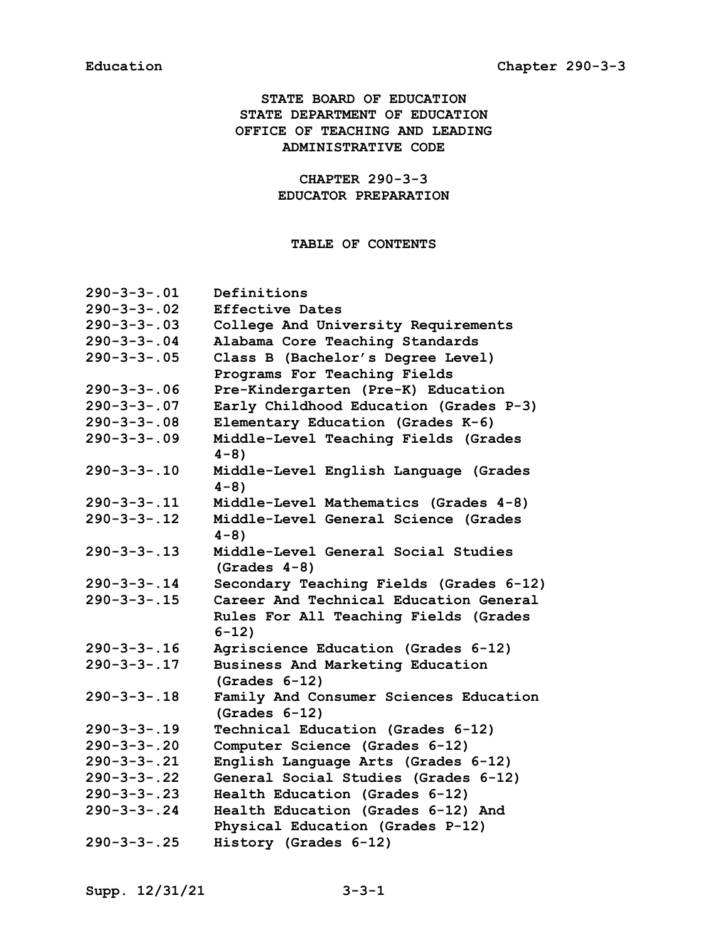# **STATE BOARD OF EDUCATION STATE DEPARTMENT OF EDUCATION OFFICE OF TEACHING AND LEADING ADMINISTRATIVE CODE**

# **CHAPTER 290-3-3 EDUCATOR PREPARATION**

# **TABLE OF CONTENTS**

| $290 - 3 - 3 - .01$ | Definitions                                               |
|---------------------|-----------------------------------------------------------|
| $290 - 3 - 3 - .02$ | <b>Effective Dates</b>                                    |
| $290 - 3 - 3 - .03$ | College And University Requirements                       |
| $290 - 3 - 3 - .04$ | Alabama Core Teaching Standards                           |
| $290 - 3 - 3 - .05$ | Class B (Bachelor's Degree Level)                         |
|                     | Programs For Teaching Fields                              |
| $290 - 3 - 3 - .06$ | Pre-Kindergarten (Pre-K) Education                        |
| $290 - 3 - 3 - .07$ | Early Childhood Education (Grades P-3)                    |
| $290 - 3 - 3 - .08$ | Elementary Education (Grades K-6)                         |
| $290 - 3 - 3 - .09$ | Middle-Level Teaching Fields (Grades<br>$4 - 8$ )         |
| $290 - 3 - 3 - .10$ | Middle-Level English Language (Grades<br>$4 - 8$ )        |
| $290 - 3 - 3 - 11$  | Middle-Level Mathematics (Grades 4-8)                     |
| $290 - 3 - 3 - 12$  | Middle-Level General Science (Grades<br>$4 - 8$ )         |
| $290 - 3 - 3 - 13$  | Middle-Level General Social Studies<br>$(Grades 4-8)$     |
| $290 - 3 - 3 - 14$  | Secondary Teaching Fields (Grades 6-12)                   |
| $290 - 3 - 3 - 15$  | Career And Technical Education General                    |
|                     | Rules For All Teaching Fields (Grades<br>$6 - 12$         |
| $290 - 3 - 3 - 16$  | Agriscience Education (Grades 6-12)                       |
| $290 - 3 - 3 - 17$  | Business And Marketing Education<br>$(Grades 6-12)$       |
| $290 - 3 - 3 - 18$  | Family And Consumer Sciences Education<br>$(Grades 6-12)$ |
| $290 - 3 - 3 - 19$  | Technical Education (Grades 6-12)                         |
| $290 - 3 - 3 - .20$ | Computer Science (Grades 6-12)                            |
| $290 - 3 - 3 - .21$ | English Language Arts (Grades 6-12)                       |
| $290 - 3 - 3 - .22$ | General Social Studies (Grades 6-12)                      |
| $290 - 3 - 3 - .23$ | Health Education (Grades 6-12)                            |
| $290 - 3 - 3 - .24$ | Health Education (Grades 6-12) And                        |
|                     | Physical Education (Grades P-12)                          |
| $290 - 3 - 3 - .25$ | History (Grades 6-12)                                     |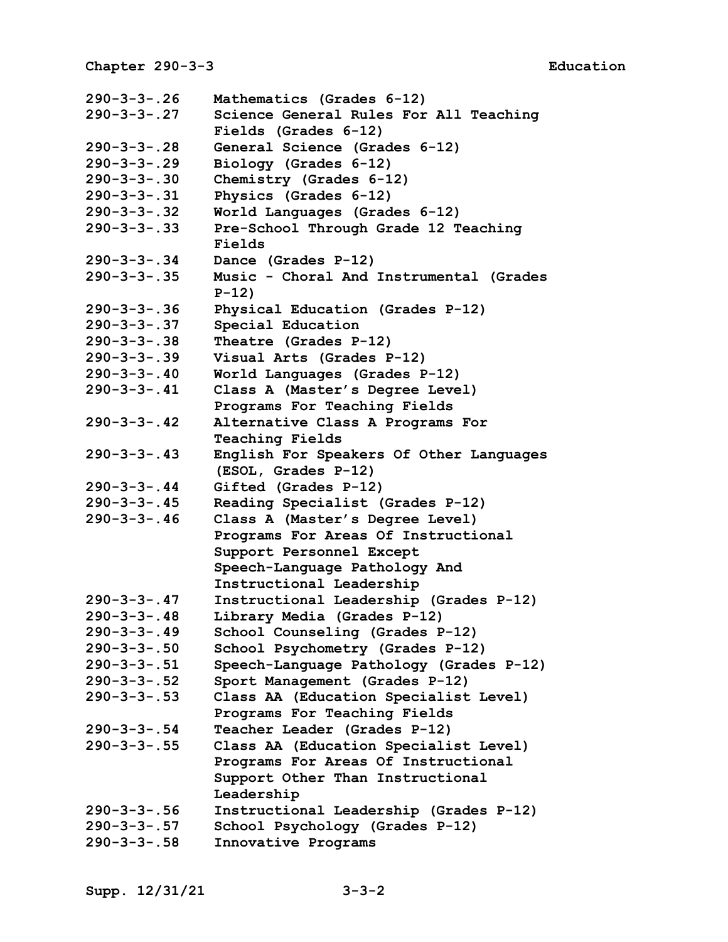| $290 - 3 - 3 - .26$ | Mathematics (Grades 6-12)               |
|---------------------|-----------------------------------------|
| $290 - 3 - 3 - .27$ | Science General Rules For All Teaching  |
|                     | Fields (Grades 6-12)                    |
| $290 - 3 - 3 - .28$ | General Science (Grades 6-12)           |
| $290 - 3 - 3 - .29$ | Biology (Grades 6-12)                   |
| $290 - 3 - 3 - .30$ | Chemistry (Grades 6-12)                 |
| $290 - 3 - 3 - .31$ | Physics (Grades 6-12)                   |
| $290 - 3 - 3 - .32$ | World Languages (Grades 6-12)           |
| $290 - 3 - 3 - .33$ | Pre-School Through Grade 12 Teaching    |
|                     | Fields                                  |
| $290 - 3 - 3 - .34$ | Dance (Grades P-12)                     |
| $290 - 3 - 3 - .35$ | Music - Choral And Instrumental (Grades |
|                     | $P-12)$                                 |
| $290 - 3 - 3 - .36$ | Physical Education (Grades P-12)        |
| $290 - 3 - 3 - .37$ | Special Education                       |
| $290 - 3 - 3 - .38$ | Theatre (Grades P-12)                   |
| $290 - 3 - 3 - .39$ | Visual Arts (Grades P-12)               |
| $290 - 3 - 3 - .40$ | World Languages (Grades P-12)           |
| $290 - 3 - 3 - .41$ | Class A (Master's Degree Level)         |
|                     | Programs For Teaching Fields            |
| $290 - 3 - 3 - .42$ | Alternative Class A Programs For        |
|                     | <b>Teaching Fields</b>                  |
| $290 - 3 - 3 - .43$ | English For Speakers Of Other Languages |
|                     | (ESOL, Grades P-12)                     |
| $290 - 3 - 3 - .44$ | Gifted (Grades P-12)                    |
| $290 - 3 - 3 - .45$ | Reading Specialist (Grades P-12)        |
| $290 - 3 - 3 - .46$ | Class A (Master's Degree Level)         |
|                     | Programs For Areas Of Instructional     |
|                     | Support Personnel Except                |
|                     | Speech-Language Pathology And           |
|                     | Instructional Leadership                |
| $290 - 3 - 3 - .47$ | Instructional Leadership (Grades P-12)  |
| $290 - 3 - 3 - .48$ | Library Media (Grades P-12)             |
| $290 - 3 - 3 - .49$ | School Counseling (Grades P-12)         |
| $290 - 3 - 3 - .50$ | School Psychometry (Grades P-12)        |
| $290 - 3 - 3 - .51$ | Speech-Language Pathology (Grades P-12) |
| $290 - 3 - 3 - .52$ | Sport Management (Grades P-12)          |
| $290 - 3 - 3 - .53$ | Class AA (Education Specialist Level)   |
|                     | Programs For Teaching Fields            |
| $290 - 3 - 3 - .54$ | Teacher Leader (Grades P-12)            |
| $290 - 3 - 3 - .55$ | Class AA (Education Specialist Level)   |
|                     | Programs For Areas Of Instructional     |
|                     | Support Other Than Instructional        |
|                     | Leadership                              |
| $290 - 3 - 3 - .56$ | Instructional Leadership (Grades P-12)  |
| $290 - 3 - 3 - .57$ | School Psychology (Grades P-12)         |
| $290 - 3 - 3 - .58$ | Innovative Programs                     |
|                     |                                         |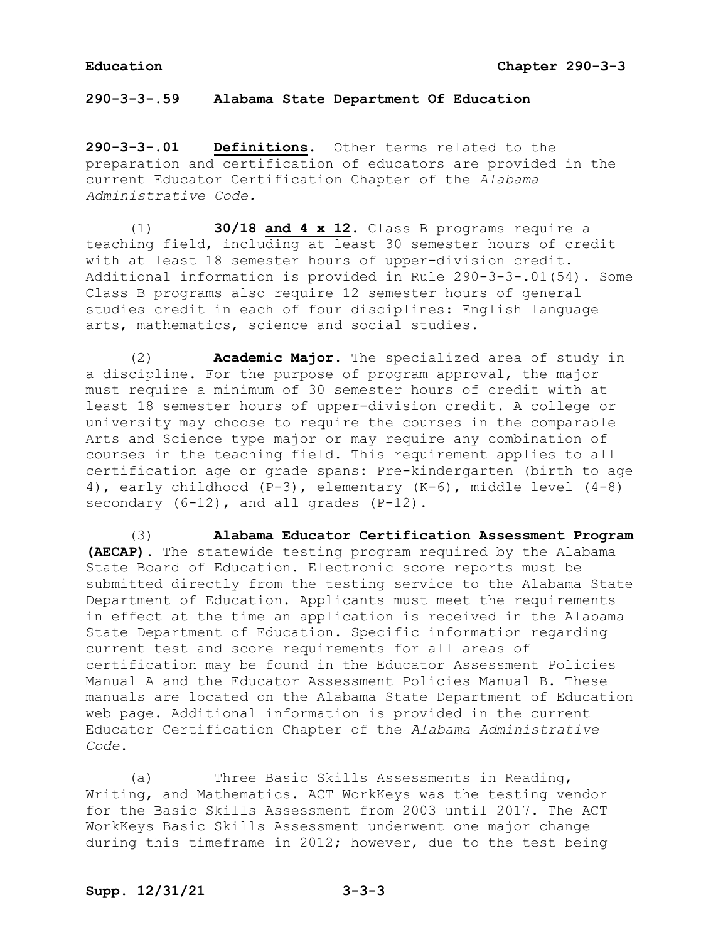**290-3-3-.59 Alabama State Department Of Education**

**290-3-3-.01 Definitions.** Other terms related to the preparation and certification of educators are provided in the current Educator Certification Chapter of the *Alabama Administrative Code.* 

(1) **30/18 and 4 x 12.** Class B programs require a teaching field, including at least 30 semester hours of credit with at least 18 semester hours of upper-division credit. Additional information is provided in Rule 290-3-3-.01(54). Some Class B programs also require 12 semester hours of general studies credit in each of four disciplines: English language arts, mathematics, science and social studies.

(2) **Academic Major.** The specialized area of study in a discipline. For the purpose of program approval, the major must require a minimum of 30 semester hours of credit with at least 18 semester hours of upper-division credit. A college or university may choose to require the courses in the comparable Arts and Science type major or may require any combination of courses in the teaching field. This requirement applies to all certification age or grade spans: Pre-kindergarten (birth to age 4), early childhood (P-3), elementary (K-6), middle level (4-8) secondary (6-12), and all grades (P-12).

(3) **Alabama Educator Certification Assessment Program (AECAP)**. The statewide testing program required by the Alabama State Board of Education. Electronic score reports must be submitted directly from the testing service to the Alabama State Department of Education. Applicants must meet the requirements in effect at the time an application is received in the Alabama State Department of Education. Specific information regarding current test and score requirements for all areas of certification may be found in the Educator Assessment Policies Manual A and the Educator Assessment Policies Manual B. These manuals are located on the Alabama State Department of Education web page. Additional information is provided in the current Educator Certification Chapter of the *Alabama Administrative Code*.

(a) Three Basic Skills Assessments in Reading, Writing, and Mathematics. ACT WorkKeys was the testing vendor for the Basic Skills Assessment from 2003 until 2017. The ACT WorkKeys Basic Skills Assessment underwent one major change during this timeframe in 2012; however, due to the test being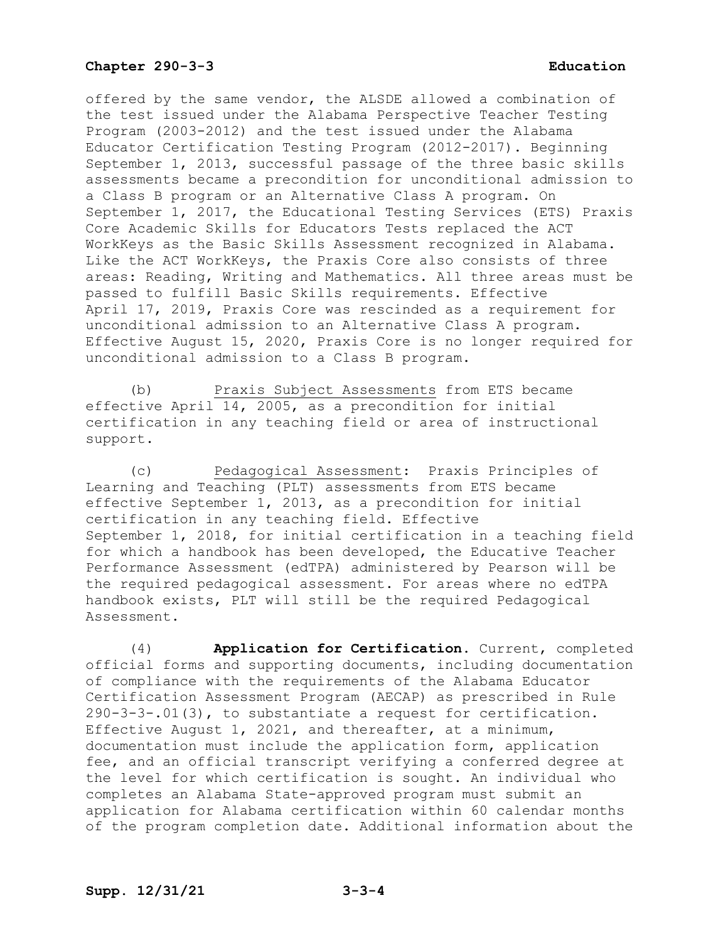offered by the same vendor, the ALSDE allowed a combination of the test issued under the Alabama Perspective Teacher Testing Program (2003-2012) and the test issued under the Alabama Educator Certification Testing Program (2012-2017). Beginning September 1, 2013, successful passage of the three basic skills assessments became a precondition for unconditional admission to a Class B program or an Alternative Class A program. On September 1, 2017, the Educational Testing Services (ETS) Praxis Core Academic Skills for Educators Tests replaced the ACT WorkKeys as the Basic Skills Assessment recognized in Alabama. Like the ACT WorkKeys, the Praxis Core also consists of three areas: Reading, Writing and Mathematics. All three areas must be passed to fulfill Basic Skills requirements. Effective April 17, 2019, Praxis Core was rescinded as a requirement for unconditional admission to an Alternative Class A program. Effective August 15, 2020, Praxis Core is no longer required for unconditional admission to a Class B program.

(b) Praxis Subject Assessments from ETS became effective April 14, 2005, as a precondition for initial certification in any teaching field or area of instructional support.

(c) Pedagogical Assessment: Praxis Principles of Learning and Teaching (PLT) assessments from ETS became effective September 1, 2013, as a precondition for initial certification in any teaching field. Effective September 1, 2018, for initial certification in a teaching field for which a handbook has been developed, the Educative Teacher Performance Assessment (edTPA) administered by Pearson will be the required pedagogical assessment. For areas where no edTPA handbook exists, PLT will still be the required Pedagogical Assessment.

(4) **Application for Certification.** Current, completed official forms and supporting documents, including documentation of compliance with the requirements of the Alabama Educator Certification Assessment Program (AECAP) as prescribed in Rule 290-3-3-.01(3), to substantiate a request for certification. Effective August 1, 2021, and thereafter, at a minimum, documentation must include the application form, application fee, and an official transcript verifying a conferred degree at the level for which certification is sought. An individual who completes an Alabama State-approved program must submit an application for Alabama certification within 60 calendar months of the program completion date. Additional information about the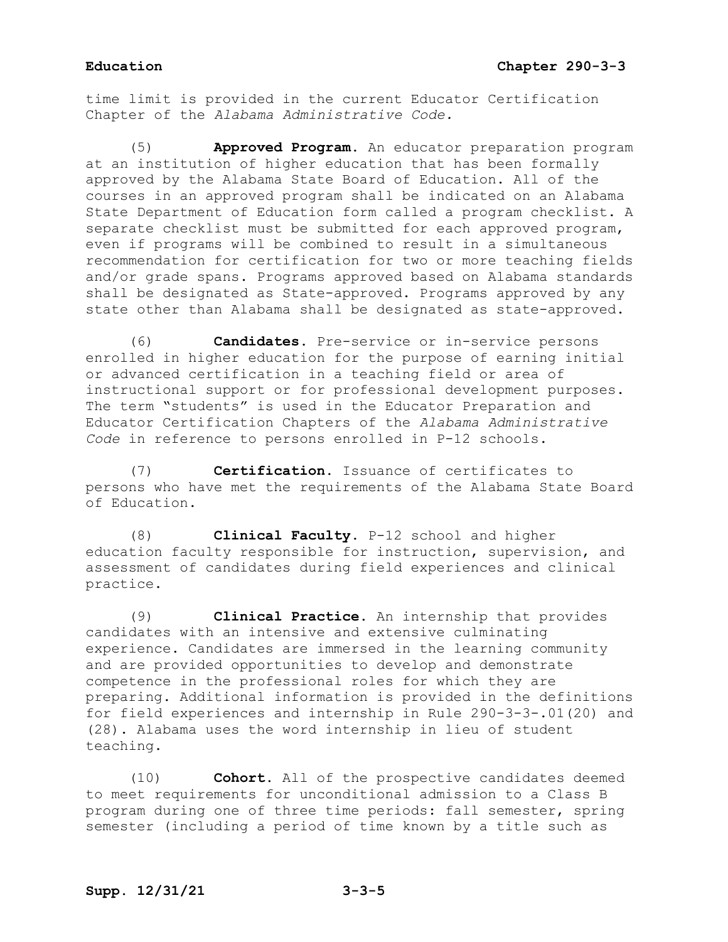time limit is provided in the current Educator Certification Chapter of the *Alabama Administrative Code.*

Approved Program. An educator preparation program at an institution of higher education that has been formally approved by the Alabama State Board of Education. All of the courses in an approved program shall be indicated on an Alabama State Department of Education form called a program checklist. A separate checklist must be submitted for each approved program, even if programs will be combined to result in a simultaneous recommendation for certification for two or more teaching fields and/or grade spans. Programs approved based on Alabama standards shall be designated as State-approved. Programs approved by any state other than Alabama shall be designated as state-approved.

(6) **Candidates.** Pre-service or in-service persons enrolled in higher education for the purpose of earning initial or advanced certification in a teaching field or area of instructional support or for professional development purposes. The term "students" is used in the Educator Preparation and Educator Certification Chapters of the *Alabama Administrative Code* in reference to persons enrolled in P-12 schools.

(7) **Certification.** Issuance of certificates to persons who have met the requirements of the Alabama State Board of Education.

(8) **Clinical Faculty.** P-12 school and higher education faculty responsible for instruction, supervision, and assessment of candidates during field experiences and clinical practice.

(9) **Clinical Practice.** An internship that provides candidates with an intensive and extensive culminating experience. Candidates are immersed in the learning community and are provided opportunities to develop and demonstrate competence in the professional roles for which they are preparing. Additional information is provided in the definitions for field experiences and internship in Rule 290-3-3-.01(20) and (28). Alabama uses the word internship in lieu of student teaching.

(10) **Cohort.** All of the prospective candidates deemed to meet requirements for unconditional admission to a Class B program during one of three time periods: fall semester, spring semester (including a period of time known by a title such as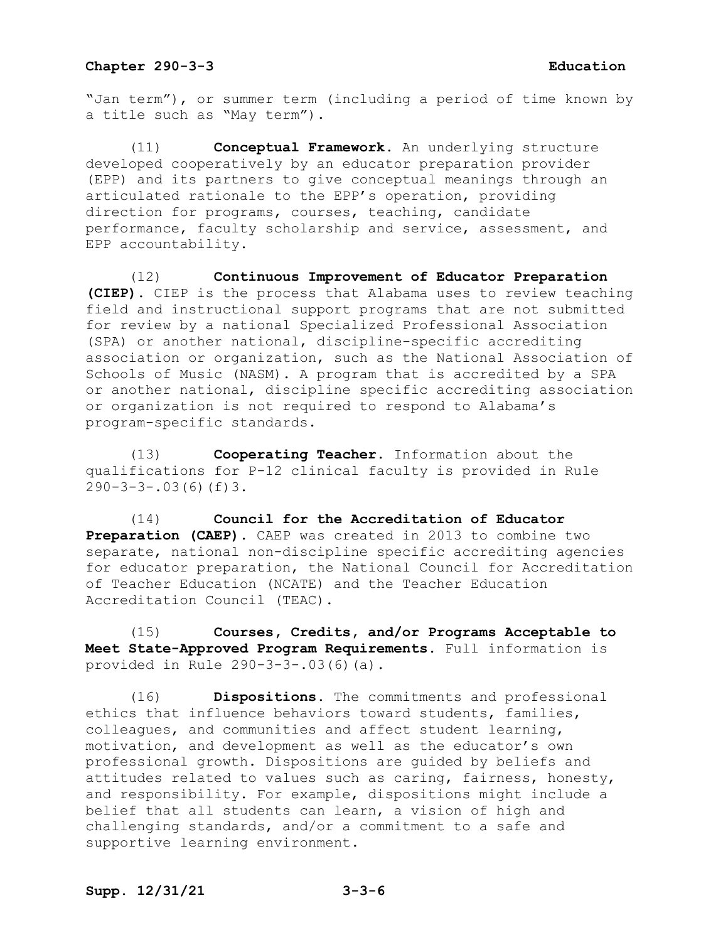"Jan term"), or summer term (including a period of time known by a title such as "May term").

(11) **Conceptual Framework.** An underlying structure developed cooperatively by an educator preparation provider (EPP) and its partners to give conceptual meanings through an articulated rationale to the EPP's operation, providing direction for programs, courses, teaching, candidate performance, faculty scholarship and service, assessment, and EPP accountability.

(12) **Continuous Improvement of Educator Preparation (CIEP).** CIEP is the process that Alabama uses to review teaching field and instructional support programs that are not submitted for review by a national Specialized Professional Association (SPA) or another national, discipline-specific accrediting association or organization, such as the National Association of Schools of Music (NASM). A program that is accredited by a SPA or another national, discipline specific accrediting association or organization is not required to respond to Alabama's program-specific standards.

(13) **Cooperating Teacher.** Information about the qualifications for P-12 clinical faculty is provided in Rule  $290-3-3-.03(6)(f)3.$ 

(14) **Council for the Accreditation of Educator Preparation (CAEP).** CAEP was created in 2013 to combine two separate, national non-discipline specific accrediting agencies for educator preparation, the National Council for Accreditation of Teacher Education (NCATE) and the Teacher Education Accreditation Council (TEAC).

(15) **Courses, Credits, and/or Programs Acceptable to Meet State-Approved Program Requirements.** Full information is provided in Rule 290-3-3-.03(6)(a).

(16) **Dispositions.** The commitments and professional ethics that influence behaviors toward students, families, colleagues, and communities and affect student learning, motivation, and development as well as the educator's own professional growth. Dispositions are guided by beliefs and attitudes related to values such as caring, fairness, honesty, and responsibility. For example, dispositions might include a belief that all students can learn, a vision of high and challenging standards, and/or a commitment to a safe and supportive learning environment.

# **Supp. 12/31/21 3-3-6**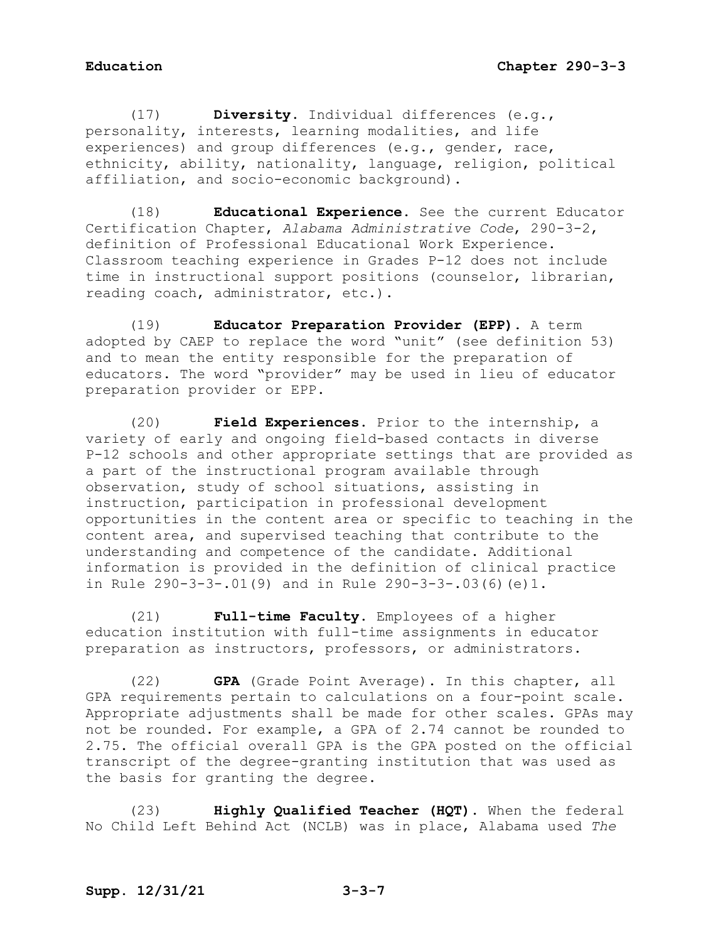(17) **Diversity.** Individual differences (e.g., personality, interests, learning modalities, and life experiences) and group differences (e.g., gender, race, ethnicity, ability, nationality, language, religion, political affiliation, and socio-economic background).

(18) **Educational Experience.** See the current Educator Certification Chapter, *Alabama Administrative Code*, 290-3-2, definition of Professional Educational Work Experience. Classroom teaching experience in Grades P-12 does not include time in instructional support positions (counselor, librarian, reading coach, administrator, etc.).

(19) **Educator Preparation Provider (EPP).** A term adopted by CAEP to replace the word "unit" (see definition 53) and to mean the entity responsible for the preparation of educators. The word "provider" may be used in lieu of educator preparation provider or EPP.

(20) **Field Experiences.** Prior to the internship, a variety of early and ongoing field-based contacts in diverse P-12 schools and other appropriate settings that are provided as a part of the instructional program available through observation, study of school situations, assisting in instruction, participation in professional development opportunities in the content area or specific to teaching in the content area, and supervised teaching that contribute to the understanding and competence of the candidate. Additional information is provided in the definition of clinical practice in Rule 290-3-3-.01(9) and in Rule 290-3-3-.03(6)(e)1.

(21) **Full-time Faculty.** Employees of a higher education institution with full-time assignments in educator preparation as instructors, professors, or administrators.

(22) **GPA** (Grade Point Average). In this chapter, all GPA requirements pertain to calculations on a four-point scale. Appropriate adjustments shall be made for other scales. GPAs may not be rounded. For example, a GPA of 2.74 cannot be rounded to 2.75. The official overall GPA is the GPA posted on the official transcript of the degree-granting institution that was used as the basis for granting the degree.

(23) **Highly Qualified Teacher (HQT).** When the federal No Child Left Behind Act (NCLB) was in place, Alabama used *The*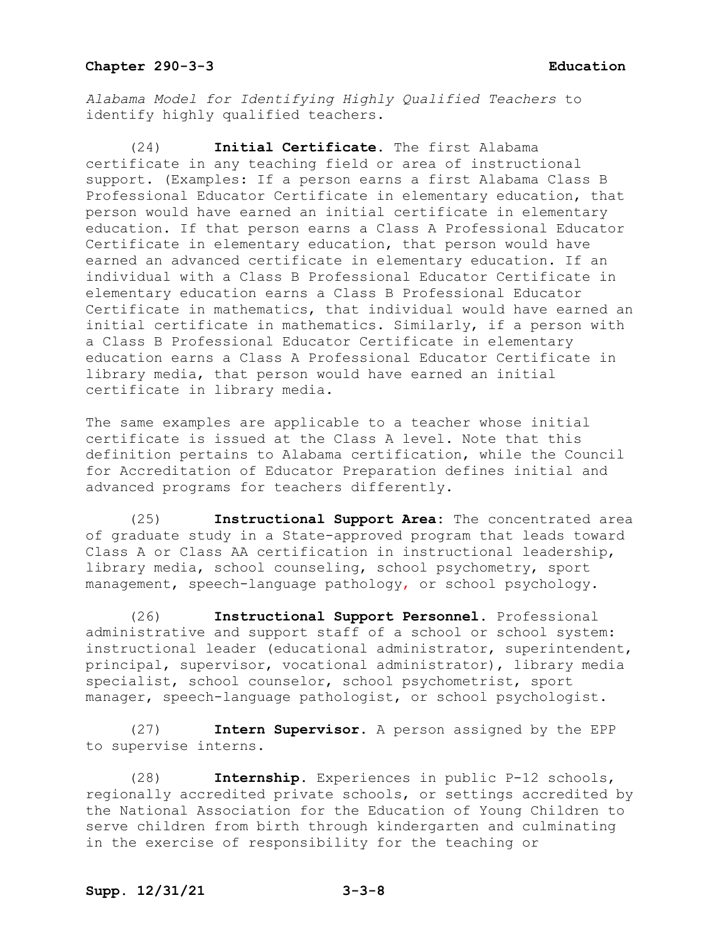*Alabama Model for Identifying Highly Qualified Teachers* to identify highly qualified teachers.

(24) **Initial Certificate.** The first Alabama certificate in any teaching field or area of instructional support. (Examples: If a person earns a first Alabama Class B Professional Educator Certificate in elementary education, that person would have earned an initial certificate in elementary education. If that person earns a Class A Professional Educator Certificate in elementary education, that person would have earned an advanced certificate in elementary education. If an individual with a Class B Professional Educator Certificate in elementary education earns a Class B Professional Educator Certificate in mathematics, that individual would have earned an initial certificate in mathematics. Similarly, if a person with a Class B Professional Educator Certificate in elementary education earns a Class A Professional Educator Certificate in library media, that person would have earned an initial certificate in library media.

The same examples are applicable to a teacher whose initial certificate is issued at the Class A level. Note that this definition pertains to Alabama certification, while the Council for Accreditation of Educator Preparation defines initial and advanced programs for teachers differently.

(25) **Instructional Support Area:** The concentrated area of graduate study in a State-approved program that leads toward Class A or Class AA certification in instructional leadership, library media, school counseling, school psychometry, sport management, speech-language pathology, or school psychology.

(26) **Instructional Support Personnel.** Professional administrative and support staff of a school or school system: instructional leader (educational administrator, superintendent, principal, supervisor, vocational administrator), library media specialist, school counselor, school psychometrist, sport manager, speech-language pathologist, or school psychologist.

(27) **Intern Supervisor.** A person assigned by the EPP to supervise interns.

(28) **Internship.** Experiences in public P-12 schools, regionally accredited private schools, or settings accredited by the National Association for the Education of Young Children to serve children from birth through kindergarten and culminating in the exercise of responsibility for the teaching or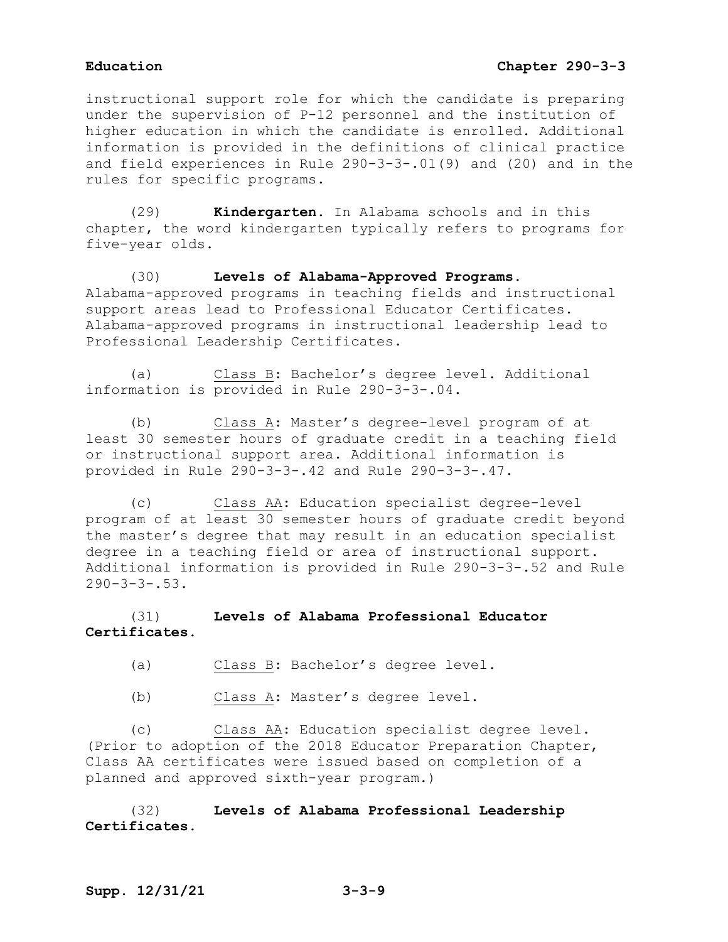instructional support role for which the candidate is preparing under the supervision of P-12 personnel and the institution of higher education in which the candidate is enrolled. Additional information is provided in the definitions of clinical practice and field experiences in Rule 290-3-3-.01(9) and (20) and in the rules for specific programs.

(29) **Kindergarten.** In Alabama schools and in this chapter, the word kindergarten typically refers to programs for five-year olds.

(30) **Levels of Alabama-Approved Programs.** Alabama-approved programs in teaching fields and instructional support areas lead to Professional Educator Certificates. Alabama-approved programs in instructional leadership lead to Professional Leadership Certificates.

(a) Class B: Bachelor's degree level. Additional information is provided in Rule 290-3-3-.04.

(b) Class A: Master's degree-level program of at least 30 semester hours of graduate credit in a teaching field or instructional support area. Additional information is provided in Rule 290-3-3-.42 and Rule 290-3-3-.47.

(c) Class AA: Education specialist degree-level program of at least 30 semester hours of graduate credit beyond the master's degree that may result in an education specialist degree in a teaching field or area of instructional support. Additional information is provided in Rule 290-3-3-.52 and Rule  $290 - 3 - 3 - 3.53$ .

# (31) **Levels of Alabama Professional Educator Certificates.**

- (a) Class B: Bachelor's degree level.
- (b) Class A: Master's degree level.

(c) Class AA: Education specialist degree level. (Prior to adoption of the 2018 Educator Preparation Chapter, Class AA certificates were issued based on completion of a planned and approved sixth-year program.)

(32) **Levels of Alabama Professional Leadership Certificates.**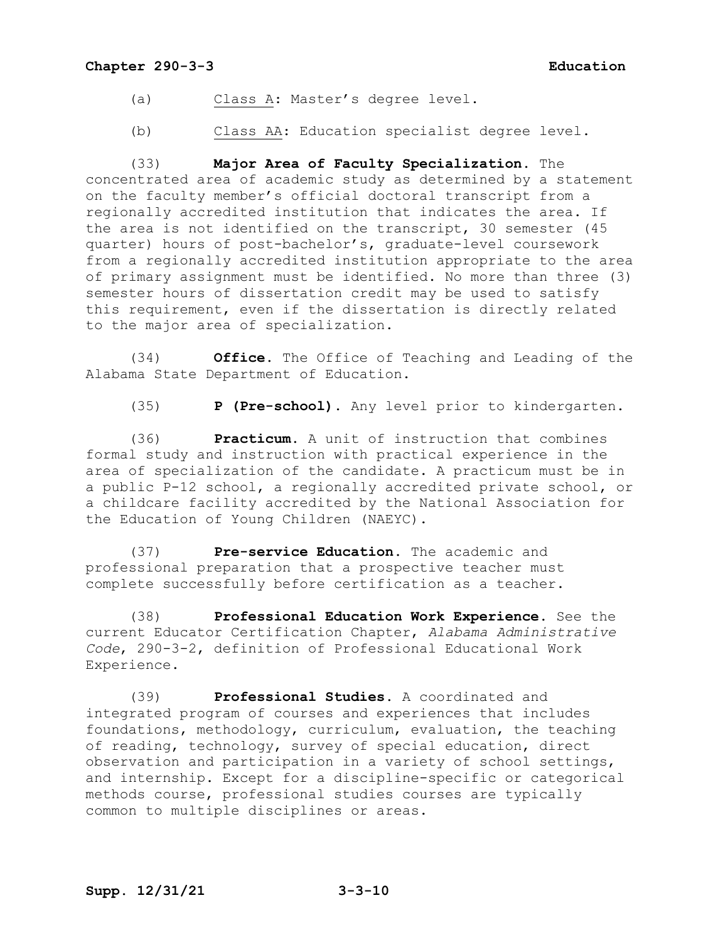- (a) Class A: Master's degree level.
- (b) Class AA: Education specialist degree level.

(33) **Major Area of Faculty Specialization.** The concentrated area of academic study as determined by a statement on the faculty member's official doctoral transcript from a regionally accredited institution that indicates the area. If the area is not identified on the transcript, 30 semester (45 quarter) hours of post-bachelor's, graduate-level coursework from a regionally accredited institution appropriate to the area of primary assignment must be identified. No more than three (3) semester hours of dissertation credit may be used to satisfy this requirement, even if the dissertation is directly related to the major area of specialization.

(34) **Office.** The Office of Teaching and Leading of the Alabama State Department of Education.

(35) **P (Pre-school).** Any level prior to kindergarten.

(36) **Practicum.** A unit of instruction that combines formal study and instruction with practical experience in the area of specialization of the candidate. A practicum must be in a public P-12 school, a regionally accredited private school, or a childcare facility accredited by the National Association for the Education of Young Children (NAEYC).

(37) **Pre-service Education.** The academic and professional preparation that a prospective teacher must complete successfully before certification as a teacher.

(38) **Professional Education Work Experience.** See the current Educator Certification Chapter, *Alabama Administrative Code*, 290-3-2, definition of Professional Educational Work Experience.

(39) **Professional Studies.** A coordinated and integrated program of courses and experiences that includes foundations, methodology, curriculum, evaluation, the teaching of reading, technology, survey of special education, direct observation and participation in a variety of school settings, and internship. Except for a discipline-specific or categorical methods course, professional studies courses are typically common to multiple disciplines or areas.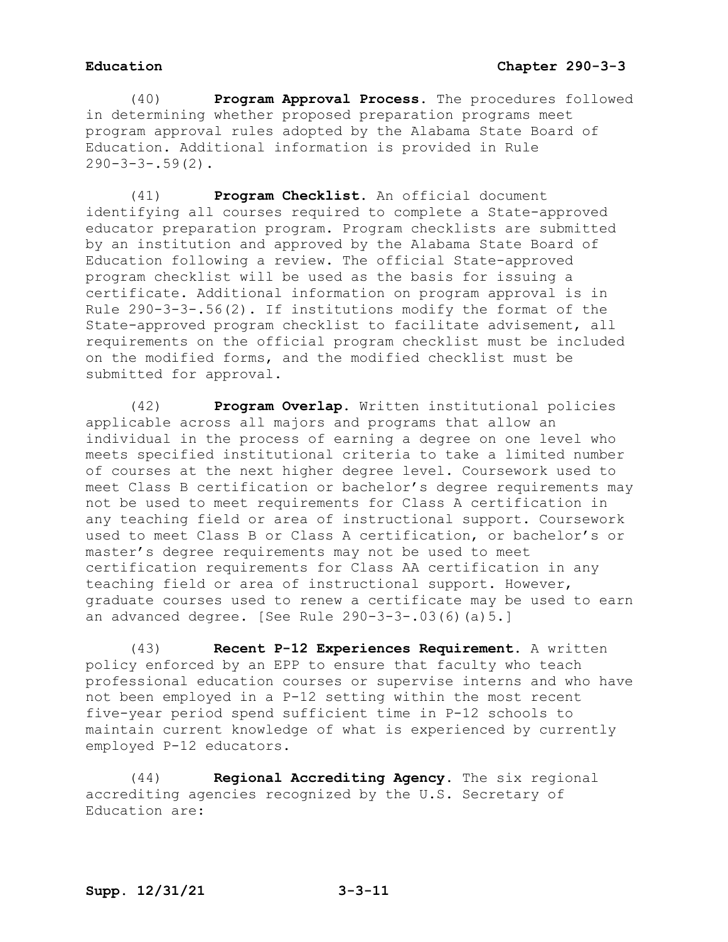(40) **Program Approval Process.** The procedures followed in determining whether proposed preparation programs meet program approval rules adopted by the Alabama State Board of Education. Additional information is provided in Rule  $290-3-3-.59(2)$ .

(41) **Program Checklist.** An official document identifying all courses required to complete a State-approved educator preparation program. Program checklists are submitted by an institution and approved by the Alabama State Board of Education following a review. The official State-approved program checklist will be used as the basis for issuing a certificate. Additional information on program approval is in Rule 290-3-3-.56(2). If institutions modify the format of the State-approved program checklist to facilitate advisement, all requirements on the official program checklist must be included on the modified forms, and the modified checklist must be submitted for approval.

(42) **Program Overlap.** Written institutional policies applicable across all majors and programs that allow an individual in the process of earning a degree on one level who meets specified institutional criteria to take a limited number of courses at the next higher degree level. Coursework used to meet Class B certification or bachelor's degree requirements may not be used to meet requirements for Class A certification in any teaching field or area of instructional support. Coursework used to meet Class B or Class A certification, or bachelor's or master's degree requirements may not be used to meet certification requirements for Class AA certification in any teaching field or area of instructional support. However, graduate courses used to renew a certificate may be used to earn an advanced degree. [See Rule 290-3-3-.03(6)(a)5.]

(43) **Recent P-12 Experiences Requirement.** A written policy enforced by an EPP to ensure that faculty who teach professional education courses or supervise interns and who have not been employed in a P-12 setting within the most recent five-year period spend sufficient time in P-12 schools to maintain current knowledge of what is experienced by currently employed P-12 educators.

(44) **Regional Accrediting Agency.** The six regional accrediting agencies recognized by the U.S. Secretary of Education are: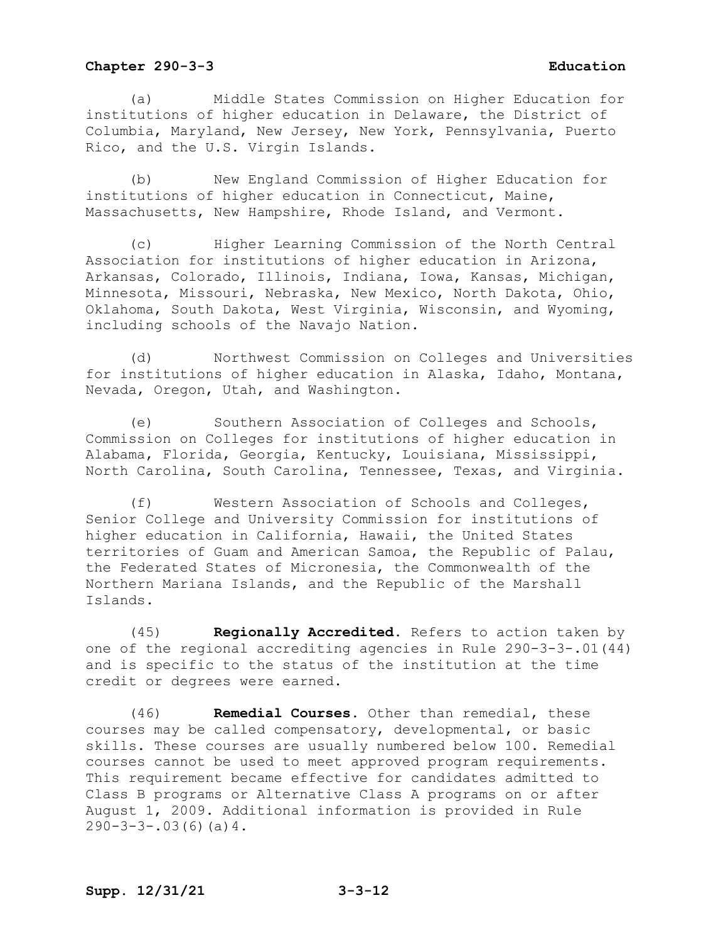(a) Middle States Commission on Higher Education for institutions of higher education in Delaware, the District of Columbia, Maryland, New Jersey, New York, Pennsylvania, Puerto Rico, and the U.S. Virgin Islands.

(b) New England Commission of Higher Education for institutions of higher education in Connecticut, Maine, Massachusetts, New Hampshire, Rhode Island, and Vermont.

(c) Higher Learning Commission of the North Central Association for institutions of higher education in Arizona, Arkansas, Colorado, Illinois, Indiana, Iowa, Kansas, Michigan, Minnesota, Missouri, Nebraska, New Mexico, North Dakota, Ohio, Oklahoma, South Dakota, West Virginia, Wisconsin, and Wyoming, including schools of the Navajo Nation.

(d) Northwest Commission on Colleges and Universities for institutions of higher education in Alaska, Idaho, Montana, Nevada, Oregon, Utah, and Washington.

(e) Southern Association of Colleges and Schools, Commission on Colleges for institutions of higher education in Alabama, Florida, Georgia, Kentucky, Louisiana, Mississippi, North Carolina, South Carolina, Tennessee, Texas, and Virginia.

(f) Western Association of Schools and Colleges, Senior College and University Commission for institutions of higher education in California, Hawaii, the United States territories of Guam and American Samoa, the Republic of Palau, the Federated States of Micronesia, the Commonwealth of the Northern Mariana Islands, and the Republic of the Marshall Islands.

(45) **Regionally Accredited.** Refers to action taken by one of the regional accrediting agencies in Rule 290-3-3-.01(44) and is specific to the status of the institution at the time credit or degrees were earned.

(46) **Remedial Courses.** Other than remedial, these courses may be called compensatory, developmental, or basic skills. These courses are usually numbered below 100. Remedial courses cannot be used to meet approved program requirements. This requirement became effective for candidates admitted to Class B programs or Alternative Class A programs on or after August 1, 2009. Additional information is provided in Rule  $290-3-3-.03(6)(a)4.$ 

# **Supp. 12/31/21 3-3-12**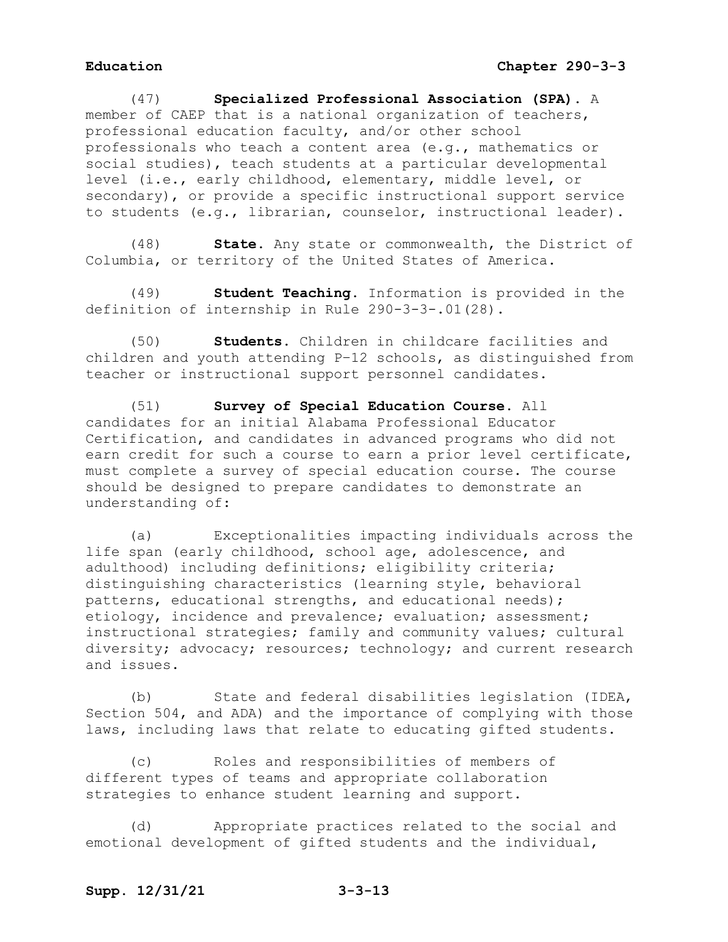(47) **Specialized Professional Association (SPA).** A member of CAEP that is a national organization of teachers, professional education faculty, and/or other school professionals who teach a content area (e.g., mathematics or social studies), teach students at a particular developmental level (i.e., early childhood, elementary, middle level, or secondary), or provide a specific instructional support service to students (e.g., librarian, counselor, instructional leader).

(48) **State.** Any state or commonwealth, the District of Columbia, or territory of the United States of America.

(49) **Student Teaching.** Information is provided in the definition of internship in Rule 290-3-3-.01(28).

(50) **Students.** Children in childcare facilities and children and youth attending P–12 schools, as distinguished from teacher or instructional support personnel candidates.

(51) **Survey of Special Education Course.** All candidates for an initial Alabama Professional Educator Certification, and candidates in advanced programs who did not earn credit for such a course to earn a prior level certificate, must complete a survey of special education course. The course should be designed to prepare candidates to demonstrate an understanding of:

(a) Exceptionalities impacting individuals across the life span (early childhood, school age, adolescence, and adulthood) including definitions; eligibility criteria; distinguishing characteristics (learning style, behavioral patterns, educational strengths, and educational needs); etiology, incidence and prevalence; evaluation; assessment; instructional strategies; family and community values; cultural diversity; advocacy; resources; technology; and current research and issues.

(b) State and federal disabilities legislation (IDEA, Section 504, and ADA) and the importance of complying with those laws, including laws that relate to educating gifted students.

(c) Roles and responsibilities of members of different types of teams and appropriate collaboration strategies to enhance student learning and support.

(d) Appropriate practices related to the social and emotional development of gifted students and the individual,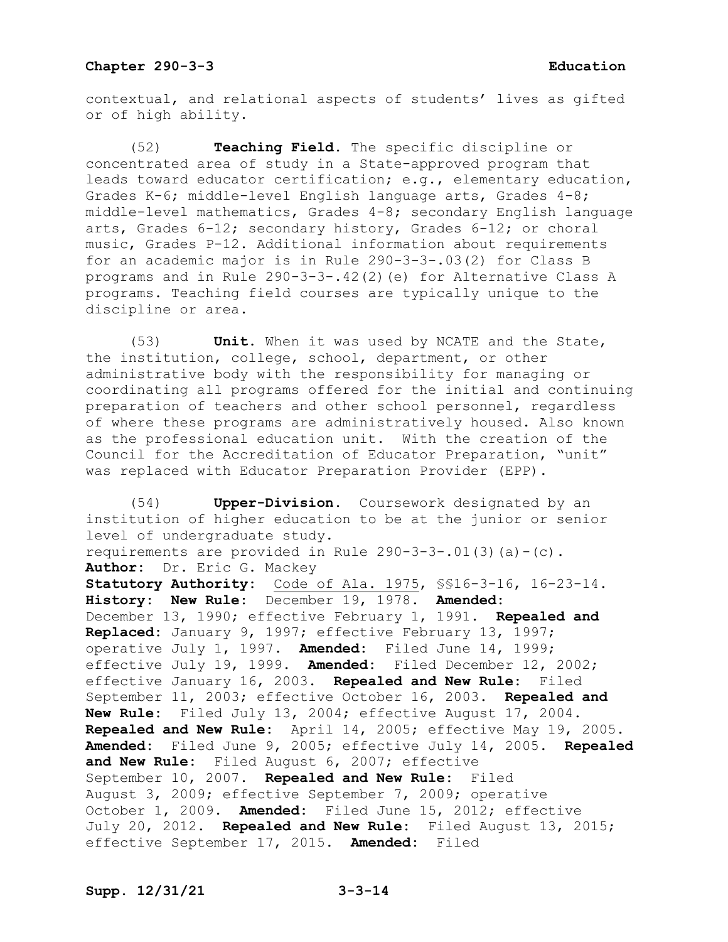contextual, and relational aspects of students' lives as gifted or of high ability.

(52) **Teaching Field.** The specific discipline or concentrated area of study in a State-approved program that leads toward educator certification; e.g., elementary education, Grades K-6; middle-level English language arts, Grades 4-8; middle-level mathematics, Grades 4-8; secondary English language arts, Grades 6-12; secondary history, Grades 6-12; or choral music, Grades P-12. Additional information about requirements for an academic major is in Rule 290-3-3-.03(2) for Class B programs and in Rule 290-3-3-.42(2)(e) for Alternative Class A programs. Teaching field courses are typically unique to the discipline or area.

(53) **Unit.** When it was used by NCATE and the State, the institution, college, school, department, or other administrative body with the responsibility for managing or coordinating all programs offered for the initial and continuing preparation of teachers and other school personnel, regardless of where these programs are administratively housed. Also known as the professional education unit. With the creation of the Council for the Accreditation of Educator Preparation, "unit" was replaced with Educator Preparation Provider (EPP).

(54) **Upper-Division.** Coursework designated by an institution of higher education to be at the junior or senior level of undergraduate study. requirements are provided in Rule  $290-3-3-.01(3)(a)-(c)$ . **Author:** Dr. Eric G. Mackey **Statutory Authority:** Code of Ala. 1975, §§16-3-16, 16-23-14. **History: New Rule:** December 19, 1978. **Amended:** December 13, 1990; effective February 1, 1991. **Repealed and Replaced:** January 9, 1997; effective February 13, 1997; operative July 1, 1997. **Amended:** Filed June 14, 1999; effective July 19, 1999. **Amended:** Filed December 12, 2002; effective January 16, 2003. **Repealed and New Rule:** Filed September 11, 2003; effective October 16, 2003. **Repealed and New Rule:** Filed July 13, 2004; effective August 17, 2004. **Repealed and New Rule:** April 14, 2005; effective May 19, 2005. **Amended:** Filed June 9, 2005; effective July 14, 2005. **Repealed and New Rule:** Filed August 6, 2007; effective September 10, 2007. **Repealed and New Rule:** Filed August 3, 2009; effective September 7, 2009; operative October 1, 2009. **Amended:** Filed June 15, 2012; effective July 20, 2012. **Repealed and New Rule:** Filed August 13, 2015; effective September 17, 2015. **Amended:** Filed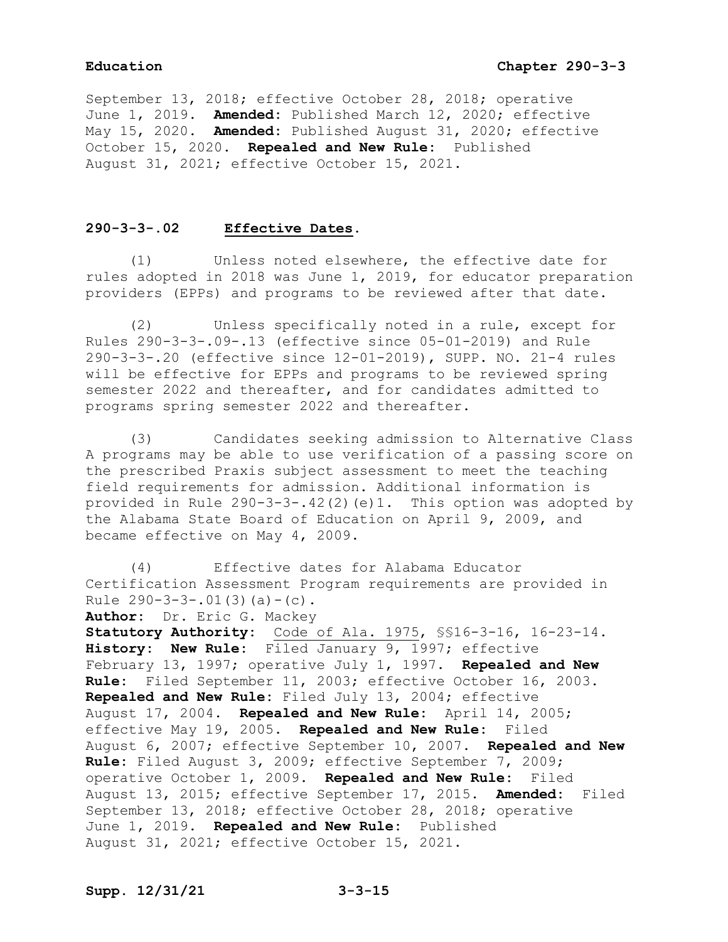September 13, 2018; effective October 28, 2018; operative June 1, 2019. **Amended:** Published March 12, 2020; effective May 15, 2020. **Amended:** Published August 31, 2020; effective October 15, 2020. **Repealed and New Rule:** Published August 31, 2021; effective October 15, 2021.

## **290-3-3-.02 Effective Dates.**

(1) Unless noted elsewhere, the effective date for rules adopted in 2018 was June 1, 2019, for educator preparation providers (EPPs) and programs to be reviewed after that date.

(2) Unless specifically noted in a rule, except for Rules 290-3-3-.09-.13 (effective since 05-01-2019) and Rule 290-3-3-.20 (effective since 12-01-2019), SUPP. NO. 21-4 rules will be effective for EPPs and programs to be reviewed spring semester 2022 and thereafter, and for candidates admitted to programs spring semester 2022 and thereafter.

(3) Candidates seeking admission to Alternative Class A programs may be able to use verification of a passing score on the prescribed Praxis subject assessment to meet the teaching field requirements for admission. Additional information is provided in Rule 290-3-3-.42(2)(e)1. This option was adopted by the Alabama State Board of Education on April 9, 2009, and became effective on May 4, 2009.

(4) Effective dates for Alabama Educator Certification Assessment Program requirements are provided in Rule  $290-3-3-.01(3)(a)-(c)$ .

**Author:** Dr. Eric G. Mackey **Statutory Authority:** Code of Ala. 1975, §§16-3-16, 16-23-14. **History: New Rule:** Filed January 9, 1997; effective February 13, 1997; operative July 1, 1997. **Repealed and New Rule:** Filed September 11, 2003; effective October 16, 2003. **Repealed and New Rule:** Filed July 13, 2004; effective August 17, 2004. **Repealed and New Rule:** April 14, 2005; effective May 19, 2005. **Repealed and New Rule:** Filed August 6, 2007; effective September 10, 2007. **Repealed and New Rule:** Filed August 3, 2009; effective September 7, 2009; operative October 1, 2009. **Repealed and New Rule:** Filed August 13, 2015; effective September 17, 2015. **Amended:** Filed September 13, 2018; effective October 28, 2018; operative June 1, 2019. **Repealed and New Rule:** Published August 31, 2021; effective October 15, 2021.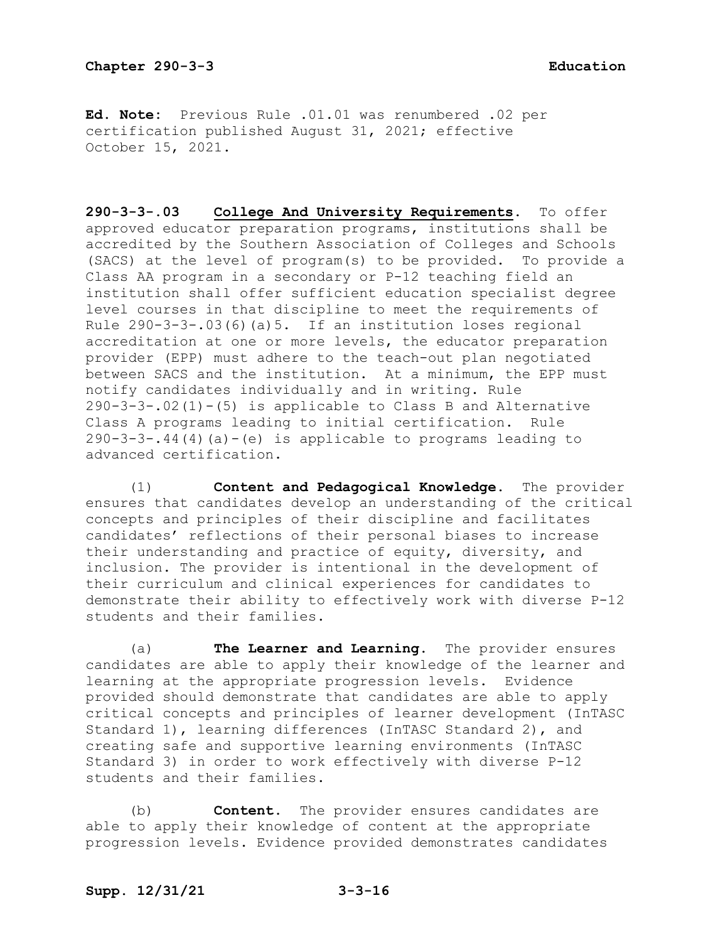**Ed. Note:** Previous Rule .01.01 was renumbered .02 per certification published August 31, 2021; effective October 15, 2021.

**290-3-3-.03 College And University Requirements.** To offer approved educator preparation programs, institutions shall be accredited by the Southern Association of Colleges and Schools (SACS) at the level of program(s) to be provided. To provide a Class AA program in a secondary or P-12 teaching field an institution shall offer sufficient education specialist degree level courses in that discipline to meet the requirements of Rule  $290-3-3-03(6)(a)5$ . If an institution loses regional accreditation at one or more levels, the educator preparation provider (EPP) must adhere to the teach-out plan negotiated between SACS and the institution. At a minimum, the EPP must notify candidates individually and in writing. Rule 290-3-3-.02(1)-(5) is applicable to Class B and Alternative Class A programs leading to initial certification. Rule  $290-3-3-14(4)(a)-(e)$  is applicable to programs leading to advanced certification.

(1) **Content and Pedagogical Knowledge.** The provider ensures that candidates develop an understanding of the critical concepts and principles of their discipline and facilitates candidates' reflections of their personal biases to increase their understanding and practice of equity, diversity, and inclusion. The provider is intentional in the development of their curriculum and clinical experiences for candidates to demonstrate their ability to effectively work with diverse P-12 students and their families.

(a) **The Learner and Learning.** The provider ensures candidates are able to apply their knowledge of the learner and learning at the appropriate progression levels. Evidence provided should demonstrate that candidates are able to apply critical concepts and principles of learner development (InTASC Standard 1), learning differences (InTASC Standard 2), and creating safe and supportive learning environments (InTASC Standard 3) in order to work effectively with diverse P-12 students and their families.

(b) **Content.** The provider ensures candidates are able to apply their knowledge of content at the appropriate progression levels. Evidence provided demonstrates candidates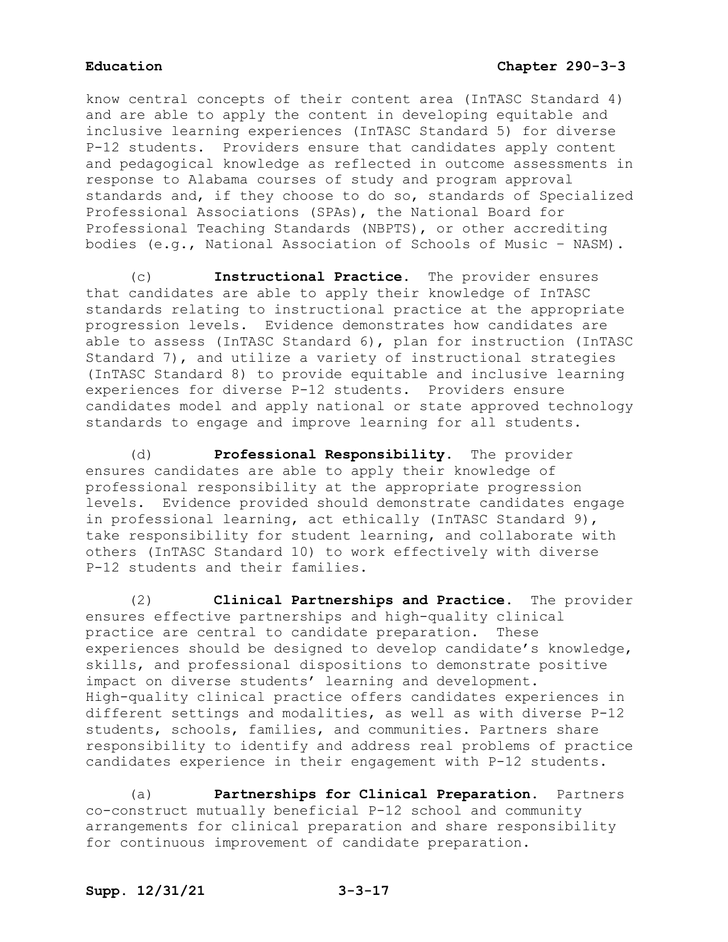know central concepts of their content area (InTASC Standard 4) and are able to apply the content in developing equitable and inclusive learning experiences (InTASC Standard 5) for diverse P-12 students. Providers ensure that candidates apply content and pedagogical knowledge as reflected in outcome assessments in response to Alabama courses of study and program approval standards and, if they choose to do so, standards of Specialized Professional Associations (SPAs), the National Board for Professional Teaching Standards (NBPTS), or other accrediting bodies (e.g., National Association of Schools of Music – NASM).

(c) **Instructional Practice.** The provider ensures that candidates are able to apply their knowledge of InTASC standards relating to instructional practice at the appropriate progression levels. Evidence demonstrates how candidates are able to assess (InTASC Standard 6), plan for instruction (InTASC Standard 7), and utilize a variety of instructional strategies (InTASC Standard 8) to provide equitable and inclusive learning experiences for diverse P-12 students. Providers ensure candidates model and apply national or state approved technology standards to engage and improve learning for all students.

(d) **Professional Responsibility.** The provider ensures candidates are able to apply their knowledge of professional responsibility at the appropriate progression levels. Evidence provided should demonstrate candidates engage in professional learning, act ethically (InTASC Standard 9), take responsibility for student learning, and collaborate with others (InTASC Standard 10) to work effectively with diverse P-12 students and their families.

(2) **Clinical Partnerships and Practice.** The provider ensures effective partnerships and high-quality clinical practice are central to candidate preparation. These experiences should be designed to develop candidate's knowledge, skills, and professional dispositions to demonstrate positive impact on diverse students' learning and development. High-quality clinical practice offers candidates experiences in different settings and modalities, as well as with diverse P-12 students, schools, families, and communities. Partners share responsibility to identify and address real problems of practice candidates experience in their engagement with P-12 students.

(a) **Partnerships for Clinical Preparation.** Partners co-construct mutually beneficial P-12 school and community arrangements for clinical preparation and share responsibility for continuous improvement of candidate preparation.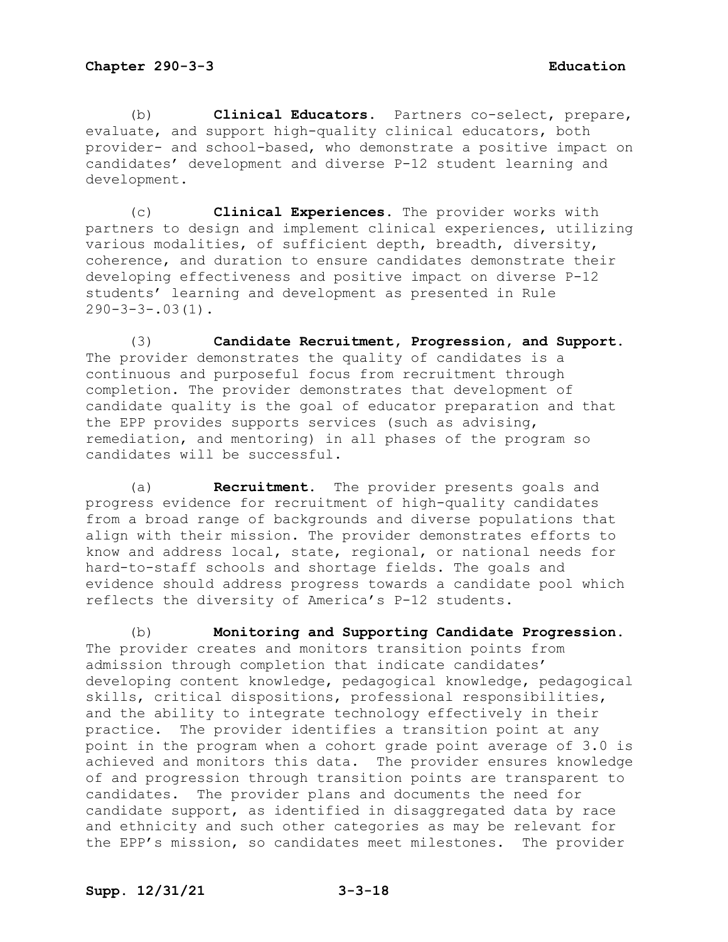(b) **Clinical Educators.** Partners co-select, prepare, evaluate, and support high-quality clinical educators, both provider- and school-based, who demonstrate a positive impact on candidates' development and diverse P-12 student learning and development.

(c) **Clinical Experiences.** The provider works with partners to design and implement clinical experiences, utilizing various modalities, of sufficient depth, breadth, diversity, coherence, and duration to ensure candidates demonstrate their developing effectiveness and positive impact on diverse P-12 students' learning and development as presented in Rule  $290-3-3-.03(1)$ .

(3) **Candidate Recruitment, Progression, and Support.** The provider demonstrates the quality of candidates is a continuous and purposeful focus from recruitment through completion. The provider demonstrates that development of candidate quality is the goal of educator preparation and that the EPP provides supports services (such as advising, remediation, and mentoring) in all phases of the program so candidates will be successful.

(a) **Recruitment.** The provider presents goals and progress evidence for recruitment of high-quality candidates from a broad range of backgrounds and diverse populations that align with their mission. The provider demonstrates efforts to know and address local, state, regional, or national needs for hard-to-staff schools and shortage fields. The goals and evidence should address progress towards a candidate pool which reflects the diversity of America's P-12 students.

(b) **Monitoring and Supporting Candidate Progression.** The provider creates and monitors transition points from admission through completion that indicate candidates' developing content knowledge, pedagogical knowledge, pedagogical skills, critical dispositions, professional responsibilities, and the ability to integrate technology effectively in their practice. The provider identifies a transition point at any point in the program when a cohort grade point average of 3.0 is achieved and monitors this data. The provider ensures knowledge of and progression through transition points are transparent to candidates. The provider plans and documents the need for candidate support, as identified in disaggregated data by race and ethnicity and such other categories as may be relevant for the EPP's mission, so candidates meet milestones. The provider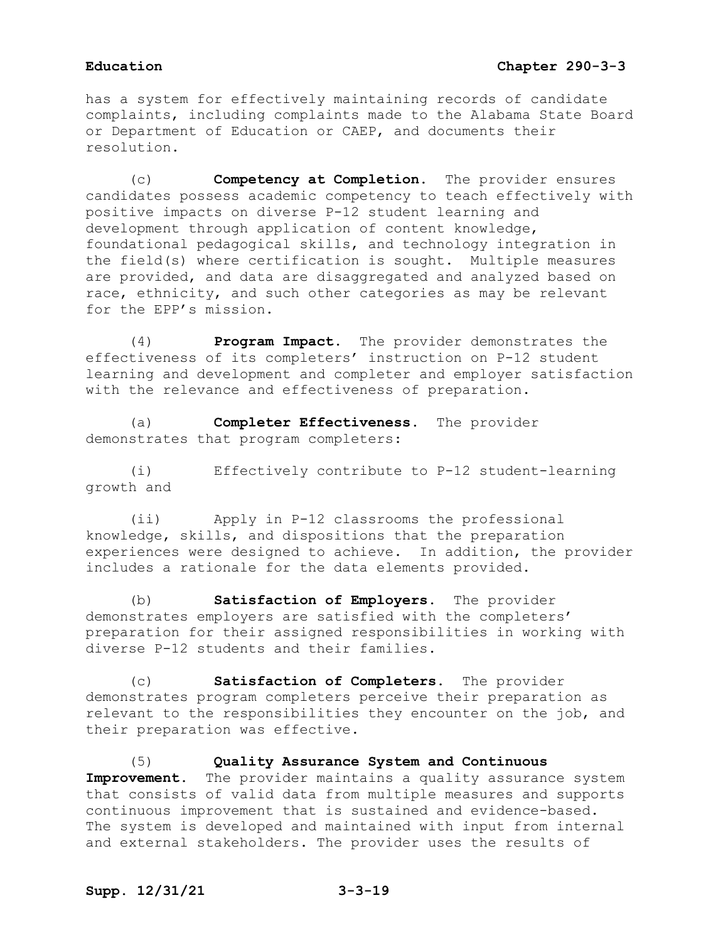has a system for effectively maintaining records of candidate complaints, including complaints made to the Alabama State Board or Department of Education or CAEP, and documents their resolution.

(c) **Competency at Completion.** The provider ensures candidates possess academic competency to teach effectively with positive impacts on diverse P-12 student learning and development through application of content knowledge, foundational pedagogical skills, and technology integration in the field(s) where certification is sought. Multiple measures are provided, and data are disaggregated and analyzed based on race, ethnicity, and such other categories as may be relevant for the EPP's mission.

(4) **Program Impact.** The provider demonstrates the effectiveness of its completers' instruction on P-12 student learning and development and completer and employer satisfaction with the relevance and effectiveness of preparation.

(a) **Completer Effectiveness.** The provider demonstrates that program completers:

(i) Effectively contribute to P-12 student-learning growth and

(ii) Apply in P-12 classrooms the professional knowledge, skills, and dispositions that the preparation experiences were designed to achieve. In addition, the provider includes a rationale for the data elements provided.

(b) **Satisfaction of Employers.** The provider demonstrates employers are satisfied with the completers' preparation for their assigned responsibilities in working with diverse P-12 students and their families.

(c) **Satisfaction of Completers.** The provider demonstrates program completers perceive their preparation as relevant to the responsibilities they encounter on the job, and their preparation was effective.

(5) **Quality Assurance System and Continuous**  Improvement. The provider maintains a quality assurance system that consists of valid data from multiple measures and supports continuous improvement that is sustained and evidence-based. The system is developed and maintained with input from internal and external stakeholders. The provider uses the results of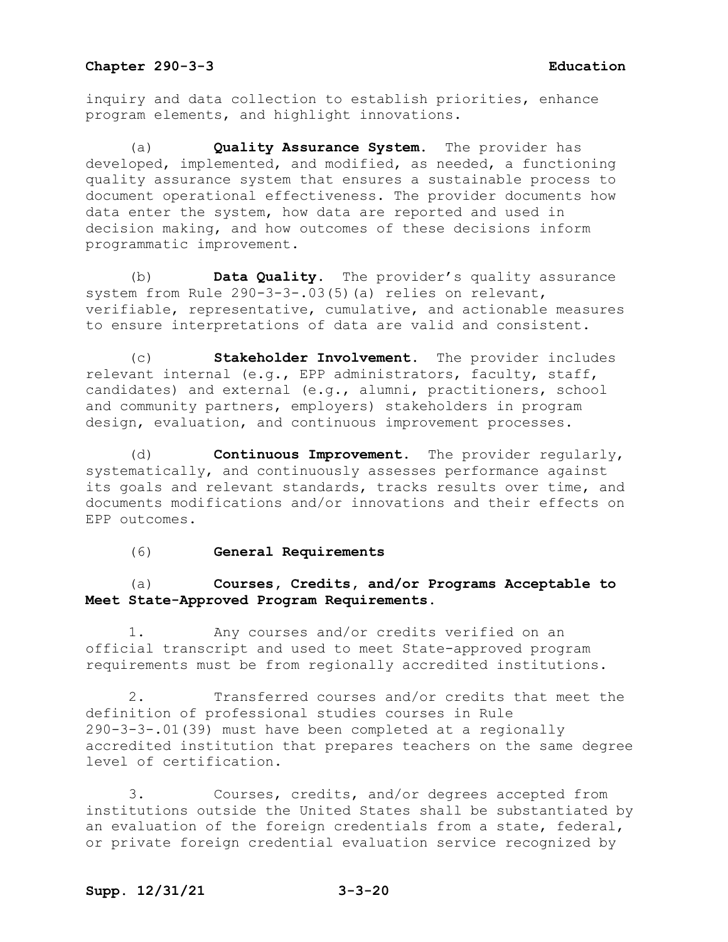inquiry and data collection to establish priorities, enhance program elements, and highlight innovations.

(a) **Quality Assurance System.** The provider has developed, implemented, and modified, as needed, a functioning quality assurance system that ensures a sustainable process to document operational effectiveness. The provider documents how data enter the system, how data are reported and used in decision making, and how outcomes of these decisions inform programmatic improvement.

(b) **Data Quality.** The provider's quality assurance system from Rule 290-3-3-.03(5)(a) relies on relevant, verifiable, representative, cumulative, and actionable measures to ensure interpretations of data are valid and consistent.

(c) **Stakeholder Involvement.** The provider includes relevant internal (e.g., EPP administrators, faculty, staff, candidates) and external (e.g., alumni, practitioners, school and community partners, employers) stakeholders in program design, evaluation, and continuous improvement processes.

(d) **Continuous Improvement.** The provider regularly, systematically, and continuously assesses performance against its goals and relevant standards, tracks results over time, and documents modifications and/or innovations and their effects on EPP outcomes.

### (6) **General Requirements**

# (a) **Courses, Credits, and/or Programs Acceptable to Meet State-Approved Program Requirements.**

1. Any courses and/or credits verified on an official transcript and used to meet State-approved program requirements must be from regionally accredited institutions.

2. Transferred courses and/or credits that meet the definition of professional studies courses in Rule 290-3-3-.01(39) must have been completed at a regionally accredited institution that prepares teachers on the same degree level of certification.

3. Courses, credits, and/or degrees accepted from institutions outside the United States shall be substantiated by an evaluation of the foreign credentials from a state, federal, or private foreign credential evaluation service recognized by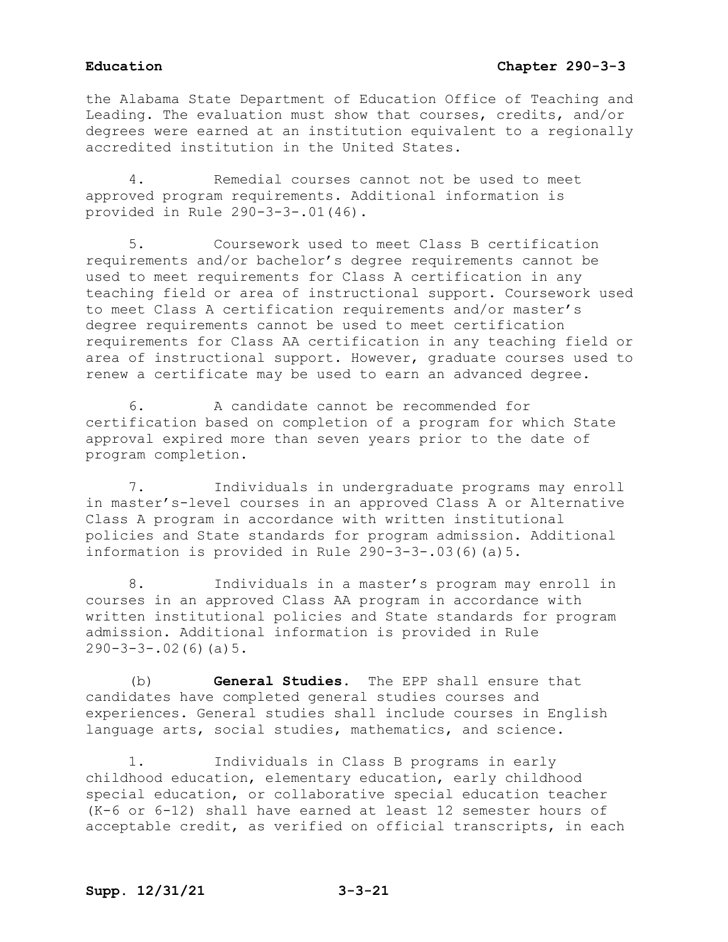# **Education Chapter 290-3-3**

the Alabama State Department of Education Office of Teaching and Leading. The evaluation must show that courses, credits, and/or degrees were earned at an institution equivalent to a regionally accredited institution in the United States.

4. Remedial courses cannot not be used to meet approved program requirements. Additional information is provided in Rule 290-3-3-.01(46).

5. Coursework used to meet Class B certification requirements and/or bachelor's degree requirements cannot be used to meet requirements for Class A certification in any teaching field or area of instructional support. Coursework used to meet Class A certification requirements and/or master's degree requirements cannot be used to meet certification requirements for Class AA certification in any teaching field or area of instructional support. However, graduate courses used to renew a certificate may be used to earn an advanced degree.

6. A candidate cannot be recommended for certification based on completion of a program for which State approval expired more than seven years prior to the date of program completion.

7. Individuals in undergraduate programs may enroll in master's-level courses in an approved Class A or Alternative Class A program in accordance with written institutional policies and State standards for program admission. Additional information is provided in Rule 290-3-3-.03(6)(a)5.

8. Individuals in a master's program may enroll in courses in an approved Class AA program in accordance with written institutional policies and State standards for program admission. Additional information is provided in Rule  $290-3-3-.02(6)(a)5.$ 

(b) **General Studies**. The EPP shall ensure that candidates have completed general studies courses and experiences. General studies shall include courses in English language arts, social studies, mathematics, and science.

1. Individuals in Class B programs in early childhood education, elementary education, early childhood special education, or collaborative special education teacher (K-6 or 6-12) shall have earned at least 12 semester hours of acceptable credit, as verified on official transcripts, in each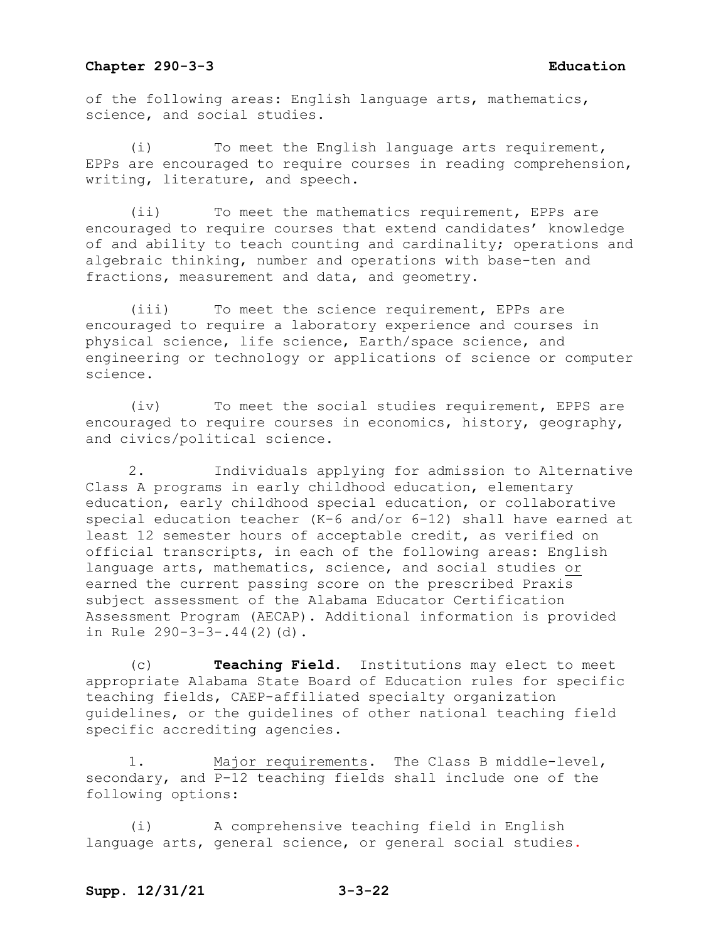of the following areas: English language arts, mathematics, science, and social studies.

(i) To meet the English language arts requirement, EPPs are encouraged to require courses in reading comprehension, writing, literature, and speech.

(ii) To meet the mathematics requirement, EPPs are encouraged to require courses that extend candidates' knowledge of and ability to teach counting and cardinality; operations and algebraic thinking, number and operations with base-ten and fractions, measurement and data, and geometry.

(iii) To meet the science requirement, EPPs are encouraged to require a laboratory experience and courses in physical science, life science, Earth/space science, and engineering or technology or applications of science or computer science.

(iv) To meet the social studies requirement, EPPS are encouraged to require courses in economics, history, geography, and civics/political science.

2. Individuals applying for admission to Alternative Class A programs in early childhood education, elementary education, early childhood special education, or collaborative special education teacher (K-6 and/or 6-12) shall have earned at least 12 semester hours of acceptable credit, as verified on official transcripts, in each of the following areas: English language arts, mathematics, science, and social studies or earned the current passing score on the prescribed Praxis subject assessment of the Alabama Educator Certification Assessment Program (AECAP). Additional information is provided in Rule 290-3-3-.44(2)(d).

(c) **Teaching Field**. Institutions may elect to meet appropriate Alabama State Board of Education rules for specific teaching fields, CAEP-affiliated specialty organization guidelines, or the guidelines of other national teaching field specific accrediting agencies.

1. Major requirements. The Class B middle-level, secondary, and P-12 teaching fields shall include one of the following options:

(i) A comprehensive teaching field in English language arts, general science, or general social studies.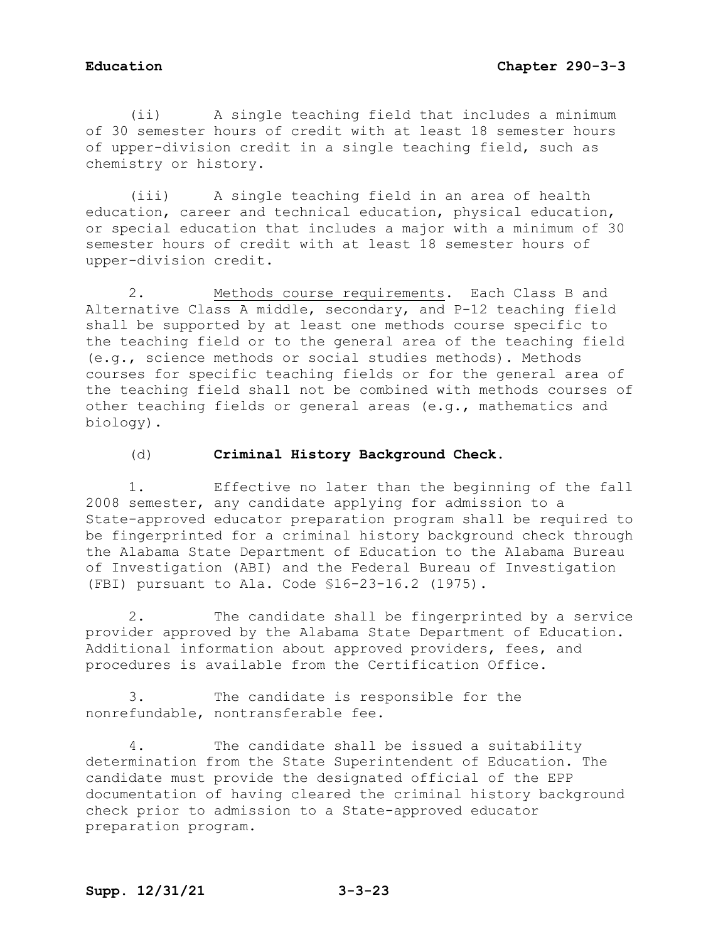(ii) A single teaching field that includes a minimum of 30 semester hours of credit with at least 18 semester hours of upper-division credit in a single teaching field, such as chemistry or history.

(iii) A single teaching field in an area of health education, career and technical education, physical education, or special education that includes a major with a minimum of 30 semester hours of credit with at least 18 semester hours of upper-division credit.

2. Methods course requirements. Each Class B and Alternative Class A middle, secondary, and P-12 teaching field shall be supported by at least one methods course specific to the teaching field or to the general area of the teaching field (e.g., science methods or social studies methods). Methods courses for specific teaching fields or for the general area of the teaching field shall not be combined with methods courses of other teaching fields or general areas (e.g., mathematics and biology).

### (d) **Criminal History Background Check.**

1. Effective no later than the beginning of the fall 2008 semester, any candidate applying for admission to a State-approved educator preparation program shall be required to be fingerprinted for a criminal history background check through the Alabama State Department of Education to the Alabama Bureau of Investigation (ABI) and the Federal Bureau of Investigation (FBI) pursuant to Ala. Code §16-23-16.2 (1975).

2. The candidate shall be fingerprinted by a service provider approved by the Alabama State Department of Education. Additional information about approved providers, fees, and procedures is available from the Certification Office.

3. The candidate is responsible for the nonrefundable, nontransferable fee.

4. The candidate shall be issued a suitability determination from the State Superintendent of Education. The candidate must provide the designated official of the EPP documentation of having cleared the criminal history background check prior to admission to a State-approved educator preparation program.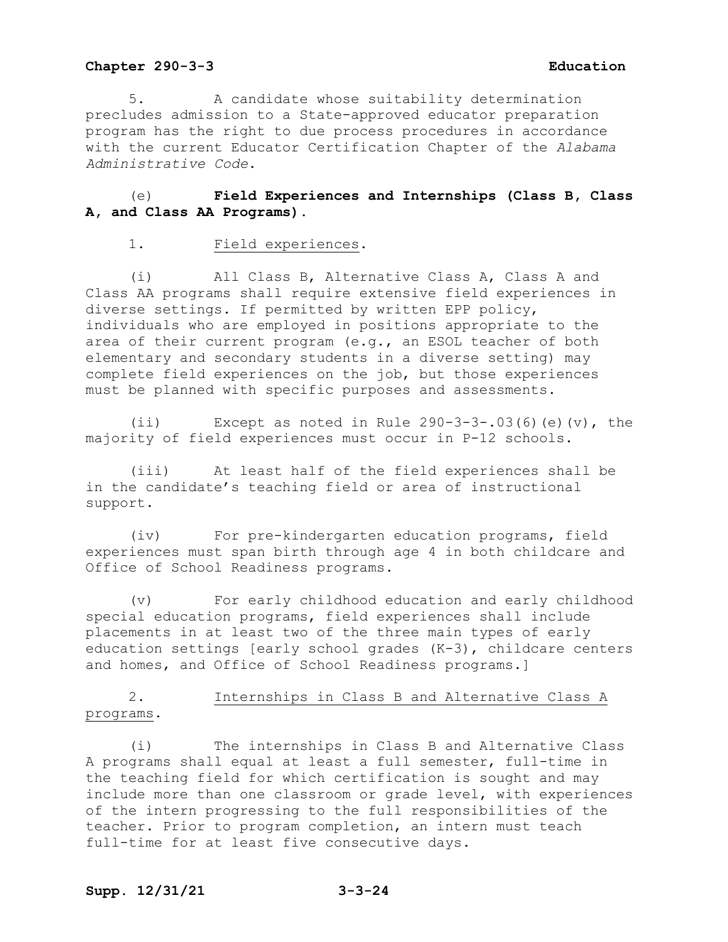5. A candidate whose suitability determination precludes admission to a State-approved educator preparation program has the right to due process procedures in accordance with the current Educator Certification Chapter of the *Alabama Administrative Code*.

# (e) **Field Experiences and Internships (Class B, Class A, and Class AA Programs).**

### 1. Field experiences.

(i) All Class B, Alternative Class A, Class A and Class AA programs shall require extensive field experiences in diverse settings. If permitted by written EPP policy, individuals who are employed in positions appropriate to the area of their current program (e.g., an ESOL teacher of both elementary and secondary students in a diverse setting) may complete field experiences on the job, but those experiences must be planned with specific purposes and assessments.

(ii) Except as noted in Rule  $290-3-3-.03(6)(e)(v)$ , the majority of field experiences must occur in P-12 schools.

(iii) At least half of the field experiences shall be in the candidate's teaching field or area of instructional support.

(iv) For pre-kindergarten education programs, field experiences must span birth through age 4 in both childcare and Office of School Readiness programs.

(v) For early childhood education and early childhood special education programs, field experiences shall include placements in at least two of the three main types of early education settings [early school grades  $(K-3)$ , childcare centers and homes, and Office of School Readiness programs.]

# 2. Internships in Class B and Alternative Class A programs.

(i) The internships in Class B and Alternative Class A programs shall equal at least a full semester, full-time in the teaching field for which certification is sought and may include more than one classroom or grade level, with experiences of the intern progressing to the full responsibilities of the teacher. Prior to program completion, an intern must teach full-time for at least five consecutive days.

# **Supp. 12/31/21 3-3-24**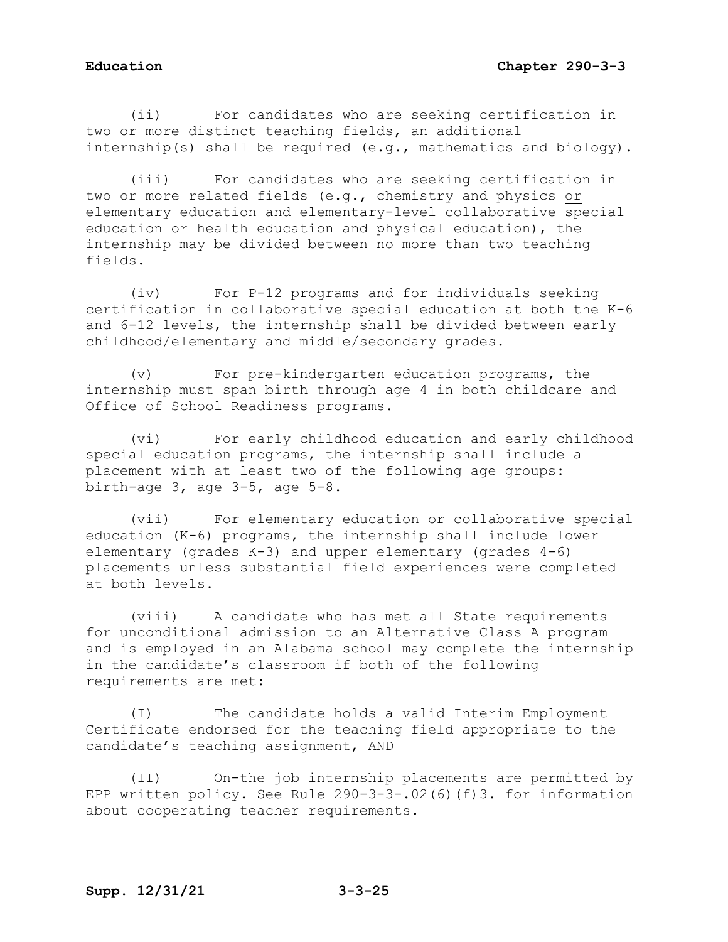(ii) For candidates who are seeking certification in two or more distinct teaching fields, an additional internship(s) shall be required (e.g., mathematics and biology).

(iii) For candidates who are seeking certification in two or more related fields (e.g., chemistry and physics or elementary education and elementary-level collaborative special education or health education and physical education), the internship may be divided between no more than two teaching fields.

(iv) For P-12 programs and for individuals seeking certification in collaborative special education at both the K-6 and 6-12 levels, the internship shall be divided between early childhood/elementary and middle/secondary grades.

(v) For pre-kindergarten education programs, the internship must span birth through age 4 in both childcare and Office of School Readiness programs.

(vi) For early childhood education and early childhood special education programs, the internship shall include a placement with at least two of the following age groups: birth-age 3, age 3-5, age 5-8.

(vii) For elementary education or collaborative special education (K-6) programs, the internship shall include lower elementary (grades K-3) and upper elementary (grades 4-6) placements unless substantial field experiences were completed at both levels.

(viii) A candidate who has met all State requirements for unconditional admission to an Alternative Class A program and is employed in an Alabama school may complete the internship in the candidate's classroom if both of the following requirements are met:

(I) The candidate holds a valid Interim Employment Certificate endorsed for the teaching field appropriate to the candidate's teaching assignment, AND

(II) On-the job internship placements are permitted by EPP written policy. See Rule 290-3-3-.02(6)(f)3. for information about cooperating teacher requirements.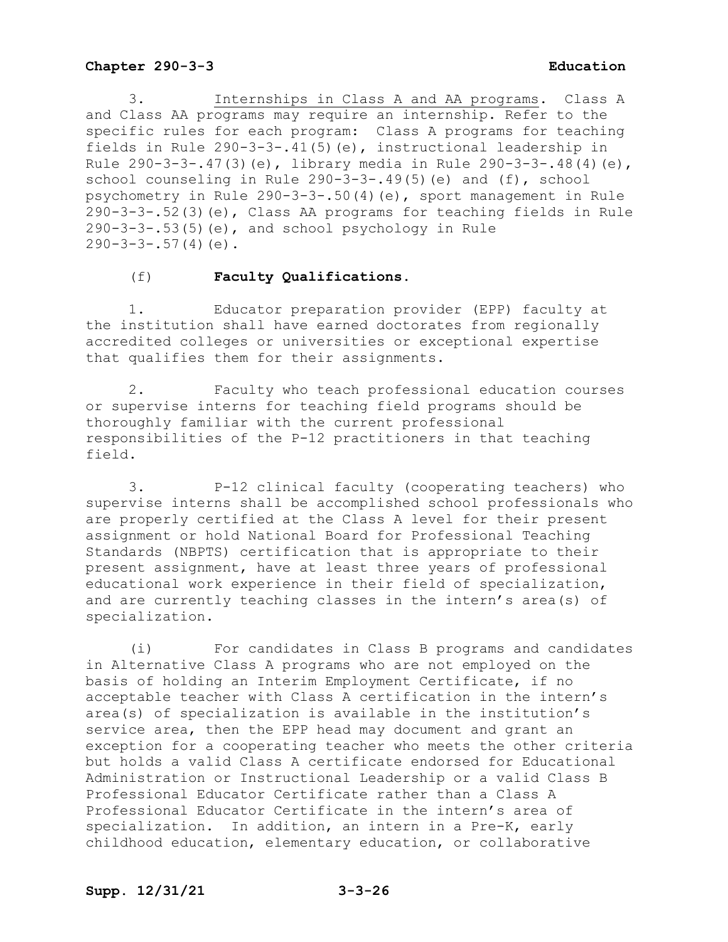3. Internships in Class A and AA programs. Class A and Class AA programs may require an internship. Refer to the specific rules for each program: Class A programs for teaching fields in Rule 290-3-3-.41(5)(e), instructional leadership in Rule 290-3-3-.47(3)(e), library media in Rule 290-3-3-.48(4)(e), school counseling in Rule 290-3-3-.49(5)(e) and (f), school psychometry in Rule 290-3-3-.50(4)(e), sport management in Rule 290-3-3-.52(3)(e), Class AA programs for teaching fields in Rule 290-3-3-.53(5)(e), and school psychology in Rule  $290-3-3-.57(4)(e)$ .

# (f) **Faculty Qualifications**.

1. Educator preparation provider (EPP) faculty at the institution shall have earned doctorates from regionally accredited colleges or universities or exceptional expertise that qualifies them for their assignments.

2. Faculty who teach professional education courses or supervise interns for teaching field programs should be thoroughly familiar with the current professional responsibilities of the P-12 practitioners in that teaching field.

3. P-12 clinical faculty (cooperating teachers) who supervise interns shall be accomplished school professionals who are properly certified at the Class A level for their present assignment or hold National Board for Professional Teaching Standards (NBPTS) certification that is appropriate to their present assignment, have at least three years of professional educational work experience in their field of specialization, and are currently teaching classes in the intern's area(s) of specialization.

(i) For candidates in Class B programs and candidates in Alternative Class A programs who are not employed on the basis of holding an Interim Employment Certificate, if no acceptable teacher with Class A certification in the intern's area(s) of specialization is available in the institution's service area, then the EPP head may document and grant an exception for a cooperating teacher who meets the other criteria but holds a valid Class A certificate endorsed for Educational Administration or Instructional Leadership or a valid Class B Professional Educator Certificate rather than a Class A Professional Educator Certificate in the intern's area of specialization. In addition, an intern in a Pre-K, early childhood education, elementary education, or collaborative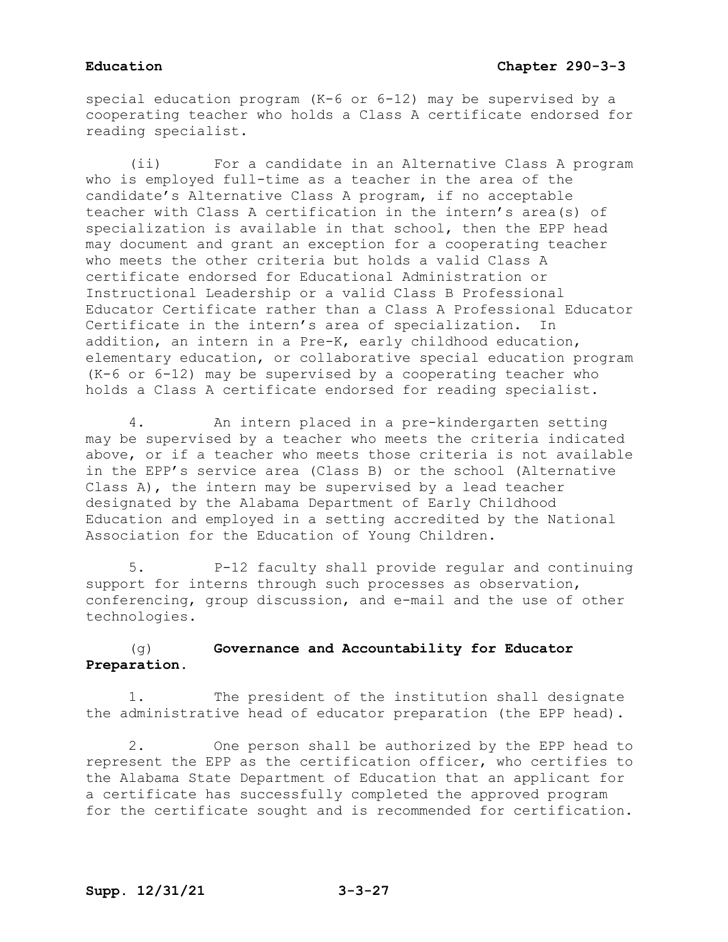special education program (K-6 or 6-12) may be supervised by a cooperating teacher who holds a Class A certificate endorsed for reading specialist.

(ii) For a candidate in an Alternative Class A program who is employed full-time as a teacher in the area of the candidate's Alternative Class A program, if no acceptable teacher with Class A certification in the intern's area(s) of specialization is available in that school, then the EPP head may document and grant an exception for a cooperating teacher who meets the other criteria but holds a valid Class A certificate endorsed for Educational Administration or Instructional Leadership or a valid Class B Professional Educator Certificate rather than a Class A Professional Educator Certificate in the intern's area of specialization. In addition, an intern in a Pre-K, early childhood education, elementary education, or collaborative special education program (K-6 or 6-12) may be supervised by a cooperating teacher who holds a Class A certificate endorsed for reading specialist.

4. An intern placed in a pre-kindergarten setting may be supervised by a teacher who meets the criteria indicated above, or if a teacher who meets those criteria is not available in the EPP's service area (Class B) or the school (Alternative Class A), the intern may be supervised by a lead teacher designated by the Alabama Department of Early Childhood Education and employed in a setting accredited by the National Association for the Education of Young Children.

5. P-12 faculty shall provide regular and continuing support for interns through such processes as observation, conferencing, group discussion, and e-mail and the use of other technologies.

# (g) **Governance and Accountability for Educator Preparation.**

1. The president of the institution shall designate the administrative head of educator preparation (the EPP head).

2. One person shall be authorized by the EPP head to represent the EPP as the certification officer, who certifies to the Alabama State Department of Education that an applicant for a certificate has successfully completed the approved program for the certificate sought and is recommended for certification.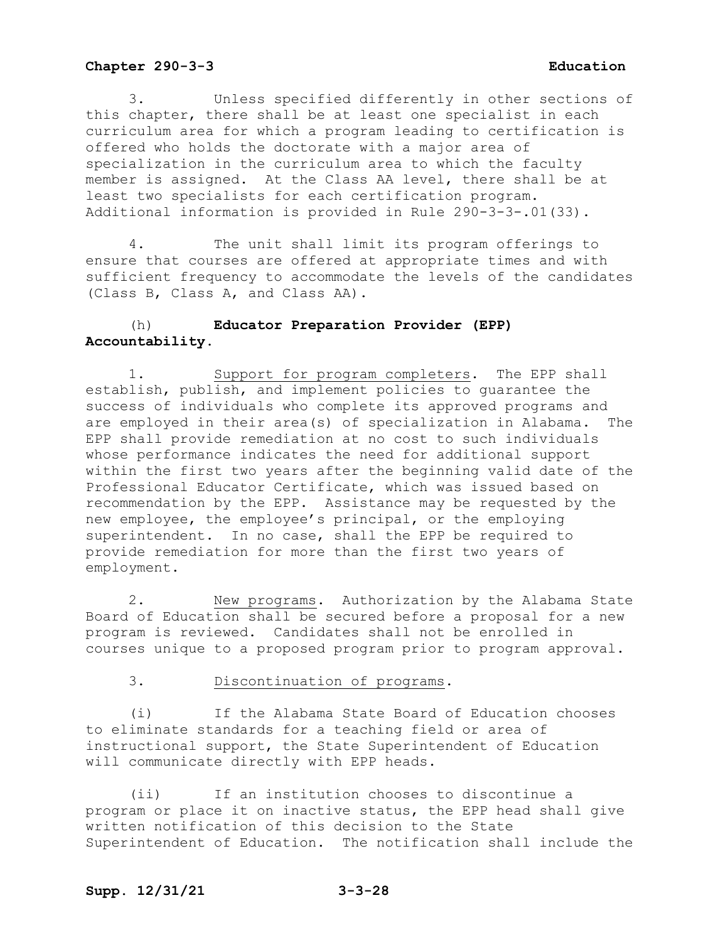3. Unless specified differently in other sections of this chapter, there shall be at least one specialist in each curriculum area for which a program leading to certification is offered who holds the doctorate with a major area of specialization in the curriculum area to which the faculty member is assigned. At the Class AA level, there shall be at least two specialists for each certification program. Additional information is provided in Rule 290-3-3-.01(33).

4. The unit shall limit its program offerings to ensure that courses are offered at appropriate times and with sufficient frequency to accommodate the levels of the candidates (Class B, Class A, and Class AA).

# (h) **Educator Preparation Provider (EPP) Accountability.**

1. Support for program completers. The EPP shall establish, publish, and implement policies to guarantee the success of individuals who complete its approved programs and are employed in their area(s) of specialization in Alabama. The EPP shall provide remediation at no cost to such individuals whose performance indicates the need for additional support within the first two years after the beginning valid date of the Professional Educator Certificate, which was issued based on recommendation by the EPP. Assistance may be requested by the new employee, the employee's principal, or the employing superintendent. In no case, shall the EPP be required to provide remediation for more than the first two years of employment.

2. New programs. Authorization by the Alabama State Board of Education shall be secured before a proposal for a new program is reviewed. Candidates shall not be enrolled in courses unique to a proposed program prior to program approval.

3. Discontinuation of programs.

(i) If the Alabama State Board of Education chooses to eliminate standards for a teaching field or area of instructional support, the State Superintendent of Education will communicate directly with EPP heads.

(ii) If an institution chooses to discontinue a program or place it on inactive status, the EPP head shall give written notification of this decision to the State Superintendent of Education. The notification shall include the

# **Supp. 12/31/21 3-3-28**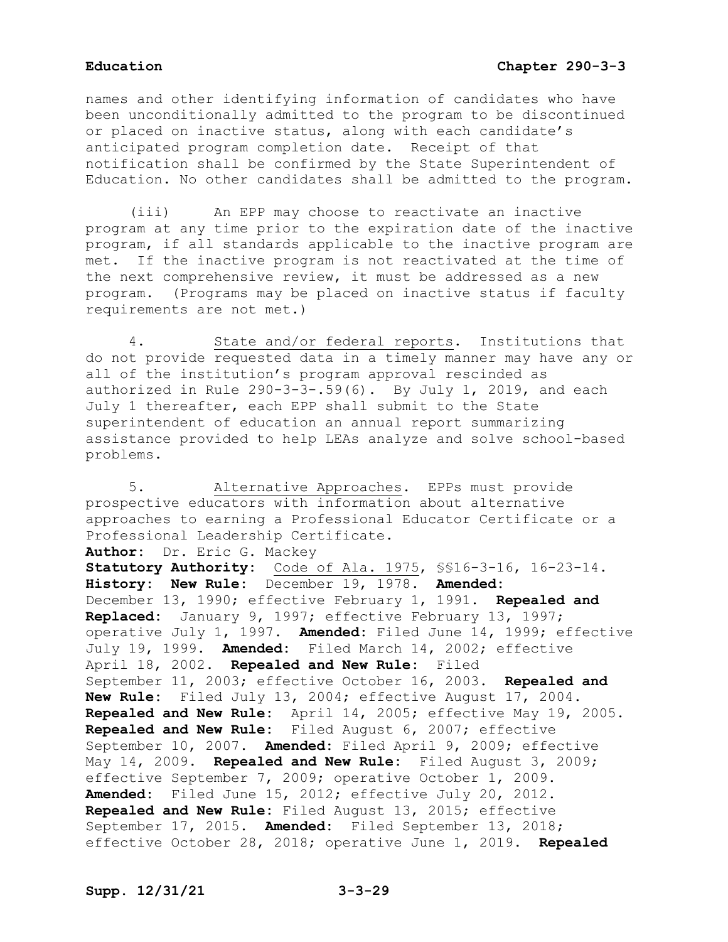names and other identifying information of candidates who have been unconditionally admitted to the program to be discontinued or placed on inactive status, along with each candidate's anticipated program completion date. Receipt of that notification shall be confirmed by the State Superintendent of Education. No other candidates shall be admitted to the program.

(iii) An EPP may choose to reactivate an inactive program at any time prior to the expiration date of the inactive program, if all standards applicable to the inactive program are met. If the inactive program is not reactivated at the time of the next comprehensive review, it must be addressed as a new program. (Programs may be placed on inactive status if faculty requirements are not met.)

4. State and/or federal reports. Institutions that do not provide requested data in a timely manner may have any or all of the institution's program approval rescinded as authorized in Rule 290-3-3-.59(6). By July 1, 2019, and each July 1 thereafter, each EPP shall submit to the State superintendent of education an annual report summarizing assistance provided to help LEAs analyze and solve school-based problems.

5. Alternative Approaches. EPPs must provide prospective educators with information about alternative approaches to earning a Professional Educator Certificate or a Professional Leadership Certificate. **Author:** Dr. Eric G. Mackey **Statutory Authority:** Code of Ala. 1975, §§16-3-16, 16-23-14. **History: New Rule:** December 19, 1978. **Amended:** December 13, 1990; effective February 1, 1991. **Repealed and Replaced:** January 9, 1997; effective February 13, 1997; operative July 1, 1997. **Amended:** Filed June 14, 1999; effective July 19, 1999. **Amended:** Filed March 14, 2002; effective April 18, 2002. **Repealed and New Rule:** Filed September 11, 2003; effective October 16, 2003. **Repealed and New Rule:** Filed July 13, 2004; effective August 17, 2004. **Repealed and New Rule:** April 14, 2005; effective May 19, 2005. **Repealed and New Rule:** Filed August 6, 2007; effective September 10, 2007. **Amended:** Filed April 9, 2009; effective May 14, 2009. **Repealed and New Rule:** Filed August 3, 2009; effective September 7, 2009; operative October 1, 2009. **Amended:** Filed June 15, 2012; effective July 20, 2012. **Repealed and New Rule:** Filed August 13, 2015; effective September 17, 2015. **Amended:** Filed September 13, 2018; effective October 28, 2018; operative June 1, 2019. **Repealed**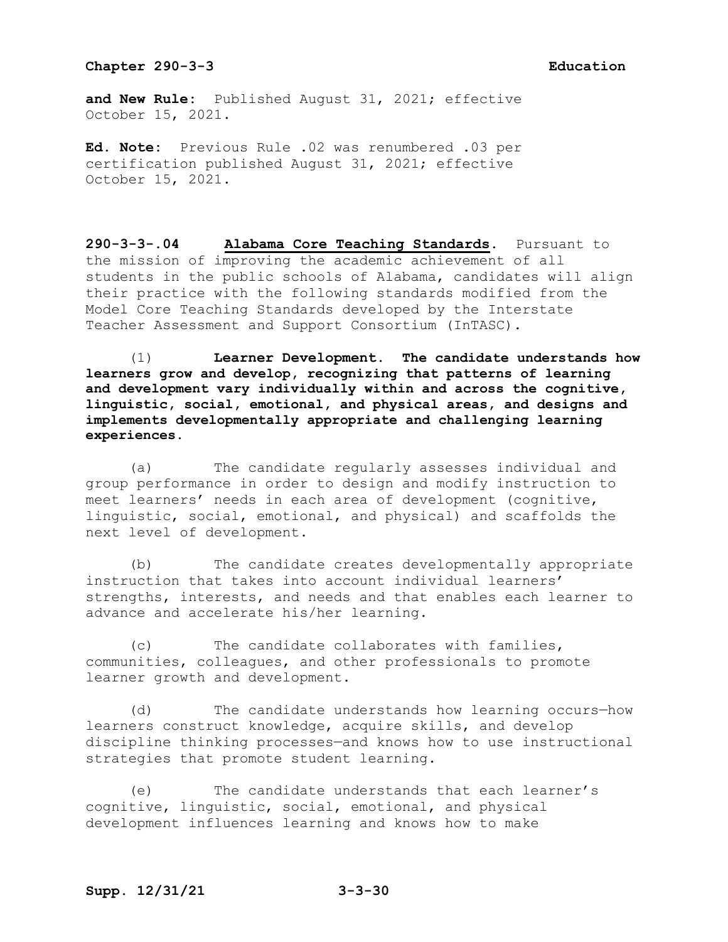**and New Rule:** Published August 31, 2021; effective October 15, 2021.

**Ed. Note:** Previous Rule .02 was renumbered .03 per certification published August 31, 2021; effective October 15, 2021.

**290-3-3-.04 Alabama Core Teaching Standards.** Pursuant to the mission of improving the academic achievement of all students in the public schools of Alabama, candidates will align their practice with the following standards modified from the Model Core Teaching Standards developed by the Interstate Teacher Assessment and Support Consortium (InTASC).

(1) **Learner Development. The candidate understands how learners grow and develop, recognizing that patterns of learning and development vary individually within and across the cognitive, linguistic, social, emotional, and physical areas, and designs and implements developmentally appropriate and challenging learning experiences**.

(a) The candidate regularly assesses individual and group performance in order to design and modify instruction to meet learners' needs in each area of development (cognitive, linguistic, social, emotional, and physical) and scaffolds the next level of development.

(b) The candidate creates developmentally appropriate instruction that takes into account individual learners' strengths, interests, and needs and that enables each learner to advance and accelerate his/her learning.

(c) The candidate collaborates with families, communities, colleagues, and other professionals to promote learner growth and development.

(d) The candidate understands how learning occurs—how learners construct knowledge, acquire skills, and develop discipline thinking processes—and knows how to use instructional strategies that promote student learning.

(e) The candidate understands that each learner's cognitive, linguistic, social, emotional, and physical development influences learning and knows how to make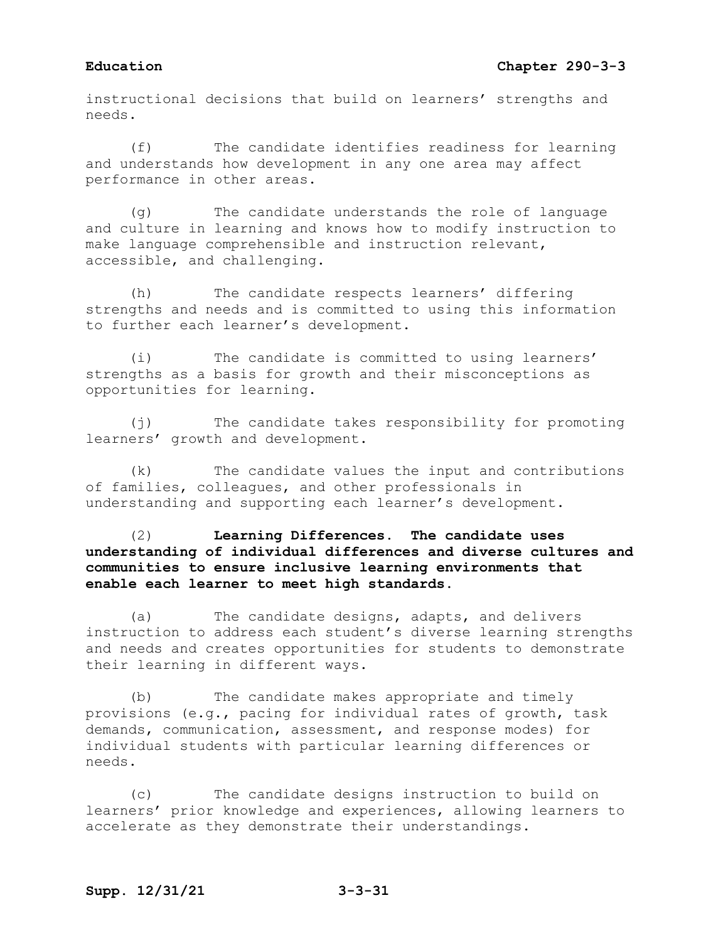# **Education Chapter 290-3-3**

instructional decisions that build on learners' strengths and needs.

(f) The candidate identifies readiness for learning and understands how development in any one area may affect performance in other areas.

(g) The candidate understands the role of language and culture in learning and knows how to modify instruction to make language comprehensible and instruction relevant, accessible, and challenging.

(h) The candidate respects learners' differing strengths and needs and is committed to using this information to further each learner's development.

(i) The candidate is committed to using learners' strengths as a basis for growth and their misconceptions as opportunities for learning.

(j) The candidate takes responsibility for promoting learners' growth and development.

(k) The candidate values the input and contributions of families, colleagues, and other professionals in understanding and supporting each learner's development.

# (2) **Learning Differences. The candidate uses understanding of individual differences and diverse cultures and communities to ensure inclusive learning environments that enable each learner to meet high standards.**

(a) The candidate designs, adapts, and delivers instruction to address each student's diverse learning strengths and needs and creates opportunities for students to demonstrate their learning in different ways.

(b) The candidate makes appropriate and timely provisions (e.g., pacing for individual rates of growth, task demands, communication, assessment, and response modes) for individual students with particular learning differences or needs.

(c) The candidate designs instruction to build on learners' prior knowledge and experiences, allowing learners to accelerate as they demonstrate their understandings.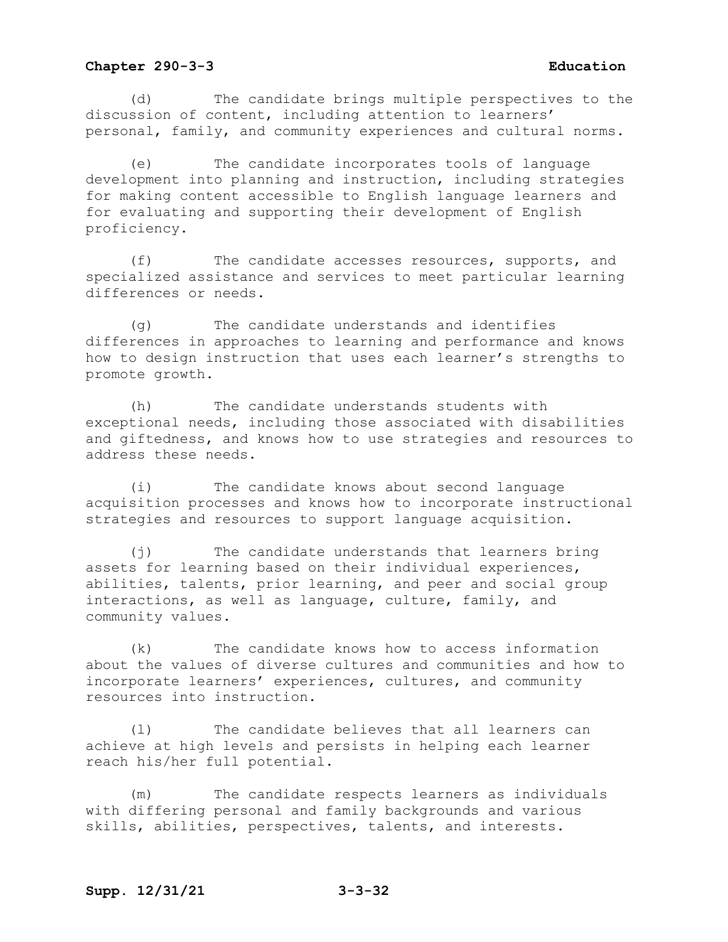(d) The candidate brings multiple perspectives to the discussion of content, including attention to learners' personal, family, and community experiences and cultural norms.

(e) The candidate incorporates tools of language development into planning and instruction, including strategies for making content accessible to English language learners and for evaluating and supporting their development of English proficiency.

(f) The candidate accesses resources, supports, and specialized assistance and services to meet particular learning differences or needs.

(g) The candidate understands and identifies differences in approaches to learning and performance and knows how to design instruction that uses each learner's strengths to promote growth.

(h) The candidate understands students with exceptional needs, including those associated with disabilities and giftedness, and knows how to use strategies and resources to address these needs.

(i) The candidate knows about second language acquisition processes and knows how to incorporate instructional strategies and resources to support language acquisition.

(j) The candidate understands that learners bring assets for learning based on their individual experiences, abilities, talents, prior learning, and peer and social group interactions, as well as language, culture, family, and community values.

(k) The candidate knows how to access information about the values of diverse cultures and communities and how to incorporate learners' experiences, cultures, and community resources into instruction.

(l) The candidate believes that all learners can achieve at high levels and persists in helping each learner reach his/her full potential.

(m) The candidate respects learners as individuals with differing personal and family backgrounds and various skills, abilities, perspectives, talents, and interests.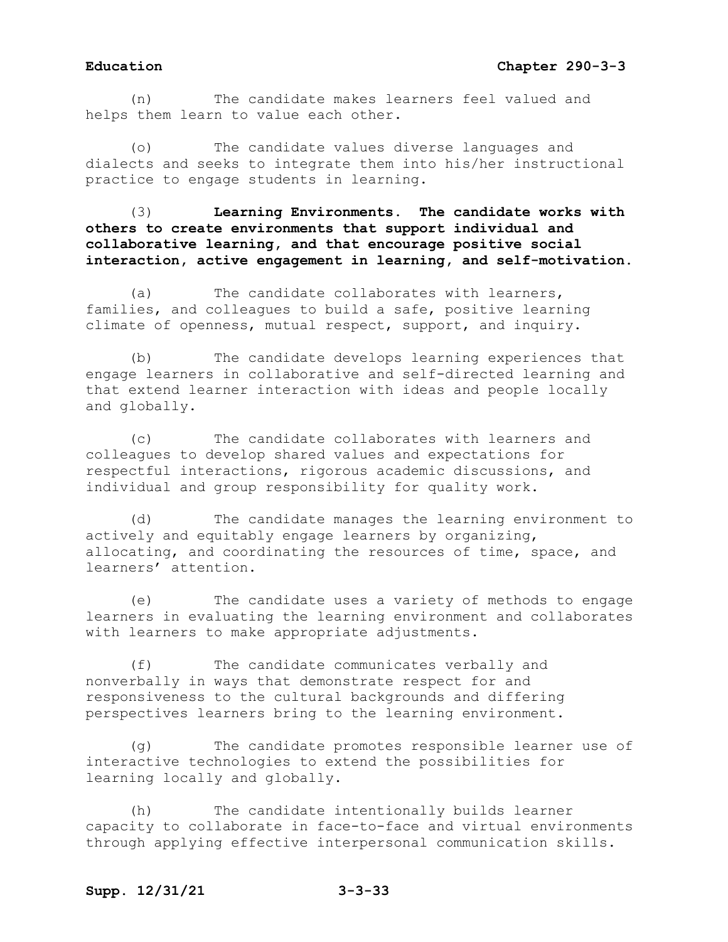(n) The candidate makes learners feel valued and helps them learn to value each other.

The candidate values diverse languages and dialects and seeks to integrate them into his/her instructional practice to engage students in learning.

(3) **Learning Environments. The candidate works with others to create environments that support individual and collaborative learning, and that encourage positive social interaction, active engagement in learning, and self-motivation.**

(a) The candidate collaborates with learners, families, and colleagues to build a safe, positive learning climate of openness, mutual respect, support, and inquiry.

(b) The candidate develops learning experiences that engage learners in collaborative and self-directed learning and that extend learner interaction with ideas and people locally and globally.

(c) The candidate collaborates with learners and colleagues to develop shared values and expectations for respectful interactions, rigorous academic discussions, and individual and group responsibility for quality work.

(d) The candidate manages the learning environment to actively and equitably engage learners by organizing, allocating, and coordinating the resources of time, space, and learners' attention.

(e) The candidate uses a variety of methods to engage learners in evaluating the learning environment and collaborates with learners to make appropriate adjustments.

(f) The candidate communicates verbally and nonverbally in ways that demonstrate respect for and responsiveness to the cultural backgrounds and differing perspectives learners bring to the learning environment.

(g) The candidate promotes responsible learner use of interactive technologies to extend the possibilities for learning locally and globally.

(h) The candidate intentionally builds learner capacity to collaborate in face-to-face and virtual environments through applying effective interpersonal communication skills.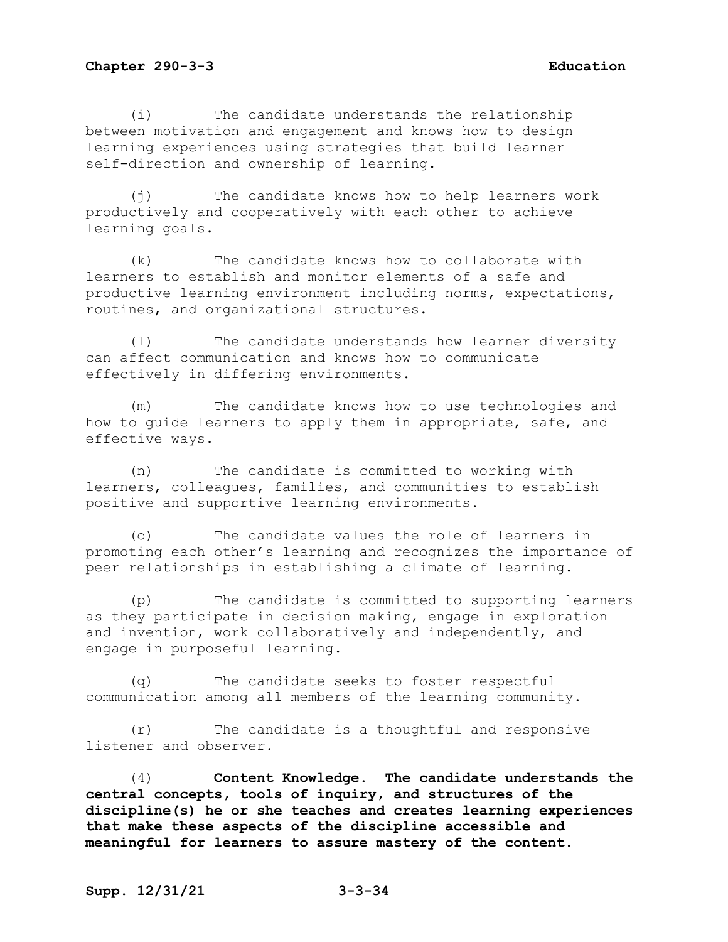(i) The candidate understands the relationship between motivation and engagement and knows how to design learning experiences using strategies that build learner self-direction and ownership of learning.

(j) The candidate knows how to help learners work productively and cooperatively with each other to achieve learning goals.

(k) The candidate knows how to collaborate with learners to establish and monitor elements of a safe and productive learning environment including norms, expectations, routines, and organizational structures.

(l) The candidate understands how learner diversity can affect communication and knows how to communicate effectively in differing environments.

(m) The candidate knows how to use technologies and how to guide learners to apply them in appropriate, safe, and effective ways.

(n) The candidate is committed to working with learners, colleagues, families, and communities to establish positive and supportive learning environments.

(o) The candidate values the role of learners in promoting each other's learning and recognizes the importance of peer relationships in establishing a climate of learning.

(p) The candidate is committed to supporting learners as they participate in decision making, engage in exploration and invention, work collaboratively and independently, and engage in purposeful learning.

(q) The candidate seeks to foster respectful communication among all members of the learning community.

(r) The candidate is a thoughtful and responsive listener and observer.

(4) **Content Knowledge. The candidate understands the central concepts, tools of inquiry, and structures of the discipline(s) he or she teaches and creates learning experiences that make these aspects of the discipline accessible and meaningful for learners to assure mastery of the content.**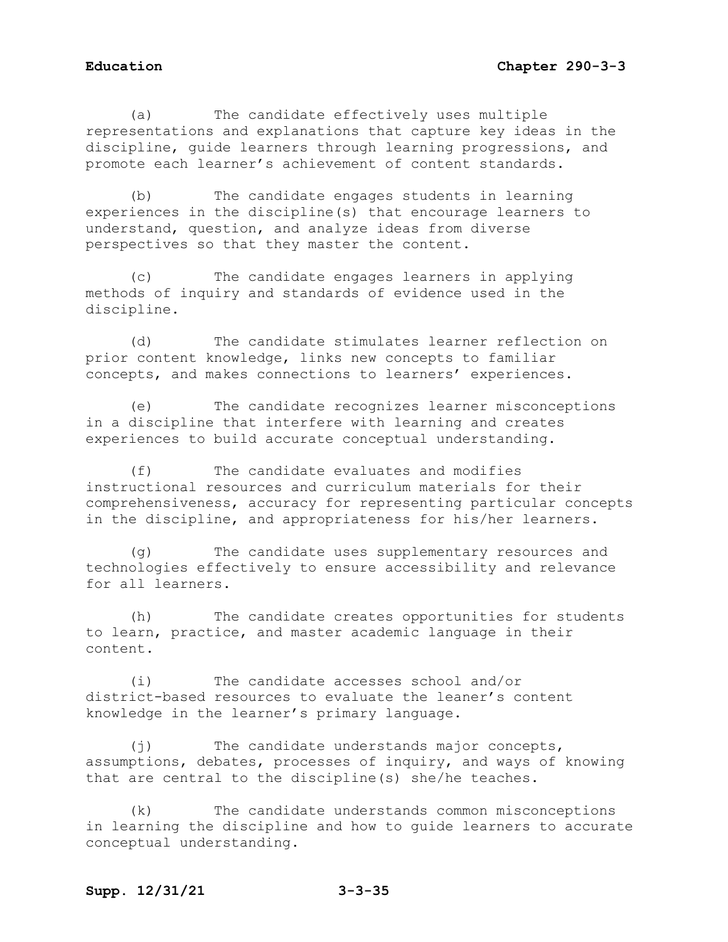(a) The candidate effectively uses multiple representations and explanations that capture key ideas in the discipline, guide learners through learning progressions, and promote each learner's achievement of content standards.

(b) The candidate engages students in learning experiences in the discipline(s) that encourage learners to understand, question, and analyze ideas from diverse perspectives so that they master the content.

(c) The candidate engages learners in applying methods of inquiry and standards of evidence used in the discipline.

(d) The candidate stimulates learner reflection on prior content knowledge, links new concepts to familiar concepts, and makes connections to learners' experiences.

(e) The candidate recognizes learner misconceptions in a discipline that interfere with learning and creates experiences to build accurate conceptual understanding.

(f) The candidate evaluates and modifies instructional resources and curriculum materials for their comprehensiveness, accuracy for representing particular concepts in the discipline, and appropriateness for his/her learners.

(g) The candidate uses supplementary resources and technologies effectively to ensure accessibility and relevance for all learners.

(h) The candidate creates opportunities for students to learn, practice, and master academic language in their content.

(i) The candidate accesses school and/or district-based resources to evaluate the leaner's content knowledge in the learner's primary language.

(j) The candidate understands major concepts, assumptions, debates, processes of inquiry, and ways of knowing that are central to the discipline(s) she/he teaches.

(k) The candidate understands common misconceptions in learning the discipline and how to guide learners to accurate conceptual understanding.

# **Supp. 12/31/21 3-3-35**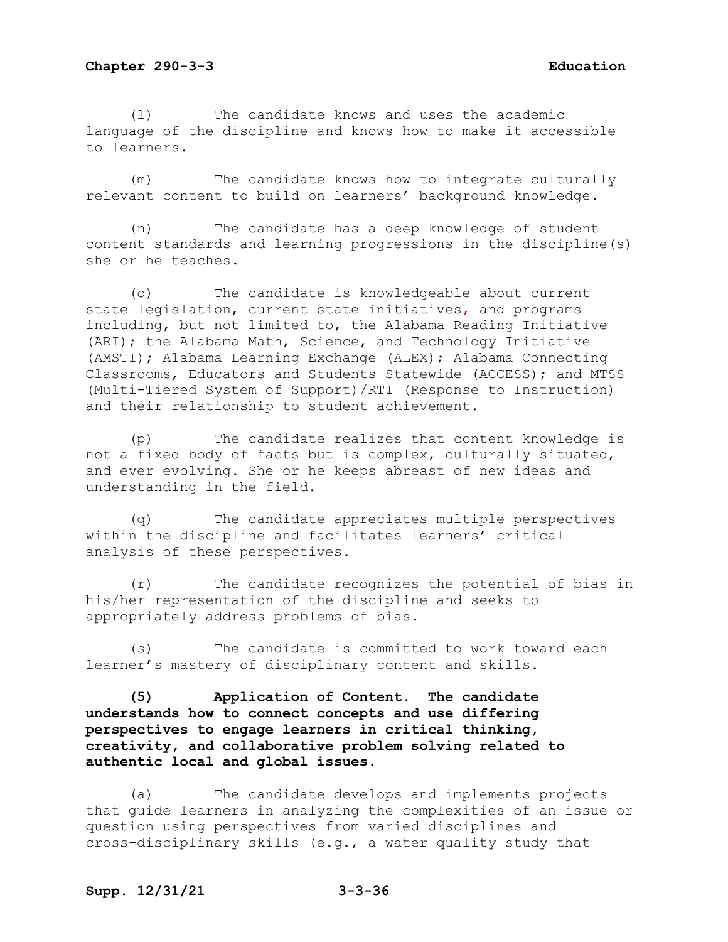(l) The candidate knows and uses the academic language of the discipline and knows how to make it accessible to learners.

(m) The candidate knows how to integrate culturally relevant content to build on learners' background knowledge.

(n) The candidate has a deep knowledge of student content standards and learning progressions in the discipline(s) she or he teaches.

(o) The candidate is knowledgeable about current state legislation, current state initiatives, and programs including, but not limited to, the Alabama Reading Initiative (ARI); the Alabama Math, Science, and Technology Initiative (AMSTI); Alabama Learning Exchange (ALEX); Alabama Connecting Classrooms, Educators and Students Statewide (ACCESS); and MTSS (Multi-Tiered System of Support)/RTI (Response to Instruction) and their relationship to student achievement.

(p) The candidate realizes that content knowledge is not a fixed body of facts but is complex, culturally situated, and ever evolving. She or he keeps abreast of new ideas and understanding in the field.

(q) The candidate appreciates multiple perspectives within the discipline and facilitates learners' critical analysis of these perspectives.

(r) The candidate recognizes the potential of bias in his/her representation of the discipline and seeks to appropriately address problems of bias.

(s) The candidate is committed to work toward each learner's mastery of disciplinary content and skills.

**(5) Application of Content. The candidate understands how to connect concepts and use differing perspectives to engage learners in critical thinking, creativity, and collaborative problem solving related to authentic local and global issues.**

(a) The candidate develops and implements projects that guide learners in analyzing the complexities of an issue or question using perspectives from varied disciplines and cross-disciplinary skills (e.g., a water quality study that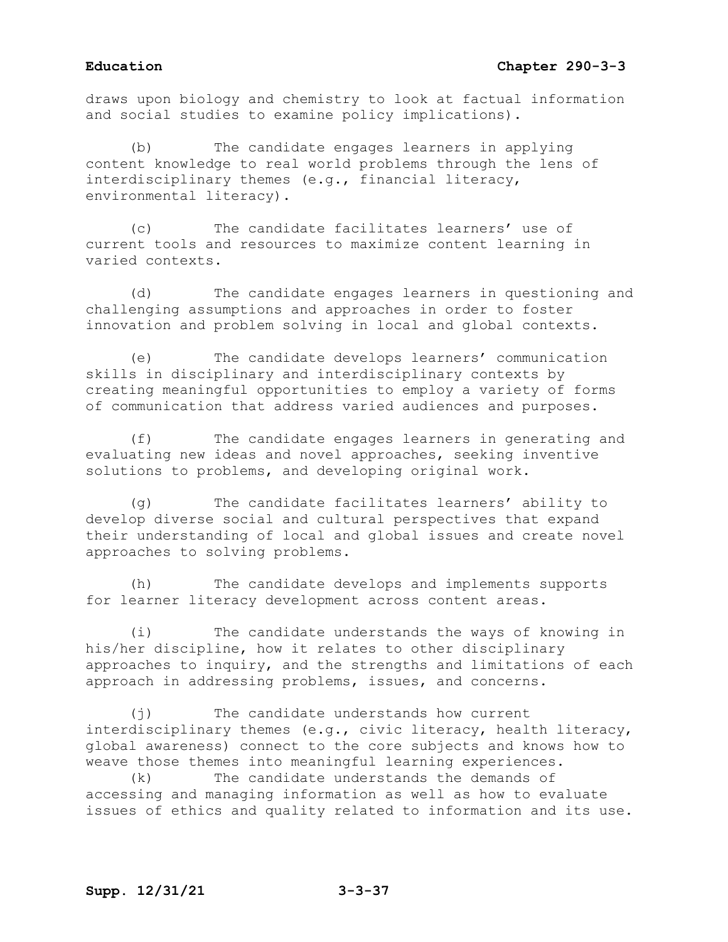draws upon biology and chemistry to look at factual information and social studies to examine policy implications).

(b) The candidate engages learners in applying content knowledge to real world problems through the lens of interdisciplinary themes (e.g., financial literacy, environmental literacy).

(c) The candidate facilitates learners' use of current tools and resources to maximize content learning in varied contexts.

(d) The candidate engages learners in questioning and challenging assumptions and approaches in order to foster innovation and problem solving in local and global contexts.

(e) The candidate develops learners' communication skills in disciplinary and interdisciplinary contexts by creating meaningful opportunities to employ a variety of forms of communication that address varied audiences and purposes.

(f) The candidate engages learners in generating and evaluating new ideas and novel approaches, seeking inventive solutions to problems, and developing original work.

(g) The candidate facilitates learners' ability to develop diverse social and cultural perspectives that expand their understanding of local and global issues and create novel approaches to solving problems.

(h) The candidate develops and implements supports for learner literacy development across content areas.

(i) The candidate understands the ways of knowing in his/her discipline, how it relates to other disciplinary approaches to inquiry, and the strengths and limitations of each approach in addressing problems, issues, and concerns.

(j) The candidate understands how current interdisciplinary themes (e.g., civic literacy, health literacy, global awareness) connect to the core subjects and knows how to weave those themes into meaningful learning experiences.<br>(k) The candidate understands the demands of

The candidate understands the demands of accessing and managing information as well as how to evaluate issues of ethics and quality related to information and its use.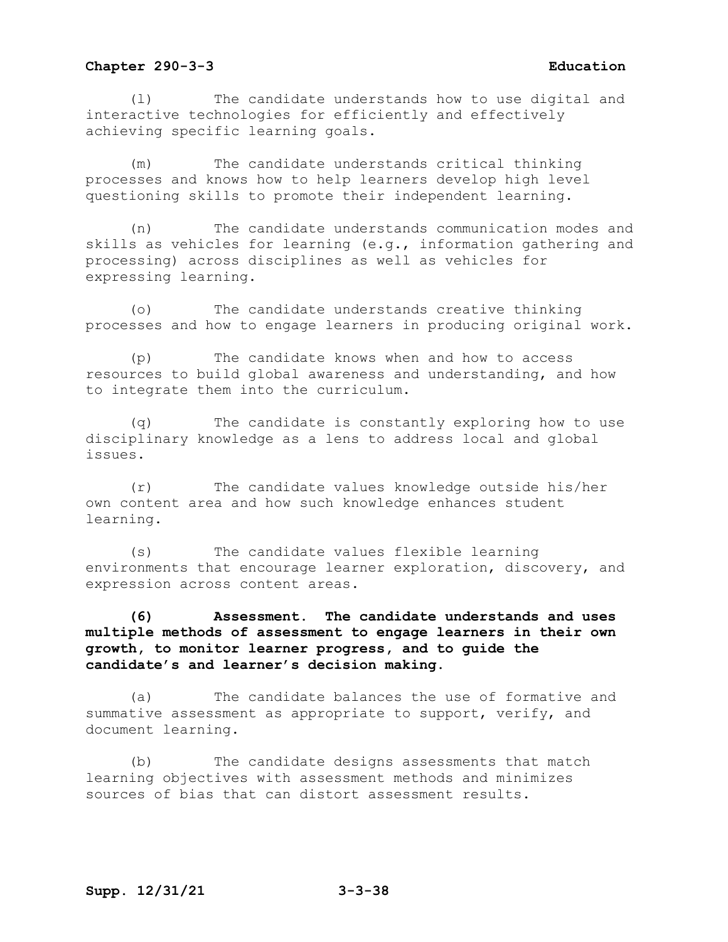(l) The candidate understands how to use digital and interactive technologies for efficiently and effectively achieving specific learning goals.

(m) The candidate understands critical thinking processes and knows how to help learners develop high level questioning skills to promote their independent learning.

(n) The candidate understands communication modes and skills as vehicles for learning (e.g., information gathering and processing) across disciplines as well as vehicles for expressing learning.

(o) The candidate understands creative thinking processes and how to engage learners in producing original work.

(p) The candidate knows when and how to access resources to build global awareness and understanding, and how to integrate them into the curriculum.

(q) The candidate is constantly exploring how to use disciplinary knowledge as a lens to address local and global issues.

(r) The candidate values knowledge outside his/her own content area and how such knowledge enhances student learning.

(s) The candidate values flexible learning environments that encourage learner exploration, discovery, and expression across content areas.

**(6) Assessment. The candidate understands and uses multiple methods of assessment to engage learners in their own growth, to monitor learner progress, and to guide the candidate's and learner's decision making.**

(a) The candidate balances the use of formative and summative assessment as appropriate to support, verify, and document learning.

(b) The candidate designs assessments that match learning objectives with assessment methods and minimizes sources of bias that can distort assessment results.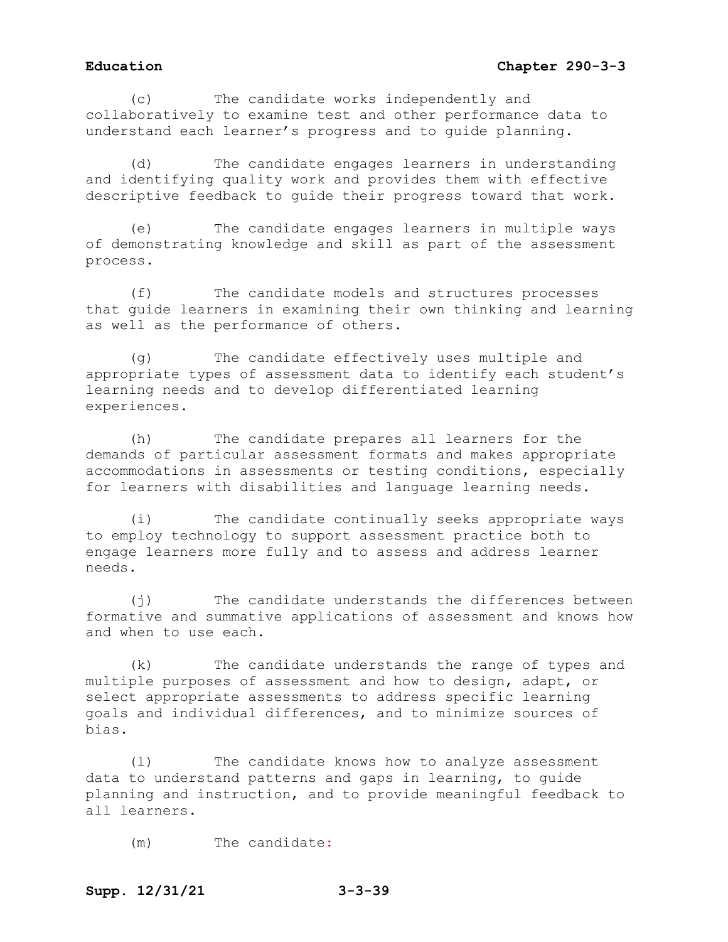# **Education Chapter 290-3-3**

(c) The candidate works independently and collaboratively to examine test and other performance data to understand each learner's progress and to guide planning.

(d) The candidate engages learners in understanding and identifying quality work and provides them with effective descriptive feedback to guide their progress toward that work.

(e) The candidate engages learners in multiple ways of demonstrating knowledge and skill as part of the assessment process.

(f) The candidate models and structures processes that guide learners in examining their own thinking and learning as well as the performance of others.

(g) The candidate effectively uses multiple and appropriate types of assessment data to identify each student's learning needs and to develop differentiated learning experiences.

(h) The candidate prepares all learners for the demands of particular assessment formats and makes appropriate accommodations in assessments or testing conditions, especially for learners with disabilities and language learning needs.

(i) The candidate continually seeks appropriate ways to employ technology to support assessment practice both to engage learners more fully and to assess and address learner needs.

(j) The candidate understands the differences between formative and summative applications of assessment and knows how and when to use each.

(k) The candidate understands the range of types and multiple purposes of assessment and how to design, adapt, or select appropriate assessments to address specific learning goals and individual differences, and to minimize sources of bias.

(l) The candidate knows how to analyze assessment data to understand patterns and gaps in learning, to guide planning and instruction, and to provide meaningful feedback to all learners.

(m) The candidate: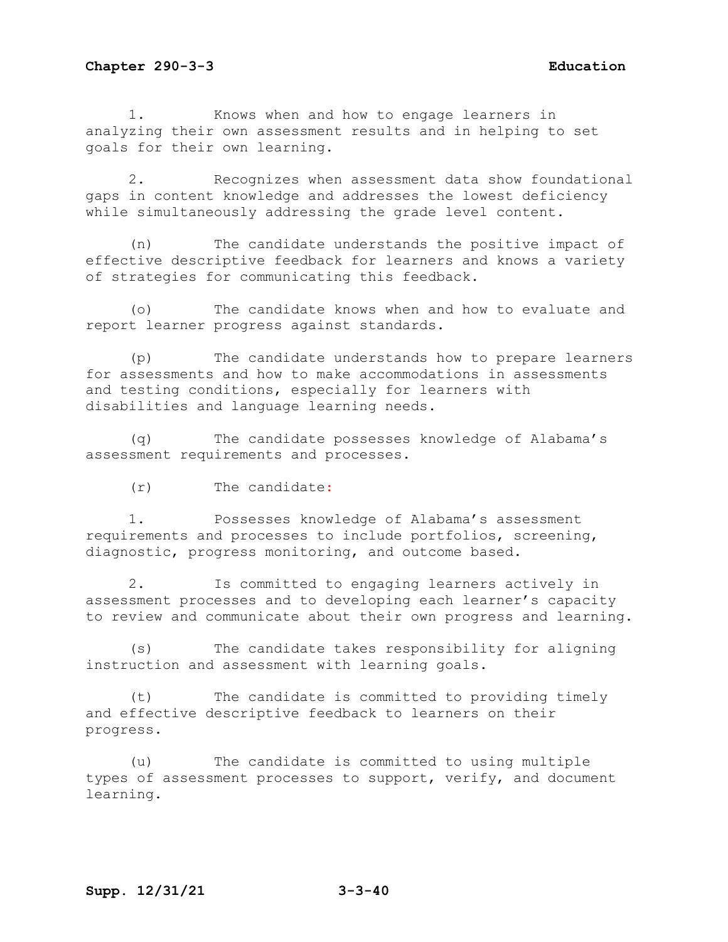1. Knows when and how to engage learners in analyzing their own assessment results and in helping to set goals for their own learning.

2. Recognizes when assessment data show foundational gaps in content knowledge and addresses the lowest deficiency while simultaneously addressing the grade level content.

(n) The candidate understands the positive impact of effective descriptive feedback for learners and knows a variety of strategies for communicating this feedback.

(o) The candidate knows when and how to evaluate and report learner progress against standards.

(p) The candidate understands how to prepare learners for assessments and how to make accommodations in assessments and testing conditions, especially for learners with disabilities and language learning needs.

(q) The candidate possesses knowledge of Alabama's assessment requirements and processes.

(r) The candidate:

1. Possesses knowledge of Alabama's assessment requirements and processes to include portfolios, screening, diagnostic, progress monitoring, and outcome based.

2. Is committed to engaging learners actively in assessment processes and to developing each learner's capacity to review and communicate about their own progress and learning.

(s) The candidate takes responsibility for aligning instruction and assessment with learning goals.

(t) The candidate is committed to providing timely and effective descriptive feedback to learners on their progress.

(u) The candidate is committed to using multiple types of assessment processes to support, verify, and document learning.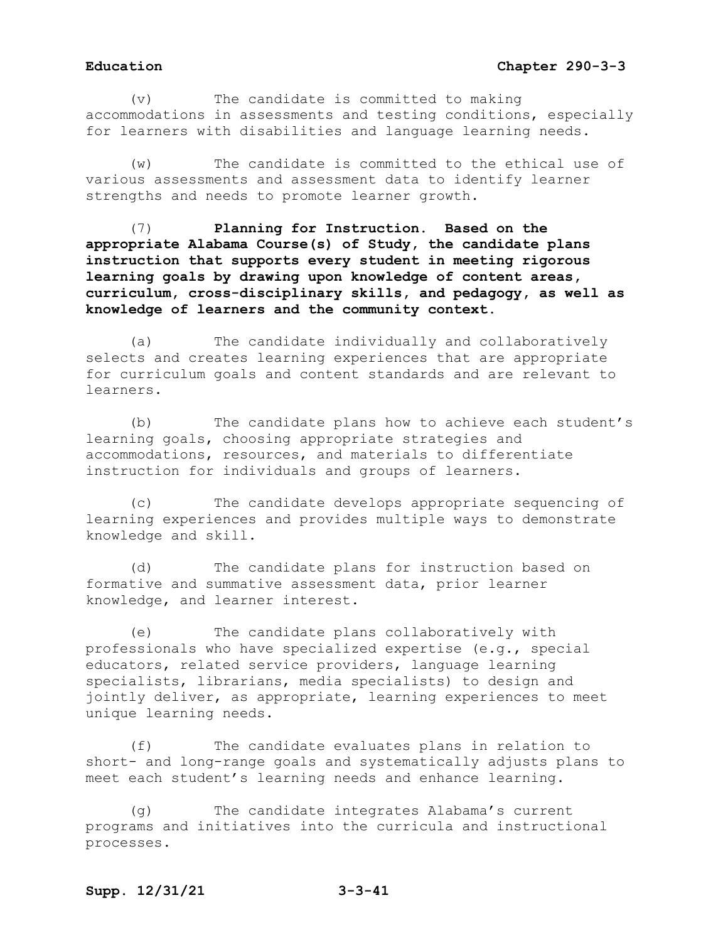# **Education Chapter 290-3-3**

(v) The candidate is committed to making accommodations in assessments and testing conditions, especially for learners with disabilities and language learning needs.

(w) The candidate is committed to the ethical use of various assessments and assessment data to identify learner strengths and needs to promote learner growth.

(7) **Planning for Instruction. Based on the appropriate Alabama Course(s) of Study, the candidate plans instruction that supports every student in meeting rigorous learning goals by drawing upon knowledge of content areas, curriculum, cross-disciplinary skills, and pedagogy, as well as knowledge of learners and the community context.**

(a) The candidate individually and collaboratively selects and creates learning experiences that are appropriate for curriculum goals and content standards and are relevant to learners.

(b) The candidate plans how to achieve each student's learning goals, choosing appropriate strategies and accommodations, resources, and materials to differentiate instruction for individuals and groups of learners.

(c) The candidate develops appropriate sequencing of learning experiences and provides multiple ways to demonstrate knowledge and skill.

(d) The candidate plans for instruction based on formative and summative assessment data, prior learner knowledge, and learner interest.

(e) The candidate plans collaboratively with professionals who have specialized expertise (e.g., special educators, related service providers, language learning specialists, librarians, media specialists) to design and jointly deliver, as appropriate, learning experiences to meet unique learning needs.

(f) The candidate evaluates plans in relation to short- and long-range goals and systematically adjusts plans to meet each student's learning needs and enhance learning.

(g) The candidate integrates Alabama's current programs and initiatives into the curricula and instructional processes.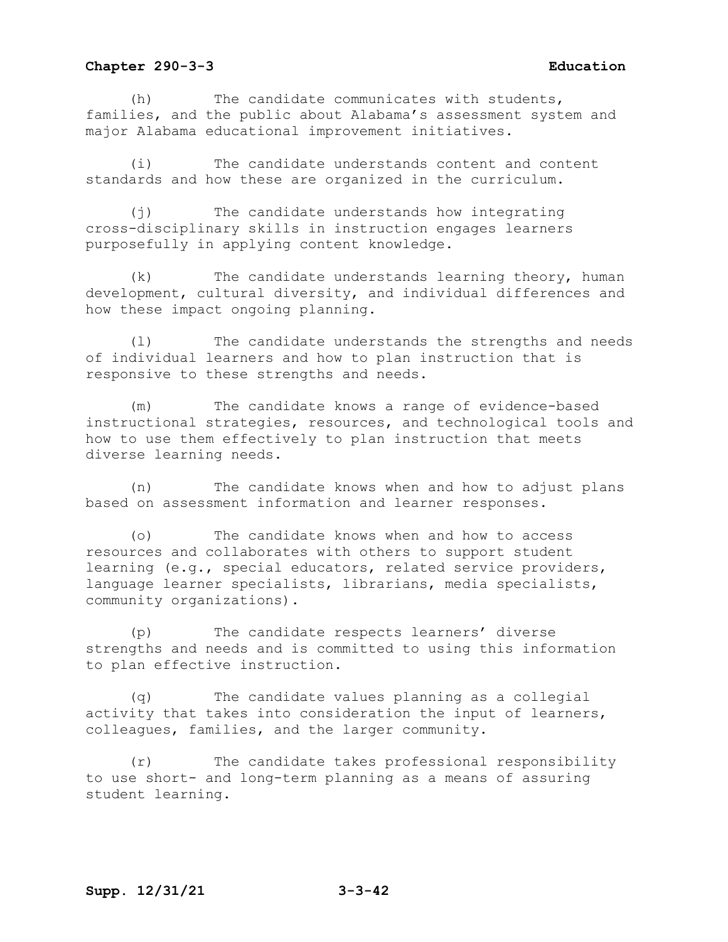(h) The candidate communicates with students, families, and the public about Alabama's assessment system and major Alabama educational improvement initiatives.

(i) The candidate understands content and content standards and how these are organized in the curriculum.

(j) The candidate understands how integrating cross-disciplinary skills in instruction engages learners purposefully in applying content knowledge.

(k) The candidate understands learning theory, human development, cultural diversity, and individual differences and how these impact ongoing planning.

(l) The candidate understands the strengths and needs of individual learners and how to plan instruction that is responsive to these strengths and needs.

(m) The candidate knows a range of evidence-based instructional strategies, resources, and technological tools and how to use them effectively to plan instruction that meets diverse learning needs.

(n) The candidate knows when and how to adjust plans based on assessment information and learner responses.

(o) The candidate knows when and how to access resources and collaborates with others to support student learning (e.g., special educators, related service providers, language learner specialists, librarians, media specialists, community organizations).

(p) The candidate respects learners' diverse strengths and needs and is committed to using this information to plan effective instruction.

(q) The candidate values planning as a collegial activity that takes into consideration the input of learners, colleagues, families, and the larger community.

(r) The candidate takes professional responsibility to use short- and long-term planning as a means of assuring student learning.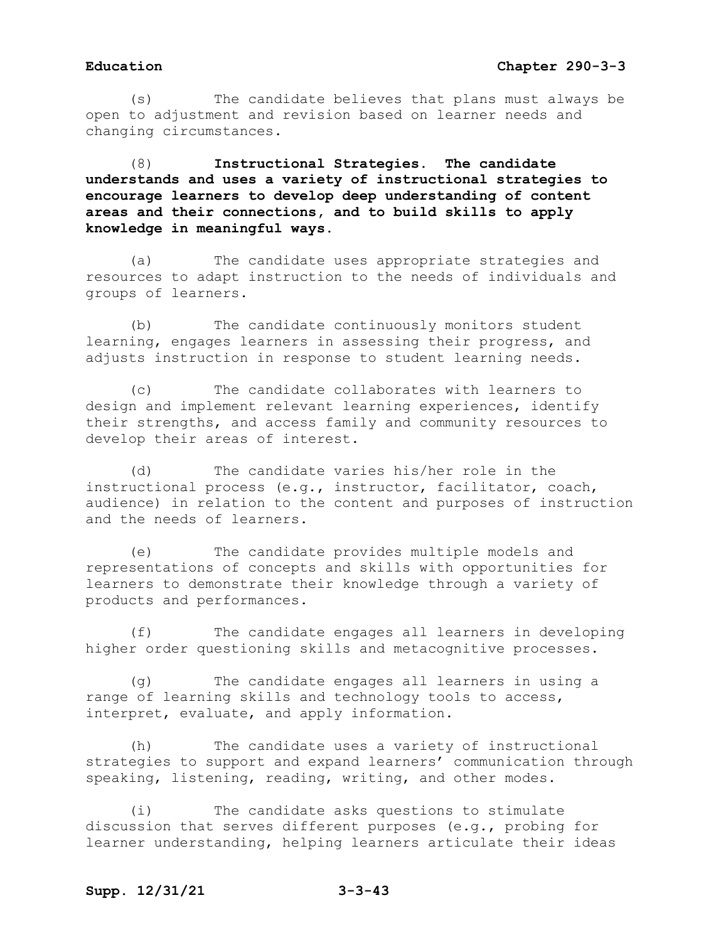(s) The candidate believes that plans must always be open to adjustment and revision based on learner needs and changing circumstances.

(8) **Instructional Strategies. The candidate understands and uses a variety of instructional strategies to encourage learners to develop deep understanding of content areas and their connections, and to build skills to apply knowledge in meaningful ways.**

(a) The candidate uses appropriate strategies and resources to adapt instruction to the needs of individuals and groups of learners.

(b) The candidate continuously monitors student learning, engages learners in assessing their progress, and adjusts instruction in response to student learning needs.

(c) The candidate collaborates with learners to design and implement relevant learning experiences, identify their strengths, and access family and community resources to develop their areas of interest.

(d) The candidate varies his/her role in the instructional process (e.g., instructor, facilitator, coach, audience) in relation to the content and purposes of instruction and the needs of learners.

(e) The candidate provides multiple models and representations of concepts and skills with opportunities for learners to demonstrate their knowledge through a variety of products and performances.

(f) The candidate engages all learners in developing higher order questioning skills and metacognitive processes.

(g) The candidate engages all learners in using a range of learning skills and technology tools to access, interpret, evaluate, and apply information.

(h) The candidate uses a variety of instructional strategies to support and expand learners' communication through speaking, listening, reading, writing, and other modes.

(i) The candidate asks questions to stimulate discussion that serves different purposes (e.g., probing for learner understanding, helping learners articulate their ideas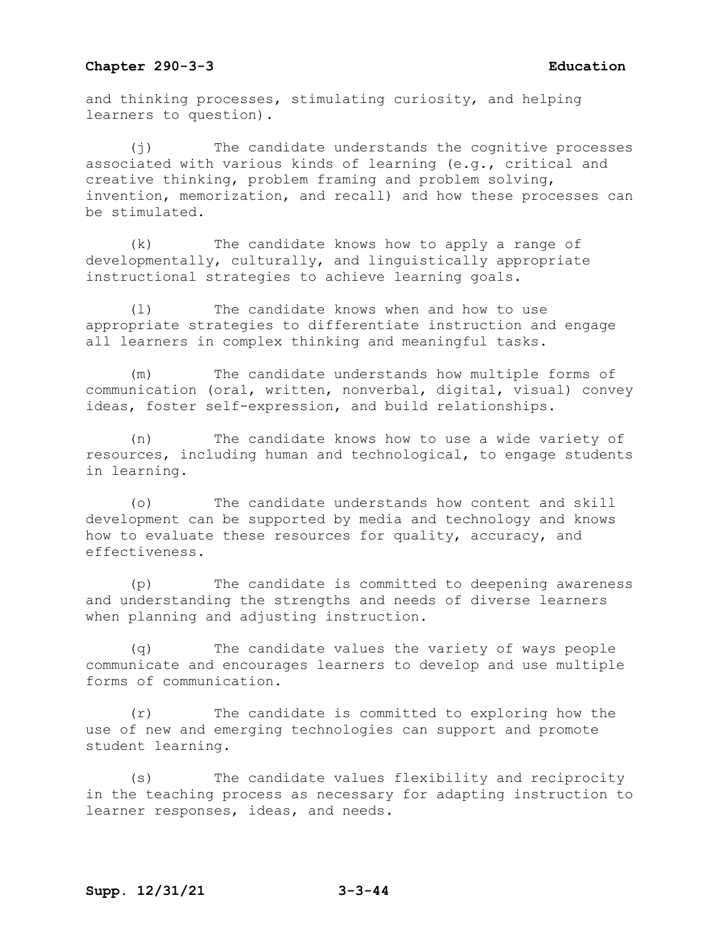and thinking processes, stimulating curiosity, and helping learners to question).

(j) The candidate understands the cognitive processes associated with various kinds of learning (e.g., critical and creative thinking, problem framing and problem solving, invention, memorization, and recall) and how these processes can be stimulated.

(k) The candidate knows how to apply a range of developmentally, culturally, and linguistically appropriate instructional strategies to achieve learning goals.

(l) The candidate knows when and how to use appropriate strategies to differentiate instruction and engage all learners in complex thinking and meaningful tasks.

(m) The candidate understands how multiple forms of communication (oral, written, nonverbal, digital, visual) convey ideas, foster self-expression, and build relationships.

(n) The candidate knows how to use a wide variety of resources, including human and technological, to engage students in learning.

(o) The candidate understands how content and skill development can be supported by media and technology and knows how to evaluate these resources for quality, accuracy, and effectiveness.

(p) The candidate is committed to deepening awareness and understanding the strengths and needs of diverse learners when planning and adjusting instruction.

(q) The candidate values the variety of ways people communicate and encourages learners to develop and use multiple forms of communication.

(r) The candidate is committed to exploring how the use of new and emerging technologies can support and promote student learning.

(s) The candidate values flexibility and reciprocity in the teaching process as necessary for adapting instruction to learner responses, ideas, and needs.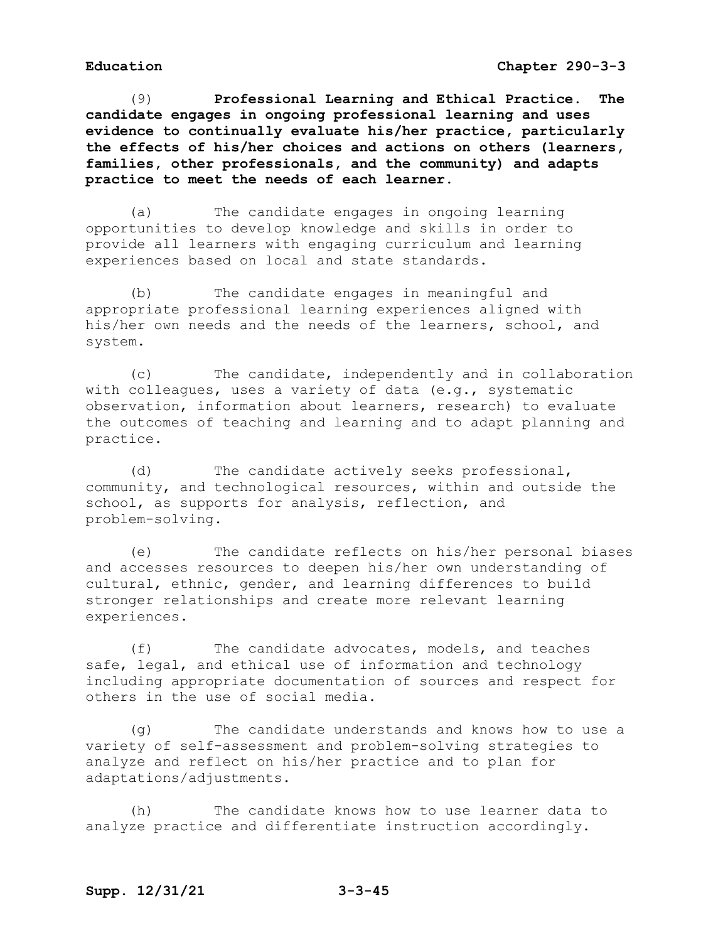(9) **Professional Learning and Ethical Practice. The candidate engages in ongoing professional learning and uses evidence to continually evaluate his/her practice, particularly the effects of his/her choices and actions on others (learners, families, other professionals, and the community) and adapts practice to meet the needs of each learner.**

(a) The candidate engages in ongoing learning opportunities to develop knowledge and skills in order to provide all learners with engaging curriculum and learning experiences based on local and state standards.

(b) The candidate engages in meaningful and appropriate professional learning experiences aligned with his/her own needs and the needs of the learners, school, and system.

(c) The candidate, independently and in collaboration with colleagues, uses a variety of data (e.g., systematic observation, information about learners, research) to evaluate the outcomes of teaching and learning and to adapt planning and practice.

(d) The candidate actively seeks professional, community, and technological resources, within and outside the school, as supports for analysis, reflection, and problem-solving.

(e) The candidate reflects on his/her personal biases and accesses resources to deepen his/her own understanding of cultural, ethnic, gender, and learning differences to build stronger relationships and create more relevant learning experiences.

(f) The candidate advocates, models, and teaches safe, legal, and ethical use of information and technology including appropriate documentation of sources and respect for others in the use of social media.

(g) The candidate understands and knows how to use a variety of self-assessment and problem-solving strategies to analyze and reflect on his/her practice and to plan for adaptations/adjustments.

(h) The candidate knows how to use learner data to analyze practice and differentiate instruction accordingly.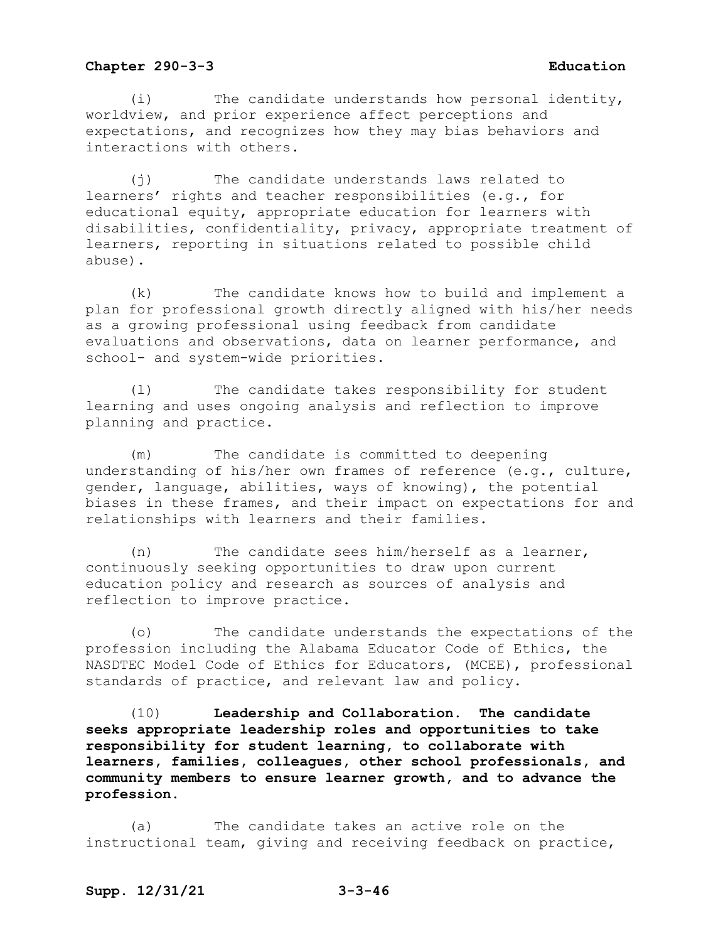(i) The candidate understands how personal identity, worldview, and prior experience affect perceptions and expectations, and recognizes how they may bias behaviors and interactions with others.

(j) The candidate understands laws related to learners' rights and teacher responsibilities (e.g., for educational equity, appropriate education for learners with disabilities, confidentiality, privacy, appropriate treatment of learners, reporting in situations related to possible child abuse).

(k) The candidate knows how to build and implement a plan for professional growth directly aligned with his/her needs as a growing professional using feedback from candidate evaluations and observations, data on learner performance, and school- and system-wide priorities.

(l) The candidate takes responsibility for student learning and uses ongoing analysis and reflection to improve planning and practice.

(m) The candidate is committed to deepening understanding of his/her own frames of reference (e.g., culture, gender, language, abilities, ways of knowing), the potential biases in these frames, and their impact on expectations for and relationships with learners and their families.

(n) The candidate sees him/herself as a learner, continuously seeking opportunities to draw upon current education policy and research as sources of analysis and reflection to improve practice.

(o) The candidate understands the expectations of the profession including the Alabama Educator Code of Ethics, the NASDTEC Model Code of Ethics for Educators, (MCEE), professional standards of practice, and relevant law and policy.

(10) **Leadership and Collaboration. The candidate seeks appropriate leadership roles and opportunities to take responsibility for student learning, to collaborate with learners, families, colleagues, other school professionals, and community members to ensure learner growth, and to advance the profession.**

(a) The candidate takes an active role on the instructional team, giving and receiving feedback on practice,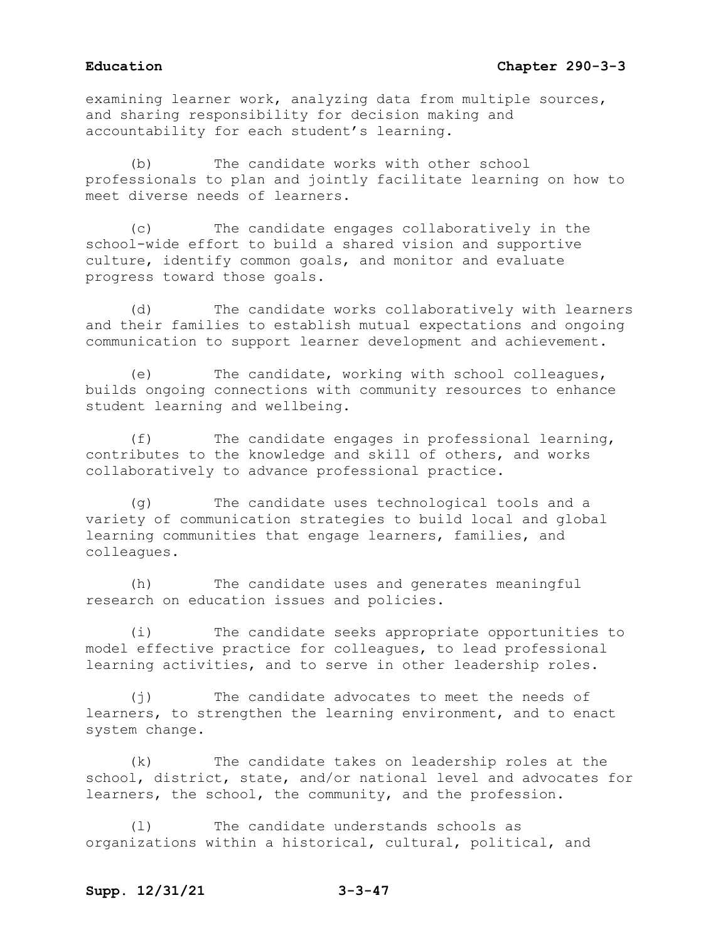examining learner work, analyzing data from multiple sources, and sharing responsibility for decision making and accountability for each student's learning.

(b) The candidate works with other school professionals to plan and jointly facilitate learning on how to meet diverse needs of learners.

(c) The candidate engages collaboratively in the school-wide effort to build a shared vision and supportive culture, identify common goals, and monitor and evaluate progress toward those goals.

(d) The candidate works collaboratively with learners and their families to establish mutual expectations and ongoing communication to support learner development and achievement.

(e) The candidate, working with school colleagues, builds ongoing connections with community resources to enhance student learning and wellbeing.

(f) The candidate engages in professional learning, contributes to the knowledge and skill of others, and works collaboratively to advance professional practice.

(g) The candidate uses technological tools and a variety of communication strategies to build local and global learning communities that engage learners, families, and colleagues.

(h) The candidate uses and generates meaningful research on education issues and policies.

(i) The candidate seeks appropriate opportunities to model effective practice for colleagues, to lead professional learning activities, and to serve in other leadership roles.

(j) The candidate advocates to meet the needs of learners, to strengthen the learning environment, and to enact system change.

(k) The candidate takes on leadership roles at the school, district, state, and/or national level and advocates for learners, the school, the community, and the profession.

(l) The candidate understands schools as organizations within a historical, cultural, political, and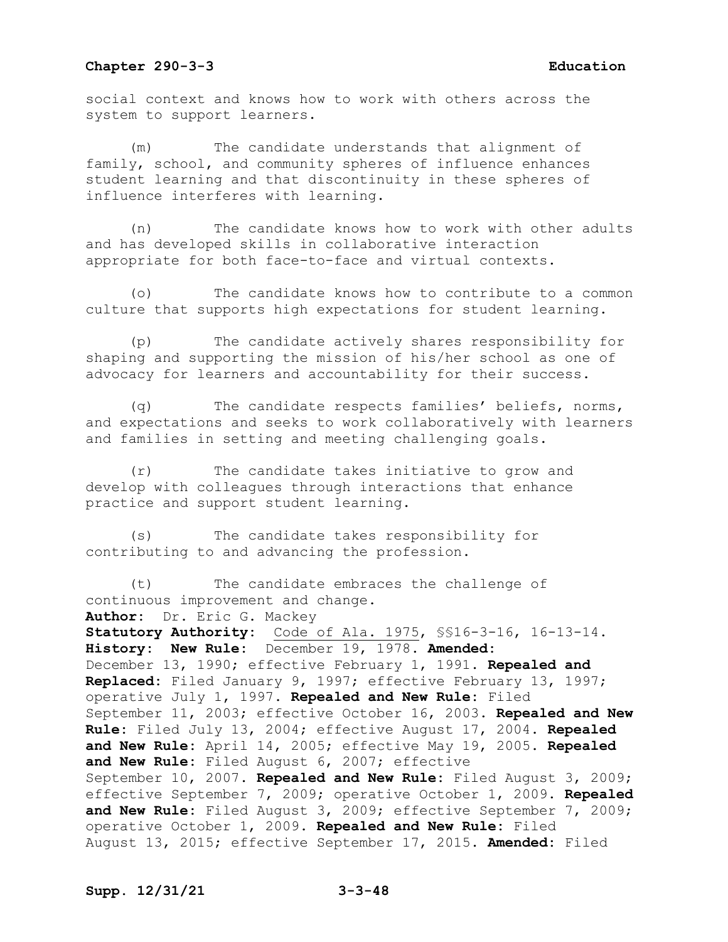social context and knows how to work with others across the system to support learners.

(m) The candidate understands that alignment of family, school, and community spheres of influence enhances student learning and that discontinuity in these spheres of influence interferes with learning.

(n) The candidate knows how to work with other adults and has developed skills in collaborative interaction appropriate for both face-to-face and virtual contexts.

(o) The candidate knows how to contribute to a common culture that supports high expectations for student learning.

(p) The candidate actively shares responsibility for shaping and supporting the mission of his/her school as one of advocacy for learners and accountability for their success.

(q) The candidate respects families' beliefs, norms, and expectations and seeks to work collaboratively with learners and families in setting and meeting challenging goals.

(r) The candidate takes initiative to grow and develop with colleagues through interactions that enhance practice and support student learning.

(s) The candidate takes responsibility for contributing to and advancing the profession.

(t) The candidate embraces the challenge of continuous improvement and change. **Author:** Dr. Eric G. Mackey **Statutory Authority:** Code of Ala. 1975, §§16-3-16, 16-13-14. **History: New Rule:** December 19, 1978. **Amended:** December 13, 1990; effective February 1, 1991. **Repealed and Replaced:** Filed January 9, 1997; effective February 13, 1997; operative July 1, 1997. **Repealed and New Rule:** Filed September 11, 2003; effective October 16, 2003. **Repealed and New Rule:** Filed July 13, 2004; effective August 17, 2004. **Repealed and New Rule:** April 14, 2005; effective May 19, 2005. **Repealed and New Rule:** Filed August 6, 2007; effective September 10, 2007. **Repealed and New Rule:** Filed August 3, 2009; effective September 7, 2009; operative October 1, 2009. **Repealed and New Rule:** Filed August 3, 2009; effective September 7, 2009; operative October 1, 2009. **Repealed and New Rule:** Filed August 13, 2015; effective September 17, 2015. **Amended:** Filed

**Supp. 12/31/21 3-3-48**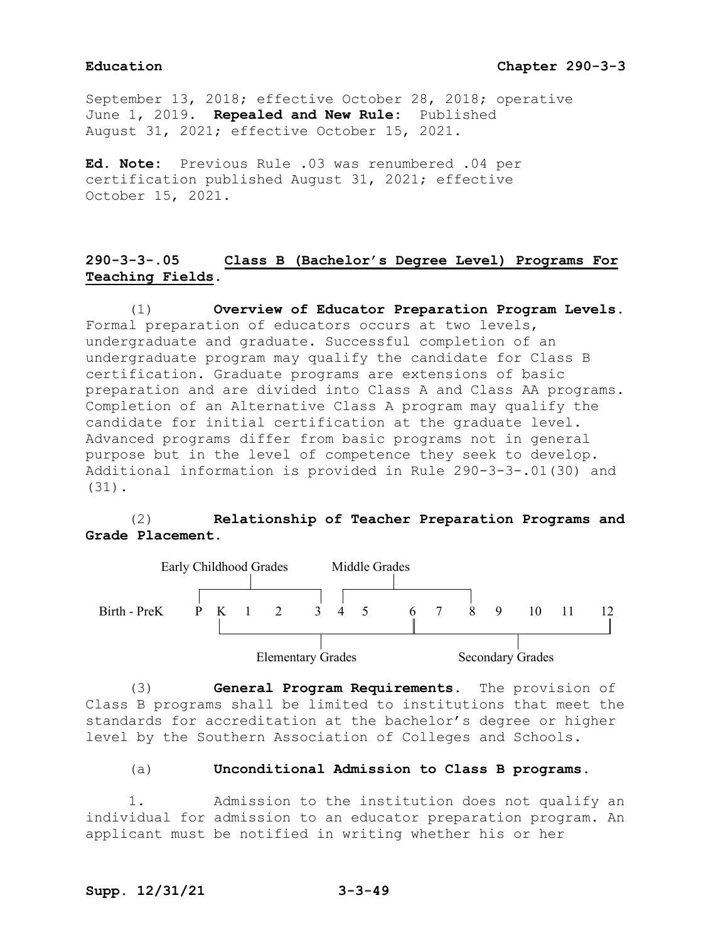# **Education Chapter 290-3-3**

September 13, 2018; effective October 28, 2018; operative June 1, 2019. **Repealed and New Rule:** Published August 31, 2021; effective October 15, 2021.

**Ed. Note:** Previous Rule .03 was renumbered .04 per certification published August 31, 2021; effective October 15, 2021.

# **290-3-3-.05 Class B (Bachelor's Degree Level) Programs For Teaching Fields.**

(1) **Overview of Educator Preparation Program Levels.** Formal preparation of educators occurs at two levels, undergraduate and graduate. Successful completion of an undergraduate program may qualify the candidate for Class B certification. Graduate programs are extensions of basic preparation and are divided into Class A and Class AA programs. Completion of an Alternative Class A program may qualify the candidate for initial certification at the graduate level. Advanced programs differ from basic programs not in general purpose but in the level of competence they seek to develop. Additional information is provided in Rule 290-3-3-.01(30) and (31).

# (2) **Relationship of Teacher Preparation Programs and Grade Placement.**



(3) **General Program Requirements.** The provision of Class B programs shall be limited to institutions that meet the standards for accreditation at the bachelor's degree or higher level by the Southern Association of Colleges and Schools.

### (a) **Unconditional Admission to Class B programs.**

1. Admission to the institution does not qualify an individual for admission to an educator preparation program. An applicant must be notified in writing whether his or her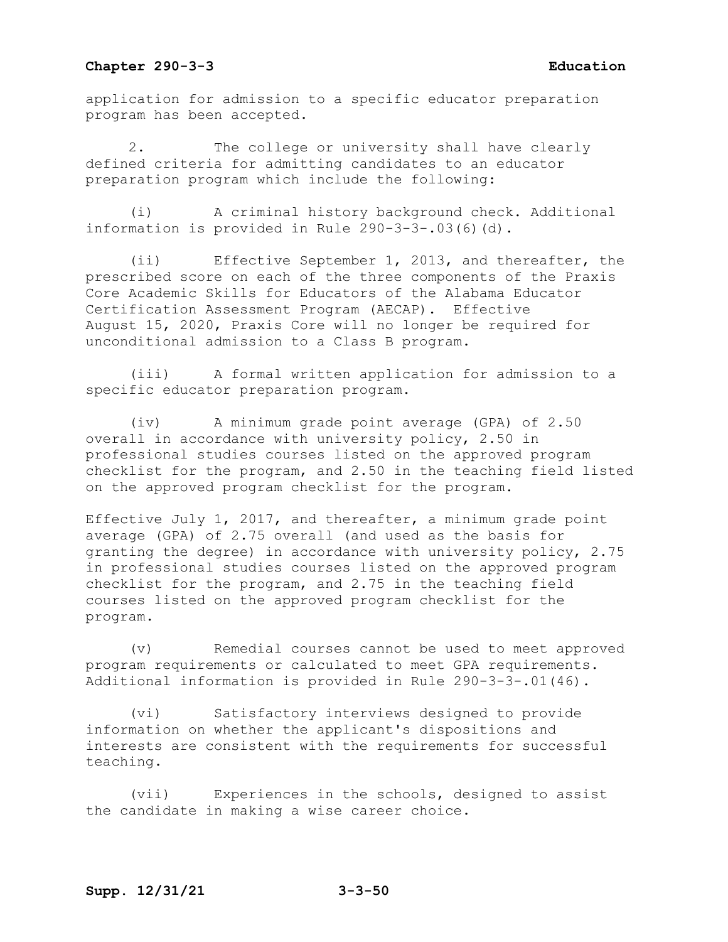application for admission to a specific educator preparation program has been accepted.

2. The college or university shall have clearly defined criteria for admitting candidates to an educator preparation program which include the following:

(i) A criminal history background check. Additional information is provided in Rule 290-3-3-.03(6)(d).

(ii) Effective September 1, 2013, and thereafter, the prescribed score on each of the three components of the Praxis Core Academic Skills for Educators of the Alabama Educator Certification Assessment Program (AECAP). Effective August 15, 2020, Praxis Core will no longer be required for unconditional admission to a Class B program.

(iii) A formal written application for admission to a specific educator preparation program.

(iv) A minimum grade point average (GPA) of 2.50 overall in accordance with university policy, 2.50 in professional studies courses listed on the approved program checklist for the program, and 2.50 in the teaching field listed on the approved program checklist for the program.

Effective July 1, 2017, and thereafter, a minimum grade point average (GPA) of 2.75 overall (and used as the basis for granting the degree) in accordance with university policy, 2.75 in professional studies courses listed on the approved program checklist for the program, and 2.75 in the teaching field courses listed on the approved program checklist for the program.

(v) Remedial courses cannot be used to meet approved program requirements or calculated to meet GPA requirements. Additional information is provided in Rule 290-3-3-.01(46).

(vi) Satisfactory interviews designed to provide information on whether the applicant's dispositions and interests are consistent with the requirements for successful teaching.

(vii) Experiences in the schools, designed to assist the candidate in making a wise career choice.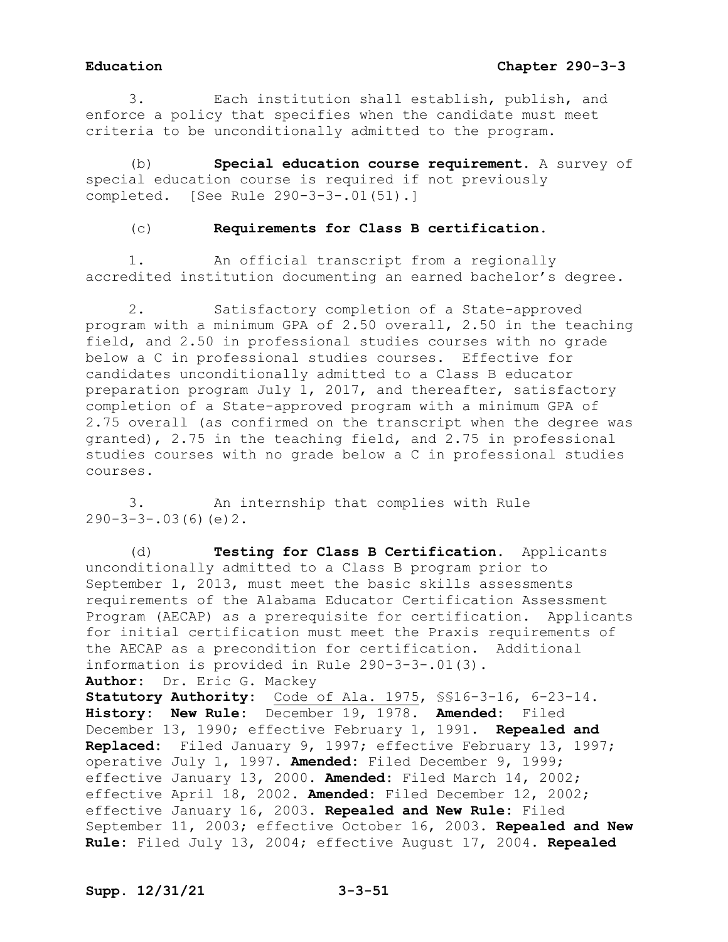3. Each institution shall establish, publish, and enforce a policy that specifies when the candidate must meet criteria to be unconditionally admitted to the program.

(b) **Special education course requirement.** A survey of special education course is required if not previously completed. [See Rule 290-3-3-.01(51).]

# (c) **Requirements for Class B certification.**

1. An official transcript from a regionally accredited institution documenting an earned bachelor's degree.

2. Satisfactory completion of a State-approved program with a minimum GPA of 2.50 overall, 2.50 in the teaching field, and 2.50 in professional studies courses with no grade below a C in professional studies courses. Effective for candidates unconditionally admitted to a Class B educator preparation program July 1, 2017, and thereafter, satisfactory completion of a State-approved program with a minimum GPA of 2.75 overall (as confirmed on the transcript when the degree was granted), 2.75 in the teaching field, and 2.75 in professional studies courses with no grade below a C in professional studies courses.

3. An internship that complies with Rule  $290-3-3-.03(6)(e)2.$ 

(d) **Testing for Class B Certification.** Applicants unconditionally admitted to a Class B program prior to September 1, 2013, must meet the basic skills assessments requirements of the Alabama Educator Certification Assessment Program (AECAP) as a prerequisite for certification. Applicants for initial certification must meet the Praxis requirements of the AECAP as a precondition for certification. Additional information is provided in Rule 290-3-3-.01(3). **Author:** Dr. Eric G. Mackey **Statutory Authority:** Code of Ala. 1975, §§16-3-16, 6-23-14. **History: New Rule:** December 19, 1978. **Amended:** Filed December 13, 1990; effective February 1, 1991. **Repealed and Replaced:** Filed January 9, 1997; effective February 13, 1997;

operative July 1, 1997. **Amended:** Filed December 9, 1999; effective January 13, 2000. **Amended:** Filed March 14, 2002; effective April 18, 2002. **Amended:** Filed December 12, 2002; effective January 16, 2003. **Repealed and New Rule:** Filed September 11, 2003; effective October 16, 2003. **Repealed and New Rule:** Filed July 13, 2004; effective August 17, 2004. **Repealed**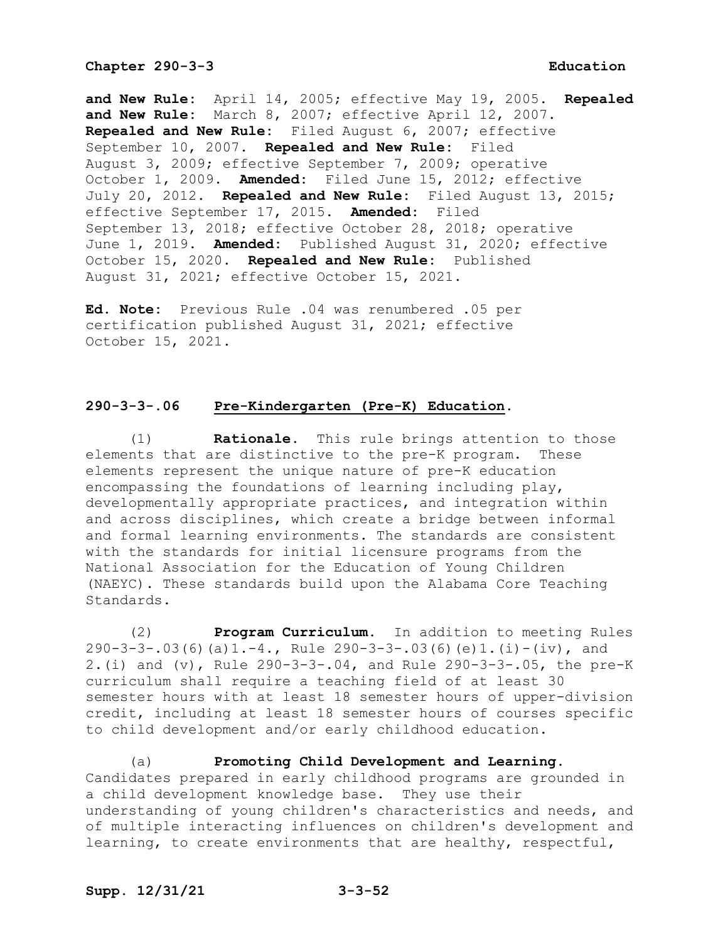**and New Rule:** April 14, 2005; effective May 19, 2005. **Repealed and New Rule:** March 8, 2007; effective April 12, 2007. **Repealed and New Rule:** Filed August 6, 2007; effective September 10, 2007. **Repealed and New Rule:** Filed August 3, 2009; effective September 7, 2009; operative October 1, 2009. **Amended:** Filed June 15, 2012; effective July 20, 2012. **Repealed and New Rule:** Filed August 13, 2015; effective September 17, 2015. **Amended:** Filed September 13, 2018; effective October 28, 2018; operative June 1, 2019. **Amended:** Published August 31, 2020; effective October 15, 2020. **Repealed and New Rule:** Published August 31, 2021; effective October 15, 2021.

**Ed. Note:** Previous Rule .04 was renumbered .05 per certification published August 31, 2021; effective October 15, 2021.

# **290-3-3-.06 Pre-Kindergarten (Pre-K) Education.**

(1) **Rationale.** This rule brings attention to those elements that are distinctive to the pre-K program. These elements represent the unique nature of pre-K education encompassing the foundations of learning including play, developmentally appropriate practices, and integration within and across disciplines, which create a bridge between informal and formal learning environments. The standards are consistent with the standards for initial licensure programs from the National Association for the Education of Young Children (NAEYC). These standards build upon the Alabama Core Teaching Standards.

(2) **Program Curriculum.** In addition to meeting Rules  $290-3-3-.03(6)(a)1.-4.$ , Rule  $290-3-3-.03(6)(e)1.(i)-(iv)$ , and 2.(i) and (v), Rule 290-3-3-.04, and Rule 290-3-3-.05, the pre-K curriculum shall require a teaching field of at least 30 semester hours with at least 18 semester hours of upper-division credit, including at least 18 semester hours of courses specific to child development and/or early childhood education.

(a) **Promoting Child Development and Learning.** Candidates prepared in early childhood programs are grounded in a child development knowledge base. They use their understanding of young children's characteristics and needs, and of multiple interacting influences on children's development and learning, to create environments that are healthy, respectful,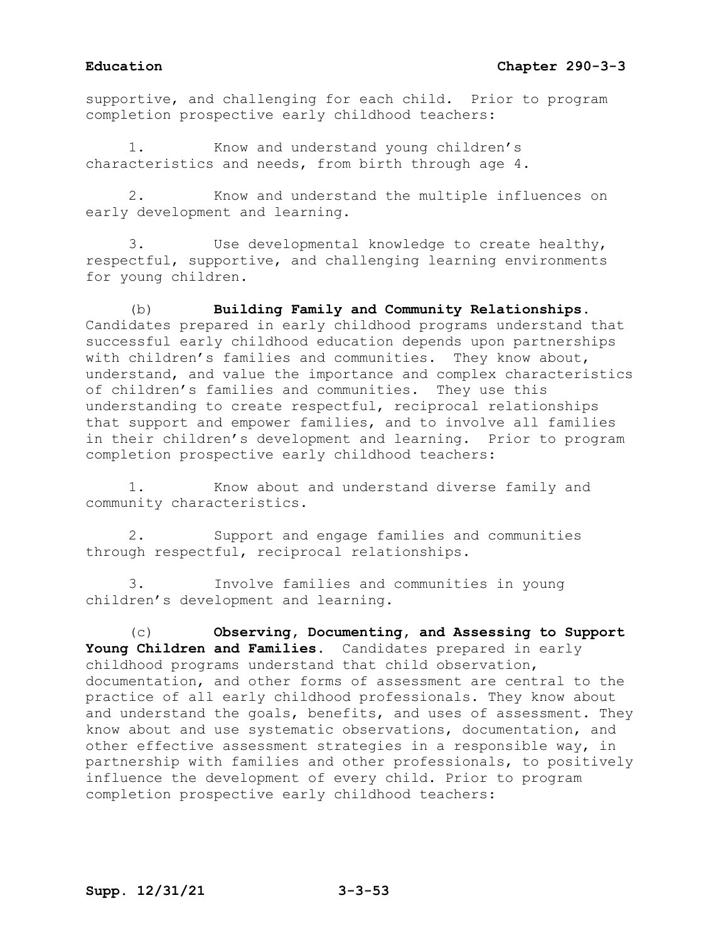supportive, and challenging for each child. Prior to program completion prospective early childhood teachers:

Know and understand young children's characteristics and needs, from birth through age 4.

2. Know and understand the multiple influences on early development and learning.

3. Use developmental knowledge to create healthy, respectful, supportive, and challenging learning environments for young children.

(b) **Building Family and Community Relationships.**  Candidates prepared in early childhood programs understand that successful early childhood education depends upon partnerships with children's families and communities. They know about, understand, and value the importance and complex characteristics of children's families and communities. They use this understanding to create respectful, reciprocal relationships that support and empower families, and to involve all families in their children's development and learning. Prior to program completion prospective early childhood teachers:

1. Know about and understand diverse family and community characteristics.

2. Support and engage families and communities through respectful, reciprocal relationships.

3. Involve families and communities in young children's development and learning.

(c) **Observing, Documenting, and Assessing to Support Young Children and Families.** Candidates prepared in early childhood programs understand that child observation, documentation, and other forms of assessment are central to the practice of all early childhood professionals. They know about and understand the goals, benefits, and uses of assessment. They know about and use systematic observations, documentation, and other effective assessment strategies in a responsible way, in partnership with families and other professionals, to positively influence the development of every child. Prior to program completion prospective early childhood teachers: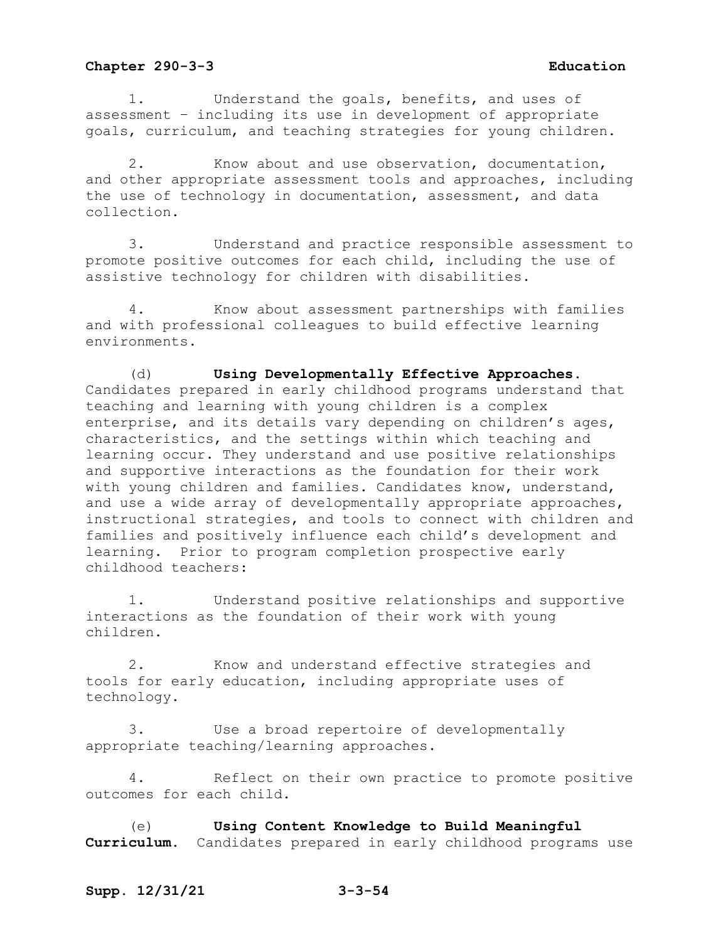1. Understand the goals, benefits, and uses of assessment – including its use in development of appropriate goals, curriculum, and teaching strategies for young children.

2. Know about and use observation, documentation, and other appropriate assessment tools and approaches, including the use of technology in documentation, assessment, and data collection.

3. Understand and practice responsible assessment to promote positive outcomes for each child, including the use of assistive technology for children with disabilities.

4. Know about assessment partnerships with families and with professional colleagues to build effective learning environments.

(d) **Using Developmentally Effective Approaches.**  Candidates prepared in early childhood programs understand that teaching and learning with young children is a complex enterprise, and its details vary depending on children's ages, characteristics, and the settings within which teaching and learning occur. They understand and use positive relationships and supportive interactions as the foundation for their work with young children and families. Candidates know, understand, and use a wide array of developmentally appropriate approaches, instructional strategies, and tools to connect with children and families and positively influence each child's development and learning. Prior to program completion prospective early childhood teachers:

1. Understand positive relationships and supportive interactions as the foundation of their work with young children.

2. Know and understand effective strategies and tools for early education, including appropriate uses of technology.

3. Use a broad repertoire of developmentally appropriate teaching/learning approaches.

4. Reflect on their own practice to promote positive outcomes for each child.

(e) **Using Content Knowledge to Build Meaningful Curriculum.** Candidates prepared in early childhood programs use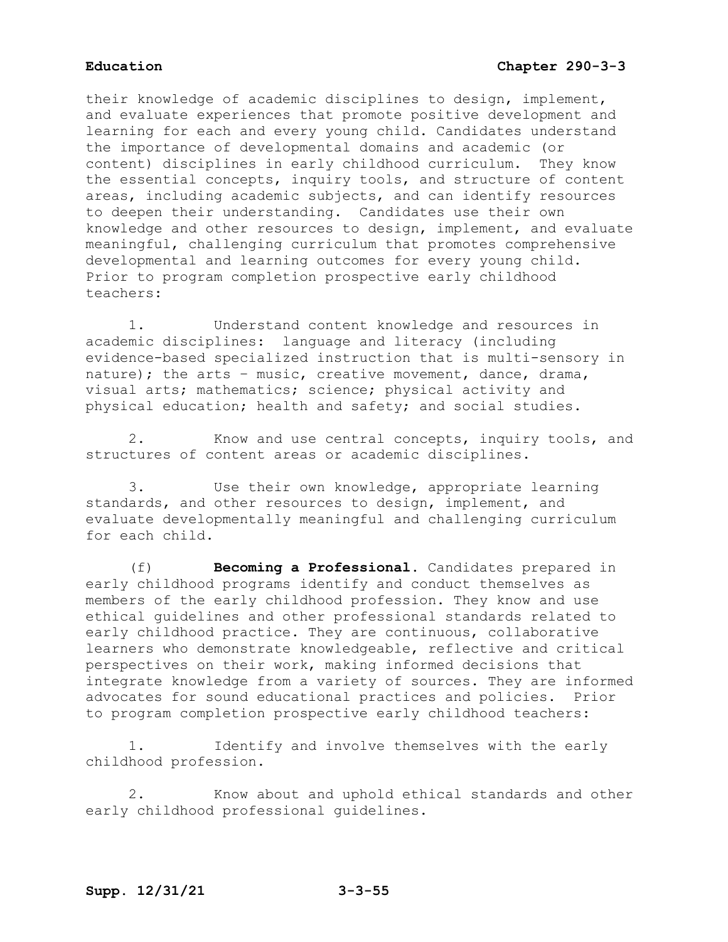their knowledge of academic disciplines to design, implement, and evaluate experiences that promote positive development and learning for each and every young child. Candidates understand the importance of developmental domains and academic (or content) disciplines in early childhood curriculum. They know the essential concepts, inquiry tools, and structure of content areas, including academic subjects, and can identify resources to deepen their understanding. Candidates use their own knowledge and other resources to design, implement, and evaluate meaningful, challenging curriculum that promotes comprehensive developmental and learning outcomes for every young child. Prior to program completion prospective early childhood teachers:

1. Understand content knowledge and resources in academic disciplines: language and literacy (including evidence-based specialized instruction that is multi-sensory in nature); the arts – music, creative movement, dance, drama, visual arts; mathematics; science; physical activity and physical education; health and safety; and social studies.

2. Know and use central concepts, inquiry tools, and structures of content areas or academic disciplines.

3. Use their own knowledge, appropriate learning standards, and other resources to design, implement, and evaluate developmentally meaningful and challenging curriculum for each child.

(f) **Becoming a Professional.** Candidates prepared in early childhood programs identify and conduct themselves as members of the early childhood profession. They know and use ethical guidelines and other professional standards related to early childhood practice. They are continuous, collaborative learners who demonstrate knowledgeable, reflective and critical perspectives on their work, making informed decisions that integrate knowledge from a variety of sources. They are informed advocates for sound educational practices and policies. Prior to program completion prospective early childhood teachers:

1. Identify and involve themselves with the early childhood profession.

2. Know about and uphold ethical standards and other early childhood professional guidelines.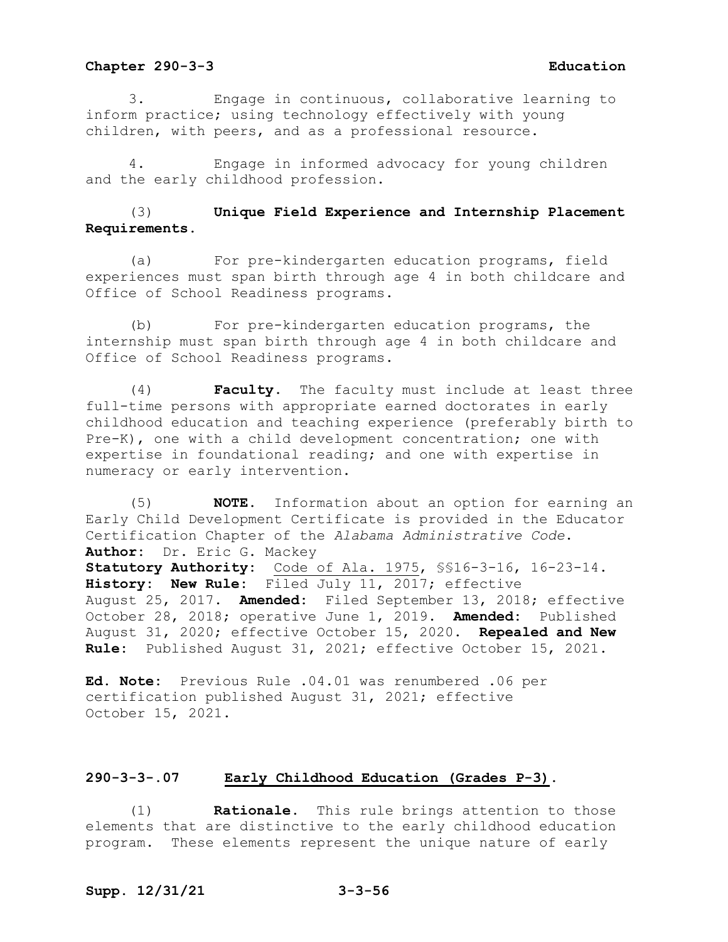3. Engage in continuous, collaborative learning to inform practice; using technology effectively with young children, with peers, and as a professional resource.

4. Engage in informed advocacy for young children and the early childhood profession.

# (3) **Unique Field Experience and Internship Placement Requirements.**

(a) For pre-kindergarten education programs, field experiences must span birth through age 4 in both childcare and Office of School Readiness programs.

(b) For pre-kindergarten education programs, the internship must span birth through age 4 in both childcare and Office of School Readiness programs.

(4) **Faculty.** The faculty must include at least three full-time persons with appropriate earned doctorates in early childhood education and teaching experience (preferably birth to Pre-K), one with a child development concentration; one with expertise in foundational reading; and one with expertise in numeracy or early intervention.

(5) **NOTE.** Information about an option for earning an Early Child Development Certificate is provided in the Educator Certification Chapter of the *Alabama Administrative Code*. **Author:** Dr. Eric G. Mackey **Statutory Authority:** Code of Ala. 1975, §§16-3-16, 16-23-14. **History: New Rule:** Filed July 11, 2017; effective August 25, 2017. **Amended:** Filed September 13, 2018; effective October 28, 2018; operative June 1, 2019. **Amended:** Published August 31, 2020; effective October 15, 2020. **Repealed and New Rule:** Published August 31, 2021; effective October 15, 2021.

**Ed. Note:** Previous Rule .04.01 was renumbered .06 per certification published August 31, 2021; effective October 15, 2021.

# **290-3-3-.07 Early Childhood Education (Grades P-3).**

(1) **Rationale.** This rule brings attention to those elements that are distinctive to the early childhood education program. These elements represent the unique nature of early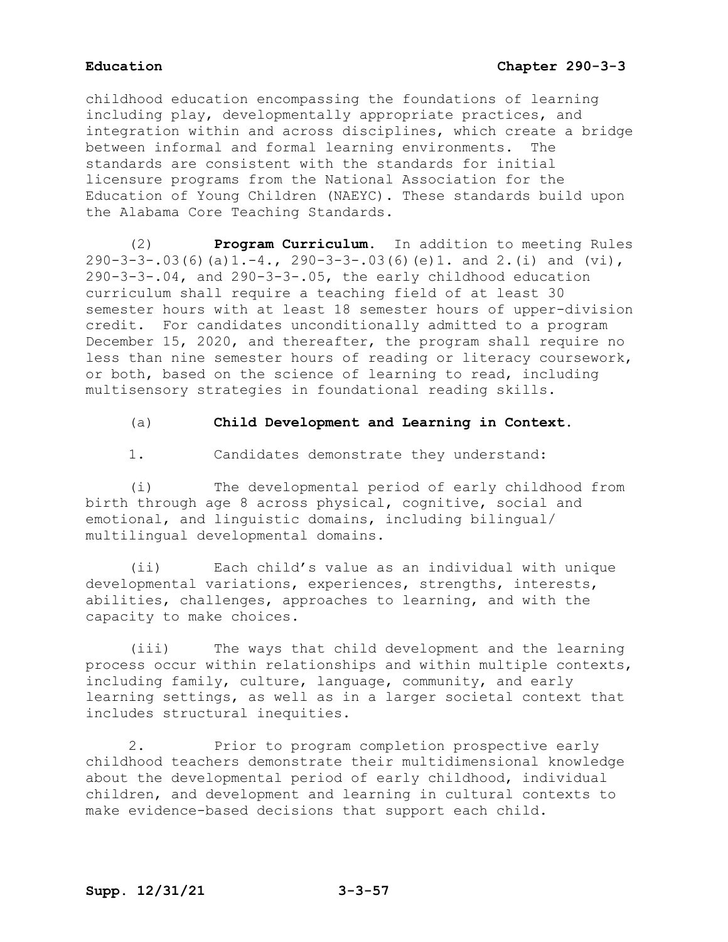childhood education encompassing the foundations of learning including play, developmentally appropriate practices, and integration within and across disciplines, which create a bridge between informal and formal learning environments. The standards are consistent with the standards for initial licensure programs from the National Association for the Education of Young Children (NAEYC). These standards build upon the Alabama Core Teaching Standards.

(2) **Program Curriculum.** In addition to meeting Rules  $290-3-3-.03(6)(a)1.-4., 290-3-3-.03(6)(e)1.$  and  $2.(i)$  and  $(vi),$ 290-3-3-.04, and 290-3-3-.05, the early childhood education curriculum shall require a teaching field of at least 30 semester hours with at least 18 semester hours of upper-division credit. For candidates unconditionally admitted to a program December 15, 2020, and thereafter, the program shall require no less than nine semester hours of reading or literacy coursework, or both, based on the science of learning to read, including multisensory strategies in foundational reading skills.

# (a) **Child Development and Learning in Context.**

1. Candidates demonstrate they understand:

(i) The developmental period of early childhood from birth through age 8 across physical, cognitive, social and emotional, and linguistic domains, including bilingual/ multilingual developmental domains.

(ii) Each child's value as an individual with unique developmental variations, experiences, strengths, interests, abilities, challenges, approaches to learning, and with the capacity to make choices.

(iii) The ways that child development and the learning process occur within relationships and within multiple contexts, including family, culture, language, community, and early learning settings, as well as in a larger societal context that includes structural inequities.

2. Prior to program completion prospective early childhood teachers demonstrate their multidimensional knowledge about the developmental period of early childhood, individual children, and development and learning in cultural contexts to make evidence-based decisions that support each child.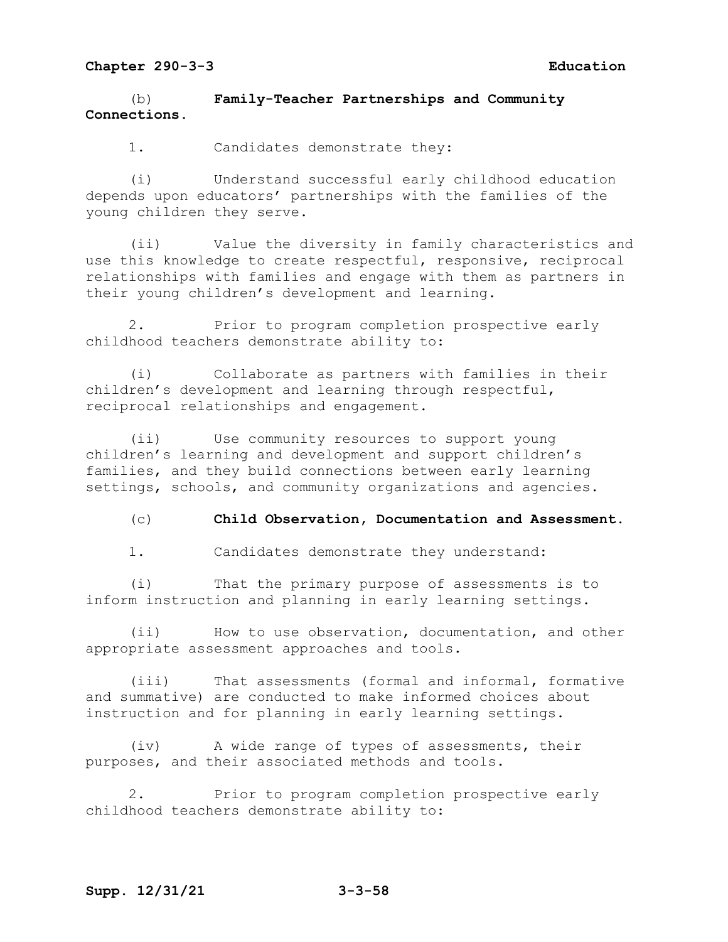(b) **Family-Teacher Partnerships and Community Connections.**

1. Candidates demonstrate they:

(i) Understand successful early childhood education depends upon educators' partnerships with the families of the young children they serve.

(ii) Value the diversity in family characteristics and use this knowledge to create respectful, responsive, reciprocal relationships with families and engage with them as partners in their young children's development and learning.

2. Prior to program completion prospective early childhood teachers demonstrate ability to:

(i) Collaborate as partners with families in their children's development and learning through respectful, reciprocal relationships and engagement.

(ii) Use community resources to support young children's learning and development and support children's families, and they build connections between early learning settings, schools, and community organizations and agencies.

(c) **Child Observation, Documentation and Assessment.**

1. Candidates demonstrate they understand:

(i) That the primary purpose of assessments is to inform instruction and planning in early learning settings.

(ii) How to use observation, documentation, and other appropriate assessment approaches and tools.

(iii) That assessments (formal and informal, formative and summative) are conducted to make informed choices about instruction and for planning in early learning settings.

(iv) A wide range of types of assessments, their purposes, and their associated methods and tools.

2. Prior to program completion prospective early childhood teachers demonstrate ability to: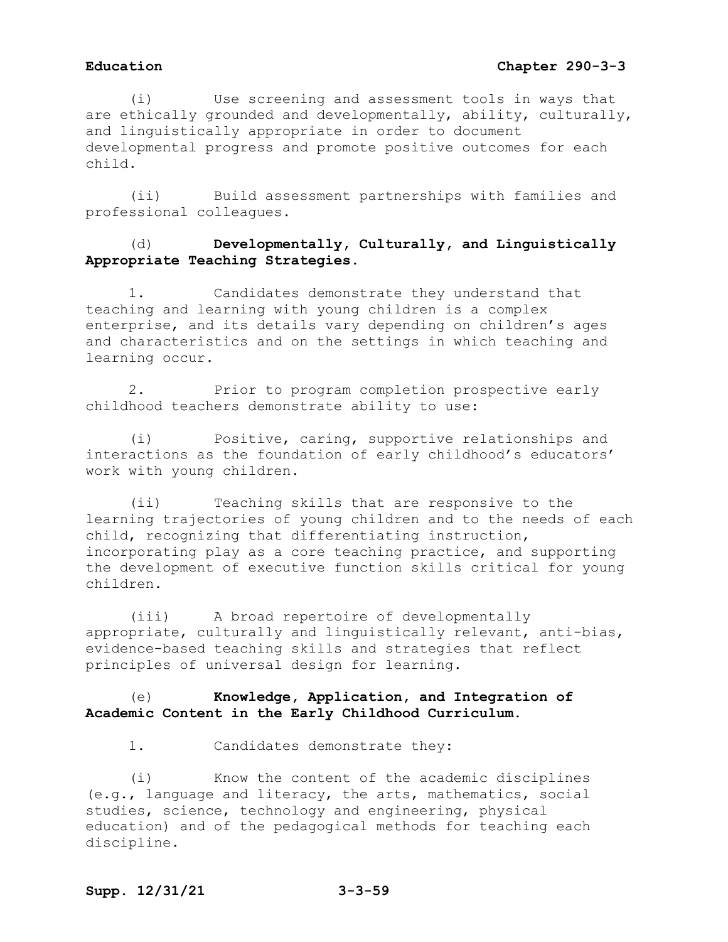# **Education Chapter 290-3-3**

(i) Use screening and assessment tools in ways that are ethically grounded and developmentally, ability, culturally, and linguistically appropriate in order to document developmental progress and promote positive outcomes for each child.

(ii) Build assessment partnerships with families and professional colleagues.

# (d) **Developmentally, Culturally, and Linguistically Appropriate Teaching Strategies.**

1. Candidates demonstrate they understand that teaching and learning with young children is a complex enterprise, and its details vary depending on children's ages and characteristics and on the settings in which teaching and learning occur.

2. Prior to program completion prospective early childhood teachers demonstrate ability to use:

(i) Positive, caring, supportive relationships and interactions as the foundation of early childhood's educators' work with young children.

(ii) Teaching skills that are responsive to the learning trajectories of young children and to the needs of each child, recognizing that differentiating instruction, incorporating play as a core teaching practice, and supporting the development of executive function skills critical for young children.

(iii) A broad repertoire of developmentally appropriate, culturally and linguistically relevant, anti-bias, evidence-based teaching skills and strategies that reflect principles of universal design for learning.

# (e) **Knowledge, Application, and Integration of Academic Content in the Early Childhood Curriculum.**

1. Candidates demonstrate they:

(i) Know the content of the academic disciplines (e.g., language and literacy, the arts, mathematics, social studies, science, technology and engineering, physical education) and of the pedagogical methods for teaching each discipline.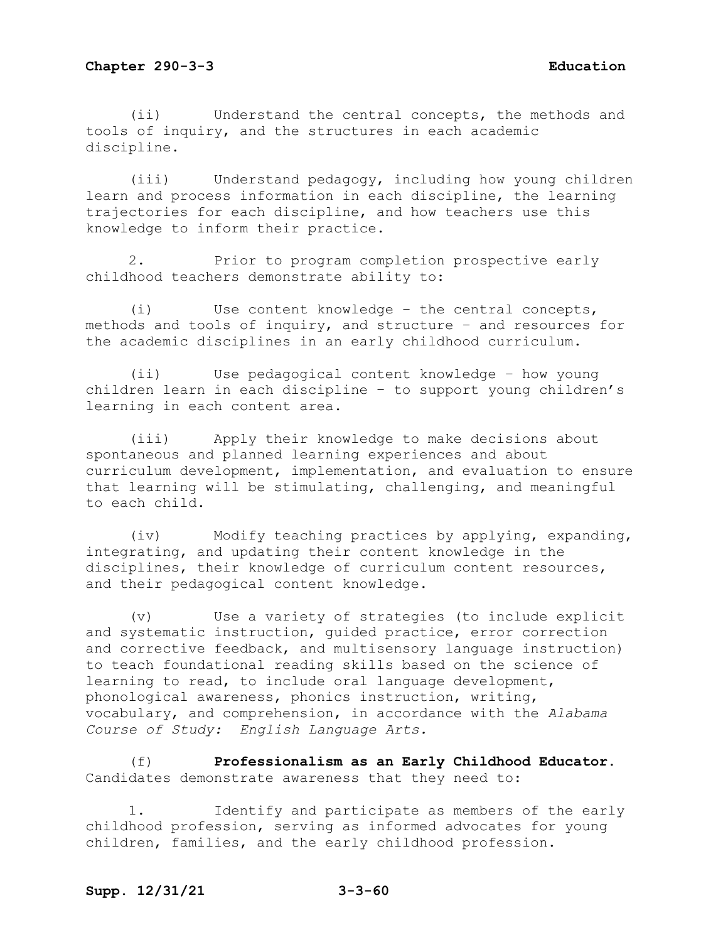(ii) Understand the central concepts, the methods and tools of inquiry, and the structures in each academic discipline.

(iii) Understand pedagogy, including how young children learn and process information in each discipline, the learning trajectories for each discipline, and how teachers use this knowledge to inform their practice.

2. Prior to program completion prospective early childhood teachers demonstrate ability to:

(i) Use content knowledge – the central concepts, methods and tools of inquiry, and structure – and resources for the academic disciplines in an early childhood curriculum.

(ii) Use pedagogical content knowledge – how young children learn in each discipline – to support young children's learning in each content area.

(iii) Apply their knowledge to make decisions about spontaneous and planned learning experiences and about curriculum development, implementation, and evaluation to ensure that learning will be stimulating, challenging, and meaningful to each child.

(iv) Modify teaching practices by applying, expanding, integrating, and updating their content knowledge in the disciplines, their knowledge of curriculum content resources, and their pedagogical content knowledge.

(v) Use a variety of strategies (to include explicit and systematic instruction, guided practice, error correction and corrective feedback, and multisensory language instruction) to teach foundational reading skills based on the science of learning to read, to include oral language development, phonological awareness, phonics instruction, writing, vocabulary, and comprehension, in accordance with the *Alabama Course of Study: English Language Arts.*

(f) **Professionalism as an Early Childhood Educator.**  Candidates demonstrate awareness that they need to:

1. Identify and participate as members of the early childhood profession, serving as informed advocates for young children, families, and the early childhood profession.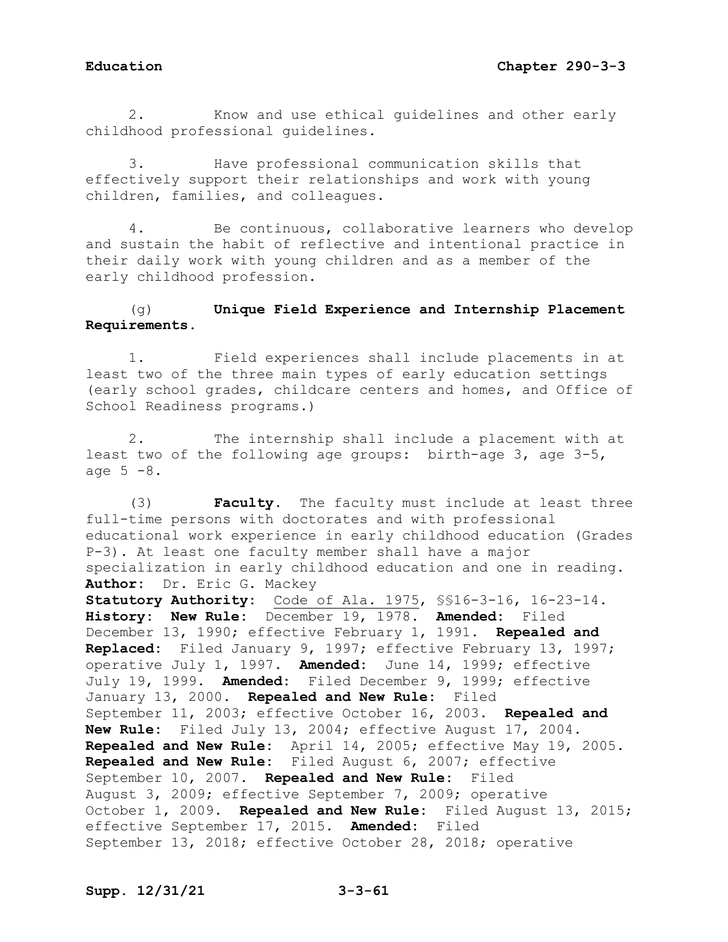2. Know and use ethical guidelines and other early childhood professional guidelines.

3. Have professional communication skills that effectively support their relationships and work with young children, families, and colleagues.

4. Be continuous, collaborative learners who develop and sustain the habit of reflective and intentional practice in their daily work with young children and as a member of the early childhood profession.

# (g) **Unique Field Experience and Internship Placement Requirements.**

1. Field experiences shall include placements in at least two of the three main types of early education settings (early school grades, childcare centers and homes, and Office of School Readiness programs.)

2. The internship shall include a placement with at least two of the following age groups: birth-age 3, age 3-5, age  $5 - 8$ .

(3) **Faculty.** The faculty must include at least three full-time persons with doctorates and with professional educational work experience in early childhood education (Grades P-3). At least one faculty member shall have a major specialization in early childhood education and one in reading. **Author:** Dr. Eric G. Mackey **Statutory Authority:** Code of Ala. 1975, §§16-3-16, 16-23-14. **History: New Rule:** December 19, 1978. **Amended:** Filed December 13, 1990; effective February 1, 1991. **Repealed and Replaced:** Filed January 9, 1997; effective February 13, 1997; operative July 1, 1997. **Amended:** June 14, 1999; effective July 19, 1999. **Amended:** Filed December 9, 1999; effective January 13, 2000. **Repealed and New Rule:** Filed September 11, 2003; effective October 16, 2003. **Repealed and New Rule:** Filed July 13, 2004; effective August 17, 2004. **Repealed and New Rule:** April 14, 2005; effective May 19, 2005. **Repealed and New Rule:** Filed August 6, 2007; effective September 10, 2007. **Repealed and New Rule:** Filed August 3, 2009; effective September 7, 2009; operative October 1, 2009. **Repealed and New Rule:** Filed August 13, 2015; effective September 17, 2015. **Amended:** Filed September 13, 2018; effective October 28, 2018; operative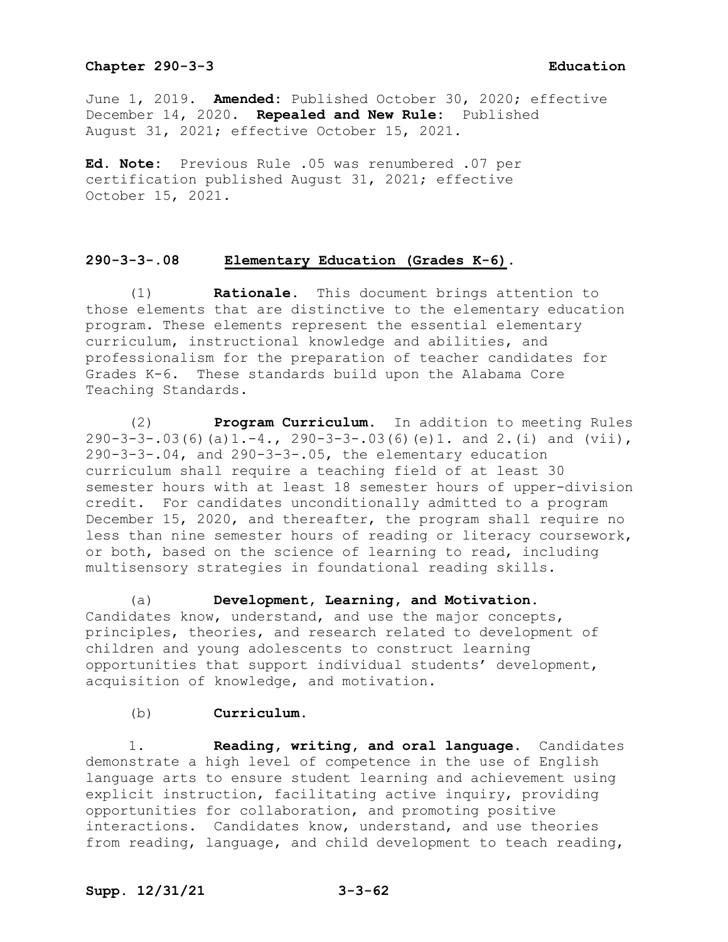June 1, 2019. **Amended:** Published October 30, 2020; effective December 14, 2020. **Repealed and New Rule:** Published August 31, 2021; effective October 15, 2021.

**Ed. Note:** Previous Rule .05 was renumbered .07 per certification published August 31, 2021; effective October 15, 2021.

### **290-3-3-.08 Elementary Education (Grades K-6).**

(1) **Rationale.** This document brings attention to those elements that are distinctive to the elementary education program. These elements represent the essential elementary curriculum, instructional knowledge and abilities, and professionalism for the preparation of teacher candidates for Grades K-6. These standards build upon the Alabama Core Teaching Standards.

(2) **Program Curriculum.** In addition to meeting Rules  $290-3-3-.03(6)(a)1.-4., 290-3-3-.03(6)(e)1.$  and  $2.(i)$  and  $(vii),$  $290-3-3-04$ , and  $290-3-3-05$ , the elementary education curriculum shall require a teaching field of at least 30 semester hours with at least 18 semester hours of upper-division credit. For candidates unconditionally admitted to a program December 15, 2020, and thereafter, the program shall require no less than nine semester hours of reading or literacy coursework, or both, based on the science of learning to read, including multisensory strategies in foundational reading skills.

(a) **Development, Learning, and Motivation.**  Candidates know, understand, and use the major concepts, principles, theories, and research related to development of children and young adolescents to construct learning opportunities that support individual students' development, acquisition of knowledge, and motivation.

### (b) **Curriculum.**

1. **Reading, writing, and oral language.** Candidates demonstrate a high level of competence in the use of English language arts to ensure student learning and achievement using explicit instruction, facilitating active inquiry, providing opportunities for collaboration, and promoting positive interactions. Candidates know, understand, and use theories from reading, language, and child development to teach reading,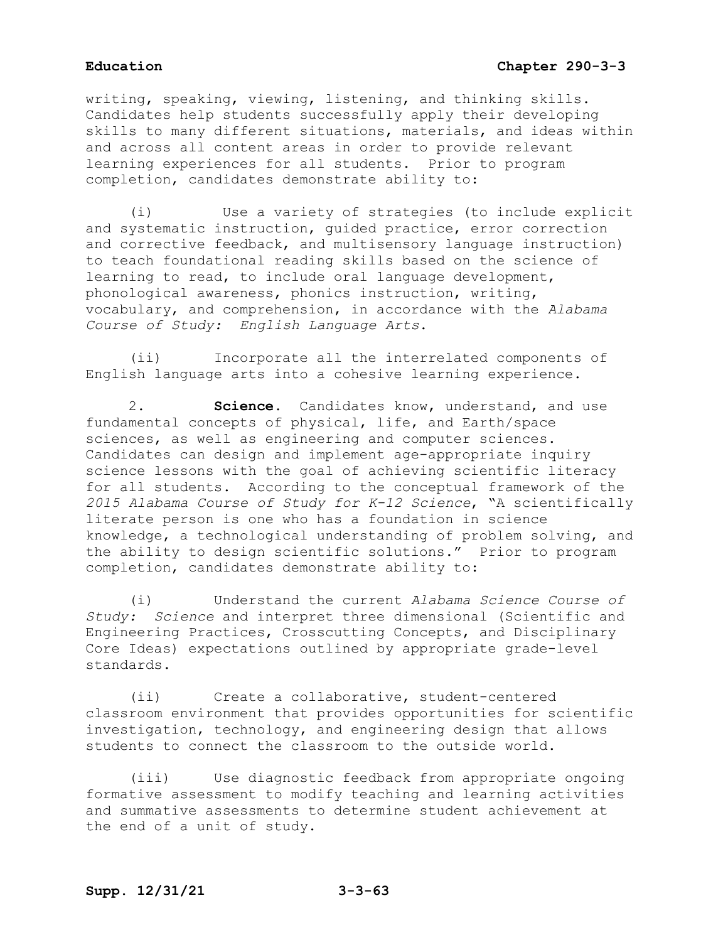writing, speaking, viewing, listening, and thinking skills. Candidates help students successfully apply their developing skills to many different situations, materials, and ideas within and across all content areas in order to provide relevant learning experiences for all students. Prior to program completion, candidates demonstrate ability to:

(i) Use a variety of strategies (to include explicit and systematic instruction, guided practice, error correction and corrective feedback, and multisensory language instruction) to teach foundational reading skills based on the science of learning to read, to include oral language development, phonological awareness, phonics instruction, writing, vocabulary, and comprehension, in accordance with the *Alabama Course of Study: English Language Arts*.

(ii) Incorporate all the interrelated components of English language arts into a cohesive learning experience.

2. **Science.** Candidates know, understand, and use fundamental concepts of physical, life, and Earth/space sciences, as well as engineering and computer sciences. Candidates can design and implement age-appropriate inquiry science lessons with the goal of achieving scientific literacy for all students. According to the conceptual framework of the *2015 Alabama Course of Study for K-12 Science*, "A scientifically literate person is one who has a foundation in science knowledge, a technological understanding of problem solving, and the ability to design scientific solutions." Prior to program completion, candidates demonstrate ability to:

(i) Understand the current *Alabama Science Course of Study: Science* and interpret three dimensional (Scientific and Engineering Practices, Crosscutting Concepts, and Disciplinary Core Ideas) expectations outlined by appropriate grade-level standards.

(ii) Create a collaborative, student-centered classroom environment that provides opportunities for scientific investigation, technology, and engineering design that allows students to connect the classroom to the outside world.

(iii) Use diagnostic feedback from appropriate ongoing formative assessment to modify teaching and learning activities and summative assessments to determine student achievement at the end of a unit of study.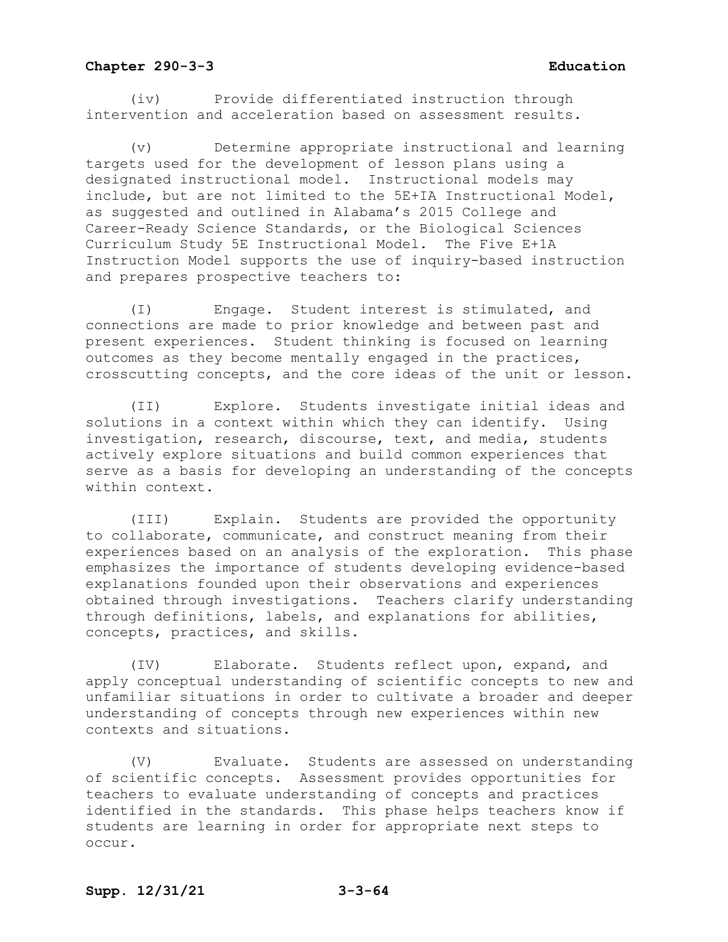(iv) Provide differentiated instruction through intervention and acceleration based on assessment results.

Determine appropriate instructional and learning targets used for the development of lesson plans using a designated instructional model. Instructional models may include, but are not limited to the 5E+IA Instructional Model, as suggested and outlined in Alabama's 2015 College and Career-Ready Science Standards, or the Biological Sciences Curriculum Study 5E Instructional Model. The Five E+1A Instruction Model supports the use of inquiry-based instruction and prepares prospective teachers to:

(I) Engage. Student interest is stimulated, and connections are made to prior knowledge and between past and present experiences. Student thinking is focused on learning outcomes as they become mentally engaged in the practices, crosscutting concepts, and the core ideas of the unit or lesson.

(II) Explore. Students investigate initial ideas and solutions in a context within which they can identify. Using investigation, research, discourse, text, and media, students actively explore situations and build common experiences that serve as a basis for developing an understanding of the concepts within context.

(III) Explain. Students are provided the opportunity to collaborate, communicate, and construct meaning from their experiences based on an analysis of the exploration. This phase emphasizes the importance of students developing evidence-based explanations founded upon their observations and experiences obtained through investigations. Teachers clarify understanding through definitions, labels, and explanations for abilities, concepts, practices, and skills.

(IV) Elaborate. Students reflect upon, expand, and apply conceptual understanding of scientific concepts to new and unfamiliar situations in order to cultivate a broader and deeper understanding of concepts through new experiences within new contexts and situations.

(V) Evaluate. Students are assessed on understanding of scientific concepts. Assessment provides opportunities for teachers to evaluate understanding of concepts and practices identified in the standards. This phase helps teachers know if students are learning in order for appropriate next steps to occur.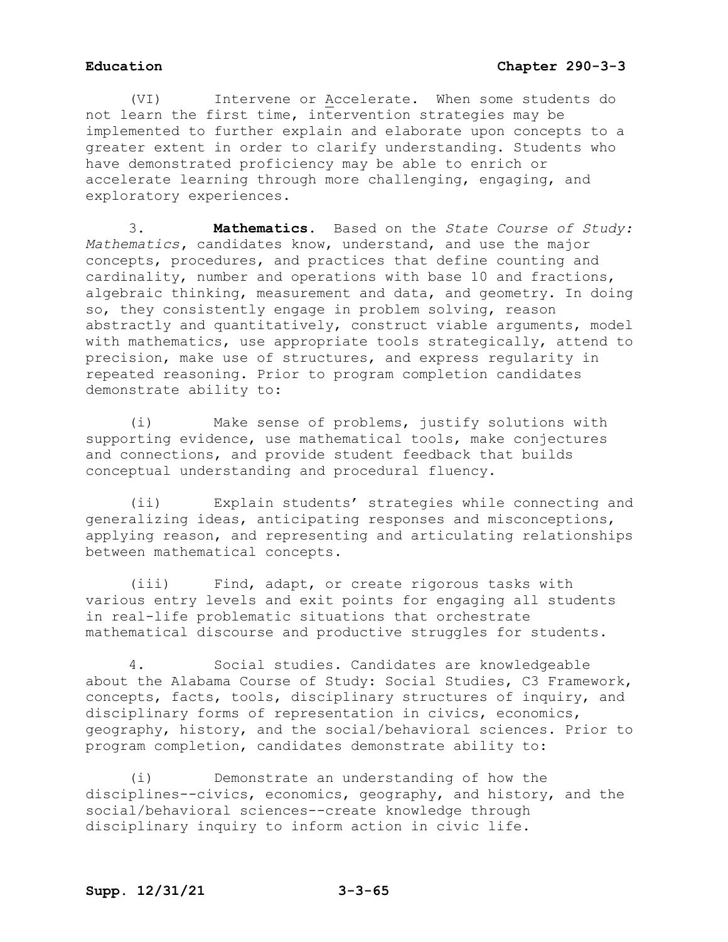(VI) Intervene or Accelerate. When some students do not learn the first time, intervention strategies may be implemented to further explain and elaborate upon concepts to a greater extent in order to clarify understanding. Students who have demonstrated proficiency may be able to enrich or accelerate learning through more challenging, engaging, and exploratory experiences.

3. **Mathematics.** Based on the *State Course of Study: Mathematics***,** candidates know, understand, and use the major concepts, procedures, and practices that define counting and cardinality, number and operations with base 10 and fractions, algebraic thinking, measurement and data, and geometry. In doing so, they consistently engage in problem solving, reason abstractly and quantitatively, construct viable arguments, model with mathematics, use appropriate tools strategically, attend to precision, make use of structures, and express regularity in repeated reasoning. Prior to program completion candidates demonstrate ability to:

(i) Make sense of problems, justify solutions with supporting evidence, use mathematical tools, make conjectures and connections, and provide student feedback that builds conceptual understanding and procedural fluency.

(ii) Explain students' strategies while connecting and generalizing ideas, anticipating responses and misconceptions, applying reason, and representing and articulating relationships between mathematical concepts.

(iii) Find, adapt, or create rigorous tasks with various entry levels and exit points for engaging all students in real-life problematic situations that orchestrate mathematical discourse and productive struggles for students.

4. Social studies. Candidates are knowledgeable about the Alabama Course of Study: Social Studies, C3 Framework, concepts, facts, tools, disciplinary structures of inquiry, and disciplinary forms of representation in civics, economics, geography, history, and the social/behavioral sciences. Prior to program completion, candidates demonstrate ability to:

(i) Demonstrate an understanding of how the disciplines--civics, economics, geography, and history, and the social/behavioral sciences--create knowledge through disciplinary inquiry to inform action in civic life.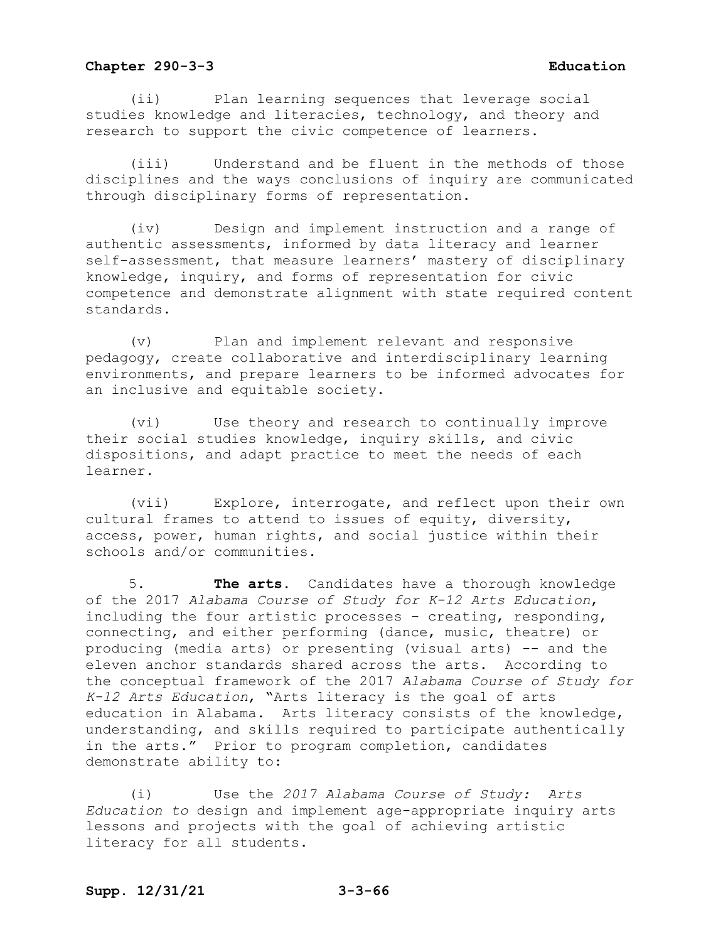(ii) Plan learning sequences that leverage social studies knowledge and literacies, technology, and theory and research to support the civic competence of learners.

(iii) Understand and be fluent in the methods of those disciplines and the ways conclusions of inquiry are communicated through disciplinary forms of representation.

(iv) Design and implement instruction and a range of authentic assessments, informed by data literacy and learner self-assessment, that measure learners' mastery of disciplinary knowledge, inquiry, and forms of representation for civic competence and demonstrate alignment with state required content standards.

(v) Plan and implement relevant and responsive pedagogy, create collaborative and interdisciplinary learning environments, and prepare learners to be informed advocates for an inclusive and equitable society.

(vi) Use theory and research to continually improve their social studies knowledge, inquiry skills, and civic dispositions, and adapt practice to meet the needs of each learner.

(vii) Explore, interrogate, and reflect upon their own cultural frames to attend to issues of equity, diversity, access, power, human rights, and social justice within their schools and/or communities.

5. **The arts.** Candidates have a thorough knowledge of the 2017 *Alabama Course of Study for K-12 Arts Education*, including the four artistic processes – creating, responding, connecting, and either performing (dance, music, theatre) or producing (media arts) or presenting (visual arts) -- and the eleven anchor standards shared across the arts. According to the conceptual framework of the 2017 *Alabama Course of Study for K-12 Arts Education*, "Arts literacy is the goal of arts education in Alabama. Arts literacy consists of the knowledge, understanding, and skills required to participate authentically in the arts." Prior to program completion, candidates demonstrate ability to:

(i) Use the *2017 Alabama Course of Study: Arts Education to* design and implement age-appropriate inquiry arts lessons and projects with the goal of achieving artistic literacy for all students.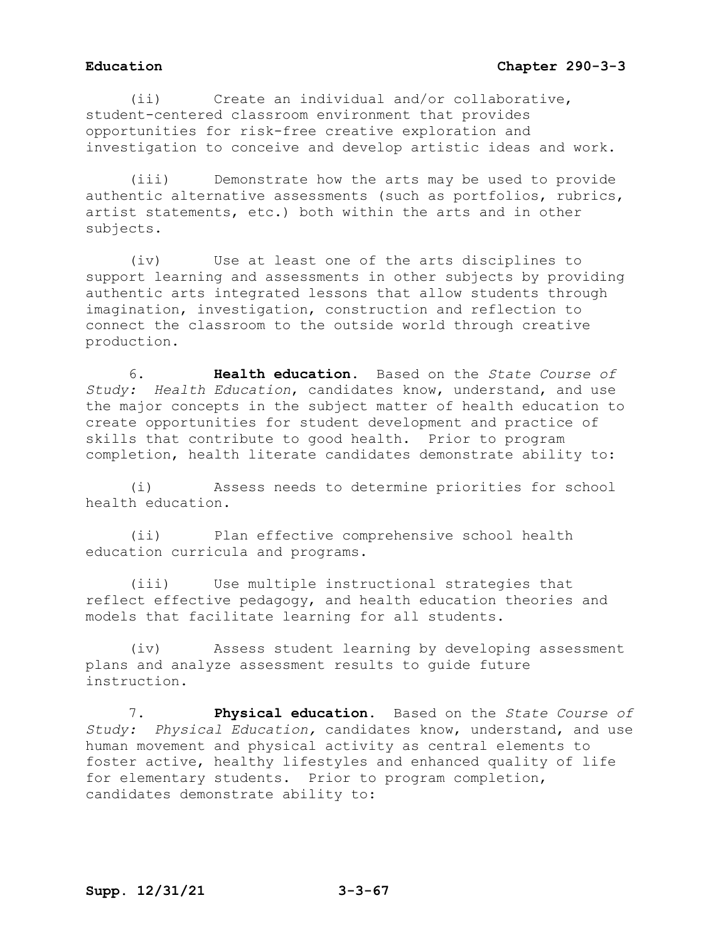(ii) Create an individual and/or collaborative, student-centered classroom environment that provides opportunities for risk-free creative exploration and investigation to conceive and develop artistic ideas and work.

(iii) Demonstrate how the arts may be used to provide authentic alternative assessments (such as portfolios, rubrics, artist statements, etc.) both within the arts and in other subjects.

(iv) Use at least one of the arts disciplines to support learning and assessments in other subjects by providing authentic arts integrated lessons that allow students through imagination, investigation, construction and reflection to connect the classroom to the outside world through creative production.

6. **Health education.** Based on the *State Course of Study: Health Education*, candidates know, understand, and use the major concepts in the subject matter of health education to create opportunities for student development and practice of skills that contribute to good health. Prior to program completion, health literate candidates demonstrate ability to:

(i) Assess needs to determine priorities for school health education.

(ii) Plan effective comprehensive school health education curricula and programs.

(iii) Use multiple instructional strategies that reflect effective pedagogy, and health education theories and models that facilitate learning for all students.

(iv) Assess student learning by developing assessment plans and analyze assessment results to guide future instruction.

7. **Physical education.** Based on the *State Course of Study: Physical Education,* candidates know, understand, and use human movement and physical activity as central elements to foster active, healthy lifestyles and enhanced quality of life for elementary students. Prior to program completion, candidates demonstrate ability to: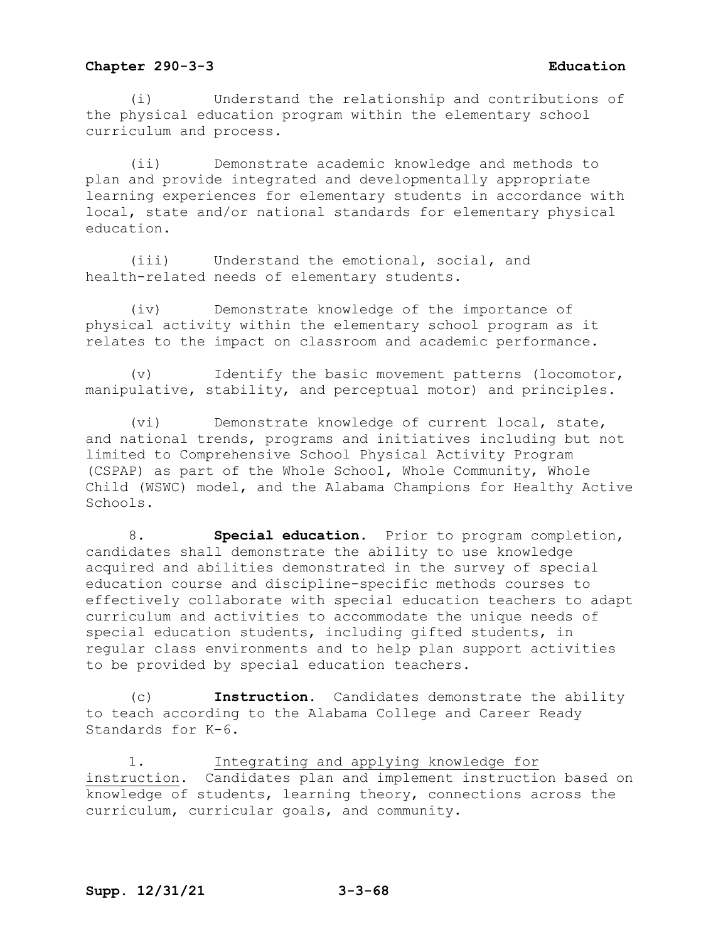(i) Understand the relationship and contributions of the physical education program within the elementary school curriculum and process.

(ii) Demonstrate academic knowledge and methods to plan and provide integrated and developmentally appropriate learning experiences for elementary students in accordance with local, state and/or national standards for elementary physical education.

(iii) Understand the emotional, social, and health-related needs of elementary students.

(iv) Demonstrate knowledge of the importance of physical activity within the elementary school program as it relates to the impact on classroom and academic performance.

(v) Identify the basic movement patterns (locomotor, manipulative, stability, and perceptual motor) and principles.

(vi) Demonstrate knowledge of current local, state, and national trends, programs and initiatives including but not limited to Comprehensive School Physical Activity Program (CSPAP) as part of the Whole School, Whole Community, Whole Child (WSWC) model, and the Alabama Champions for Healthy Active Schools.

8. **Special education.** Prior to program completion, candidates shall demonstrate the ability to use knowledge acquired and abilities demonstrated in the survey of special education course and discipline-specific methods courses to effectively collaborate with special education teachers to adapt curriculum and activities to accommodate the unique needs of special education students, including gifted students, in regular class environments and to help plan support activities to be provided by special education teachers.

(c) **Instruction.** Candidates demonstrate the ability to teach according to the Alabama College and Career Ready Standards for K-6.

1. Integrating and applying knowledge for instruction. Candidates plan and implement instruction based on knowledge of students, learning theory, connections across the curriculum, curricular goals, and community.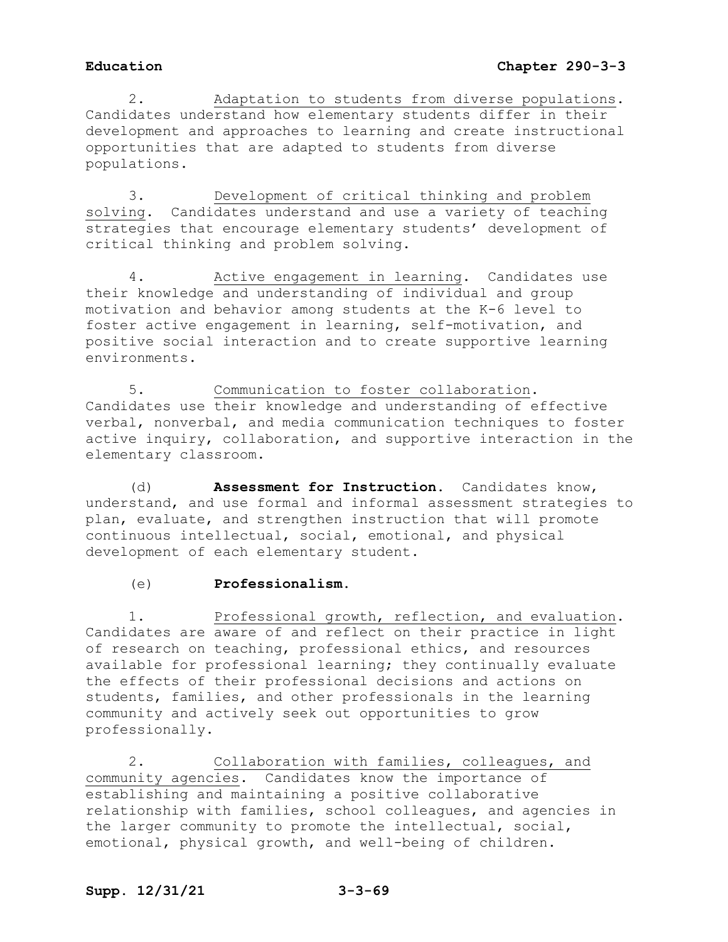2. Adaptation to students from diverse populations. Candidates understand how elementary students differ in their development and approaches to learning and create instructional opportunities that are adapted to students from diverse populations.

3. Development of critical thinking and problem solving. Candidates understand and use a variety of teaching strategies that encourage elementary students' development of critical thinking and problem solving.

4. Active engagement in learning. Candidates use their knowledge and understanding of individual and group motivation and behavior among students at the K-6 level to foster active engagement in learning, self-motivation, and positive social interaction and to create supportive learning environments.

5. Communication to foster collaboration. Candidates use their knowledge and understanding of effective verbal, nonverbal, and media communication techniques to foster active inquiry, collaboration, and supportive interaction in the elementary classroom.

(d) **Assessment for Instruction.** Candidates know, understand, and use formal and informal assessment strategies to plan, evaluate, and strengthen instruction that will promote continuous intellectual, social, emotional, and physical development of each elementary student.

(e) **Professionalism.**

1. Professional growth, reflection, and evaluation**.** Candidates are aware of and reflect on their practice in light of research on teaching, professional ethics, and resources available for professional learning; they continually evaluate the effects of their professional decisions and actions on students, families, and other professionals in the learning community and actively seek out opportunities to grow professionally.

2. Collaboration with families, colleagues, and community agencies. Candidates know the importance of establishing and maintaining a positive collaborative relationship with families, school colleagues, and agencies in the larger community to promote the intellectual, social, emotional, physical growth, and well-being of children.

# **Supp. 12/31/21 3-3-69**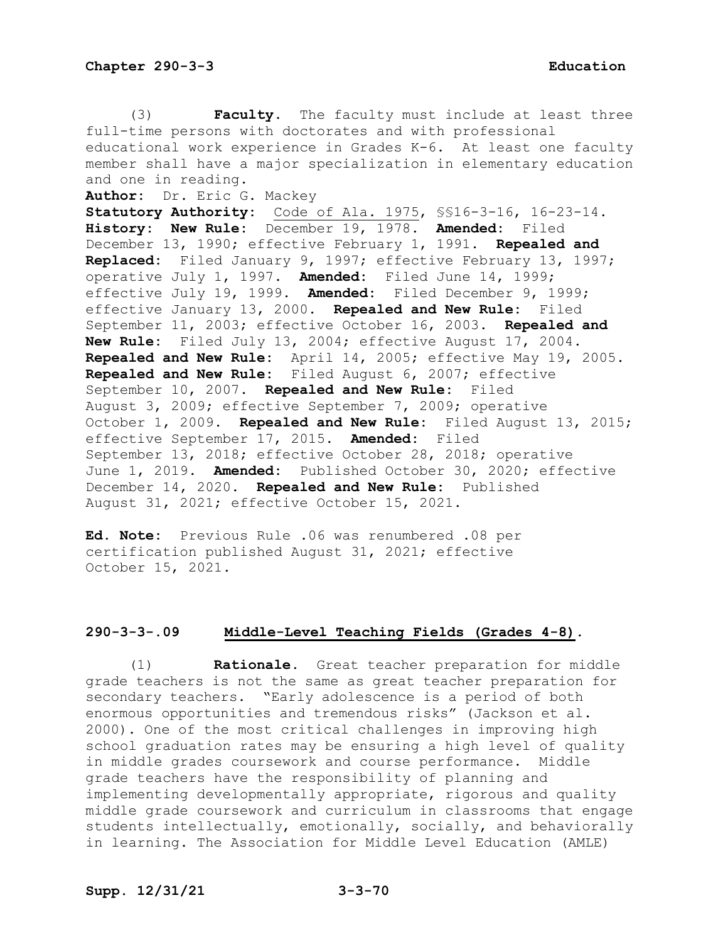(3) **Faculty.** The faculty must include at least three full-time persons with doctorates and with professional educational work experience in Grades K-6. At least one faculty member shall have a major specialization in elementary education and one in reading. **Author:** Dr. Eric G. Mackey **Statutory Authority:** Code of Ala. 1975, §§16-3-16, 16-23-14. **History: New Rule:** December 19, 1978. **Amended:** Filed December 13, 1990; effective February 1, 1991. **Repealed and Replaced:** Filed January 9, 1997; effective February 13, 1997; operative July 1, 1997. **Amended:** Filed June 14, 1999; effective July 19, 1999. **Amended:** Filed December 9, 1999; effective January 13, 2000. **Repealed and New Rule:** Filed September 11, 2003; effective October 16, 2003. **Repealed and New Rule:** Filed July 13, 2004; effective August 17, 2004. **Repealed and New Rule:** April 14, 2005; effective May 19, 2005. **Repealed and New Rule:** Filed August 6, 2007; effective September 10, 2007. **Repealed and New Rule:** Filed August 3, 2009; effective September 7, 2009; operative October 1, 2009. **Repealed and New Rule:** Filed August 13, 2015; effective September 17, 2015. **Amended:** Filed September 13, 2018; effective October 28, 2018; operative June 1, 2019. **Amended:** Published October 30, 2020; effective December 14, 2020. **Repealed and New Rule:** Published August 31, 2021; effective October 15, 2021.

**Ed. Note:** Previous Rule .06 was renumbered .08 per certification published August 31, 2021; effective October 15, 2021.

### **290-3-3-.09 Middle-Level Teaching Fields (Grades 4-8).**

(1) **Rationale.** Great teacher preparation for middle grade teachers is not the same as great teacher preparation for secondary teachers. "Early adolescence is a period of both enormous opportunities and tremendous risks" (Jackson et al. 2000). One of the most critical challenges in improving high school graduation rates may be ensuring a high level of quality in middle grades coursework and course performance. Middle grade teachers have the responsibility of planning and implementing developmentally appropriate, rigorous and quality middle grade coursework and curriculum in classrooms that engage students intellectually, emotionally, socially, and behaviorally in learning. The Association for Middle Level Education (AMLE)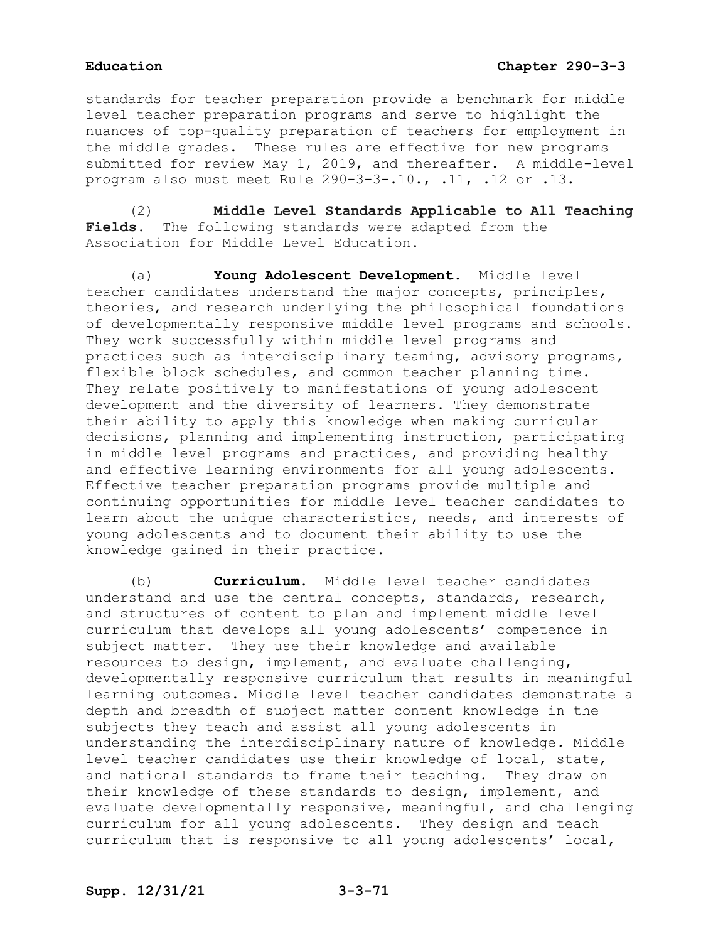standards for teacher preparation provide a benchmark for middle level teacher preparation programs and serve to highlight the nuances of top-quality preparation of teachers for employment in the middle grades. These rules are effective for new programs submitted for review May 1, 2019, and thereafter. A middle-level program also must meet Rule 290-3-3-.10., .11, .12 or .13.

(2) **Middle Level Standards Applicable to All Teaching Fields.** The following standards were adapted from the Association for Middle Level Education.

(a) **Young Adolescent Development.** Middle level teacher candidates understand the major concepts, principles, theories, and research underlying the philosophical foundations of developmentally responsive middle level programs and schools. They work successfully within middle level programs and practices such as interdisciplinary teaming, advisory programs, flexible block schedules, and common teacher planning time. They relate positively to manifestations of young adolescent development and the diversity of learners. They demonstrate their ability to apply this knowledge when making curricular decisions, planning and implementing instruction, participating in middle level programs and practices, and providing healthy and effective learning environments for all young adolescents. Effective teacher preparation programs provide multiple and continuing opportunities for middle level teacher candidates to learn about the unique characteristics, needs, and interests of young adolescents and to document their ability to use the knowledge gained in their practice.

(b) **Curriculum.** Middle level teacher candidates understand and use the central concepts, standards, research, and structures of content to plan and implement middle level curriculum that develops all young adolescents' competence in subject matter. They use their knowledge and available resources to design, implement, and evaluate challenging, developmentally responsive curriculum that results in meaningful learning outcomes. Middle level teacher candidates demonstrate a depth and breadth of subject matter content knowledge in the subjects they teach and assist all young adolescents in understanding the interdisciplinary nature of knowledge*.* Middle level teacher candidates use their knowledge of local, state, and national standards to frame their teaching. They draw on their knowledge of these standards to design, implement, and evaluate developmentally responsive, meaningful, and challenging curriculum for all young adolescents. They design and teach curriculum that is responsive to all young adolescents' local,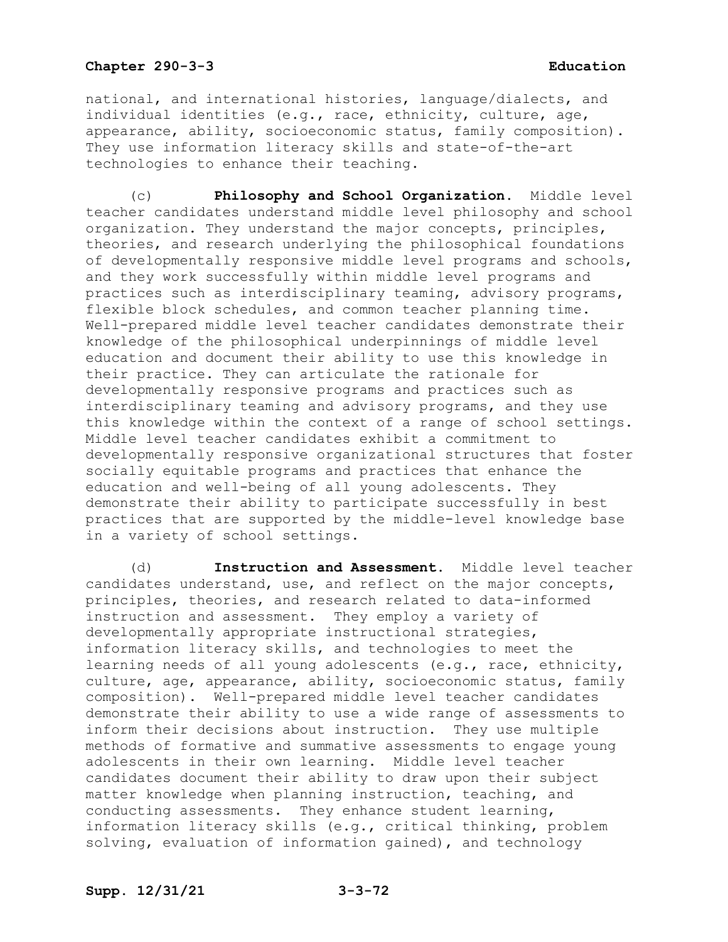national, and international histories, language/dialects, and individual identities (e.g., race, ethnicity, culture, age, appearance, ability, socioeconomic status, family composition). They use information literacy skills and state-of-the-art technologies to enhance their teaching.

(c) **Philosophy and School Organization.** Middle level teacher candidates understand middle level philosophy and school organization. They understand the major concepts, principles, theories, and research underlying the philosophical foundations of developmentally responsive middle level programs and schools, and they work successfully within middle level programs and practices such as interdisciplinary teaming, advisory programs, flexible block schedules, and common teacher planning time. Well-prepared middle level teacher candidates demonstrate their knowledge of the philosophical underpinnings of middle level education and document their ability to use this knowledge in their practice. They can articulate the rationale for developmentally responsive programs and practices such as interdisciplinary teaming and advisory programs, and they use this knowledge within the context of a range of school settings. Middle level teacher candidates exhibit a commitment to developmentally responsive organizational structures that foster socially equitable programs and practices that enhance the education and well-being of all young adolescents. They demonstrate their ability to participate successfully in best practices that are supported by the middle-level knowledge base in a variety of school settings.

(d) **Instruction and Assessment.** Middle level teacher candidates understand, use, and reflect on the major concepts, principles, theories, and research related to data-informed instruction and assessment. They employ a variety of developmentally appropriate instructional strategies, information literacy skills, and technologies to meet the learning needs of all young adolescents (e.g., race, ethnicity, culture, age, appearance, ability, socioeconomic status, family composition). Well-prepared middle level teacher candidates demonstrate their ability to use a wide range of assessments to inform their decisions about instruction. They use multiple methods of formative and summative assessments to engage young adolescents in their own learning. Middle level teacher candidates document their ability to draw upon their subject matter knowledge when planning instruction, teaching, and conducting assessments. They enhance student learning, information literacy skills (e.g., critical thinking, problem solving, evaluation of information gained), and technology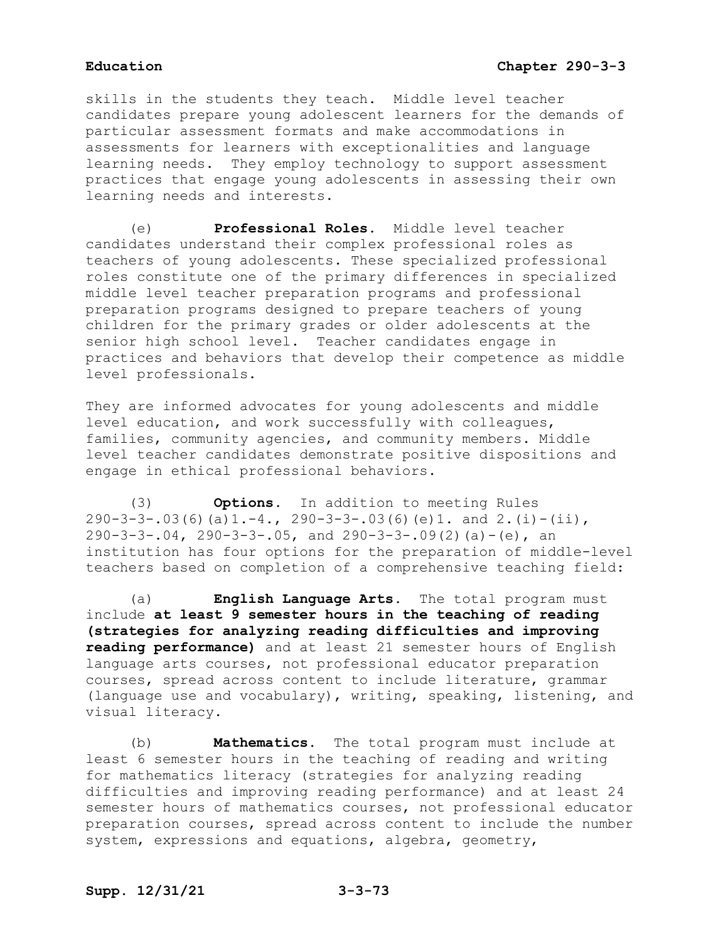skills in the students they teach. Middle level teacher candidates prepare young adolescent learners for the demands of particular assessment formats and make accommodations in assessments for learners with exceptionalities and language learning needs. They employ technology to support assessment practices that engage young adolescents in assessing their own learning needs and interests.

(e) **Professional Roles.** Middle level teacher candidates understand their complex professional roles as teachers of young adolescents. These specialized professional roles constitute one of the primary differences in specialized middle level teacher preparation programs and professional preparation programs designed to prepare teachers of young children for the primary grades or older adolescents at the senior high school level. Teacher candidates engage in practices and behaviors that develop their competence as middle level professionals.

They are informed advocates for young adolescents and middle level education, and work successfully with colleagues, families, community agencies, and community members. Middle level teacher candidates demonstrate positive dispositions and engage in ethical professional behaviors.

(3) **Options.** In addition to meeting Rules  $290-3-3-.03(6)(a)1.-4., 290-3-3-.03(6)(e)1.$  and  $2.(i)-(ii),$  $290-3-3-.04$ ,  $290-3-3-.05$ , and  $290-3-3-.09(2)$  (a) - (e), an institution has four options for the preparation of middle-level teachers based on completion of a comprehensive teaching field:

(a) **English Language Arts.** The total program must include **at least 9 semester hours in the teaching of reading (strategies for analyzing reading difficulties and improving reading performance)** and at least 21 semester hours of English language arts courses, not professional educator preparation courses, spread across content to include literature, grammar (language use and vocabulary), writing, speaking, listening, and visual literacy.

(b) **Mathematics.** The total program must include at least 6 semester hours in the teaching of reading and writing for mathematics literacy (strategies for analyzing reading difficulties and improving reading performance) and at least 24 semester hours of mathematics courses, not professional educator preparation courses, spread across content to include the number system, expressions and equations, algebra, geometry,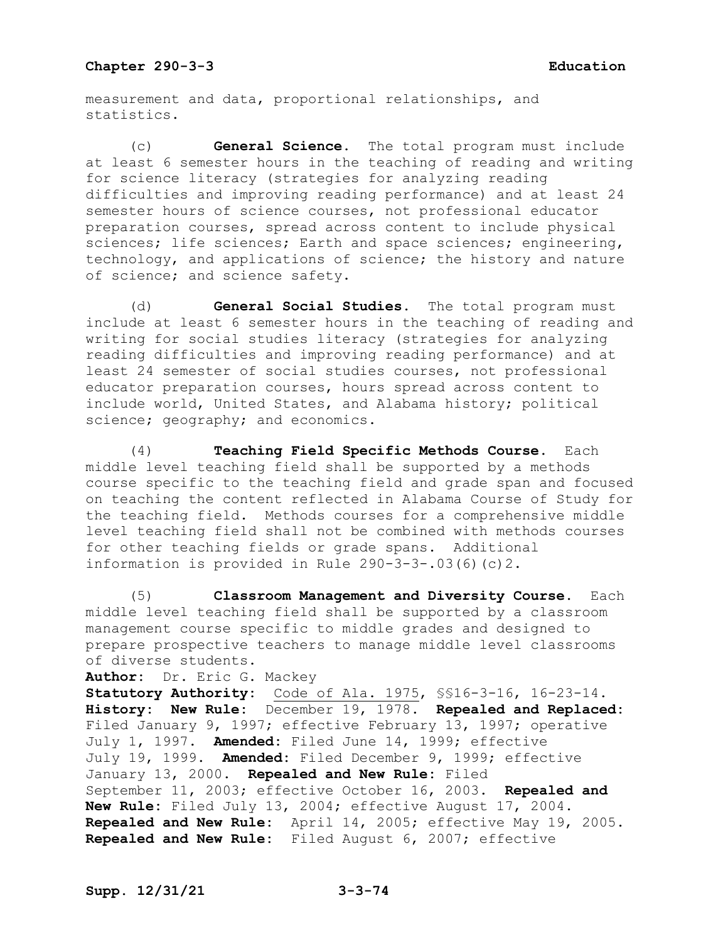measurement and data, proportional relationships, and statistics.

(c) **General Science.** The total program must include at least 6 semester hours in the teaching of reading and writing for science literacy (strategies for analyzing reading difficulties and improving reading performance) and at least 24 semester hours of science courses, not professional educator preparation courses, spread across content to include physical sciences; life sciences; Earth and space sciences; engineering, technology, and applications of science; the history and nature of science; and science safety.

(d) **General Social Studies.** The total program must include at least 6 semester hours in the teaching of reading and writing for social studies literacy (strategies for analyzing reading difficulties and improving reading performance) and at least 24 semester of social studies courses, not professional educator preparation courses, hours spread across content to include world, United States, and Alabama history; political science; geography; and economics.

(4) **Teaching Field Specific Methods Course.** Each middle level teaching field shall be supported by a methods course specific to the teaching field and grade span and focused on teaching the content reflected in Alabama Course of Study for the teaching field. Methods courses for a comprehensive middle level teaching field shall not be combined with methods courses for other teaching fields or grade spans. Additional information is provided in Rule 290-3-3-.03(6)(c)2.

(5) **Classroom Management and Diversity Course.** Each middle level teaching field shall be supported by a classroom management course specific to middle grades and designed to prepare prospective teachers to manage middle level classrooms of diverse students.

```
Author: Dr. Eric G. Mackey
```
**Statutory Authority:** Code of Ala. 1975, §§16-3-16, 16-23-14. **History: New Rule:** December 19, 1978. **Repealed and Replaced:** Filed January 9, 1997; effective February 13, 1997; operative July 1, 1997. **Amended:** Filed June 14, 1999; effective July 19, 1999. **Amended:** Filed December 9, 1999; effective January 13, 2000. **Repealed and New Rule:** Filed September 11, 2003; effective October 16, 2003. **Repealed and New Rule:** Filed July 13, 2004; effective August 17, 2004. **Repealed and New Rule:** April 14, 2005; effective May 19, 2005. **Repealed and New Rule:** Filed August 6, 2007; effective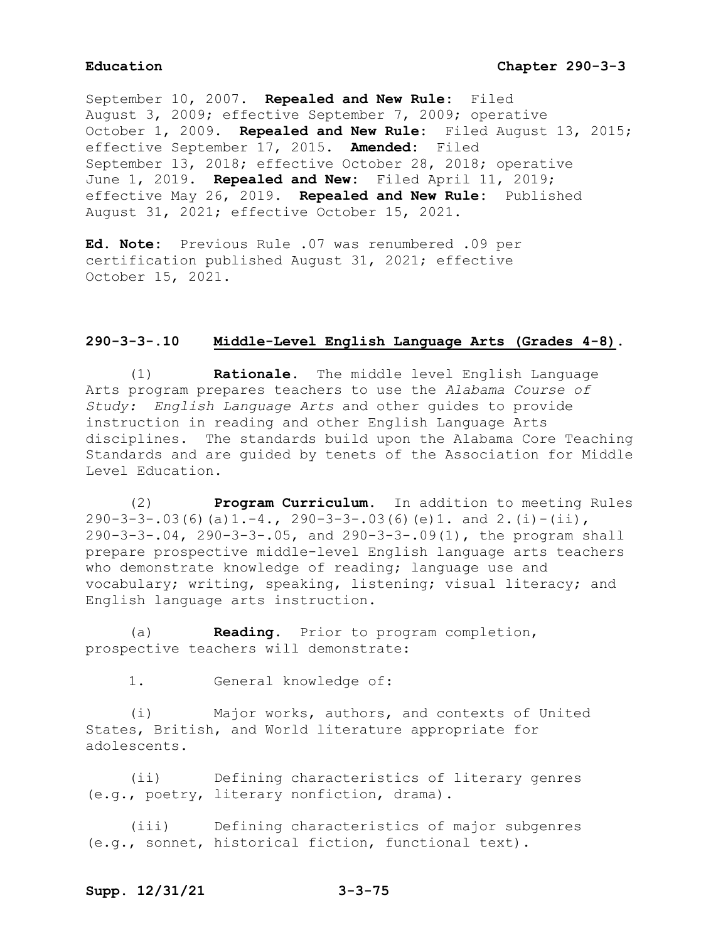September 10, 2007. **Repealed and New Rule:** Filed August 3, 2009; effective September 7, 2009; operative October 1, 2009. **Repealed and New Rule:** Filed August 13, 2015; effective September 17, 2015. **Amended:** Filed September 13, 2018; effective October 28, 2018; operative June 1, 2019. **Repealed and New:** Filed April 11, 2019; effective May 26, 2019. **Repealed and New Rule:** Published August 31, 2021; effective October 15, 2021.

**Ed. Note:** Previous Rule .07 was renumbered .09 per certification published August 31, 2021; effective October 15, 2021.

### **290-3-3-.10 Middle-Level English Language Arts (Grades 4-8).**

(1) **Rationale.** The middle level English Language Arts program prepares teachers to use the *Alabama Course of Study: English Language Arts* and other guides to provide instruction in reading and other English Language Arts disciplines.The standards build upon the Alabama Core Teaching Standards and are guided by tenets of the Association for Middle Level Education.

(2) **Program Curriculum.** In addition to meeting Rules  $290-3-3-.03(6)(a)1.-4., 290-3-3-.03(6)(e)1.$  and  $2.(i)-(ii),$ 290-3-3-.04, 290-3-3-.05, and 290-3-3-.09(1), the program shall prepare prospective middle-level English language arts teachers who demonstrate knowledge of reading; language use and vocabulary; writing, speaking, listening; visual literacy; and English language arts instruction.

(a) **Reading.** Prior to program completion, prospective teachers will demonstrate:

1. General knowledge of:

(i) Major works, authors, and contexts of United States, British, and World literature appropriate for adolescents.

(ii) Defining characteristics of literary genres (e.g., poetry, literary nonfiction, drama).

(iii) Defining characteristics of major subgenres (e.g., sonnet, historical fiction, functional text).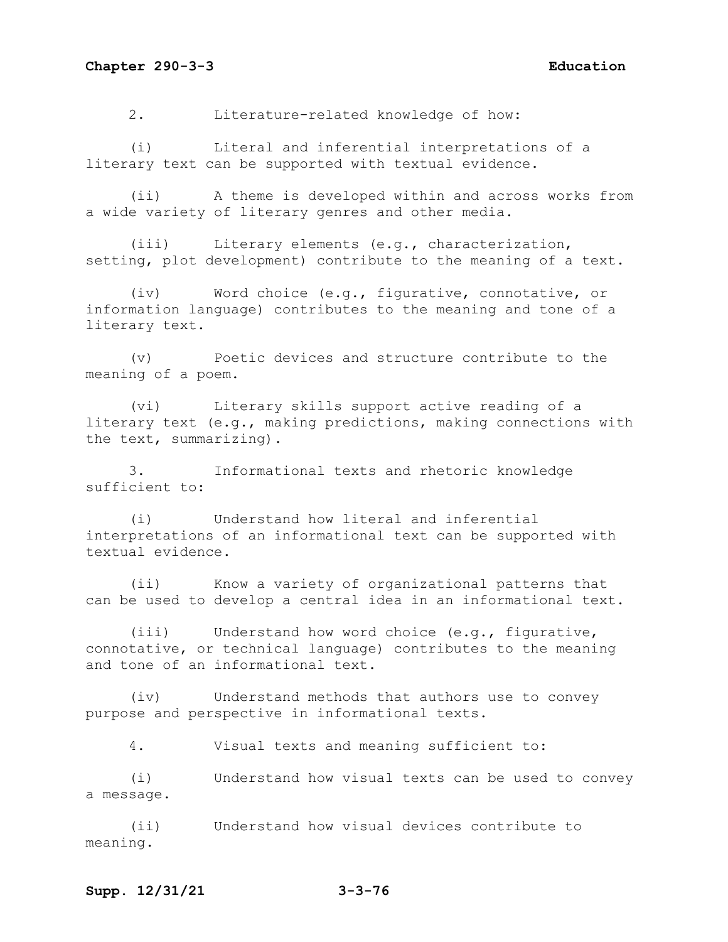2. Literature-related knowledge of how:

(i) Literal and inferential interpretations of a literary text can be supported with textual evidence.

(ii) A theme is developed within and across works from a wide variety of literary genres and other media.

(iii) Literary elements (e.g., characterization, setting, plot development) contribute to the meaning of a text.

(iv) Word choice (e.g., figurative, connotative, or information language) contributes to the meaning and tone of a literary text.

(v) Poetic devices and structure contribute to the meaning of a poem.

(vi) Literary skills support active reading of a literary text (e.g., making predictions, making connections with the text, summarizing).

3. Informational texts and rhetoric knowledge sufficient to:

(i) Understand how literal and inferential interpretations of an informational text can be supported with textual evidence.

(ii) Know a variety of organizational patterns that can be used to develop a central idea in an informational text.

(iii) Understand how word choice (e.g., figurative, connotative, or technical language) contributes to the meaning and tone of an informational text.

(iv) Understand methods that authors use to convey purpose and perspective in informational texts.

4. Visual texts and meaning sufficient to:

(i) Understand how visual texts can be used to convey a message.

(ii) Understand how visual devices contribute to meaning.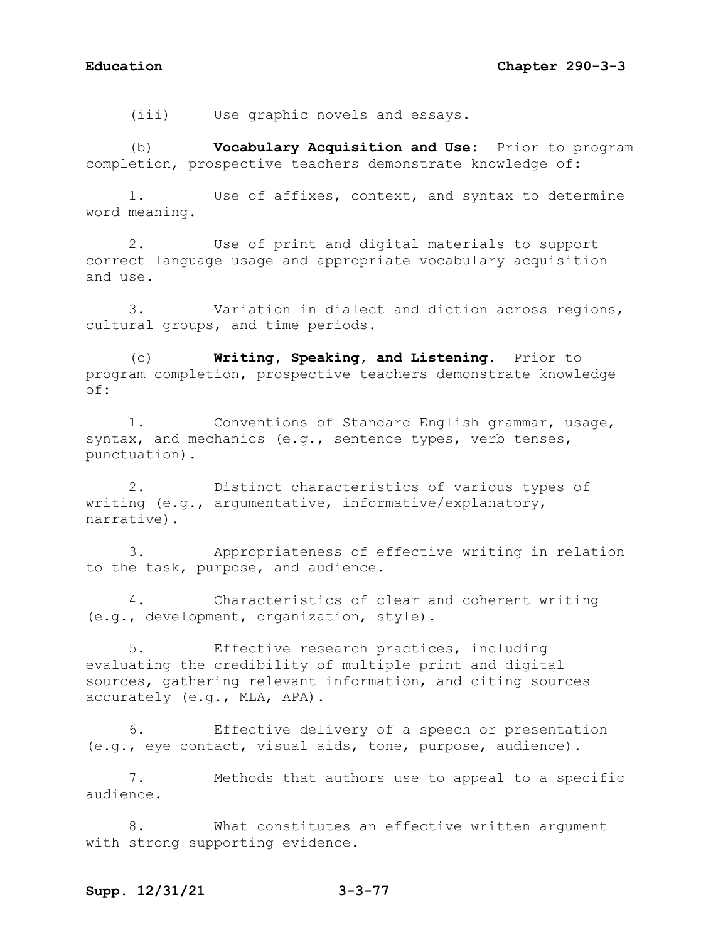(iii) Use graphic novels and essays.

(b) **Vocabulary Acquisition and Use:** Prior to program completion, prospective teachers demonstrate knowledge of:

1. Use of affixes, context, and syntax to determine word meaning.

2. Use of print and digital materials to support correct language usage and appropriate vocabulary acquisition and use.

3. Variation in dialect and diction across regions, cultural groups, and time periods.

(c) **Writing, Speaking, and Listening.** Prior to program completion, prospective teachers demonstrate knowledge of:

1. Conventions of Standard English grammar, usage, syntax, and mechanics (e.g., sentence types, verb tenses, punctuation).

2. Distinct characteristics of various types of writing (e.g., argumentative, informative/explanatory, narrative).

3. Appropriateness of effective writing in relation to the task, purpose, and audience.

4. Characteristics of clear and coherent writing (e.g., development, organization, style).

5. Effective research practices, including evaluating the credibility of multiple print and digital sources, gathering relevant information, and citing sources accurately (e.g., MLA, APA).

6. Effective delivery of a speech or presentation (e.g., eye contact, visual aids, tone, purpose, audience).

7. Methods that authors use to appeal to a specific audience.

8. What constitutes an effective written argument with strong supporting evidence.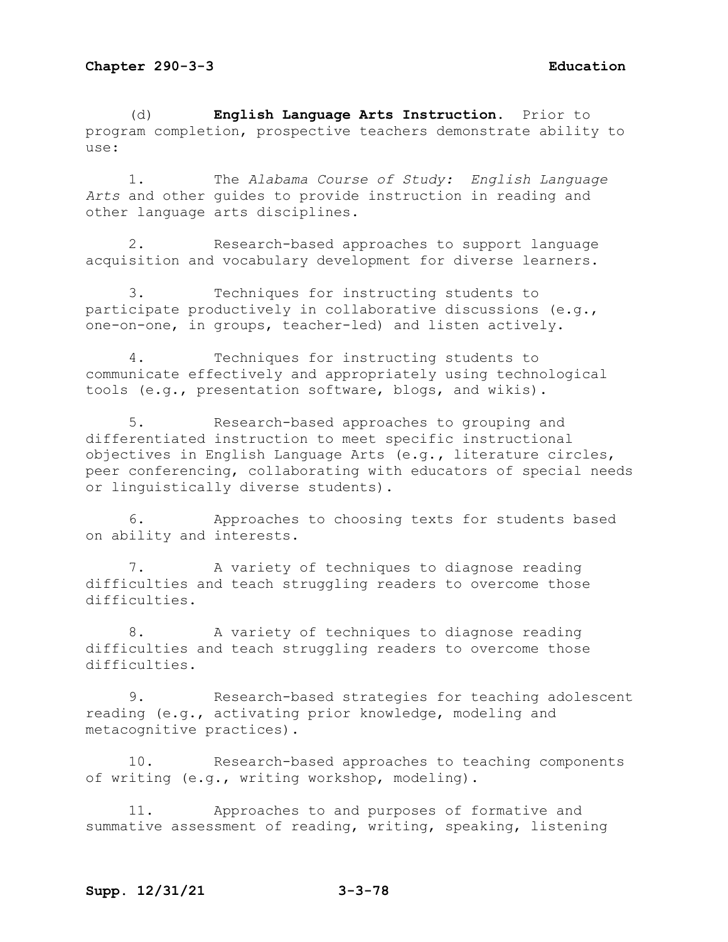(d) **English Language Arts Instruction.** Prior to program completion, prospective teachers demonstrate ability to use:

1. The *Alabama Course of Study: English Language Arts* and other guides to provide instruction in reading and other language arts disciplines.

2. Research-based approaches to support language acquisition and vocabulary development for diverse learners.

3. Techniques for instructing students to participate productively in collaborative discussions (e.g., one-on-one, in groups, teacher-led) and listen actively.

4. Techniques for instructing students to communicate effectively and appropriately using technological tools (e.g., presentation software, blogs, and wikis).

5. Research-based approaches to grouping and differentiated instruction to meet specific instructional objectives in English Language Arts (e.g**.,** literature circles, peer conferencing, collaborating with educators of special needs or linguistically diverse students).

6. Approaches to choosing texts for students based on ability and interests.

7. A variety of techniques to diagnose reading difficulties and teach struggling readers to overcome those difficulties.

8. A variety of techniques to diagnose reading difficulties and teach struggling readers to overcome those difficulties.

9. Research-based strategies for teaching adolescent reading (e.g., activating prior knowledge, modeling and metacognitive practices).

10. Research-based approaches to teaching components of writing (e.g., writing workshop, modeling).

11. Approaches to and purposes of formative and summative assessment of reading, writing, speaking, listening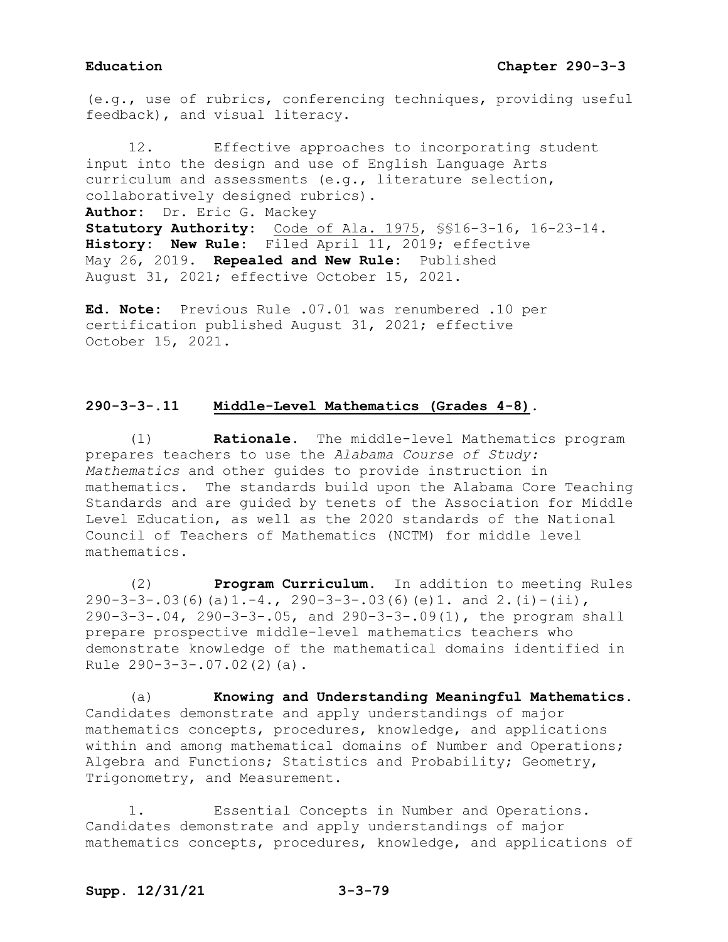(e.g., use of rubrics, conferencing techniques, providing useful feedback), and visual literacy.

12. Effective approaches to incorporating student input into the design and use of English Language Arts curriculum and assessments (e.g., literature selection, collaboratively designed rubrics). **Author:** Dr. Eric G. Mackey **Statutory Authority:** Code of Ala. 1975, §§16-3-16, 16-23-14. **History: New Rule:** Filed April 11, 2019; effective May 26, 2019. **Repealed and New Rule:** Published August 31, 2021; effective October 15, 2021.

**Ed. Note:** Previous Rule .07.01 was renumbered .10 per certification published August 31, 2021; effective October 15, 2021.

# **290-3-3-.11 Middle-Level Mathematics (Grades 4-8).**

(1) **Rationale.** The middle-level Mathematics program prepares teachers to use the *Alabama Course of Study: Mathematics* and other guides to provide instruction in mathematics. The standards build upon the Alabama Core Teaching Standards and are guided by tenets of the Association for Middle Level Education, as well as the 2020 standards of the National Council of Teachers of Mathematics (NCTM) for middle level mathematics.

(2) **Program Curriculum.** In addition to meeting Rules  $290-3-3-03(6)(a)1.-4, 290-3-3-.03(6)(e)1.$  and 2.(i)-(ii), 290-3-3-.04, 290-3-3-.05, and 290-3-3-.09(1), the program shall prepare prospective middle-level mathematics teachers who demonstrate knowledge of the mathematical domains identified in Rule 290-3-3-.07.02(2)(a).

(a) **Knowing and Understanding Meaningful Mathematics.** Candidates demonstrate and apply understandings of major mathematics concepts, procedures, knowledge, and applications within and among mathematical domains of Number and Operations; Algebra and Functions; Statistics and Probability; Geometry, Trigonometry, and Measurement.

1. Essential Concepts in Number and Operations. Candidates demonstrate and apply understandings of major mathematics concepts, procedures, knowledge, and applications of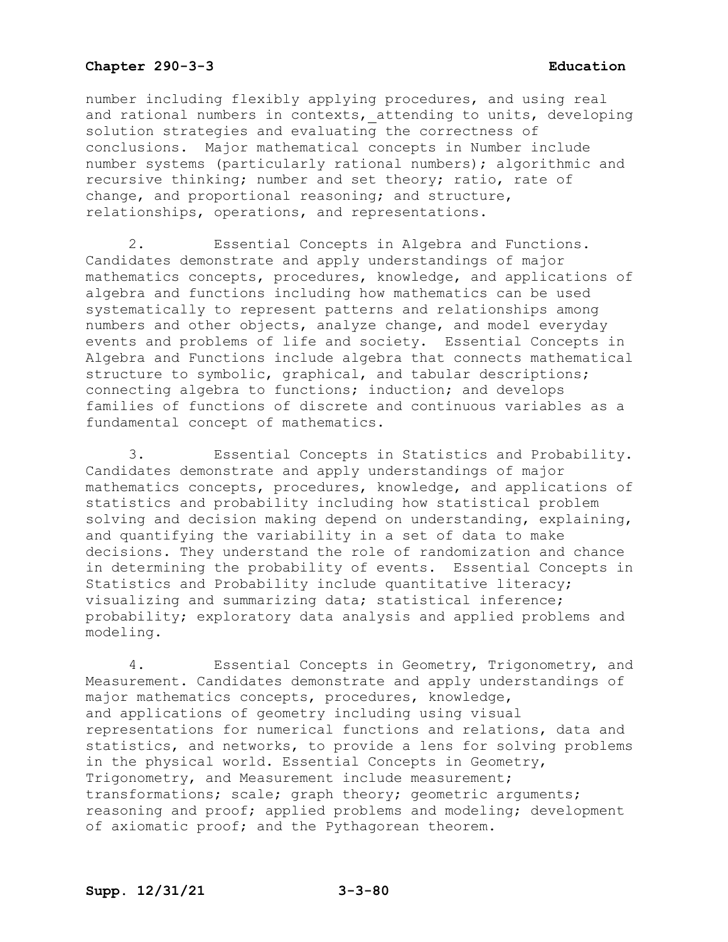number including flexibly applying procedures, and using real and rational numbers in contexts, attending to units, developing solution strategies and evaluating the correctness of conclusions. Major mathematical concepts in Number include number systems (particularly rational numbers); algorithmic and recursive thinking; number and set theory; ratio, rate of change, and proportional reasoning; and structure, relationships, operations, and representations.

2. Essential Concepts in Algebra and Functions. Candidates demonstrate and apply understandings of major mathematics concepts, procedures, knowledge, and applications of algebra and functions including how mathematics can be used systematically to represent patterns and relationships among numbers and other objects, analyze change, and model everyday events and problems of life and society. Essential Concepts in Algebra and Functions include algebra that connects mathematical structure to symbolic, graphical, and tabular descriptions; connecting algebra to functions; induction; and develops families of functions of discrete and continuous variables as a fundamental concept of mathematics.

3. Essential Concepts in Statistics and Probability. Candidates demonstrate and apply understandings of major mathematics concepts, procedures, knowledge, and applications of statistics and probability including how statistical problem solving and decision making depend on understanding, explaining, and quantifying the variability in a set of data to make decisions. They understand the role of randomization and chance in determining the probability of events. Essential Concepts in Statistics and Probability include quantitative literacy; visualizing and summarizing data; statistical inference; probability; exploratory data analysis and applied problems and modeling.

4. Essential Concepts in Geometry, Trigonometry, and Measurement. Candidates demonstrate and apply understandings of major mathematics concepts, procedures, knowledge, and applications of geometry including using visual representations for numerical functions and relations, data and statistics, and networks, to provide a lens for solving problems in the physical world. Essential Concepts in Geometry, Trigonometry, and Measurement include measurement; transformations; scale; graph theory; geometric arguments; reasoning and proof; applied problems and modeling; development of axiomatic proof; and the Pythagorean theorem.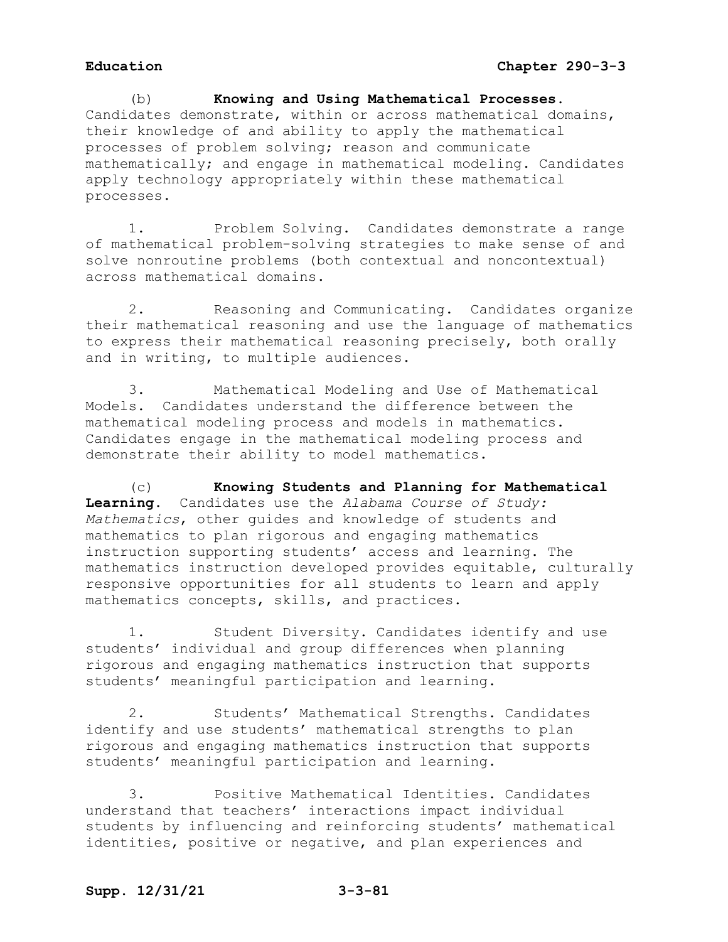(b) **Knowing and Using Mathematical Processes.** Candidates demonstrate, within or across mathematical domains, their knowledge of and ability to apply the mathematical processes of problem solving; reason and communicate mathematically; and engage in mathematical modeling. Candidates apply technology appropriately within these mathematical processes.

1. Problem Solving. Candidates demonstrate a range of mathematical problem-solving strategies to make sense of and solve nonroutine problems (both contextual and noncontextual) across mathematical domains.

2. Reasoning and Communicating. Candidates organize their mathematical reasoning and use the language of mathematics to express their mathematical reasoning precisely, both orally and in writing, to multiple audiences.

3. Mathematical Modeling and Use of Mathematical Models. Candidates understand the difference between the mathematical modeling process and models in mathematics. Candidates engage in the mathematical modeling process and demonstrate their ability to model mathematics.

(c) **Knowing Students and Planning for Mathematical Learning.** Candidates use the *Alabama Course of Study: Mathematics*, other guides and knowledge of students and mathematics to plan rigorous and engaging mathematics instruction supporting students' access and learning. The mathematics instruction developed provides equitable, culturally responsive opportunities for all students to learn and apply mathematics concepts, skills, and practices.

1. Student Diversity. Candidates identify and use students' individual and group differences when planning rigorous and engaging mathematics instruction that supports students' meaningful participation and learning.

2. Students' Mathematical Strengths. Candidates identify and use students' mathematical strengths to plan rigorous and engaging mathematics instruction that supports students' meaningful participation and learning.

3. Positive Mathematical Identities. Candidates understand that teachers' interactions impact individual students by influencing and reinforcing students' mathematical identities, positive or negative, and plan experiences and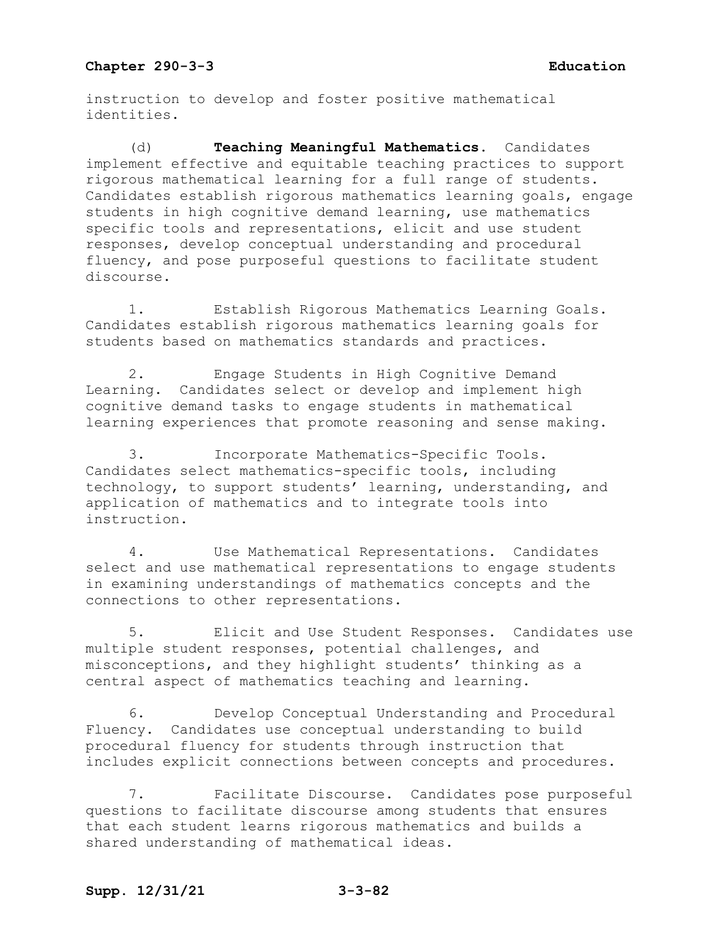instruction to develop and foster positive mathematical identities.

(d) **Teaching Meaningful Mathematics.** Candidates implement effective and equitable teaching practices to support rigorous mathematical learning for a full range of students. Candidates establish rigorous mathematics learning goals, engage students in high cognitive demand learning, use mathematics specific tools and representations, elicit and use student responses, develop conceptual understanding and procedural fluency, and pose purposeful questions to facilitate student discourse.

1. Establish Rigorous Mathematics Learning Goals. Candidates establish rigorous mathematics learning goals for students based on mathematics standards and practices.

2. Engage Students in High Cognitive Demand Learning. Candidates select or develop and implement high cognitive demand tasks to engage students in mathematical learning experiences that promote reasoning and sense making.

3. Incorporate Mathematics-Specific Tools. Candidates select mathematics-specific tools, including technology, to support students' learning, understanding, and application of mathematics and to integrate tools into instruction.

4. Use Mathematical Representations. Candidates select and use mathematical representations to engage students in examining understandings of mathematics concepts and the connections to other representations.

5. Elicit and Use Student Responses. Candidates use multiple student responses, potential challenges, and misconceptions, and they highlight students' thinking as a central aspect of mathematics teaching and learning.

6. Develop Conceptual Understanding and Procedural Fluency. Candidates use conceptual understanding to build procedural fluency for students through instruction that includes explicit connections between concepts and procedures.

7. Facilitate Discourse. Candidates pose purposeful questions to facilitate discourse among students that ensures that each student learns rigorous mathematics and builds a shared understanding of mathematical ideas.

# **Supp. 12/31/21 3-3-82**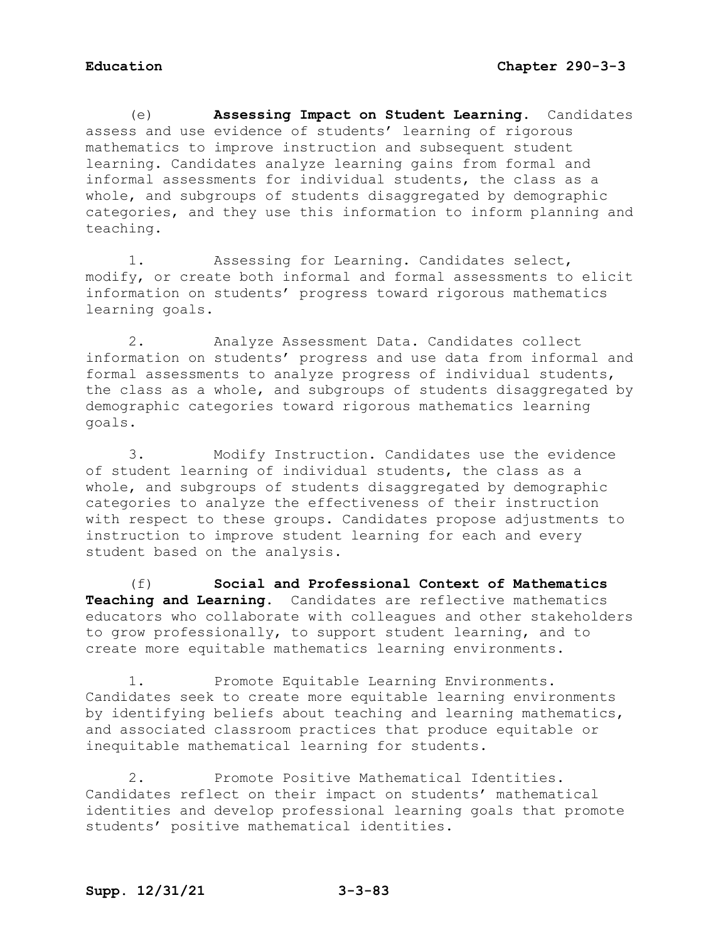(e) **Assessing Impact on Student Learning.** Candidates assess and use evidence of students' learning of rigorous mathematics to improve instruction and subsequent student learning. Candidates analyze learning gains from formal and informal assessments for individual students, the class as a whole, and subgroups of students disaggregated by demographic categories, and they use this information to inform planning and teaching.

1. Assessing for Learning. Candidates select, modify, or create both informal and formal assessments to elicit information on students' progress toward rigorous mathematics learning goals.

2. Analyze Assessment Data. Candidates collect information on students' progress and use data from informal and formal assessments to analyze progress of individual students, the class as a whole, and subgroups of students disaggregated by demographic categories toward rigorous mathematics learning goals.

3. Modify Instruction. Candidates use the evidence of student learning of individual students, the class as a whole, and subgroups of students disaggregated by demographic categories to analyze the effectiveness of their instruction with respect to these groups. Candidates propose adjustments to instruction to improve student learning for each and every student based on the analysis.

(f) **Social and Professional Context of Mathematics Teaching and Learning.** Candidates are reflective mathematics educators who collaborate with colleagues and other stakeholders to grow professionally, to support student learning, and to create more equitable mathematics learning environments.

1. Promote Equitable Learning Environments**.**  Candidates seek to create more equitable learning environments by identifying beliefs about teaching and learning mathematics, and associated classroom practices that produce equitable or inequitable mathematical learning for students.

2. Promote Positive Mathematical Identities. Candidates reflect on their impact on students' mathematical identities and develop professional learning goals that promote students' positive mathematical identities.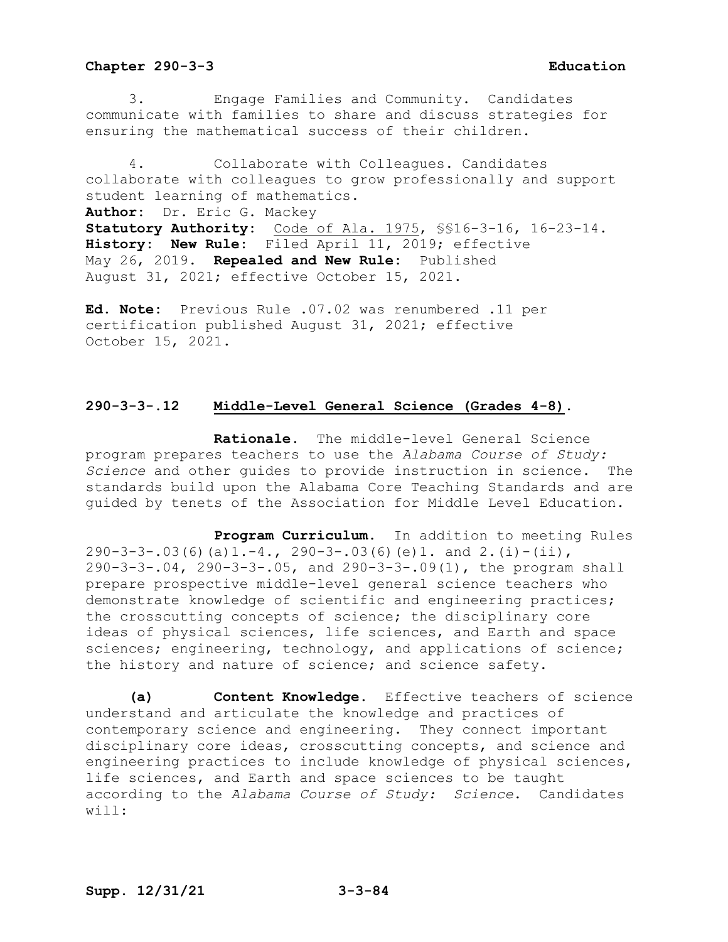3. Engage Families and Community. Candidates communicate with families to share and discuss strategies for ensuring the mathematical success of their children.

4. Collaborate with Colleagues. Candidates collaborate with colleagues to grow professionally and support student learning of mathematics. **Author:** Dr. Eric G. Mackey **Statutory Authority:** Code of Ala. 1975, §§16-3-16, 16-23-14. **History: New Rule:** Filed April 11, 2019; effective May 26, 2019. **Repealed and New Rule:** Published August 31, 2021; effective October 15, 2021.

**Ed. Note:** Previous Rule .07.02 was renumbered .11 per certification published August 31, 2021; effective October 15, 2021.

## **290-3-3-.12 Middle-Level General Science (Grades 4-8).**

**Rationale.** The middle-level General Science program prepares teachers to use the *Alabama Course of Study: Science* and other guides to provide instruction in science.The standards build upon the Alabama Core Teaching Standards and are guided by tenets of the Association for Middle Level Education.

**Program Curriculum.** In addition to meeting Rules  $290-3-3-.03(6)(a)1.-4., 290-3-.03(6)(e)1. and 2.(i)-(ii),$ 290-3-3-.04, 290-3-3-.05, and 290-3-3-.09(1), the program shall prepare prospective middle-level general science teachers who demonstrate knowledge of scientific and engineering practices; the crosscutting concepts of science; the disciplinary core ideas of physical sciences, life sciences, and Earth and space sciences; engineering, technology, and applications of science; the history and nature of science; and science safety.

**(a) Content Knowledge.** Effective teachers of science understand and articulate the knowledge and practices of contemporary science and engineering. They connect important disciplinary core ideas, crosscutting concepts, and science and engineering practices to include knowledge of physical sciences, life sciences, and Earth and space sciences to be taught according to the *Alabama Course of Study: Science*. Candidates will: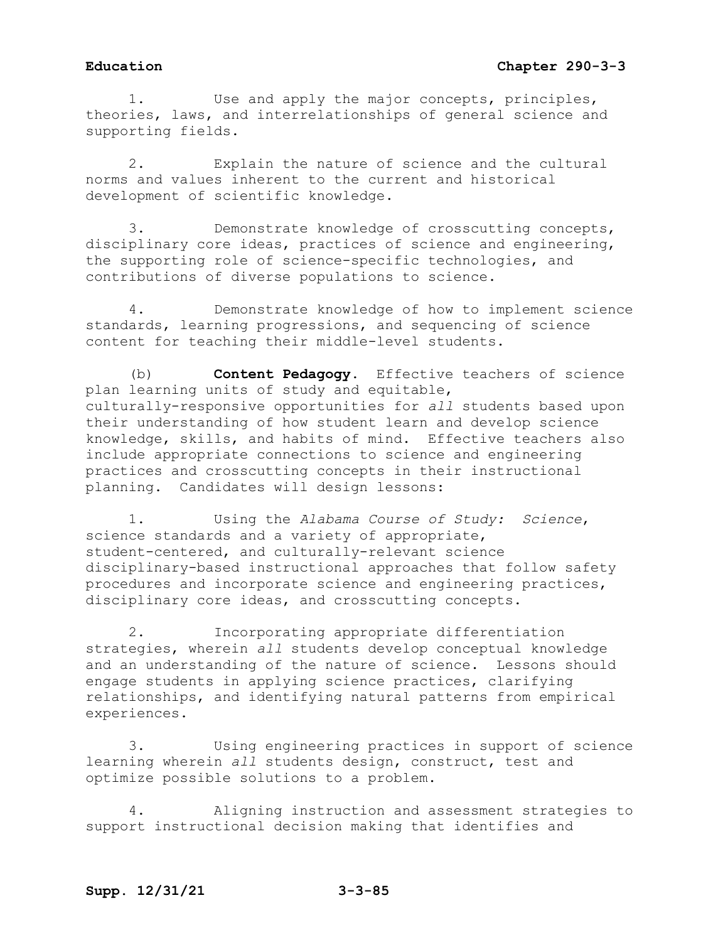1. Use and apply the major concepts, principles, theories, laws, and interrelationships of general science and supporting fields.

2. Explain the nature of science and the cultural norms and values inherent to the current and historical development of scientific knowledge.

3. Demonstrate knowledge of crosscutting concepts, disciplinary core ideas, practices of science and engineering, the supporting role of science-specific technologies, and contributions of diverse populations to science.

4. Demonstrate knowledge of how to implement science standards, learning progressions, and sequencing of science content for teaching their middle-level students.

(b) **Content Pedagogy.** Effective teachers of science plan learning units of study and equitable, culturally-responsive opportunities for *all* students based upon their understanding of how student learn and develop science knowledge, skills, and habits of mind. Effective teachers also include appropriate connections to science and engineering practices and crosscutting concepts in their instructional planning. Candidates will design lessons:

1. Using the *Alabama Course of Study: Science*, science standards and a variety of appropriate, student-centered, and culturally-relevant science disciplinary-based instructional approaches that follow safety procedures and incorporate science and engineering practices, disciplinary core ideas, and crosscutting concepts.

2. Incorporating appropriate differentiation strategies, wherein *all* students develop conceptual knowledge and an understanding of the nature of science. Lessons should engage students in applying science practices, clarifying relationships, and identifying natural patterns from empirical experiences.

3. Using engineering practices in support of science learning wherein *all* students design, construct, test and optimize possible solutions to a problem.

4. Aligning instruction and assessment strategies to support instructional decision making that identifies and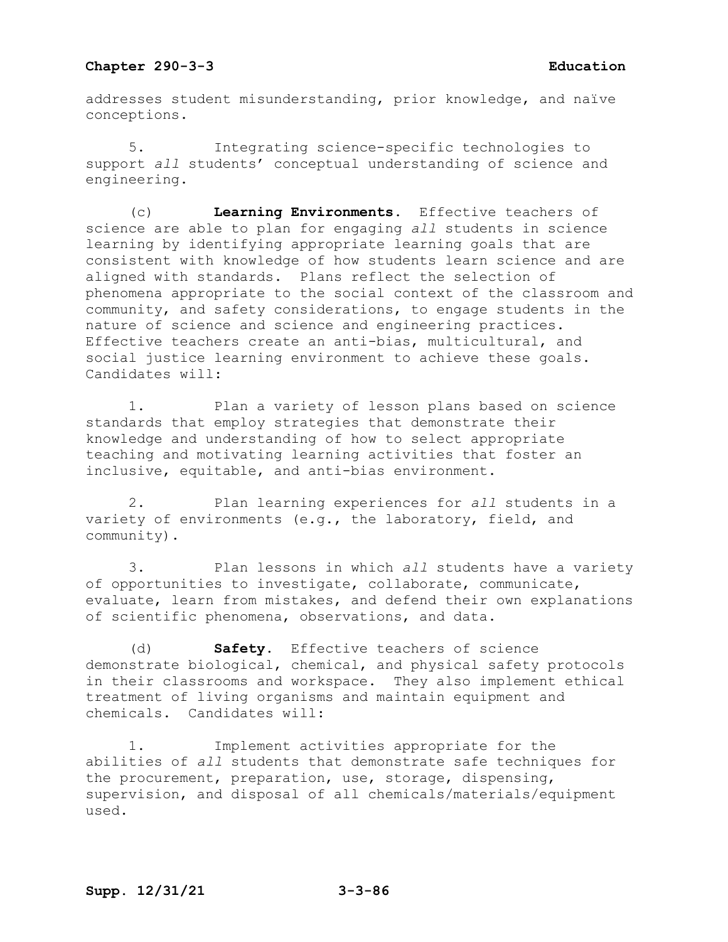addresses student misunderstanding, prior knowledge, and naïve conceptions.

5. Integrating science-specific technologies to support *all* students' conceptual understanding of science and engineering.

(c) **Learning Environments.** Effective teachers of science are able to plan for engaging *all* students in science learning by identifying appropriate learning goals that are consistent with knowledge of how students learn science and are aligned with standards. Plans reflect the selection of phenomena appropriate to the social context of the classroom and community, and safety considerations, to engage students in the nature of science and science and engineering practices. Effective teachers create an anti-bias, multicultural, and social justice learning environment to achieve these goals. Candidates will:

1. Plan a variety of lesson plans based on science standards that employ strategies that demonstrate their knowledge and understanding of how to select appropriate teaching and motivating learning activities that foster an inclusive, equitable, and anti-bias environment.

2. Plan learning experiences for *all* students in a variety of environments (e.g., the laboratory, field, and community).

3. Plan lessons in which *all* students have a variety of opportunities to investigate, collaborate, communicate, evaluate, learn from mistakes, and defend their own explanations of scientific phenomena, observations, and data.

(d) **Safety.** Effective teachers of science demonstrate biological, chemical, and physical safety protocols in their classrooms and workspace. They also implement ethical treatment of living organisms and maintain equipment and chemicals. Candidates will:

1. Implement activities appropriate for the abilities of *all* students that demonstrate safe techniques for the procurement, preparation, use, storage, dispensing, supervision, and disposal of all chemicals/materials/equipment used.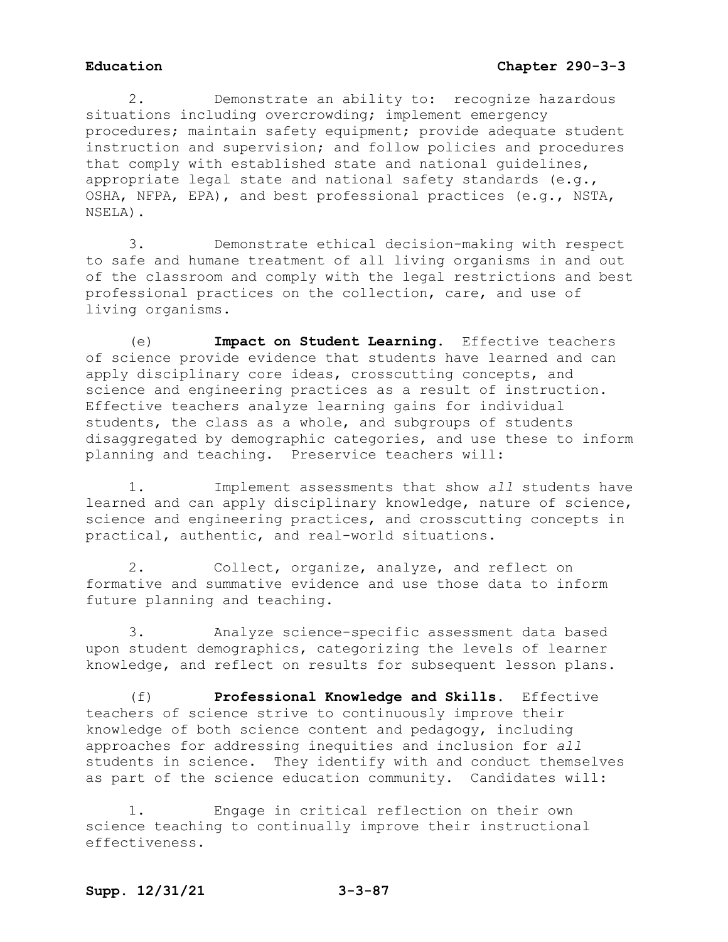2. Demonstrate an ability to: recognize hazardous situations including overcrowding; implement emergency procedures; maintain safety equipment; provide adequate student instruction and supervision; and follow policies and procedures that comply with established state and national guidelines, appropriate legal state and national safety standards (e.g., OSHA, NFPA, EPA), and best professional practices (e.g., NSTA, NSELA).

3. Demonstrate ethical decision-making with respect to safe and humane treatment of all living organisms in and out of the classroom and comply with the legal restrictions and best professional practices on the collection, care, and use of living organisms.

(e) **Impact on Student Learning.** Effective teachers of science provide evidence that students have learned and can apply disciplinary core ideas, crosscutting concepts, and science and engineering practices as a result of instruction. Effective teachers analyze learning gains for individual students, the class as a whole, and subgroups of students disaggregated by demographic categories, and use these to inform planning and teaching. Preservice teachers will:

1. Implement assessments that show *all* students have learned and can apply disciplinary knowledge, nature of science, science and engineering practices, and crosscutting concepts in practical, authentic, and real-world situations.

2. Collect, organize, analyze, and reflect on formative and summative evidence and use those data to inform future planning and teaching.

3. Analyze science-specific assessment data based upon student demographics, categorizing the levels of learner knowledge, and reflect on results for subsequent lesson plans.

(f) **Professional Knowledge and Skills.** Effective teachers of science strive to continuously improve their knowledge of both science content and pedagogy, including approaches for addressing inequities and inclusion for *all* students in science. They identify with and conduct themselves as part of the science education community. Candidates will:

1. Engage in critical reflection on their own science teaching to continually improve their instructional effectiveness.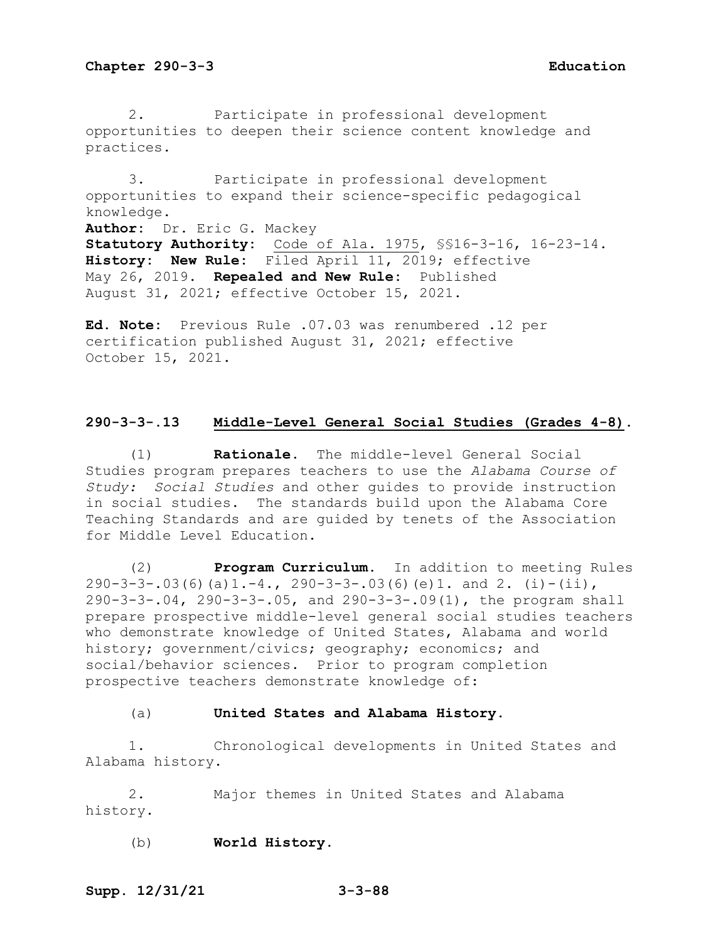2. Participate in professional development opportunities to deepen their science content knowledge and practices.

3. Participate in professional development opportunities to expand their science-specific pedagogical knowledge. **Author:** Dr. Eric G. Mackey **Statutory Authority:** Code of Ala. 1975, §§16-3-16, 16-23-14. **History: New Rule:** Filed April 11, 2019; effective May 26, 2019. **Repealed and New Rule:** Published August 31, 2021; effective October 15, 2021.

**Ed. Note:** Previous Rule .07.03 was renumbered .12 per certification published August 31, 2021; effective October 15, 2021.

### **290-3-3-.13 Middle-Level General Social Studies (Grades 4-8).**

(1) **Rationale.** The middle-level General Social Studies program prepares teachers to use the *Alabama Course of Study: Social Studies* and other guides to provide instruction in social studies. The standards build upon the Alabama Core Teaching Standards and are guided by tenets of the Association for Middle Level Education.

(2) **Program Curriculum.** In addition to meeting Rules 290-3-3-.03(6)(a)1.-4., 290-3-3-.03(6)(e)1. and 2. (i)-(ii), 290-3-3-.04, 290-3-3-.05, and 290-3-3-.09(1), the program shall prepare prospective middle-level general social studies teachers who demonstrate knowledge of United States, Alabama and world history; government/civics; geography; economics; and social/behavior sciences. Prior to program completion prospective teachers demonstrate knowledge of:

### (a) **United States and Alabama History.**

1. Chronological developments in United States and Alabama history.

2. Major themes in United States and Alabama history.

(b) **World History.**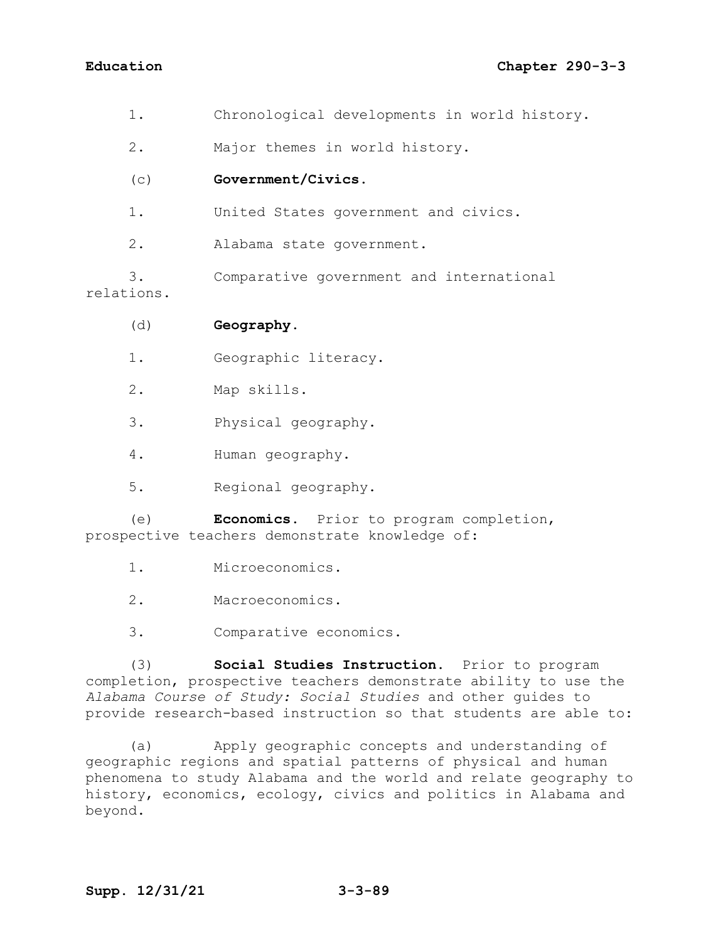1. Chronological developments in world history.

2. Major themes in world history.

# (c) **Government/Civics.**

1. United States government and civics.

2. Alabama state government.

3. Comparative government and international relations.

(d) **Geography.**

- 1. Geographic literacy.
- 2. Map skills.
- 3. Physical geography.
- 4. Human geography.
- 5. Regional geography.

(e) **Economics.** Prior to program completion, prospective teachers demonstrate knowledge of:

- 1. Microeconomics.
- 2. Macroeconomics.
- 3. Comparative economics.

(3) **Social Studies Instruction.** Prior to program completion, prospective teachers demonstrate ability to use the *Alabama Course of Study: Social Studies* and other guides to provide research-based instruction so that students are able to:

(a) Apply geographic concepts and understanding of geographic regions and spatial patterns of physical and human phenomena to study Alabama and the world and relate geography to history, economics, ecology, civics and politics in Alabama and beyond.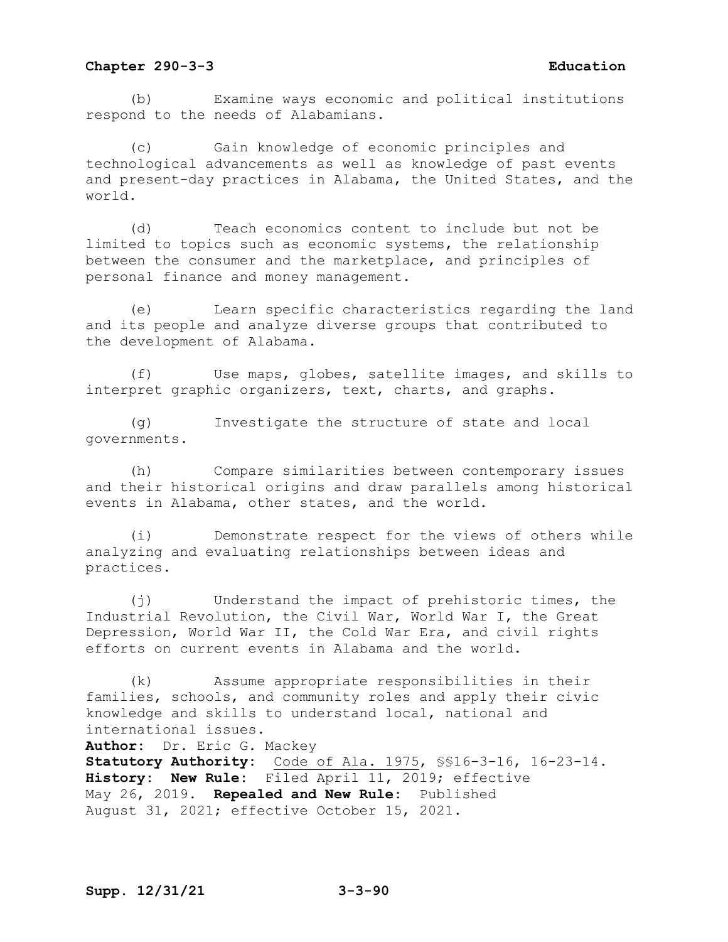(b) Examine ways economic and political institutions respond to the needs of Alabamians.

Gain knowledge of economic principles and technological advancements as well as knowledge of past events and present-day practices in Alabama, the United States, and the world.

(d) Teach economics content to include but not be limited to topics such as economic systems, the relationship between the consumer and the marketplace, and principles of personal finance and money management.

(e) Learn specific characteristics regarding the land and its people and analyze diverse groups that contributed to the development of Alabama.

(f) Use maps, globes, satellite images, and skills to interpret graphic organizers, text, charts, and graphs.

(g) Investigate the structure of state and local governments.

(h) Compare similarities between contemporary issues and their historical origins and draw parallels among historical events in Alabama, other states, and the world.

(i) Demonstrate respect for the views of others while analyzing and evaluating relationships between ideas and practices.

(j) Understand the impact of prehistoric times, the Industrial Revolution, the Civil War, World War I, the Great Depression, World War II, the Cold War Era, and civil rights efforts on current events in Alabama and the world.

(k) Assume appropriate responsibilities in their families, schools, and community roles and apply their civic knowledge and skills to understand local, national and international issues.

**Author:** Dr. Eric G. Mackey **Statutory Authority:** Code of Ala. 1975, §§16-3-16, 16-23-14. **History: New Rule:** Filed April 11, 2019; effective May 26, 2019. **Repealed and New Rule:** Published August 31, 2021; effective October 15, 2021.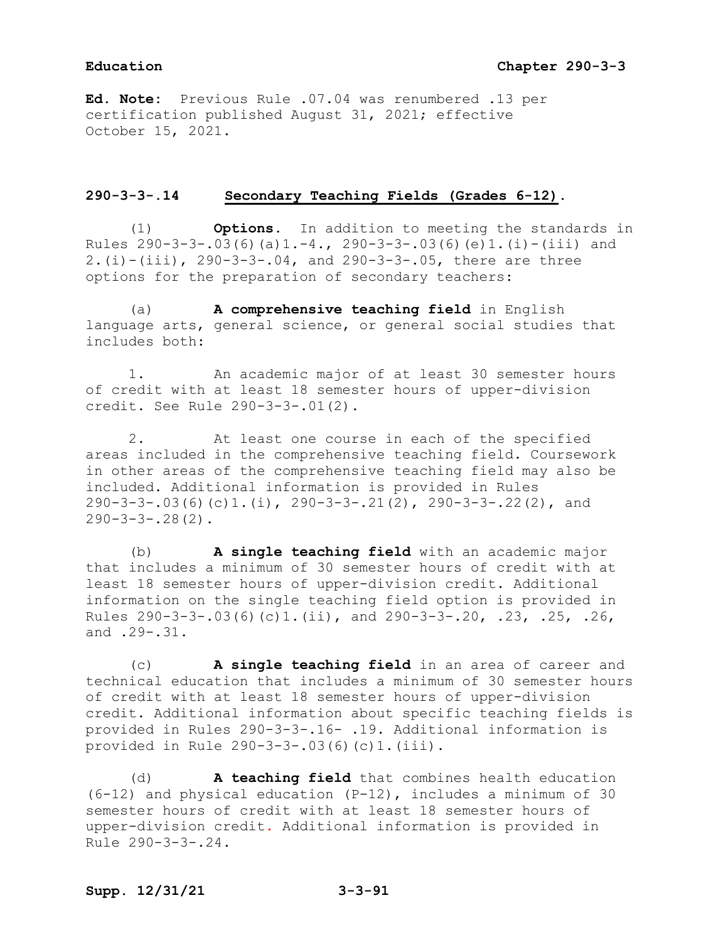**Ed. Note:** Previous Rule .07.04 was renumbered .13 per certification published August 31, 2021; effective October 15, 2021.

# **290-3-3-.14 Secondary Teaching Fields (Grades 6-12).**

(1) **Options.** In addition to meeting the standards in Rules  $290-3-3-.03(6)(a)1.-4., 290-3-3-.03(6)(e)1.(i)-(iii) and$ 2.(i)-(iii), 290-3-3-.04, and 290-3-3-.05, there are three options for the preparation of secondary teachers:

(a) **A comprehensive teaching field** in English language arts, general science, or general social studies that includes both:

1. An academic major of at least 30 semester hours of credit with at least 18 semester hours of upper-division credit. See Rule 290-3-3-.01(2).

2. At least one course in each of the specified areas included in the comprehensive teaching field. Coursework in other areas of the comprehensive teaching field may also be included. Additional information is provided in Rules 290-3-3-.03(6)(c)1.(i), 290-3-3-.21(2), 290-3-3-.22(2), and  $290 - 3 - 3 - 28(2)$ .

(b) **A single teaching field** with an academic major that includes a minimum of 30 semester hours of credit with at least 18 semester hours of upper-division credit. Additional information on the single teaching field option is provided in Rules 290-3-3-.03(6)(c)1.(ii), and 290-3-3-.20, .23, .25, .26, and .29-.31.

(c) **A single teaching field** in an area of career and technical education that includes a minimum of 30 semester hours of credit with at least 18 semester hours of upper-division credit. Additional information about specific teaching fields is provided in Rules 290-3-3-.16- .19. Additional information is provided in Rule 290-3-3-.03(6)(c)1.(iii).

(d) **A teaching field** that combines health education (6-12) and physical education (P-12), includes a minimum of 30 semester hours of credit with at least 18 semester hours of upper-division credit. Additional information is provided in Rule 290-3-3-.24.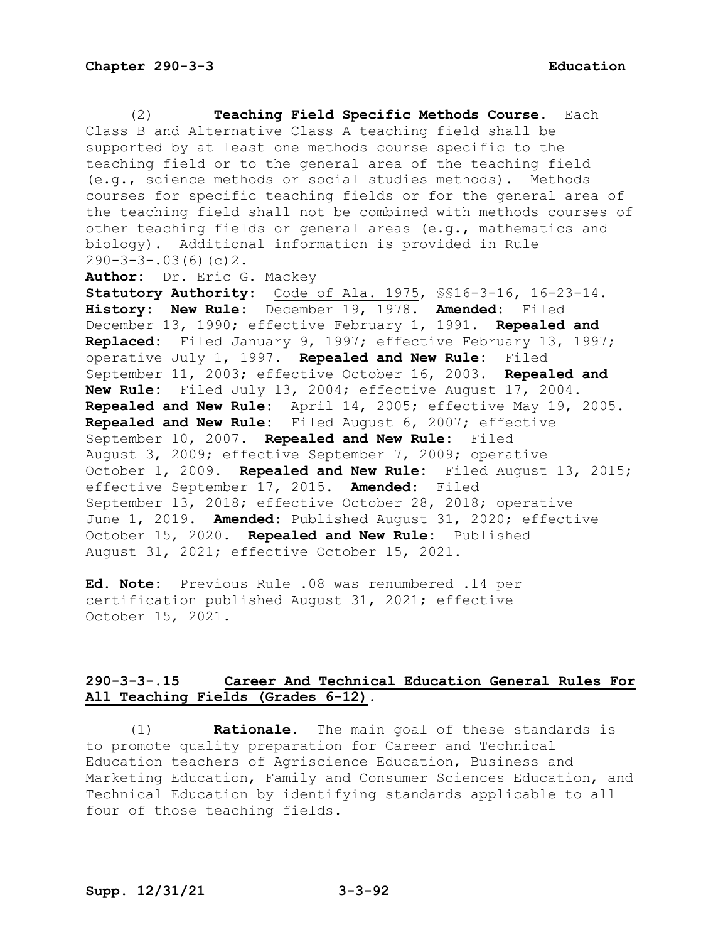(2) **Teaching Field Specific Methods Course.** Each Class B and Alternative Class A teaching field shall be supported by at least one methods course specific to the teaching field or to the general area of the teaching field (e.g., science methods or social studies methods). Methods courses for specific teaching fields or for the general area of the teaching field shall not be combined with methods courses of other teaching fields or general areas (e.g., mathematics and biology). Additional information is provided in Rule  $290-3-3-.03(6)(c)2.$ **Author:** Dr. Eric G. Mackey **Statutory Authority:** Code of Ala. 1975, §§16-3-16, 16-23-14. **History: New Rule:** December 19, 1978. **Amended:** Filed December 13, 1990; effective February 1, 1991. **Repealed and Replaced:** Filed January 9, 1997; effective February 13, 1997; operative July 1, 1997. **Repealed and New Rule:** Filed September 11, 2003; effective October 16, 2003. **Repealed and New Rule:** Filed July 13, 2004; effective August 17, 2004. **Repealed and New Rule:** April 14, 2005; effective May 19, 2005. **Repealed and New Rule:** Filed August 6, 2007; effective September 10, 2007. **Repealed and New Rule:** Filed August 3, 2009; effective September 7, 2009; operative October 1, 2009. **Repealed and New Rule:** Filed August 13, 2015; effective September 17, 2015. **Amended:** Filed September 13, 2018; effective October 28, 2018; operative June 1, 2019. **Amended:** Published August 31, 2020; effective October 15, 2020. **Repealed and New Rule:** Published August 31, 2021; effective October 15, 2021.

**Ed. Note:** Previous Rule .08 was renumbered .14 per certification published August 31, 2021; effective October 15, 2021.

# **290-3-3-.15 Career And Technical Education General Rules For All Teaching Fields (Grades 6-12).**

(1) **Rationale.** The main goal of these standards is to promote quality preparation for Career and Technical Education teachers of Agriscience Education, Business and Marketing Education, Family and Consumer Sciences Education, and Technical Education by identifying standards applicable to all four of those teaching fields.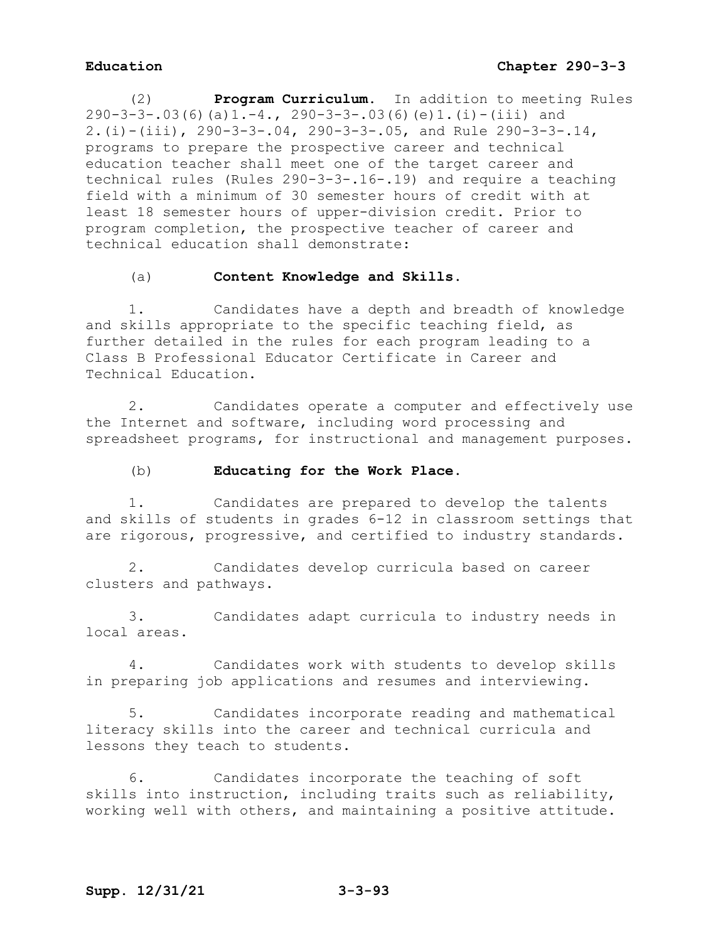(2) **Program Curriculum.** In addition to meeting Rules  $290-3-3-.03(6)(a)1.-4.$ ,  $290-3-3-.03(6)(e)1.(i)-(iii)$  and 2.(i)-(iii), 290-3-3-.04, 290-3-3-.05, and Rule 290-3-3-.14, programs to prepare the prospective career and technical education teacher shall meet one of the target career and technical rules (Rules 290-3-3-.16-.19) and require a teaching field with a minimum of 30 semester hours of credit with at least 18 semester hours of upper-division credit. Prior to program completion, the prospective teacher of career and technical education shall demonstrate:

# (a) **Content Knowledge and Skills.**

1. Candidates have a depth and breadth of knowledge and skills appropriate to the specific teaching field, as further detailed in the rules for each program leading to a Class B Professional Educator Certificate in Career and Technical Education.

2. Candidates operate a computer and effectively use the Internet and software, including word processing and spreadsheet programs, for instructional and management purposes.

## (b) **Educating for the Work Place.**

1. Candidates are prepared to develop the talents and skills of students in grades 6-12 in classroom settings that are rigorous, progressive, and certified to industry standards.

2. Candidates develop curricula based on career clusters and pathways.

3. Candidates adapt curricula to industry needs in local areas.

4. Candidates work with students to develop skills in preparing job applications and resumes and interviewing.

5. Candidates incorporate reading and mathematical literacy skills into the career and technical curricula and lessons they teach to students.

6. Candidates incorporate the teaching of soft skills into instruction, including traits such as reliability, working well with others, and maintaining a positive attitude.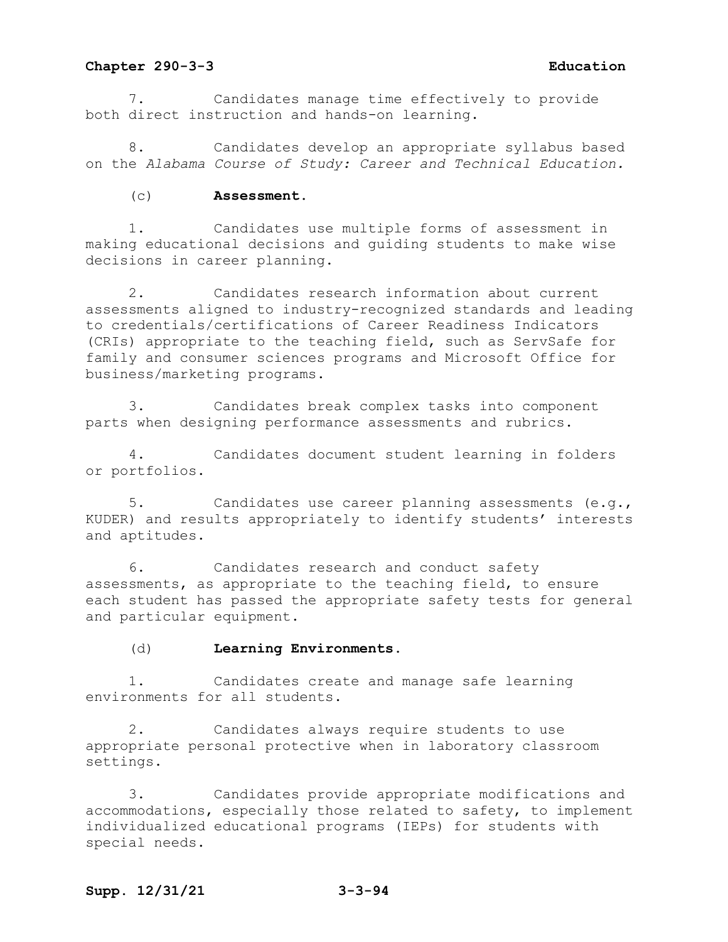7. Candidates manage time effectively to provide both direct instruction and hands-on learning.

Candidates develop an appropriate syllabus based on the *Alabama Course of Study: Career and Technical Education.*

(c) **Assessment.**

1. Candidates use multiple forms of assessment in making educational decisions and guiding students to make wise decisions in career planning.

2. Candidates research information about current assessments aligned to industry-recognized standards and leading to credentials/certifications of Career Readiness Indicators (CRIs) appropriate to the teaching field, such as ServSafe for family and consumer sciences programs and Microsoft Office for business/marketing programs.

3. Candidates break complex tasks into component parts when designing performance assessments and rubrics.

4. Candidates document student learning in folders or portfolios.

5. Candidates use career planning assessments (e.g., KUDER) and results appropriately to identify students' interests and aptitudes.

6. Candidates research and conduct safety assessments, as appropriate to the teaching field, to ensure each student has passed the appropriate safety tests for general and particular equipment.

(d) **Learning Environments.**

1. Candidates create and manage safe learning environments for all students.

2. Candidates always require students to use appropriate personal protective when in laboratory classroom settings.

3. Candidates provide appropriate modifications and accommodations, especially those related to safety, to implement individualized educational programs (IEPs) for students with special needs.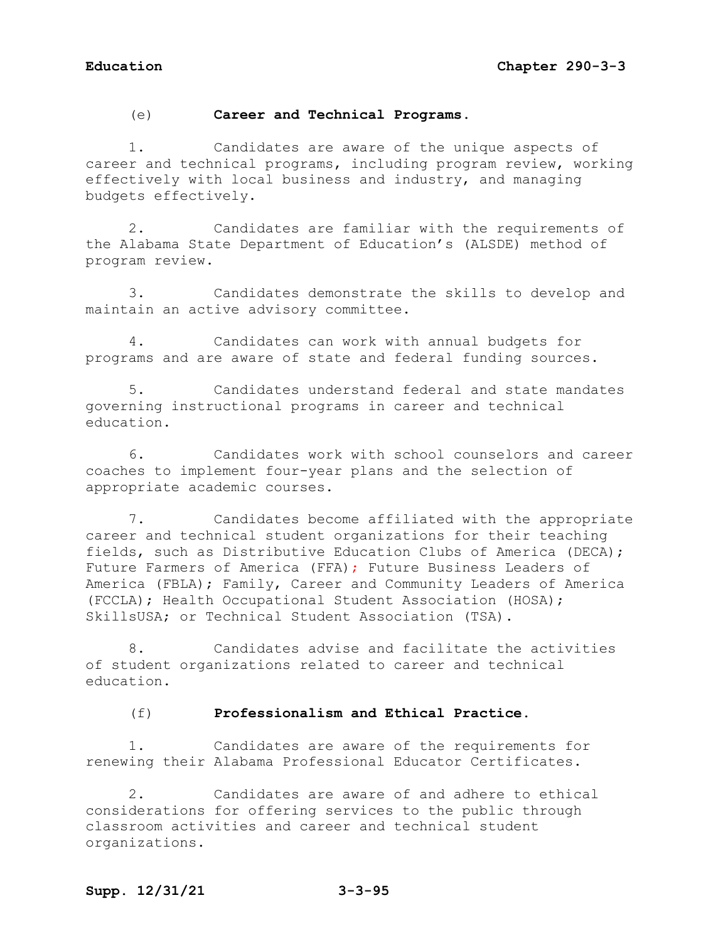# (e) **Career and Technical Programs.**

1. Candidates are aware of the unique aspects of career and technical programs, including program review, working effectively with local business and industry, and managing budgets effectively.

2. Candidates are familiar with the requirements of the Alabama State Department of Education's (ALSDE) method of program review.

3. Candidates demonstrate the skills to develop and maintain an active advisory committee.

4. Candidates can work with annual budgets for programs and are aware of state and federal funding sources.

5. Candidates understand federal and state mandates governing instructional programs in career and technical education.

6. Candidates work with school counselors and career coaches to implement four-year plans and the selection of appropriate academic courses.

7. Candidates become affiliated with the appropriate career and technical student organizations for their teaching fields, such as Distributive Education Clubs of America (DECA); Future Farmers of America (FFA); Future Business Leaders of America (FBLA); Family, Career and Community Leaders of America (FCCLA); Health Occupational Student Association (HOSA); SkillsUSA; or Technical Student Association (TSA).

8. Candidates advise and facilitate the activities of student organizations related to career and technical education.

## (f) **Professionalism and Ethical Practice.**

1. Candidates are aware of the requirements for renewing their Alabama Professional Educator Certificates.

2. Candidates are aware of and adhere to ethical considerations for offering services to the public through classroom activities and career and technical student organizations.

# **Supp. 12/31/21 3-3-95**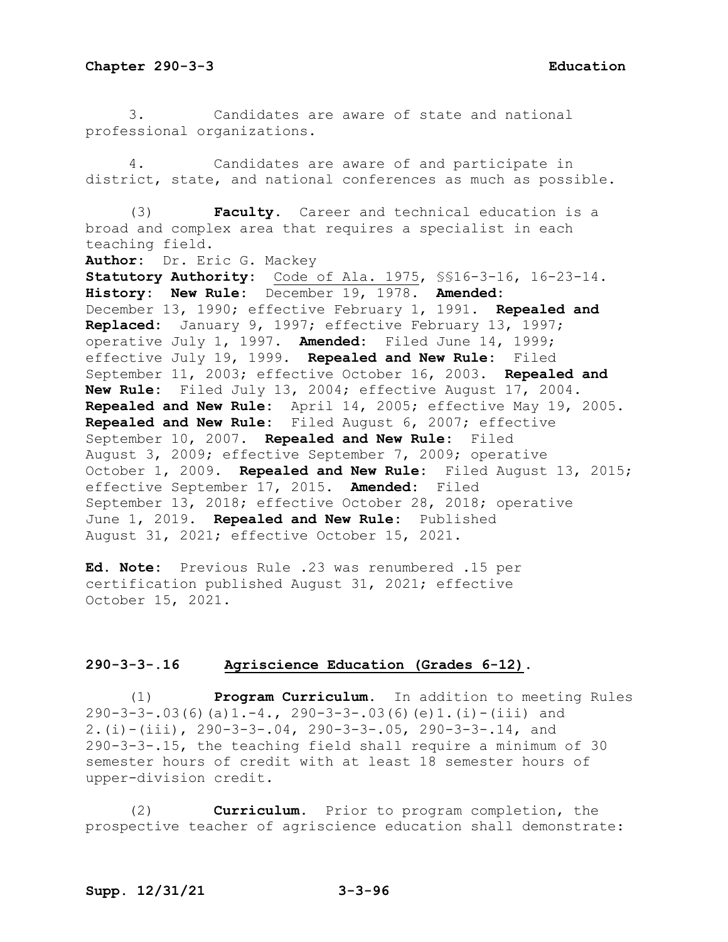3. Candidates are aware of state and national professional organizations.

4. Candidates are aware of and participate in district, state, and national conferences as much as possible.

(3) **Faculty**. Career and technical education is a broad and complex area that requires a specialist in each teaching field.

**Author:** Dr. Eric G. Mackey

**Statutory Authority:** Code of Ala. 1975, §§16-3-16, 16-23-14. **History: New Rule:** December 19, 1978. **Amended:** December 13, 1990; effective February 1, 1991. **Repealed and Replaced:** January 9, 1997; effective February 13, 1997; operative July 1, 1997. **Amended:** Filed June 14, 1999; effective July 19, 1999. **Repealed and New Rule:** Filed September 11, 2003; effective October 16, 2003. **Repealed and New Rule:** Filed July 13, 2004; effective August 17, 2004. **Repealed and New Rule:** April 14, 2005; effective May 19, 2005. **Repealed and New Rule:** Filed August 6, 2007; effective September 10, 2007. **Repealed and New Rule:** Filed August 3, 2009; effective September 7, 2009; operative October 1, 2009. **Repealed and New Rule:** Filed August 13, 2015; effective September 17, 2015. **Amended:** Filed September 13, 2018; effective October 28, 2018; operative June 1, 2019. **Repealed and New Rule:** Published August 31, 2021; effective October 15, 2021.

**Ed. Note:** Previous Rule .23 was renumbered .15 per certification published August 31, 2021; effective October 15, 2021.

## **290-3-3-.16 Agriscience Education (Grades 6-12).**

(1) **Program Curriculum.** In addition to meeting Rules  $290-3-3-.03(6)(a)1.-4., 290-3-3-.03(6)(e)1.(i)-(iii) and$ 2.(i)-(iii), 290-3-3-.04, 290-3-3-.05, 290-3-3-.14, and 290-3-3-.15, the teaching field shall require a minimum of 30 semester hours of credit with at least 18 semester hours of upper-division credit.

(2) **Curriculum.** Prior to program completion, the prospective teacher of agriscience education shall demonstrate: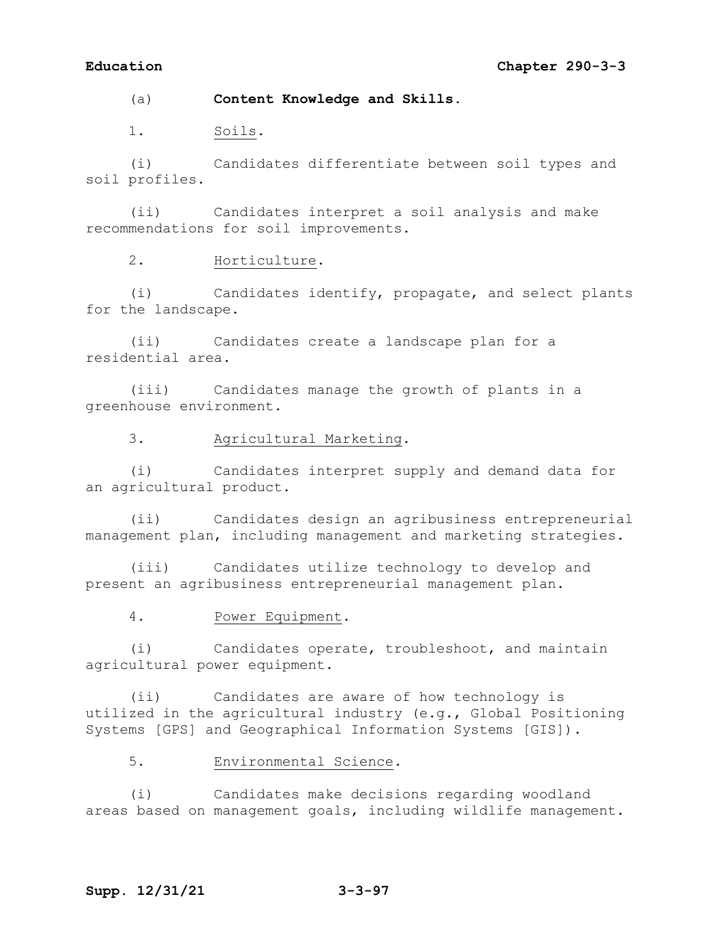(a) **Content Knowledge and Skills.**

1. Soils.

(i) Candidates differentiate between soil types and soil profiles.

(ii) Candidates interpret a soil analysis and make recommendations for soil improvements.

2. Horticulture.

(i) Candidates identify, propagate, and select plants for the landscape.

(ii) Candidates create a landscape plan for a residential area.

(iii) Candidates manage the growth of plants in a greenhouse environment.

3. Agricultural Marketing.

(i) Candidates interpret supply and demand data for an agricultural product.

(ii) Candidates design an agribusiness entrepreneurial management plan, including management and marketing strategies.

(iii) Candidates utilize technology to develop and present an agribusiness entrepreneurial management plan.

4. Power Equipment.

(i) Candidates operate, troubleshoot, and maintain agricultural power equipment.

(ii) Candidates are aware of how technology is utilized in the agricultural industry (e.g., Global Positioning Systems [GPS] and Geographical Information Systems [GIS]).

5. Environmental Science.

(i) Candidates make decisions regarding woodland areas based on management goals, including wildlife management.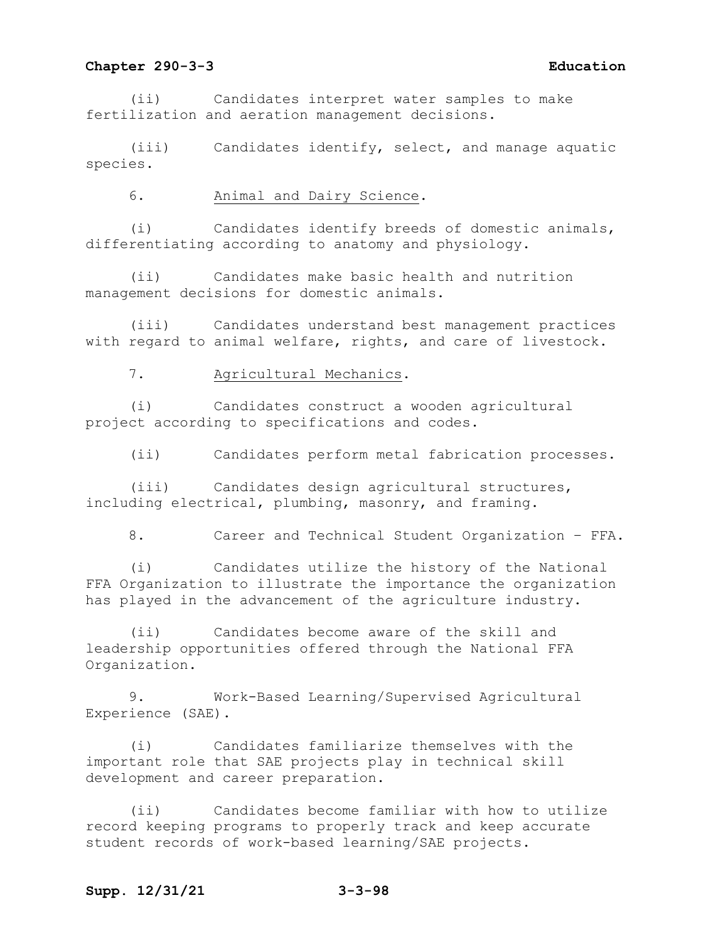(ii) Candidates interpret water samples to make fertilization and aeration management decisions.

(iii) Candidates identify, select, and manage aquatic species.

6. Animal and Dairy Science.

(i) Candidates identify breeds of domestic animals, differentiating according to anatomy and physiology.

(ii) Candidates make basic health and nutrition management decisions for domestic animals.

(iii) Candidates understand best management practices with regard to animal welfare, rights, and care of livestock.

7. Agricultural Mechanics.

(i) Candidates construct a wooden agricultural project according to specifications and codes.

(ii) Candidates perform metal fabrication processes.

(iii) Candidates design agricultural structures, including electrical, plumbing, masonry, and framing.

8. Career and Technical Student Organization – FFA.

(i) Candidates utilize the history of the National FFA Organization to illustrate the importance the organization has played in the advancement of the agriculture industry.

(ii) Candidates become aware of the skill and leadership opportunities offered through the National FFA Organization.

9. Work-Based Learning/Supervised Agricultural Experience (SAE).

(i) Candidates familiarize themselves with the important role that SAE projects play in technical skill development and career preparation.

(ii) Candidates become familiar with how to utilize record keeping programs to properly track and keep accurate student records of work-based learning/SAE projects.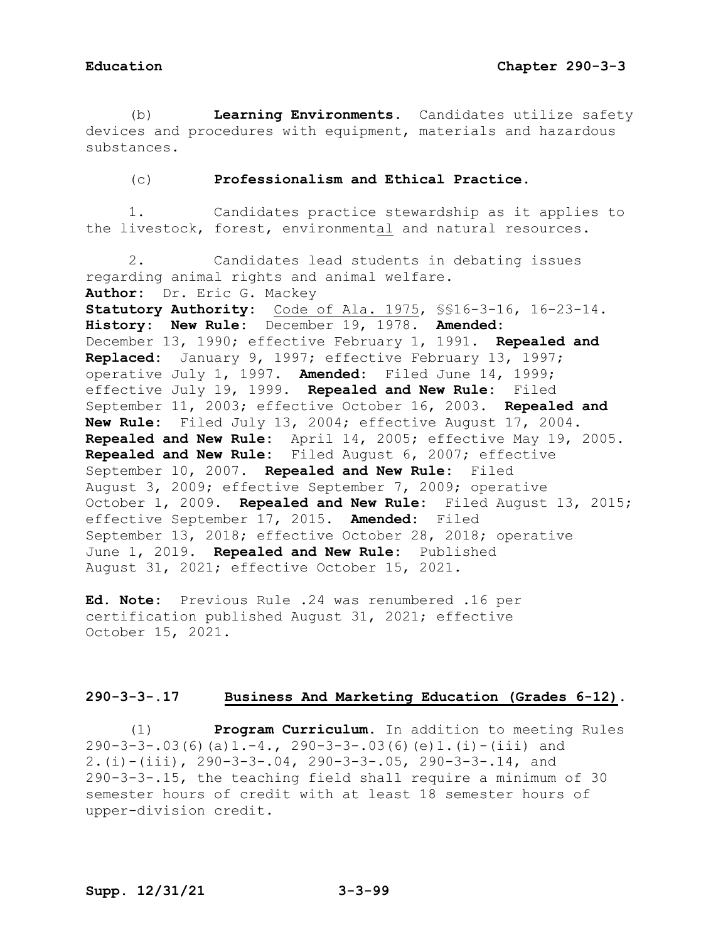(b) **Learning Environments.** Candidates utilize safety devices and procedures with equipment, materials and hazardous substances.

### (c) **Professionalism and Ethical Practice.**

1. Candidates practice stewardship as it applies to the livestock, forest, environmental and natural resources.

2. Candidates lead students in debating issues regarding animal rights and animal welfare. **Author:** Dr. Eric G. Mackey **Statutory Authority:** Code of Ala. 1975, §§16-3-16, 16-23-14. **History: New Rule:** December 19, 1978. **Amended:** December 13, 1990; effective February 1, 1991. **Repealed and Replaced:** January 9, 1997; effective February 13, 1997; operative July 1, 1997. **Amended:** Filed June 14, 1999; effective July 19, 1999. **Repealed and New Rule:** Filed September 11, 2003; effective October 16, 2003. **Repealed and New Rule:** Filed July 13, 2004; effective August 17, 2004. **Repealed and New Rule:** April 14, 2005; effective May 19, 2005. **Repealed and New Rule:** Filed August 6, 2007; effective September 10, 2007. **Repealed and New Rule:** Filed August 3, 2009; effective September 7, 2009; operative October 1, 2009. **Repealed and New Rule:** Filed August 13, 2015; effective September 17, 2015. **Amended:** Filed September 13, 2018; effective October 28, 2018; operative June 1, 2019. **Repealed and New Rule:** Published August 31, 2021; effective October 15, 2021.

**Ed. Note:** Previous Rule .24 was renumbered .16 per certification published August 31, 2021; effective October 15, 2021.

# **290-3-3-.17 Business And Marketing Education (Grades 6-12).**

(1) **Program Curriculum.** In addition to meeting Rules  $290-3-3-.03(6)(a)1.-4., 290-3-3-.03(6)(e)1.(i)-(iii) and$ 2.(i)-(iii), 290-3-3-.04, 290-3-3-.05, 290-3-3-.14, and 290-3-3-.15, the teaching field shall require a minimum of 30 semester hours of credit with at least 18 semester hours of upper-division credit.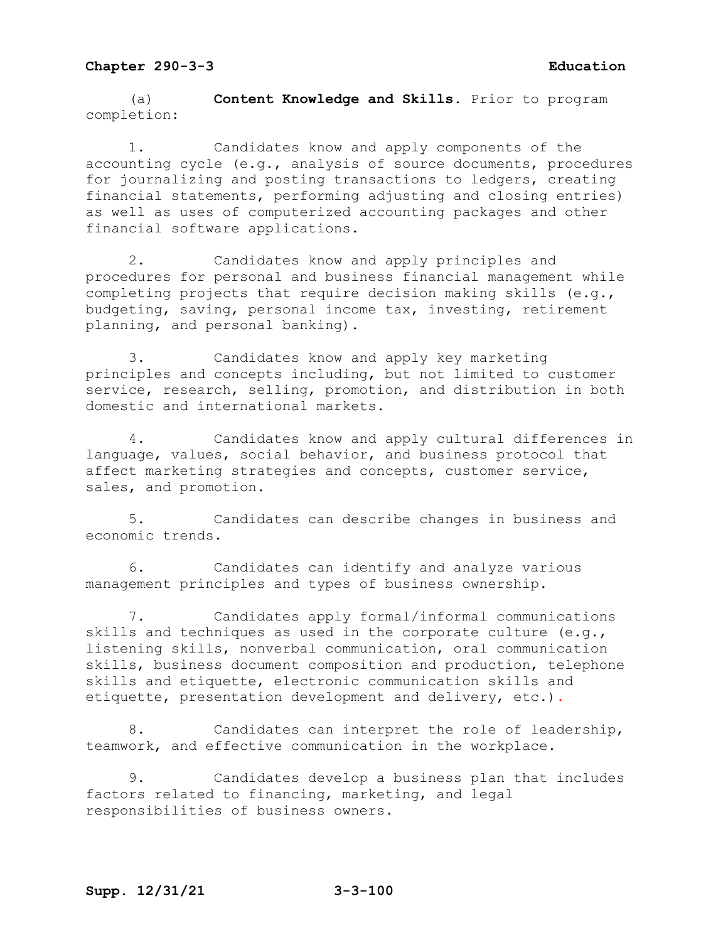(a) **Content Knowledge and Skills**. Prior to program completion:

1. Candidates know and apply components of the accounting cycle (e.g., analysis of source documents, procedures for journalizing and posting transactions to ledgers, creating financial statements, performing adjusting and closing entries) as well as uses of computerized accounting packages and other financial software applications.

2. Candidates know and apply principles and procedures for personal and business financial management while completing projects that require decision making skills (e.g., budgeting, saving, personal income tax, investing, retirement planning, and personal banking).

3. Candidates know and apply key marketing principles and concepts including, but not limited to customer service, research, selling, promotion, and distribution in both domestic and international markets.

4. Candidates know and apply cultural differences in language, values, social behavior, and business protocol that affect marketing strategies and concepts, customer service, sales, and promotion.

5. Candidates can describe changes in business and economic trends.

6. Candidates can identify and analyze various management principles and types of business ownership.

7. Candidates apply formal/informal communications skills and techniques as used in the corporate culture (e.g., listening skills, nonverbal communication, oral communication skills, business document composition and production, telephone skills and etiquette, electronic communication skills and etiquette, presentation development and delivery, etc.).

8. Candidates can interpret the role of leadership, teamwork, and effective communication in the workplace.

9. Candidates develop a business plan that includes factors related to financing, marketing, and legal responsibilities of business owners.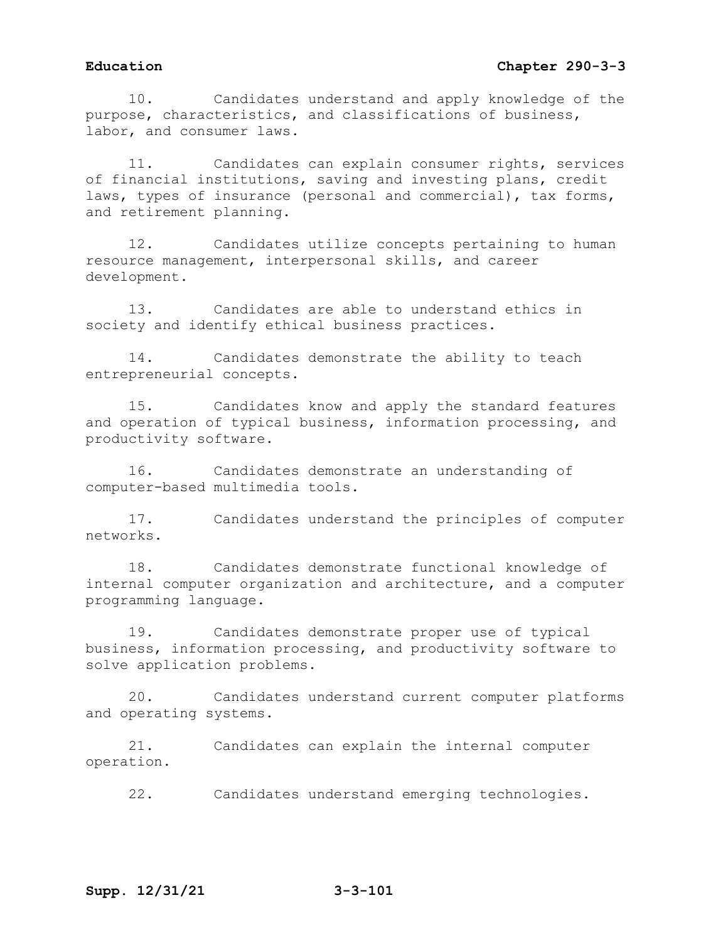10. Candidates understand and apply knowledge of the purpose, characteristics, and classifications of business, labor, and consumer laws.

11. Candidates can explain consumer rights, services of financial institutions, saving and investing plans, credit laws, types of insurance (personal and commercial), tax forms, and retirement planning.

12. Candidates utilize concepts pertaining to human resource management, interpersonal skills, and career development.

13. Candidates are able to understand ethics in society and identify ethical business practices.

14. Candidates demonstrate the ability to teach entrepreneurial concepts.

15. Candidates know and apply the standard features and operation of typical business, information processing, and productivity software.

16. Candidates demonstrate an understanding of computer-based multimedia tools.

17. Candidates understand the principles of computer networks.

18. Candidates demonstrate functional knowledge of internal computer organization and architecture, and a computer programming language.

19. Candidates demonstrate proper use of typical business, information processing, and productivity software to solve application problems.

20. Candidates understand current computer platforms and operating systems.

21. Candidates can explain the internal computer operation.

22. Candidates understand emerging technologies.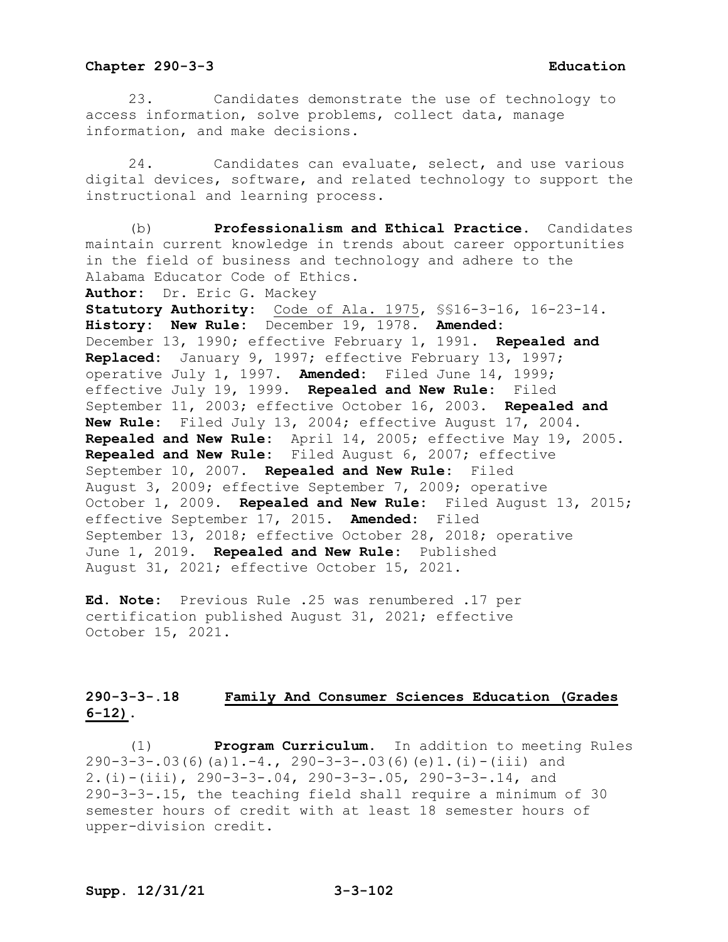23. Candidates demonstrate the use of technology to access information, solve problems, collect data, manage information, and make decisions.

24. Candidates can evaluate, select, and use various digital devices, software, and related technology to support the instructional and learning process.

(b) **Professionalism and Ethical Practice.** Candidates maintain current knowledge in trends about career opportunities in the field of business and technology and adhere to the Alabama Educator Code of Ethics.

**Author:** Dr. Eric G. Mackey

**Statutory Authority:** Code of Ala. 1975, §§16-3-16, 16-23-14. **History: New Rule:** December 19, 1978. **Amended:** December 13, 1990; effective February 1, 1991. **Repealed and Replaced:** January 9, 1997; effective February 13, 1997; operative July 1, 1997. **Amended:** Filed June 14, 1999; effective July 19, 1999. **Repealed and New Rule:** Filed September 11, 2003; effective October 16, 2003. **Repealed and New Rule:** Filed July 13, 2004; effective August 17, 2004. **Repealed and New Rule:** April 14, 2005; effective May 19, 2005. **Repealed and New Rule:** Filed August 6, 2007; effective September 10, 2007. **Repealed and New Rule:** Filed August 3, 2009; effective September 7, 2009; operative October 1, 2009. **Repealed and New Rule:** Filed August 13, 2015; effective September 17, 2015. **Amended:** Filed September 13, 2018; effective October 28, 2018; operative June 1, 2019. **Repealed and New Rule:** Published August 31, 2021; effective October 15, 2021.

**Ed. Note:** Previous Rule .25 was renumbered .17 per certification published August 31, 2021; effective October 15, 2021.

# **290-3-3-.18 Family And Consumer Sciences Education (Grades 6-12).**

(1) **Program Curriculum.** In addition to meeting Rules 290-3-3-.03(6)(a)1.-4., 290-3-3-.03(6)(e)1.(i)-(iii) and 2.(i)-(iii), 290-3-3-.04, 290-3-3-.05, 290-3-3-.14, and 290-3-3-.15, the teaching field shall require a minimum of 30 semester hours of credit with at least 18 semester hours of upper-division credit.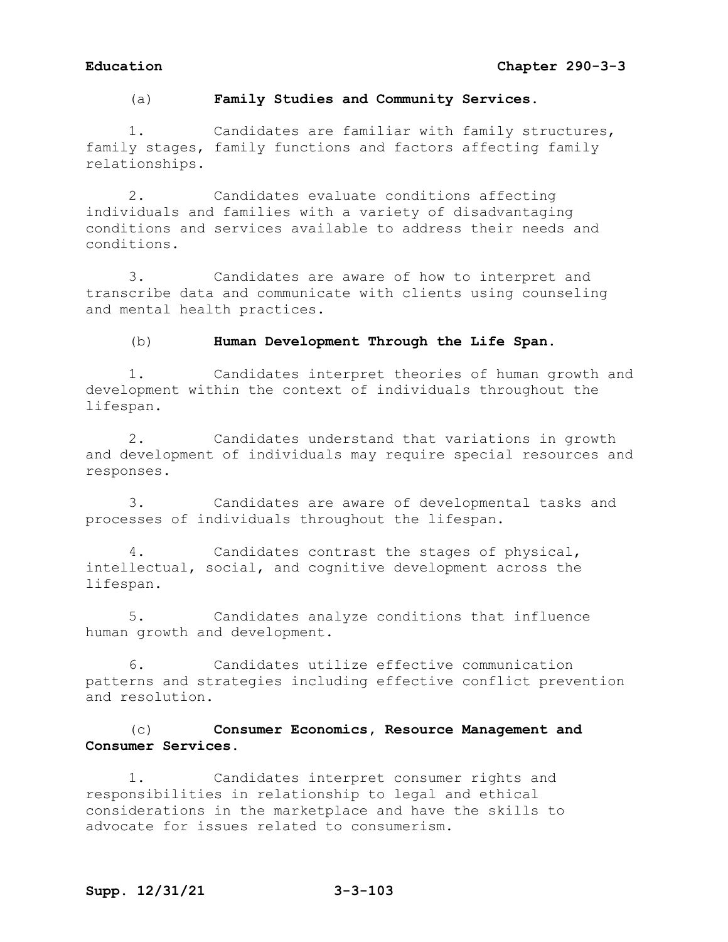(a) **Family Studies and Community Services.**

1. Candidates are familiar with family structures, family stages, family functions and factors affecting family relationships.

2. Candidates evaluate conditions affecting individuals and families with a variety of disadvantaging conditions and services available to address their needs and conditions.

3. Candidates are aware of how to interpret and transcribe data and communicate with clients using counseling and mental health practices.

### (b) **Human Development Through the Life Span.**

1. Candidates interpret theories of human growth and development within the context of individuals throughout the lifespan.

2. Candidates understand that variations in growth and development of individuals may require special resources and responses.

3. Candidates are aware of developmental tasks and processes of individuals throughout the lifespan.

4. Candidates contrast the stages of physical, intellectual, social, and cognitive development across the lifespan.

5. Candidates analyze conditions that influence human growth and development.

6. Candidates utilize effective communication patterns and strategies including effective conflict prevention and resolution.

# (c) **Consumer Economics, Resource Management and Consumer Services.**

1. Candidates interpret consumer rights and responsibilities in relationship to legal and ethical considerations in the marketplace and have the skills to advocate for issues related to consumerism.

# **Supp. 12/31/21 3-3-103**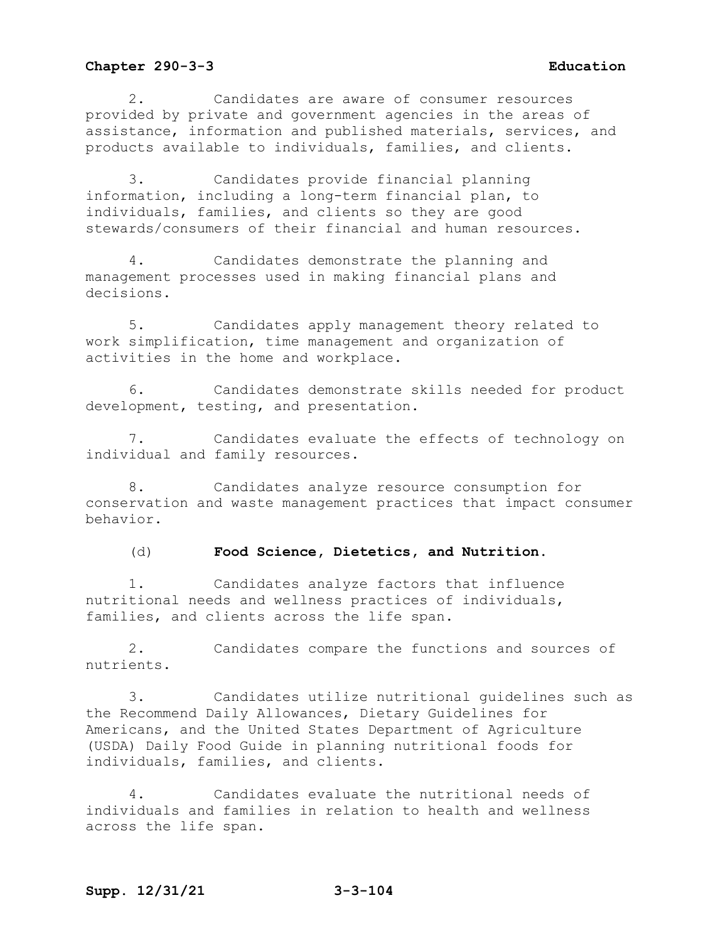2. Candidates are aware of consumer resources provided by private and government agencies in the areas of assistance, information and published materials, services, and products available to individuals, families, and clients.

3. Candidates provide financial planning information, including a long-term financial plan, to individuals, families, and clients so they are good stewards/consumers of their financial and human resources.

4. Candidates demonstrate the planning and management processes used in making financial plans and decisions.

5. Candidates apply management theory related to work simplification, time management and organization of activities in the home and workplace.

6. Candidates demonstrate skills needed for product development, testing, and presentation.

7. Candidates evaluate the effects of technology on individual and family resources.

8. Candidates analyze resource consumption for conservation and waste management practices that impact consumer behavior.

(d) **Food Science, Dietetics, and Nutrition**.

1. Candidates analyze factors that influence nutritional needs and wellness practices of individuals, families, and clients across the life span.

2. Candidates compare the functions and sources of nutrients.

3. Candidates utilize nutritional guidelines such as the Recommend Daily Allowances, Dietary Guidelines for Americans, and the United States Department of Agriculture (USDA) Daily Food Guide in planning nutritional foods for individuals, families, and clients.

4. Candidates evaluate the nutritional needs of individuals and families in relation to health and wellness across the life span.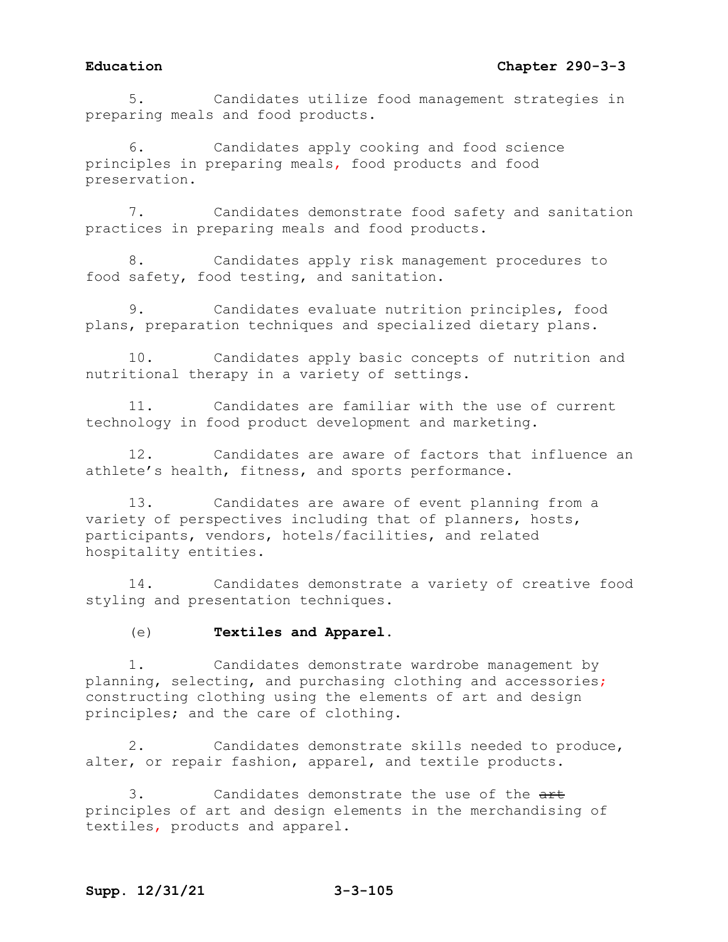# **Education Chapter 290-3-3**

5. Candidates utilize food management strategies in preparing meals and food products.

6. Candidates apply cooking and food science principles in preparing meals, food products and food preservation.

7. Candidates demonstrate food safety and sanitation practices in preparing meals and food products.

8. Candidates apply risk management procedures to food safety, food testing, and sanitation.

9. Candidates evaluate nutrition principles, food plans, preparation techniques and specialized dietary plans.

10. Candidates apply basic concepts of nutrition and nutritional therapy in a variety of settings.

11. Candidates are familiar with the use of current technology in food product development and marketing.

12. Candidates are aware of factors that influence an athlete's health, fitness, and sports performance.

13. Candidates are aware of event planning from a variety of perspectives including that of planners, hosts, participants, vendors, hotels/facilities, and related hospitality entities.

14. Candidates demonstrate a variety of creative food styling and presentation techniques.

### (e) **Textiles and Apparel.**

1. Candidates demonstrate wardrobe management by planning, selecting, and purchasing clothing and accessories; constructing clothing using the elements of art and design principles; and the care of clothing.

2. Candidates demonstrate skills needed to produce, alter, or repair fashion, apparel, and textile products.

3. Candidates demonstrate the use of the  $\frac{1}{x}$ principles of art and design elements in the merchandising of textiles, products and apparel.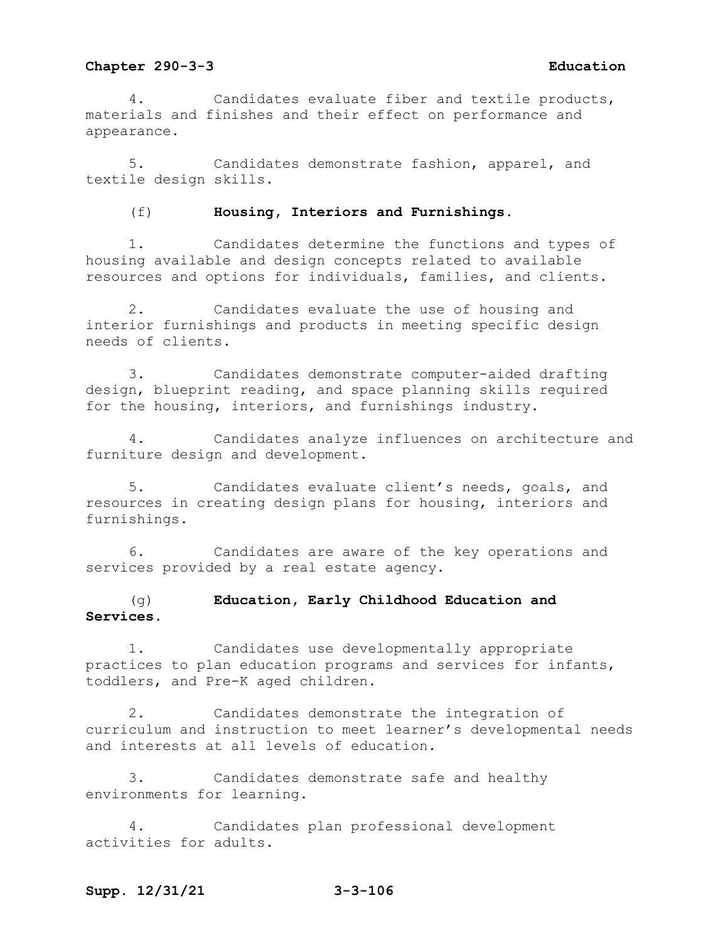4. Candidates evaluate fiber and textile products, materials and finishes and their effect on performance and appearance.

5. Candidates demonstrate fashion, apparel, and textile design skills.

(f) **Housing, Interiors and Furnishings.** 

1. Candidates determine the functions and types of housing available and design concepts related to available resources and options for individuals, families, and clients.

2. Candidates evaluate the use of housing and interior furnishings and products in meeting specific design needs of clients.

3. Candidates demonstrate computer-aided drafting design, blueprint reading, and space planning skills required for the housing, interiors, and furnishings industry.

4. Candidates analyze influences on architecture and furniture design and development.

5. Candidates evaluate client's needs, goals, and resources in creating design plans for housing, interiors and furnishings.

6. Candidates are aware of the key operations and services provided by a real estate agency.

# (g) **Education, Early Childhood Education and Services.**

1. Candidates use developmentally appropriate practices to plan education programs and services for infants, toddlers, and Pre-K aged children.

2. Candidates demonstrate the integration of curriculum and instruction to meet learner's developmental needs and interests at all levels of education.

3. Candidates demonstrate safe and healthy environments for learning.

Candidates plan professional development activities for adults.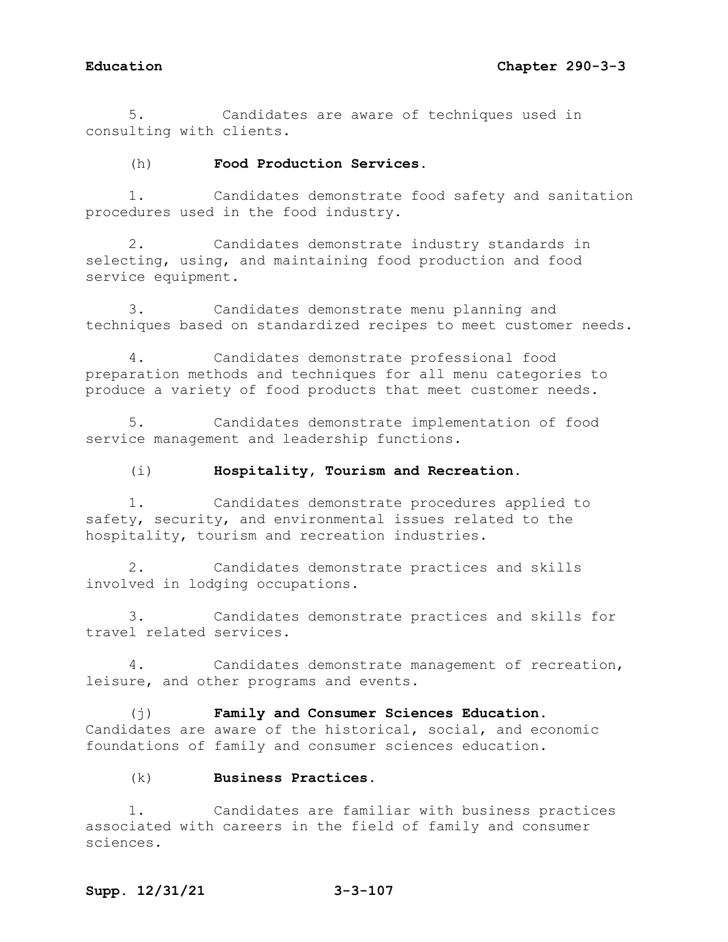5. Candidates are aware of techniques used in consulting with clients.

## (h) **Food Production Services.**

1. Candidates demonstrate food safety and sanitation procedures used in the food industry.

2. Candidates demonstrate industry standards in selecting, using, and maintaining food production and food service equipment.

3. Candidates demonstrate menu planning and techniques based on standardized recipes to meet customer needs.

4. Candidates demonstrate professional food preparation methods and techniques for all menu categories to produce a variety of food products that meet customer needs.

5. Candidates demonstrate implementation of food service management and leadership functions.

### (i) **Hospitality, Tourism and Recreation.**

1. Candidates demonstrate procedures applied to safety, security, and environmental issues related to the hospitality, tourism and recreation industries.

2. Candidates demonstrate practices and skills involved in lodging occupations.

3. Candidates demonstrate practices and skills for travel related services.

4. Candidates demonstrate management of recreation, leisure, and other programs and events.

(j) **Family and Consumer Sciences Education.** Candidates are aware of the historical, social, and economic foundations of family and consumer sciences education.

## (k) **Business Practices.**

1. Candidates are familiar with business practices associated with careers in the field of family and consumer sciences.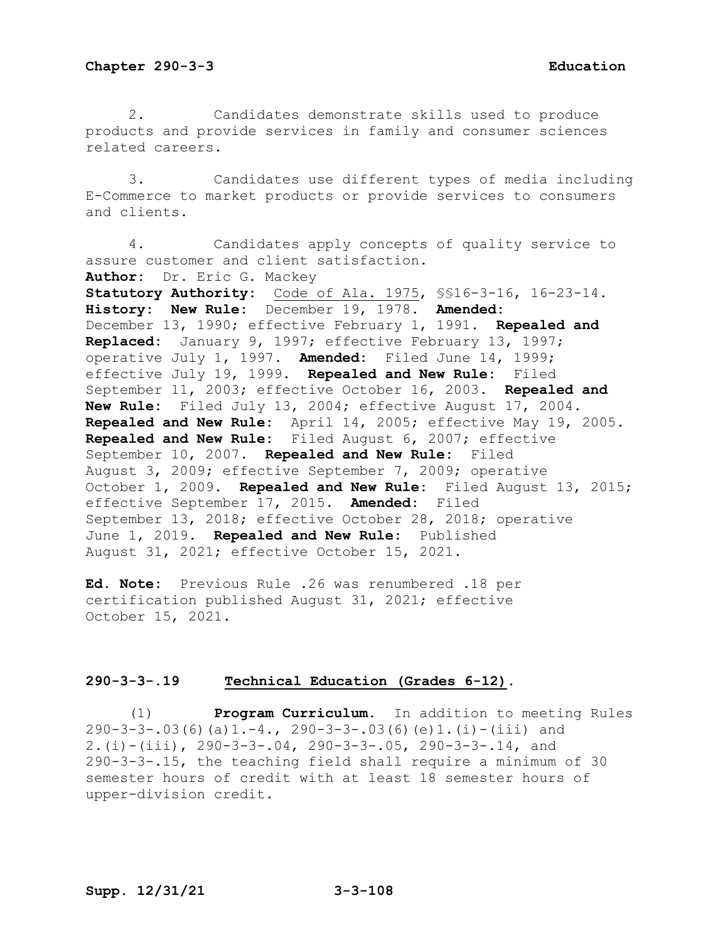2. Candidates demonstrate skills used to produce products and provide services in family and consumer sciences related careers.

3. Candidates use different types of media including E-Commerce to market products or provide services to consumers and clients.

4. Candidates apply concepts of quality service to assure customer and client satisfaction. **Author:** Dr. Eric G. Mackey **Statutory Authority:** Code of Ala. 1975, §§16-3-16, 16-23-14. **History: New Rule:** December 19, 1978. **Amended:** December 13, 1990; effective February 1, 1991. **Repealed and Replaced:** January 9, 1997; effective February 13, 1997; operative July 1, 1997. **Amended:** Filed June 14, 1999; effective July 19, 1999. **Repealed and New Rule:** Filed September 11, 2003; effective October 16, 2003. **Repealed and New Rule:** Filed July 13, 2004; effective August 17, 2004. **Repealed and New Rule:** April 14, 2005; effective May 19, 2005. **Repealed and New Rule:** Filed August 6, 2007; effective September 10, 2007. **Repealed and New Rule:** Filed August 3, 2009; effective September 7, 2009; operative October 1, 2009. **Repealed and New Rule:** Filed August 13, 2015; effective September 17, 2015. **Amended:** Filed September 13, 2018; effective October 28, 2018; operative June 1, 2019. **Repealed and New Rule:** Published August 31, 2021; effective October 15, 2021.

**Ed. Note:** Previous Rule .26 was renumbered .18 per certification published August 31, 2021; effective October 15, 2021.

### **290-3-3-.19 Technical Education (Grades 6-12).**

(1) **Program Curriculum.** In addition to meeting Rules  $290-3-3-.03(6)(a)1.-4., 290-3-3-.03(6)(e)1.(i)-(iii) and$ 2.(i)-(iii), 290-3-3-.04, 290-3-3-.05, 290-3-3-.14, and 290-3-3-.15, the teaching field shall require a minimum of 30 semester hours of credit with at least 18 semester hours of upper-division credit.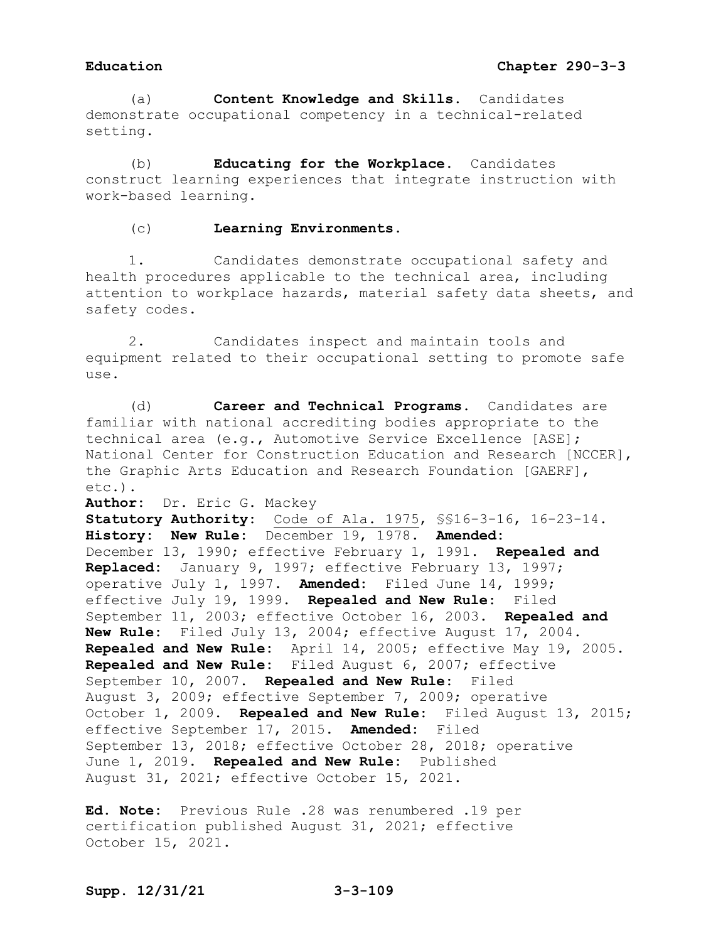(a) **Content Knowledge and Skills.** Candidates demonstrate occupational competency in a technical-related setting.

(b) **Educating for the Workplace.** Candidates construct learning experiences that integrate instruction with work-based learning.

(c) **Learning Environments.**

1. Candidates demonstrate occupational safety and health procedures applicable to the technical area, including attention to workplace hazards, material safety data sheets, and safety codes.

2. Candidates inspect and maintain tools and equipment related to their occupational setting to promote safe use.

(d) **Career and Technical Programs.** Candidates are familiar with national accrediting bodies appropriate to the technical area (e.g., Automotive Service Excellence [ASE]; National Center for Construction Education and Research [NCCER], the Graphic Arts Education and Research Foundation [GAERF], etc.).

**Author:** Dr. Eric G. Mackey

**Statutory Authority:** Code of Ala. 1975, §§16-3-16, 16-23-14. **History: New Rule:** December 19, 1978. **Amended:** December 13, 1990; effective February 1, 1991. **Repealed and Replaced:** January 9, 1997; effective February 13, 1997; operative July 1, 1997. **Amended:** Filed June 14, 1999; effective July 19, 1999. **Repealed and New Rule:** Filed September 11, 2003; effective October 16, 2003. **Repealed and New Rule:** Filed July 13, 2004; effective August 17, 2004. **Repealed and New Rule:** April 14, 2005; effective May 19, 2005. **Repealed and New Rule:** Filed August 6, 2007; effective September 10, 2007. **Repealed and New Rule:** Filed August 3, 2009; effective September 7, 2009; operative October 1, 2009. **Repealed and New Rule:** Filed August 13, 2015; effective September 17, 2015. **Amended:** Filed September 13, 2018; effective October 28, 2018; operative June 1, 2019. **Repealed and New Rule:** Published August 31, 2021; effective October 15, 2021.

**Ed. Note:** Previous Rule .28 was renumbered .19 per certification published August 31, 2021; effective October 15, 2021.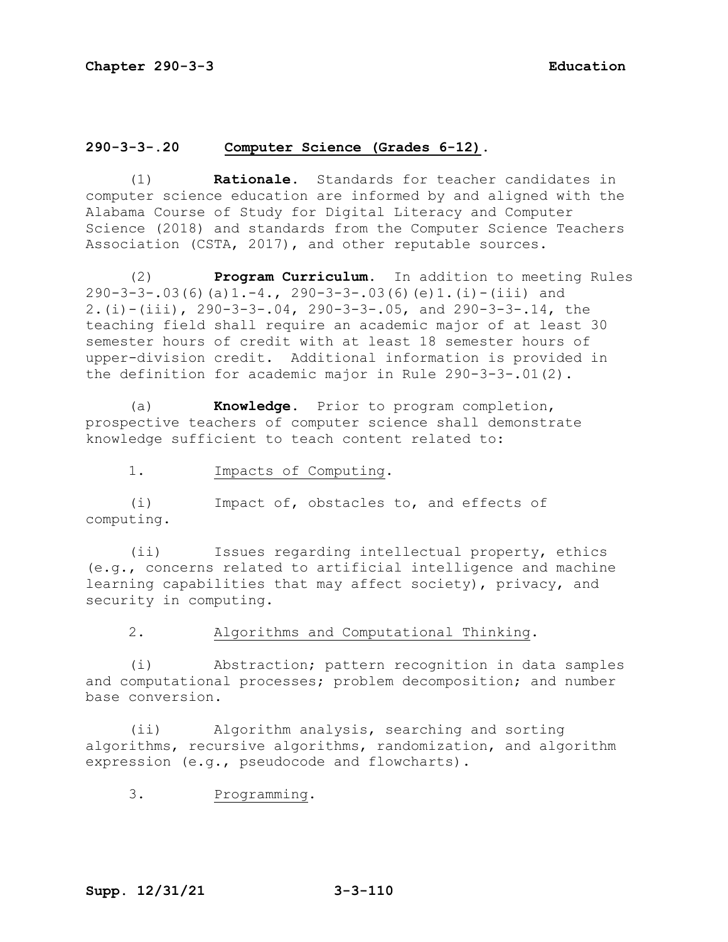# **290-3-3-.20 Computer Science (Grades 6-12).**

(1) **Rationale.** Standards for teacher candidates in computer science education are informed by and aligned with the Alabama Course of Study for Digital Literacy and Computer Science (2018) and standards from the Computer Science Teachers Association (CSTA, 2017), and other reputable sources.

(2) **Program Curriculum.** In addition to meeting Rules 290-3-3-.03(6)(a)1.-4., 290-3-3-.03(6)(e)1.(i)-(iii) and 2.(i)-(iii), 290-3-3-.04, 290-3-3-.05, and 290-3-3-.14, the teaching field shall require an academic major of at least 30 semester hours of credit with at least 18 semester hours of upper-division credit. Additional information is provided in the definition for academic major in Rule 290-3-3-.01(2).

(a) **Knowledge.** Prior to program completion, prospective teachers of computer science shall demonstrate knowledge sufficient to teach content related to:

1. Impacts of Computing.

(i) Impact of, obstacles to, and effects of computing.

(ii) Issues regarding intellectual property, ethics (e.g., concerns related to artificial intelligence and machine learning capabilities that may affect society), privacy, and security in computing.

2. Algorithms and Computational Thinking.

(i) Abstraction; pattern recognition in data samples and computational processes; problem decomposition; and number base conversion.

(ii) Algorithm analysis, searching and sorting algorithms, recursive algorithms, randomization, and algorithm expression (e.g., pseudocode and flowcharts).

3. Programming.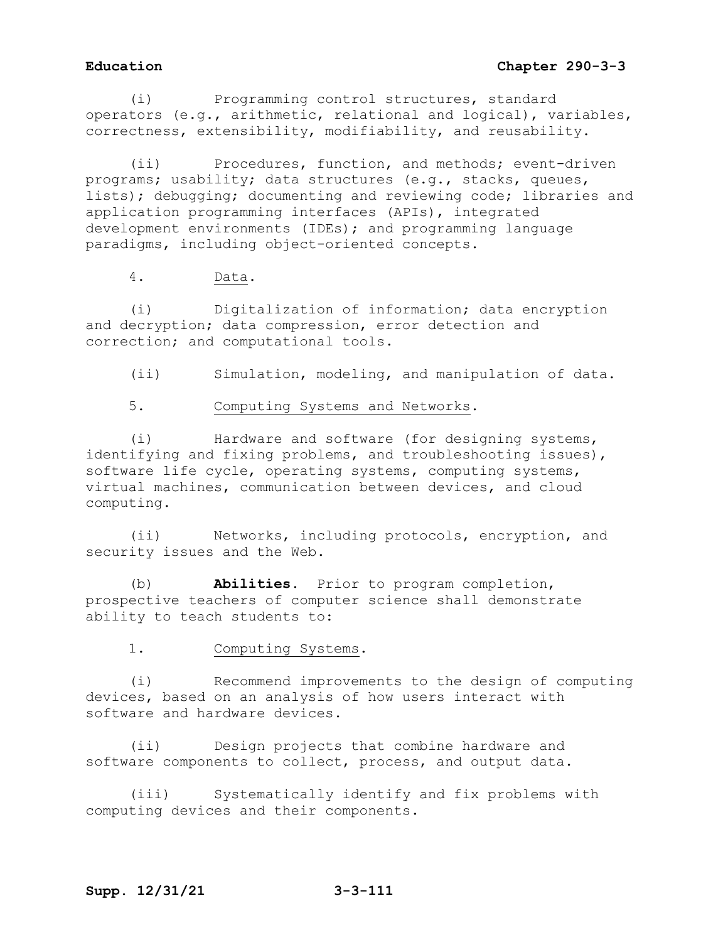(i) Programming control structures, standard operators (e.g., arithmetic, relational and logical), variables, correctness, extensibility, modifiability, and reusability.

(ii) Procedures, function, and methods; event-driven programs; usability; data structures (e.g., stacks, queues, lists); debugging; documenting and reviewing code; libraries and application programming interfaces (APIs), integrated development environments (IDEs); and programming language paradigms, including object-oriented concepts.

4. Data.

(i) Digitalization of information; data encryption and decryption; data compression, error detection and correction; and computational tools.

(ii) Simulation, modeling, and manipulation of data.

5. Computing Systems and Networks.

(i) Hardware and software (for designing systems, identifying and fixing problems, and troubleshooting issues), software life cycle, operating systems, computing systems, virtual machines, communication between devices, and cloud computing.

(ii) Networks, including protocols, encryption, and security issues and the Web.

(b) **Abilities.** Prior to program completion, prospective teachers of computer science shall demonstrate ability to teach students to:

1. Computing Systems.

(i) Recommend improvements to the design of computing devices, based on an analysis of how users interact with software and hardware devices.

(ii) Design projects that combine hardware and software components to collect, process, and output data.

(iii) Systematically identify and fix problems with computing devices and their components.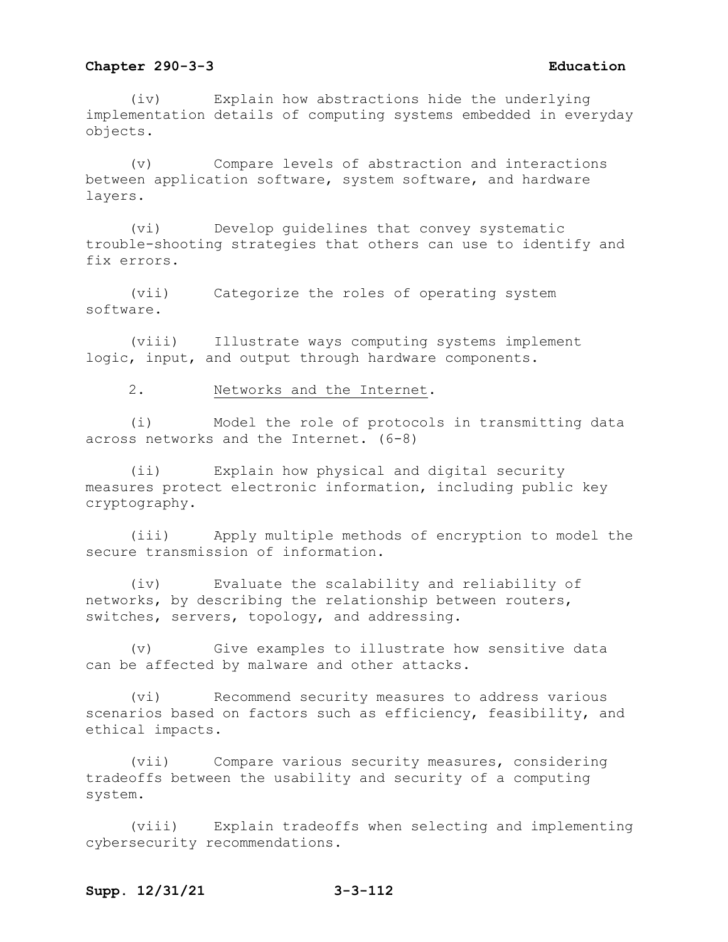(iv) Explain how abstractions hide the underlying implementation details of computing systems embedded in everyday objects.

(v) Compare levels of abstraction and interactions between application software, system software, and hardware layers.

(vi) Develop guidelines that convey systematic trouble-shooting strategies that others can use to identify and fix errors.

(vii) Categorize the roles of operating system software.

(viii) Illustrate ways computing systems implement logic, input, and output through hardware components.

2. Networks and the Internet.

(i) Model the role of protocols in transmitting data across networks and the Internet. (6-8)

(ii) Explain how physical and digital security measures protect electronic information, including public key cryptography.

(iii) Apply multiple methods of encryption to model the secure transmission of information.

(iv) Evaluate the scalability and reliability of networks, by describing the relationship between routers, switches, servers, topology, and addressing.

(v) Give examples to illustrate how sensitive data can be affected by malware and other attacks.

(vi) Recommend security measures to address various scenarios based on factors such as efficiency, feasibility, and ethical impacts.

(vii) Compare various security measures, considering tradeoffs between the usability and security of a computing system.

(viii) Explain tradeoffs when selecting and implementing cybersecurity recommendations.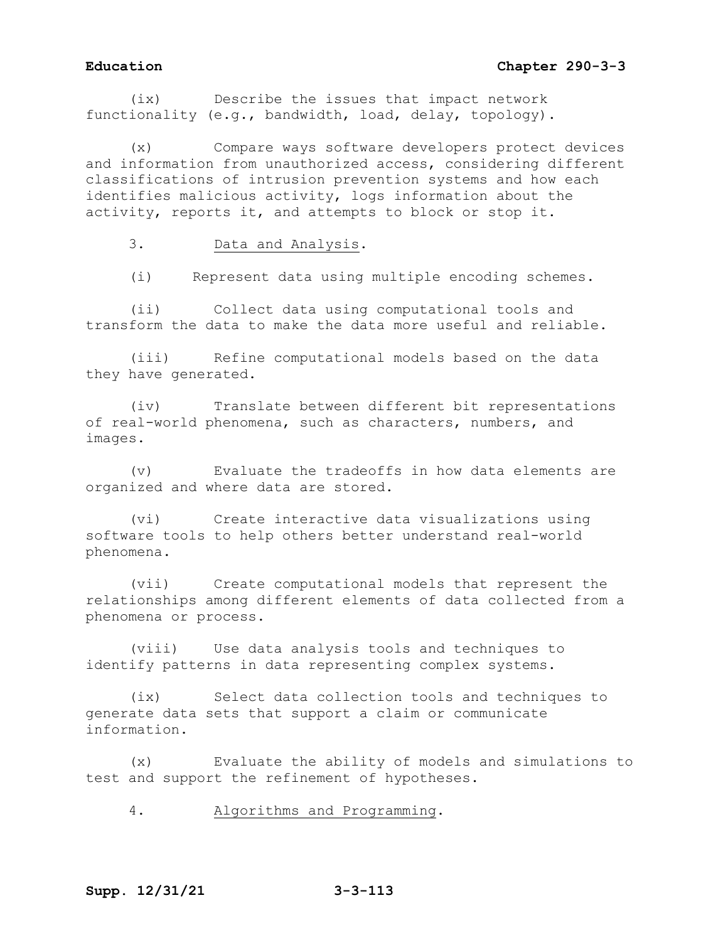# **Education Chapter 290-3-3**

(ix) Describe the issues that impact network functionality (e.g., bandwidth, load, delay, topology).

Compare ways software developers protect devices and information from unauthorized access, considering different classifications of intrusion prevention systems and how each identifies malicious activity, logs information about the activity, reports it, and attempts to block or stop it.

3. Data and Analysis.

(i) Represent data using multiple encoding schemes.

(ii) Collect data using computational tools and transform the data to make the data more useful and reliable.

(iii) Refine computational models based on the data they have generated.

(iv) Translate between different bit representations of real-world phenomena, such as characters, numbers, and images.

(v) Evaluate the tradeoffs in how data elements are organized and where data are stored.

(vi) Create interactive data visualizations using software tools to help others better understand real-world phenomena.

(vii) Create computational models that represent the relationships among different elements of data collected from a phenomena or process.

(viii) Use data analysis tools and techniques to identify patterns in data representing complex systems.

(ix) Select data collection tools and techniques to generate data sets that support a claim or communicate information.

(x) Evaluate the ability of models and simulations to test and support the refinement of hypotheses.

4. Algorithms and Programming.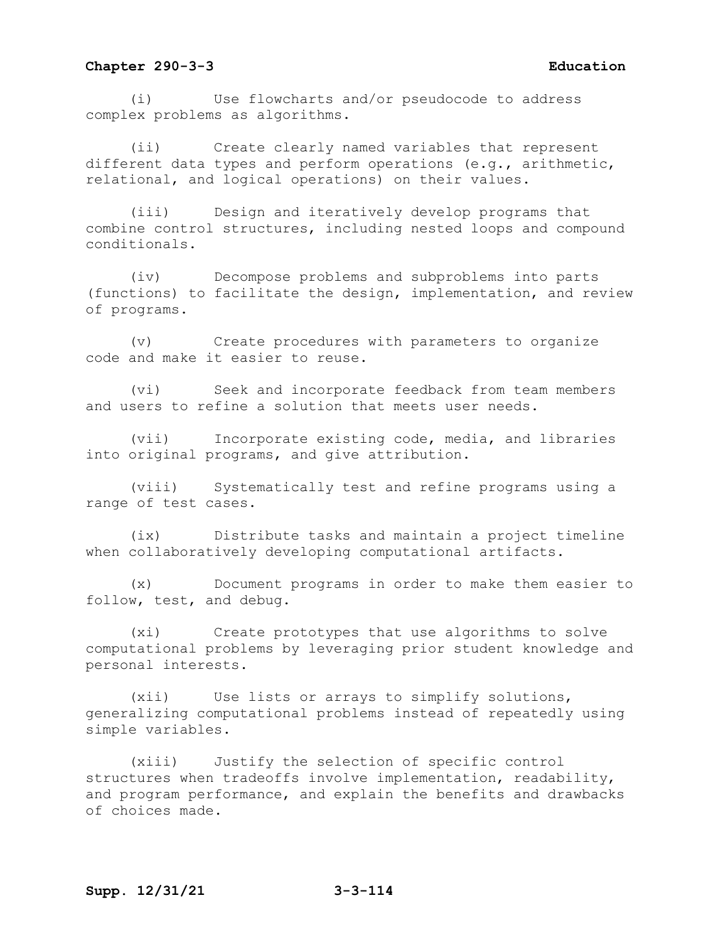(i) Use flowcharts and/or pseudocode to address complex problems as algorithms.

(ii) Create clearly named variables that represent different data types and perform operations (e.g., arithmetic, relational, and logical operations) on their values.

(iii) Design and iteratively develop programs that combine control structures, including nested loops and compound conditionals.

(iv) Decompose problems and subproblems into parts (functions) to facilitate the design, implementation, and review of programs.

(v) Create procedures with parameters to organize code and make it easier to reuse.

(vi) Seek and incorporate feedback from team members and users to refine a solution that meets user needs.

(vii) Incorporate existing code, media, and libraries into original programs, and give attribution.

(viii) Systematically test and refine programs using a range of test cases.

(ix) Distribute tasks and maintain a project timeline when collaboratively developing computational artifacts.

(x) Document programs in order to make them easier to follow, test, and debug.

(xi) Create prototypes that use algorithms to solve computational problems by leveraging prior student knowledge and personal interests.

(xii) Use lists or arrays to simplify solutions, generalizing computational problems instead of repeatedly using simple variables.

(xiii) Justify the selection of specific control structures when tradeoffs involve implementation, readability, and program performance, and explain the benefits and drawbacks of choices made.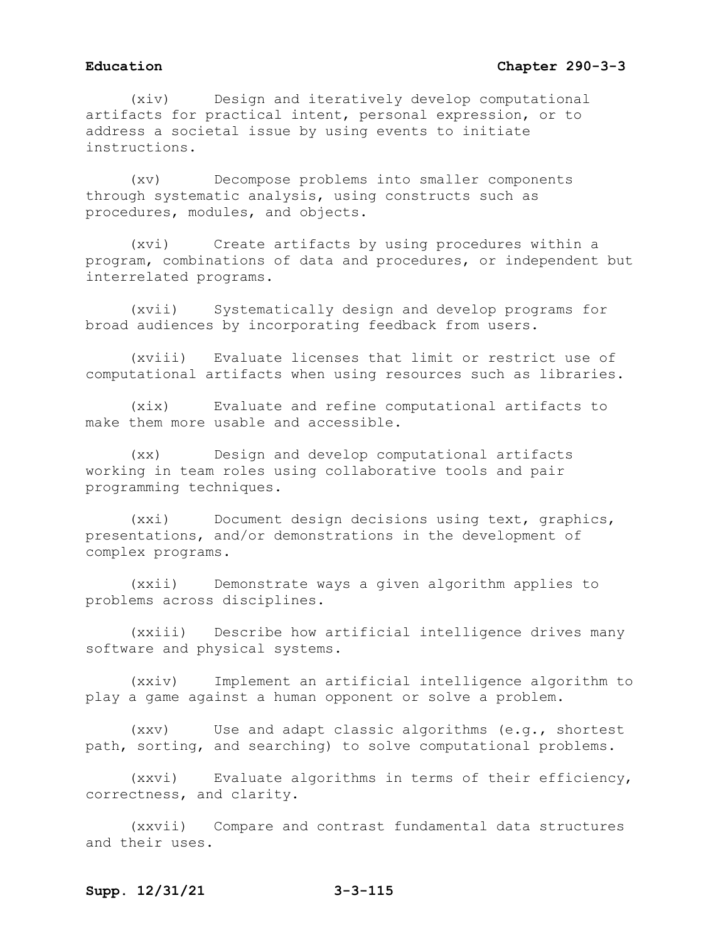(xiv) Design and iteratively develop computational artifacts for practical intent, personal expression, or to address a societal issue by using events to initiate instructions.

(xv) Decompose problems into smaller components through systematic analysis, using constructs such as procedures, modules, and objects.

(xvi) Create artifacts by using procedures within a program, combinations of data and procedures, or independent but interrelated programs.

(xvii) Systematically design and develop programs for broad audiences by incorporating feedback from users.

(xviii) Evaluate licenses that limit or restrict use of computational artifacts when using resources such as libraries.

(xix) Evaluate and refine computational artifacts to make them more usable and accessible.

(xx) Design and develop computational artifacts working in team roles using collaborative tools and pair programming techniques.

(xxi) Document design decisions using text, graphics, presentations, and/or demonstrations in the development of complex programs.

(xxii) Demonstrate ways a given algorithm applies to problems across disciplines.

(xxiii) Describe how artificial intelligence drives many software and physical systems.

(xxiv) Implement an artificial intelligence algorithm to play a game against a human opponent or solve a problem.

(xxv) Use and adapt classic algorithms (e.g., shortest path, sorting, and searching) to solve computational problems.

(xxvi) Evaluate algorithms in terms of their efficiency, correctness, and clarity.

(xxvii) Compare and contrast fundamental data structures and their uses.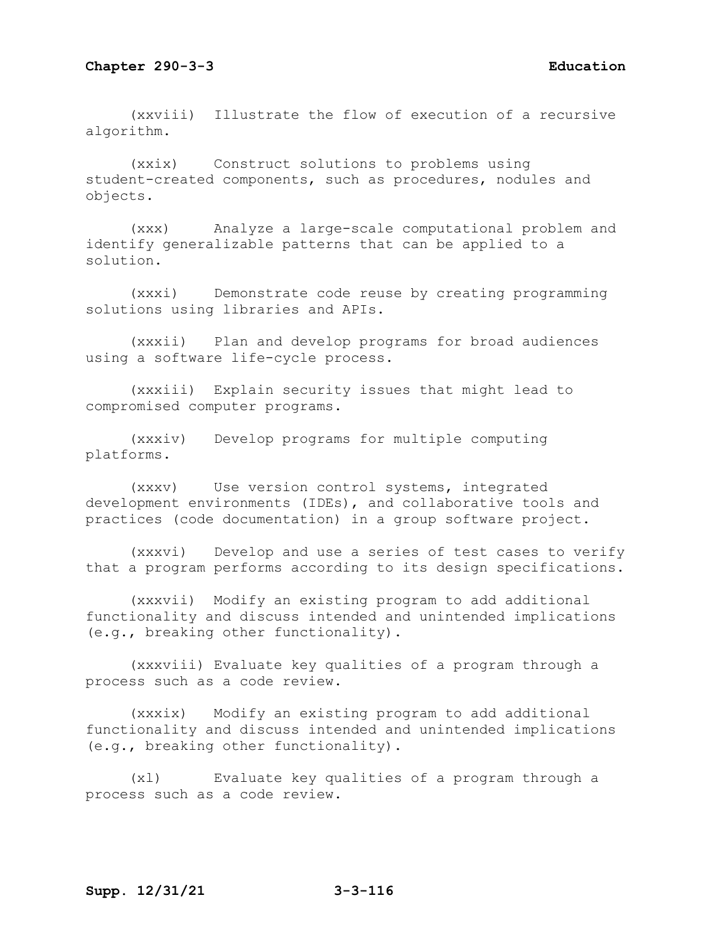(xxviii) Illustrate the flow of execution of a recursive algorithm.

(xxix) Construct solutions to problems using student-created components, such as procedures, nodules and objects.

(xxx) Analyze a large-scale computational problem and identify generalizable patterns that can be applied to a solution.

(xxxi) Demonstrate code reuse by creating programming solutions using libraries and APIs.

(xxxii) Plan and develop programs for broad audiences using a software life-cycle process.

(xxxiii) Explain security issues that might lead to compromised computer programs.

(xxxiv) Develop programs for multiple computing platforms.

(xxxv) Use version control systems, integrated development environments (IDEs), and collaborative tools and practices (code documentation) in a group software project.

(xxxvi) Develop and use a series of test cases to verify that a program performs according to its design specifications.

(xxxvii) Modify an existing program to add additional functionality and discuss intended and unintended implications (e.g., breaking other functionality).

(xxxviii) Evaluate key qualities of a program through a process such as a code review.

(xxxix) Modify an existing program to add additional functionality and discuss intended and unintended implications (e.g., breaking other functionality).

(xl) Evaluate key qualities of a program through a process such as a code review.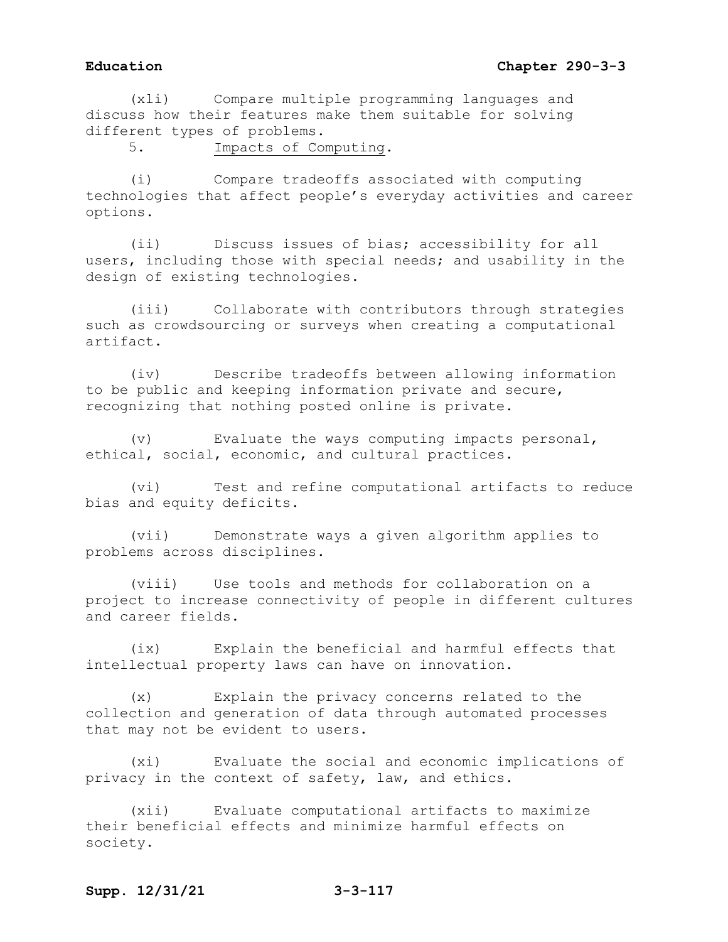(xli) Compare multiple programming languages and discuss how their features make them suitable for solving different types of problems.

5. Impacts of Computing.

(i) Compare tradeoffs associated with computing technologies that affect people's everyday activities and career options.

(ii) Discuss issues of bias; accessibility for all users, including those with special needs; and usability in the design of existing technologies.

(iii) Collaborate with contributors through strategies such as crowdsourcing or surveys when creating a computational artifact.

(iv) Describe tradeoffs between allowing information to be public and keeping information private and secure, recognizing that nothing posted online is private.

(v) Evaluate the ways computing impacts personal, ethical, social, economic, and cultural practices.

(vi) Test and refine computational artifacts to reduce bias and equity deficits.

(vii) Demonstrate ways a given algorithm applies to problems across disciplines.

(viii) Use tools and methods for collaboration on a project to increase connectivity of people in different cultures and career fields.

(ix) Explain the beneficial and harmful effects that intellectual property laws can have on innovation.

(x) Explain the privacy concerns related to the collection and generation of data through automated processes that may not be evident to users.

(xi) Evaluate the social and economic implications of privacy in the context of safety, law, and ethics.

(xii) Evaluate computational artifacts to maximize their beneficial effects and minimize harmful effects on society.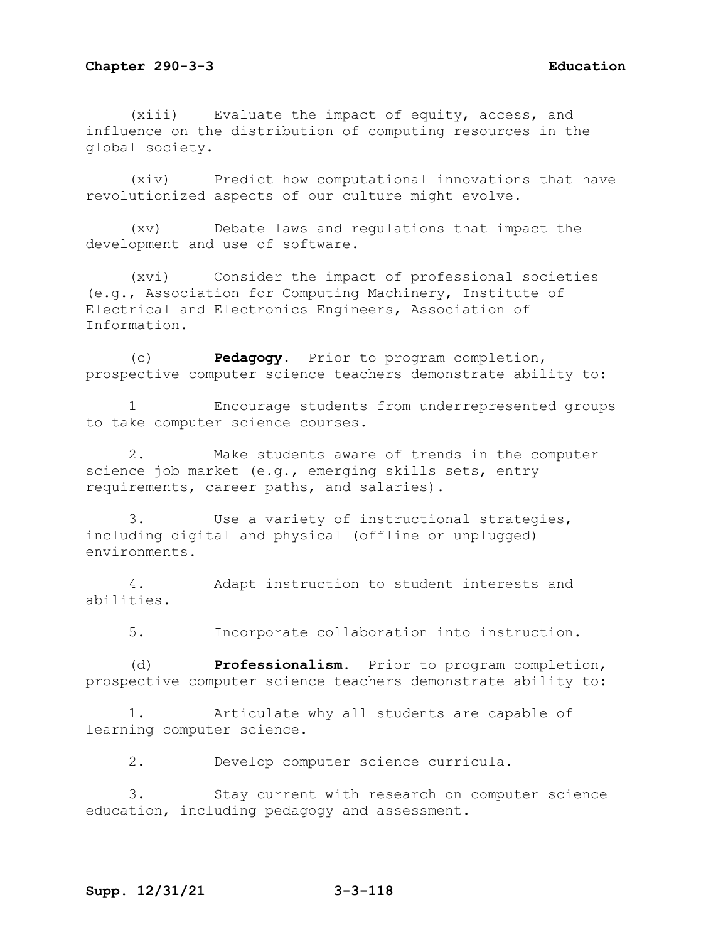(xiii) Evaluate the impact of equity, access, and influence on the distribution of computing resources in the global society.

(xiv) Predict how computational innovations that have revolutionized aspects of our culture might evolve.

(xv) Debate laws and regulations that impact the development and use of software.

(xvi) Consider the impact of professional societies (e.g., Association for Computing Machinery, Institute of Electrical and Electronics Engineers, Association of Information.

(c) **Pedagogy**.Prior to program completion, prospective computer science teachers demonstrate ability to:

1 Encourage students from underrepresented groups to take computer science courses.

2. Make students aware of trends in the computer science job market (e.g., emerging skills sets, entry requirements, career paths, and salaries).

3. Use a variety of instructional strategies, including digital and physical (offline or unplugged) environments.

4. Adapt instruction to student interests and abilities.

5. Incorporate collaboration into instruction.

(d) **Professionalism.** Prior to program completion, prospective computer science teachers demonstrate ability to:

1. Articulate why all students are capable of learning computer science.

2. Develop computer science curricula.

3. Stay current with research on computer science education, including pedagogy and assessment.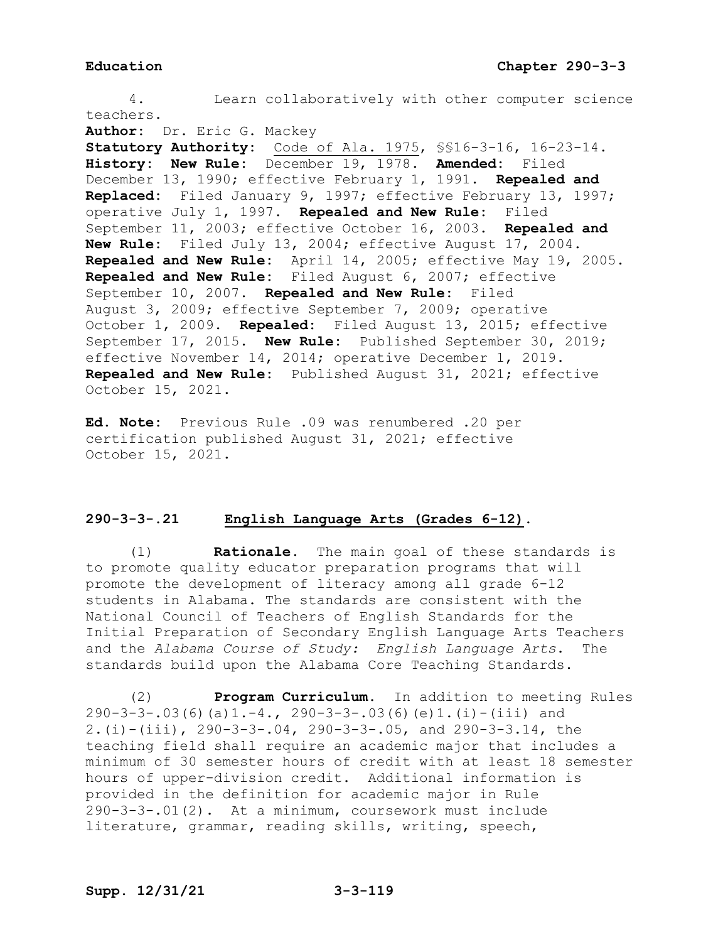4. Learn collaboratively with other computer science teachers. **Author:** Dr. Eric G. Mackey **Statutory Authority:** Code of Ala. 1975, §§16-3-16, 16-23-14. **History: New Rule:** December 19, 1978. **Amended:** Filed December 13, 1990; effective February 1, 1991. **Repealed and Replaced:** Filed January 9, 1997; effective February 13, 1997; operative July 1, 1997. **Repealed and New Rule:** Filed September 11, 2003; effective October 16, 2003. **Repealed and New Rule:** Filed July 13, 2004; effective August 17, 2004. **Repealed and New Rule:** April 14, 2005; effective May 19, 2005. **Repealed and New Rule:** Filed August 6, 2007; effective September 10, 2007. **Repealed and New Rule:** Filed August 3, 2009; effective September 7, 2009; operative October 1, 2009. **Repealed:** Filed August 13, 2015; effective September 17, 2015. **New Rule:** Published September 30, 2019; effective November 14, 2014; operative December 1, 2019. **Repealed and New Rule:** Published August 31, 2021; effective October 15, 2021.

**Ed. Note:** Previous Rule .09 was renumbered .20 per certification published August 31, 2021; effective October 15, 2021.

# **290-3-3-.21 English Language Arts (Grades 6-12).**

(1) **Rationale.** The main goal of these standards is to promote quality educator preparation programs that will promote the development of literacy among all grade 6-12 students in Alabama. The standards are consistent with the National Council of Teachers of English Standards for the Initial Preparation of Secondary English Language Arts Teachers and the *Alabama Course of Study: English Language Arts*. The standards build upon the Alabama Core Teaching Standards.

(2) **Program Curriculum**. In addition to meeting Rules 290-3-3-.03(6)(a)1.-4., 290-3-3-.03(6)(e)1.(i)-(iii) and 2.(i)-(iii), 290-3-3-.04, 290-3-3-.05, and 290-3-3.14, the teaching field shall require an academic major that includes a minimum of 30 semester hours of credit with at least 18 semester hours of upper-division credit. Additional information is provided in the definition for academic major in Rule 290-3-3-.01(2). At a minimum, coursework must include literature, grammar, reading skills, writing, speech,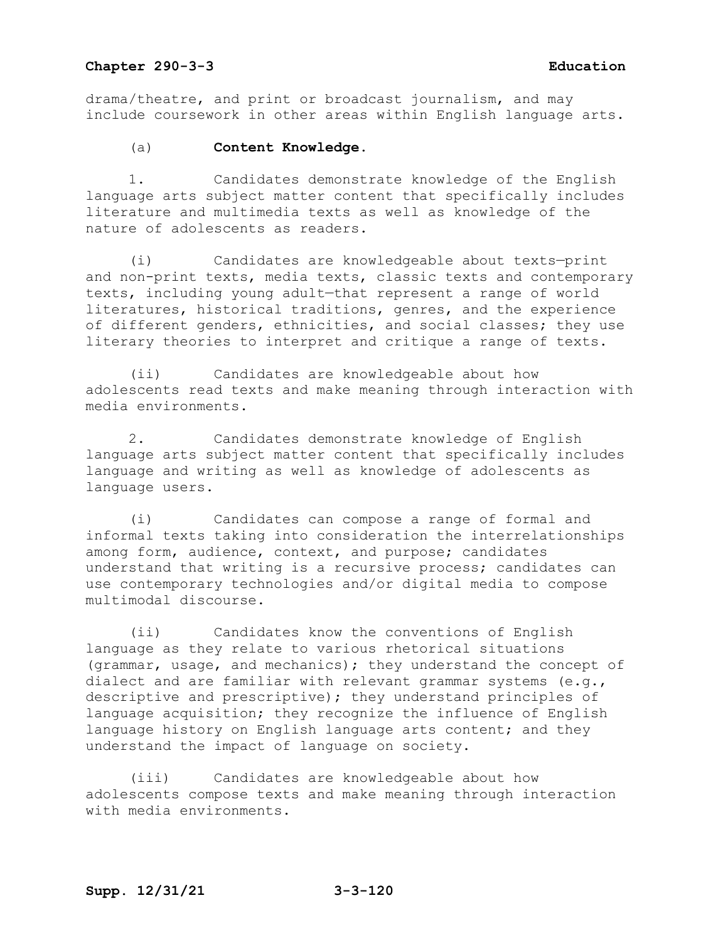drama/theatre, and print or broadcast journalism, and may include coursework in other areas within English language arts.

### (a) **Content Knowledge.**

1. Candidates demonstrate knowledge of the English language arts subject matter content that specifically includes literature and multimedia texts as well as knowledge of the nature of adolescents as readers.

(i) Candidates are knowledgeable about texts—print and non-print texts, media texts, classic texts and contemporary texts, including young adult—that represent a range of world literatures, historical traditions, genres, and the experience of different genders, ethnicities, and social classes; they use literary theories to interpret and critique a range of texts.

(ii) Candidates are knowledgeable about how adolescents read texts and make meaning through interaction with media environments.

2. Candidates demonstrate knowledge of English language arts subject matter content that specifically includes language and writing as well as knowledge of adolescents as language users.

(i) Candidates can compose a range of formal and informal texts taking into consideration the interrelationships among form, audience, context, and purpose; candidates understand that writing is a recursive process; candidates can use contemporary technologies and/or digital media to compose multimodal discourse.

(ii) Candidates know the conventions of English language as they relate to various rhetorical situations (grammar, usage, and mechanics); they understand the concept of dialect and are familiar with relevant grammar systems (e.g., descriptive and prescriptive); they understand principles of language acquisition; they recognize the influence of English language history on English language arts content; and they understand the impact of language on society.

(iii) Candidates are knowledgeable about how adolescents compose texts and make meaning through interaction with media environments.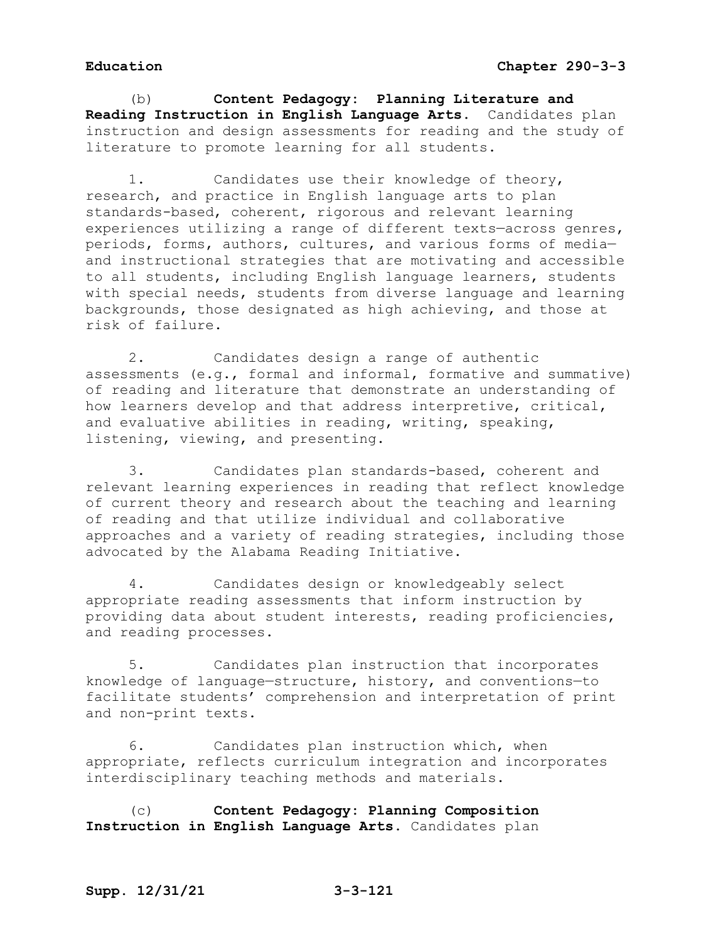(b) **Content Pedagogy: Planning Literature and Reading Instruction in English Language Arts.** Candidates plan instruction and design assessments for reading and the study of literature to promote learning for all students.

1. Candidates use their knowledge of theory, research, and practice in English language arts to plan standards-based, coherent, rigorous and relevant learning experiences utilizing a range of different texts—across genres, periods, forms, authors, cultures, and various forms of media and instructional strategies that are motivating and accessible to all students, including English language learners, students with special needs, students from diverse language and learning backgrounds, those designated as high achieving, and those at risk of failure.

2. Candidates design a range of authentic assessments (e.g., formal and informal, formative and summative) of reading and literature that demonstrate an understanding of how learners develop and that address interpretive, critical, and evaluative abilities in reading, writing, speaking, listening, viewing, and presenting.

3. Candidates plan standards-based, coherent and relevant learning experiences in reading that reflect knowledge of current theory and research about the teaching and learning of reading and that utilize individual and collaborative approaches and a variety of reading strategies, including those advocated by the Alabama Reading Initiative.

4. Candidates design or knowledgeably select appropriate reading assessments that inform instruction by providing data about student interests, reading proficiencies, and reading processes.

5. Candidates plan instruction that incorporates knowledge of language—structure, history, and conventions—to facilitate students' comprehension and interpretation of print and non-print texts.

6. Candidates plan instruction which, when appropriate, reflects curriculum integration and incorporates interdisciplinary teaching methods and materials.

(c) **Content Pedagogy: Planning Composition Instruction in English Language Arts.** Candidates plan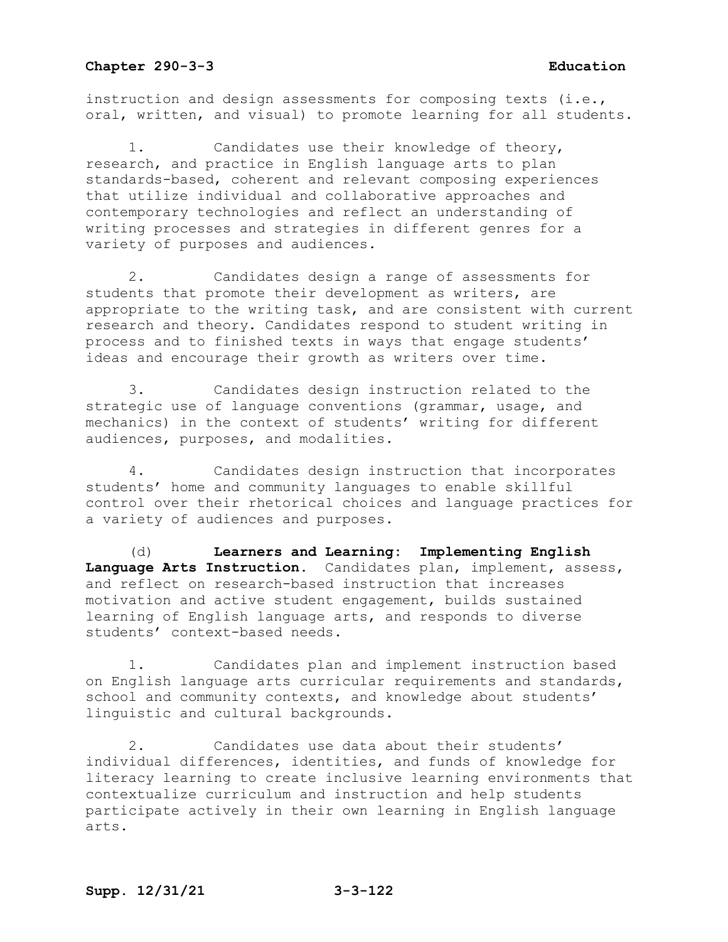instruction and design assessments for composing texts (i.e., oral, written, and visual) to promote learning for all students.

1. Candidates use their knowledge of theory, research, and practice in English language arts to plan standards-based, coherent and relevant composing experiences that utilize individual and collaborative approaches and contemporary technologies and reflect an understanding of writing processes and strategies in different genres for a variety of purposes and audiences.

2. Candidates design a range of assessments for students that promote their development as writers, are appropriate to the writing task, and are consistent with current research and theory. Candidates respond to student writing in process and to finished texts in ways that engage students' ideas and encourage their growth as writers over time.

3. Candidates design instruction related to the strategic use of language conventions (grammar, usage, and mechanics) in the context of students' writing for different audiences, purposes, and modalities.

4. Candidates design instruction that incorporates students' home and community languages to enable skillful control over their rhetorical choices and language practices for a variety of audiences and purposes.

(d) **Learners and Learning: Implementing English Language Arts Instruction.** Candidates plan, implement, assess, and reflect on research-based instruction that increases motivation and active student engagement, builds sustained learning of English language arts, and responds to diverse students' context-based needs.

1. Candidates plan and implement instruction based on English language arts curricular requirements and standards, school and community contexts, and knowledge about students' linguistic and cultural backgrounds.

2. Candidates use data about their students' individual differences, identities, and funds of knowledge for literacy learning to create inclusive learning environments that contextualize curriculum and instruction and help students participate actively in their own learning in English language arts.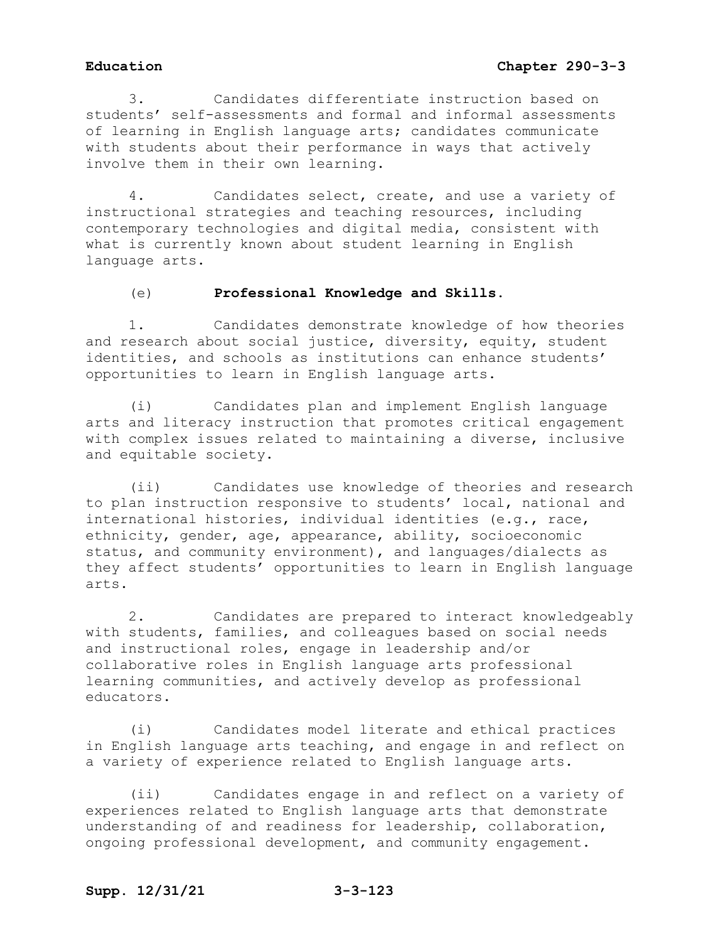# **Education Chapter 290-3-3**

3. Candidates differentiate instruction based on students' self-assessments and formal and informal assessments of learning in English language arts; candidates communicate with students about their performance in ways that actively involve them in their own learning.

4. Candidates select, create, and use a variety of instructional strategies and teaching resources, including contemporary technologies and digital media, consistent with what is currently known about student learning in English language arts.

# (e) **Professional Knowledge and Skills.**

1. Candidates demonstrate knowledge of how theories and research about social justice, diversity, equity, student identities, and schools as institutions can enhance students' opportunities to learn in English language arts.

(i) Candidates plan and implement English language arts and literacy instruction that promotes critical engagement with complex issues related to maintaining a diverse, inclusive and equitable society.

(ii) Candidates use knowledge of theories and research to plan instruction responsive to students' local, national and international histories, individual identities (e.g., race, ethnicity, gender, age, appearance, ability, socioeconomic status, and community environment), and languages/dialects as they affect students' opportunities to learn in English language arts.

2. Candidates are prepared to interact knowledgeably with students, families, and colleagues based on social needs and instructional roles, engage in leadership and/or collaborative roles in English language arts professional learning communities, and actively develop as professional educators.

(i) Candidates model literate and ethical practices in English language arts teaching, and engage in and reflect on a variety of experience related to English language arts.

(ii) Candidates engage in and reflect on a variety of experiences related to English language arts that demonstrate understanding of and readiness for leadership, collaboration, ongoing professional development, and community engagement.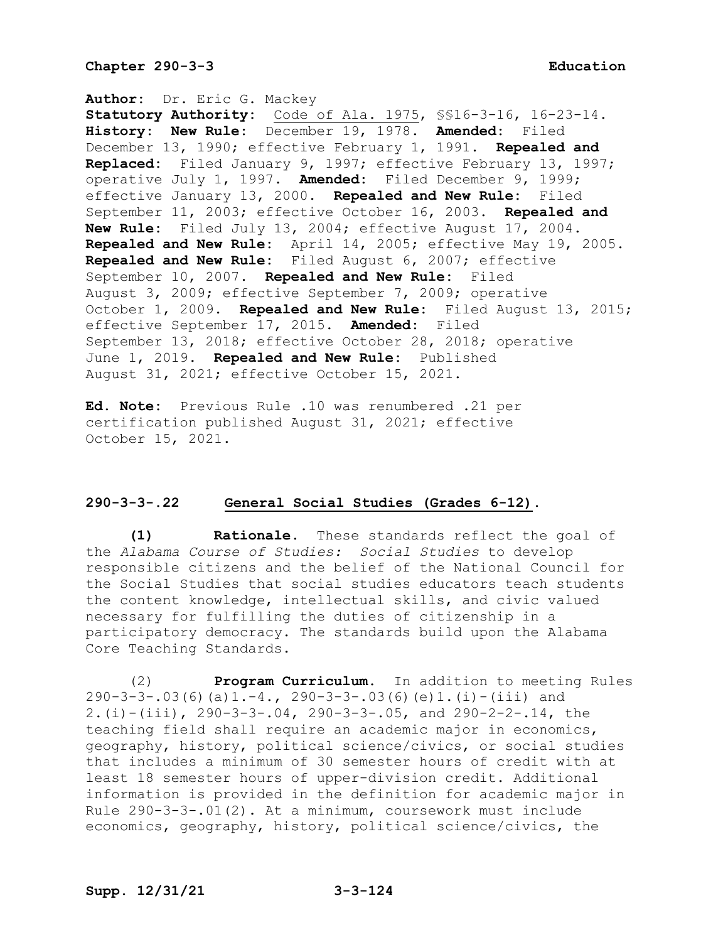**Author:** Dr. Eric G. Mackey **Statutory Authority:** Code of Ala. 1975, §§16-3-16, 16-23-14. **History: New Rule:** December 19, 1978. **Amended:** Filed December 13, 1990; effective February 1, 1991. **Repealed and Replaced:** Filed January 9, 1997; effective February 13, 1997; operative July 1, 1997. **Amended:** Filed December 9, 1999; effective January 13, 2000. **Repealed and New Rule:** Filed September 11, 2003; effective October 16, 2003. **Repealed and New Rule:** Filed July 13, 2004; effective August 17, 2004. **Repealed and New Rule:** April 14, 2005; effective May 19, 2005. **Repealed and New Rule:** Filed August 6, 2007; effective September 10, 2007. **Repealed and New Rule:** Filed August 3, 2009; effective September 7, 2009; operative October 1, 2009. **Repealed and New Rule:** Filed August 13, 2015; effective September 17, 2015. **Amended:** Filed September 13, 2018; effective October 28, 2018; operative June 1, 2019. **Repealed and New Rule:** Published August 31, 2021; effective October 15, 2021.

**Ed. Note:** Previous Rule .10 was renumbered .21 per certification published August 31, 2021; effective October 15, 2021.

# **290-3-3-.22 General Social Studies (Grades 6-12).**

**(1) Rationale.** These standards reflect the goal of the *Alabama Course of Studies: Social Studies* to develop responsible citizens and the belief of the National Council for the Social Studies that social studies educators teach students the content knowledge, intellectual skills, and civic valued necessary for fulfilling the duties of citizenship in a participatory democracy. The standards build upon the Alabama Core Teaching Standards.

(2) **Program Curriculum**. In addition to meeting Rules 290-3-3-.03(6)(a)1.-4., 290-3-3-.03(6)(e)1.(i)-(iii) and 2.(i)-(iii), 290-3-3-.04, 290-3-3-.05, and 290-2-2-.14, the teaching field shall require an academic major in economics, geography, history, political science/civics, or social studies that includes a minimum of 30 semester hours of credit with at least 18 semester hours of upper-division credit. Additional information is provided in the definition for academic major in Rule 290-3-3-.01(2). At a minimum, coursework must include economics, geography, history, political science/civics, the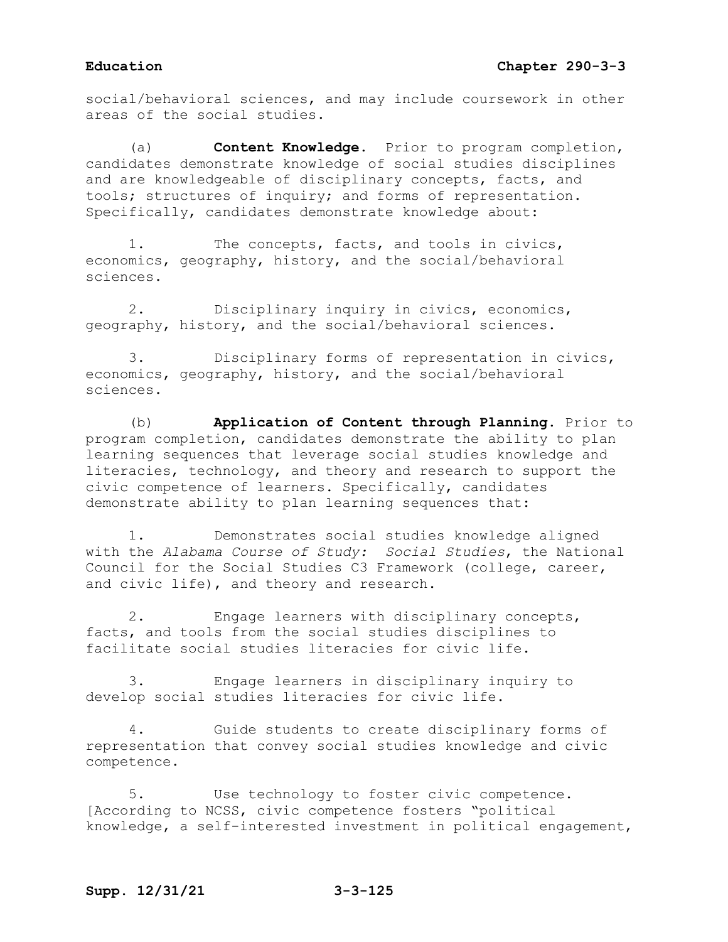social/behavioral sciences, and may include coursework in other areas of the social studies.

(a) **Content Knowledge.** Prior to program completion, candidates demonstrate knowledge of social studies disciplines and are knowledgeable of disciplinary concepts, facts, and tools; structures of inquiry; and forms of representation. Specifically, candidates demonstrate knowledge about:

1. The concepts, facts, and tools in civics, economics, geography, history, and the social/behavioral sciences.

2. Disciplinary inquiry in civics, economics, geography, history, and the social/behavioral sciences.

3. Disciplinary forms of representation in civics, economics, geography, history, and the social/behavioral sciences.

(b) **Application of Content through Planning.** Prior to program completion, candidates demonstrate the ability to plan learning sequences that leverage social studies knowledge and literacies, technology, and theory and research to support the civic competence of learners. Specifically, candidates demonstrate ability to plan learning sequences that:

1. Demonstrates social studies knowledge aligned with the *Alabama Course of Study: Social Studies*, the National Council for the Social Studies C3 Framework (college, career, and civic life), and theory and research.

2. Engage learners with disciplinary concepts, facts, and tools from the social studies disciplines to facilitate social studies literacies for civic life.

3. Engage learners in disciplinary inquiry to develop social studies literacies for civic life.

4. Guide students to create disciplinary forms of representation that convey social studies knowledge and civic competence.

5. Use technology to foster civic competence. [According to NCSS, civic competence fosters "political knowledge, a self-interested investment in political engagement,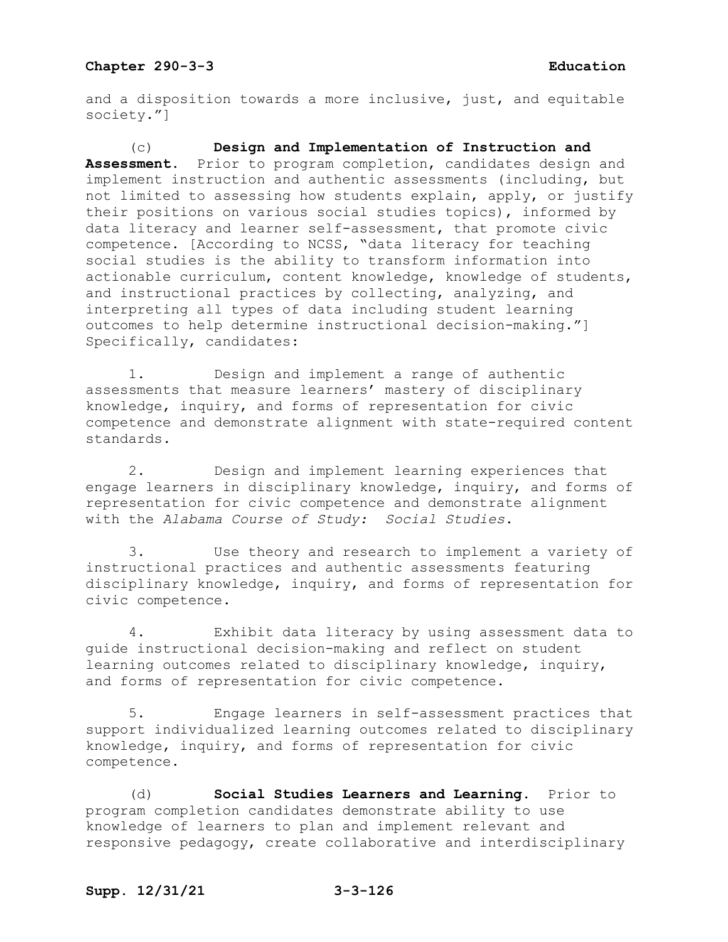and a disposition towards a more inclusive, just, and equitable society."]

(c) **Design and Implementation of Instruction and Assessment.** Prior to program completion, candidates design and implement instruction and authentic assessments (including, but not limited to assessing how students explain, apply, or justify their positions on various social studies topics), informed by data literacy and learner self-assessment, that promote civic competence. [According to NCSS, "data literacy for teaching social studies is the ability to transform information into actionable curriculum, content knowledge, knowledge of students, and instructional practices by collecting, analyzing, and interpreting all types of data including student learning outcomes to help determine instructional decision-making."] Specifically, candidates:

1. Design and implement a range of authentic assessments that measure learners' mastery of disciplinary knowledge, inquiry, and forms of representation for civic competence and demonstrate alignment with state-required content standards.

2. Design and implement learning experiences that engage learners in disciplinary knowledge, inquiry, and forms of representation for civic competence and demonstrate alignment with the *Alabama Course of Study: Social Studies*.

3. Use theory and research to implement a variety of instructional practices and authentic assessments featuring disciplinary knowledge, inquiry, and forms of representation for civic competence.

4. Exhibit data literacy by using assessment data to guide instructional decision-making and reflect on student learning outcomes related to disciplinary knowledge, inquiry, and forms of representation for civic competence.

5. Engage learners in self-assessment practices that support individualized learning outcomes related to disciplinary knowledge, inquiry, and forms of representation for civic competence.

(d) **Social Studies Learners and Learning.** Prior to program completion candidates demonstrate ability to use knowledge of learners to plan and implement relevant and responsive pedagogy, create collaborative and interdisciplinary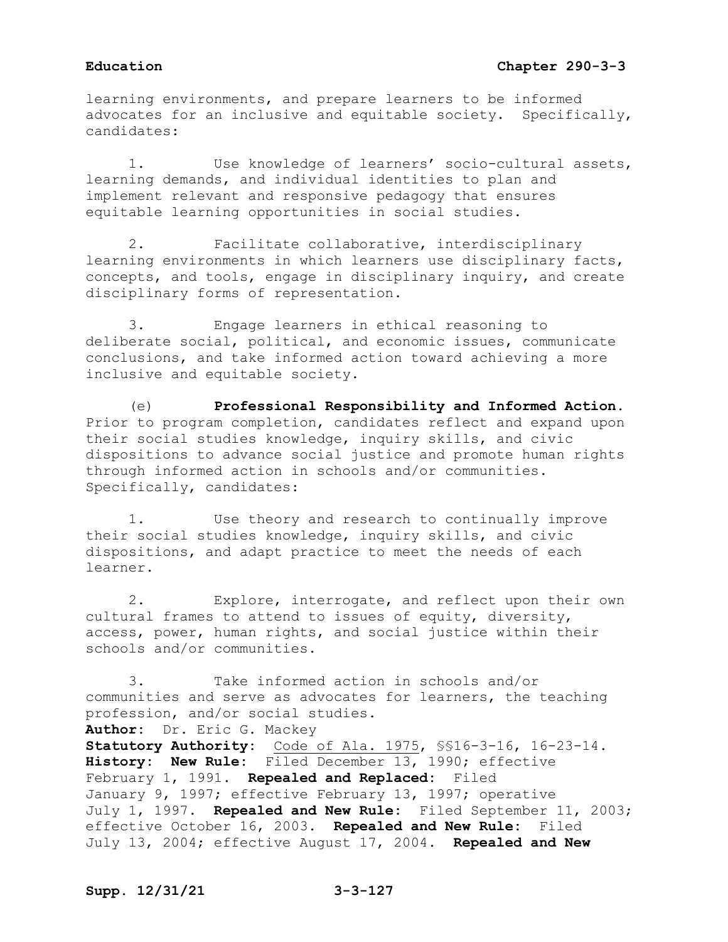learning environments, and prepare learners to be informed advocates for an inclusive and equitable society. Specifically, candidates:

1. Use knowledge of learners' socio-cultural assets, learning demands, and individual identities to plan and implement relevant and responsive pedagogy that ensures equitable learning opportunities in social studies.

2. Facilitate collaborative, interdisciplinary learning environments in which learners use disciplinary facts, concepts, and tools, engage in disciplinary inquiry, and create disciplinary forms of representation.

3. Engage learners in ethical reasoning to deliberate social, political, and economic issues, communicate conclusions, and take informed action toward achieving a more inclusive and equitable society.

(e) **Professional Responsibility and Informed Action.**  Prior to program completion, candidates reflect and expand upon their social studies knowledge, inquiry skills, and civic dispositions to advance social justice and promote human rights through informed action in schools and/or communities. Specifically, candidates:

1. Use theory and research to continually improve their social studies knowledge, inquiry skills, and civic dispositions, and adapt practice to meet the needs of each learner.

2. Explore, interrogate, and reflect upon their own cultural frames to attend to issues of equity, diversity, access, power, human rights, and social justice within their schools and/or communities.

3. Take informed action in schools and/or communities and serve as advocates for learners, the teaching profession, and/or social studies.

**Author:** Dr. Eric G. Mackey

**Statutory Authority:** Code of Ala. 1975, §§16-3-16, 16-23-14. **History: New Rule:** Filed December 13, 1990; effective February 1, 1991. **Repealed and Replaced:** Filed January 9, 1997; effective February 13, 1997; operative July 1, 1997. **Repealed and New Rule:** Filed September 11, 2003; effective October 16, 2003. **Repealed and New Rule:** Filed July 13, 2004; effective August 17, 2004. **Repealed and New**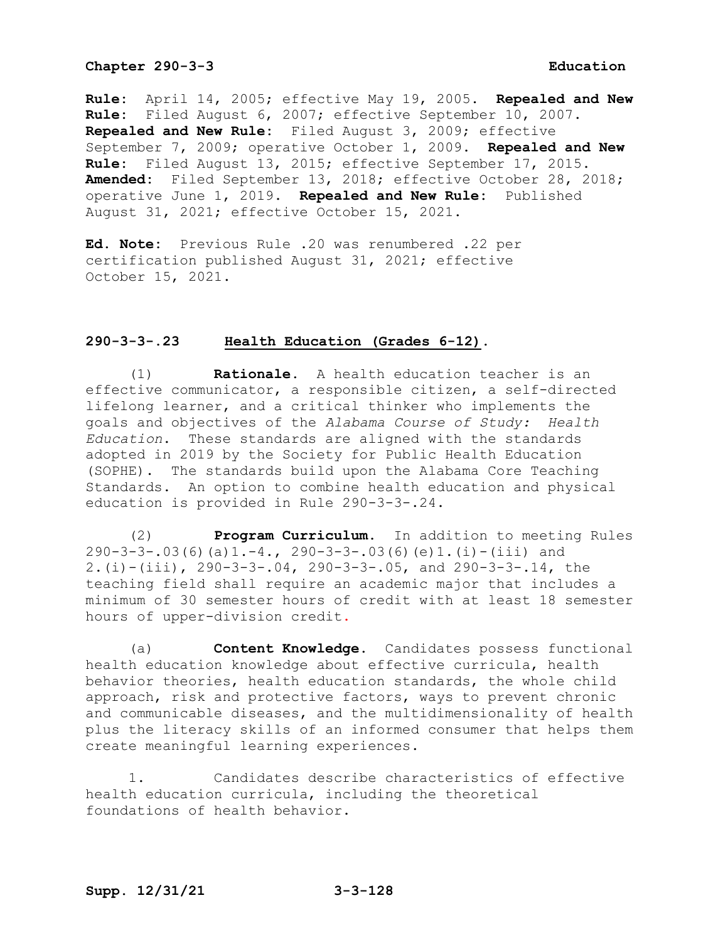**Rule:** April 14, 2005; effective May 19, 2005. **Repealed and New Rule:** Filed August 6, 2007; effective September 10, 2007. **Repealed and New Rule:** Filed August 3, 2009; effective September 7, 2009; operative October 1, 2009. **Repealed and New Rule:** Filed August 13, 2015; effective September 17, 2015. **Amended:** Filed September 13, 2018; effective October 28, 2018; operative June 1, 2019. **Repealed and New Rule:** Published August 31, 2021; effective October 15, 2021.

**Ed. Note:** Previous Rule .20 was renumbered .22 per certification published August 31, 2021; effective October 15, 2021.

### **290-3-3-.23 Health Education (Grades 6-12).**

(1) **Rationale.** A health education teacher is an effective communicator, a responsible citizen, a self-directed lifelong learner, and a critical thinker who implements the goals and objectives of the *Alabama Course of Study: Health Education*. These standards are aligned with the standards adopted in 2019 by the Society for Public Health Education (SOPHE). The standards build upon the Alabama Core Teaching Standards. An option to combine health education and physical education is provided in Rule 290-3-3-.24.

(2) **Program Curriculum.** In addition to meeting Rules  $290-3-3-.03(6)(a)1.-4.$ ,  $290-3-3-.03(6)(e)1.(i)-(iii)$  and 2.(i)-(iii), 290-3-3-.04, 290-3-3-.05, and 290-3-3-.14, the teaching field shall require an academic major that includes a minimum of 30 semester hours of credit with at least 18 semester hours of upper-division credit.

(a) **Content Knowledge.** Candidates possess functional health education knowledge about effective curricula, health behavior theories, health education standards, the whole child approach, risk and protective factors, ways to prevent chronic and communicable diseases, and the multidimensionality of health plus the literacy skills of an informed consumer that helps them create meaningful learning experiences.

1. Candidates describe characteristics of effective health education curricula, including the theoretical foundations of health behavior.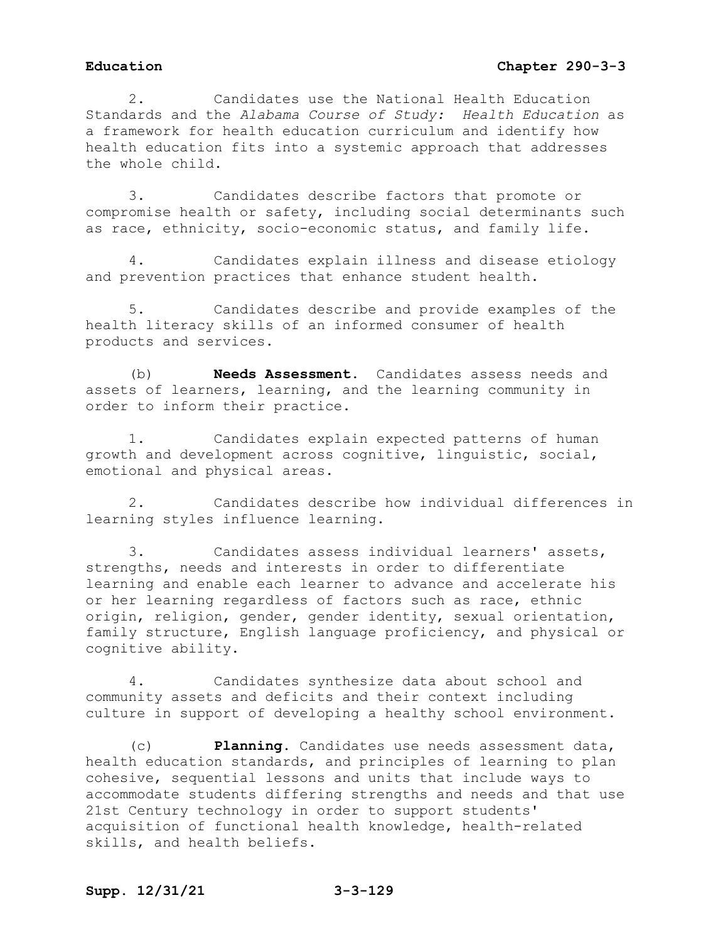2. Candidates use the National Health Education Standards and the *Alabama Course of Study: Health Education* as a framework for health education curriculum and identify how health education fits into a systemic approach that addresses the whole child.

3. Candidates describe factors that promote or compromise health or safety, including social determinants such as race, ethnicity, socio-economic status, and family life.

4. Candidates explain illness and disease etiology and prevention practices that enhance student health.

5. Candidates describe and provide examples of the health literacy skills of an informed consumer of health products and services.

(b) **Needs Assessment.** Candidates assess needs and assets of learners, learning, and the learning community in order to inform their practice.

1. Candidates explain expected patterns of human growth and development across cognitive, linguistic, social, emotional and physical areas.

2. Candidates describe how individual differences in learning styles influence learning.

3. Candidates assess individual learners' assets, strengths, needs and interests in order to differentiate learning and enable each learner to advance and accelerate his or her learning regardless of factors such as race, ethnic origin, religion, gender, gender identity, sexual orientation, family structure, English language proficiency, and physical or cognitive ability.

4. Candidates synthesize data about school and community assets and deficits and their context including culture in support of developing a healthy school environment.

(c) **Planning.** Candidates use needs assessment data, health education standards, and principles of learning to plan cohesive, sequential lessons and units that include ways to accommodate students differing strengths and needs and that use 21st Century technology in order to support students' acquisition of functional health knowledge, health-related skills, and health beliefs.

# **Supp. 12/31/21 3-3-129**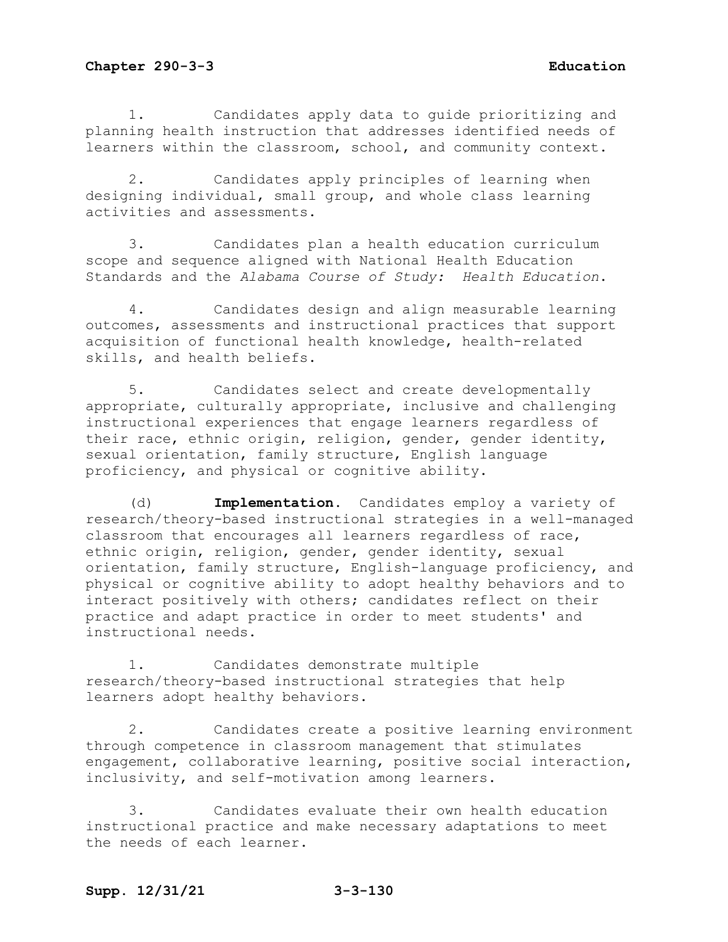1. Candidates apply data to guide prioritizing and planning health instruction that addresses identified needs of learners within the classroom, school, and community context.

2. Candidates apply principles of learning when designing individual, small group, and whole class learning activities and assessments.

3. Candidates plan a health education curriculum scope and sequence aligned with National Health Education Standards and the *Alabama Course of Study: Health Education*.

4. Candidates design and align measurable learning outcomes, assessments and instructional practices that support acquisition of functional health knowledge, health-related skills, and health beliefs.

5. Candidates select and create developmentally appropriate, culturally appropriate, inclusive and challenging instructional experiences that engage learners regardless of their race, ethnic origin, religion, gender, gender identity, sexual orientation, family structure, English language proficiency, and physical or cognitive ability.

(d) **Implementation.** Candidates employ a variety of research/theory-based instructional strategies in a well-managed classroom that encourages all learners regardless of race, ethnic origin, religion, gender, gender identity, sexual orientation, family structure, English-language proficiency, and physical or cognitive ability to adopt healthy behaviors and to interact positively with others; candidates reflect on their practice and adapt practice in order to meet students' and instructional needs.

1. Candidates demonstrate multiple research/theory-based instructional strategies that help learners adopt healthy behaviors.

2. Candidates create a positive learning environment through competence in classroom management that stimulates engagement, collaborative learning, positive social interaction, inclusivity, and self-motivation among learners.

3. Candidates evaluate their own health education instructional practice and make necessary adaptations to meet the needs of each learner.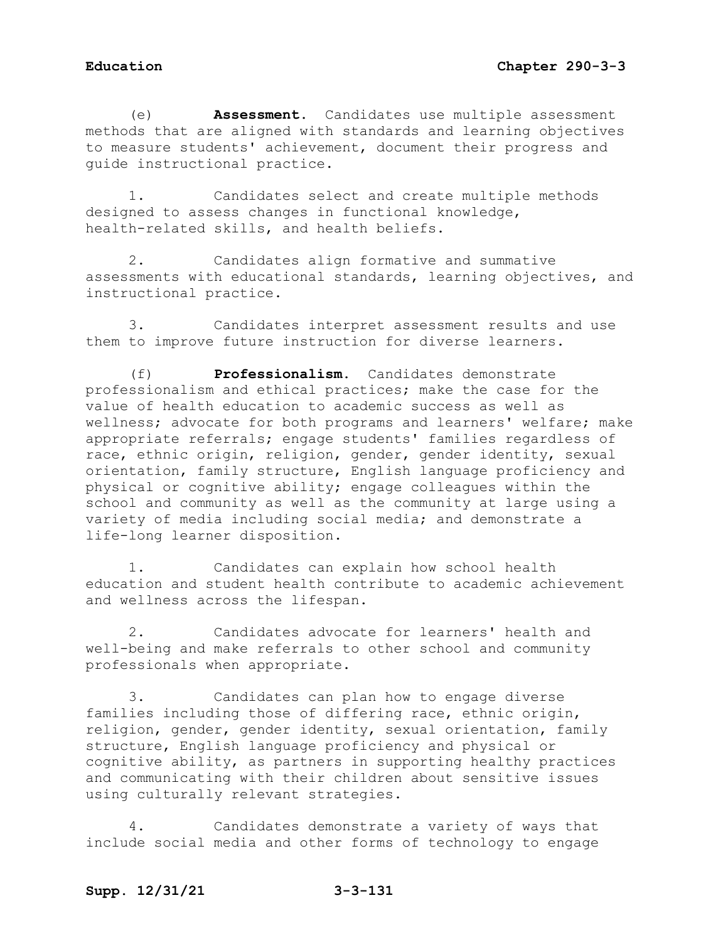(e) **Assessment.** Candidates use multiple assessment methods that are aligned with standards and learning objectives to measure students' achievement, document their progress and guide instructional practice.

1. Candidates select and create multiple methods designed to assess changes in functional knowledge, health-related skills, and health beliefs.

2. Candidates align formative and summative assessments with educational standards, learning objectives, and instructional practice.

3. Candidates interpret assessment results and use them to improve future instruction for diverse learners.

(f) **Professionalism.** Candidates demonstrate professionalism and ethical practices; make the case for the value of health education to academic success as well as wellness; advocate for both programs and learners' welfare; make appropriate referrals; engage students' families regardless of race, ethnic origin, religion, gender, gender identity, sexual orientation, family structure, English language proficiency and physical or cognitive ability; engage colleagues within the school and community as well as the community at large using a variety of media including social media; and demonstrate a life-long learner disposition.

1. Candidates can explain how school health education and student health contribute to academic achievement and wellness across the lifespan.

2. Candidates advocate for learners' health and well-being and make referrals to other school and community professionals when appropriate.

3. Candidates can plan how to engage diverse families including those of differing race, ethnic origin, religion, gender, gender identity, sexual orientation, family structure, English language proficiency and physical or cognitive ability, as partners in supporting healthy practices and communicating with their children about sensitive issues using culturally relevant strategies.

Candidates demonstrate a variety of ways that include social media and other forms of technology to engage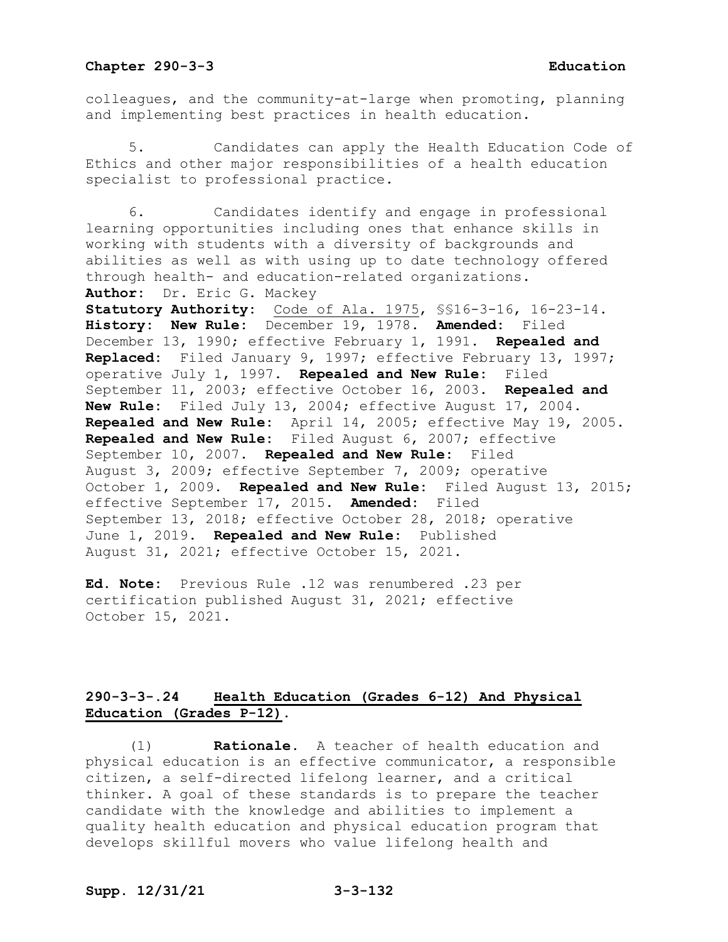colleagues, and the community-at-large when promoting, planning and implementing best practices in health education.

Candidates can apply the Health Education Code of Ethics and other major responsibilities of a health education specialist to professional practice.

6. Candidates identify and engage in professional learning opportunities including ones that enhance skills in working with students with a diversity of backgrounds and abilities as well as with using up to date technology offered through health- and education-related organizations. **Author:** Dr. Eric G. Mackey **Statutory Authority:** Code of Ala. 1975, §§16-3-16, 16-23-14. **History: New Rule:** December 19, 1978. **Amended:** Filed December 13, 1990; effective February 1, 1991. **Repealed and Replaced:** Filed January 9, 1997; effective February 13, 1997; operative July 1, 1997. **Repealed and New Rule:** Filed September 11, 2003; effective October 16, 2003. **Repealed and New Rule:** Filed July 13, 2004; effective August 17, 2004. **Repealed and New Rule:** April 14, 2005; effective May 19, 2005. **Repealed and New Rule:** Filed August 6, 2007; effective September 10, 2007. **Repealed and New Rule:** Filed August 3, 2009; effective September 7, 2009; operative October 1, 2009. **Repealed and New Rule:** Filed August 13, 2015; effective September 17, 2015. **Amended:** Filed September 13, 2018; effective October 28, 2018; operative June 1, 2019. **Repealed and New Rule:** Published August 31, 2021; effective October 15, 2021.

**Ed. Note:** Previous Rule .12 was renumbered .23 per certification published August 31, 2021; effective October 15, 2021.

# **290-3-3-.24 Health Education (Grades 6-12) And Physical Education (Grades P-12).**

(1) **Rationale.** A teacher of health education and physical education is an effective communicator, a responsible citizen, a self-directed lifelong learner, and a critical thinker. A goal of these standards is to prepare the teacher candidate with the knowledge and abilities to implement a quality health education and physical education program that develops skillful movers who value lifelong health and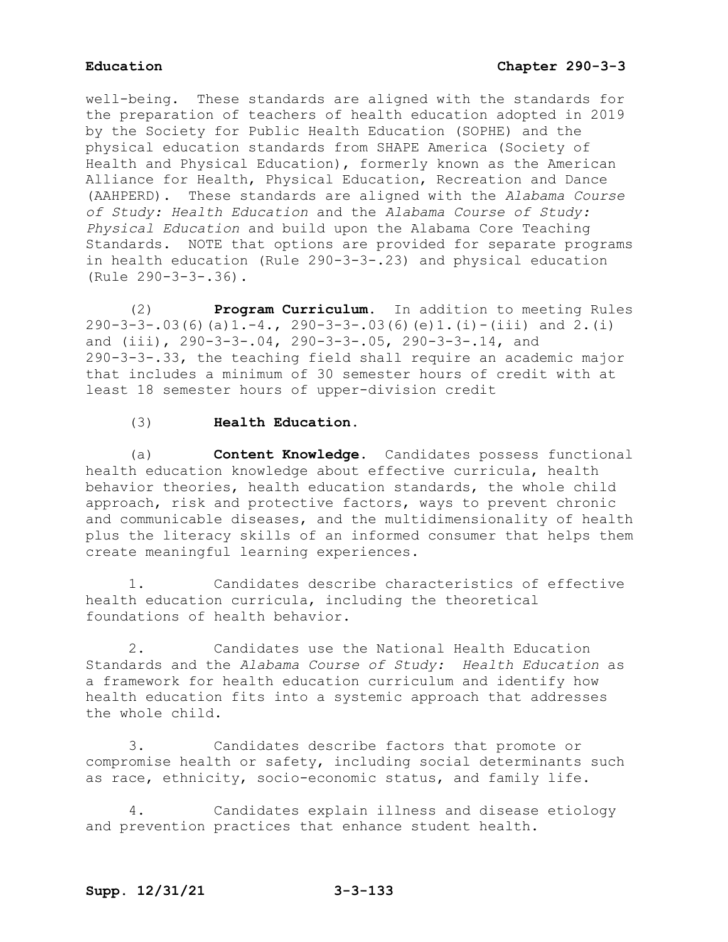well-being. These standards are aligned with the standards for the preparation of teachers of health education adopted in 2019 by the Society for Public Health Education (SOPHE) and the physical education standards from SHAPE America (Society of Health and Physical Education), formerly known as the American Alliance for Health, Physical Education, Recreation and Dance (AAHPERD). These standards are aligned with the *Alabama Course of Study: Health Education* and the *Alabama Course of Study: Physical Education* and build upon the Alabama Core Teaching Standards. NOTE that options are provided for separate programs in health education (Rule 290-3-3-.23) and physical education (Rule 290-3-3-.36).

(2) **Program Curriculum.** In addition to meeting Rules 290-3-3-.03(6)(a)1.-4., 290-3-3-.03(6)(e)1.(i)-(iii) and 2.(i) and (iii), 290-3-3-.04, 290-3-3-.05, 290-3-3-.14, and 290-3-3-.33, the teaching field shall require an academic major that includes a minimum of 30 semester hours of credit with at least 18 semester hours of upper-division credit

# (3) **Health Education.**

(a) **Content Knowledge.** Candidates possess functional health education knowledge about effective curricula, health behavior theories, health education standards, the whole child approach, risk and protective factors, ways to prevent chronic and communicable diseases, and the multidimensionality of health plus the literacy skills of an informed consumer that helps them create meaningful learning experiences.

1. Candidates describe characteristics of effective health education curricula, including the theoretical foundations of health behavior.

2. Candidates use the National Health Education Standards and the *Alabama Course of Study: Health Education* as a framework for health education curriculum and identify how health education fits into a systemic approach that addresses the whole child.

3. Candidates describe factors that promote or compromise health or safety, including social determinants such as race, ethnicity, socio-economic status, and family life.

4. Candidates explain illness and disease etiology and prevention practices that enhance student health.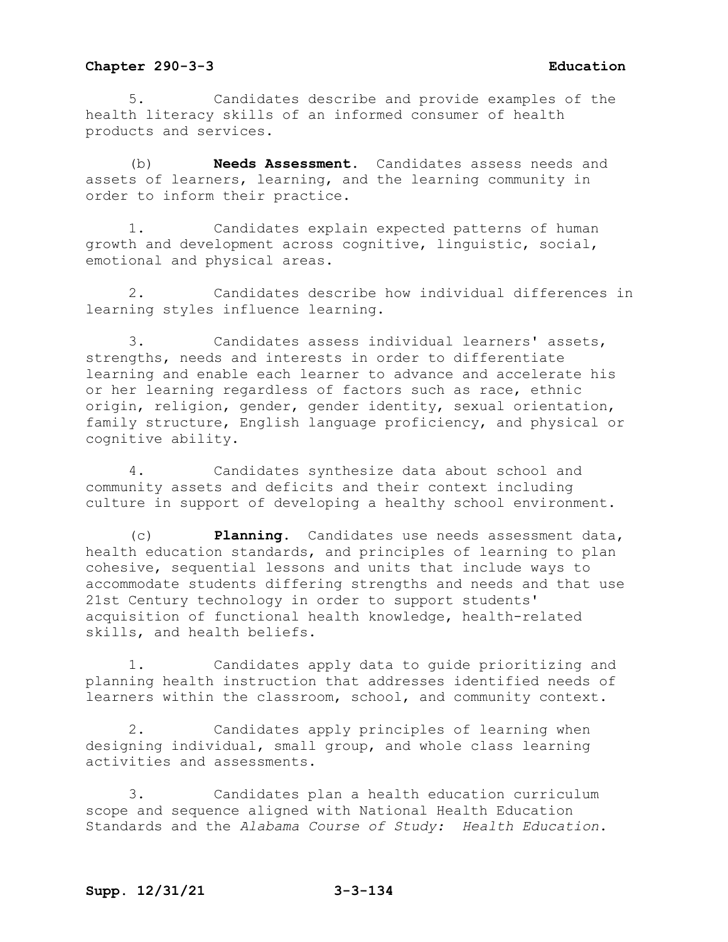5. Candidates describe and provide examples of the health literacy skills of an informed consumer of health products and services.

(b) **Needs Assessment.** Candidates assess needs and assets of learners, learning, and the learning community in order to inform their practice.

1. Candidates explain expected patterns of human growth and development across cognitive, linguistic, social, emotional and physical areas.

2. Candidates describe how individual differences in learning styles influence learning.

3. Candidates assess individual learners' assets, strengths, needs and interests in order to differentiate learning and enable each learner to advance and accelerate his or her learning regardless of factors such as race, ethnic origin, religion, gender, gender identity, sexual orientation, family structure, English language proficiency, and physical or cognitive ability.

4. Candidates synthesize data about school and community assets and deficits and their context including culture in support of developing a healthy school environment.

(c) **Planning.** Candidates use needs assessment data, health education standards, and principles of learning to plan cohesive, sequential lessons and units that include ways to accommodate students differing strengths and needs and that use 21st Century technology in order to support students' acquisition of functional health knowledge, health-related skills, and health beliefs.

1. Candidates apply data to guide prioritizing and planning health instruction that addresses identified needs of learners within the classroom, school, and community context.

2. Candidates apply principles of learning when designing individual, small group, and whole class learning activities and assessments.

3. Candidates plan a health education curriculum scope and sequence aligned with National Health Education Standards and the *Alabama Course of Study: Health Education*.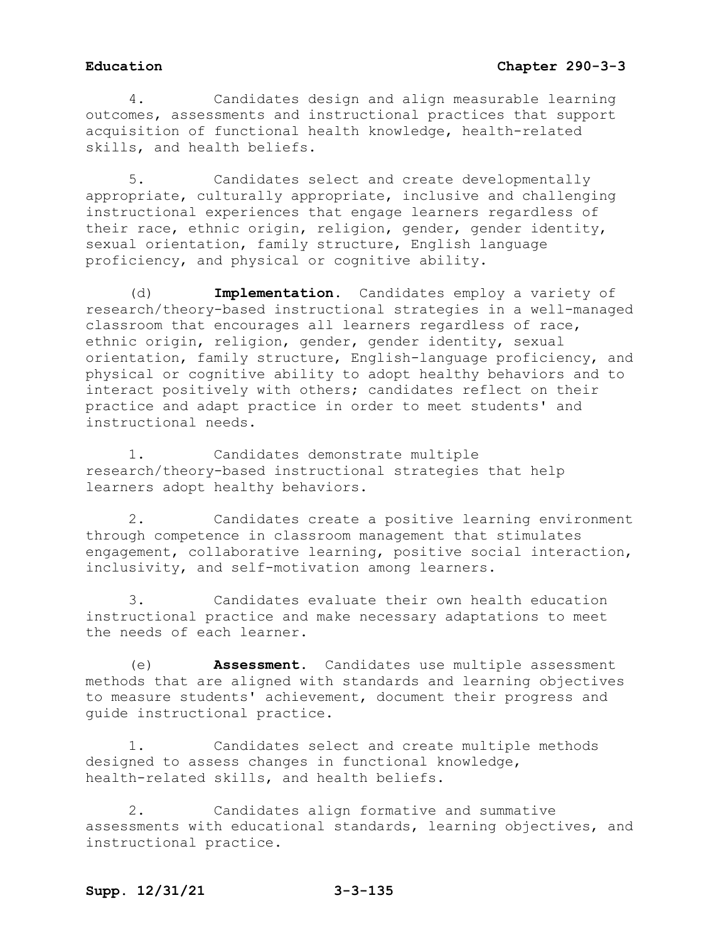4. Candidates design and align measurable learning outcomes, assessments and instructional practices that support acquisition of functional health knowledge, health-related skills, and health beliefs.

5. Candidates select and create developmentally appropriate, culturally appropriate, inclusive and challenging instructional experiences that engage learners regardless of their race, ethnic origin, religion, gender, gender identity, sexual orientation, family structure, English language proficiency, and physical or cognitive ability.

(d) **Implementation.** Candidates employ a variety of research/theory-based instructional strategies in a well-managed classroom that encourages all learners regardless of race, ethnic origin, religion, gender, gender identity, sexual orientation, family structure, English-language proficiency, and physical or cognitive ability to adopt healthy behaviors and to interact positively with others; candidates reflect on their practice and adapt practice in order to meet students' and instructional needs.

1. Candidates demonstrate multiple research/theory-based instructional strategies that help learners adopt healthy behaviors.

2. Candidates create a positive learning environment through competence in classroom management that stimulates engagement, collaborative learning, positive social interaction, inclusivity, and self-motivation among learners.

3. Candidates evaluate their own health education instructional practice and make necessary adaptations to meet the needs of each learner.

(e) **Assessment.** Candidates use multiple assessment methods that are aligned with standards and learning objectives to measure students' achievement, document their progress and guide instructional practice.

1. Candidates select and create multiple methods designed to assess changes in functional knowledge, health-related skills, and health beliefs.

2. Candidates align formative and summative assessments with educational standards, learning objectives, and instructional practice.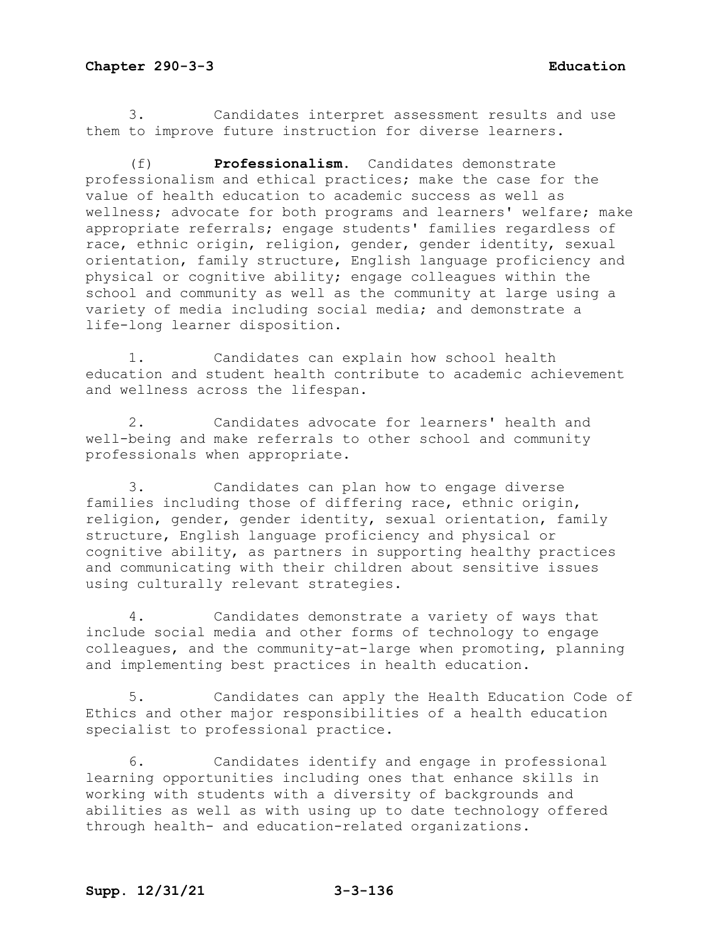3. Candidates interpret assessment results and use them to improve future instruction for diverse learners.

(f) **Professionalism.** Candidates demonstrate professionalism and ethical practices; make the case for the value of health education to academic success as well as wellness; advocate for both programs and learners' welfare; make appropriate referrals; engage students' families regardless of race, ethnic origin, religion, gender, gender identity, sexual orientation, family structure, English language proficiency and physical or cognitive ability; engage colleagues within the school and community as well as the community at large using a variety of media including social media; and demonstrate a life-long learner disposition.

1. Candidates can explain how school health education and student health contribute to academic achievement and wellness across the lifespan.

2. Candidates advocate for learners' health and well-being and make referrals to other school and community professionals when appropriate.

3. Candidates can plan how to engage diverse families including those of differing race, ethnic origin, religion, gender, gender identity, sexual orientation, family structure, English language proficiency and physical or cognitive ability, as partners in supporting healthy practices and communicating with their children about sensitive issues using culturally relevant strategies.

4. Candidates demonstrate a variety of ways that include social media and other forms of technology to engage colleagues, and the community-at-large when promoting, planning and implementing best practices in health education.

5. Candidates can apply the Health Education Code of Ethics and other major responsibilities of a health education specialist to professional practice.

6. Candidates identify and engage in professional learning opportunities including ones that enhance skills in working with students with a diversity of backgrounds and abilities as well as with using up to date technology offered through health- and education-related organizations.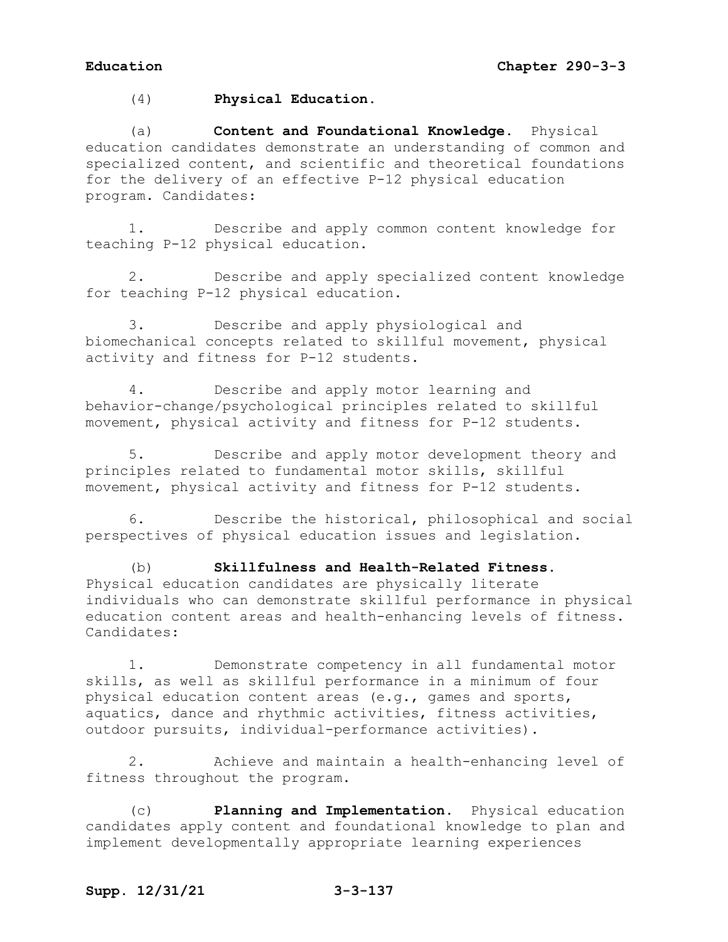(4) **Physical Education.**

(a) **Content and Foundational Knowledge.** Physical education candidates demonstrate an understanding of common and specialized content, and scientific and theoretical foundations for the delivery of an effective P-12 physical education program. Candidates:

1. Describe and apply common content knowledge for teaching P-12 physical education.

2. Describe and apply specialized content knowledge for teaching P-12 physical education.

3. Describe and apply physiological and biomechanical concepts related to skillful movement, physical activity and fitness for P-12 students.

4. Describe and apply motor learning and behavior-change/psychological principles related to skillful movement, physical activity and fitness for P-12 students.

5. Describe and apply motor development theory and principles related to fundamental motor skills, skillful movement, physical activity and fitness for P-12 students.

6. Describe the historical, philosophical and social perspectives of physical education issues and legislation.

(b) **Skillfulness and Health-Related Fitness.** Physical education candidates are physically literate individuals who can demonstrate skillful performance in physical education content areas and health-enhancing levels of fitness. Candidates:

1. Demonstrate competency in all fundamental motor skills, as well as skillful performance in a minimum of four physical education content areas (e.g., games and sports, aquatics, dance and rhythmic activities, fitness activities, outdoor pursuits, individual-performance activities).

2. Achieve and maintain a health-enhancing level of fitness throughout the program.

(c) **Planning and Implementation.** Physical education candidates apply content and foundational knowledge to plan and implement developmentally appropriate learning experiences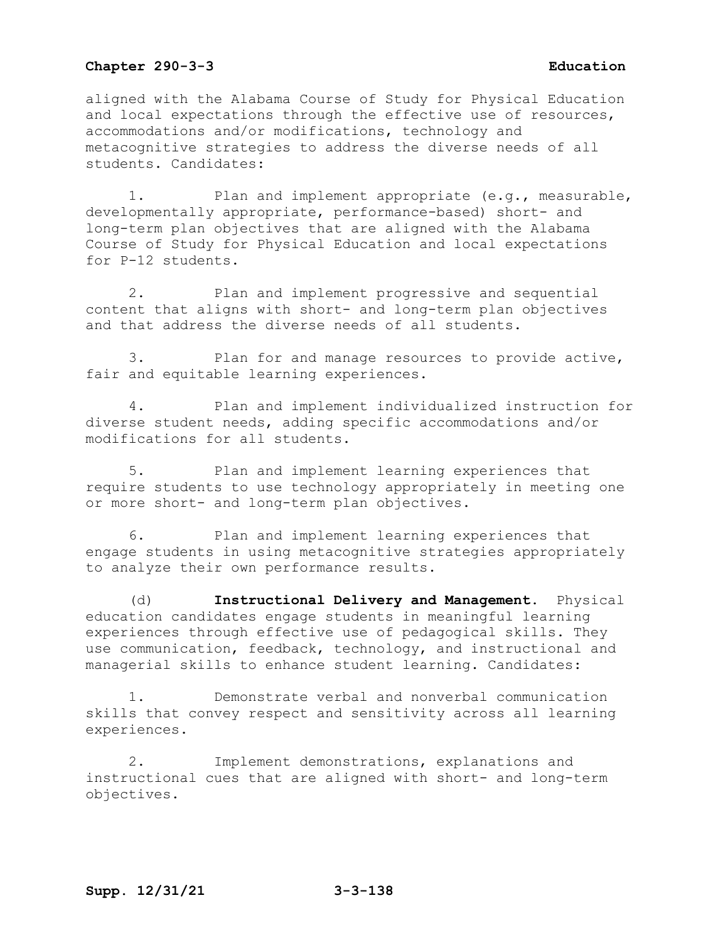aligned with the Alabama Course of Study for Physical Education and local expectations through the effective use of resources, accommodations and/or modifications, technology and metacognitive strategies to address the diverse needs of all students. Candidates:

1. Plan and implement appropriate (e.g., measurable, developmentally appropriate, performance-based) short- and long-term plan objectives that are aligned with the Alabama Course of Study for Physical Education and local expectations for P-12 students.

2. Plan and implement progressive and sequential content that aligns with short- and long-term plan objectives and that address the diverse needs of all students.

3. Plan for and manage resources to provide active, fair and equitable learning experiences.

4. Plan and implement individualized instruction for diverse student needs, adding specific accommodations and/or modifications for all students.

5. Plan and implement learning experiences that require students to use technology appropriately in meeting one or more short- and long-term plan objectives.

6. Plan and implement learning experiences that engage students in using metacognitive strategies appropriately to analyze their own performance results.

(d) **Instructional Delivery and Management.** Physical education candidates engage students in meaningful learning experiences through effective use of pedagogical skills. They use communication, feedback, technology, and instructional and managerial skills to enhance student learning. Candidates:

1. Demonstrate verbal and nonverbal communication skills that convey respect and sensitivity across all learning experiences.

2. Implement demonstrations, explanations and instructional cues that are aligned with short- and long-term objectives.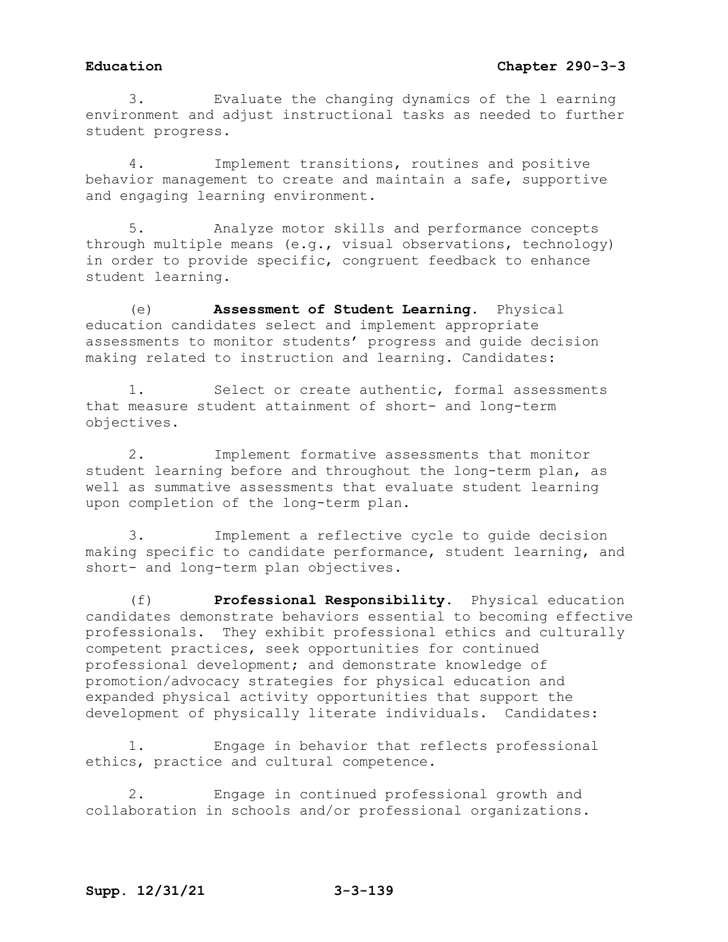3. Evaluate the changing dynamics of the l earning environment and adjust instructional tasks as needed to further student progress.

4. Implement transitions, routines and positive behavior management to create and maintain a safe, supportive and engaging learning environment.

5. Analyze motor skills and performance concepts through multiple means (e.g., visual observations, technology) in order to provide specific, congruent feedback to enhance student learning.

(e) **Assessment of Student Learning.** Physical education candidates select and implement appropriate assessments to monitor students' progress and guide decision making related to instruction and learning. Candidates:

1. Select or create authentic, formal assessments that measure student attainment of short- and long-term objectives.

2. Implement formative assessments that monitor student learning before and throughout the long-term plan, as well as summative assessments that evaluate student learning upon completion of the long-term plan.

3. Implement a reflective cycle to guide decision making specific to candidate performance, student learning, and short- and long-term plan objectives.

(f) **Professional Responsibility.** Physical education candidates demonstrate behaviors essential to becoming effective professionals. They exhibit professional ethics and culturally competent practices, seek opportunities for continued professional development; and demonstrate knowledge of promotion/advocacy strategies for physical education and expanded physical activity opportunities that support the development of physically literate individuals. Candidates:

1. Engage in behavior that reflects professional ethics, practice and cultural competence.

2. Engage in continued professional growth and collaboration in schools and/or professional organizations.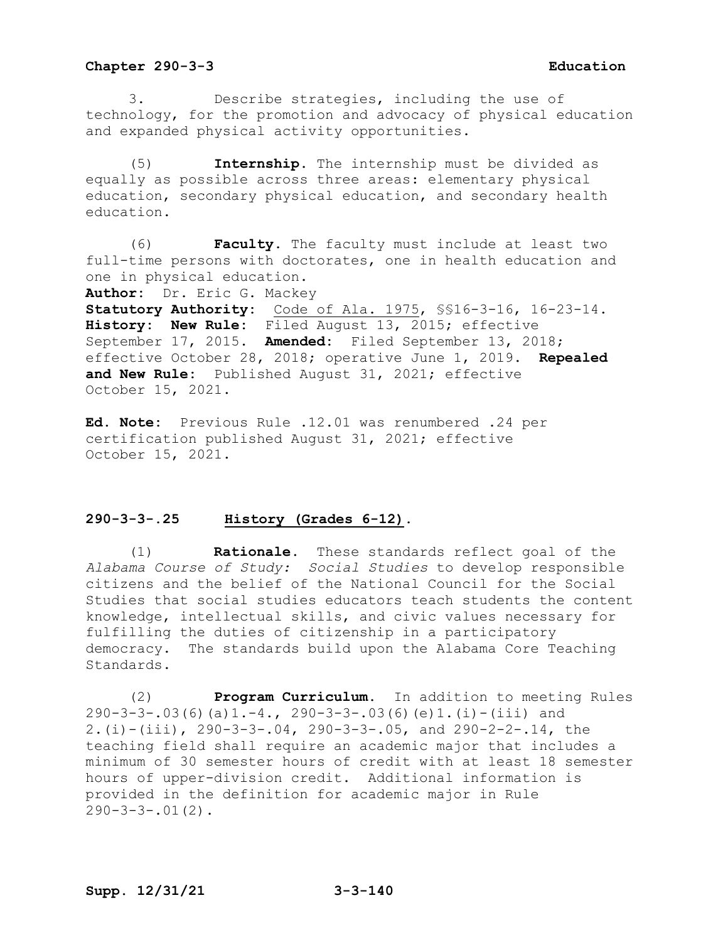3. Describe strategies, including the use of technology, for the promotion and advocacy of physical education and expanded physical activity opportunities.

(5) **Internship.** The internship must be divided as equally as possible across three areas: elementary physical education, secondary physical education, and secondary health education.

(6) **Faculty.** The faculty must include at least two full-time persons with doctorates, one in health education and one in physical education.

**Author:** Dr. Eric G. Mackey

**Statutory Authority:** Code of Ala. 1975, §§16-3-16, 16-23-14. **History: New Rule:** Filed August 13, 2015; effective September 17, 2015. **Amended:** Filed September 13, 2018; effective October 28, 2018; operative June 1, 2019. **Repealed and New Rule:** Published August 31, 2021; effective October 15, 2021.

**Ed. Note:** Previous Rule .12.01 was renumbered .24 per certification published August 31, 2021; effective October 15, 2021.

### **290-3-3-.25 History (Grades 6-12).**

(1) **Rationale.** These standards reflect goal of the *Alabama Course of Study: Social Studies* to develop responsible citizens and the belief of the National Council for the Social Studies that social studies educators teach students the content knowledge, intellectual skills, and civic values necessary for fulfilling the duties of citizenship in a participatory democracy. The standards build upon the Alabama Core Teaching Standards.

(2) **Program Curriculum.** In addition to meeting Rules 290-3-3-.03(6)(a)1.-4., 290-3-3-.03(6)(e)1.(i)-(iii) and 2.(i)-(iii), 290-3-3-.04, 290-3-3-.05, and 290-2-2-.14, the teaching field shall require an academic major that includes a minimum of 30 semester hours of credit with at least 18 semester hours of upper-division credit. Additional information is provided in the definition for academic major in Rule  $290 - 3 - 3 - .01(2)$ .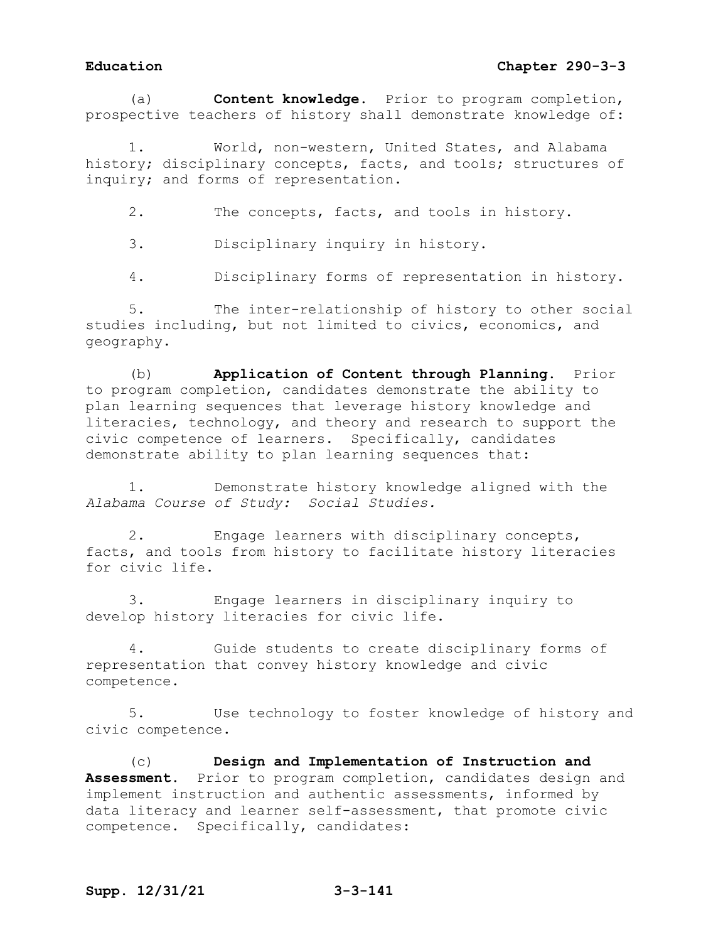# **Education Chapter 290-3-3**

(a) **Content knowledge.** Prior to program completion, prospective teachers of history shall demonstrate knowledge of:

World, non-western, United States, and Alabama history; disciplinary concepts, facts, and tools; structures of inquiry; and forms of representation.

2. The concepts, facts, and tools in history.

3. Disciplinary inquiry in history.

4. Disciplinary forms of representation in history.

5. The inter-relationship of history to other social studies including, but not limited to civics, economics, and geography.

(b) **Application of Content through Planning.** Prior to program completion, candidates demonstrate the ability to plan learning sequences that leverage history knowledge and literacies, technology, and theory and research to support the civic competence of learners. Specifically, candidates demonstrate ability to plan learning sequences that:

1. Demonstrate history knowledge aligned with the *Alabama Course of Study: Social Studies.*

2. Engage learners with disciplinary concepts, facts, and tools from history to facilitate history literacies for civic life.

3. Engage learners in disciplinary inquiry to develop history literacies for civic life.

4. Guide students to create disciplinary forms of representation that convey history knowledge and civic competence.

5. Use technology to foster knowledge of history and civic competence.

(c) **Design and Implementation of Instruction and Assessment.** Prior to program completion, candidates design and implement instruction and authentic assessments, informed by data literacy and learner self-assessment, that promote civic competence. Specifically, candidates: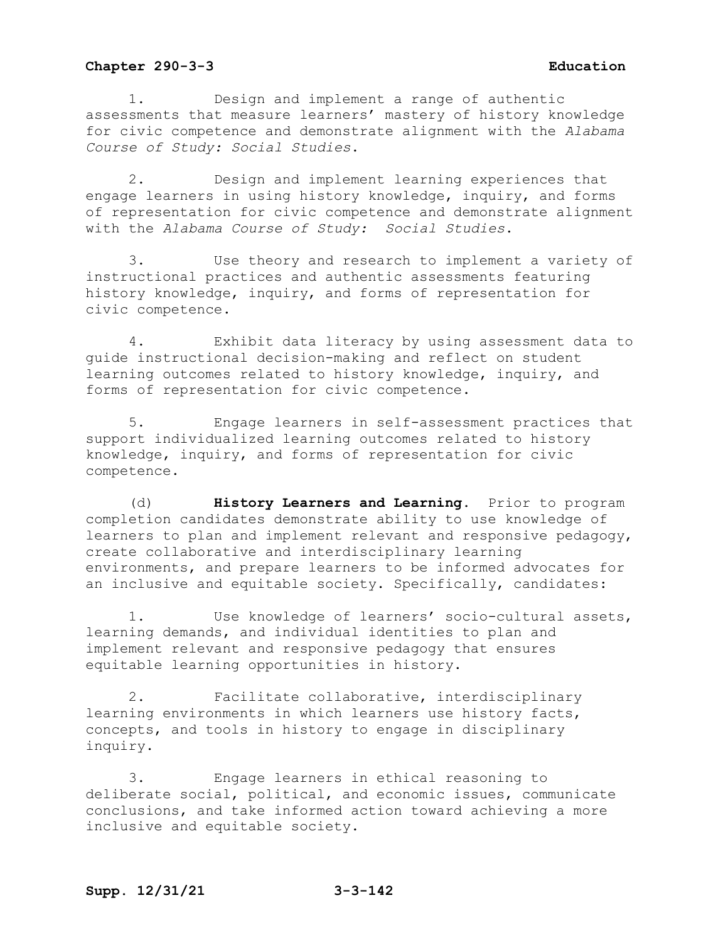1. Design and implement a range of authentic assessments that measure learners' mastery of history knowledge for civic competence and demonstrate alignment with the *Alabama Course of Study: Social Studies*.

2. Design and implement learning experiences that engage learners in using history knowledge, inquiry, and forms of representation for civic competence and demonstrate alignment with the *Alabama Course of Study: Social Studies*.

3. Use theory and research to implement a variety of instructional practices and authentic assessments featuring history knowledge, inquiry, and forms of representation for civic competence.

4. Exhibit data literacy by using assessment data to guide instructional decision-making and reflect on student learning outcomes related to history knowledge, inquiry, and forms of representation for civic competence.

5. Engage learners in self-assessment practices that support individualized learning outcomes related to history knowledge, inquiry, and forms of representation for civic competence.

(d) **History Learners and Learning.** Prior to program completion candidates demonstrate ability to use knowledge of learners to plan and implement relevant and responsive pedagogy, create collaborative and interdisciplinary learning environments, and prepare learners to be informed advocates for an inclusive and equitable society. Specifically, candidates:

1. Use knowledge of learners' socio-cultural assets, learning demands, and individual identities to plan and implement relevant and responsive pedagogy that ensures equitable learning opportunities in history.

2. Facilitate collaborative, interdisciplinary learning environments in which learners use history facts, concepts, and tools in history to engage in disciplinary inquiry.

3. Engage learners in ethical reasoning to deliberate social, political, and economic issues, communicate conclusions, and take informed action toward achieving a more inclusive and equitable society.

# **Supp. 12/31/21 3-3-142**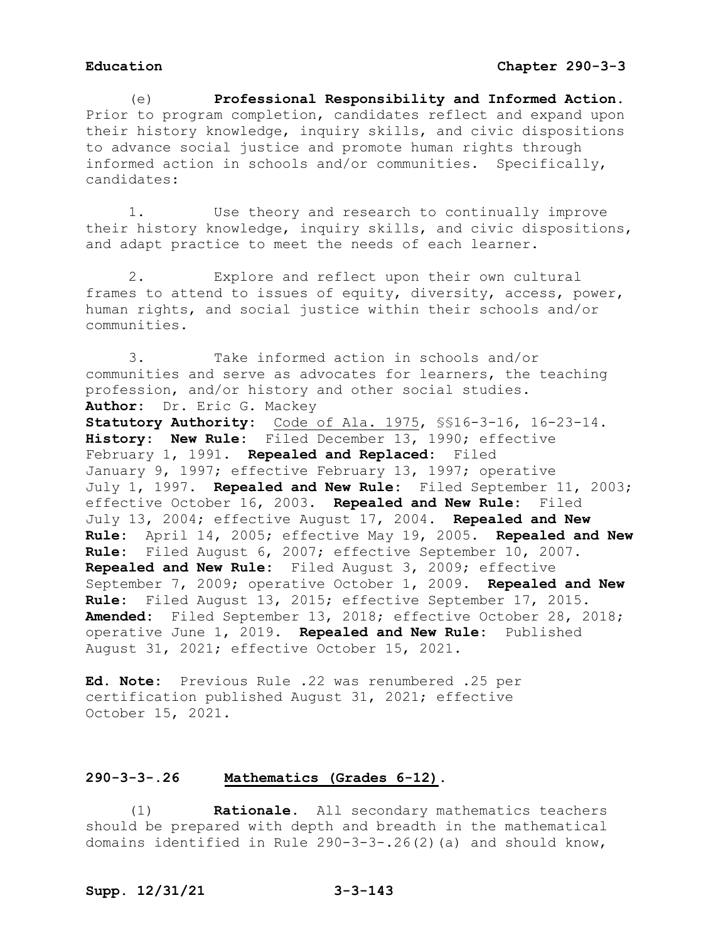(e) **Professional Responsibility and Informed Action.** Prior to program completion, candidates reflect and expand upon their history knowledge, inquiry skills, and civic dispositions to advance social justice and promote human rights through informed action in schools and/or communities. Specifically, candidates:

1. Use theory and research to continually improve their history knowledge, inquiry skills, and civic dispositions, and adapt practice to meet the needs of each learner.

2. Explore and reflect upon their own cultural frames to attend to issues of equity, diversity, access, power, human rights, and social justice within their schools and/or communities.

3. Take informed action in schools and/or communities and serve as advocates for learners, the teaching profession, and/or history and other social studies. **Author:** Dr. Eric G. Mackey

**Statutory Authority:** Code of Ala. 1975, §§16-3-16, 16-23-14. **History: New Rule:** Filed December 13, 1990; effective February 1, 1991. **Repealed and Replaced:** Filed January 9, 1997; effective February 13, 1997; operative July 1, 1997. **Repealed and New Rule:** Filed September 11, 2003; effective October 16, 2003. **Repealed and New Rule:** Filed July 13, 2004; effective August 17, 2004. **Repealed and New Rule:** April 14, 2005; effective May 19, 2005. **Repealed and New Rule:** Filed August 6, 2007; effective September 10, 2007. **Repealed and New Rule:** Filed August 3, 2009; effective September 7, 2009; operative October 1, 2009. **Repealed and New Rule:** Filed August 13, 2015; effective September 17, 2015. **Amended:** Filed September 13, 2018; effective October 28, 2018; operative June 1, 2019. **Repealed and New Rule:** Published August 31, 2021; effective October 15, 2021.

**Ed. Note:** Previous Rule .22 was renumbered .25 per certification published August 31, 2021; effective October 15, 2021.

## **290-3-3-.26 Mathematics (Grades 6-12).**

(1) **Rationale.** All secondary mathematics teachers should be prepared with depth and breadth in the mathematical domains identified in Rule 290-3-3-.26(2)(a) and should know,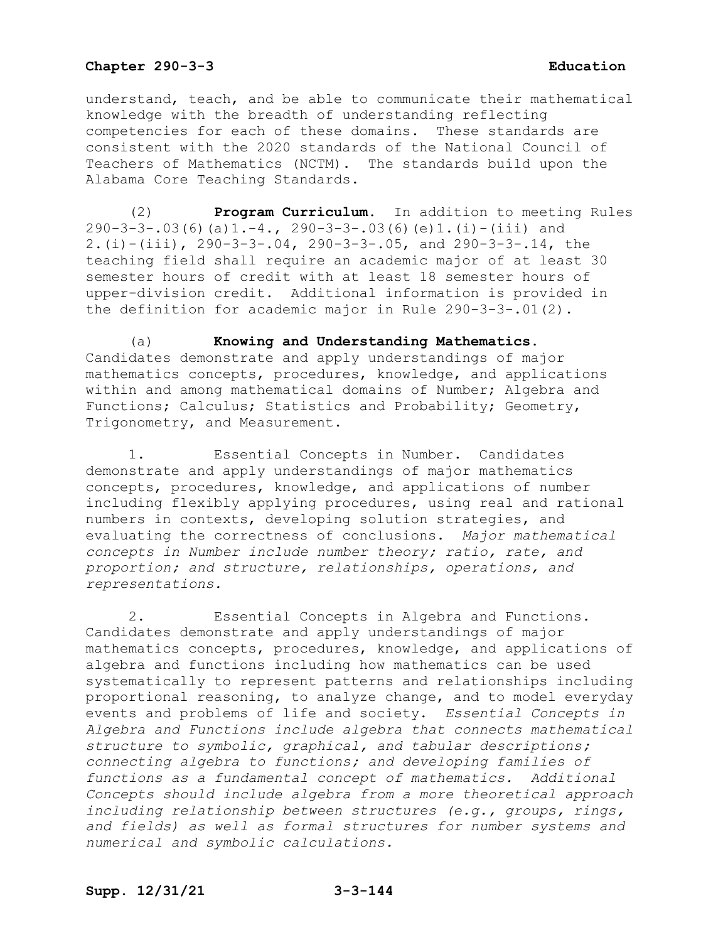understand, teach, and be able to communicate their mathematical knowledge with the breadth of understanding reflecting competencies for each of these domains. These standards are consistent with the 2020 standards of the National Council of Teachers of Mathematics (NCTM). The standards build upon the Alabama Core Teaching Standards.

(2) **Program Curriculum.** In addition to meeting Rules 290-3-3-.03(6)(a)1.-4., 290-3-3-.03(6)(e)1.(i)-(iii) and 2.(i)-(iii), 290-3-3-.04, 290-3-3-.05, and 290-3-3-.14, the teaching field shall require an academic major of at least 30 semester hours of credit with at least 18 semester hours of upper-division credit. Additional information is provided in the definition for academic major in Rule 290-3-3-.01(2).

(a) **Knowing and Understanding Mathematics.**  Candidates demonstrate and apply understandings of major mathematics concepts, procedures, knowledge, and applications within and among mathematical domains of Number; Algebra and Functions; Calculus; Statistics and Probability; Geometry, Trigonometry, and Measurement.

1. Essential Concepts in Number. Candidates demonstrate and apply understandings of major mathematics concepts, procedures, knowledge, and applications of number including flexibly applying procedures, using real and rational numbers in contexts, developing solution strategies, and evaluating the correctness of conclusions. *Major mathematical concepts in Number include number theory; ratio, rate, and proportion; and structure, relationships, operations, and representations.*

2. Essential Concepts in Algebra and Functions. Candidates demonstrate and apply understandings of major mathematics concepts, procedures, knowledge, and applications of algebra and functions including how mathematics can be used systematically to represent patterns and relationships including proportional reasoning, to analyze change, and to model everyday events and problems of life and society. *Essential Concepts in Algebra and Functions include algebra that connects mathematical structure to symbolic, graphical, and tabular descriptions; connecting algebra to functions; and developing families of functions as a fundamental concept of mathematics. Additional Concepts should include algebra from a more theoretical approach including relationship between structures (e.g., groups, rings, and fields) as well as formal structures for number systems and numerical and symbolic calculations.*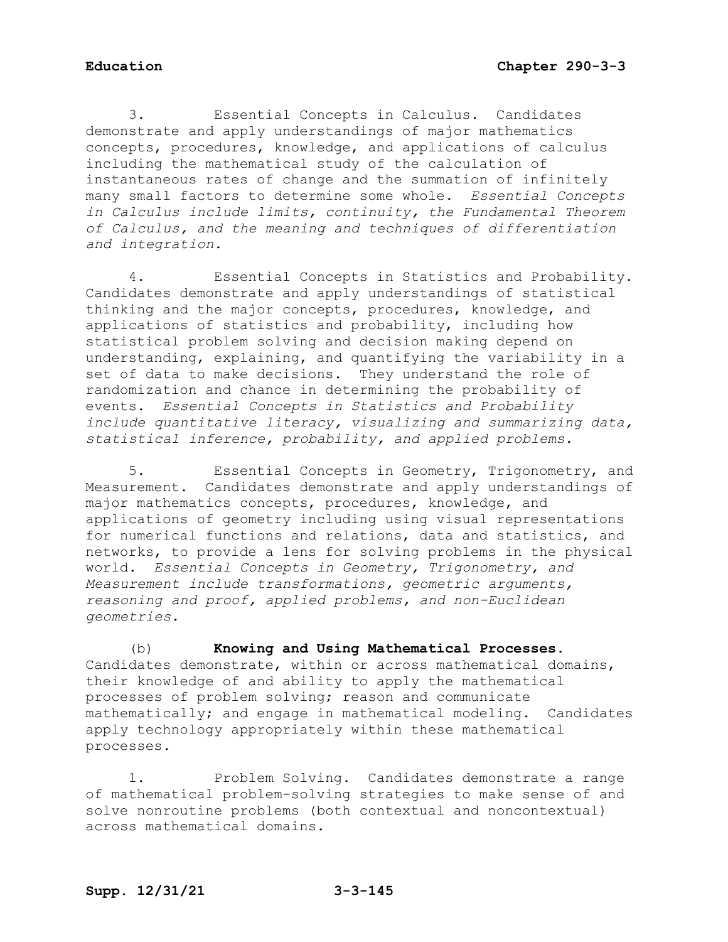3. Essential Concepts in Calculus. Candidates demonstrate and apply understandings of major mathematics concepts, procedures, knowledge, and applications of calculus including the mathematical study of the calculation of instantaneous rates of change and the summation of infinitely many small factors to determine some whole. *Essential Concepts in Calculus include limits, continuity, the Fundamental Theorem of Calculus, and the meaning and techniques of differentiation and integration.*

4. Essential Concepts in Statistics and Probability. Candidates demonstrate and apply understandings of statistical thinking and the major concepts, procedures, knowledge, and applications of statistics and probability, including how statistical problem solving and decision making depend on understanding, explaining, and quantifying the variability in a set of data to make decisions. They understand the role of randomization and chance in determining the probability of events. *Essential Concepts in Statistics and Probability include quantitative literacy, visualizing and summarizing data, statistical inference, probability, and applied problems.*

5. Essential Concepts in Geometry, Trigonometry, and Measurement. Candidates demonstrate and apply understandings of major mathematics concepts, procedures, knowledge, and applications of geometry including using visual representations for numerical functions and relations, data and statistics, and networks, to provide a lens for solving problems in the physical world. *Essential Concepts in Geometry, Trigonometry, and Measurement include transformations, geometric arguments, reasoning and proof, applied problems, and non-Euclidean geometries.*

(b) **Knowing and Using Mathematical Processes**. Candidates demonstrate, within or across mathematical domains, their knowledge of and ability to apply the mathematical processes of problem solving; reason and communicate mathematically; and engage in mathematical modeling. Candidates apply technology appropriately within these mathematical processes.

1. Problem Solving. Candidates demonstrate a range of mathematical problem-solving strategies to make sense of and solve nonroutine problems (both contextual and noncontextual) across mathematical domains.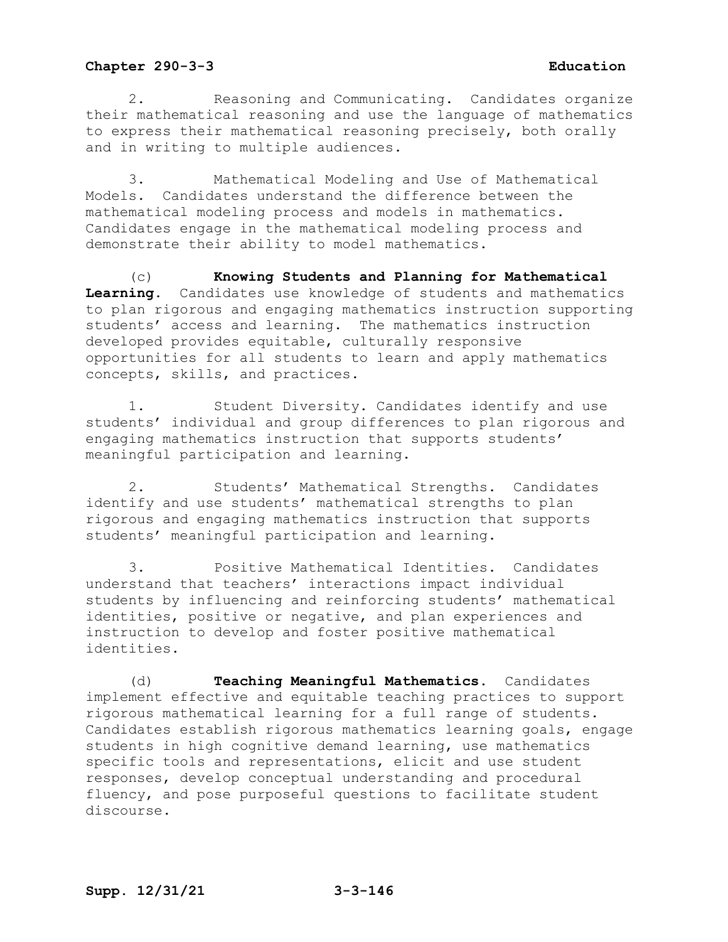2. Reasoning and Communicating. Candidates organize their mathematical reasoning and use the language of mathematics to express their mathematical reasoning precisely, both orally and in writing to multiple audiences.

3. Mathematical Modeling and Use of Mathematical Models. Candidates understand the difference between the mathematical modeling process and models in mathematics. Candidates engage in the mathematical modeling process and demonstrate their ability to model mathematics.

(c) **Knowing Students and Planning for Mathematical Learning.** Candidates use knowledge of students and mathematics to plan rigorous and engaging mathematics instruction supporting students' access and learning. The mathematics instruction developed provides equitable, culturally responsive opportunities for all students to learn and apply mathematics concepts, skills, and practices.

1. Student Diversity. Candidates identify and use students' individual and group differences to plan rigorous and engaging mathematics instruction that supports students' meaningful participation and learning.

2. Students' Mathematical Strengths. Candidates identify and use students' mathematical strengths to plan rigorous and engaging mathematics instruction that supports students' meaningful participation and learning.

3. Positive Mathematical Identities. Candidates understand that teachers' interactions impact individual students by influencing and reinforcing students' mathematical identities, positive or negative, and plan experiences and instruction to develop and foster positive mathematical identities.

(d) **Teaching Meaningful Mathematics.** Candidates implement effective and equitable teaching practices to support rigorous mathematical learning for a full range of students. Candidates establish rigorous mathematics learning goals, engage students in high cognitive demand learning, use mathematics specific tools and representations, elicit and use student responses, develop conceptual understanding and procedural fluency, and pose purposeful questions to facilitate student discourse.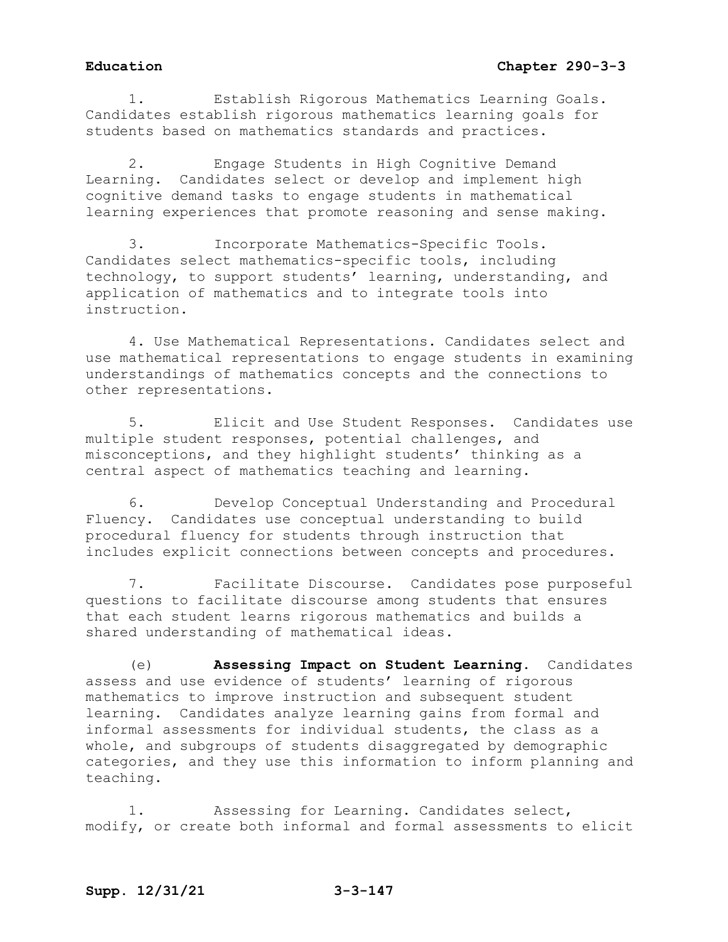1. Establish Rigorous Mathematics Learning Goals. Candidates establish rigorous mathematics learning goals for students based on mathematics standards and practices.

2. Engage Students in High Cognitive Demand Learning. Candidates select or develop and implement high cognitive demand tasks to engage students in mathematical learning experiences that promote reasoning and sense making.

3. Incorporate Mathematics-Specific Tools. Candidates select mathematics-specific tools, including technology, to support students' learning, understanding, and application of mathematics and to integrate tools into instruction.

4. Use Mathematical Representations. Candidates select and use mathematical representations to engage students in examining understandings of mathematics concepts and the connections to other representations.

5. Elicit and Use Student Responses. Candidates use multiple student responses, potential challenges, and misconceptions, and they highlight students' thinking as a central aspect of mathematics teaching and learning.

6. Develop Conceptual Understanding and Procedural Fluency. Candidates use conceptual understanding to build procedural fluency for students through instruction that includes explicit connections between concepts and procedures.

7. Facilitate Discourse. Candidates pose purposeful questions to facilitate discourse among students that ensures that each student learns rigorous mathematics and builds a shared understanding of mathematical ideas.

(e) **Assessing Impact on Student Learning.** Candidates assess and use evidence of students' learning of rigorous mathematics to improve instruction and subsequent student learning. Candidates analyze learning gains from formal and informal assessments for individual students, the class as a whole, and subgroups of students disaggregated by demographic categories, and they use this information to inform planning and teaching.

1. Assessing for Learning. Candidates select, modify, or create both informal and formal assessments to elicit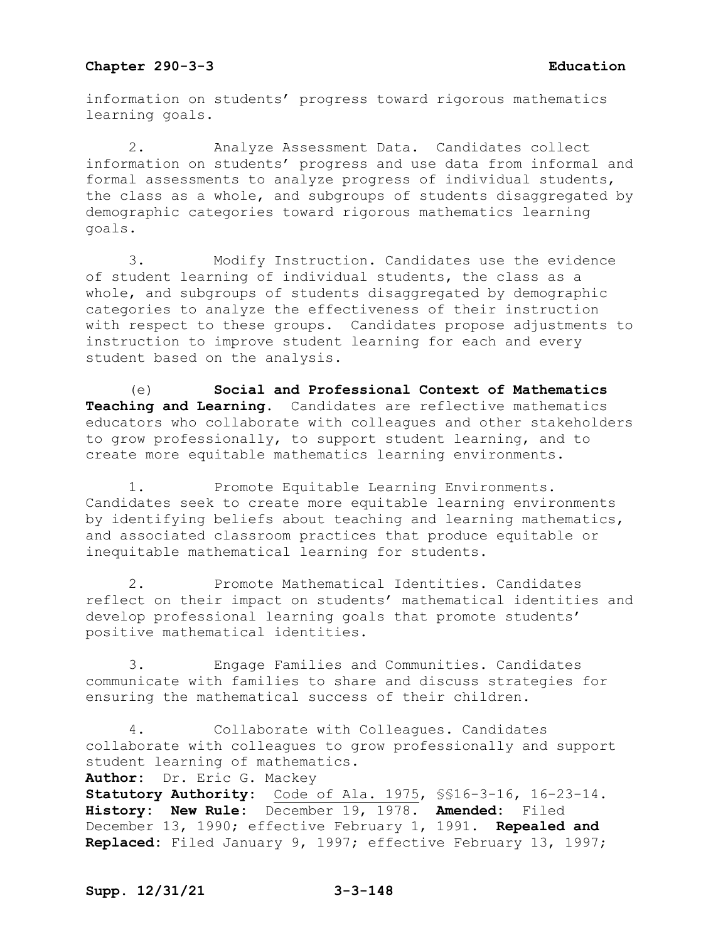information on students' progress toward rigorous mathematics learning goals.

2. Analyze Assessment Data. Candidates collect information on students' progress and use data from informal and formal assessments to analyze progress of individual students, the class as a whole, and subgroups of students disaggregated by demographic categories toward rigorous mathematics learning goals.

3. Modify Instruction. Candidates use the evidence of student learning of individual students, the class as a whole, and subgroups of students disaggregated by demographic categories to analyze the effectiveness of their instruction with respect to these groups. Candidates propose adjustments to instruction to improve student learning for each and every student based on the analysis.

(e) **Social and Professional Context of Mathematics Teaching and Learning.** Candidates are reflective mathematics educators who collaborate with colleagues and other stakeholders to grow professionally, to support student learning, and to create more equitable mathematics learning environments.

1. Promote Equitable Learning Environments. Candidates seek to create more equitable learning environments by identifying beliefs about teaching and learning mathematics, and associated classroom practices that produce equitable or inequitable mathematical learning for students.

2. Promote Mathematical Identities. Candidates reflect on their impact on students' mathematical identities and develop professional learning goals that promote students' positive mathematical identities.

3. Engage Families and Communities. Candidates communicate with families to share and discuss strategies for ensuring the mathematical success of their children.

4. Collaborate with Colleagues. Candidates collaborate with colleagues to grow professionally and support student learning of mathematics. **Author:** Dr. Eric G. Mackey **Statutory Authority:** Code of Ala. 1975, §§16-3-16, 16-23-14. **History: New Rule:** December 19, 1978. **Amended:** Filed December 13, 1990; effective February 1, 1991. **Repealed and Replaced:** Filed January 9, 1997; effective February 13, 1997;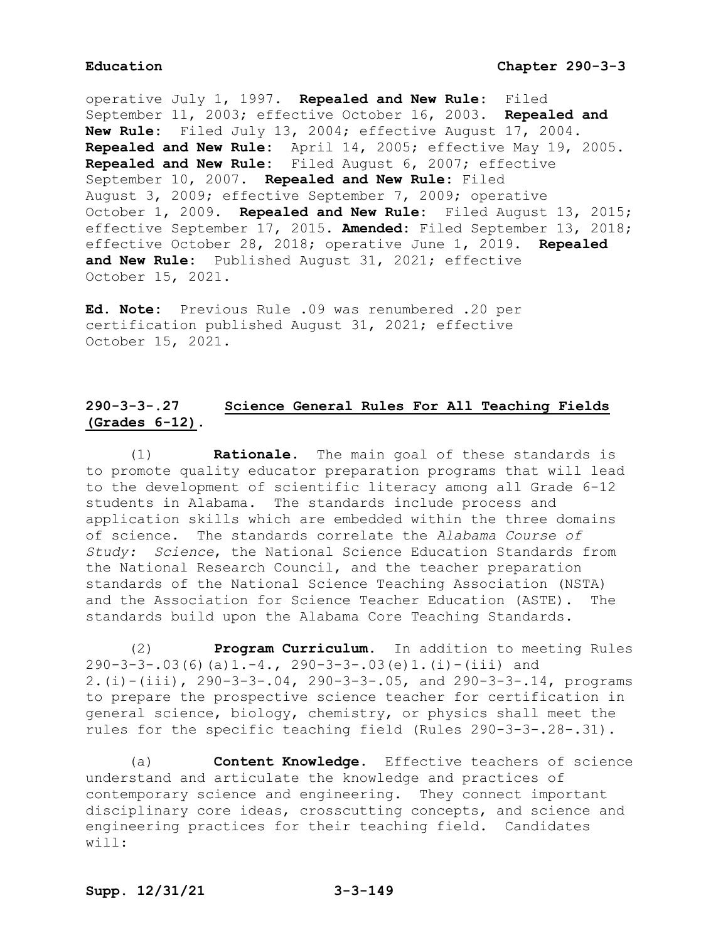operative July 1, 1997. **Repealed and New Rule:** Filed September 11, 2003; effective October 16, 2003. **Repealed and New Rule:** Filed July 13, 2004; effective August 17, 2004. **Repealed and New Rule:** April 14, 2005; effective May 19, 2005. **Repealed and New Rule:** Filed August 6, 2007; effective September 10, 2007. **Repealed and New Rule:** Filed August 3, 2009; effective September 7, 2009; operative October 1, 2009. **Repealed and New Rule:** Filed August 13, 2015; effective September 17, 2015. **Amended:** Filed September 13, 2018; effective October 28, 2018; operative June 1, 2019. **Repealed and New Rule:** Published August 31, 2021; effective October 15, 2021.

**Ed. Note:** Previous Rule .09 was renumbered .20 per certification published August 31, 2021; effective October 15, 2021.

# **290-3-3-.27 Science General Rules For All Teaching Fields (Grades 6-12).**

(1) **Rationale.** The main goal of these standards is to promote quality educator preparation programs that will lead to the development of scientific literacy among all Grade 6-12 students in Alabama. The standards include process and application skills which are embedded within the three domains of science. The standards correlate the *Alabama Course of Study: Science*, the National Science Education Standards from the National Research Council, and the teacher preparation standards of the National Science Teaching Association (NSTA) and the Association for Science Teacher Education (ASTE). The standards build upon the Alabama Core Teaching Standards.

(2) **Program Curriculum.** In addition to meeting Rules  $290-3-3-.03(6)(a)1.-4.$ ,  $290-3-3-.03(e)1.(i)-(iii)$  and 2.(i)-(iii), 290-3-3-.04, 290-3-3-.05, and 290-3-3-.14, programs to prepare the prospective science teacher for certification in general science, biology, chemistry, or physics shall meet the rules for the specific teaching field (Rules 290-3-3-.28-.31).

(a) **Content Knowledge.** Effective teachers of science understand and articulate the knowledge and practices of contemporary science and engineering. They connect important disciplinary core ideas, crosscutting concepts, and science and engineering practices for their teaching field. Candidates will: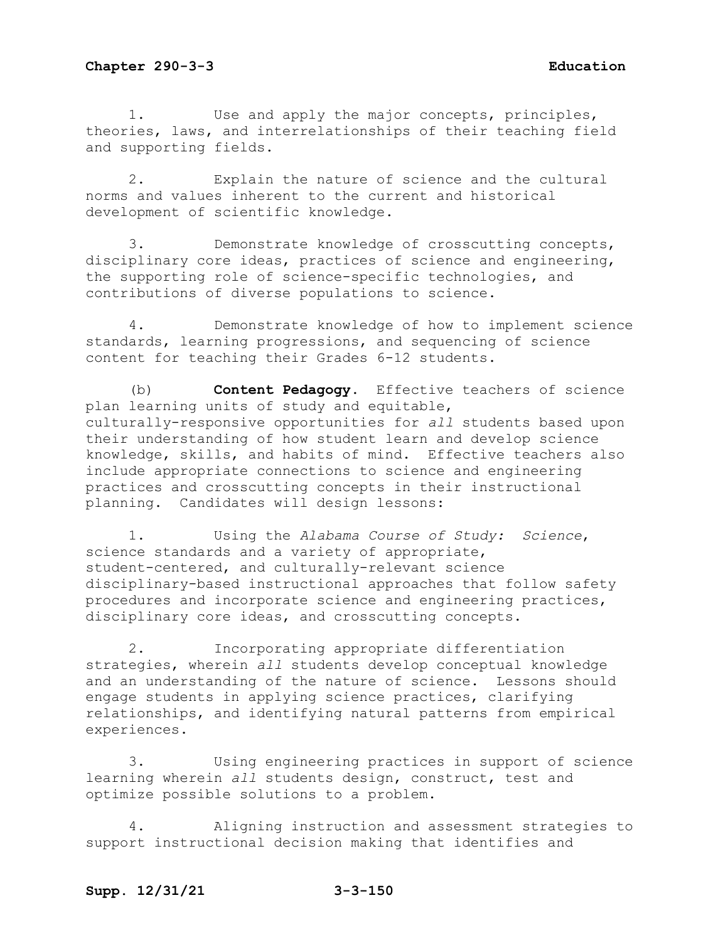1. Use and apply the major concepts, principles, theories, laws, and interrelationships of their teaching field and supporting fields.

2. Explain the nature of science and the cultural norms and values inherent to the current and historical development of scientific knowledge.

3. Demonstrate knowledge of crosscutting concepts, disciplinary core ideas, practices of science and engineering, the supporting role of science-specific technologies, and contributions of diverse populations to science.

4. Demonstrate knowledge of how to implement science standards, learning progressions, and sequencing of science content for teaching their Grades 6-12 students.

(b) **Content Pedagogy.** Effective teachers of science plan learning units of study and equitable, culturally-responsive opportunities for *all* students based upon their understanding of how student learn and develop science knowledge, skills, and habits of mind. Effective teachers also include appropriate connections to science and engineering practices and crosscutting concepts in their instructional planning. Candidates will design lessons:

1. Using the *Alabama Course of Study: Science*, science standards and a variety of appropriate, student-centered, and culturally-relevant science disciplinary-based instructional approaches that follow safety procedures and incorporate science and engineering practices, disciplinary core ideas, and crosscutting concepts.

2. Incorporating appropriate differentiation strategies, wherein *all* students develop conceptual knowledge and an understanding of the nature of science. Lessons should engage students in applying science practices, clarifying relationships, and identifying natural patterns from empirical experiences.

3. Using engineering practices in support of science learning wherein *all* students design, construct, test and optimize possible solutions to a problem.

4. Aligning instruction and assessment strategies to support instructional decision making that identifies and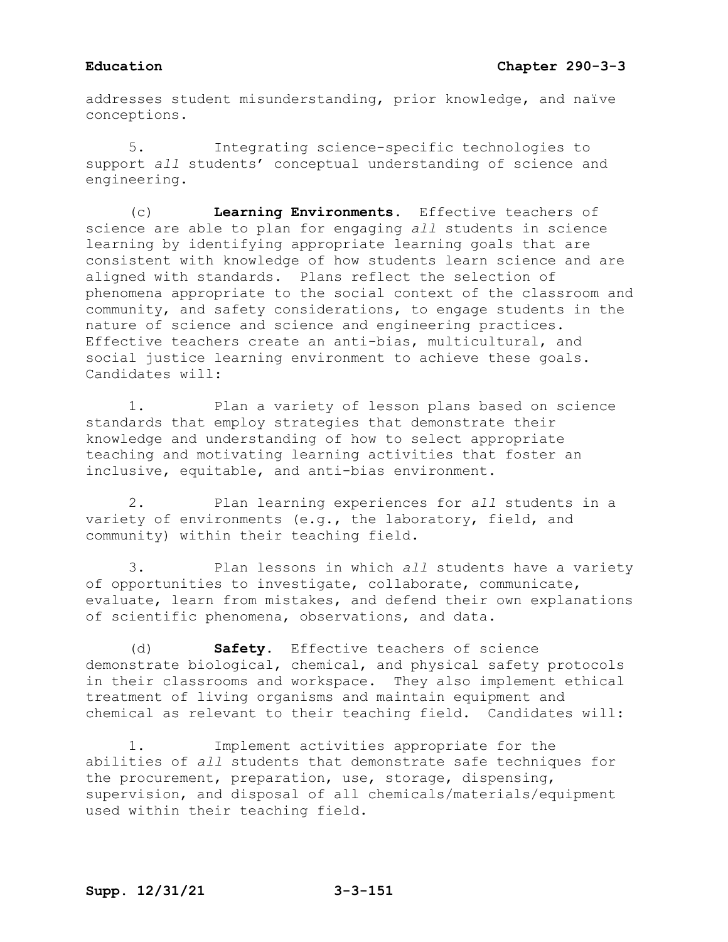addresses student misunderstanding, prior knowledge, and naïve conceptions.

5. Integrating science-specific technologies to support *all* students' conceptual understanding of science and engineering.

(c) **Learning Environments.** Effective teachers of science are able to plan for engaging *all* students in science learning by identifying appropriate learning goals that are consistent with knowledge of how students learn science and are aligned with standards. Plans reflect the selection of phenomena appropriate to the social context of the classroom and community, and safety considerations, to engage students in the nature of science and science and engineering practices. Effective teachers create an anti-bias, multicultural, and social justice learning environment to achieve these goals. Candidates will:

1. Plan a variety of lesson plans based on science standards that employ strategies that demonstrate their knowledge and understanding of how to select appropriate teaching and motivating learning activities that foster an inclusive, equitable, and anti-bias environment.

2. Plan learning experiences for *all* students in a variety of environments (e.g., the laboratory, field, and community) within their teaching field.

3. Plan lessons in which *all* students have a variety of opportunities to investigate, collaborate, communicate, evaluate, learn from mistakes, and defend their own explanations of scientific phenomena, observations, and data.

(d) **Safety.** Effective teachers of science demonstrate biological, chemical, and physical safety protocols in their classrooms and workspace. They also implement ethical treatment of living organisms and maintain equipment and chemical as relevant to their teaching field. Candidates will:

1. Implement activities appropriate for the abilities of *all* students that demonstrate safe techniques for the procurement, preparation, use, storage, dispensing, supervision, and disposal of all chemicals/materials/equipment used within their teaching field.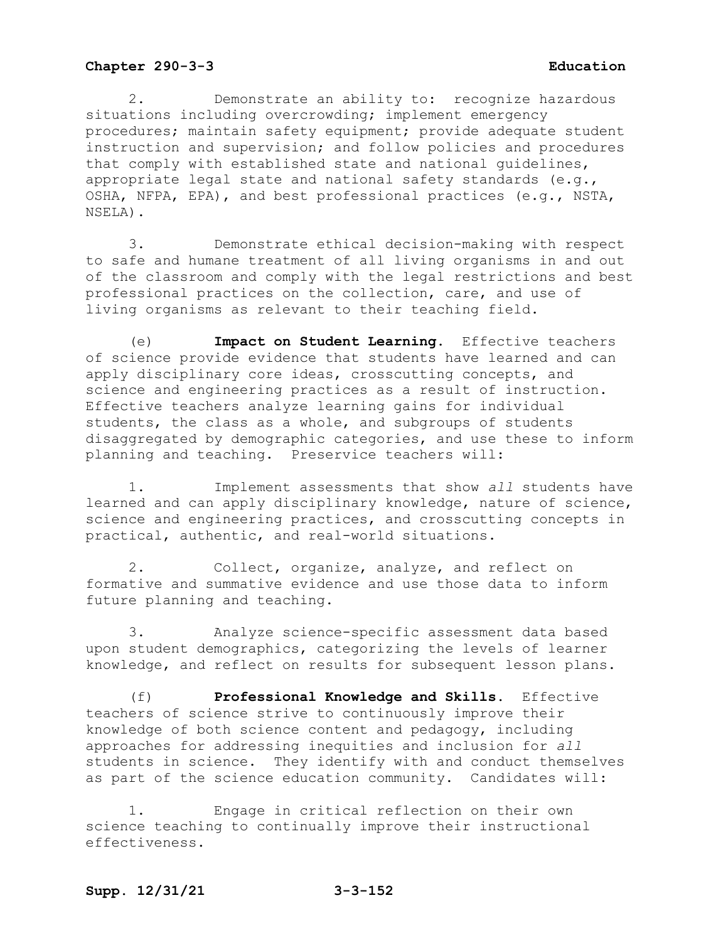2. Demonstrate an ability to: recognize hazardous situations including overcrowding; implement emergency procedures; maintain safety equipment; provide adequate student instruction and supervision; and follow policies and procedures that comply with established state and national guidelines, appropriate legal state and national safety standards (e.g., OSHA, NFPA, EPA), and best professional practices (e.g., NSTA, NSELA).

3. Demonstrate ethical decision-making with respect to safe and humane treatment of all living organisms in and out of the classroom and comply with the legal restrictions and best professional practices on the collection, care, and use of living organisms as relevant to their teaching field.

(e) **Impact on Student Learning.** Effective teachers of science provide evidence that students have learned and can apply disciplinary core ideas, crosscutting concepts, and science and engineering practices as a result of instruction. Effective teachers analyze learning gains for individual students, the class as a whole, and subgroups of students disaggregated by demographic categories, and use these to inform planning and teaching. Preservice teachers will:

1. Implement assessments that show *all* students have learned and can apply disciplinary knowledge, nature of science, science and engineering practices, and crosscutting concepts in practical, authentic, and real-world situations.

2. Collect, organize, analyze, and reflect on formative and summative evidence and use those data to inform future planning and teaching.

3. Analyze science-specific assessment data based upon student demographics, categorizing the levels of learner knowledge, and reflect on results for subsequent lesson plans.

(f) **Professional Knowledge and Skills.** Effective teachers of science strive to continuously improve their knowledge of both science content and pedagogy, including approaches for addressing inequities and inclusion for *all* students in science. They identify with and conduct themselves as part of the science education community. Candidates will:

1. Engage in critical reflection on their own science teaching to continually improve their instructional effectiveness.

# **Supp. 12/31/21 3-3-152**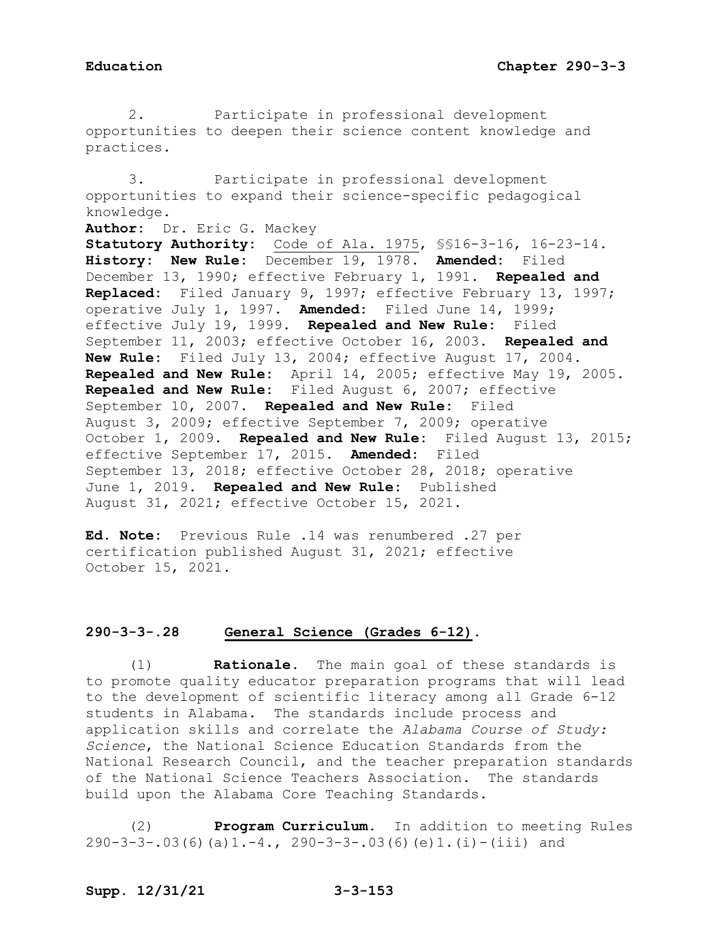2. Participate in professional development opportunities to deepen their science content knowledge and practices.

3. Participate in professional development opportunities to expand their science-specific pedagogical knowledge. **Author:** Dr. Eric G. Mackey **Statutory Authority:** Code of Ala. 1975, §§16-3-16, 16-23-14. **History: New Rule:** December 19, 1978. **Amended:** Filed December 13, 1990; effective February 1, 1991. **Repealed and Replaced:** Filed January 9, 1997; effective February 13, 1997; operative July 1, 1997. **Amended:** Filed June 14, 1999; effective July 19, 1999. **Repealed and New Rule:** Filed September 11, 2003; effective October 16, 2003. **Repealed and New Rule:** Filed July 13, 2004; effective August 17, 2004. **Repealed and New Rule:** April 14, 2005; effective May 19, 2005. **Repealed and New Rule:** Filed August 6, 2007; effective September 10, 2007. **Repealed and New Rule:** Filed August 3, 2009; effective September 7, 2009; operative October 1, 2009. **Repealed and New Rule:** Filed August 13, 2015; effective September 17, 2015. **Amended:** Filed September 13, 2018; effective October 28, 2018; operative June 1, 2019. **Repealed and New Rule:** Published August 31, 2021; effective October 15, 2021.

**Ed. Note:** Previous Rule .14 was renumbered .27 per certification published August 31, 2021; effective October 15, 2021.

# **290-3-3-.28 General Science (Grades 6-12).**

(1) **Rationale.** The main goal of these standards is to promote quality educator preparation programs that will lead to the development of scientific literacy among all Grade 6-12 students in Alabama. The standards include process and application skills and correlate the *Alabama Course of Study: Science*, the National Science Education Standards from the National Research Council, and the teacher preparation standards of the National Science Teachers Association. The standards build upon the Alabama Core Teaching Standards.

(2) **Program Curriculum.** In addition to meeting Rules 290-3-3-.03(6)(a)1.-4., 290-3-3-.03(6)(e)1.(i)-(iii) and

# **Supp. 12/31/21 3-3-153**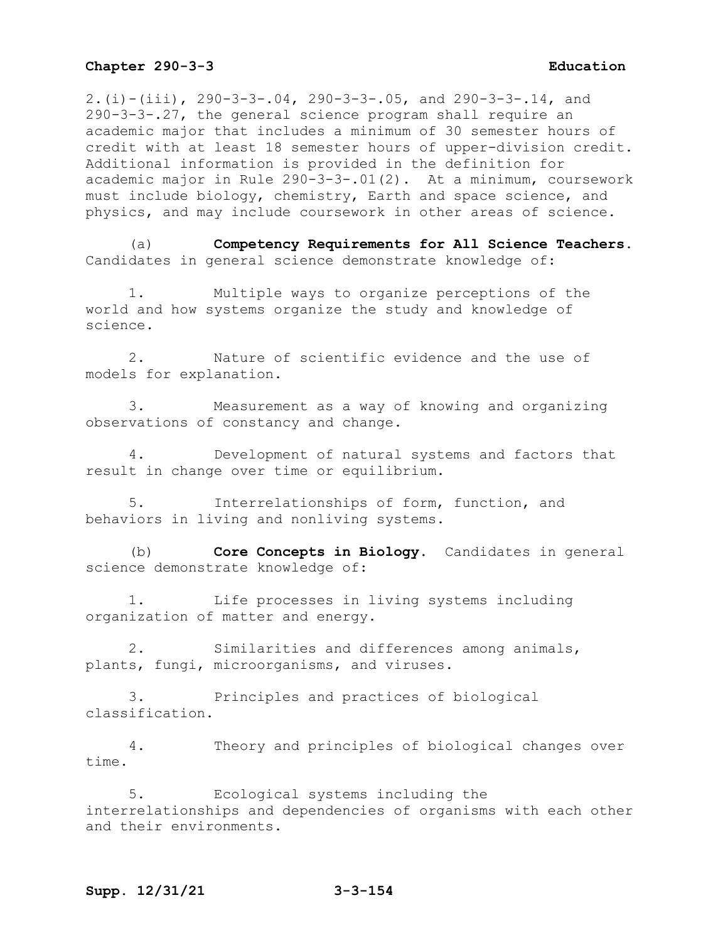2.(i)-(iii), 290-3-3-.04, 290-3-3-.05, and 290-3-3-.14, and 290-3-3-.27, the general science program shall require an academic major that includes a minimum of 30 semester hours of credit with at least 18 semester hours of upper-division credit. Additional information is provided in the definition for academic major in Rule 290-3-3-.01(2). At a minimum, coursework must include biology, chemistry, Earth and space science, and physics, and may include coursework in other areas of science.

(a) **Competency Requirements for All Science Teachers.**  Candidates in general science demonstrate knowledge of:

1. Multiple ways to organize perceptions of the world and how systems organize the study and knowledge of science.

2. Nature of scientific evidence and the use of models for explanation.

3. Measurement as a way of knowing and organizing observations of constancy and change.

4. Development of natural systems and factors that result in change over time or equilibrium.

5. Interrelationships of form, function, and behaviors in living and nonliving systems.

(b) **Core Concepts in Biology.** Candidates in general science demonstrate knowledge of:

1. Life processes in living systems including organization of matter and energy.

2. Similarities and differences among animals, plants, fungi, microorganisms, and viruses.

3. Principles and practices of biological classification.

4. Theory and principles of biological changes over time.

5. Ecological systems including the interrelationships and dependencies of organisms with each other and their environments.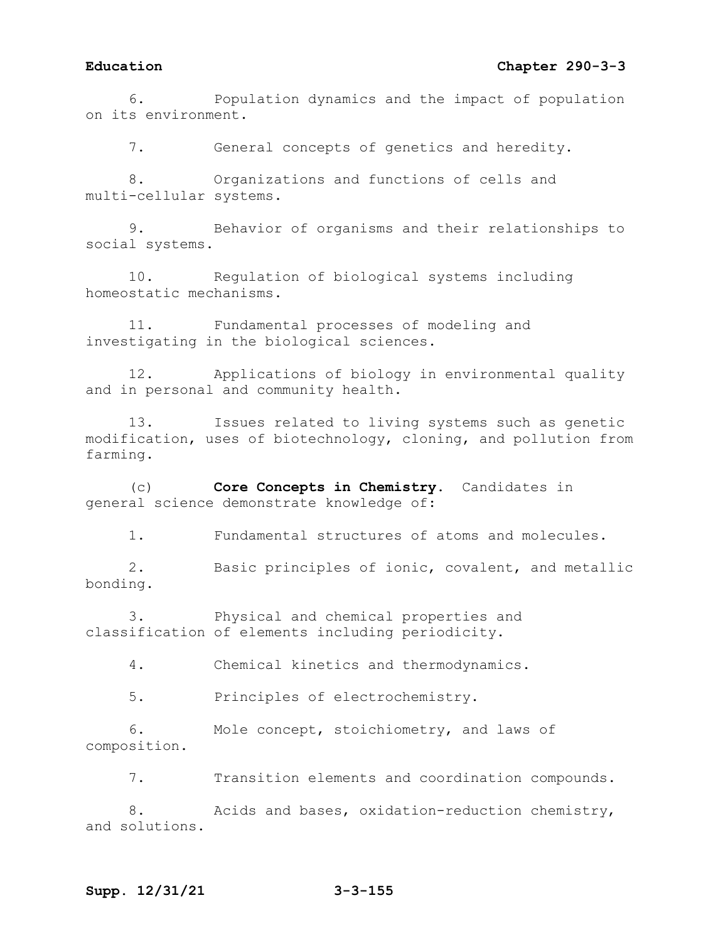# **Education Chapter 290-3-3**

6. Population dynamics and the impact of population on its environment.

7. General concepts of genetics and heredity.

8. Organizations and functions of cells and multi-cellular systems.

9. Behavior of organisms and their relationships to social systems.

10. Regulation of biological systems including homeostatic mechanisms.

11. Fundamental processes of modeling and investigating in the biological sciences.

12. Applications of biology in environmental quality and in personal and community health.

13. Issues related to living systems such as genetic modification, uses of biotechnology, cloning, and pollution from farming.

(c) **Core Concepts in Chemistry.** Candidates in general science demonstrate knowledge of:

1. Fundamental structures of atoms and molecules.

2. Basic principles of ionic, covalent, and metallic bonding.

3. Physical and chemical properties and classification of elements including periodicity.

4. Chemical kinetics and thermodynamics.

5. Principles of electrochemistry.

6. Mole concept, stoichiometry, and laws of composition.

7. Transition elements and coordination compounds.

8. Acids and bases, oxidation-reduction chemistry, and solutions.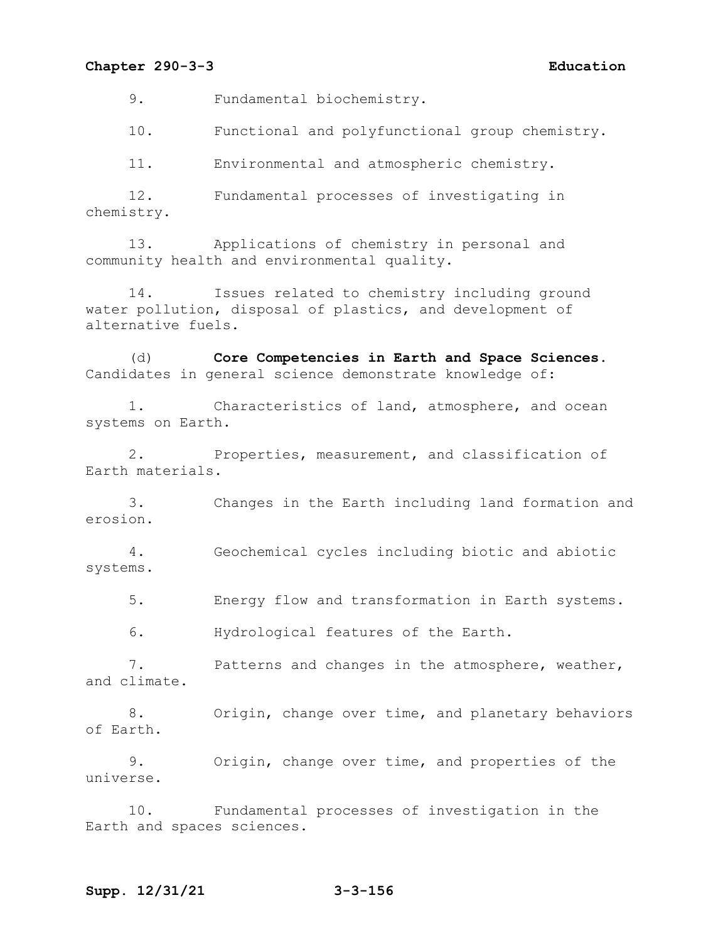9. Fundamental biochemistry.

10. Functional and polyfunctional group chemistry.

11. Environmental and atmospheric chemistry.

12. Fundamental processes of investigating in chemistry.

13. Applications of chemistry in personal and community health and environmental quality.

14. Issues related to chemistry including ground water pollution, disposal of plastics, and development of alternative fuels.

(d) **Core Competencies in Earth and Space Sciences.**  Candidates in general science demonstrate knowledge of:

1. Characteristics of land, atmosphere, and ocean systems on Earth.

2. Properties, measurement, and classification of Earth materials.

3. Changes in the Earth including land formation and erosion.

4. Geochemical cycles including biotic and abiotic systems.

5. Energy flow and transformation in Earth systems.

6. Hydrological features of the Earth.

7. Patterns and changes in the atmosphere, weather, and climate.

8. Origin, change over time, and planetary behaviors of Earth.

9. Origin, change over time, and properties of the universe.

10. Fundamental processes of investigation in the Earth and spaces sciences.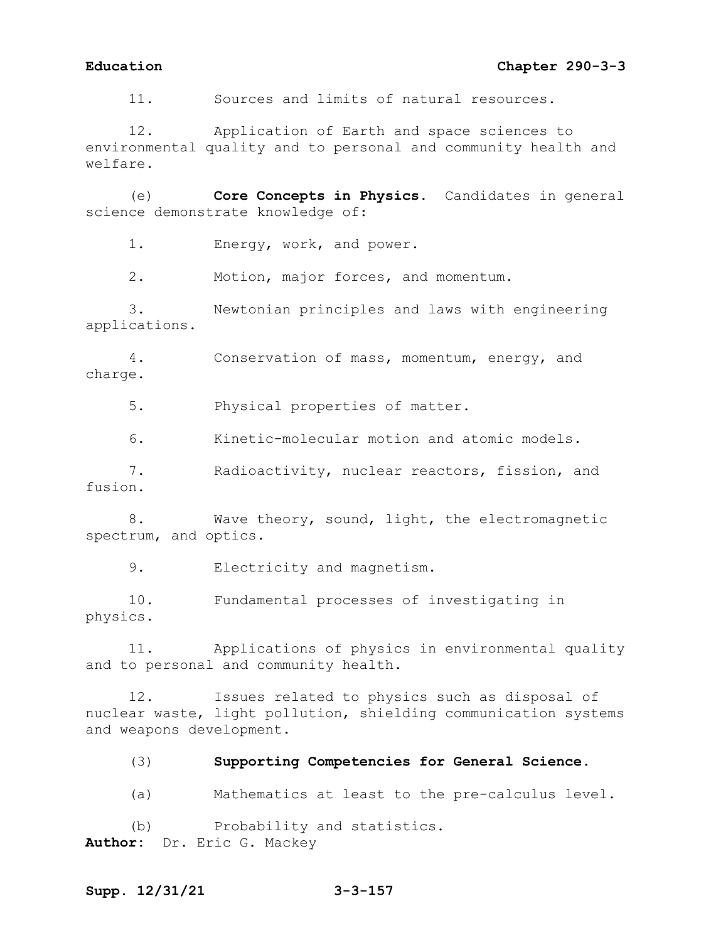11. Sources and limits of natural resources.

12. Application of Earth and space sciences to environmental quality and to personal and community health and welfare.

(e) **Core Concepts in Physics.** Candidates in general science demonstrate knowledge of:

1. Energy, work, and power.

2. Motion, major forces, and momentum.

3. Newtonian principles and laws with engineering applications.

4. Conservation of mass, momentum, energy, and charge.

5. Physical properties of matter.

6. Kinetic-molecular motion and atomic models.

7. Radioactivity, nuclear reactors, fission, and fusion.

8. Wave theory, sound, light, the electromagnetic spectrum, and optics.

9. Electricity and magnetism.

10. Fundamental processes of investigating in physics.

11. Applications of physics in environmental quality and to personal and community health.

12. Issues related to physics such as disposal of nuclear waste, light pollution, shielding communication systems and weapons development.

(3) **Supporting Competencies for General Science.**

(a) Mathematics at least to the pre-calculus level.

(b) Probability and statistics. **Author:** Dr. Eric G. Mackey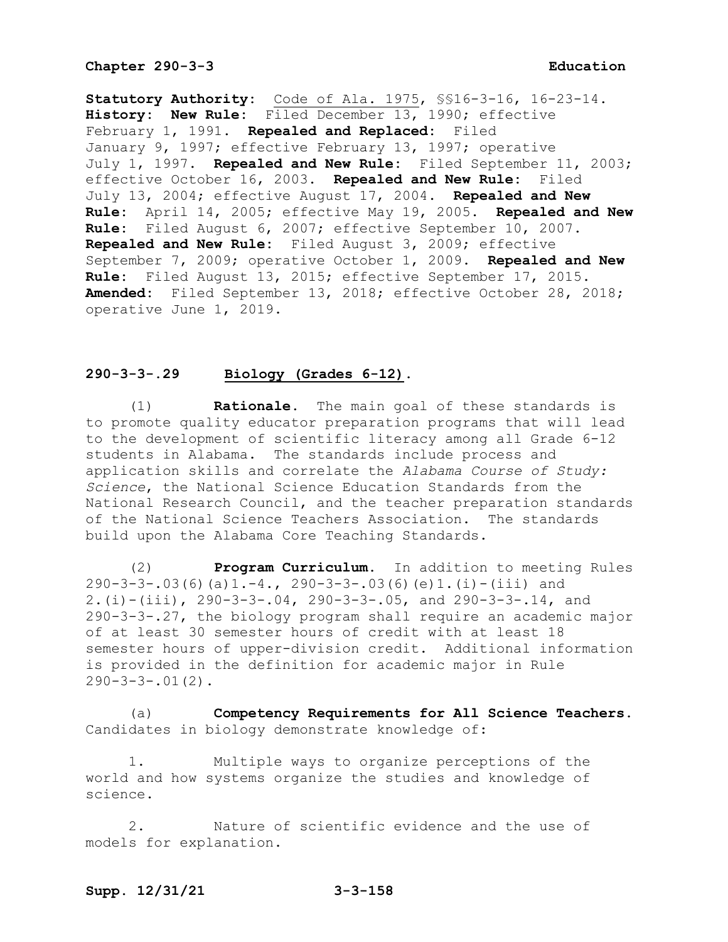**Statutory Authority:** Code of Ala. 1975, §§16-3-16, 16-23-14. **History: New Rule:** Filed December 13, 1990; effective February 1, 1991. **Repealed and Replaced:** Filed January 9, 1997; effective February 13, 1997; operative July 1, 1997. **Repealed and New Rule:** Filed September 11, 2003; effective October 16, 2003. **Repealed and New Rule:** Filed July 13, 2004; effective August 17, 2004. **Repealed and New Rule:** April 14, 2005; effective May 19, 2005. **Repealed and New Rule:** Filed August 6, 2007; effective September 10, 2007. **Repealed and New Rule:** Filed August 3, 2009; effective September 7, 2009; operative October 1, 2009. **Repealed and New Rule:** Filed August 13, 2015; effective September 17, 2015. **Amended:** Filed September 13, 2018; effective October 28, 2018; operative June 1, 2019.

# **290-3-3-.29 Biology (Grades 6-12).**

(1) **Rationale.** The main goal of these standards is to promote quality educator preparation programs that will lead to the development of scientific literacy among all Grade 6-12 students in Alabama. The standards include process and application skills and correlate the *Alabama Course of Study: Science*, the National Science Education Standards from the National Research Council, and the teacher preparation standards of the National Science Teachers Association. The standards build upon the Alabama Core Teaching Standards.

(2) **Program Curriculum.** In addition to meeting Rules 290-3-3-.03(6)(a)1.-4., 290-3-3-.03(6)(e)1.(i)-(iii) and 2.(i)-(iii), 290-3-3-.04, 290-3-3-.05, and 290-3-3-.14, and 290-3-3-.27, the biology program shall require an academic major of at least 30 semester hours of credit with at least 18 semester hours of upper-division credit. Additional information is provided in the definition for academic major in Rule  $290-3-3-.01(2)$ .

(a) **Competency Requirements for All Science Teachers.**  Candidates in biology demonstrate knowledge of:

1. Multiple ways to organize perceptions of the world and how systems organize the studies and knowledge of science.

2. Nature of scientific evidence and the use of models for explanation.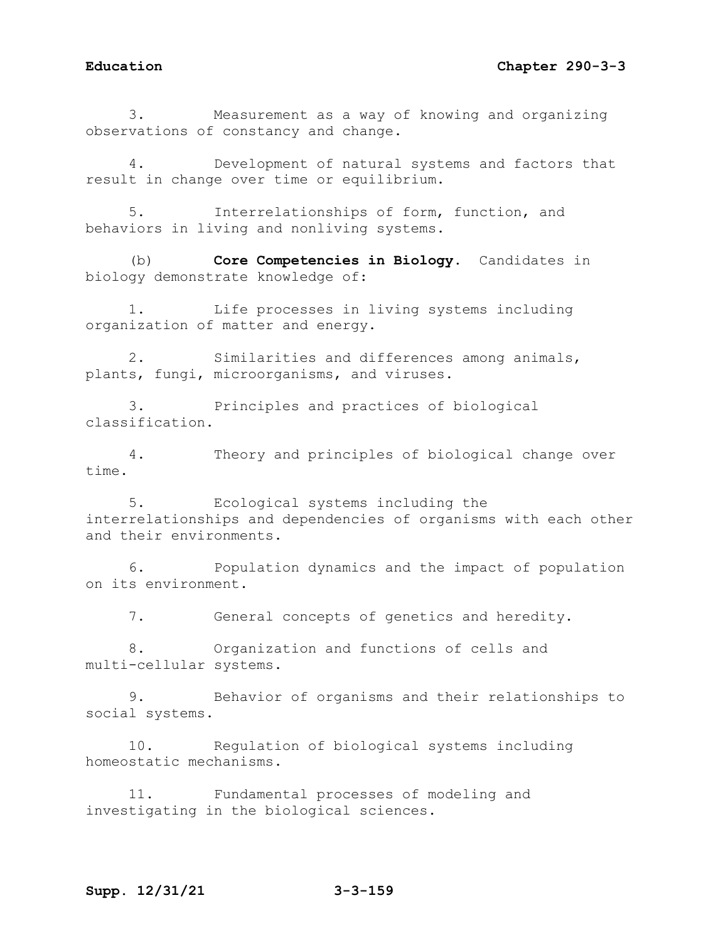3. Measurement as a way of knowing and organizing observations of constancy and change.

4. Development of natural systems and factors that result in change over time or equilibrium.

5. Interrelationships of form, function, and behaviors in living and nonliving systems.

(b) **Core Competencies in Biology.** Candidates in biology demonstrate knowledge of:

1. Life processes in living systems including organization of matter and energy.

2. Similarities and differences among animals, plants, fungi, microorganisms, and viruses.

3. Principles and practices of biological classification.

4. Theory and principles of biological change over time.

5. Ecological systems including the interrelationships and dependencies of organisms with each other and their environments.

6. Population dynamics and the impact of population on its environment.

7. General concepts of genetics and heredity.

8. Organization and functions of cells and multi-cellular systems.

9. Behavior of organisms and their relationships to social systems.

10. Regulation of biological systems including homeostatic mechanisms.

11. Fundamental processes of modeling and investigating in the biological sciences.

# **Supp. 12/31/21 3-3-159**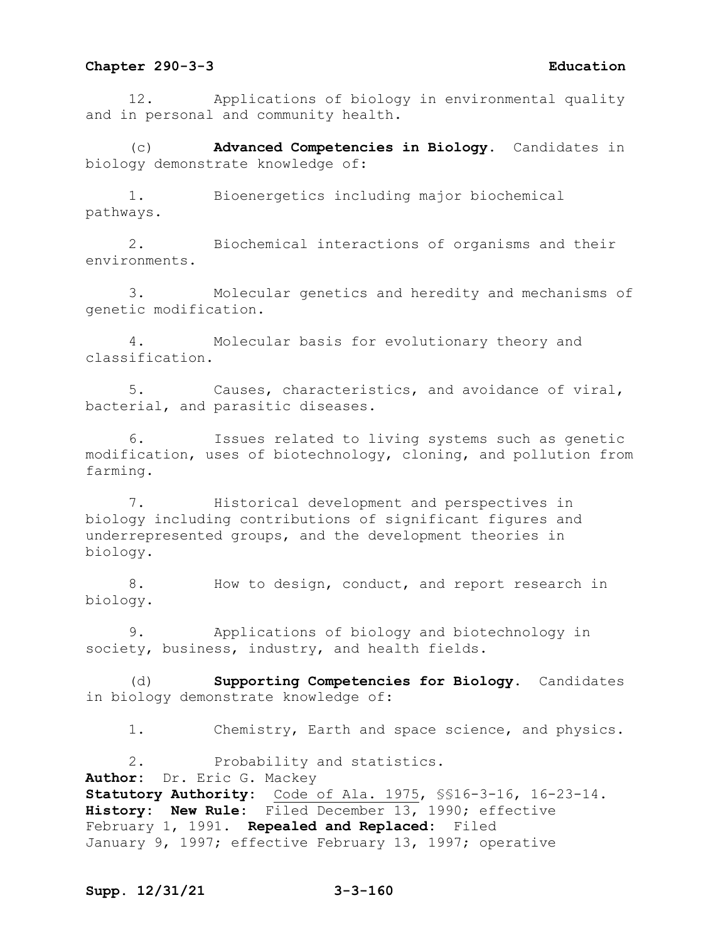12. Applications of biology in environmental quality and in personal and community health.

(c) **Advanced Competencies in Biology.** Candidates in biology demonstrate knowledge of:

1. Bioenergetics including major biochemical pathways.

2. Biochemical interactions of organisms and their environments.

3. Molecular genetics and heredity and mechanisms of genetic modification.

4. Molecular basis for evolutionary theory and classification.

5. Causes, characteristics, and avoidance of viral, bacterial, and parasitic diseases.

6. Issues related to living systems such as genetic modification, uses of biotechnology, cloning, and pollution from farming.

7. Historical development and perspectives in biology including contributions of significant figures and underrepresented groups, and the development theories in biology.

8. How to design, conduct, and report research in biology.

9. Applications of biology and biotechnology in society, business, industry, and health fields.

(d) **Supporting Competencies for Biology.** Candidates in biology demonstrate knowledge of:

1. Chemistry, Earth and space science, and physics.

2. Probability and statistics. **Author:** Dr. Eric G. Mackey **Statutory Authority:** Code of Ala. 1975, §§16-3-16, 16-23-14. **History: New Rule:** Filed December 13, 1990; effective February 1, 1991. **Repealed and Replaced:** Filed January 9, 1997; effective February 13, 1997; operative

## **Supp. 12/31/21 3-3-160**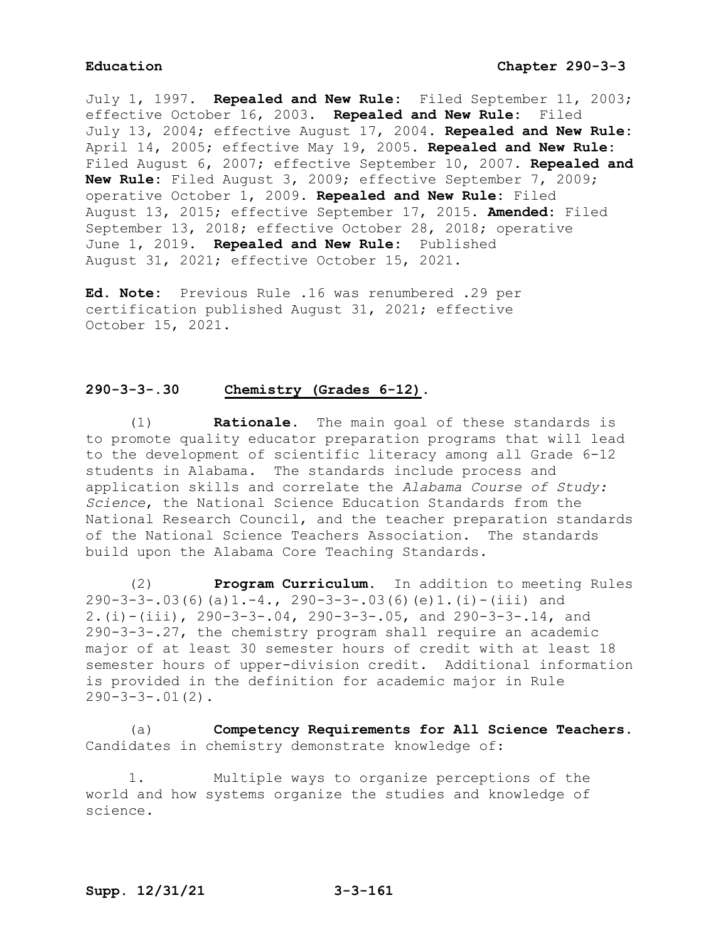July 1, 1997. **Repealed and New Rule:** Filed September 11, 2003; effective October 16, 2003. **Repealed and New Rule:** Filed July 13, 2004; effective August 17, 2004. **Repealed and New Rule:** April 14, 2005; effective May 19, 2005. **Repealed and New Rule:** Filed August 6, 2007; effective September 10, 2007. **Repealed and New Rule:** Filed August 3, 2009; effective September 7, 2009; operative October 1, 2009. **Repealed and New Rule:** Filed August 13, 2015; effective September 17, 2015. **Amended:** Filed September 13, 2018; effective October 28, 2018; operative June 1, 2019. **Repealed and New Rule:** Published August 31, 2021; effective October 15, 2021.

**Ed. Note:** Previous Rule .16 was renumbered .29 per certification published August 31, 2021; effective October 15, 2021.

## **290-3-3-.30 Chemistry (Grades 6-12).**

(1) **Rationale.** The main goal of these standards is to promote quality educator preparation programs that will lead to the development of scientific literacy among all Grade 6-12 students in Alabama. The standards include process and application skills and correlate the *Alabama Course of Study: Science*, the National Science Education Standards from the National Research Council, and the teacher preparation standards of the National Science Teachers Association. The standards build upon the Alabama Core Teaching Standards.

(2) **Program Curriculum.** In addition to meeting Rules 290-3-3-.03(6)(a)1.-4., 290-3-3-.03(6)(e)1.(i)-(iii) and 2.(i)-(iii), 290-3-3-.04, 290-3-3-.05, and 290-3-3-.14, and 290-3-3-.27, the chemistry program shall require an academic major of at least 30 semester hours of credit with at least 18 semester hours of upper-division credit. Additional information is provided in the definition for academic major in Rule  $290-3-3-.01(2)$ .

(a) **Competency Requirements for All Science Teachers.**  Candidates in chemistry demonstrate knowledge of:

1. Multiple ways to organize perceptions of the world and how systems organize the studies and knowledge of science.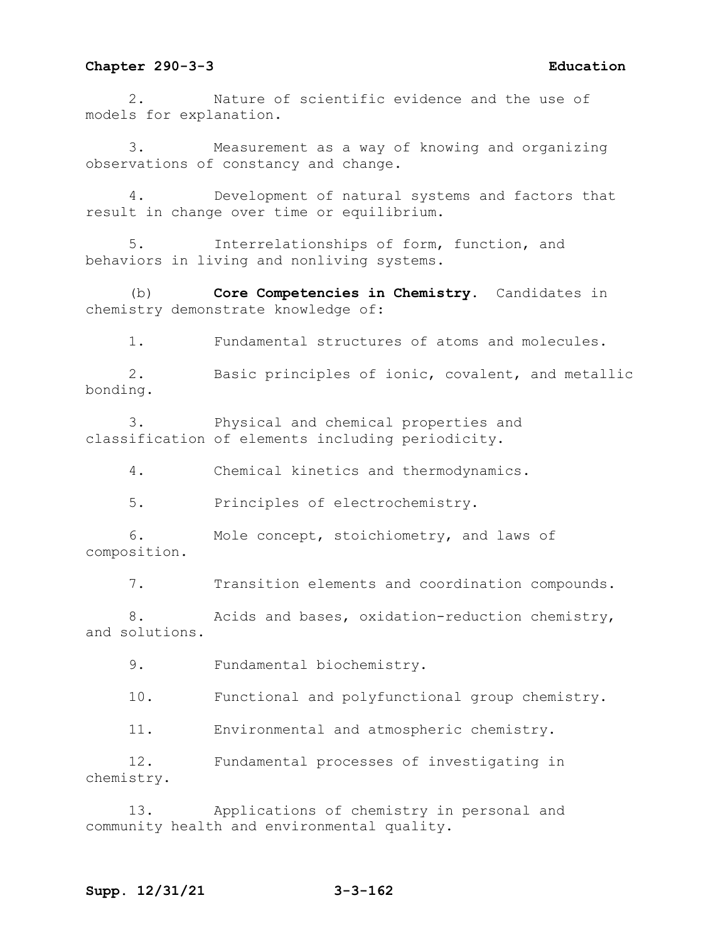2. Nature of scientific evidence and the use of models for explanation.

3. Measurement as a way of knowing and organizing observations of constancy and change.

4. Development of natural systems and factors that result in change over time or equilibrium.

5. Interrelationships of form, function, and behaviors in living and nonliving systems.

(b) **Core Competencies in Chemistry.** Candidates in chemistry demonstrate knowledge of:

1. Fundamental structures of atoms and molecules.

2. Basic principles of ionic, covalent, and metallic bonding.

3. Physical and chemical properties and classification of elements including periodicity.

4. Chemical kinetics and thermodynamics.

5. Principles of electrochemistry.

6. Mole concept, stoichiometry, and laws of composition.

7. Transition elements and coordination compounds.

8. Acids and bases, oxidation-reduction chemistry, and solutions.

9. Fundamental biochemistry.

10. Functional and polyfunctional group chemistry.

11. Environmental and atmospheric chemistry.

12. Fundamental processes of investigating in chemistry.

13. Applications of chemistry in personal and community health and environmental quality.

## **Supp. 12/31/21 3-3-162**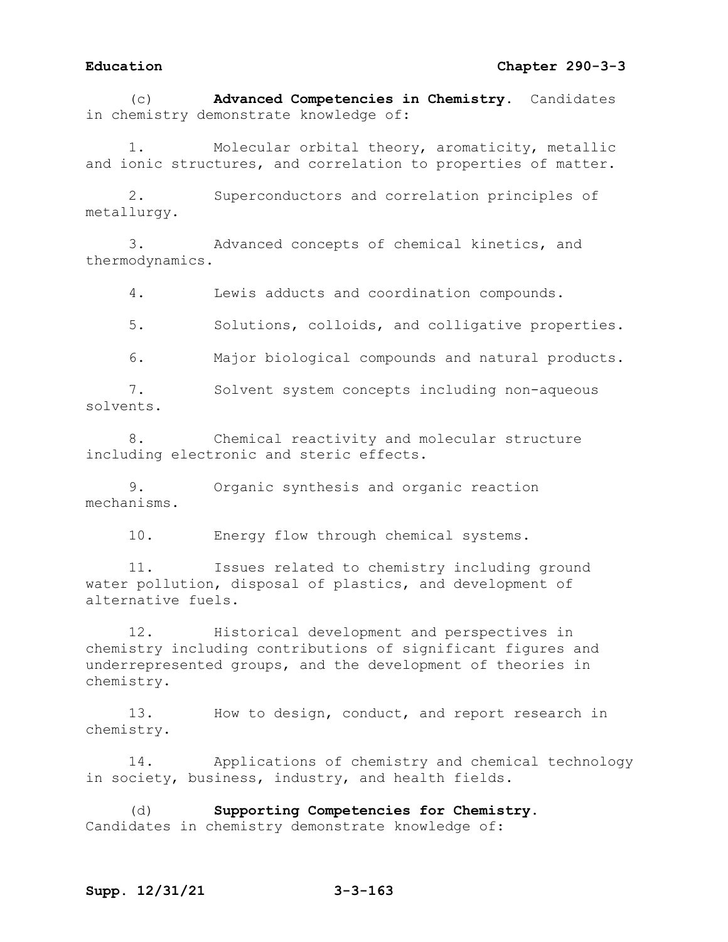(c) **Advanced Competencies in Chemistry.** Candidates in chemistry demonstrate knowledge of:

Molecular orbital theory, aromaticity, metallic and ionic structures, and correlation to properties of matter.

2. Superconductors and correlation principles of metallurgy.

3. Advanced concepts of chemical kinetics, and thermodynamics.

4. Lewis adducts and coordination compounds.

5. Solutions, colloids, and colligative properties.

6. Major biological compounds and natural products.

7. Solvent system concepts including non-aqueous solvents.

8. Chemical reactivity and molecular structure including electronic and steric effects.

9. Organic synthesis and organic reaction mechanisms.

10. Energy flow through chemical systems.

11. Issues related to chemistry including ground water pollution, disposal of plastics, and development of alternative fuels.

12. Historical development and perspectives in chemistry including contributions of significant figures and underrepresented groups, and the development of theories in chemistry.

13. How to design, conduct, and report research in chemistry.

14. Applications of chemistry and chemical technology in society, business, industry, and health fields.

(d) **Supporting Competencies for Chemistry.**  Candidates in chemistry demonstrate knowledge of: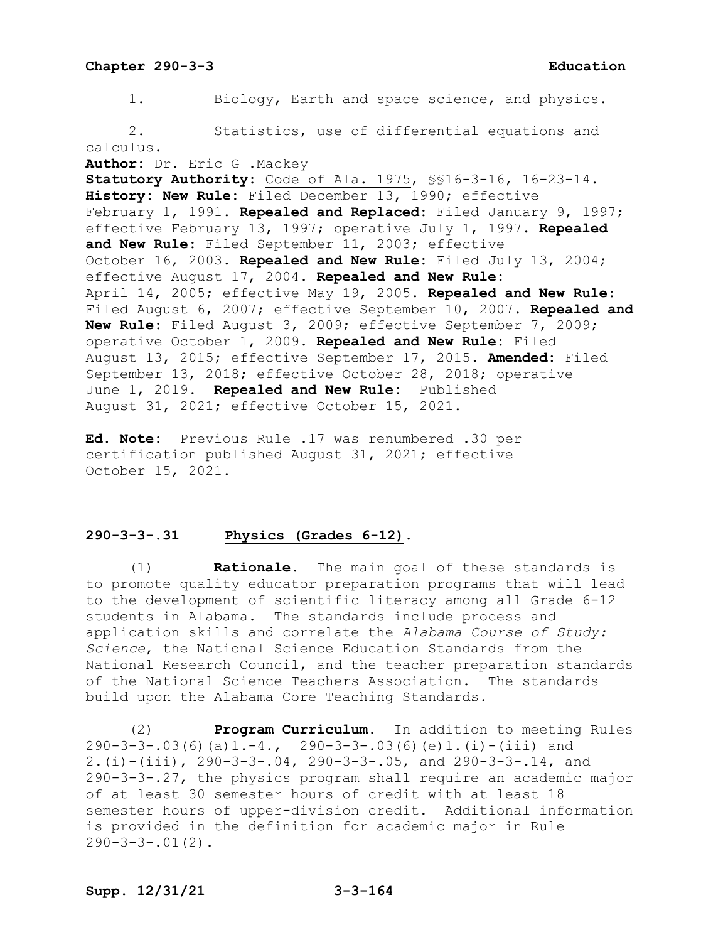1. Biology, Earth and space science, and physics. 2. Statistics, use of differential equations and calculus. **Author:** Dr. Eric G .Mackey **Statutory Authority:** Code of Ala. 1975, §§16-3-16, 16-23-14. **History: New Rule:** Filed December 13, 1990; effective February 1, 1991. **Repealed and Replaced:** Filed January 9, 1997; effective February 13, 1997; operative July 1, 1997. **Repealed and New Rule:** Filed September 11, 2003; effective October 16, 2003. **Repealed and New Rule:** Filed July 13, 2004; effective August 17, 2004. **Repealed and New Rule:** April 14, 2005; effective May 19, 2005. **Repealed and New Rule:** Filed August 6, 2007; effective September 10, 2007. **Repealed and New Rule:** Filed August 3, 2009; effective September 7, 2009; operative October 1, 2009. **Repealed and New Rule:** Filed August 13, 2015; effective September 17, 2015. **Amended:** Filed September 13, 2018; effective October 28, 2018; operative June 1, 2019. **Repealed and New Rule:** Published August 31, 2021; effective October 15, 2021.

**Ed. Note:** Previous Rule .17 was renumbered .30 per certification published August 31, 2021; effective October 15, 2021.

# **290-3-3-.31 Physics (Grades 6-12).**

(1) **Rationale.** The main goal of these standards is to promote quality educator preparation programs that will lead to the development of scientific literacy among all Grade 6-12 students in Alabama. The standards include process and application skills and correlate the *Alabama Course of Study: Science*, the National Science Education Standards from the National Research Council, and the teacher preparation standards of the National Science Teachers Association. The standards build upon the Alabama Core Teaching Standards.

(2) **Program Curriculum.** In addition to meeting Rules 290-3-3-.03(6)(a)1.-4., 290-3-3-.03(6)(e)1.(i)-(iii) and 2.(i)-(iii), 290-3-3-.04, 290-3-3-.05, and 290-3-3-.14, and 290-3-3-.27, the physics program shall require an academic major of at least 30 semester hours of credit with at least 18 semester hours of upper-division credit. Additional information is provided in the definition for academic major in Rule  $290-3-3-.01(2)$ .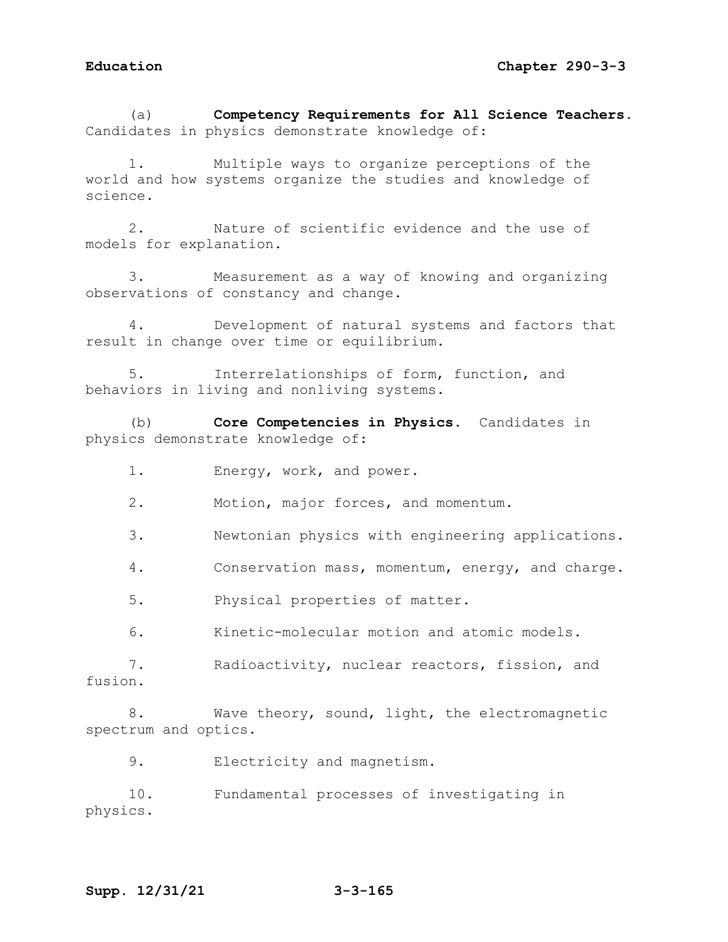(a) **Competency Requirements for All Science Teachers.**  Candidates in physics demonstrate knowledge of:

1. Multiple ways to organize perceptions of the world and how systems organize the studies and knowledge of science.

2. Nature of scientific evidence and the use of models for explanation.

3. Measurement as a way of knowing and organizing observations of constancy and change.

4. Development of natural systems and factors that result in change over time or equilibrium.

Interrelationships of form, function, and behaviors in living and nonliving systems.

(b) **Core Competencies in Physics.** Candidates in physics demonstrate knowledge of:

- 1. Energy, work, and power.
- 2. Motion, major forces, and momentum.
- 3. Newtonian physics with engineering applications.
- 4. Conservation mass, momentum, energy, and charge.

5. Physical properties of matter.

6. Kinetic-molecular motion and atomic models.

7. Radioactivity, nuclear reactors, fission, and fusion.

8. Wave theory, sound, light, the electromagnetic spectrum and optics.

9. Electricity and magnetism.

10. Fundamental processes of investigating in physics.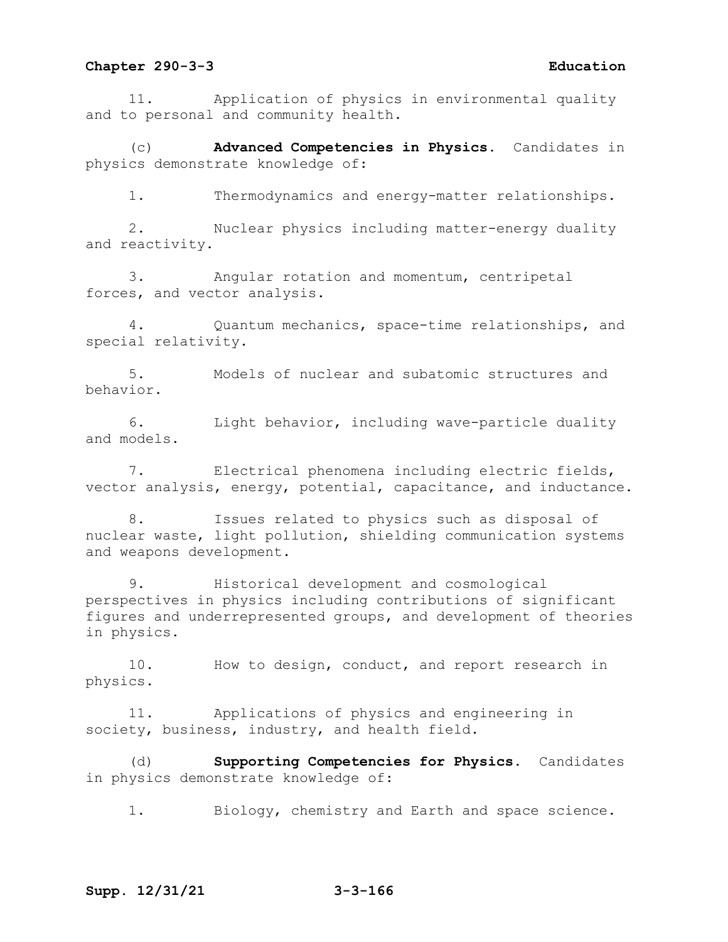11. Application of physics in environmental quality and to personal and community health.

(c) **Advanced Competencies in Physics.** Candidates in physics demonstrate knowledge of:

1. Thermodynamics and energy-matter relationships.

2. Nuclear physics including matter-energy duality and reactivity.

3. Angular rotation and momentum, centripetal forces, and vector analysis.

4. Quantum mechanics, space-time relationships, and special relativity.

5. Models of nuclear and subatomic structures and behavior.

6. Light behavior, including wave-particle duality and models.

7. Electrical phenomena including electric fields, vector analysis, energy, potential, capacitance, and inductance.

8. Issues related to physics such as disposal of nuclear waste, light pollution, shielding communication systems and weapons development.

9. Historical development and cosmological perspectives in physics including contributions of significant figures and underrepresented groups, and development of theories in physics.

10. How to design, conduct, and report research in physics.

11. Applications of physics and engineering in society, business, industry, and health field.

(d) **Supporting Competencies for Physics.** Candidates in physics demonstrate knowledge of:

1. Biology, chemistry and Earth and space science.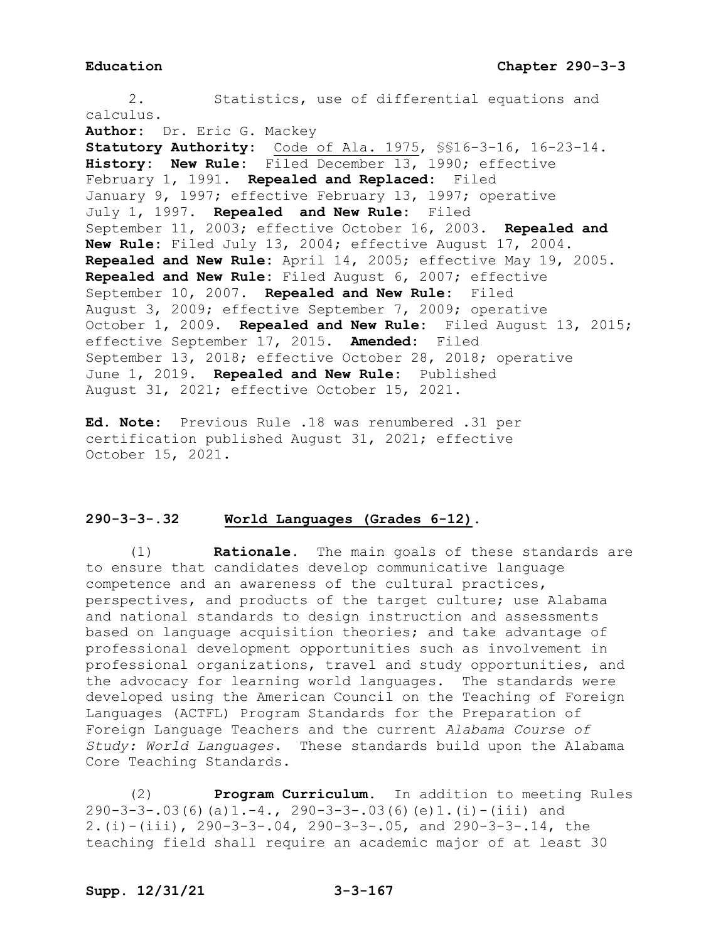2. Statistics, use of differential equations and calculus. **Author:** Dr. Eric G. Mackey **Statutory Authority:** Code of Ala. 1975, §§16-3-16, 16-23-14. **History: New Rule:** Filed December 13, 1990; effective February 1, 1991. **Repealed and Replaced:** Filed January 9, 1997; effective February 13, 1997; operative July 1, 1997. **Repealed and New Rule:** Filed September 11, 2003; effective October 16, 2003. **Repealed and New Rule:** Filed July 13, 2004; effective August 17, 2004. **Repealed and New Rule:** April 14, 2005; effective May 19, 2005. **Repealed and New Rule:** Filed August 6, 2007; effective September 10, 2007. **Repealed and New Rule:** Filed August 3, 2009; effective September 7, 2009; operative October 1, 2009. **Repealed and New Rule:** Filed August 13, 2015; effective September 17, 2015. **Amended:** Filed September 13, 2018; effective October 28, 2018; operative June 1, 2019. **Repealed and New Rule:** Published August 31, 2021; effective October 15, 2021.

**Ed. Note:** Previous Rule .18 was renumbered .31 per certification published August 31, 2021; effective October 15, 2021.

## **290-3-3-.32 World Languages (Grades 6-12).**

(1) **Rationale.** The main goals of these standards are to ensure that candidates develop communicative language competence and an awareness of the cultural practices, perspectives, and products of the target culture; use Alabama and national standards to design instruction and assessments based on language acquisition theories; and take advantage of professional development opportunities such as involvement in professional organizations, travel and study opportunities, and the advocacy for learning world languages. The standards were developed using the American Council on the Teaching of Foreign Languages (ACTFL) Program Standards for the Preparation of Foreign Language Teachers and the current *Alabama Course of Study: World Languages*. These standards build upon the Alabama Core Teaching Standards.

(2) **Program Curriculum.** In addition to meeting Rules 290-3-3-.03(6)(a)1.-4., 290-3-3-.03(6)(e)1.(i)-(iii) and 2.(i)-(iii), 290-3-3-.04, 290-3-3-.05, and 290-3-3-.14, the teaching field shall require an academic major of at least 30

# **Supp. 12/31/21 3-3-167**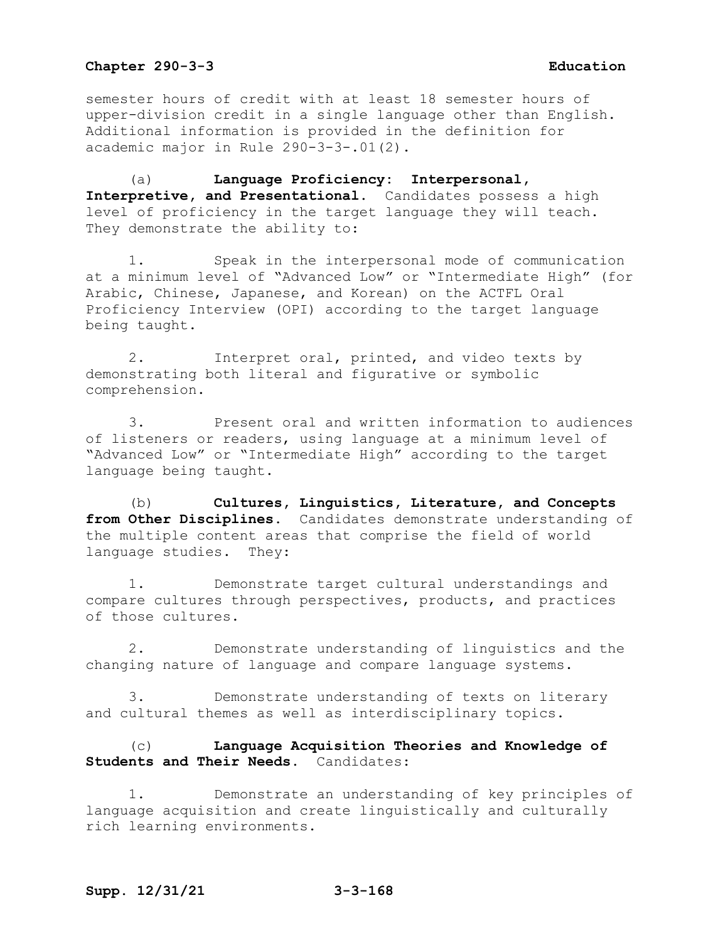semester hours of credit with at least 18 semester hours of upper-division credit in a single language other than English. Additional information is provided in the definition for academic major in Rule 290-3-3-.01(2).

(a) **Language Proficiency: Interpersonal, Interpretive, and Presentational**. Candidates possess a high level of proficiency in the target language they will teach. They demonstrate the ability to:

1. Speak in the interpersonal mode of communication at a minimum level of "Advanced Low" or "Intermediate High" (for Arabic, Chinese, Japanese, and Korean) on the ACTFL Oral Proficiency Interview (OPI) according to the target language being taught.

2. Interpret oral, printed, and video texts by demonstrating both literal and figurative or symbolic comprehension.

3. Present oral and written information to audiences of listeners or readers, using language at a minimum level of "Advanced Low" or "Intermediate High" according to the target language being taught.

(b) **Cultures, Linguistics, Literature, and Concepts from Other Disciplines.** Candidates demonstrate understanding of the multiple content areas that comprise the field of world language studies. They:

1. Demonstrate target cultural understandings and compare cultures through perspectives, products, and practices of those cultures.

2. Demonstrate understanding of linguistics and the changing nature of language and compare language systems.

3. Demonstrate understanding of texts on literary and cultural themes as well as interdisciplinary topics.

(c) **Language Acquisition Theories and Knowledge of Students and Their Needs.** Candidates:

1. Demonstrate an understanding of key principles of language acquisition and create linguistically and culturally rich learning environments.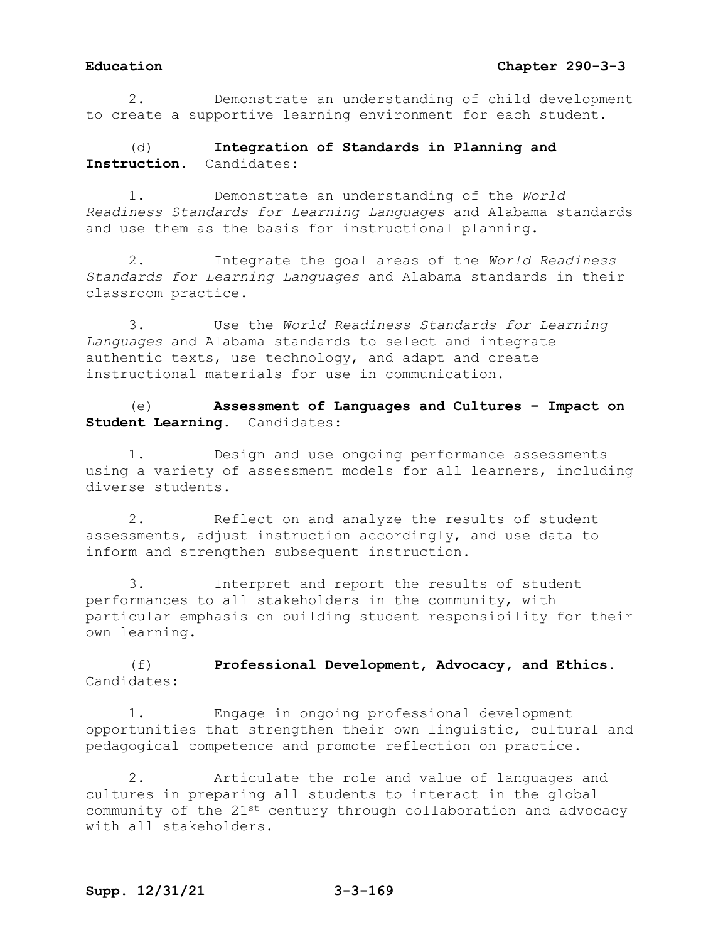2. Demonstrate an understanding of child development to create a supportive learning environment for each student.

(d) **Integration of Standards in Planning and Instruction.** Candidates:

1. Demonstrate an understanding of the *World Readiness Standards for Learning Languages* and Alabama standards and use them as the basis for instructional planning.

2. Integrate the goal areas of the *World Readiness Standards for Learning Languages* and Alabama standards in their classroom practice.

3. Use the *World Readiness Standards for Learning Languages* and Alabama standards to select and integrate authentic texts, use technology, and adapt and create instructional materials for use in communication.

(e) **Assessment of Languages and Cultures – Impact on Student Learning.** Candidates:

1. Design and use ongoing performance assessments using a variety of assessment models for all learners, including diverse students.

2. Reflect on and analyze the results of student assessments, adjust instruction accordingly, and use data to inform and strengthen subsequent instruction.

3. Interpret and report the results of student performances to all stakeholders in the community, with particular emphasis on building student responsibility for their own learning.

(f) **Professional Development, Advocacy, and Ethics.**  Candidates:

1. Engage in ongoing professional development opportunities that strengthen their own linguistic, cultural and pedagogical competence and promote reflection on practice.

2. Articulate the role and value of languages and cultures in preparing all students to interact in the global community of the 21st century through collaboration and advocacy with all stakeholders.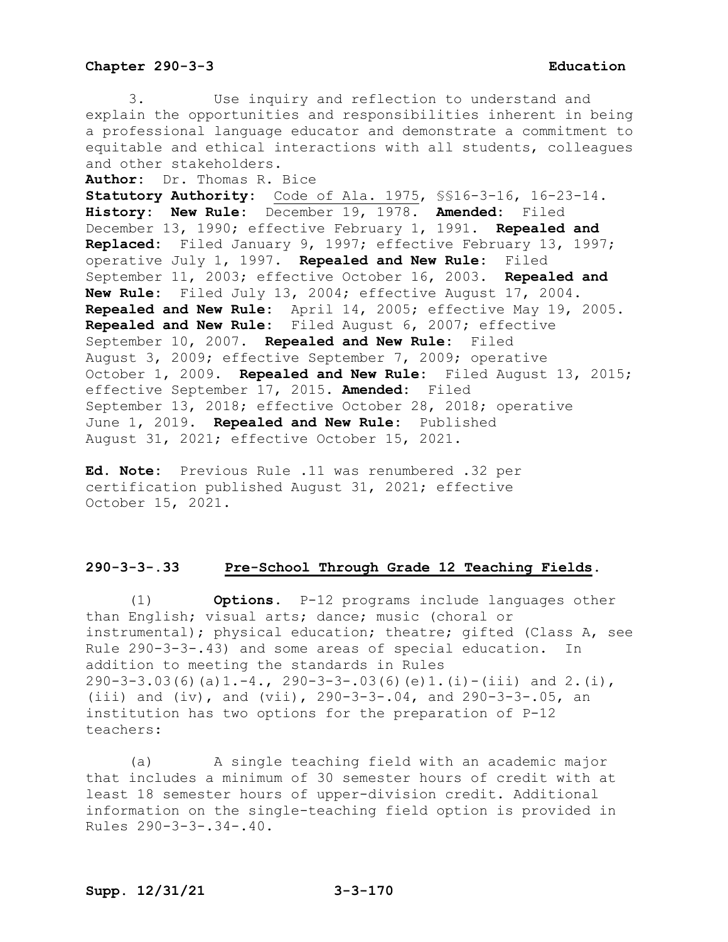3. Use inquiry and reflection to understand and explain the opportunities and responsibilities inherent in being a professional language educator and demonstrate a commitment to equitable and ethical interactions with all students, colleagues and other stakeholders.

**Author:** Dr. Thomas R. Bice

**Statutory Authority:** Code of Ala. 1975, §§16-3-16, 16-23-14. **History: New Rule:** December 19, 1978. **Amended:** Filed December 13, 1990; effective February 1, 1991. **Repealed and Replaced:** Filed January 9, 1997; effective February 13, 1997; operative July 1, 1997. **Repealed and New Rule:** Filed September 11, 2003; effective October 16, 2003. **Repealed and New Rule:** Filed July 13, 2004; effective August 17, 2004. **Repealed and New Rule:** April 14, 2005; effective May 19, 2005. **Repealed and New Rule:** Filed August 6, 2007; effective September 10, 2007. **Repealed and New Rule:** Filed August 3, 2009; effective September 7, 2009; operative October 1, 2009. **Repealed and New Rule:** Filed August 13, 2015; effective September 17, 2015. **Amended:** Filed September 13, 2018; effective October 28, 2018; operative June 1, 2019. **Repealed and New Rule:** Published August 31, 2021; effective October 15, 2021.

**Ed. Note:** Previous Rule .11 was renumbered .32 per certification published August 31, 2021; effective October 15, 2021.

### **290-3-3-.33 Pre-School Through Grade 12 Teaching Fields.**

(1) **Options.** P-12 programs include languages other than English; visual arts; dance; music (choral or instrumental); physical education; theatre; gifted (Class A, see Rule 290-3-3-.43) and some areas of special education. In addition to meeting the standards in Rules  $290-3-3.03(6)(a)1.-4., 290-3-3-.03(6)(e)1.(i)-(iii) and 2.(i),$ (iii) and (iv), and (vii), 290-3-3-.04, and 290-3-3-.05, an institution has two options for the preparation of P-12 teachers:

(a) A single teaching field with an academic major that includes a minimum of 30 semester hours of credit with at least 18 semester hours of upper-division credit. Additional information on the single-teaching field option is provided in Rules 290-3-3-.34-.40.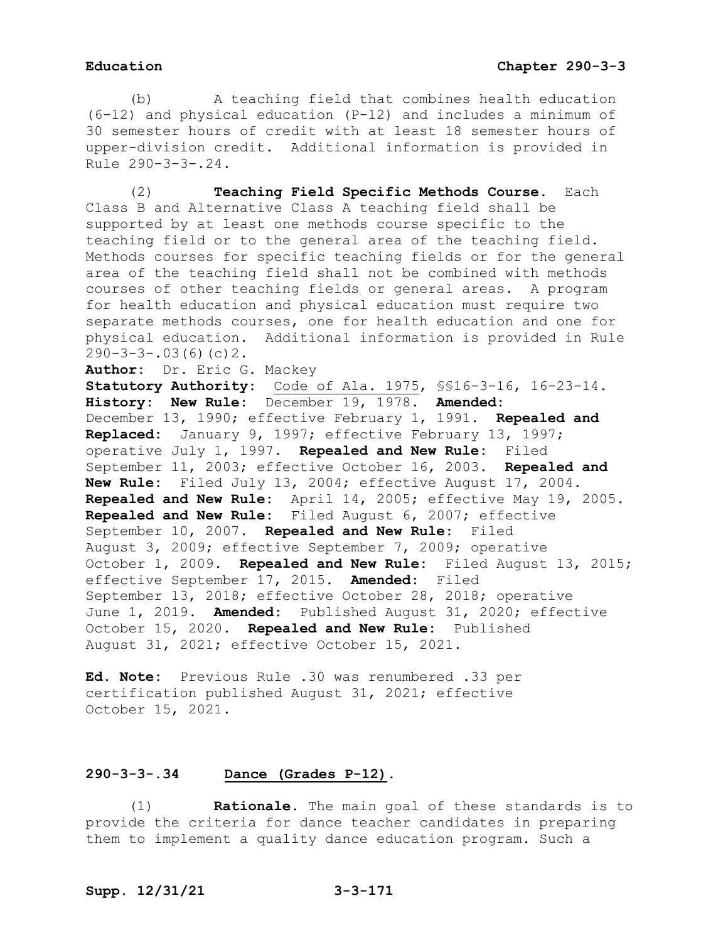(b) A teaching field that combines health education (6-12) and physical education (P-12) and includes a minimum of 30 semester hours of credit with at least 18 semester hours of upper-division credit. Additional information is provided in Rule 290-3-3-.24.

(2) **Teaching Field Specific Methods Course.** Each Class B and Alternative Class A teaching field shall be supported by at least one methods course specific to the teaching field or to the general area of the teaching field. Methods courses for specific teaching fields or for the general area of the teaching field shall not be combined with methods courses of other teaching fields or general areas. A program for health education and physical education must require two separate methods courses, one for health education and one for physical education. Additional information is provided in Rule  $290-3-3-.03(6)(c)2.$ 

```
Author: Dr. Eric G. Mackey
```
**Statutory Authority:** Code of Ala. 1975, §§16-3-16, 16-23-14. **History: New Rule:** December 19, 1978. **Amended:** December 13, 1990; effective February 1, 1991. **Repealed and Replaced:** January 9, 1997; effective February 13, 1997; operative July 1, 1997. **Repealed and New Rule:** Filed September 11, 2003; effective October 16, 2003. **Repealed and New Rule:** Filed July 13, 2004; effective August 17, 2004. **Repealed and New Rule:** April 14, 2005; effective May 19, 2005. **Repealed and New Rule:** Filed August 6, 2007; effective September 10, 2007. **Repealed and New Rule:** Filed August 3, 2009; effective September 7, 2009; operative October 1, 2009. **Repealed and New Rule:** Filed August 13, 2015; effective September 17, 2015. **Amended:** Filed September 13, 2018; effective October 28, 2018; operative June 1, 2019. **Amended:** Published August 31, 2020; effective October 15, 2020. **Repealed and New Rule:** Published August 31, 2021; effective October 15, 2021.

**Ed. Note:** Previous Rule .30 was renumbered .33 per certification published August 31, 2021; effective October 15, 2021.

## **290-3-3-.34 Dance (Grades P-12).**

(1) **Rationale.** The main goal of these standards is to provide the criteria for dance teacher candidates in preparing them to implement a quality dance education program. Such a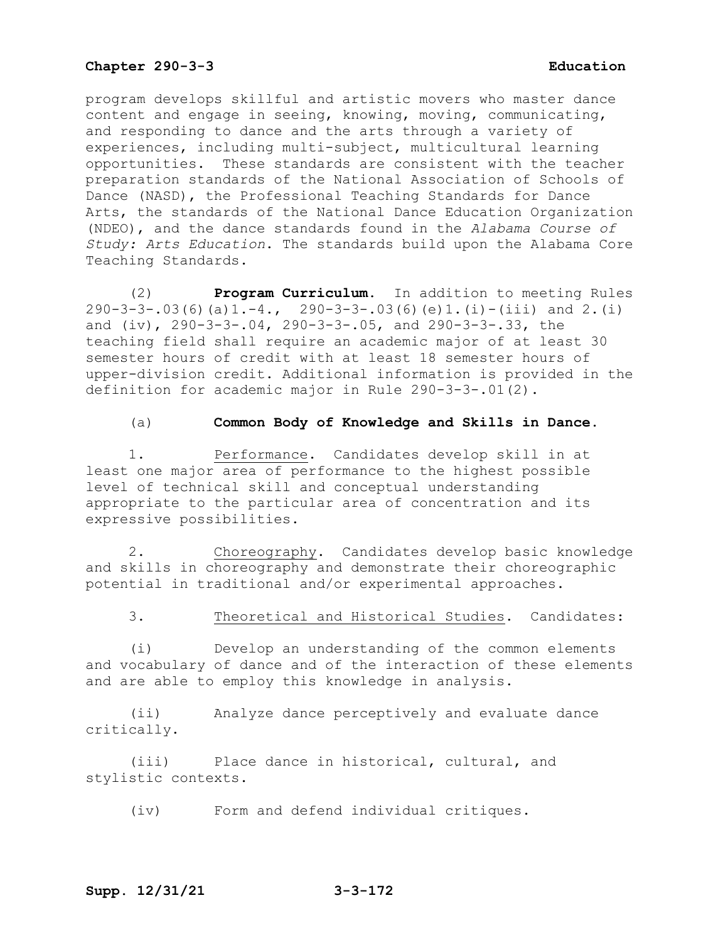program develops skillful and artistic movers who master dance content and engage in seeing, knowing, moving, communicating, and responding to dance and the arts through a variety of experiences, including multi-subject, multicultural learning opportunities. These standards are consistent with the teacher preparation standards of the National Association of Schools of Dance (NASD), the Professional Teaching Standards for Dance Arts, the standards of the National Dance Education Organization (NDEO), and the dance standards found in the *Alabama Course of Study: Arts Education*. The standards build upon the Alabama Core Teaching Standards.

(2) **Program Curriculum**. In addition to meeting Rules 290-3-3-.03(6)(a)1.-4., 290-3-3-.03(6)(e)1.(i)-(iii) and 2.(i) and (iv), 290-3-3-.04, 290-3-3-.05, and 290-3-3-.33, the teaching field shall require an academic major of at least 30 semester hours of credit with at least 18 semester hours of upper-division credit. Additional information is provided in the definition for academic major in Rule 290-3-3-.01(2).

### (a) **Common Body of Knowledge and Skills in Dance.**

1. Performance. Candidates develop skill in at least one major area of performance to the highest possible level of technical skill and conceptual understanding appropriate to the particular area of concentration and its expressive possibilities.

2. Choreography. Candidates develop basic knowledge and skills in choreography and demonstrate their choreographic potential in traditional and/or experimental approaches.

# 3. Theoretical and Historical Studies. Candidates:

(i) Develop an understanding of the common elements and vocabulary of dance and of the interaction of these elements and are able to employ this knowledge in analysis.

(ii) Analyze dance perceptively and evaluate dance critically.

(iii) Place dance in historical, cultural, and stylistic contexts.

(iv) Form and defend individual critiques.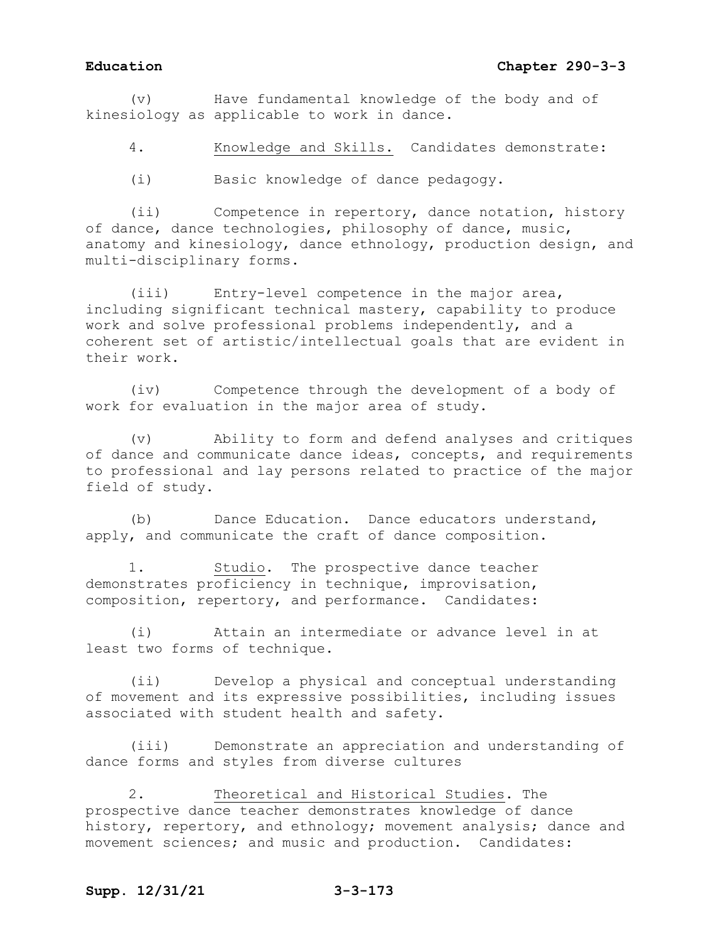## **Education Chapter 290-3-3**

(v) Have fundamental knowledge of the body and of kinesiology as applicable to work in dance.

4. Knowledge and Skills. Candidates demonstrate:

(i) Basic knowledge of dance pedagogy.

(ii) Competence in repertory, dance notation, history of dance, dance technologies, philosophy of dance, music, anatomy and kinesiology, dance ethnology, production design, and multi-disciplinary forms.

(iii) Entry-level competence in the major area, including significant technical mastery, capability to produce work and solve professional problems independently, and a coherent set of artistic/intellectual goals that are evident in their work.

(iv) Competence through the development of a body of work for evaluation in the major area of study.

(v) Ability to form and defend analyses and critiques of dance and communicate dance ideas, concepts, and requirements to professional and lay persons related to practice of the major field of study.

(b) Dance Education. Dance educators understand, apply, and communicate the craft of dance composition.

1. Studio. The prospective dance teacher demonstrates proficiency in technique, improvisation, composition, repertory, and performance. Candidates:

(i) Attain an intermediate or advance level in at least two forms of technique.

(ii) Develop a physical and conceptual understanding of movement and its expressive possibilities, including issues associated with student health and safety.

(iii) Demonstrate an appreciation and understanding of dance forms and styles from diverse cultures

2. Theoretical and Historical Studies. The prospective dance teacher demonstrates knowledge of dance history, repertory, and ethnology; movement analysis; dance and movement sciences; and music and production. Candidates: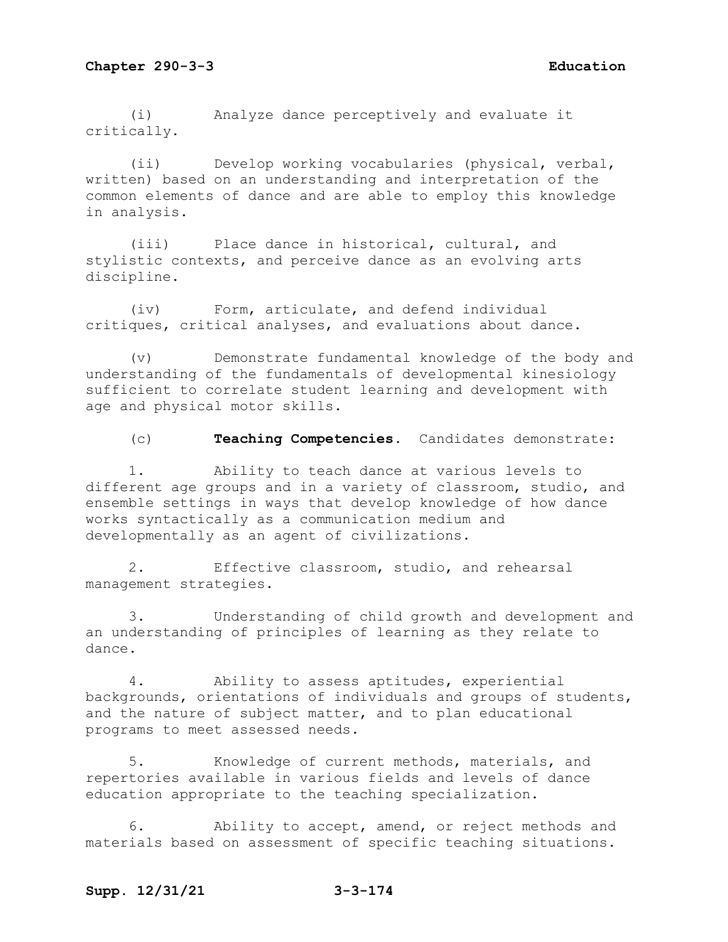(i) Analyze dance perceptively and evaluate it critically.

(ii) Develop working vocabularies (physical, verbal, written) based on an understanding and interpretation of the common elements of dance and are able to employ this knowledge in analysis.

(iii) Place dance in historical, cultural, and stylistic contexts, and perceive dance as an evolving arts discipline.

(iv) Form, articulate, and defend individual critiques, critical analyses, and evaluations about dance.

(v) Demonstrate fundamental knowledge of the body and understanding of the fundamentals of developmental kinesiology sufficient to correlate student learning and development with age and physical motor skills.

(c) **Teaching Competencies.** Candidates demonstrate:

1. Ability to teach dance at various levels to different age groups and in a variety of classroom, studio, and ensemble settings in ways that develop knowledge of how dance works syntactically as a communication medium and developmentally as an agent of civilizations.

2. Effective classroom, studio, and rehearsal management strategies.

3. Understanding of child growth and development and an understanding of principles of learning as they relate to dance.

4. Ability to assess aptitudes, experiential backgrounds, orientations of individuals and groups of students, and the nature of subject matter, and to plan educational programs to meet assessed needs.

5. Knowledge of current methods, materials, and repertories available in various fields and levels of dance education appropriate to the teaching specialization.

6. Ability to accept, amend, or reject methods and materials based on assessment of specific teaching situations.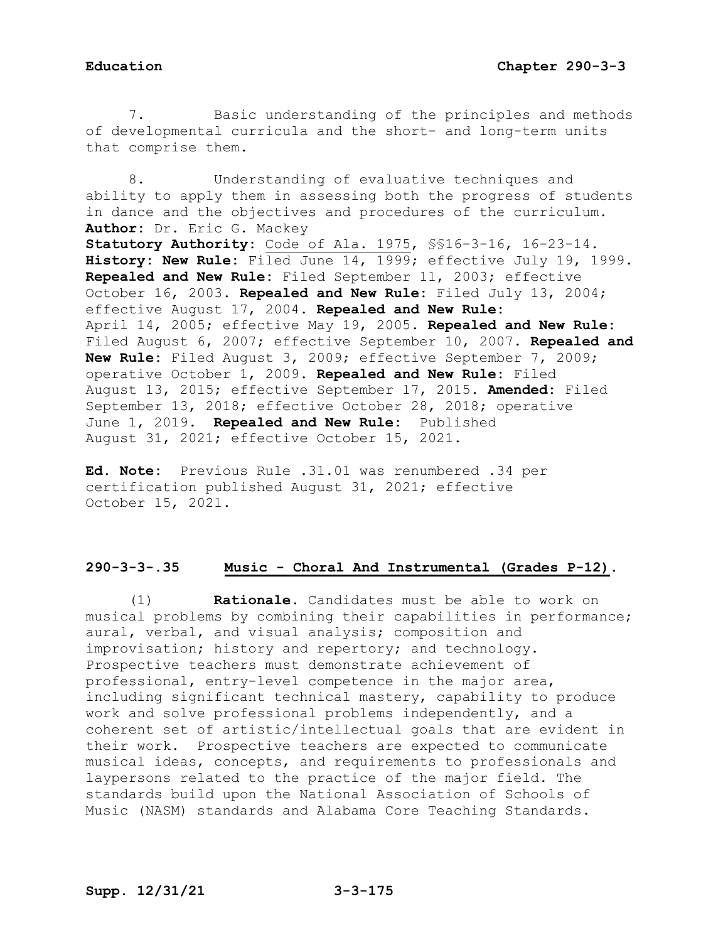7. Basic understanding of the principles and methods of developmental curricula and the short- and long-term units that comprise them.

8. Understanding of evaluative techniques and ability to apply them in assessing both the progress of students in dance and the objectives and procedures of the curriculum. **Author:** Dr. Eric G. Mackey **Statutory Authority:** Code of Ala. 1975, §§16-3-16, 16-23-14. **History: New Rule:** Filed June 14, 1999; effective July 19, 1999. **Repealed and New Rule:** Filed September 11, 2003; effective October 16, 2003. **Repealed and New Rule:** Filed July 13, 2004; effective August 17, 2004. **Repealed and New Rule:** April 14, 2005; effective May 19, 2005. **Repealed and New Rule:** Filed August 6, 2007; effective September 10, 2007. **Repealed and New Rule:** Filed August 3, 2009; effective September 7, 2009; operative October 1, 2009. **Repealed and New Rule:** Filed August 13, 2015; effective September 17, 2015. **Amended:** Filed September 13, 2018; effective October 28, 2018; operative June 1, 2019. **Repealed and New Rule:** Published August 31, 2021; effective October 15, 2021.

**Ed. Note:** Previous Rule .31.01 was renumbered .34 per certification published August 31, 2021; effective October 15, 2021.

## **290-3-3-.35 Music - Choral And Instrumental (Grades P-12).**

(1) **Rationale.** Candidates must be able to work on musical problems by combining their capabilities in performance; aural, verbal, and visual analysis; composition and improvisation; history and repertory; and technology. Prospective teachers must demonstrate achievement of professional, entry-level competence in the major area, including significant technical mastery, capability to produce work and solve professional problems independently, and a coherent set of artistic/intellectual goals that are evident in their work. Prospective teachers are expected to communicate musical ideas, concepts, and requirements to professionals and laypersons related to the practice of the major field. The standards build upon the National Association of Schools of Music (NASM) standards and Alabama Core Teaching Standards.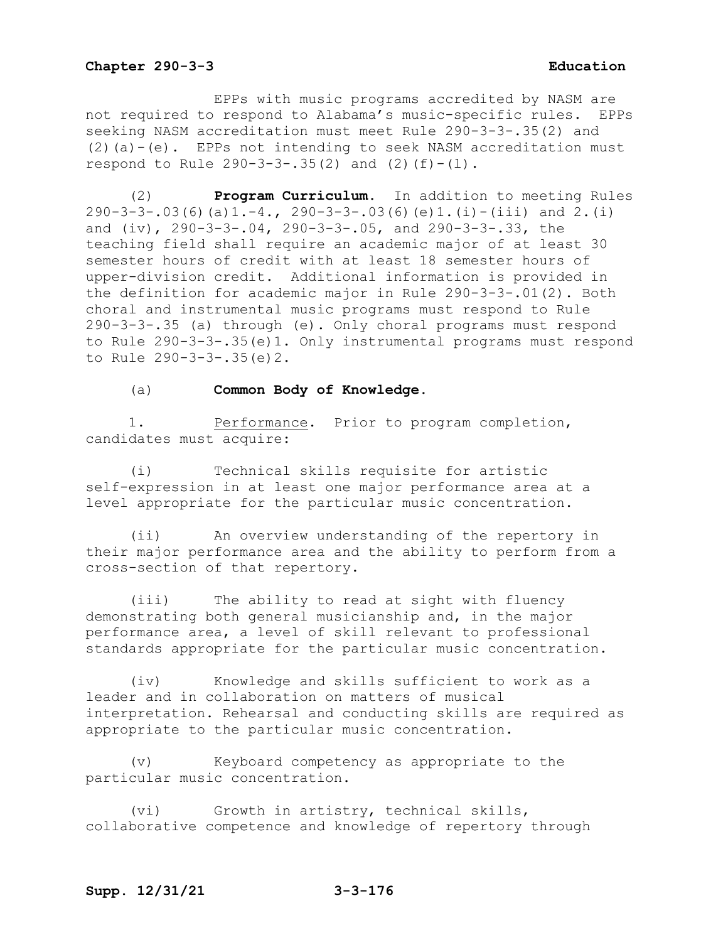EPPs with music programs accredited by NASM are not required to respond to Alabama's music-specific rules. EPPs seeking NASM accreditation must meet Rule 290-3-3-.35(2) and  $(2)(a)-(e)$ . EPPs not intending to seek NASM accreditation must respond to Rule  $290-3-3-35(2)$  and  $(2)(f)-(1)$ .

(2) **Program Curriculum.** In addition to meeting Rules  $290-3-3-.03(6)(a)1.-4.$ ,  $290-3-3-.03(6)(e)1.(i)-(iii)$  and 2.(i) and  $(iv)$ ,  $290-3-3-0.04$ ,  $290-3-3-0.05$ , and  $290-3-3-0.33$ , the teaching field shall require an academic major of at least 30 semester hours of credit with at least 18 semester hours of upper-division credit. Additional information is provided in the definition for academic major in Rule 290-3-3-.01(2). Both choral and instrumental music programs must respond to Rule 290-3-3-.35 (a) through (e). Only choral programs must respond to Rule 290-3-3-.35(e)1. Only instrumental programs must respond to Rule 290-3-3-.35(e)2.

### (a) **Common Body of Knowledge.**

1. Performance. Prior to program completion, candidates must acquire:

(i) Technical skills requisite for artistic self-expression in at least one major performance area at a level appropriate for the particular music concentration.

(ii) An overview understanding of the repertory in their major performance area and the ability to perform from a cross-section of that repertory.

(iii) The ability to read at sight with fluency demonstrating both general musicianship and, in the major performance area, a level of skill relevant to professional standards appropriate for the particular music concentration.

(iv) Knowledge and skills sufficient to work as a leader and in collaboration on matters of musical interpretation. Rehearsal and conducting skills are required as appropriate to the particular music concentration.

(v) Keyboard competency as appropriate to the particular music concentration.

(vi) Growth in artistry, technical skills, collaborative competence and knowledge of repertory through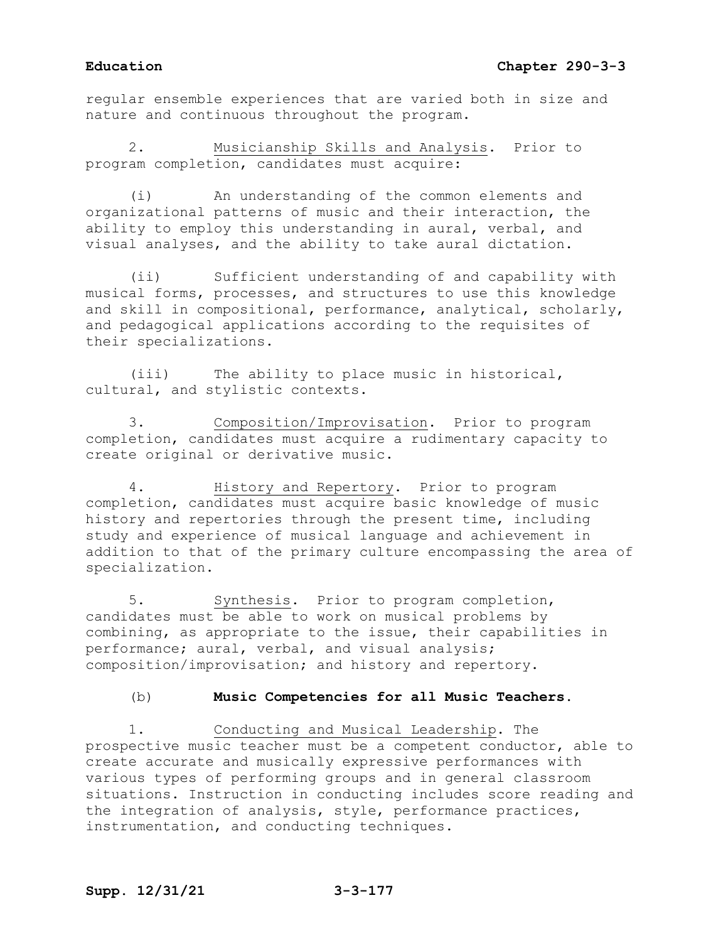regular ensemble experiences that are varied both in size and nature and continuous throughout the program.

2. Musicianship Skills and Analysis.Prior to program completion, candidates must acquire:

(i) An understanding of the common elements and organizational patterns of music and their interaction, the ability to employ this understanding in aural, verbal, and visual analyses, and the ability to take aural dictation.

(ii) Sufficient understanding of and capability with musical forms, processes, and structures to use this knowledge and skill in compositional, performance, analytical, scholarly, and pedagogical applications according to the requisites of their specializations.

(iii) The ability to place music in historical, cultural, and stylistic contexts.

3. Composition/Improvisation.Prior to program completion, candidates must acquire a rudimentary capacity to create original or derivative music.

4. History and Repertory.Prior to program completion, candidates must acquire basic knowledge of music history and repertories through the present time, including study and experience of musical language and achievement in addition to that of the primary culture encompassing the area of specialization.

5. Synthesis.Prior to program completion, candidates must be able to work on musical problems by combining, as appropriate to the issue, their capabilities in performance; aural, verbal, and visual analysis; composition/improvisation; and history and repertory.

## (b) **Music Competencies for all Music Teachers.**

1. Conducting and Musical Leadership**.** The prospective music teacher must be a competent conductor, able to create accurate and musically expressive performances with various types of performing groups and in general classroom situations. Instruction in conducting includes score reading and the integration of analysis, style, performance practices, instrumentation, and conducting techniques.

# **Supp. 12/31/21 3-3-177**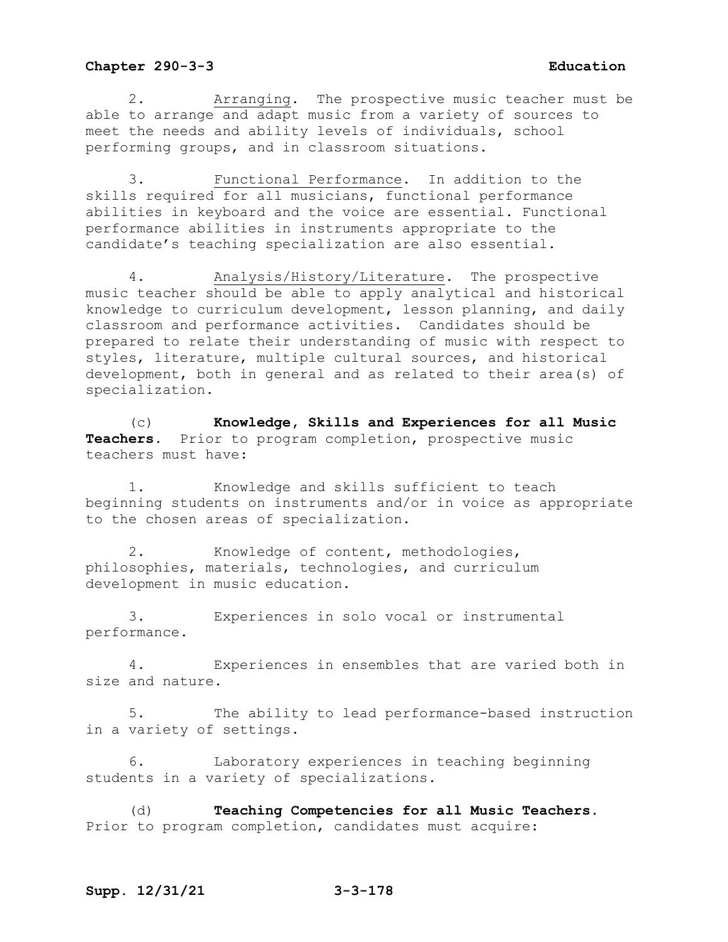2. Arranging. The prospective music teacher must be able to arrange and adapt music from a variety of sources to meet the needs and ability levels of individuals, school performing groups, and in classroom situations.

3. Functional Performance. In addition to the skills required for all musicians, functional performance abilities in keyboard and the voice are essential. Functional performance abilities in instruments appropriate to the candidate's teaching specialization are also essential.

4. Analysis/History/Literature. The prospective music teacher should be able to apply analytical and historical knowledge to curriculum development, lesson planning, and daily classroom and performance activities. Candidates should be prepared to relate their understanding of music with respect to styles, literature, multiple cultural sources, and historical development, both in general and as related to their area(s) of specialization.

(c) **Knowledge, Skills and Experiences for all Music Teachers.** Prior to program completion, prospective music teachers must have:

1. Knowledge and skills sufficient to teach beginning students on instruments and/or in voice as appropriate to the chosen areas of specialization.

2. Knowledge of content, methodologies, philosophies, materials, technologies, and curriculum development in music education.

3. Experiences in solo vocal or instrumental performance.

4. Experiences in ensembles that are varied both in size and nature.

5. The ability to lead performance-based instruction in a variety of settings.

6. Laboratory experiences in teaching beginning students in a variety of specializations.

(d) **Teaching Competencies for all Music Teachers.**  Prior to program completion, candidates must acquire: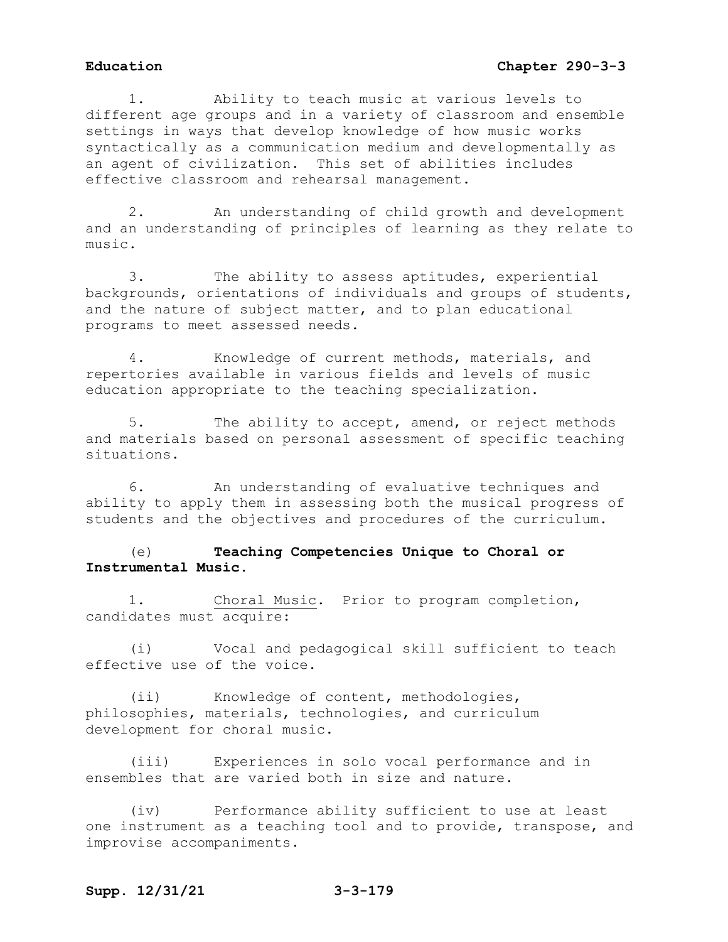1. Ability to teach music at various levels to different age groups and in a variety of classroom and ensemble settings in ways that develop knowledge of how music works syntactically as a communication medium and developmentally as an agent of civilization. This set of abilities includes effective classroom and rehearsal management.

2. An understanding of child growth and development and an understanding of principles of learning as they relate to music.

3. The ability to assess aptitudes, experiential backgrounds, orientations of individuals and groups of students, and the nature of subject matter, and to plan educational programs to meet assessed needs.

4. Knowledge of current methods, materials, and repertories available in various fields and levels of music education appropriate to the teaching specialization.

5. The ability to accept, amend, or reject methods and materials based on personal assessment of specific teaching situations.

6. An understanding of evaluative techniques and ability to apply them in assessing both the musical progress of students and the objectives and procedures of the curriculum.

# (e) **Teaching Competencies Unique to Choral or Instrumental Music.**

1. Choral Music. Prior to program completion, candidates must acquire:

(i) Vocal and pedagogical skill sufficient to teach effective use of the voice.

(ii) Knowledge of content, methodologies, philosophies, materials, technologies, and curriculum development for choral music.

(iii) Experiences in solo vocal performance and in ensembles that are varied both in size and nature.

(iv) Performance ability sufficient to use at least one instrument as a teaching tool and to provide, transpose, and improvise accompaniments.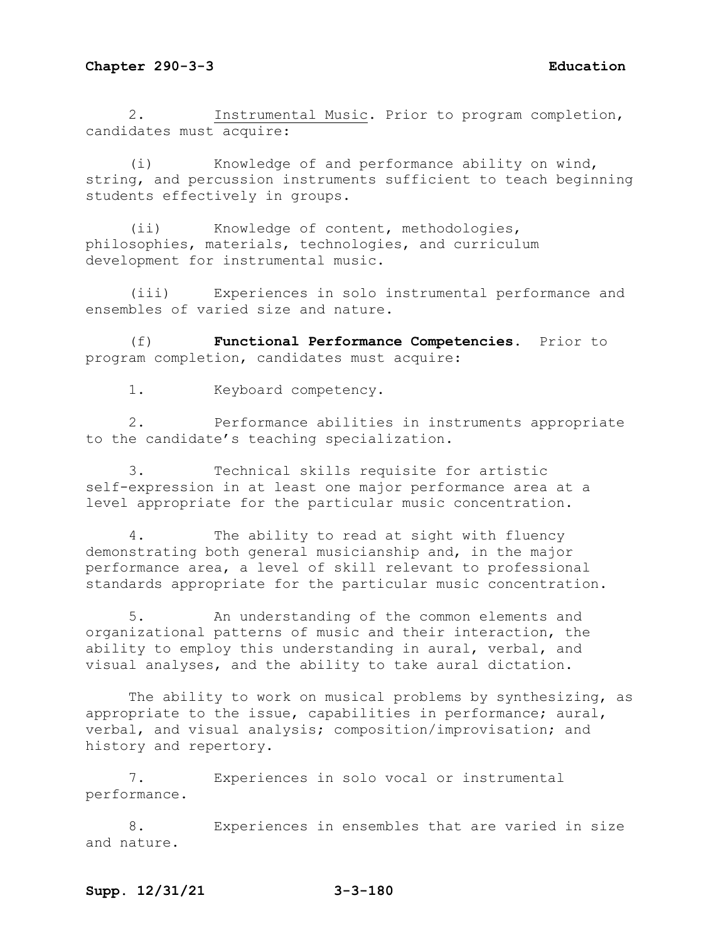2. Instrumental Music. Prior to program completion, candidates must acquire:

(i) Knowledge of and performance ability on wind, string, and percussion instruments sufficient to teach beginning students effectively in groups.

(ii) Knowledge of content, methodologies, philosophies, materials, technologies, and curriculum development for instrumental music.

(iii) Experiences in solo instrumental performance and ensembles of varied size and nature.

(f) **Functional Performance Competencies.** Prior to program completion, candidates must acquire:

1. Keyboard competency.

2. Performance abilities in instruments appropriate to the candidate's teaching specialization.

3. Technical skills requisite for artistic self-expression in at least one major performance area at a level appropriate for the particular music concentration.

4. The ability to read at sight with fluency demonstrating both general musicianship and, in the major performance area, a level of skill relevant to professional standards appropriate for the particular music concentration.

5. An understanding of the common elements and organizational patterns of music and their interaction, the ability to employ this understanding in aural, verbal, and visual analyses, and the ability to take aural dictation.

The ability to work on musical problems by synthesizing, as appropriate to the issue, capabilities in performance; aural, verbal, and visual analysis; composition/improvisation; and history and repertory.

7. Experiences in solo vocal or instrumental performance.

8. Experiences in ensembles that are varied in size and nature.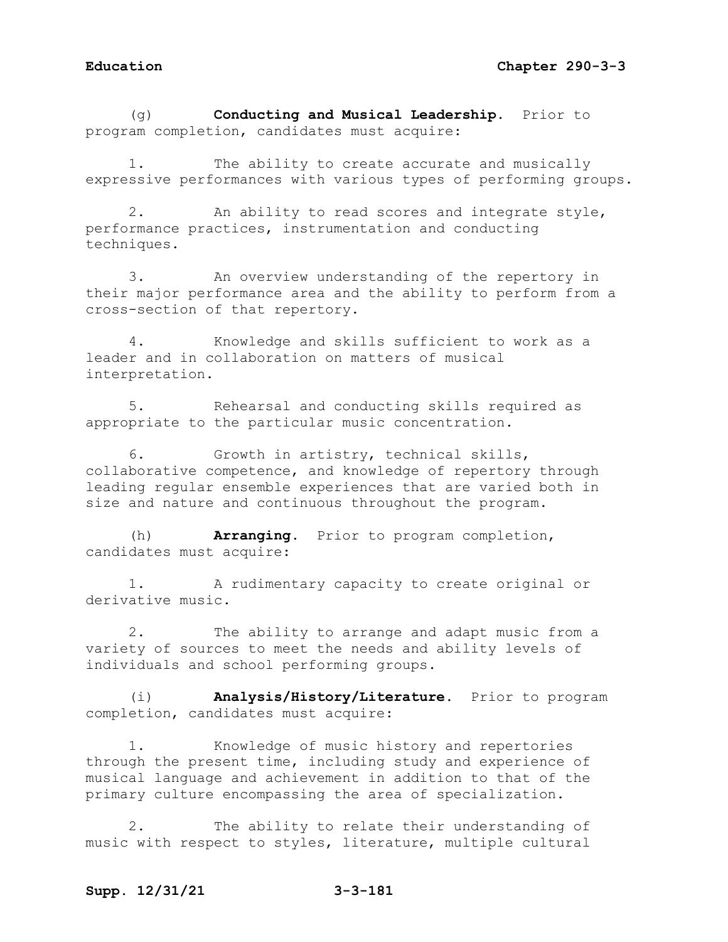(g) **Conducting and Musical Leadership.** Prior to program completion, candidates must acquire:

1. The ability to create accurate and musically expressive performances with various types of performing groups.

2. An ability to read scores and integrate style, performance practices, instrumentation and conducting techniques.

3. An overview understanding of the repertory in their major performance area and the ability to perform from a cross-section of that repertory.

4. Knowledge and skills sufficient to work as a leader and in collaboration on matters of musical interpretation.

5. Rehearsal and conducting skills required as appropriate to the particular music concentration.

6. Growth in artistry, technical skills, collaborative competence, and knowledge of repertory through leading regular ensemble experiences that are varied both in size and nature and continuous throughout the program.

(h) **Arranging.** Prior to program completion, candidates must acquire:

1. A rudimentary capacity to create original or derivative music.

2. The ability to arrange and adapt music from a variety of sources to meet the needs and ability levels of individuals and school performing groups.

(i) **Analysis/History/Literature.** Prior to program completion, candidates must acquire:

1. Knowledge of music history and repertories through the present time, including study and experience of musical language and achievement in addition to that of the primary culture encompassing the area of specialization.

2. The ability to relate their understanding of music with respect to styles, literature, multiple cultural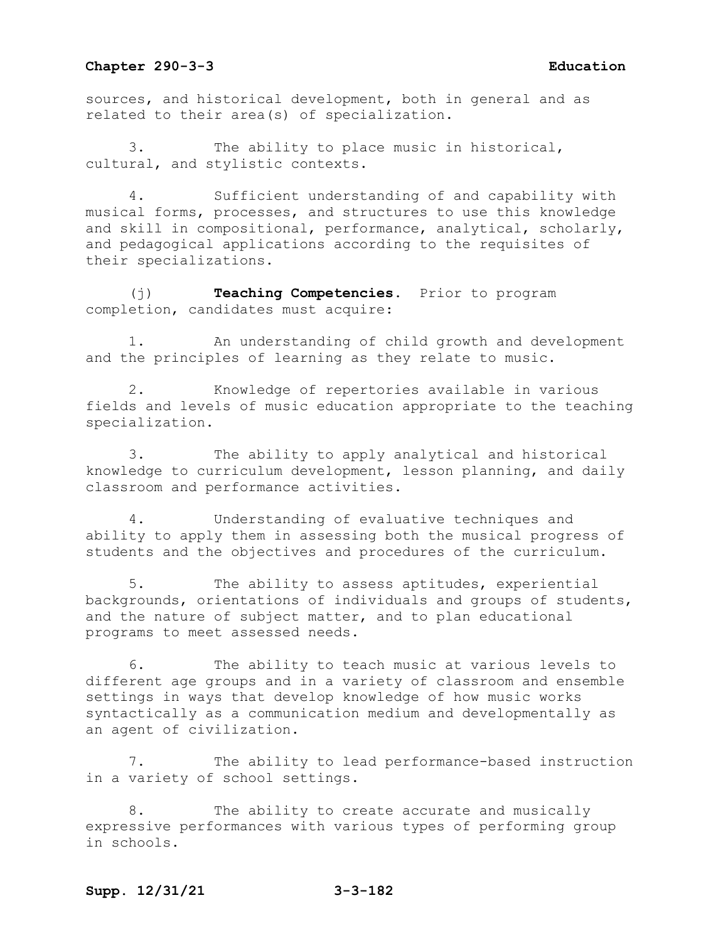sources, and historical development, both in general and as related to their area(s) of specialization.

The ability to place music in historical, cultural, and stylistic contexts.

4. Sufficient understanding of and capability with musical forms, processes, and structures to use this knowledge and skill in compositional, performance, analytical, scholarly, and pedagogical applications according to the requisites of their specializations.

(j) **Teaching Competencies.** Prior to program completion, candidates must acquire:

1. An understanding of child growth and development and the principles of learning as they relate to music.

2. Knowledge of repertories available in various fields and levels of music education appropriate to the teaching specialization.

3. The ability to apply analytical and historical knowledge to curriculum development, lesson planning, and daily classroom and performance activities.

4. Understanding of evaluative techniques and ability to apply them in assessing both the musical progress of students and the objectives and procedures of the curriculum.

5. The ability to assess aptitudes, experiential backgrounds, orientations of individuals and groups of students, and the nature of subject matter, and to plan educational programs to meet assessed needs.

6. The ability to teach music at various levels to different age groups and in a variety of classroom and ensemble settings in ways that develop knowledge of how music works syntactically as a communication medium and developmentally as an agent of civilization.

7. The ability to lead performance-based instruction in a variety of school settings.

8. The ability to create accurate and musically expressive performances with various types of performing group in schools.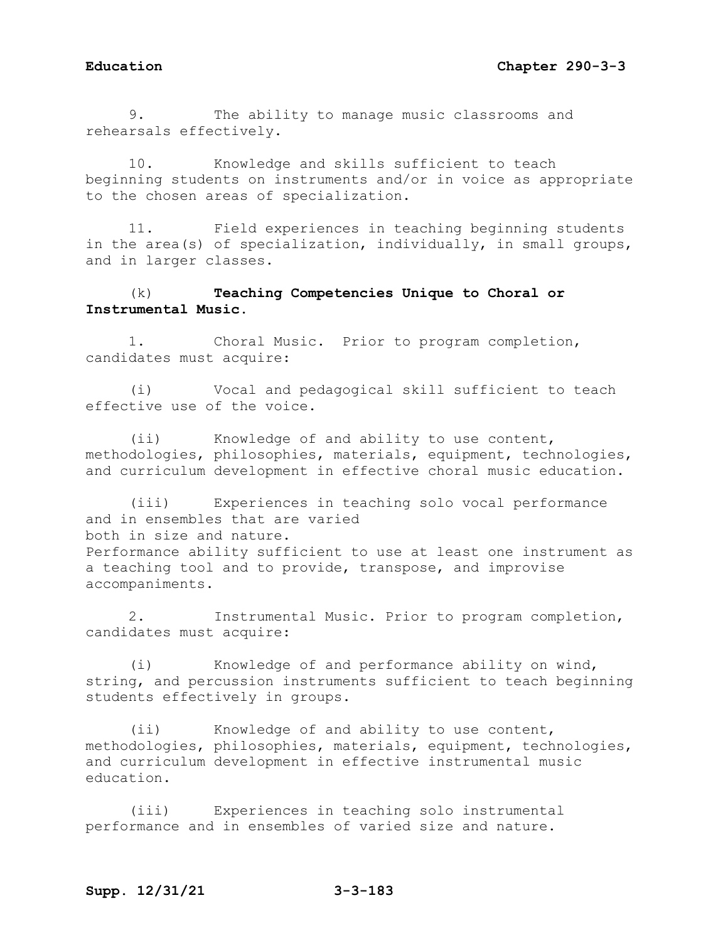9. The ability to manage music classrooms and rehearsals effectively.

10. Knowledge and skills sufficient to teach beginning students on instruments and/or in voice as appropriate to the chosen areas of specialization.

11. Field experiences in teaching beginning students in the area(s) of specialization, individually, in small groups, and in larger classes.

# (k) **Teaching Competencies Unique to Choral or Instrumental Music.**

1. Choral Music. Prior to program completion, candidates must acquire:

(i) Vocal and pedagogical skill sufficient to teach effective use of the voice.

(ii) Knowledge of and ability to use content, methodologies, philosophies, materials, equipment, technologies, and curriculum development in effective choral music education.

(iii) Experiences in teaching solo vocal performance and in ensembles that are varied both in size and nature. Performance ability sufficient to use at least one instrument as a teaching tool and to provide, transpose, and improvise accompaniments.

2. Instrumental Music. Prior to program completion, candidates must acquire:

(i) Knowledge of and performance ability on wind, string, and percussion instruments sufficient to teach beginning students effectively in groups.

(ii) Knowledge of and ability to use content, methodologies, philosophies, materials, equipment, technologies, and curriculum development in effective instrumental music education.

(iii) Experiences in teaching solo instrumental performance and in ensembles of varied size and nature.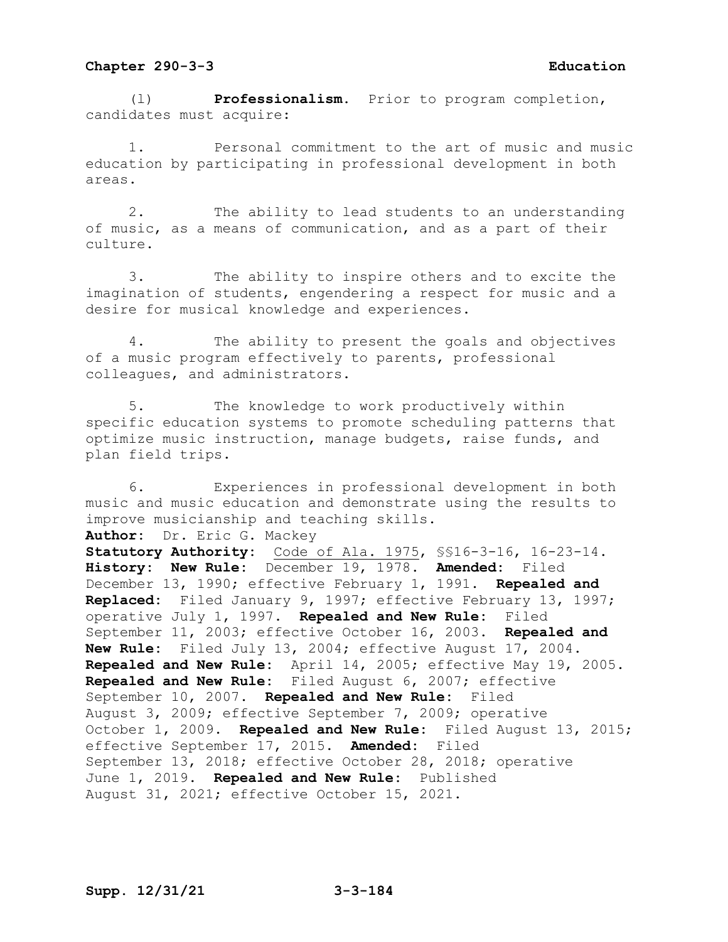(l) **Professionalism.** Prior to program completion, candidates must acquire:

1**.** Personal commitment to the art of music and music education by participating in professional development in both areas.

2. The ability to lead students to an understanding of music, as a means of communication, and as a part of their culture.

3. The ability to inspire others and to excite the imagination of students, engendering a respect for music and a desire for musical knowledge and experiences.

4. The ability to present the goals and objectives of a music program effectively to parents, professional colleagues, and administrators.

5. The knowledge to work productively within specific education systems to promote scheduling patterns that optimize music instruction, manage budgets, raise funds, and plan field trips.

6. Experiences in professional development in both music and music education and demonstrate using the results to improve musicianship and teaching skills. **Author:** Dr. Eric G. Mackey **Statutory Authority:** Code of Ala. 1975, §§16-3-16, 16-23-14. **History: New Rule:** December 19, 1978. **Amended:** Filed December 13, 1990; effective February 1, 1991. **Repealed and Replaced:** Filed January 9, 1997; effective February 13, 1997; operative July 1, 1997. **Repealed and New Rule:** Filed September 11, 2003; effective October 16, 2003. **Repealed and New Rule:** Filed July 13, 2004; effective August 17, 2004. **Repealed and New Rule:** April 14, 2005; effective May 19, 2005. **Repealed and New Rule:** Filed August 6, 2007; effective September 10, 2007. **Repealed and New Rule:** Filed August 3, 2009; effective September 7, 2009; operative October 1, 2009. **Repealed and New Rule:** Filed August 13, 2015; effective September 17, 2015. **Amended:** Filed September 13, 2018; effective October 28, 2018; operative June 1, 2019. **Repealed and New Rule:** Published August 31, 2021; effective October 15, 2021.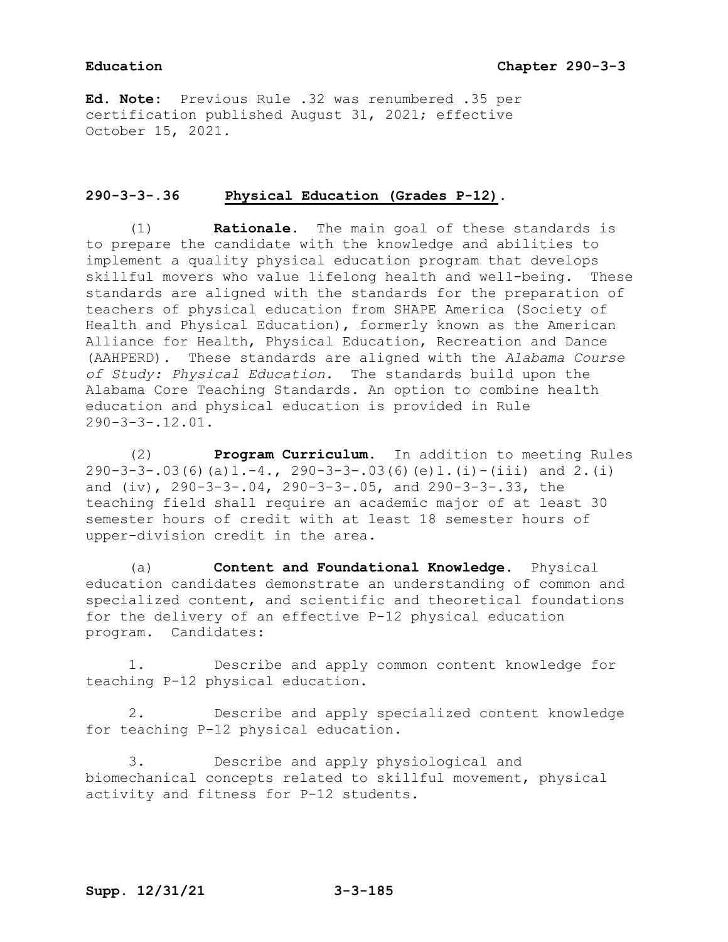**Ed. Note:** Previous Rule .32 was renumbered .35 per certification published August 31, 2021; effective October 15, 2021.

# **290-3-3-.36 Physical Education (Grades P-12).**

(1) **Rationale.** The main goal of these standards is to prepare the candidate with the knowledge and abilities to implement a quality physical education program that develops<br>skillful movers who value lifelong health and well-being. These skillful movers who value lifelong health and well-being. standards are aligned with the standards for the preparation of teachers of physical education from SHAPE America (Society of Health and Physical Education), formerly known as the American Alliance for Health, Physical Education, Recreation and Dance (AAHPERD). These standards are aligned with the *Alabama Course of Study: Physical Education.* The standards build upon the Alabama Core Teaching Standards. An option to combine health education and physical education is provided in Rule 290-3-3-.12.01.

(2) **Program Curriculum.** In addition to meeting Rules 290-3-3-.03(6)(a)1.-4., 290-3-3-.03(6)(e)1.(i)-(iii) and 2.(i) and (iv), 290-3-3-.04, 290-3-3-.05, and 290-3-3-.33, the teaching field shall require an academic major of at least 30 semester hours of credit with at least 18 semester hours of upper-division credit in the area.

(a) **Content and Foundational Knowledge.** Physical education candidates demonstrate an understanding of common and specialized content, and scientific and theoretical foundations for the delivery of an effective P-12 physical education program. Candidates:

1. Describe and apply common content knowledge for teaching P-12 physical education.

2. Describe and apply specialized content knowledge for teaching P-12 physical education.

3. Describe and apply physiological and biomechanical concepts related to skillful movement, physical activity and fitness for P-12 students.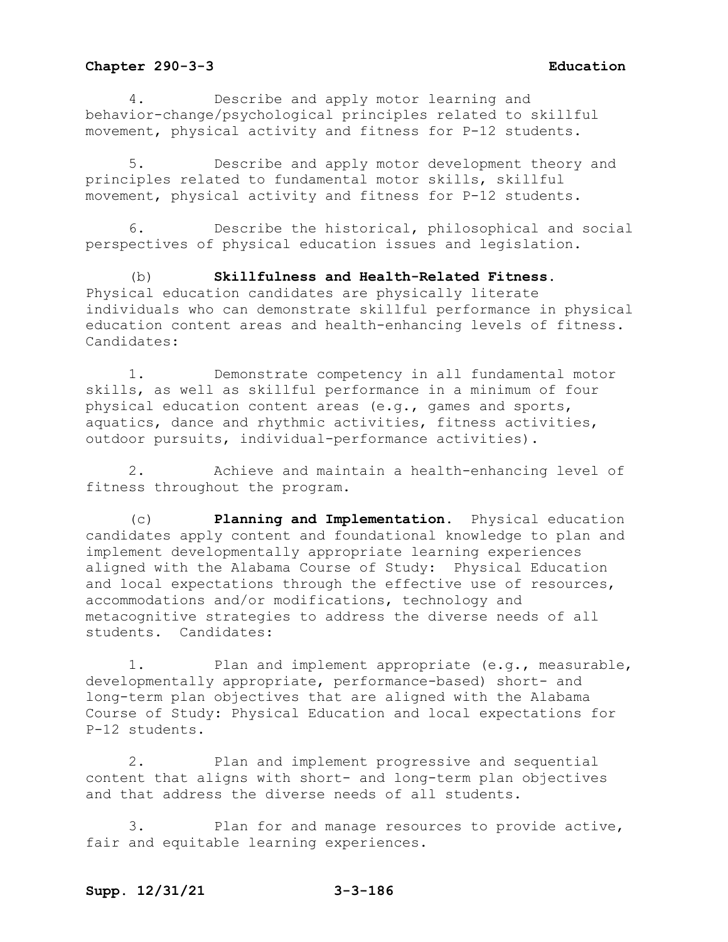4. Describe and apply motor learning and behavior-change/psychological principles related to skillful movement, physical activity and fitness for P-12 students.

5. Describe and apply motor development theory and principles related to fundamental motor skills, skillful movement, physical activity and fitness for P-12 students.

6. Describe the historical, philosophical and social perspectives of physical education issues and legislation.

(b) **Skillfulness and Health-Related Fitness.** Physical education candidates are physically literate individuals who can demonstrate skillful performance in physical education content areas and health-enhancing levels of fitness. Candidates:

1. Demonstrate competency in all fundamental motor skills, as well as skillful performance in a minimum of four physical education content areas (e.g., games and sports, aquatics, dance and rhythmic activities, fitness activities, outdoor pursuits, individual-performance activities).

2. Achieve and maintain a health-enhancing level of fitness throughout the program.

(c) **Planning and Implementation.** Physical education candidates apply content and foundational knowledge to plan and implement developmentally appropriate learning experiences aligned with the Alabama Course of Study: Physical Education and local expectations through the effective use of resources, accommodations and/or modifications, technology and metacognitive strategies to address the diverse needs of all students. Candidates:

1. Plan and implement appropriate (e.g., measurable, developmentally appropriate, performance-based) short- and long-term plan objectives that are aligned with the Alabama Course of Study: Physical Education and local expectations for P-12 students.

2. Plan and implement progressive and sequential content that aligns with short- and long-term plan objectives and that address the diverse needs of all students.

3. Plan for and manage resources to provide active, fair and equitable learning experiences.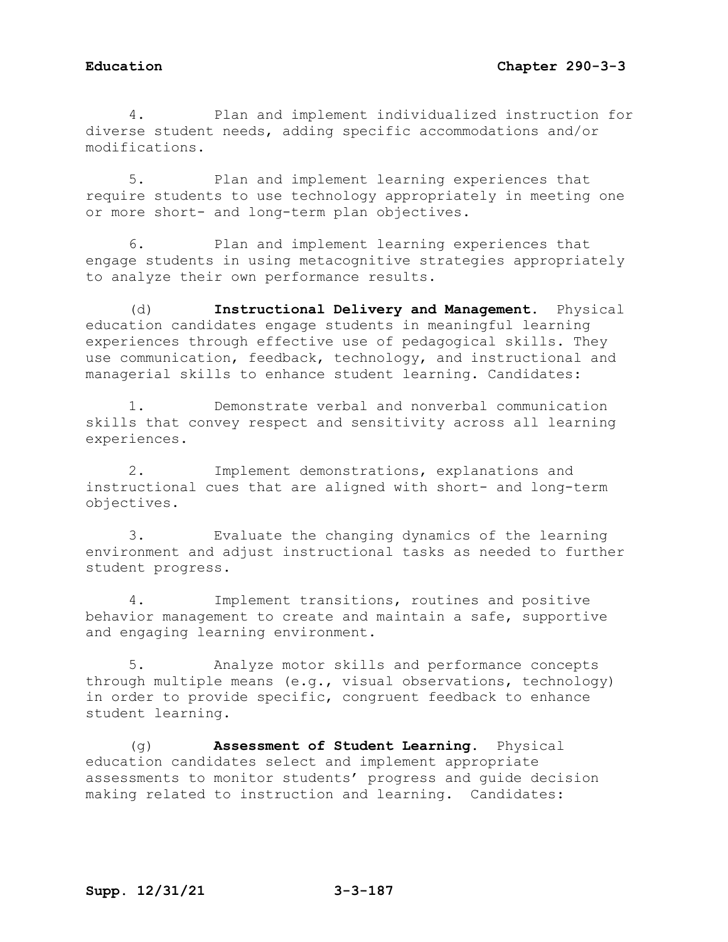4. Plan and implement individualized instruction for diverse student needs, adding specific accommodations and/or modifications.

5. Plan and implement learning experiences that require students to use technology appropriately in meeting one or more short- and long-term plan objectives.

6. Plan and implement learning experiences that engage students in using metacognitive strategies appropriately to analyze their own performance results.

(d) **Instructional Delivery and Management.** Physical education candidates engage students in meaningful learning experiences through effective use of pedagogical skills. They use communication, feedback, technology, and instructional and managerial skills to enhance student learning. Candidates:

1. Demonstrate verbal and nonverbal communication skills that convey respect and sensitivity across all learning experiences.

2. Implement demonstrations, explanations and instructional cues that are aligned with short- and long-term objectives.

3. Evaluate the changing dynamics of the learning environment and adjust instructional tasks as needed to further student progress.

4. Implement transitions, routines and positive behavior management to create and maintain a safe, supportive and engaging learning environment.

5. Analyze motor skills and performance concepts through multiple means (e.g., visual observations, technology) in order to provide specific, congruent feedback to enhance student learning.

(g) **Assessment of Student Learning.** Physical education candidates select and implement appropriate assessments to monitor students' progress and guide decision making related to instruction and learning. Candidates: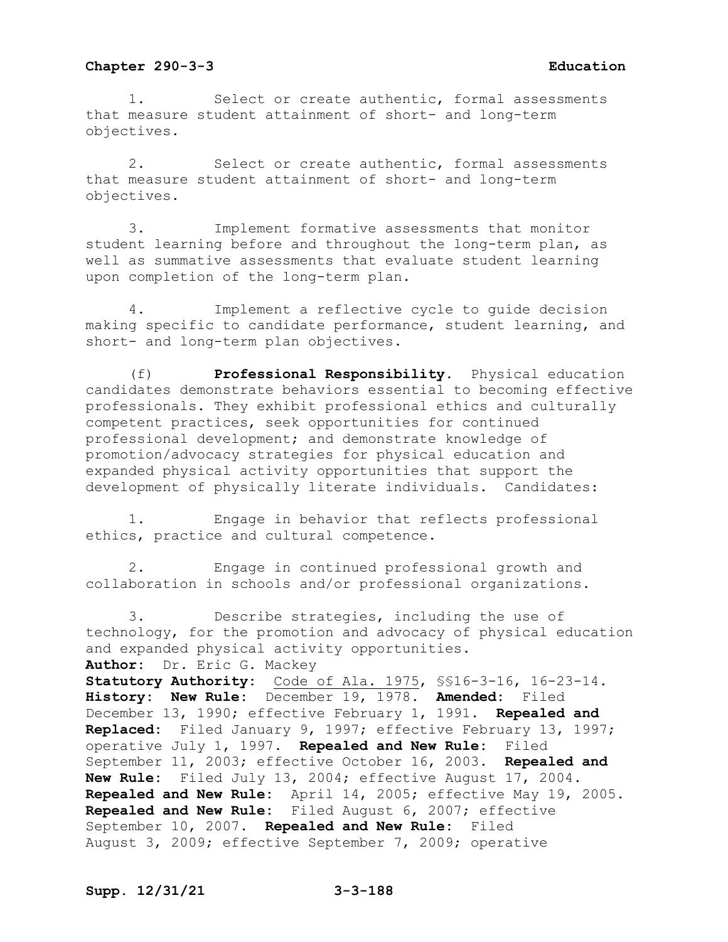1. Select or create authentic, formal assessments that measure student attainment of short- and long-term objectives.

2. Select or create authentic, formal assessments that measure student attainment of short- and long-term objectives.

3. Implement formative assessments that monitor student learning before and throughout the long-term plan, as well as summative assessments that evaluate student learning upon completion of the long-term plan.

4. Implement a reflective cycle to guide decision making specific to candidate performance, student learning, and short- and long-term plan objectives.

(f) **Professional Responsibility.** Physical education candidates demonstrate behaviors essential to becoming effective professionals. They exhibit professional ethics and culturally competent practices, seek opportunities for continued professional development; and demonstrate knowledge of promotion/advocacy strategies for physical education and expanded physical activity opportunities that support the development of physically literate individuals. Candidates:

1. Engage in behavior that reflects professional ethics, practice and cultural competence.

2. Engage in continued professional growth and collaboration in schools and/or professional organizations.

3. Describe strategies, including the use of technology, for the promotion and advocacy of physical education and expanded physical activity opportunities. **Author:** Dr. Eric G. Mackey **Statutory Authority:** Code of Ala. 1975, §§16-3-16, 16-23-14. **History: New Rule:** December 19, 1978. **Amended:** Filed December 13, 1990; effective February 1, 1991. **Repealed and Replaced:** Filed January 9, 1997; effective February 13, 1997; operative July 1, 1997. **Repealed and New Rule:** Filed September 11, 2003; effective October 16, 2003. **Repealed and New Rule:** Filed July 13, 2004; effective August 17, 2004. **Repealed and New Rule:** April 14, 2005; effective May 19, 2005. **Repealed and New Rule:** Filed August 6, 2007; effective September 10, 2007. **Repealed and New Rule:** Filed August 3, 2009; effective September 7, 2009; operative

**Supp. 12/31/21 3-3-188**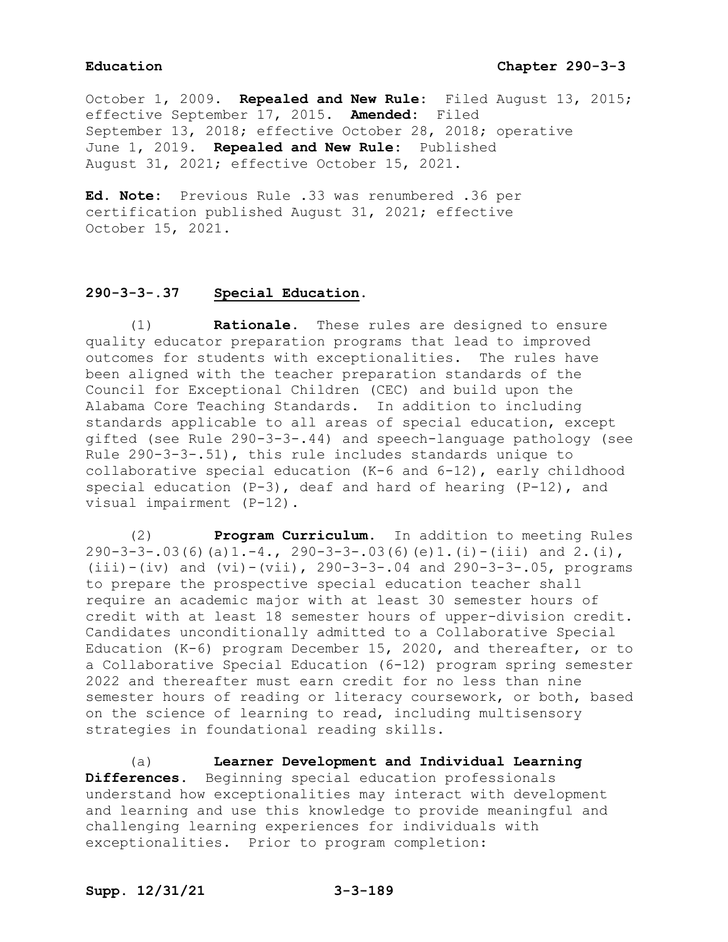October 1, 2009. **Repealed and New Rule:** Filed August 13, 2015; effective September 17, 2015. **Amended:** Filed September 13, 2018; effective October 28, 2018; operative June 1, 2019. **Repealed and New Rule:** Published August 31, 2021; effective October 15, 2021.

**Ed. Note:** Previous Rule .33 was renumbered .36 per certification published August 31, 2021; effective October 15, 2021.

## **290-3-3-.37 Special Education.**

(1) **Rationale**. These rules are designed to ensure quality educator preparation programs that lead to improved outcomes for students with exceptionalities. The rules have been aligned with the teacher preparation standards of the Council for Exceptional Children (CEC) and build upon the Alabama Core Teaching Standards. In addition to including standards applicable to all areas of special education, except gifted (see Rule 290-3-3-.44) and speech-language pathology (see Rule 290-3-3-.51), this rule includes standards unique to collaborative special education (K-6 and 6-12), early childhood special education (P-3), deaf and hard of hearing (P-12), and visual impairment (P-12).

(2) **Program Curriculum.** In addition to meeting Rules  $290-3-3-.03(6)(a)1.-4, 290-3-3-.03(6)(e)1.(i)-(iii) and 2.(i),$  $(iii) - (iv)$  and  $(vi) - (vii)$ , 290-3-3-.04 and 290-3-3-.05, programs to prepare the prospective special education teacher shall require an academic major with at least 30 semester hours of credit with at least 18 semester hours of upper-division credit. Candidates unconditionally admitted to a Collaborative Special Education (K-6) program December 15, 2020, and thereafter, or to a Collaborative Special Education (6-12) program spring semester 2022 and thereafter must earn credit for no less than nine semester hours of reading or literacy coursework, or both, based on the science of learning to read, including multisensory strategies in foundational reading skills.

(a) **Learner Development and Individual Learning Differences.** Beginning special education professionals understand how exceptionalities may interact with development and learning and use this knowledge to provide meaningful and challenging learning experiences for individuals with exceptionalities. Prior to program completion: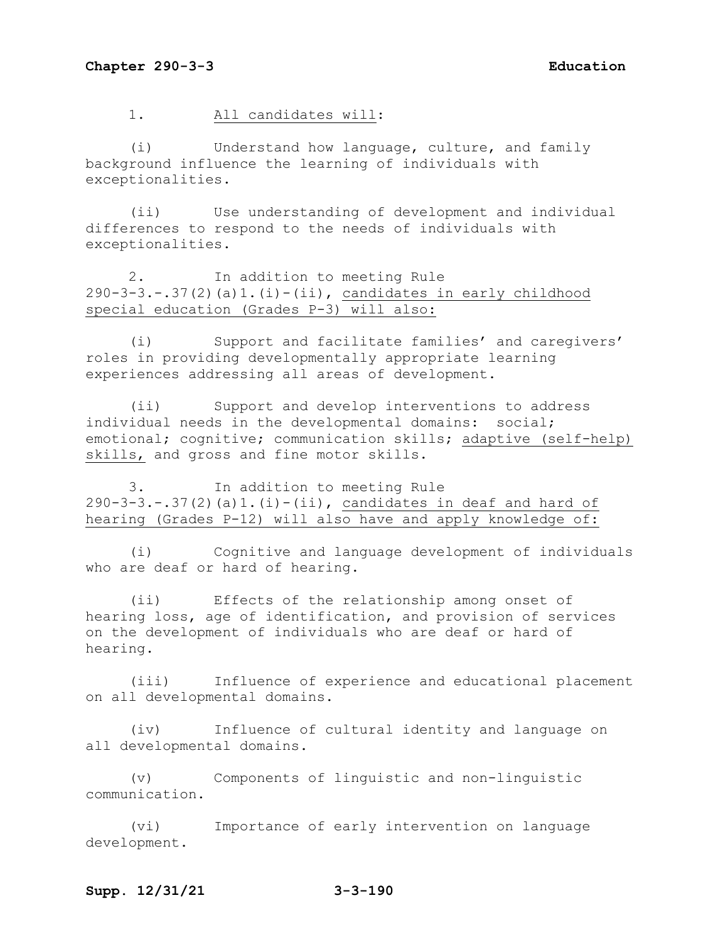1. All candidates will:

(i) Understand how language, culture, and family background influence the learning of individuals with exceptionalities.

(ii) Use understanding of development and individual differences to respond to the needs of individuals with exceptionalities.

2. In addition to meeting Rule  $290-3-3.-37(2)(a)1.(i)-(ii)$ , candidates in early childhood special education (Grades P-3) will also:

(i) Support and facilitate families' and caregivers' roles in providing developmentally appropriate learning experiences addressing all areas of development.

(ii) Support and develop interventions to address individual needs in the developmental domains: social; emotional; cognitive; communication skills; adaptive (self-help) skills, and gross and fine motor skills.

3. In addition to meeting Rule  $290-3-3. -.37(2)(a)1.(i) - (ii)$ , candidates in deaf and hard of hearing (Grades P-12) will also have and apply knowledge of:

(i) Cognitive and language development of individuals who are deaf or hard of hearing.

(ii) Effects of the relationship among onset of hearing loss, age of identification, and provision of services on the development of individuals who are deaf or hard of hearing.

(iii) Influence of experience and educational placement on all developmental domains.

(iv) Influence of cultural identity and language on all developmental domains.

(v) Components of linguistic and non-linguistic communication.

(vi) Importance of early intervention on language development.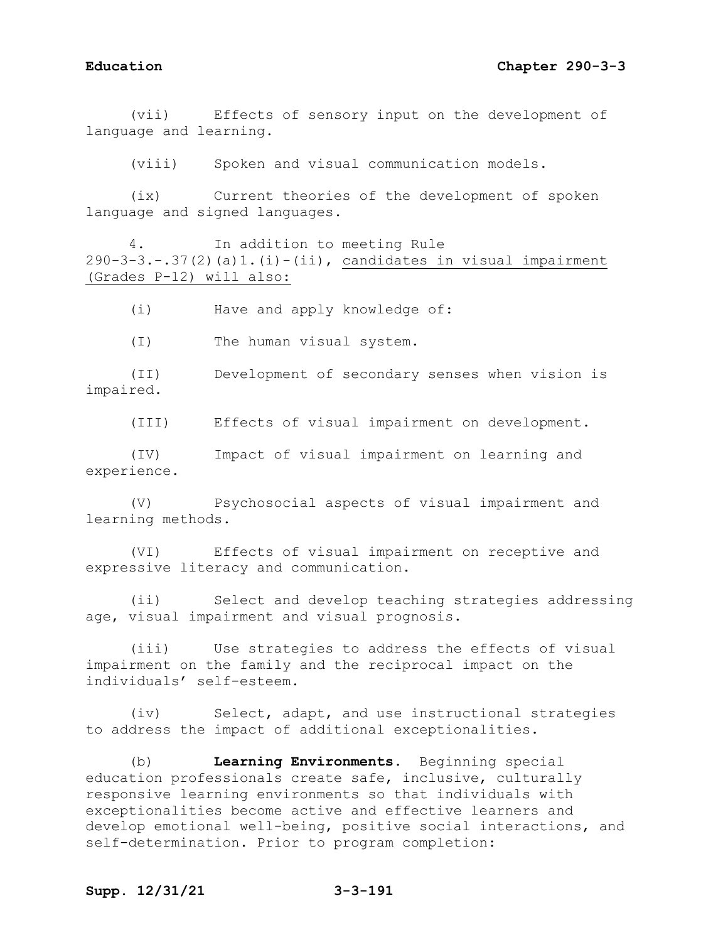(vii) Effects of sensory input on the development of language and learning.

(viii) Spoken and visual communication models.

(ix) Current theories of the development of spoken language and signed languages.

4. In addition to meeting Rule  $290-3-3.-.37(2)(a)1.(i)-(ii)$ , candidates in visual impairment (Grades P-12) will also:

(i) Have and apply knowledge of:

(I) The human visual system.

(II) Development of secondary senses when vision is impaired.

(III) Effects of visual impairment on development.

(IV) Impact of visual impairment on learning and experience.

(V) Psychosocial aspects of visual impairment and learning methods.

(VI) Effects of visual impairment on receptive and expressive literacy and communication.

(ii) Select and develop teaching strategies addressing age, visual impairment and visual prognosis.

(iii) Use strategies to address the effects of visual impairment on the family and the reciprocal impact on the individuals' self-esteem.

(iv) Select, adapt, and use instructional strategies to address the impact of additional exceptionalities.

(b) **Learning Environments.** Beginning special education professionals create safe, inclusive, culturally responsive learning environments so that individuals with exceptionalities become active and effective learners and develop emotional well-being, positive social interactions, and self-determination. Prior to program completion:

## **Supp. 12/31/21 3-3-191**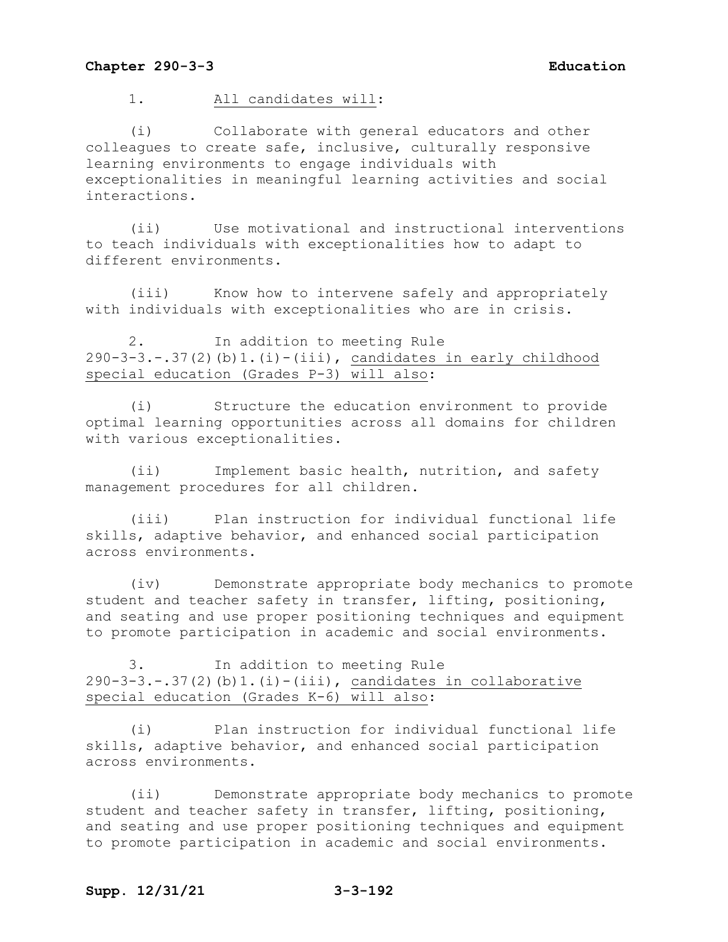1. All candidates will:

(i) Collaborate with general educators and other colleagues to create safe, inclusive, culturally responsive learning environments to engage individuals with exceptionalities in meaningful learning activities and social interactions.

(ii) Use motivational and instructional interventions to teach individuals with exceptionalities how to adapt to different environments.

(iii) Know how to intervene safely and appropriately with individuals with exceptionalities who are in crisis.

2. In addition to meeting Rule 290-3-3.-.37(2)(b)1.(i)-(iii), candidates in early childhood special education (Grades P-3) will also:

(i) Structure the education environment to provide optimal learning opportunities across all domains for children with various exceptionalities.

(ii) Implement basic health, nutrition, and safety management procedures for all children.

(iii) Plan instruction for individual functional life skills, adaptive behavior, and enhanced social participation across environments.

(iv) Demonstrate appropriate body mechanics to promote student and teacher safety in transfer, lifting, positioning, and seating and use proper positioning techniques and equipment to promote participation in academic and social environments.

3. In addition to meeting Rule  $290-3-3.-.37(2)(b)1.(i)-(iii)$ , candidates in collaborative special education (Grades K-6) will also:

(i) Plan instruction for individual functional life skills, adaptive behavior, and enhanced social participation across environments.

(ii) Demonstrate appropriate body mechanics to promote student and teacher safety in transfer, lifting, positioning, and seating and use proper positioning techniques and equipment to promote participation in academic and social environments.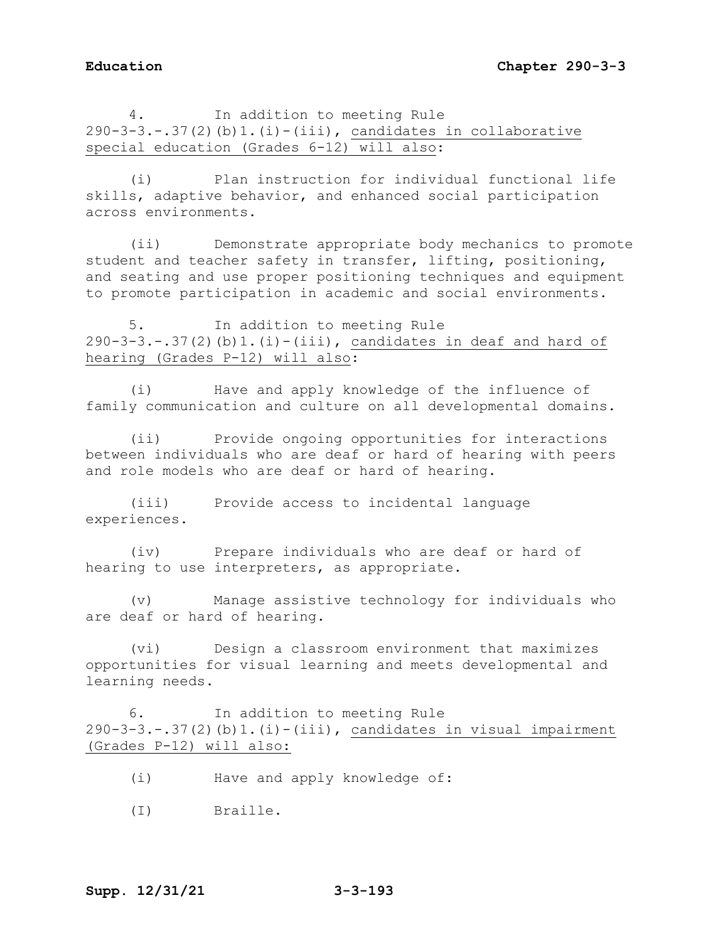4. In addition to meeting Rule  $290-3-3.-.37(2)(b)1.(i)-(iii)$ , candidates in collaborative special education (Grades 6-12) will also:

(i) Plan instruction for individual functional life skills, adaptive behavior, and enhanced social participation across environments.

(ii) Demonstrate appropriate body mechanics to promote student and teacher safety in transfer, lifting, positioning, and seating and use proper positioning techniques and equipment to promote participation in academic and social environments.

5. In addition to meeting Rule  $290-3-3--.37(2)$  (b)  $1.(i)-(iii)$ , candidates in deaf and hard of hearing (Grades P-12) will also:

(i) Have and apply knowledge of the influence of family communication and culture on all developmental domains.

(ii) Provide ongoing opportunities for interactions between individuals who are deaf or hard of hearing with peers and role models who are deaf or hard of hearing.

(iii) Provide access to incidental language experiences.

(iv) Prepare individuals who are deaf or hard of hearing to use interpreters, as appropriate.

(v) Manage assistive technology for individuals who are deaf or hard of hearing.

(vi) Design a classroom environment that maximizes opportunities for visual learning and meets developmental and learning needs.

6. In addition to meeting Rule 290-3-3.-.37(2)(b)1.(i)-(iii), candidates in visual impairment (Grades P-12) will also:

- (i) Have and apply knowledge of:
- (I) Braille.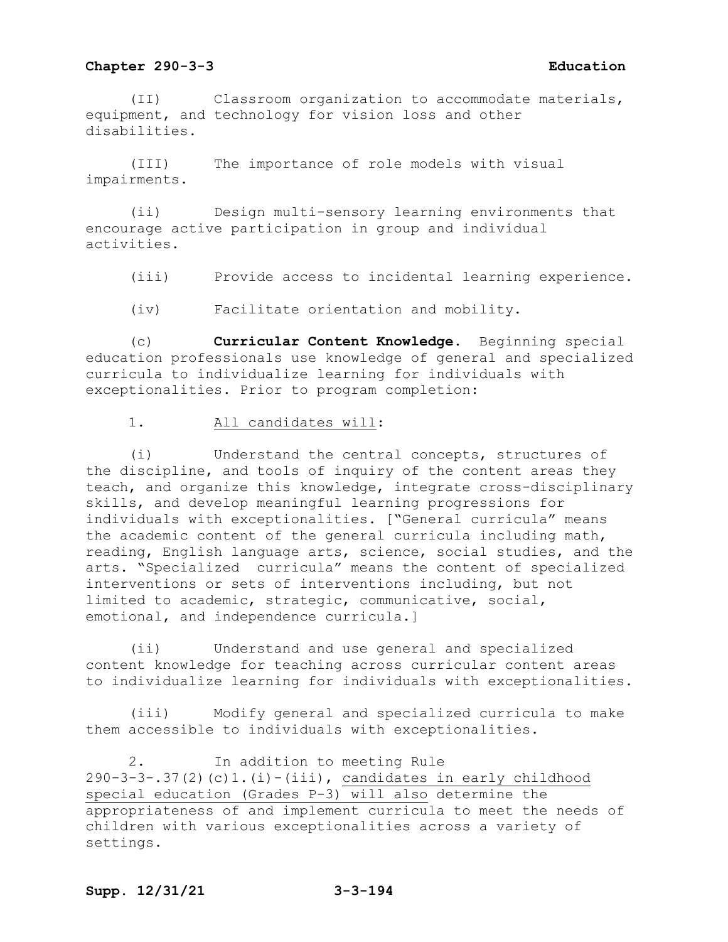(II) Classroom organization to accommodate materials, equipment, and technology for vision loss and other disabilities.

(III) The importance of role models with visual impairments.

(ii) Design multi-sensory learning environments that encourage active participation in group and individual activities.

(iii) Provide access to incidental learning experience.

(iv) Facilitate orientation and mobility.

(c) **Curricular Content Knowledge.** Beginning special education professionals use knowledge of general and specialized curricula to individualize learning for individuals with exceptionalities. Prior to program completion:

1. All candidates will:

(i) Understand the central concepts, structures of the discipline, and tools of inquiry of the content areas they teach, and organize this knowledge, integrate cross-disciplinary skills, and develop meaningful learning progressions for individuals with exceptionalities. ["General curricula" means the academic content of the general curricula including math, reading, English language arts, science, social studies, and the arts. "Specialized curricula" means the content of specialized interventions or sets of interventions including, but not limited to academic, strategic, communicative, social, emotional, and independence curricula.]

(ii) Understand and use general and specialized content knowledge for teaching across curricular content areas to individualize learning for individuals with exceptionalities.

(iii) Modify general and specialized curricula to make them accessible to individuals with exceptionalities.

2. In addition to meeting Rule 290-3-3-.37(2)(c)1.(i)-(iii), candidates in early childhood special education (Grades P-3) will also determine the appropriateness of and implement curricula to meet the needs of children with various exceptionalities across a variety of settings.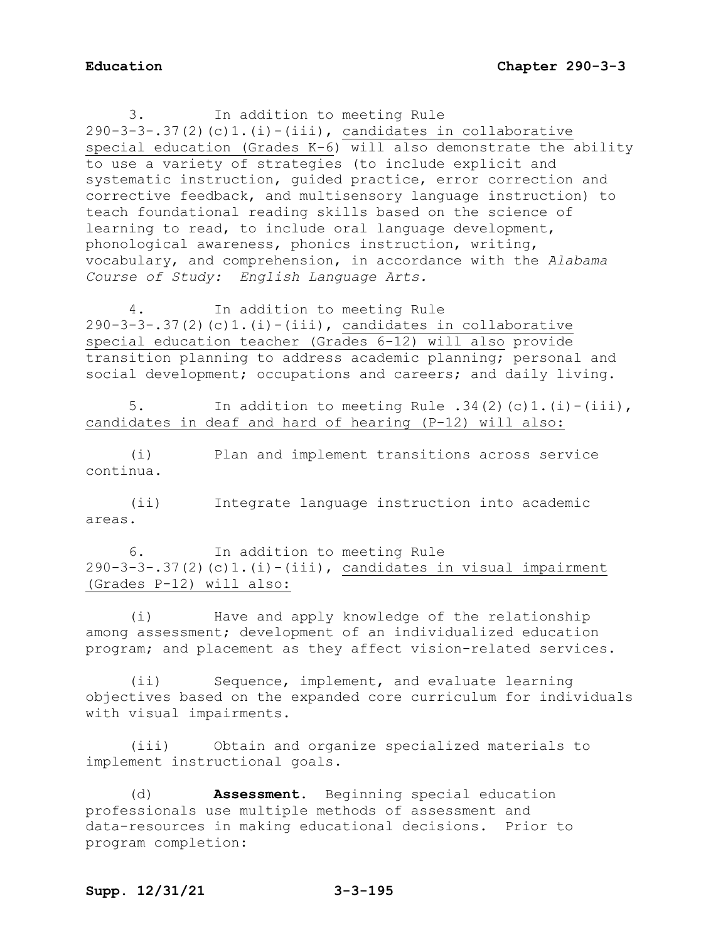3. In addition to meeting Rule  $290-3-3-.37(2)(c)1.(i)-(iii)$ , candidates in collaborative special education (Grades K-6) will also demonstrate the ability to use a variety of strategies (to include explicit and systematic instruction, guided practice, error correction and corrective feedback, and multisensory language instruction) to teach foundational reading skills based on the science of learning to read, to include oral language development, phonological awareness, phonics instruction, writing, vocabulary, and comprehension, in accordance with the *Alabama Course of Study: English Language Arts.*

4. In addition to meeting Rule  $290-3-3-.37(2)(c)1.(i)-(iii)$ , candidates in collaborative special education teacher (Grades 6-12) will also provide transition planning to address academic planning; personal and social development; occupations and careers; and daily living.

5. In addition to meeting Rule .34(2)(c)1.(i)-(iii), candidates in deaf and hard of hearing (P-12) will also:

(i) Plan and implement transitions across service continua.

(ii) Integrate language instruction into academic areas.

6. In addition to meeting Rule  $290-3-3-.37(2)(c)1.(i)-(iii)$ , candidates in visual impairment (Grades P-12) will also:

(i) Have and apply knowledge of the relationship among assessment; development of an individualized education program; and placement as they affect vision-related services.

(ii) Sequence, implement, and evaluate learning objectives based on the expanded core curriculum for individuals with visual impairments.

(iii) Obtain and organize specialized materials to implement instructional goals.

(d) **Assessment.** Beginning special education professionals use multiple methods of assessment and data-resources in making educational decisions. Prior to program completion: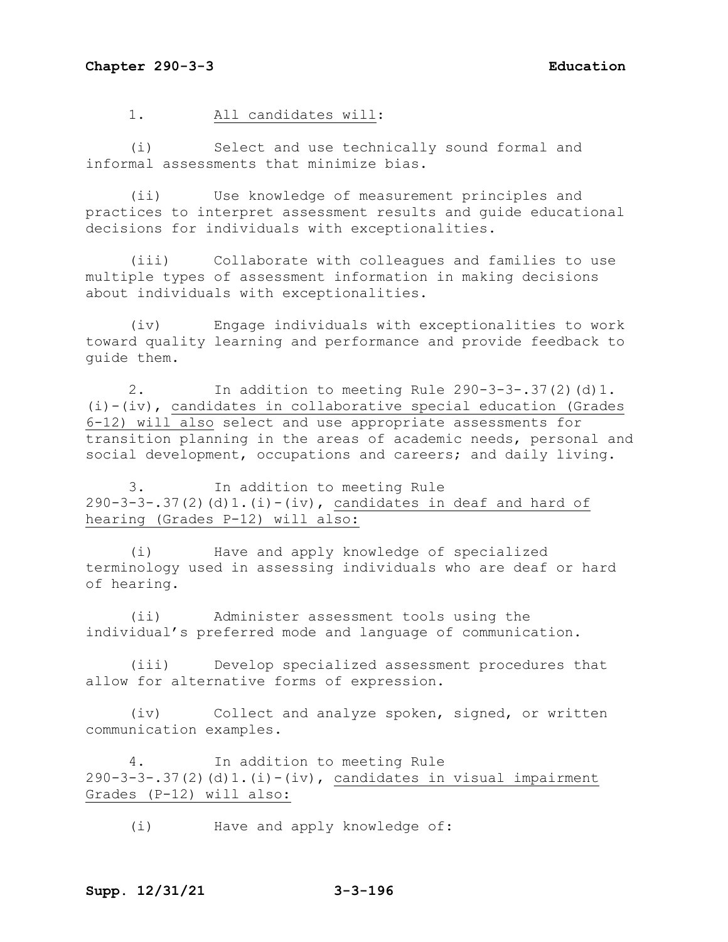1. All candidates will:

(i) Select and use technically sound formal and informal assessments that minimize bias.

(ii) Use knowledge of measurement principles and practices to interpret assessment results and guide educational decisions for individuals with exceptionalities.

(iii) Collaborate with colleagues and families to use multiple types of assessment information in making decisions about individuals with exceptionalities.

(iv) Engage individuals with exceptionalities to work toward quality learning and performance and provide feedback to guide them.

2. In addition to meeting Rule 290-3-3-.37(2)(d)1. (i)-(iv), candidates in collaborative special education (Grades 6-12) will also select and use appropriate assessments for transition planning in the areas of academic needs, personal and social development, occupations and careers; and daily living.

3. In addition to meeting Rule 290-3-3-.37(2)(d)1.(i)-(iv), candidates in deaf and hard of hearing (Grades P-12) will also:

(i) Have and apply knowledge of specialized terminology used in assessing individuals who are deaf or hard of hearing.

(ii) Administer assessment tools using the individual's preferred mode and language of communication.

(iii) Develop specialized assessment procedures that allow for alternative forms of expression.

(iv) Collect and analyze spoken, signed, or written communication examples.

4. In addition to meeting Rule  $290-3-3-.37(2)$  (d)1.(i)-(iv), candidates in visual impairment Grades (P-12) will also:

(i) Have and apply knowledge of: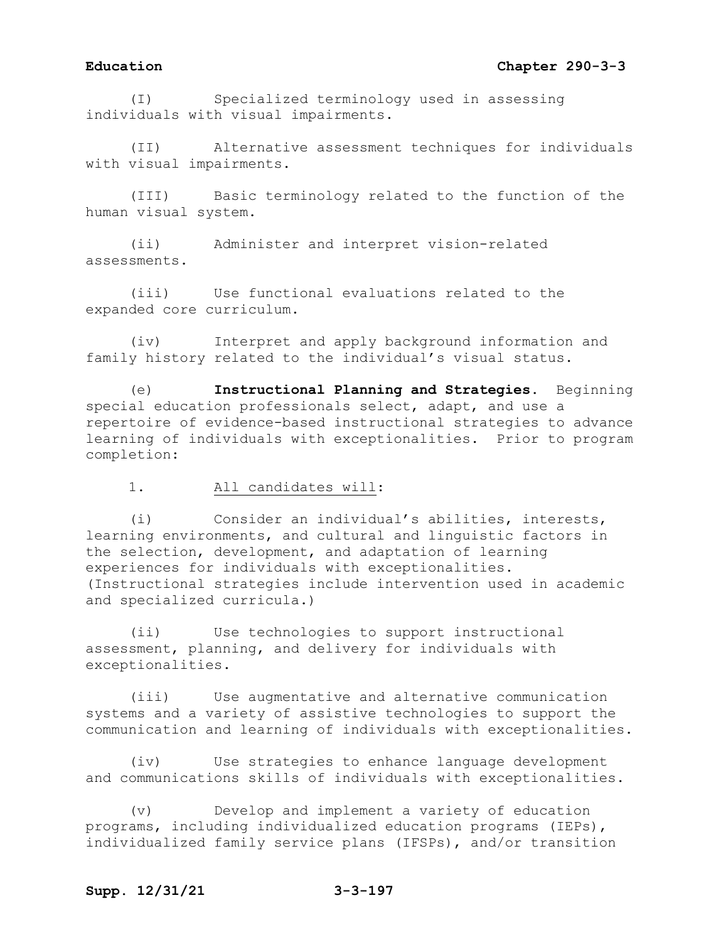# **Education Chapter 290-3-3**

(I) Specialized terminology used in assessing individuals with visual impairments.

(II) Alternative assessment techniques for individuals with visual impairments.

(III) Basic terminology related to the function of the human visual system.

(ii) Administer and interpret vision-related assessments.

(iii) Use functional evaluations related to the expanded core curriculum.

(iv) Interpret and apply background information and family history related to the individual's visual status.

(e) **Instructional Planning and Strategies.** Beginning special education professionals select, adapt, and use a repertoire of evidence-based instructional strategies to advance learning of individuals with exceptionalities. Prior to program completion:

### 1. All candidates will:

(i) Consider an individual's abilities, interests, learning environments, and cultural and linguistic factors in the selection, development, and adaptation of learning experiences for individuals with exceptionalities. (Instructional strategies include intervention used in academic and specialized curricula.)

(ii) Use technologies to support instructional assessment, planning, and delivery for individuals with exceptionalities.

(iii) Use augmentative and alternative communication systems and a variety of assistive technologies to support the communication and learning of individuals with exceptionalities.

(iv) Use strategies to enhance language development and communications skills of individuals with exceptionalities.

(v) Develop and implement a variety of education programs, including individualized education programs (IEPs), individualized family service plans (IFSPs), and/or transition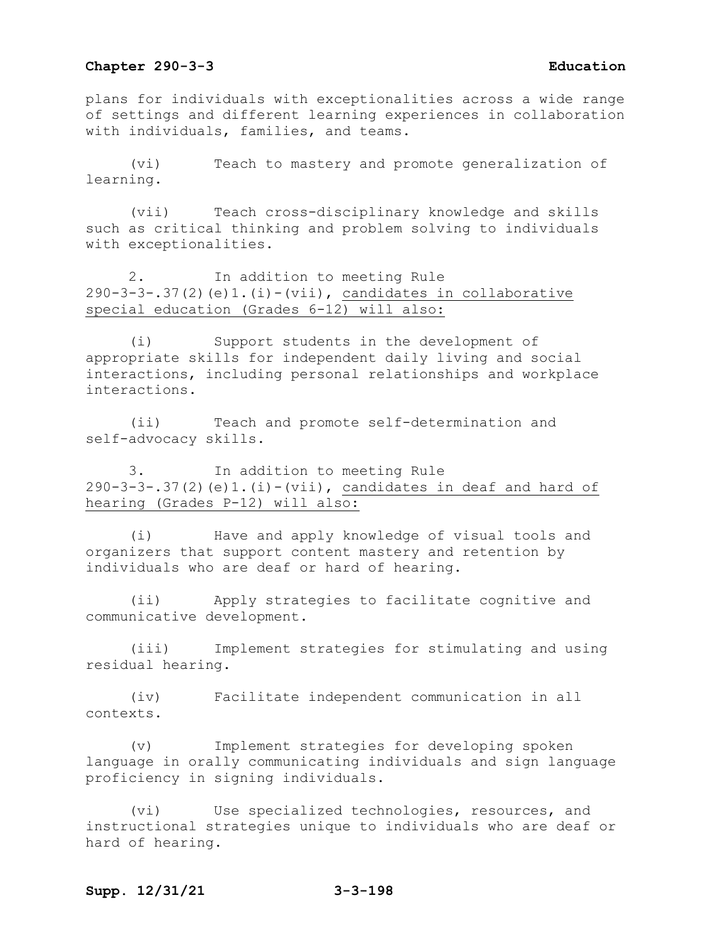plans for individuals with exceptionalities across a wide range of settings and different learning experiences in collaboration with individuals, families, and teams.

(vi) Teach to mastery and promote generalization of learning.

(vii) Teach cross-disciplinary knowledge and skills such as critical thinking and problem solving to individuals with exceptionalities.

2. In addition to meeting Rule  $290-3-3-37(2)$  (e)1.(i)-(vii), candidates in collaborative special education (Grades 6-12) will also:

(i) Support students in the development of appropriate skills for independent daily living and social interactions, including personal relationships and workplace interactions.

(ii) Teach and promote self-determination and self-advocacy skills.

3. In addition to meeting Rule 290-3-3-.37(2)(e)1.(i)-(vii), candidates in deaf and hard of hearing (Grades P-12) will also:

(i) Have and apply knowledge of visual tools and organizers that support content mastery and retention by individuals who are deaf or hard of hearing.

(ii) Apply strategies to facilitate cognitive and communicative development.

(iii) Implement strategies for stimulating and using residual hearing.

(iv) Facilitate independent communication in all contexts.

(v) Implement strategies for developing spoken language in orally communicating individuals and sign language proficiency in signing individuals.

(vi) Use specialized technologies, resources, and instructional strategies unique to individuals who are deaf or hard of hearing.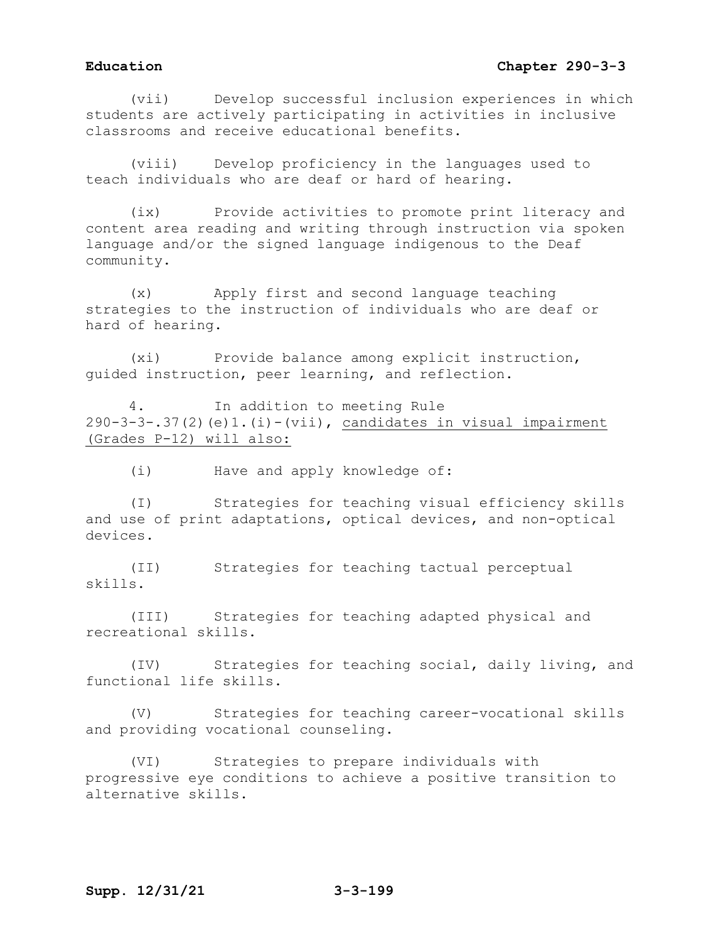## **Education Chapter 290-3-3**

(vii) Develop successful inclusion experiences in which students are actively participating in activities in inclusive classrooms and receive educational benefits.

(viii) Develop proficiency in the languages used to teach individuals who are deaf or hard of hearing.

(ix) Provide activities to promote print literacy and content area reading and writing through instruction via spoken language and/or the signed language indigenous to the Deaf community.

(x) Apply first and second language teaching strategies to the instruction of individuals who are deaf or hard of hearing.

(xi) Provide balance among explicit instruction, guided instruction, peer learning, and reflection.

4. In addition to meeting Rule  $290-3-3-.37(2)$  (e)1.(i)-(vii), candidates in visual impairment (Grades P-12) will also:

(i) Have and apply knowledge of:

(I) Strategies for teaching visual efficiency skills and use of print adaptations, optical devices, and non-optical devices.

(II) Strategies for teaching tactual perceptual skills.

(III) Strategies for teaching adapted physical and recreational skills.

(IV) Strategies for teaching social, daily living, and functional life skills.

(V) Strategies for teaching career-vocational skills and providing vocational counseling.

(VI) Strategies to prepare individuals with progressive eye conditions to achieve a positive transition to alternative skills.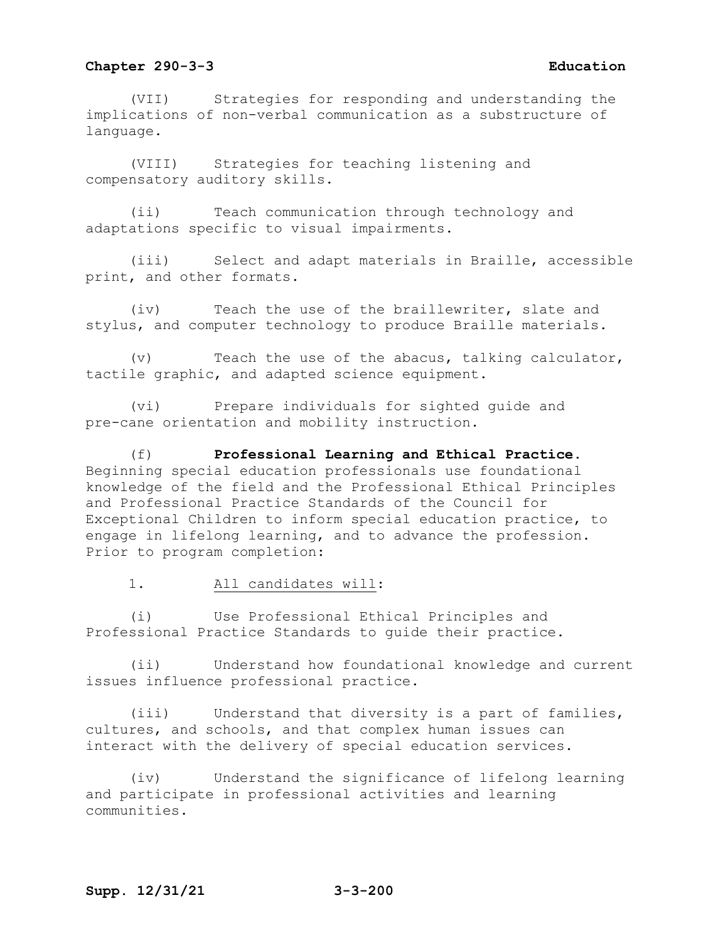(VII) Strategies for responding and understanding the implications of non-verbal communication as a substructure of language.

(VIII) Strategies for teaching listening and compensatory auditory skills.

(ii) Teach communication through technology and adaptations specific to visual impairments.

(iii) Select and adapt materials in Braille, accessible print, and other formats.

(iv) Teach the use of the braillewriter, slate and stylus, and computer technology to produce Braille materials.

(v) Teach the use of the abacus, talking calculator, tactile graphic, and adapted science equipment.

(vi) Prepare individuals for sighted guide and pre-cane orientation and mobility instruction.

(f) **Professional Learning and Ethical Practice.**  Beginning special education professionals use foundational knowledge of the field and the Professional Ethical Principles and Professional Practice Standards of the Council for Exceptional Children to inform special education practice, to engage in lifelong learning, and to advance the profession. Prior to program completion:

1. All candidates will:

(i) Use Professional Ethical Principles and Professional Practice Standards to guide their practice.

(ii) Understand how foundational knowledge and current issues influence professional practice.

(iii) Understand that diversity is a part of families, cultures, and schools, and that complex human issues can interact with the delivery of special education services.

(iv) Understand the significance of lifelong learning and participate in professional activities and learning communities.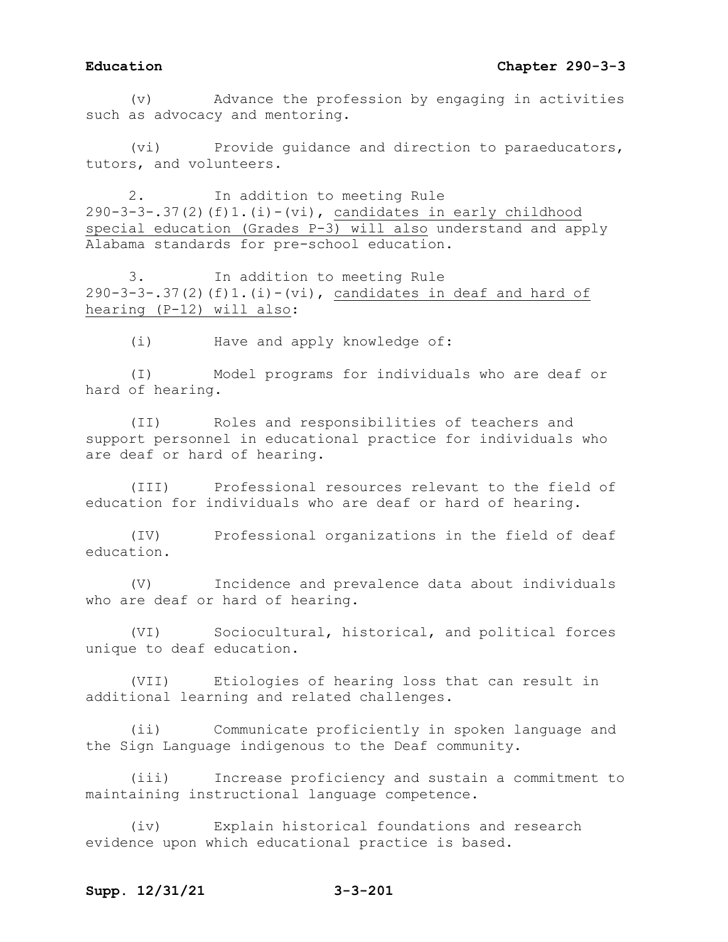(v) Advance the profession by engaging in activities such as advocacy and mentoring.

(vi) Provide guidance and direction to paraeducators, tutors, and volunteers.

2. In addition to meeting Rule  $290-3-3-.37(2)(f)1.(i)-(vi)$ , candidates in early childhood special education (Grades P-3) will also understand and apply Alabama standards for pre-school education.

3. In addition to meeting Rule 290-3-3-.37(2)(f)1.(i)-(vi), candidates in deaf and hard of hearing (P-12) will also:

(i) Have and apply knowledge of:

(I) Model programs for individuals who are deaf or hard of hearing.

(II) Roles and responsibilities of teachers and support personnel in educational practice for individuals who are deaf or hard of hearing.

(III) Professional resources relevant to the field of education for individuals who are deaf or hard of hearing.

(IV) Professional organizations in the field of deaf education.

(V) Incidence and prevalence data about individuals who are deaf or hard of hearing.

(VI) Sociocultural, historical, and political forces unique to deaf education.

(VII) Etiologies of hearing loss that can result in additional learning and related challenges.

(ii) Communicate proficiently in spoken language and the Sign Language indigenous to the Deaf community.

(iii) Increase proficiency and sustain a commitment to maintaining instructional language competence.

(iv) Explain historical foundations and research evidence upon which educational practice is based.

## **Supp. 12/31/21 3-3-201**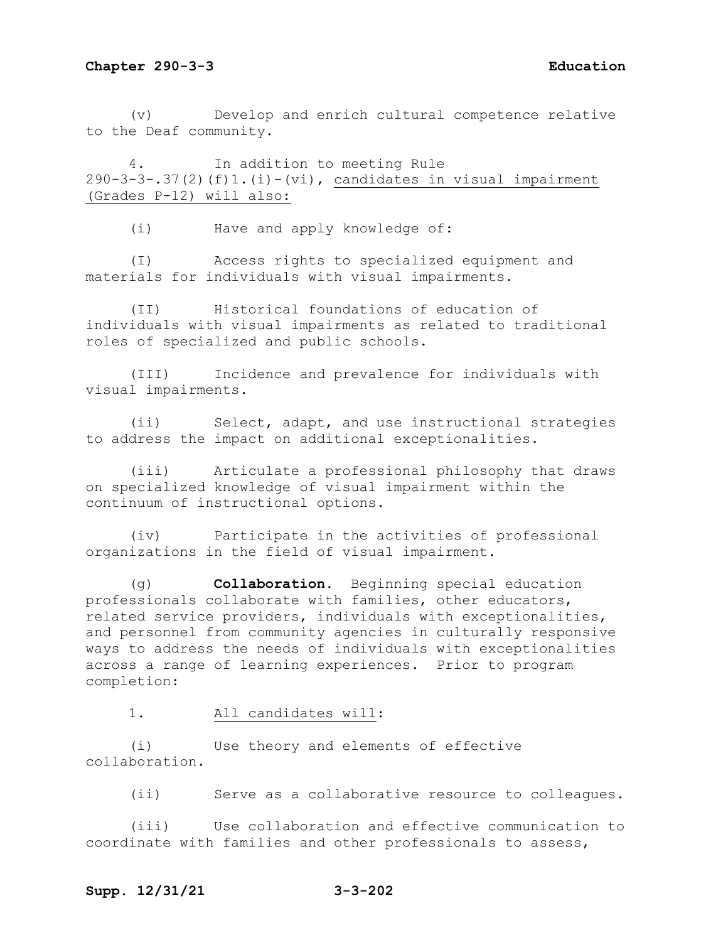(v) Develop and enrich cultural competence relative to the Deaf community.

4. In addition to meeting Rule  $290-3-3-.37(2)$  (f)1.(i)-(vi), candidates in visual impairment (Grades P-12) will also:

(i) Have and apply knowledge of:

(I) Access rights to specialized equipment and materials for individuals with visual impairments.

(II) Historical foundations of education of individuals with visual impairments as related to traditional roles of specialized and public schools.

(III) Incidence and prevalence for individuals with visual impairments.

(ii) Select, adapt, and use instructional strategies to address the impact on additional exceptionalities.

(iii) Articulate a professional philosophy that draws on specialized knowledge of visual impairment within the continuum of instructional options.

(iv) Participate in the activities of professional organizations in the field of visual impairment.

(g) **Collaboration.** Beginning special education professionals collaborate with families, other educators, related service providers, individuals with exceptionalities, and personnel from community agencies in culturally responsive ways to address the needs of individuals with exceptionalities across a range of learning experiences. Prior to program completion:

1. All candidates will:

(i) Use theory and elements of effective collaboration.

(ii) Serve as a collaborative resource to colleagues.

(iii) Use collaboration and effective communication to coordinate with families and other professionals to assess,

## **Supp. 12/31/21 3-3-202**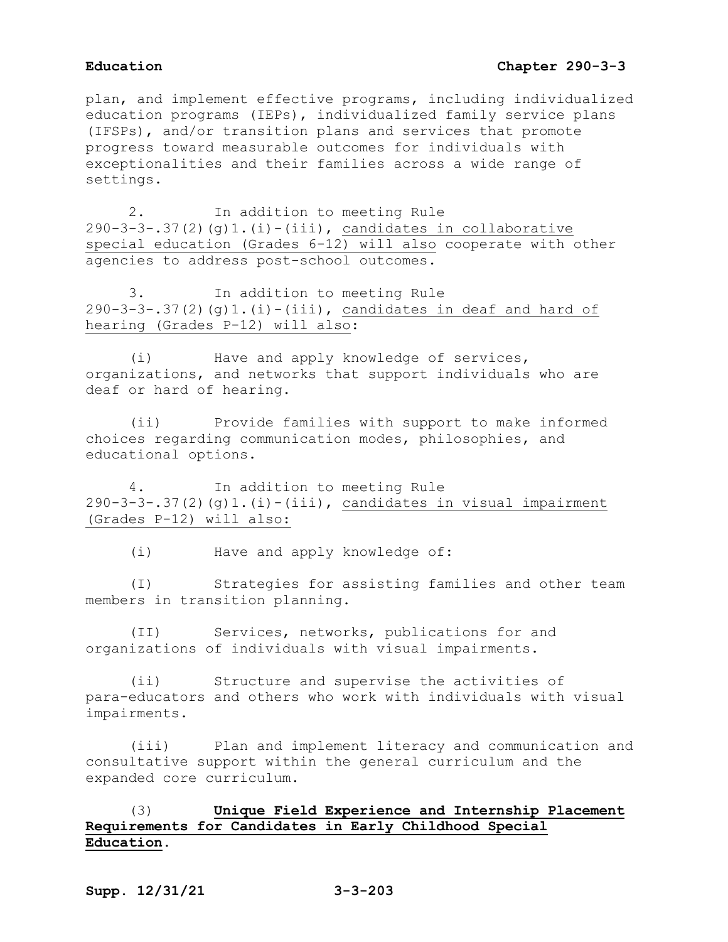plan, and implement effective programs, including individualized education programs (IEPs), individualized family service plans (IFSPs), and/or transition plans and services that promote progress toward measurable outcomes for individuals with exceptionalities and their families across a wide range of settings.

2. In addition to meeting Rule  $290-3-3-.37(2)(g)1.(i)-(iii)$ , candidates in collaborative special education (Grades 6-12) will also cooperate with other agencies to address post-school outcomes.

3. In addition to meeting Rule  $290-3-3-.37(2)(q)1.(i)-(iii)$ , candidates in deaf and hard of hearing (Grades P-12) will also:

(i) Have and apply knowledge of services, organizations, and networks that support individuals who are deaf or hard of hearing.

(ii) Provide families with support to make informed choices regarding communication modes, philosophies, and educational options.

4. In addition to meeting Rule  $290-3-3-.37(2)(q)1.(i)-(iii)$ , candidates in visual impairment (Grades P-12) will also:

(i) Have and apply knowledge of:

(I) Strategies for assisting families and other team members in transition planning.

(II) Services, networks, publications for and organizations of individuals with visual impairments.

(ii) Structure and supervise the activities of para-educators and others who work with individuals with visual impairments.

(iii) Plan and implement literacy and communication and consultative support within the general curriculum and the expanded core curriculum.

# (3) **Unique Field Experience and Internship Placement Requirements for Candidates in Early Childhood Special Education.**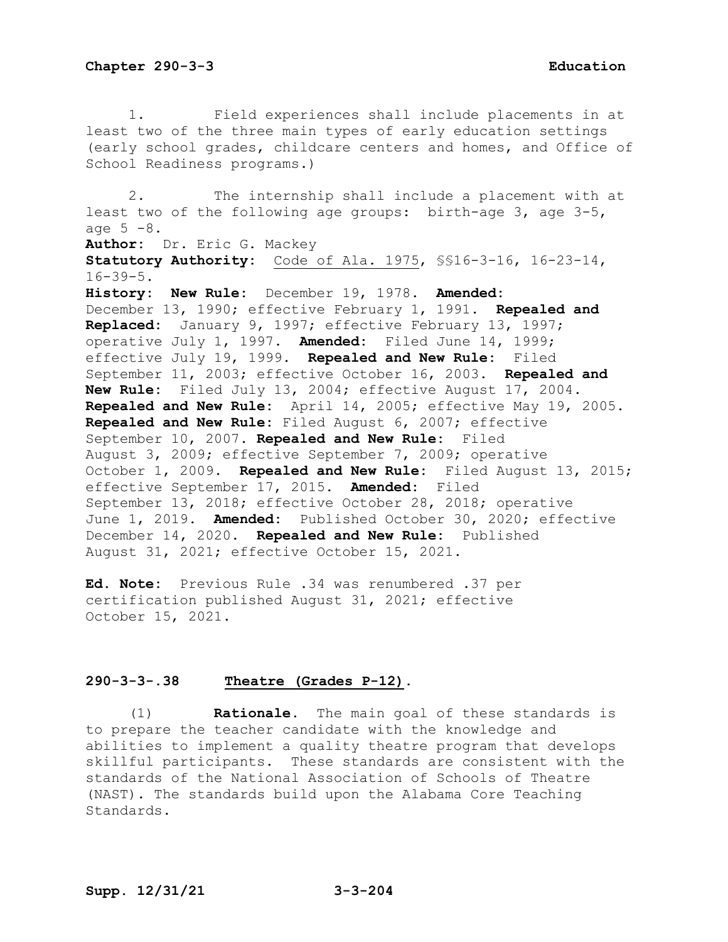1. Field experiences shall include placements in at least two of the three main types of early education settings (early school grades, childcare centers and homes, and Office of School Readiness programs.) 2. The internship shall include a placement with at least two of the following age groups: birth-age 3, age 3-5, age  $5 - 8$ . **Author:** Dr. Eric G. Mackey **Statutory Authority:** Code of Ala. 1975, §§16-3-16, 16-23-14,  $16 - 39 - 5$ . **History: New Rule:** December 19, 1978. **Amended:** December 13, 1990; effective February 1, 1991. **Repealed and Replaced:** January 9, 1997; effective February 13, 1997; operative July 1, 1997. **Amended:** Filed June 14, 1999; effective July 19, 1999. **Repealed and New Rule:** Filed September 11, 2003; effective October 16, 2003. **Repealed and New Rule:** Filed July 13, 2004; effective August 17, 2004. **Repealed and New Rule:** April 14, 2005; effective May 19, 2005. **Repealed and New Rule:** Filed August 6, 2007; effective September 10, 2007. **Repealed and New Rule:** Filed August 3, 2009; effective September 7, 2009; operative October 1, 2009. **Repealed and New Rule:** Filed August 13, 2015; effective September 17, 2015. **Amended:** Filed September 13, 2018; effective October 28, 2018; operative June 1, 2019. **Amended:** Published October 30, 2020; effective December 14, 2020. **Repealed and New Rule:** Published August 31, 2021; effective October 15, 2021.

**Ed. Note:** Previous Rule .34 was renumbered .37 per certification published August 31, 2021; effective October 15, 2021.

## **290-3-3-.38 Theatre (Grades P-12).**

(1) **Rationale.** The main goal of these standards is to prepare the teacher candidate with the knowledge and abilities to implement a quality theatre program that develops skillful participants. These standards are consistent with the standards of the National Association of Schools of Theatre (NAST). The standards build upon the Alabama Core Teaching Standards.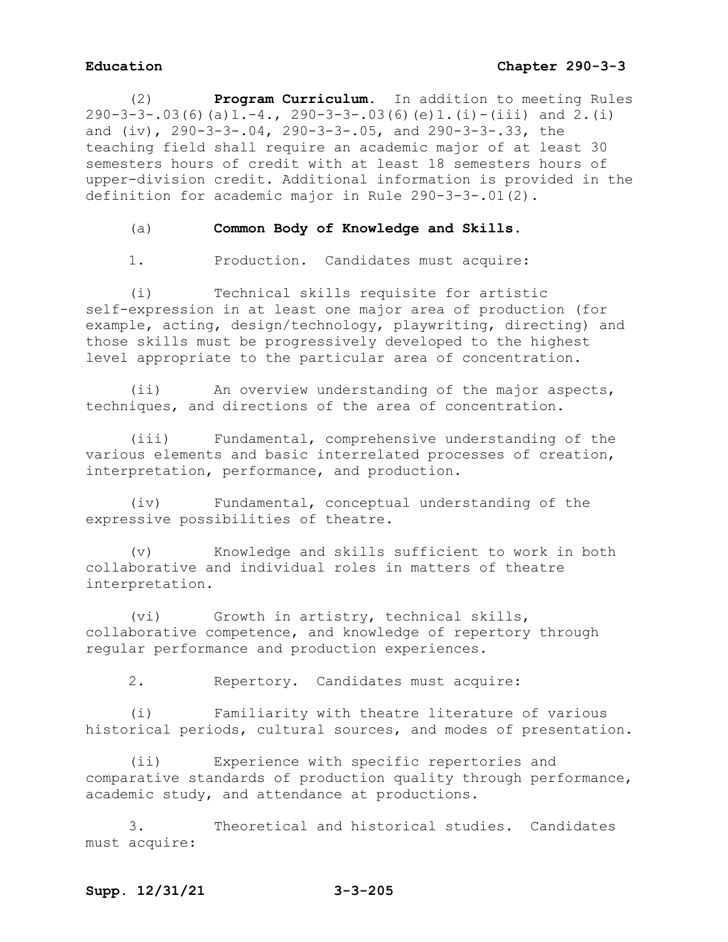(2) **Program Curriculum.** In addition to meeting Rules  $290-3-3-.03(6)(a)1.-4.$ ,  $290-3-3-.03(6)(e)1.(i)-(iii)$  and  $2.(i)$ and (iv), 290-3-3-.04, 290-3-3-.05, and 290-3-3-.33, the teaching field shall require an academic major of at least 30 semesters hours of credit with at least 18 semesters hours of upper-division credit. Additional information is provided in the definition for academic major in Rule 290-3-3-.01(2).

(a) **Common Body of Knowledge and Skills.**

1. Production. Candidates must acquire:

(i) Technical skills requisite for artistic self-expression in at least one major area of production (for example, acting, design/technology, playwriting, directing) and those skills must be progressively developed to the highest level appropriate to the particular area of concentration.

(ii) An overview understanding of the major aspects, techniques, and directions of the area of concentration.

(iii) Fundamental, comprehensive understanding of the various elements and basic interrelated processes of creation, interpretation, performance, and production.

(iv) Fundamental, conceptual understanding of the expressive possibilities of theatre.

(v) Knowledge and skills sufficient to work in both collaborative and individual roles in matters of theatre interpretation.

(vi) Growth in artistry, technical skills, collaborative competence, and knowledge of repertory through regular performance and production experiences.

2. Repertory. Candidates must acquire:

(i) Familiarity with theatre literature of various historical periods, cultural sources, and modes of presentation.

(ii) Experience with specific repertories and comparative standards of production quality through performance, academic study, and attendance at productions.

3. Theoretical and historical studies. Candidates must acquire: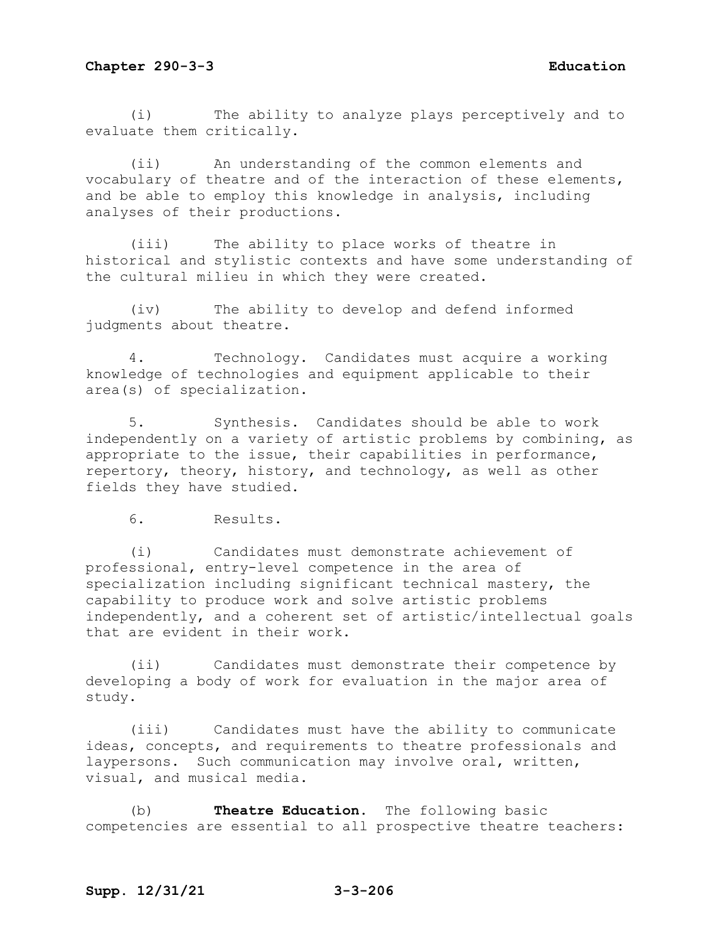(i) The ability to analyze plays perceptively and to evaluate them critically.

(ii) An understanding of the common elements and vocabulary of theatre and of the interaction of these elements, and be able to employ this knowledge in analysis, including analyses of their productions.

(iii) The ability to place works of theatre in historical and stylistic contexts and have some understanding of the cultural milieu in which they were created.

(iv) The ability to develop and defend informed judgments about theatre.

4. Technology. Candidates must acquire a working knowledge of technologies and equipment applicable to their area(s) of specialization.

5. Synthesis. Candidates should be able to work independently on a variety of artistic problems by combining, as appropriate to the issue, their capabilities in performance, repertory, theory, history, and technology, as well as other fields they have studied.

6. Results.

(i) Candidates must demonstrate achievement of professional, entry-level competence in the area of specialization including significant technical mastery, the capability to produce work and solve artistic problems independently, and a coherent set of artistic/intellectual goals that are evident in their work.

(ii) Candidates must demonstrate their competence by developing a body of work for evaluation in the major area of study.

(iii) Candidates must have the ability to communicate ideas, concepts, and requirements to theatre professionals and laypersons. Such communication may involve oral, written, visual, and musical media.

(b) **Theatre Education.** The following basic competencies are essential to all prospective theatre teachers: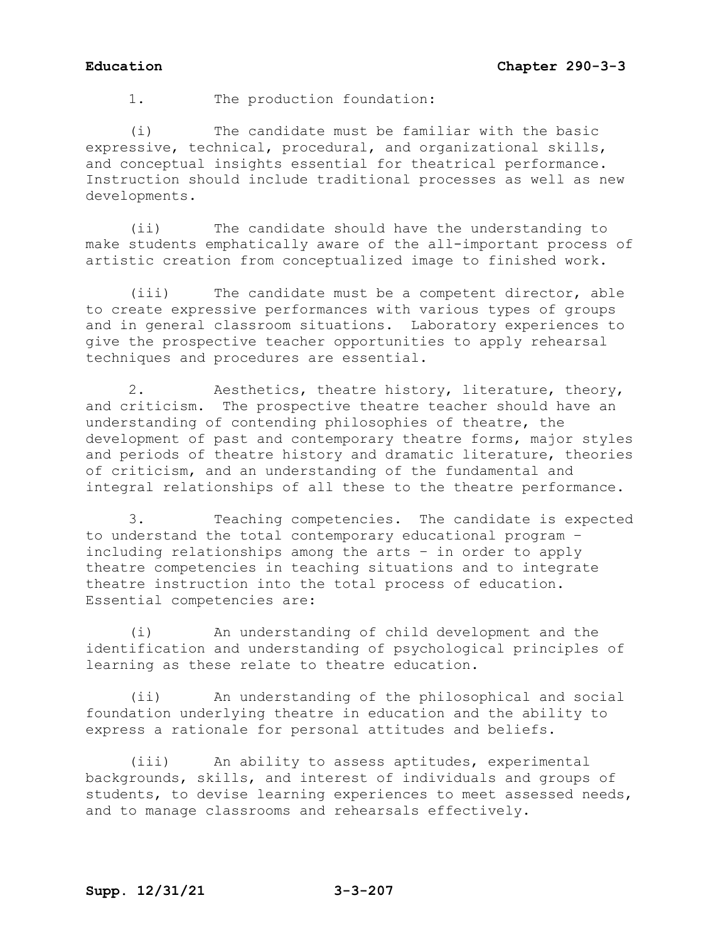1. The production foundation:

(i) The candidate must be familiar with the basic expressive, technical, procedural, and organizational skills, and conceptual insights essential for theatrical performance. Instruction should include traditional processes as well as new developments.

(ii) The candidate should have the understanding to make students emphatically aware of the all-important process of artistic creation from conceptualized image to finished work.

(iii) The candidate must be a competent director, able to create expressive performances with various types of groups and in general classroom situations. Laboratory experiences to give the prospective teacher opportunities to apply rehearsal techniques and procedures are essential.

2. Aesthetics, theatre history, literature, theory, and criticism. The prospective theatre teacher should have an understanding of contending philosophies of theatre, the development of past and contemporary theatre forms, major styles and periods of theatre history and dramatic literature, theories of criticism, and an understanding of the fundamental and integral relationships of all these to the theatre performance.

3. Teaching competencies. The candidate is expected to understand the total contemporary educational program – including relationships among the arts – in order to apply theatre competencies in teaching situations and to integrate theatre instruction into the total process of education. Essential competencies are:

(i) An understanding of child development and the identification and understanding of psychological principles of learning as these relate to theatre education.

(ii) An understanding of the philosophical and social foundation underlying theatre in education and the ability to express a rationale for personal attitudes and beliefs.

(iii) An ability to assess aptitudes, experimental backgrounds, skills, and interest of individuals and groups of students, to devise learning experiences to meet assessed needs, and to manage classrooms and rehearsals effectively.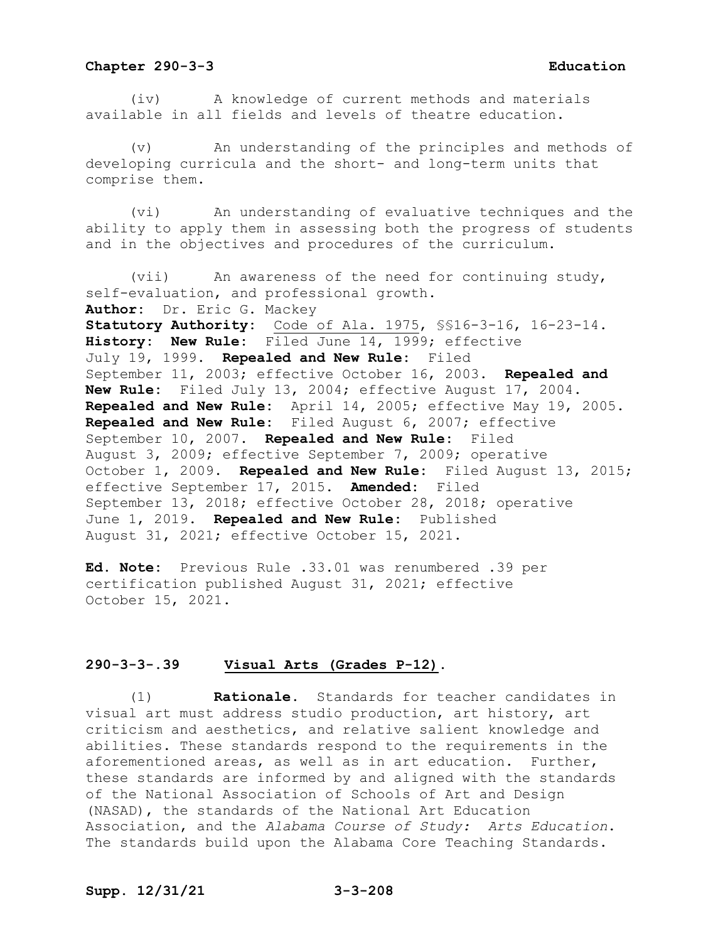(iv) A knowledge of current methods and materials available in all fields and levels of theatre education.

An understanding of the principles and methods of developing curricula and the short- and long-term units that comprise them.

(vi) An understanding of evaluative techniques and the ability to apply them in assessing both the progress of students and in the objectives and procedures of the curriculum.

(vii) An awareness of the need for continuing study, self-evaluation, and professional growth. **Author:** Dr. Eric G. Mackey **Statutory Authority:** Code of Ala. 1975, §§16-3-16, 16-23-14. **History: New Rule:** Filed June 14, 1999; effective July 19, 1999. **Repealed and New Rule:** Filed September 11, 2003; effective October 16, 2003. **Repealed and New Rule:** Filed July 13, 2004; effective August 17, 2004. **Repealed and New Rule:** April 14, 2005; effective May 19, 2005. **Repealed and New Rule:** Filed August 6, 2007; effective September 10, 2007. **Repealed and New Rule:** Filed August 3, 2009; effective September 7, 2009; operative October 1, 2009. **Repealed and New Rule:** Filed August 13, 2015; effective September 17, 2015. **Amended:** Filed September 13, 2018; effective October 28, 2018; operative June 1, 2019. **Repealed and New Rule:** Published August 31, 2021; effective October 15, 2021.

**Ed. Note:** Previous Rule .33.01 was renumbered .39 per certification published August 31, 2021; effective October 15, 2021.

### **290-3-3-.39 Visual Arts (Grades P-12).**

(1) **Rationale.** Standards for teacher candidates in visual art must address studio production, art history, art criticism and aesthetics, and relative salient knowledge and abilities. These standards respond to the requirements in the aforementioned areas, as well as in art education. Further, these standards are informed by and aligned with the standards of the National Association of Schools of Art and Design (NASAD), the standards of the National Art Education Association, and the *Alabama Course of Study: Arts Education*. The standards build upon the Alabama Core Teaching Standards.

# **Supp. 12/31/21 3-3-208**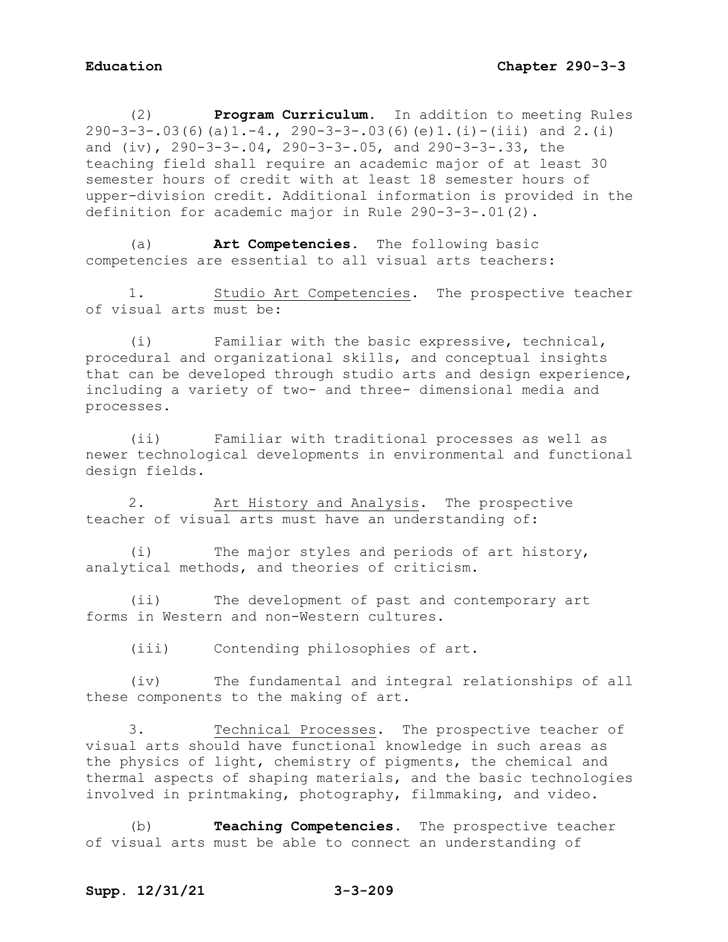(2) **Program Curriculum**. In addition to meeting Rules 290-3-3-.03(6)(a)1.-4., 290-3-3-.03(6)(e)1.(i)-(iii) and 2.(i) and (iv), 290-3-3-.04, 290-3-3-.05, and 290-3-3-.33, the teaching field shall require an academic major of at least 30 semester hours of credit with at least 18 semester hours of upper-division credit. Additional information is provided in the definition for academic major in Rule 290-3-3-.01(2).

(a) **Art Competencies**. The following basic competencies are essential to all visual arts teachers:

1. Studio Art Competencies. The prospective teacher of visual arts must be:

(i) Familiar with the basic expressive, technical, procedural and organizational skills, and conceptual insights that can be developed through studio arts and design experience, including a variety of two- and three- dimensional media and processes.

(ii) Familiar with traditional processes as well as newer technological developments in environmental and functional design fields.

2. Art History and Analysis. The prospective teacher of visual arts must have an understanding of:

(i) The major styles and periods of art history, analytical methods, and theories of criticism.

(ii) The development of past and contemporary art forms in Western and non-Western cultures.

(iii) Contending philosophies of art.

(iv) The fundamental and integral relationships of all these components to the making of art.

3. Technical Processes. The prospective teacher of visual arts should have functional knowledge in such areas as the physics of light, chemistry of pigments, the chemical and thermal aspects of shaping materials, and the basic technologies involved in printmaking, photography, filmmaking, and video.

(b) **Teaching Competencies.** The prospective teacher of visual arts must be able to connect an understanding of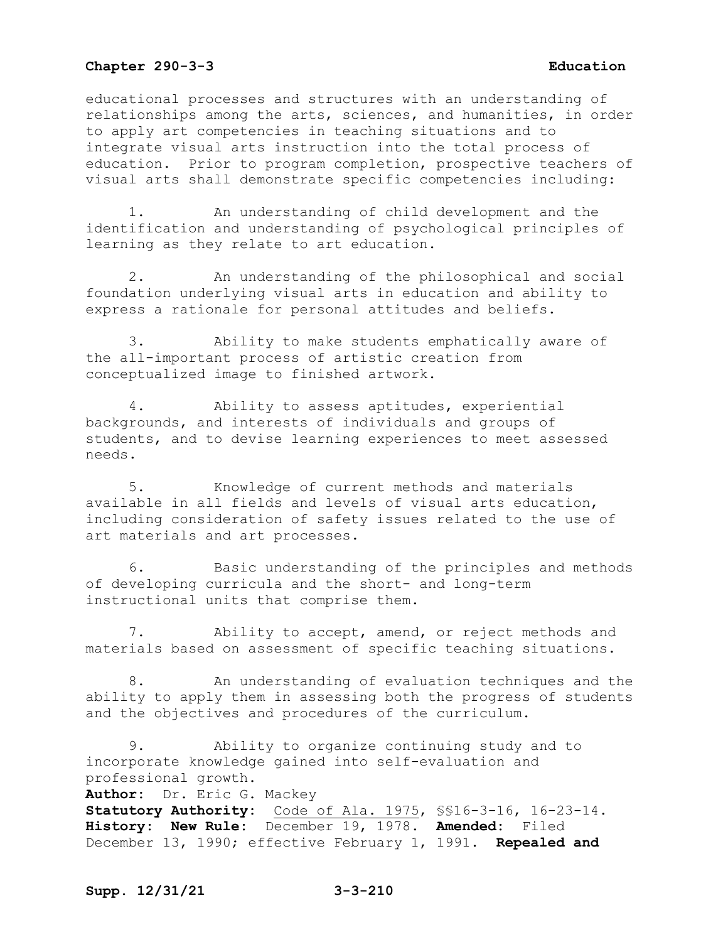educational processes and structures with an understanding of relationships among the arts, sciences, and humanities, in order to apply art competencies in teaching situations and to integrate visual arts instruction into the total process of education. Prior to program completion, prospective teachers of visual arts shall demonstrate specific competencies including:

1. An understanding of child development and the identification and understanding of psychological principles of learning as they relate to art education.

2. An understanding of the philosophical and social foundation underlying visual arts in education and ability to express a rationale for personal attitudes and beliefs.

3. Ability to make students emphatically aware of the all-important process of artistic creation from conceptualized image to finished artwork.

4. Ability to assess aptitudes, experiential backgrounds, and interests of individuals and groups of students, and to devise learning experiences to meet assessed needs.

5. Knowledge of current methods and materials available in all fields and levels of visual arts education, including consideration of safety issues related to the use of art materials and art processes.

6. Basic understanding of the principles and methods of developing curricula and the short- and long-term instructional units that comprise them.

7. Ability to accept, amend, or reject methods and materials based on assessment of specific teaching situations.

8. An understanding of evaluation techniques and the ability to apply them in assessing both the progress of students and the objectives and procedures of the curriculum.

9. Ability to organize continuing study and to incorporate knowledge gained into self-evaluation and professional growth. **Author:** Dr. Eric G. Mackey **Statutory Authority:** Code of Ala. 1975, §§16-3-16, 16-23-14. **History: New Rule:** December 19, 1978. **Amended:** Filed December 13, 1990; effective February 1, 1991. **Repealed and**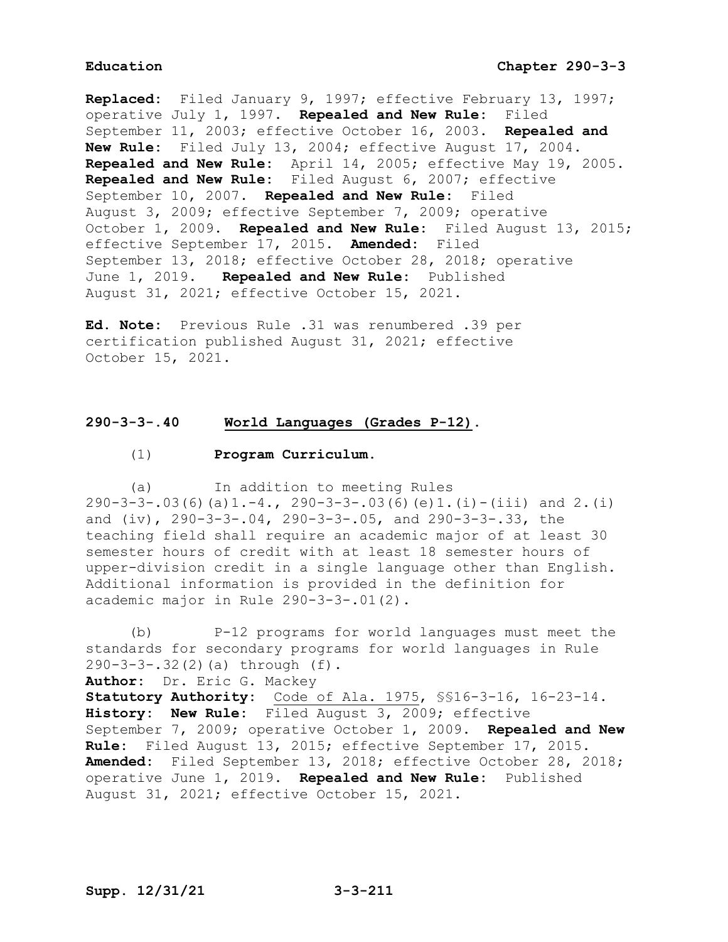**Replaced:** Filed January 9, 1997; effective February 13, 1997; operative July 1, 1997. **Repealed and New Rule:** Filed September 11, 2003; effective October 16, 2003. **Repealed and New Rule:** Filed July 13, 2004; effective August 17, 2004. **Repealed and New Rule:** April 14, 2005; effective May 19, 2005. **Repealed and New Rule:** Filed August 6, 2007; effective September 10, 2007. **Repealed and New Rule:** Filed August 3, 2009; effective September 7, 2009; operative October 1, 2009. **Repealed and New Rule:** Filed August 13, 2015; effective September 17, 2015. **Amended:** Filed September 13, 2018; effective October 28, 2018; operative June 1, 2019. **Repealed and New Rule:** Published August 31, 2021; effective October 15, 2021.

**Ed. Note:** Previous Rule .31 was renumbered .39 per certification published August 31, 2021; effective October 15, 2021.

### **290-3-3-.40 World Languages (Grades P-12).**

### (1) **Program Curriculum.**

(a) In addition to meeting Rules  $290-3-3-.03(6)(a)1.-4., 290-3-3-.03(6)(e)1.(i)-(iii) and 2.(i)$ and (iv), 290-3-3-.04, 290-3-3-.05, and 290-3-3-.33, the teaching field shall require an academic major of at least 30 semester hours of credit with at least 18 semester hours of upper-division credit in a single language other than English. Additional information is provided in the definition for academic major in Rule 290-3-3-.01(2).

(b) P-12 programs for world languages must meet the standards for secondary programs for world languages in Rule 290-3-3-.32(2)(a) through (f). **Author:** Dr. Eric G. Mackey **Statutory Authority:** Code of Ala. 1975, §§16-3-16, 16-23-14. **History: New Rule:** Filed August 3, 2009; effective September 7, 2009; operative October 1, 2009. **Repealed and New Rule:** Filed August 13, 2015; effective September 17, 2015. **Amended:** Filed September 13, 2018; effective October 28, 2018; operative June 1, 2019. **Repealed and New Rule:** Published August 31, 2021; effective October 15, 2021.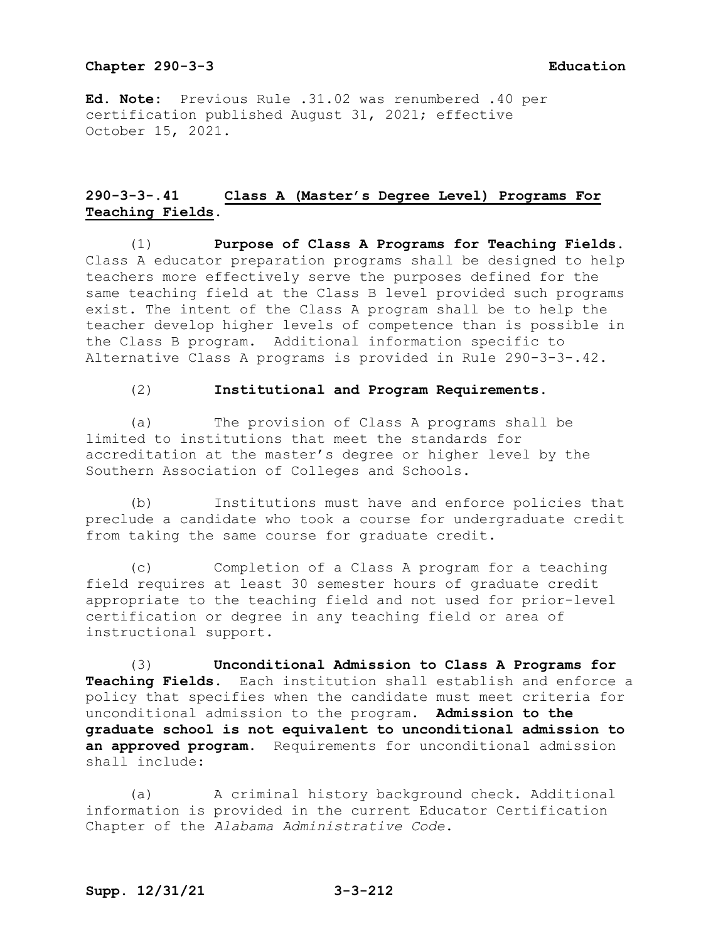**Ed. Note:** Previous Rule .31.02 was renumbered .40 per certification published August 31, 2021; effective October 15, 2021.

# **290-3-3-.41 Class A (Master's Degree Level) Programs For Teaching Fields.**

(1) **Purpose of Class A Programs for Teaching Fields.** Class A educator preparation programs shall be designed to help teachers more effectively serve the purposes defined for the same teaching field at the Class B level provided such programs exist. The intent of the Class A program shall be to help the teacher develop higher levels of competence than is possible in the Class B program. Additional information specific to Alternative Class A programs is provided in Rule 290-3-3-.42.

### (2) **Institutional and Program Requirements.**

(a) The provision of Class A programs shall be limited to institutions that meet the standards for accreditation at the master's degree or higher level by the Southern Association of Colleges and Schools.

(b) Institutions must have and enforce policies that preclude a candidate who took a course for undergraduate credit from taking the same course for graduate credit.

(c) Completion of a Class A program for a teaching field requires at least 30 semester hours of graduate credit appropriate to the teaching field and not used for prior-level certification or degree in any teaching field or area of instructional support.

(3) **Unconditional Admission to Class A Programs for Teaching Fields.** Each institution shall establish and enforce a policy that specifies when the candidate must meet criteria for unconditional admission to the program. **Admission to the graduate school is not equivalent to unconditional admission to an approved program**. Requirements for unconditional admission shall include:

(a) A criminal history background check. Additional information is provided in the current Educator Certification Chapter of the *Alabama Administrative Code*.

## **Supp. 12/31/21 3-3-212**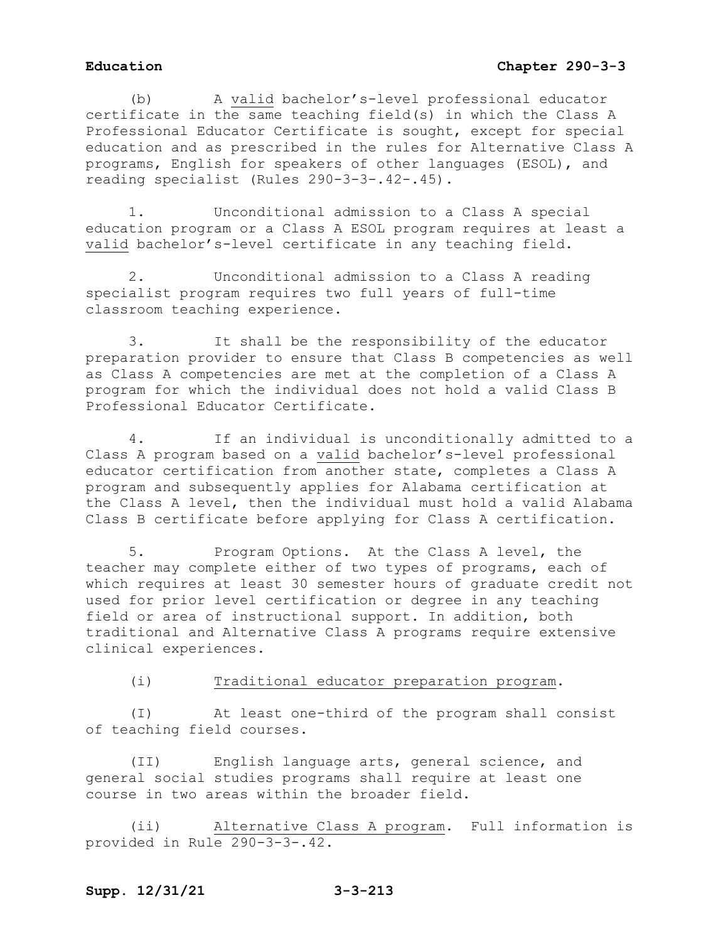(b) A valid bachelor's-level professional educator certificate in the same teaching field(s) in which the Class A Professional Educator Certificate is sought, except for special education and as prescribed in the rules for Alternative Class A programs, English for speakers of other languages (ESOL), and reading specialist (Rules 290-3-3-.42-.45).

1. Unconditional admission to a Class A special education program or a Class A ESOL program requires at least a valid bachelor's-level certificate in any teaching field.

2. Unconditional admission to a Class A reading specialist program requires two full years of full-time classroom teaching experience.

3. It shall be the responsibility of the educator preparation provider to ensure that Class B competencies as well as Class A competencies are met at the completion of a Class A program for which the individual does not hold a valid Class B Professional Educator Certificate.

4. If an individual is unconditionally admitted to a Class A program based on a valid bachelor's-level professional educator certification from another state, completes a Class A program and subsequently applies for Alabama certification at the Class A level, then the individual must hold a valid Alabama Class B certificate before applying for Class A certification.

5. Program Options. At the Class A level, the teacher may complete either of two types of programs, each of which requires at least 30 semester hours of graduate credit not used for prior level certification or degree in any teaching field or area of instructional support. In addition, both traditional and Alternative Class A programs require extensive clinical experiences.

### (i) Traditional educator preparation program.

(I) At least one-third of the program shall consist of teaching field courses.

(II) English language arts, general science, and general social studies programs shall require at least one course in two areas within the broader field.

(ii) Alternative Class A program. Full information is provided in Rule 290-3-3-.42.

# **Supp. 12/31/21 3-3-213**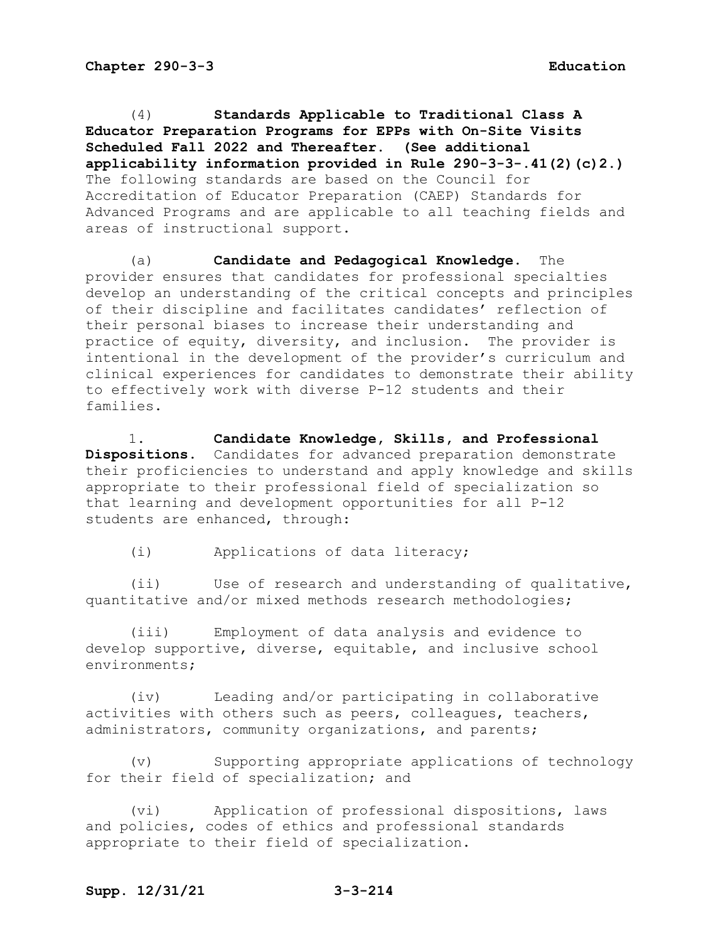(4) **Standards Applicable to Traditional Class A Educator Preparation Programs for EPPs with On-Site Visits Scheduled Fall 2022 and Thereafter. (See additional applicability information provided in Rule 290-3-3-.41(2)(c)2.)** The following standards are based on the Council for Accreditation of Educator Preparation (CAEP) Standards for Advanced Programs and are applicable to all teaching fields and areas of instructional support.

(a) **Candidate and Pedagogical Knowledge.** The provider ensures that candidates for professional specialties develop an understanding of the critical concepts and principles of their discipline and facilitates candidates' reflection of their personal biases to increase their understanding and practice of equity, diversity, and inclusion. The provider is intentional in the development of the provider's curriculum and clinical experiences for candidates to demonstrate their ability to effectively work with diverse P-12 students and their families.

1. **Candidate Knowledge, Skills, and Professional Dispositions.** Candidates for advanced preparation demonstrate their proficiencies to understand and apply knowledge and skills appropriate to their professional field of specialization so that learning and development opportunities for all P-12 students are enhanced, through:

(i) Applications of data literacy;

(ii) Use of research and understanding of qualitative, quantitative and/or mixed methods research methodologies;

(iii) Employment of data analysis and evidence to develop supportive, diverse, equitable, and inclusive school environments;

(iv) Leading and/or participating in collaborative activities with others such as peers, colleagues, teachers, administrators, community organizations, and parents;

(v) Supporting appropriate applications of technology for their field of specialization; and

(vi) Application of professional dispositions, laws and policies, codes of ethics and professional standards appropriate to their field of specialization.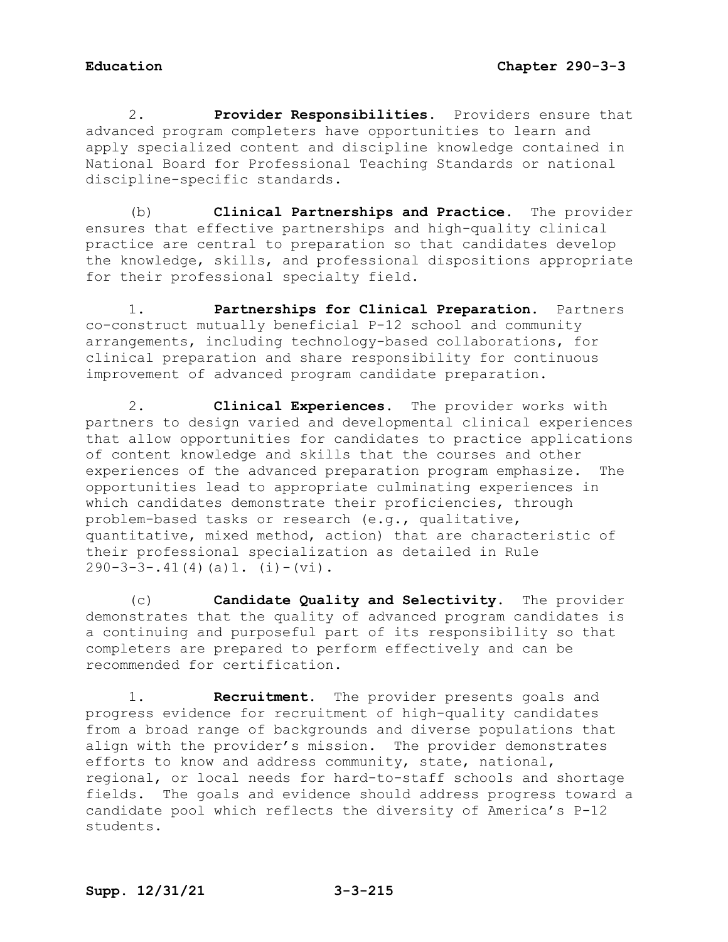2. **Provider Responsibilities.** Providers ensure that advanced program completers have opportunities to learn and apply specialized content and discipline knowledge contained in National Board for Professional Teaching Standards or national discipline-specific standards.

(b) **Clinical Partnerships and Practice.** The provider ensures that effective partnerships and high-quality clinical practice are central to preparation so that candidates develop the knowledge, skills, and professional dispositions appropriate for their professional specialty field.

1. **Partnerships for Clinical Preparation.** Partners co-construct mutually beneficial P-12 school and community arrangements, including technology-based collaborations, for clinical preparation and share responsibility for continuous improvement of advanced program candidate preparation.

2. **Clinical Experiences.** The provider works with partners to design varied and developmental clinical experiences that allow opportunities for candidates to practice applications of content knowledge and skills that the courses and other experiences of the advanced preparation program emphasize. The opportunities lead to appropriate culminating experiences in which candidates demonstrate their proficiencies, through problem-based tasks or research (e.g., qualitative, quantitative, mixed method, action) that are characteristic of their professional specialization as detailed in Rule  $290-3-3-.41(4)(a)1.$  (i)-(vi).

(c) **Candidate Quality and Selectivity.** The provider demonstrates that the quality of advanced program candidates is a continuing and purposeful part of its responsibility so that completers are prepared to perform effectively and can be recommended for certification.

1. **Recruitment.** The provider presents goals and progress evidence for recruitment of high-quality candidates from a broad range of backgrounds and diverse populations that align with the provider's mission. The provider demonstrates efforts to know and address community, state, national, regional, or local needs for hard-to-staff schools and shortage fields. The goals and evidence should address progress toward a candidate pool which reflects the diversity of America's P-12 students.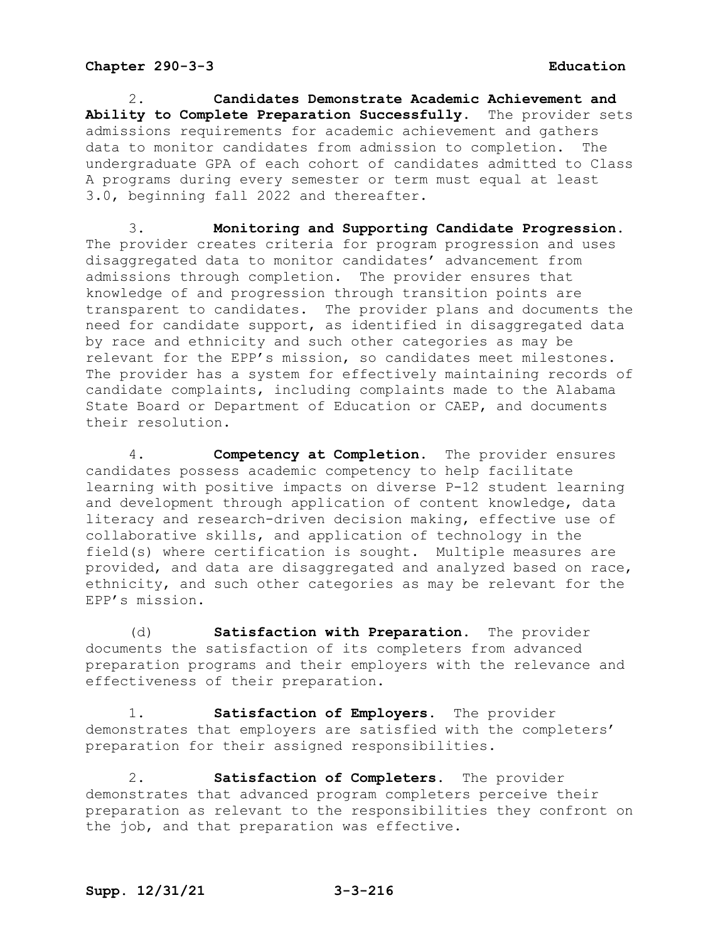2. **Candidates Demonstrate Academic Achievement and Ability to Complete Preparation Successfully.** The provider sets admissions requirements for academic achievement and gathers data to monitor candidates from admission to completion. The undergraduate GPA of each cohort of candidates admitted to Class A programs during every semester or term must equal at least 3.0, beginning fall 2022 and thereafter.

3. **Monitoring and Supporting Candidate Progression.**  The provider creates criteria for program progression and uses disaggregated data to monitor candidates' advancement from admissions through completion. The provider ensures that knowledge of and progression through transition points are transparent to candidates. The provider plans and documents the need for candidate support, as identified in disaggregated data by race and ethnicity and such other categories as may be relevant for the EPP's mission, so candidates meet milestones. The provider has a system for effectively maintaining records of candidate complaints, including complaints made to the Alabama State Board or Department of Education or CAEP, and documents their resolution.

4. **Competency at Completion.** The provider ensures candidates possess academic competency to help facilitate learning with positive impacts on diverse P-12 student learning and development through application of content knowledge, data literacy and research-driven decision making, effective use of collaborative skills, and application of technology in the field(s) where certification is sought. Multiple measures are provided, and data are disaggregated and analyzed based on race, ethnicity, and such other categories as may be relevant for the EPP's mission.

(d) **Satisfaction with Preparation.** The provider documents the satisfaction of its completers from advanced preparation programs and their employers with the relevance and effectiveness of their preparation.

1. **Satisfaction of Employers.** The provider demonstrates that employers are satisfied with the completers' preparation for their assigned responsibilities.

2. **Satisfaction of Completers.** The provider demonstrates that advanced program completers perceive their preparation as relevant to the responsibilities they confront on the job, and that preparation was effective.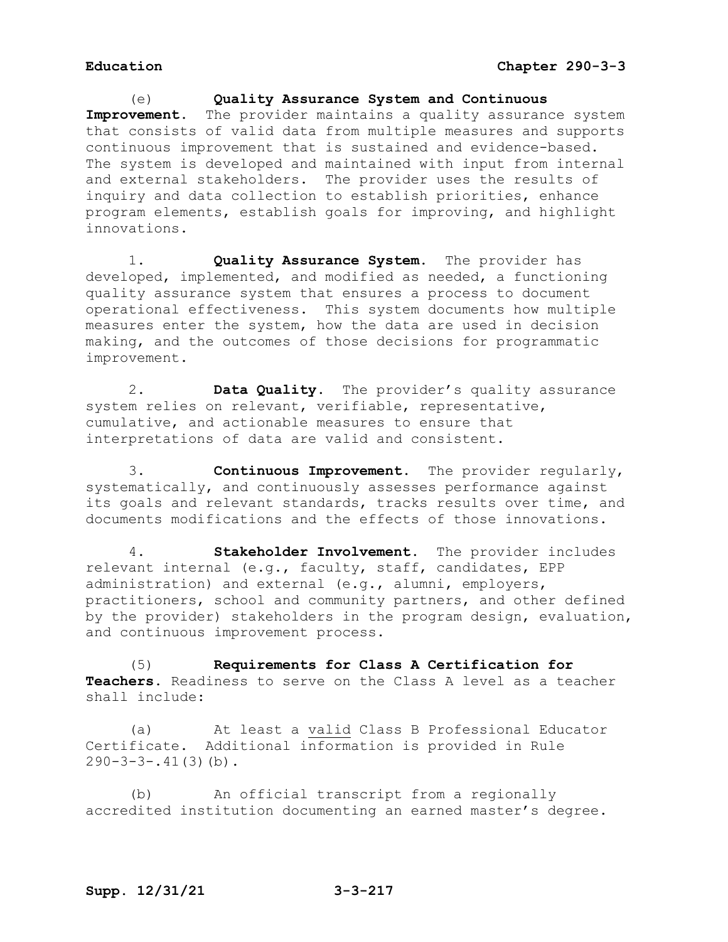(e) **Quality Assurance System and Continuous Improvement.** The provider maintains a quality assurance system that consists of valid data from multiple measures and supports continuous improvement that is sustained and evidence-based. The system is developed and maintained with input from internal and external stakeholders. The provider uses the results of inquiry and data collection to establish priorities, enhance program elements, establish goals for improving, and highlight innovations.

1. **Quality Assurance System.** The provider has developed, implemented, and modified as needed, a functioning quality assurance system that ensures a process to document operational effectiveness. This system documents how multiple measures enter the system, how the data are used in decision making, and the outcomes of those decisions for programmatic improvement.

2. **Data Quality.** The provider's quality assurance system relies on relevant, verifiable, representative, cumulative, and actionable measures to ensure that interpretations of data are valid and consistent.

3. **Continuous Improvement.** The provider regularly, systematically, and continuously assesses performance against its goals and relevant standards, tracks results over time, and documents modifications and the effects of those innovations.

4. **Stakeholder Involvement.** The provider includes relevant internal (e.g., faculty, staff, candidates, EPP administration) and external (e.g., alumni, employers, practitioners, school and community partners, and other defined by the provider) stakeholders in the program design, evaluation, and continuous improvement process.

(5) **Requirements for Class A Certification for Teachers.** Readiness to serve on the Class A level as a teacher shall include:

(a) At least a valid Class B Professional Educator Certificate. Additional information is provided in Rule  $290-3-3-.41(3)(b)$ .

(b) An official transcript from a regionally accredited institution documenting an earned master's degree.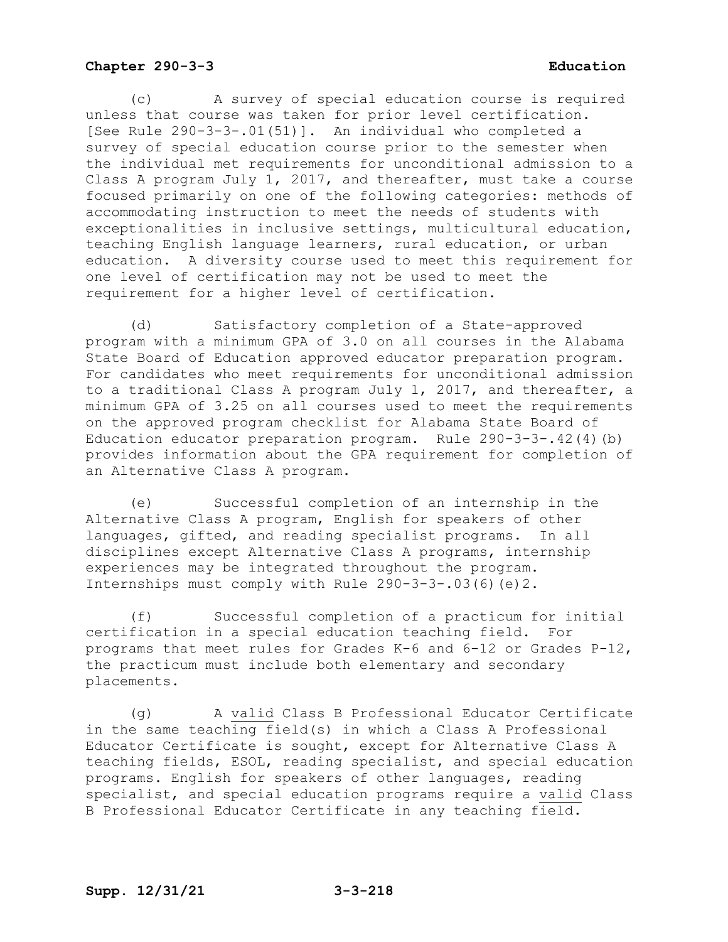(c) A survey of special education course is required unless that course was taken for prior level certification. [See Rule 290-3-3-.01(51)]. An individual who completed a survey of special education course prior to the semester when the individual met requirements for unconditional admission to a Class A program July 1, 2017, and thereafter, must take a course focused primarily on one of the following categories: methods of accommodating instruction to meet the needs of students with exceptionalities in inclusive settings, multicultural education, teaching English language learners, rural education, or urban education. A diversity course used to meet this requirement for one level of certification may not be used to meet the requirement for a higher level of certification.

(d) Satisfactory completion of a State-approved program with a minimum GPA of 3.0 on all courses in the Alabama State Board of Education approved educator preparation program. For candidates who meet requirements for unconditional admission to a traditional Class A program July 1, 2017, and thereafter, a minimum GPA of 3.25 on all courses used to meet the requirements on the approved program checklist for Alabama State Board of Education educator preparation program. Rule 290-3-3-.42(4)(b) provides information about the GPA requirement for completion of an Alternative Class A program.

(e) Successful completion of an internship in the Alternative Class A program, English for speakers of other languages, gifted, and reading specialist programs. In all disciplines except Alternative Class A programs, internship experiences may be integrated throughout the program. Internships must comply with Rule 290-3-3-.03(6)(e)2.

(f) Successful completion of a practicum for initial certification in a special education teaching field. For programs that meet rules for Grades K-6 and 6-12 or Grades P-12, the practicum must include both elementary and secondary placements.

(g) A valid Class B Professional Educator Certificate in the same teaching field(s) in which a Class A Professional Educator Certificate is sought, except for Alternative Class A teaching fields, ESOL, reading specialist, and special education programs. English for speakers of other languages, reading specialist, and special education programs require a valid Class B Professional Educator Certificate in any teaching field.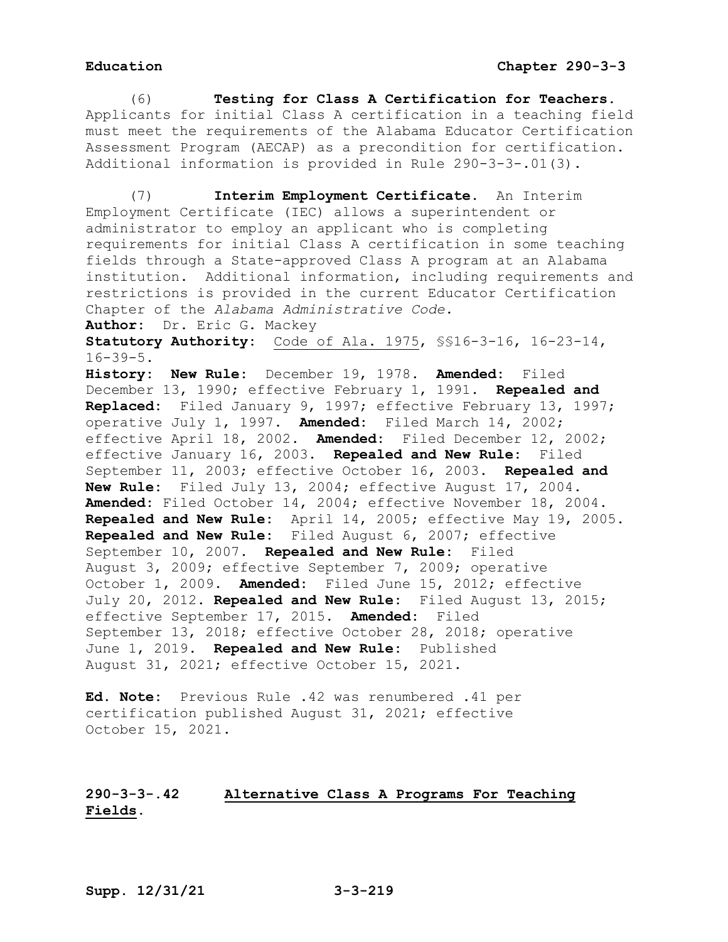(6) **Testing for Class A Certification for Teachers**. Applicants for initial Class A certification in a teaching field must meet the requirements of the Alabama Educator Certification Assessment Program (AECAP) as a precondition for certification. Additional information is provided in Rule 290-3-3-.01(3).

(7) **Interim Employment Certificate.** An Interim Employment Certificate (IEC) allows a superintendent or administrator to employ an applicant who is completing requirements for initial Class A certification in some teaching fields through a State-approved Class A program at an Alabama institution. Additional information, including requirements and restrictions is provided in the current Educator Certification Chapter of the *Alabama Administrative Code*.

**Author:** Dr. Eric G. Mackey

**Statutory Authority:** Code of Ala. 1975, §§16-3-16, 16-23-14,  $16 - 39 - 5$ .

**History: New Rule:** December 19, 1978. **Amended:** Filed December 13, 1990; effective February 1, 1991. **Repealed and Replaced:** Filed January 9, 1997; effective February 13, 1997; operative July 1, 1997. **Amended:** Filed March 14, 2002; effective April 18, 2002. **Amended:** Filed December 12, 2002; effective January 16, 2003. **Repealed and New Rule:** Filed September 11, 2003; effective October 16, 2003. **Repealed and New Rule:** Filed July 13, 2004; effective August 17, 2004. **Amended:** Filed October 14, 2004; effective November 18, 2004. **Repealed and New Rule:** April 14, 2005; effective May 19, 2005. **Repealed and New Rule:** Filed August 6, 2007; effective September 10, 2007. **Repealed and New Rule:** Filed August 3, 2009; effective September 7, 2009; operative October 1, 2009. **Amended:** Filed June 15, 2012; effective July 20, 2012. **Repealed and New Rule:** Filed August 13, 2015; effective September 17, 2015. **Amended:** Filed September 13, 2018; effective October 28, 2018; operative June 1, 2019. **Repealed and New Rule:** Published August 31, 2021; effective October 15, 2021.

**Ed. Note:** Previous Rule .42 was renumbered .41 per certification published August 31, 2021; effective October 15, 2021.

# **290-3-3-.42 Alternative Class A Programs For Teaching Fields.**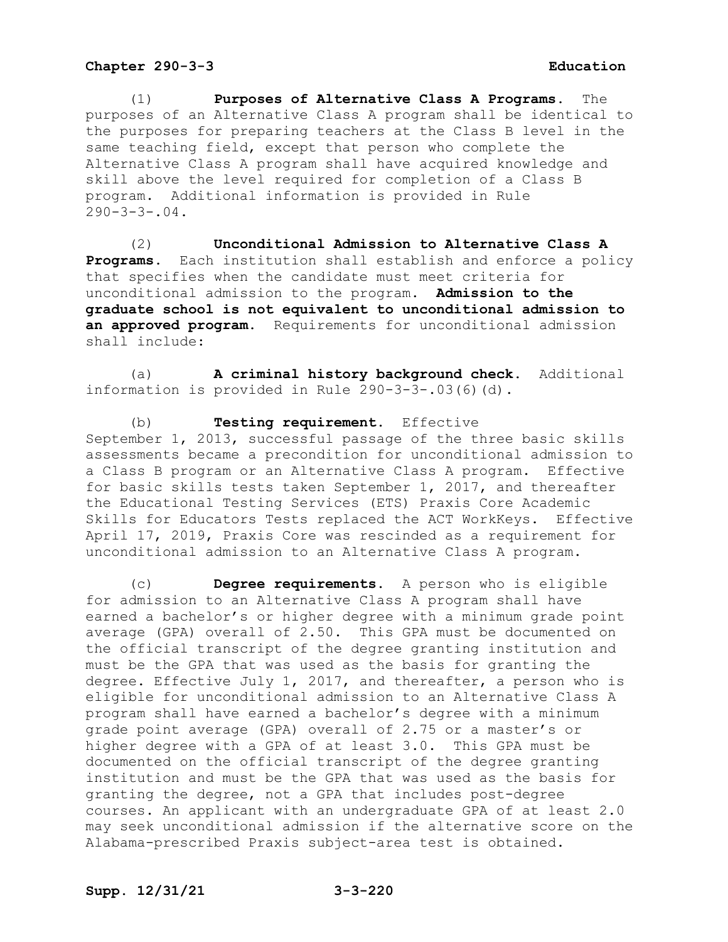(1) **Purposes of Alternative Class A Programs.** The purposes of an Alternative Class A program shall be identical to the purposes for preparing teachers at the Class B level in the same teaching field, except that person who complete the Alternative Class A program shall have acquired knowledge and skill above the level required for completion of a Class B program. Additional information is provided in Rule  $290 - 3 - 3 - .04$ .

(2) **Unconditional Admission to Alternative Class A Programs.** Each institution shall establish and enforce a policy that specifies when the candidate must meet criteria for unconditional admission to the program. **Admission to the graduate school is not equivalent to unconditional admission to an approved program**. Requirements for unconditional admission shall include:

(a) **A criminal history background check.** Additional information is provided in Rule 290-3-3-.03(6)(d).

(b) **Testing requirement.** Effective September 1, 2013, successful passage of the three basic skills assessments became a precondition for unconditional admission to<br>a Class B program or an Alternative Class A program. Effective a Class B program or an Alternative Class A program. for basic skills tests taken September 1, 2017, and thereafter the Educational Testing Services (ETS) Praxis Core Academic Skills for Educators Tests replaced the ACT WorkKeys. Effective April 17, 2019, Praxis Core was rescinded as a requirement for unconditional admission to an Alternative Class A program.

(c) **Degree requirements.** A person who is eligible for admission to an Alternative Class A program shall have earned a bachelor's or higher degree with a minimum grade point average (GPA) overall of 2.50. This GPA must be documented on the official transcript of the degree granting institution and must be the GPA that was used as the basis for granting the degree. Effective July 1, 2017, and thereafter, a person who is eligible for unconditional admission to an Alternative Class A program shall have earned a bachelor's degree with a minimum grade point average (GPA) overall of 2.75 or a master's or higher degree with a GPA of at least 3.0. This GPA must be documented on the official transcript of the degree granting institution and must be the GPA that was used as the basis for granting the degree, not a GPA that includes post-degree courses. An applicant with an undergraduate GPA of at least 2.0 may seek unconditional admission if the alternative score on the Alabama-prescribed Praxis subject-area test is obtained.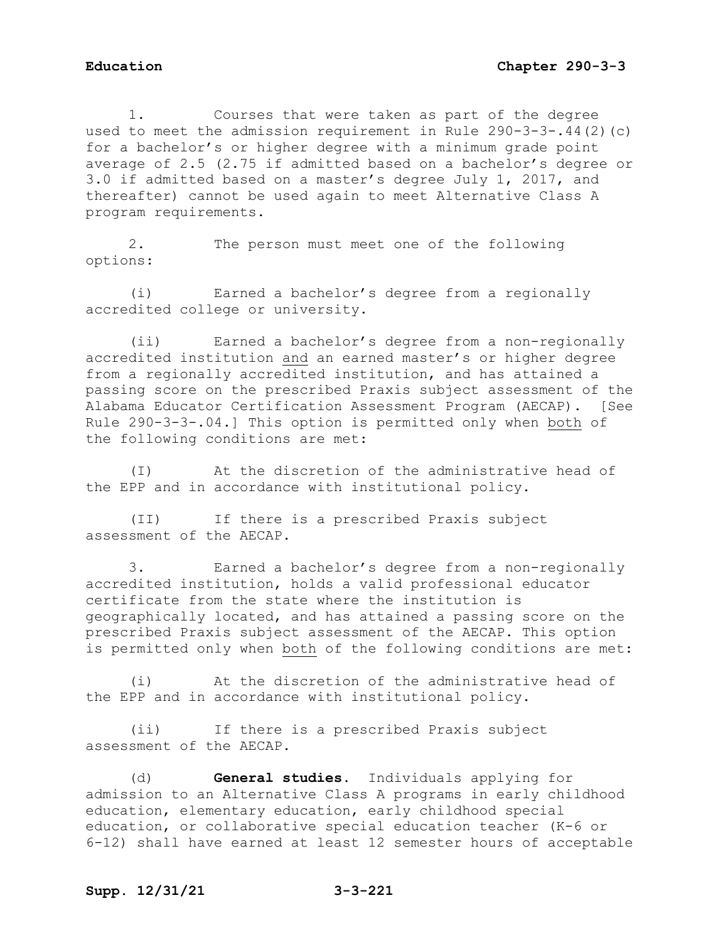1. Courses that were taken as part of the degree used to meet the admission requirement in Rule 290-3-3-.44(2)(c) for a bachelor's or higher degree with a minimum grade point average of 2.5 (2.75 if admitted based on a bachelor's degree or 3.0 if admitted based on a master's degree July 1, 2017, and thereafter) cannot be used again to meet Alternative Class A program requirements.

2. The person must meet one of the following options:

(i) Earned a bachelor's degree from a regionally accredited college or university.

(ii) Earned a bachelor's degree from a non-regionally accredited institution and an earned master's or higher degree from a regionally accredited institution, and has attained a passing score on the prescribed Praxis subject assessment of the Alabama Educator Certification Assessment Program (AECAP). [See Rule 290-3-3-.04.] This option is permitted only when both of the following conditions are met:

(I) At the discretion of the administrative head of the EPP and in accordance with institutional policy.

(II) If there is a prescribed Praxis subject assessment of the AECAP.

3. Earned a bachelor's degree from a non-regionally accredited institution, holds a valid professional educator certificate from the state where the institution is geographically located, and has attained a passing score on the prescribed Praxis subject assessment of the AECAP. This option is permitted only when both of the following conditions are met:

(i) At the discretion of the administrative head of the EPP and in accordance with institutional policy.

(ii) If there is a prescribed Praxis subject assessment of the AECAP.

(d) **General studies.** Individuals applying for admission to an Alternative Class A programs in early childhood education, elementary education, early childhood special education, or collaborative special education teacher (K-6 or 6-12) shall have earned at least 12 semester hours of acceptable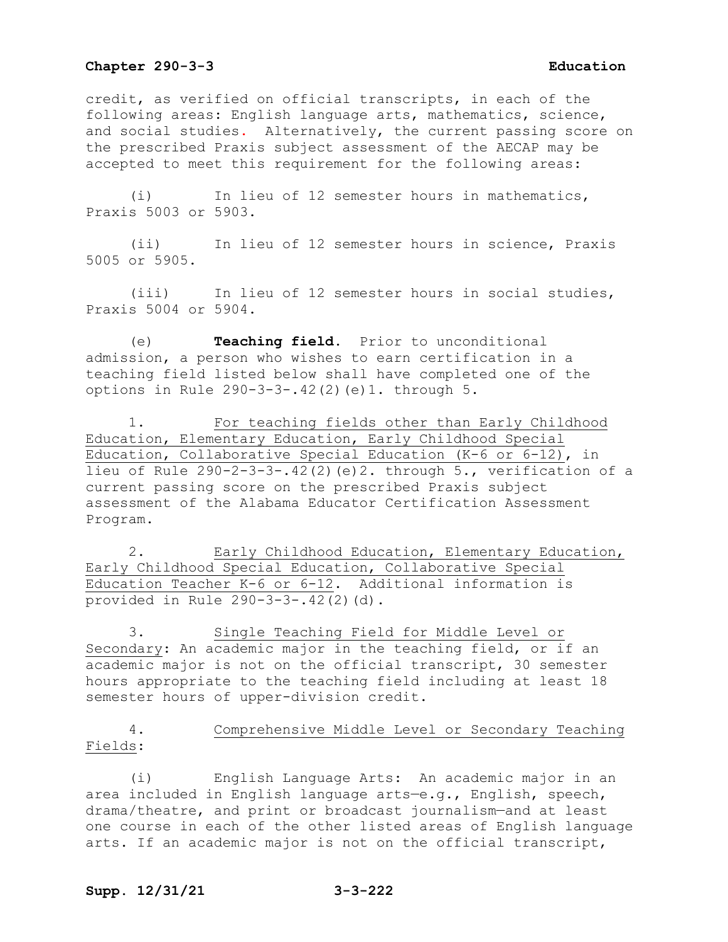credit, as verified on official transcripts, in each of the following areas: English language arts, mathematics, science, and social studies. Alternatively, the current passing score on the prescribed Praxis subject assessment of the AECAP may be accepted to meet this requirement for the following areas:

(i) In lieu of 12 semester hours in mathematics, Praxis 5003 or 5903.

(ii) In lieu of 12 semester hours in science, Praxis 5005 or 5905.

(iii) In lieu of 12 semester hours in social studies, Praxis 5004 or 5904.

(e) **Teaching field.** Prior to unconditional admission, a person who wishes to earn certification in a teaching field listed below shall have completed one of the options in Rule 290-3-3-.42(2)(e)1. through 5.

1. For teaching fields other than Early Childhood Education, Elementary Education, Early Childhood Special Education, Collaborative Special Education (K-6 or 6-12), in lieu of Rule 290-2-3-3-.42(2)(e)2. through 5., verification of a current passing score on the prescribed Praxis subject assessment of the Alabama Educator Certification Assessment Program.

2. Early Childhood Education, Elementary Education, Early Childhood Special Education, Collaborative Special Education Teacher K-6 or 6-12. Additional information is provided in Rule 290-3-3-.42(2)(d).

3. Single Teaching Field for Middle Level or Secondary: An academic major in the teaching field, or if an academic major is not on the official transcript, 30 semester hours appropriate to the teaching field including at least 18 semester hours of upper-division credit.

4. Comprehensive Middle Level or Secondary Teaching Fields:

(i) English Language Arts: An academic major in an area included in English language arts—e.g., English, speech, drama/theatre, and print or broadcast journalism—and at least one course in each of the other listed areas of English language arts. If an academic major is not on the official transcript,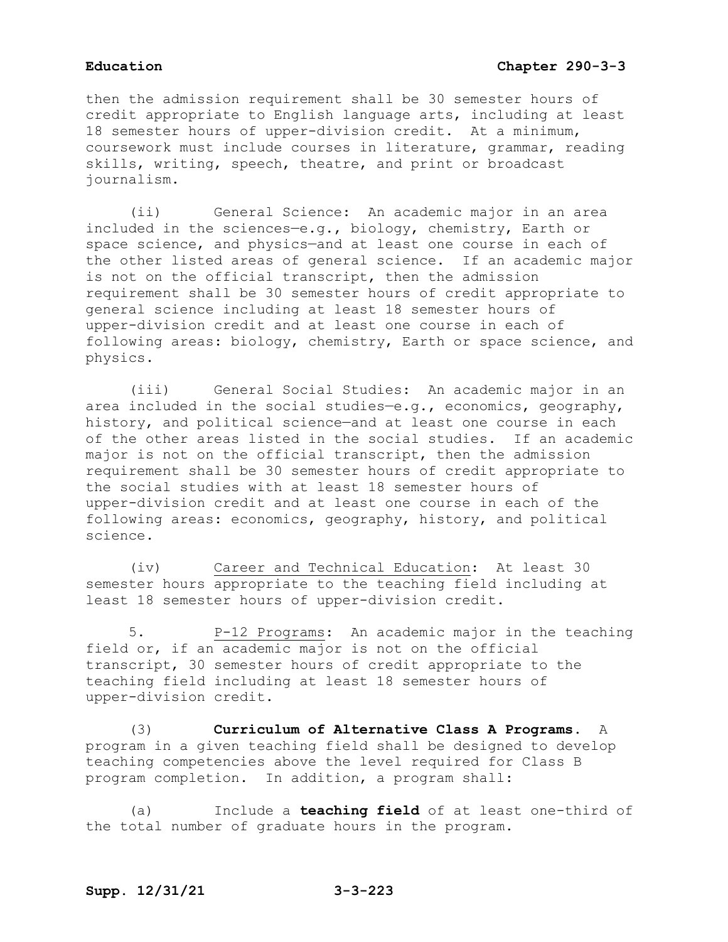then the admission requirement shall be 30 semester hours of credit appropriate to English language arts, including at least 18 semester hours of upper-division credit. At a minimum, coursework must include courses in literature, grammar, reading skills, writing, speech, theatre, and print or broadcast journalism.

(ii) General Science: An academic major in an area included in the sciences—e.g., biology, chemistry, Earth or space science, and physics—and at least one course in each of the other listed areas of general science. If an academic major is not on the official transcript, then the admission requirement shall be 30 semester hours of credit appropriate to general science including at least 18 semester hours of upper-division credit and at least one course in each of following areas: biology, chemistry, Earth or space science, and physics.

(iii) General Social Studies: An academic major in an area included in the social studies—e.g., economics, geography, history, and political science—and at least one course in each of the other areas listed in the social studies. If an academic major is not on the official transcript, then the admission requirement shall be 30 semester hours of credit appropriate to the social studies with at least 18 semester hours of upper-division credit and at least one course in each of the following areas: economics, geography, history, and political science.

(iv) Career and Technical Education: At least 30 semester hours appropriate to the teaching field including at least 18 semester hours of upper-division credit.

5. P-12 Programs: An academic major in the teaching field or, if an academic major is not on the official transcript, 30 semester hours of credit appropriate to the teaching field including at least 18 semester hours of upper-division credit.

(3) **Curriculum of Alternative Class A Programs.** A program in a given teaching field shall be designed to develop teaching competencies above the level required for Class B program completion. In addition, a program shall:

(a) Include a **teaching field** of at least one-third of the total number of graduate hours in the program.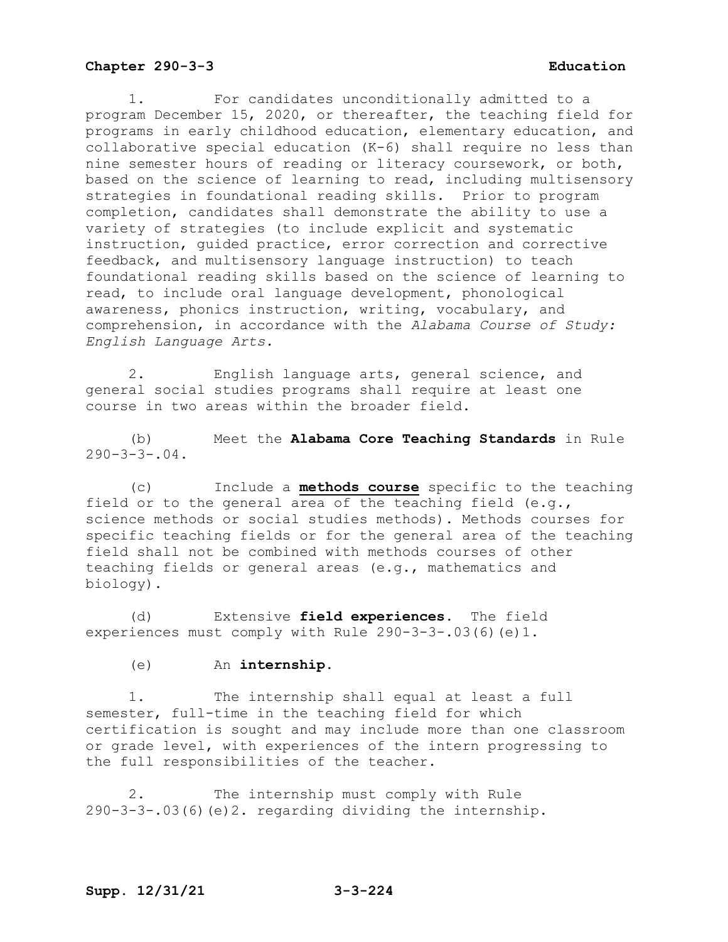1. For candidates unconditionally admitted to a program December 15, 2020, or thereafter, the teaching field for programs in early childhood education, elementary education, and collaborative special education (K-6) shall require no less than nine semester hours of reading or literacy coursework, or both, based on the science of learning to read, including multisensory strategies in foundational reading skills. Prior to program completion, candidates shall demonstrate the ability to use a variety of strategies (to include explicit and systematic instruction, guided practice, error correction and corrective feedback, and multisensory language instruction) to teach foundational reading skills based on the science of learning to read, to include oral language development, phonological awareness, phonics instruction, writing, vocabulary, and comprehension, in accordance with the *Alabama Course of Study: English Language Arts.*

2. English language arts, general science, and general social studies programs shall require at least one course in two areas within the broader field.

(b) Meet the **Alabama Core Teaching Standards** in Rule  $290 - 3 - 3 - 04$ .

(c) Include a **methods course** specific to the teaching field or to the general area of the teaching field (e.g., science methods or social studies methods). Methods courses for specific teaching fields or for the general area of the teaching field shall not be combined with methods courses of other teaching fields or general areas (e.g., mathematics and biology).

(d) Extensive **field experiences**. The field experiences must comply with Rule 290-3-3-.03(6)(e)1.

(e) An **internship**.

1. The internship shall equal at least a full semester, full-time in the teaching field for which certification is sought and may include more than one classroom or grade level, with experiences of the intern progressing to the full responsibilities of the teacher.

2. The internship must comply with Rule 290-3-3-.03(6)(e)2. regarding dividing the internship.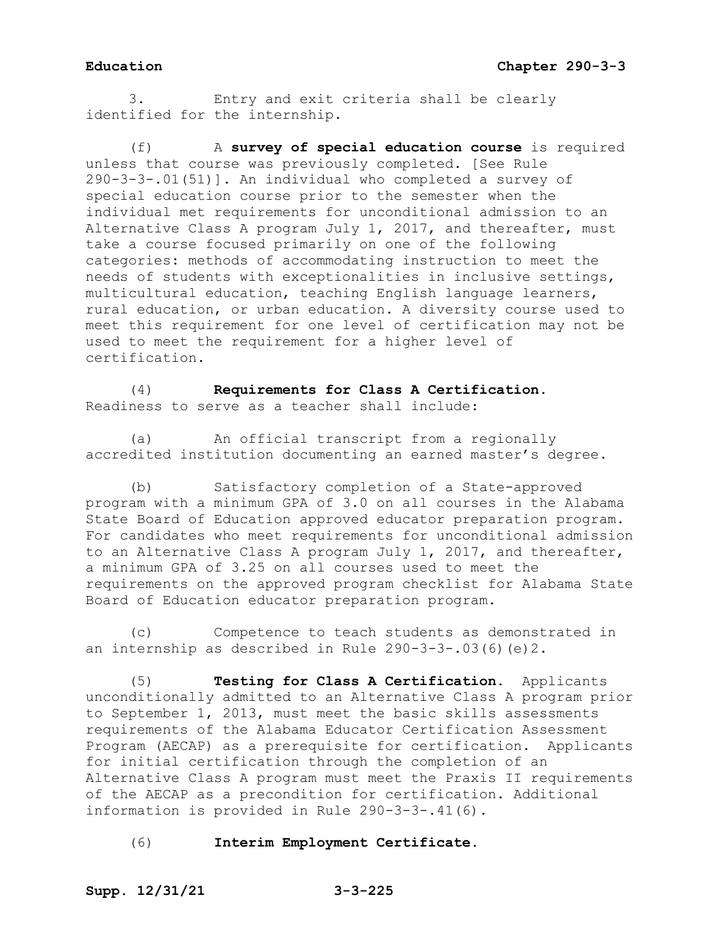3. Entry and exit criteria shall be clearly identified for the internship.

(f) A **survey of special education course** is required unless that course was previously completed. [See Rule 290-3-3-.01(51)]. An individual who completed a survey of special education course prior to the semester when the individual met requirements for unconditional admission to an Alternative Class A program July 1, 2017, and thereafter, must take a course focused primarily on one of the following categories: methods of accommodating instruction to meet the needs of students with exceptionalities in inclusive settings, multicultural education, teaching English language learners, rural education, or urban education. A diversity course used to meet this requirement for one level of certification may not be used to meet the requirement for a higher level of certification.

(4) **Requirements for Class A Certification.**  Readiness to serve as a teacher shall include:

(a) An official transcript from a regionally accredited institution documenting an earned master's degree.

(b) Satisfactory completion of a State-approved program with a minimum GPA of 3.0 on all courses in the Alabama State Board of Education approved educator preparation program. For candidates who meet requirements for unconditional admission to an Alternative Class A program July 1, 2017, and thereafter, a minimum GPA of 3.25 on all courses used to meet the requirements on the approved program checklist for Alabama State Board of Education educator preparation program.

(c) Competence to teach students as demonstrated in an internship as described in Rule  $290-3-3-03(6)(e)2$ .

(5) **Testing for Class A Certification.** Applicants unconditionally admitted to an Alternative Class A program prior to September 1, 2013, must meet the basic skills assessments requirements of the Alabama Educator Certification Assessment Program (AECAP) as a prerequisite for certification. Applicants for initial certification through the completion of an Alternative Class A program must meet the Praxis II requirements of the AECAP as a precondition for certification. Additional information is provided in Rule 290-3-3-.41(6).

(6) **Interim Employment Certificate.**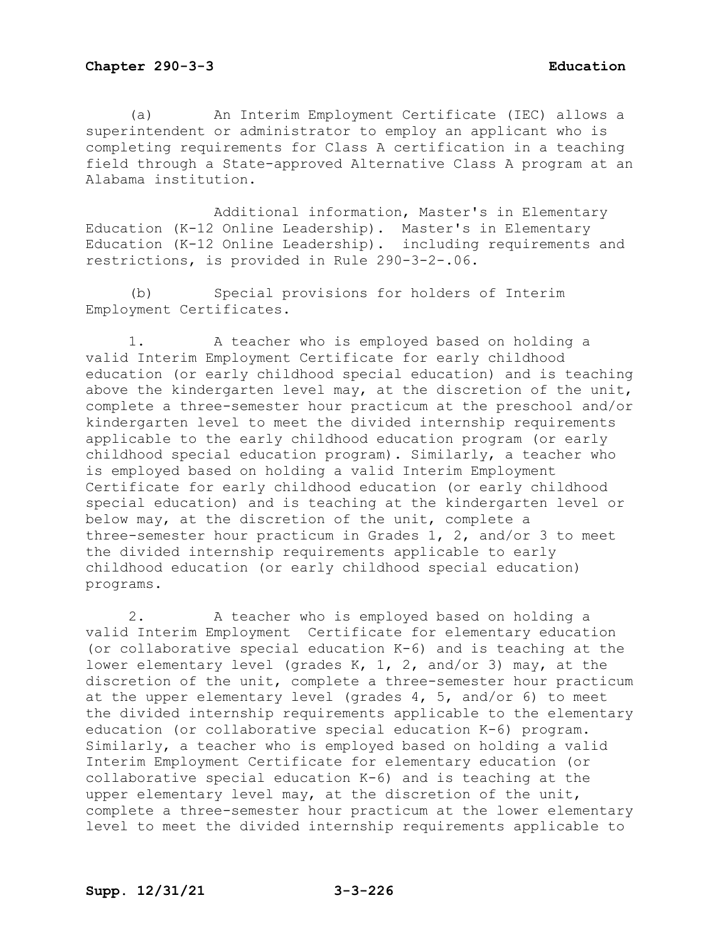(a) An Interim Employment Certificate (IEC) allows a superintendent or administrator to employ an applicant who is completing requirements for Class A certification in a teaching field through a State-approved Alternative Class A program at an Alabama institution.

Additional information, Master's in Elementary Education (K-12 Online Leadership). Master's in Elementary Education (K-12 Online Leadership). including requirements and restrictions, is provided in Rule 290-3-2-.06.

(b) Special provisions for holders of Interim Employment Certificates.

1. A teacher who is employed based on holding a valid Interim Employment Certificate for early childhood education (or early childhood special education) and is teaching above the kindergarten level may, at the discretion of the unit, complete a three-semester hour practicum at the preschool and/or kindergarten level to meet the divided internship requirements applicable to the early childhood education program (or early childhood special education program). Similarly, a teacher who is employed based on holding a valid Interim Employment Certificate for early childhood education (or early childhood special education) and is teaching at the kindergarten level or below may, at the discretion of the unit, complete a three-semester hour practicum in Grades 1, 2, and/or 3 to meet the divided internship requirements applicable to early childhood education (or early childhood special education) programs.

2. A teacher who is employed based on holding a valid Interim Employment Certificate for elementary education (or collaborative special education K-6) and is teaching at the lower elementary level (grades K, 1, 2, and/or 3) may, at the discretion of the unit, complete a three-semester hour practicum at the upper elementary level (grades 4, 5, and/or 6) to meet the divided internship requirements applicable to the elementary education (or collaborative special education K-6) program. Similarly, a teacher who is employed based on holding a valid Interim Employment Certificate for elementary education (or collaborative special education K-6) and is teaching at the upper elementary level may, at the discretion of the unit, complete a three-semester hour practicum at the lower elementary level to meet the divided internship requirements applicable to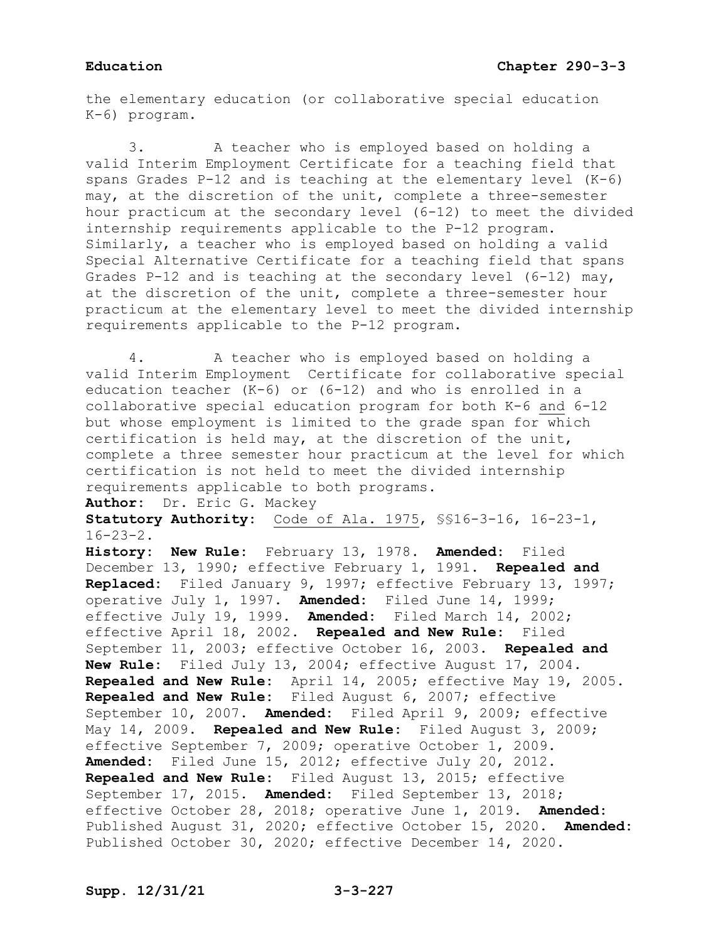the elementary education (or collaborative special education K-6) program.

3. A teacher who is employed based on holding a valid Interim Employment Certificate for a teaching field that spans Grades P-12 and is teaching at the elementary level (K-6) may, at the discretion of the unit, complete a three-semester hour practicum at the secondary level (6-12) to meet the divided internship requirements applicable to the P-12 program. Similarly, a teacher who is employed based on holding a valid Special Alternative Certificate for a teaching field that spans Grades P-12 and is teaching at the secondary level (6-12) may, at the discretion of the unit, complete a three-semester hour practicum at the elementary level to meet the divided internship requirements applicable to the P-12 program.

4. A teacher who is employed based on holding a valid Interim Employment Certificate for collaborative special education teacher (K-6) or (6-12) and who is enrolled in a collaborative special education program for both K-6 and 6-12 but whose employment is limited to the grade span for which certification is held may, at the discretion of the unit, complete a three semester hour practicum at the level for which certification is not held to meet the divided internship requirements applicable to both programs.

**Author:** Dr. Eric G. Mackey

**Statutory Authority:** Code of Ala. 1975, §§16-3-16, 16-23-1, 16-23-2.

**History: New Rule:** February 13, 1978. **Amended:** Filed December 13, 1990; effective February 1, 1991. **Repealed and Replaced:** Filed January 9, 1997; effective February 13, 1997; operative July 1, 1997. **Amended:** Filed June 14, 1999; effective July 19, 1999. **Amended:** Filed March 14, 2002; effective April 18, 2002. **Repealed and New Rule:** Filed September 11, 2003; effective October 16, 2003. **Repealed and New Rule:** Filed July 13, 2004; effective August 17, 2004. **Repealed and New Rule:** April 14, 2005; effective May 19, 2005. **Repealed and New Rule:** Filed August 6, 2007; effective September 10, 2007. **Amended:** Filed April 9, 2009; effective May 14, 2009. **Repealed and New Rule:** Filed August 3, 2009; effective September 7, 2009; operative October 1, 2009. **Amended:** Filed June 15, 2012; effective July 20, 2012. **Repealed and New Rule:** Filed August 13, 2015; effective September 17, 2015. **Amended:** Filed September 13, 2018; effective October 28, 2018; operative June 1, 2019. **Amended:** Published August 31, 2020; effective October 15, 2020. **Amended:** Published October 30, 2020; effective December 14, 2020.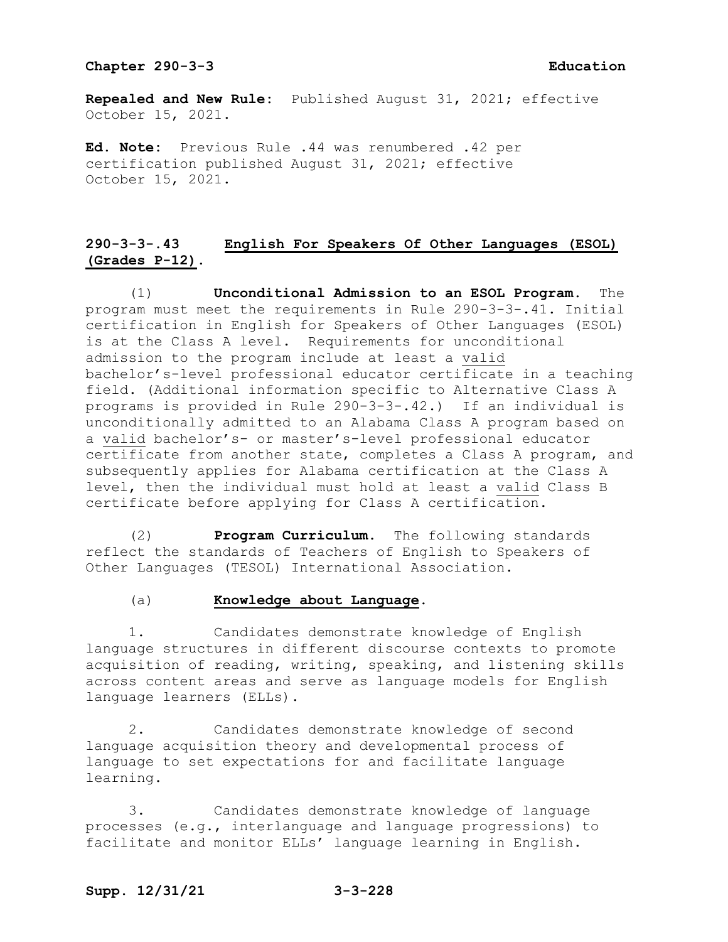**Repealed and New Rule:** Published August 31, 2021; effective October 15, 2021.

**Ed. Note:** Previous Rule .44 was renumbered .42 per certification published August 31, 2021; effective October 15, 2021.

# **290-3-3-.43 English For Speakers Of Other Languages (ESOL) (Grades P-12).**

(1) **Unconditional Admission to an ESOL Program.** The program must meet the requirements in Rule 290-3-3-.41. Initial certification in English for Speakers of Other Languages (ESOL) is at the Class A level. Requirements for unconditional admission to the program include at least a valid bachelor's-level professional educator certificate in a teaching field. (Additional information specific to Alternative Class A programs is provided in Rule 290-3-3-.42.) If an individual is unconditionally admitted to an Alabama Class A program based on a valid bachelor's- or master's-level professional educator certificate from another state, completes a Class A program, and subsequently applies for Alabama certification at the Class A level, then the individual must hold at least a valid Class B certificate before applying for Class A certification.

(2) **Program Curriculum.** The following standards reflect the standards of Teachers of English to Speakers of Other Languages (TESOL) International Association.

### (a) **Knowledge about Language.**

1. Candidates demonstrate knowledge of English language structures in different discourse contexts to promote acquisition of reading, writing, speaking, and listening skills across content areas and serve as language models for English language learners (ELLs).

2. Candidates demonstrate knowledge of second language acquisition theory and developmental process of language to set expectations for and facilitate language learning.

3. Candidates demonstrate knowledge of language processes (e.g., interlanguage and language progressions) to facilitate and monitor ELLs' language learning in English.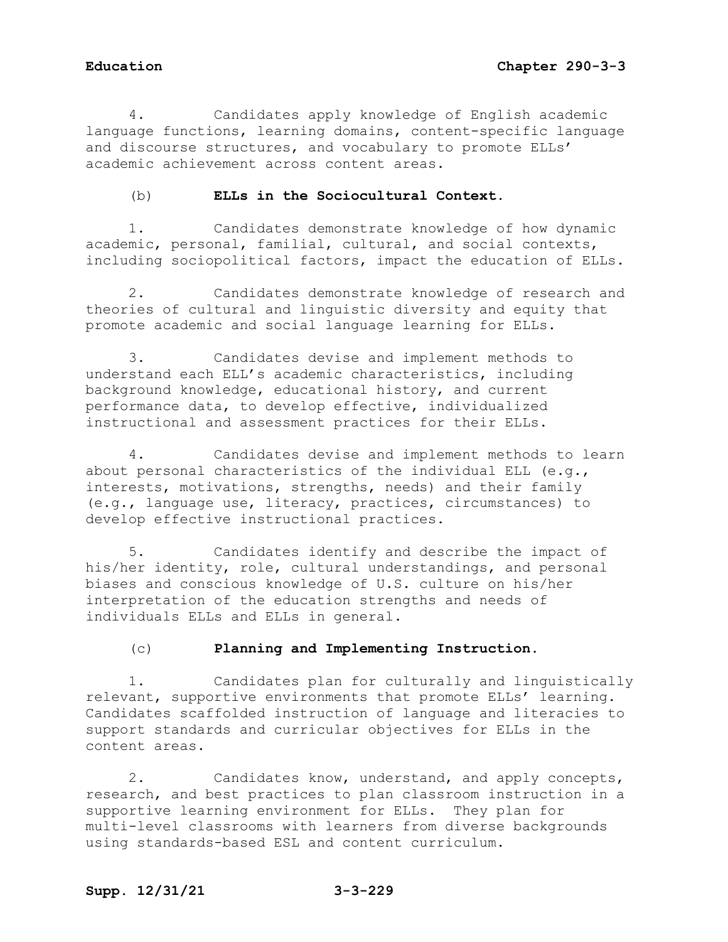4. Candidates apply knowledge of English academic language functions, learning domains, content-specific language and discourse structures, and vocabulary to promote ELLs' academic achievement across content areas.

## (b) **ELLs in the Sociocultural Context.**

1. Candidates demonstrate knowledge of how dynamic academic, personal, familial, cultural, and social contexts, including sociopolitical factors, impact the education of ELLs.

2. Candidates demonstrate knowledge of research and theories of cultural and linguistic diversity and equity that promote academic and social language learning for ELLs.

3. Candidates devise and implement methods to understand each ELL's academic characteristics, including background knowledge, educational history, and current performance data, to develop effective, individualized instructional and assessment practices for their ELLs.

4. Candidates devise and implement methods to learn about personal characteristics of the individual ELL (e.g., interests, motivations, strengths, needs) and their family (e.g., language use, literacy, practices, circumstances) to develop effective instructional practices.

5. Candidates identify and describe the impact of his/her identity, role, cultural understandings, and personal biases and conscious knowledge of U.S. culture on his/her interpretation of the education strengths and needs of individuals ELLs and ELLs in general.

## (c) **Planning and Implementing Instruction.**

1. Candidates plan for culturally and linguistically relevant, supportive environments that promote ELLs' learning. Candidates scaffolded instruction of language and literacies to support standards and curricular objectives for ELLs in the content areas.

2. Candidates know, understand, and apply concepts, research, and best practices to plan classroom instruction in a supportive learning environment for ELLs. They plan for multi-level classrooms with learners from diverse backgrounds using standards-based ESL and content curriculum.

## **Supp. 12/31/21 3-3-229**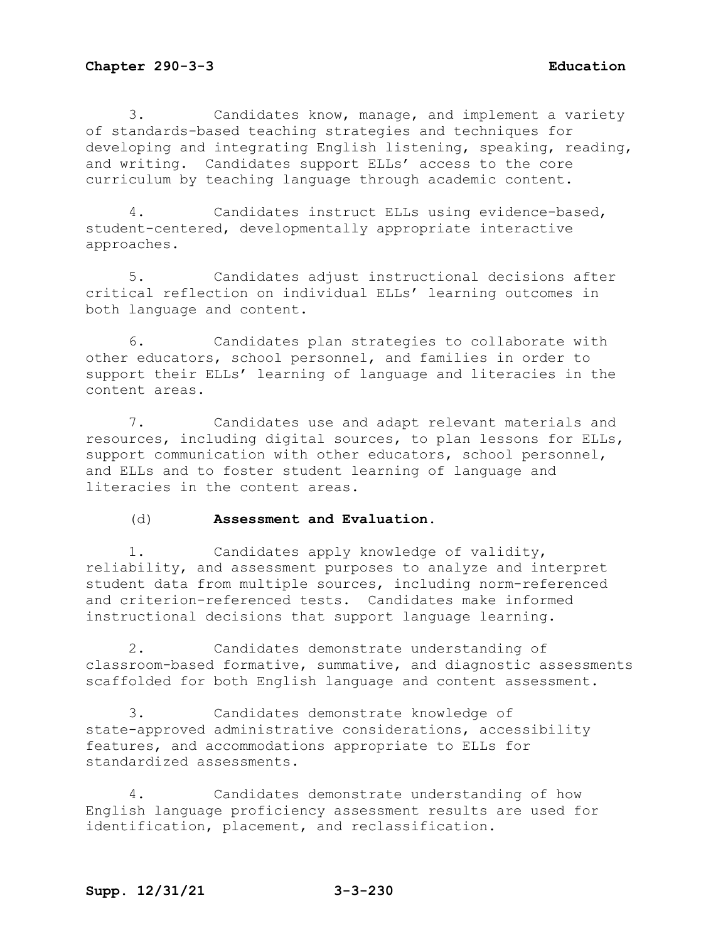3. Candidates know, manage, and implement a variety of standards-based teaching strategies and techniques for developing and integrating English listening, speaking, reading, and writing. Candidates support ELLs' access to the core curriculum by teaching language through academic content.

4. Candidates instruct ELLs using evidence-based, student-centered, developmentally appropriate interactive approaches.

5. Candidates adjust instructional decisions after critical reflection on individual ELLs' learning outcomes in both language and content.

6. Candidates plan strategies to collaborate with other educators, school personnel, and families in order to support their ELLs' learning of language and literacies in the content areas.

7. Candidates use and adapt relevant materials and resources, including digital sources, to plan lessons for ELLs, support communication with other educators, school personnel, and ELLs and to foster student learning of language and literacies in the content areas.

## (d) **Assessment and Evaluation.**

1. Candidates apply knowledge of validity, reliability, and assessment purposes to analyze and interpret student data from multiple sources, including norm-referenced and criterion-referenced tests. Candidates make informed instructional decisions that support language learning.

2. Candidates demonstrate understanding of classroom-based formative, summative, and diagnostic assessments scaffolded for both English language and content assessment.

3. Candidates demonstrate knowledge of state-approved administrative considerations, accessibility features, and accommodations appropriate to ELLs for standardized assessments.

4. Candidates demonstrate understanding of how English language proficiency assessment results are used for identification, placement, and reclassification.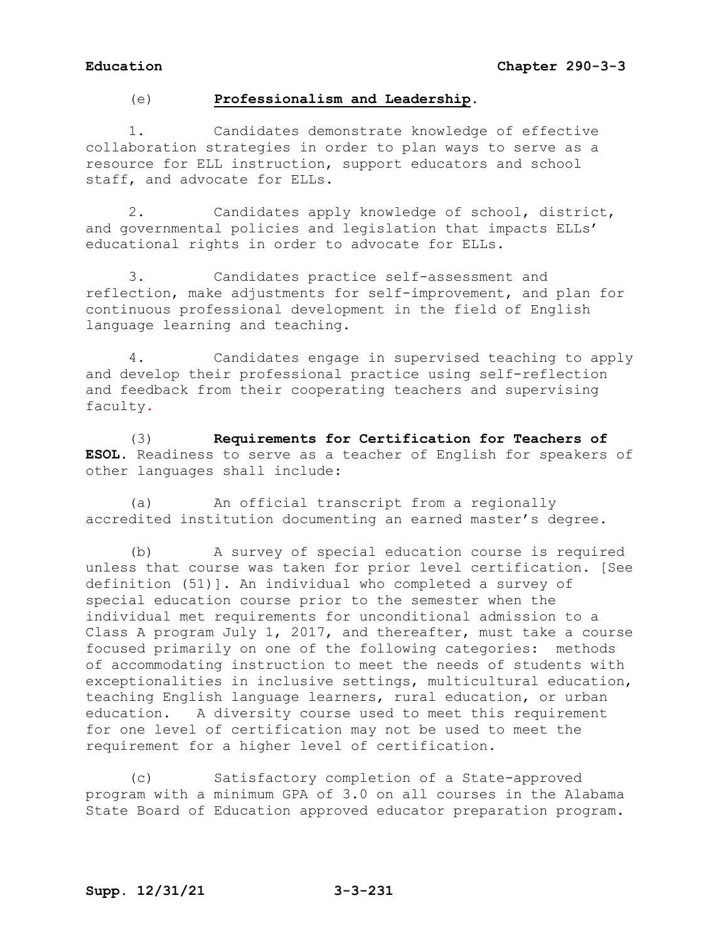## (e) **Professionalism and Leadership.**

1. Candidates demonstrate knowledge of effective collaboration strategies in order to plan ways to serve as a resource for ELL instruction, support educators and school staff, and advocate for ELLs.

2. Candidates apply knowledge of school, district, and governmental policies and legislation that impacts ELLs' educational rights in order to advocate for ELLs.

3. Candidates practice self-assessment and reflection, make adjustments for self-improvement, and plan for continuous professional development in the field of English language learning and teaching.

4. Candidates engage in supervised teaching to apply and develop their professional practice using self-reflection and feedback from their cooperating teachers and supervising faculty.

(3) **Requirements for Certification for Teachers of ESOL.** Readiness to serve as a teacher of English for speakers of other languages shall include:

(a) An official transcript from a regionally accredited institution documenting an earned master's degree.

(b) A survey of special education course is required unless that course was taken for prior level certification. [See definition (51)]. An individual who completed a survey of special education course prior to the semester when the individual met requirements for unconditional admission to a Class A program July 1, 2017, and thereafter, must take a course focused primarily on one of the following categories: methods of accommodating instruction to meet the needs of students with exceptionalities in inclusive settings, multicultural education, teaching English language learners, rural education, or urban education. A diversity course used to meet this requirement for one level of certification may not be used to meet the requirement for a higher level of certification.

(c) Satisfactory completion of a State-approved program with a minimum GPA of 3.0 on all courses in the Alabama State Board of Education approved educator preparation program.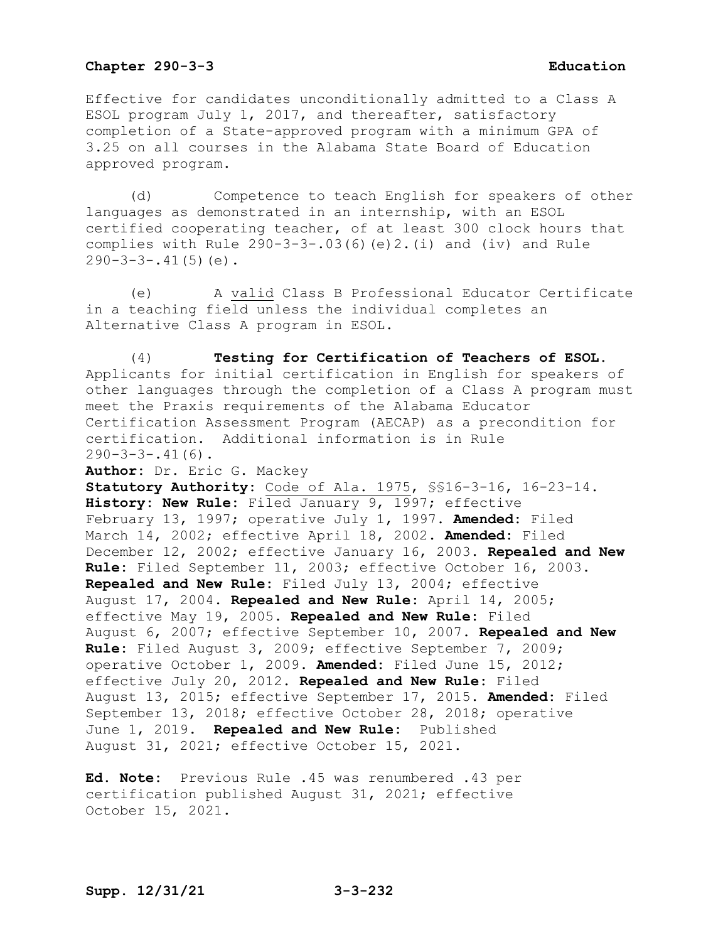Effective for candidates unconditionally admitted to a Class A ESOL program July 1, 2017, and thereafter, satisfactory completion of a State-approved program with a minimum GPA of 3.25 on all courses in the Alabama State Board of Education approved program.

(d) Competence to teach English for speakers of other languages as demonstrated in an internship, with an ESOL certified cooperating teacher, of at least 300 clock hours that complies with Rule 290-3-3-.03(6)(e)2.(i) and (iv) and Rule  $290-3-3-.41(5)(e)$ .

(e) A valid Class B Professional Educator Certificate in a teaching field unless the individual completes an Alternative Class A program in ESOL.

(4) **Testing for Certification of Teachers of ESOL.**  Applicants for initial certification in English for speakers of other languages through the completion of a Class A program must meet the Praxis requirements of the Alabama Educator Certification Assessment Program (AECAP) as a precondition for certification. Additional information is in Rule  $290-3-3-.41(6)$ .

**Author:** Dr. Eric G. Mackey

**Statutory Authority:** Code of Ala. 1975, §§16-3-16, 16-23-14. **History: New Rule:** Filed January 9, 1997; effective February 13, 1997; operative July 1, 1997. **Amended:** Filed March 14, 2002; effective April 18, 2002. **Amended:** Filed December 12, 2002; effective January 16, 2003. **Repealed and New Rule:** Filed September 11, 2003; effective October 16, 2003. **Repealed and New Rule:** Filed July 13, 2004; effective August 17, 2004. **Repealed and New Rule:** April 14, 2005; effective May 19, 2005. **Repealed and New Rule:** Filed August 6, 2007; effective September 10, 2007. **Repealed and New Rule:** Filed August 3, 2009; effective September 7, 2009; operative October 1, 2009. **Amended:** Filed June 15, 2012; effective July 20, 2012. **Repealed and New Rule:** Filed August 13, 2015; effective September 17, 2015. **Amended:** Filed September 13, 2018; effective October 28, 2018; operative June 1, 2019. **Repealed and New Rule:** Published August 31, 2021; effective October 15, 2021.

**Ed. Note:** Previous Rule .45 was renumbered .43 per certification published August 31, 2021; effective October 15, 2021.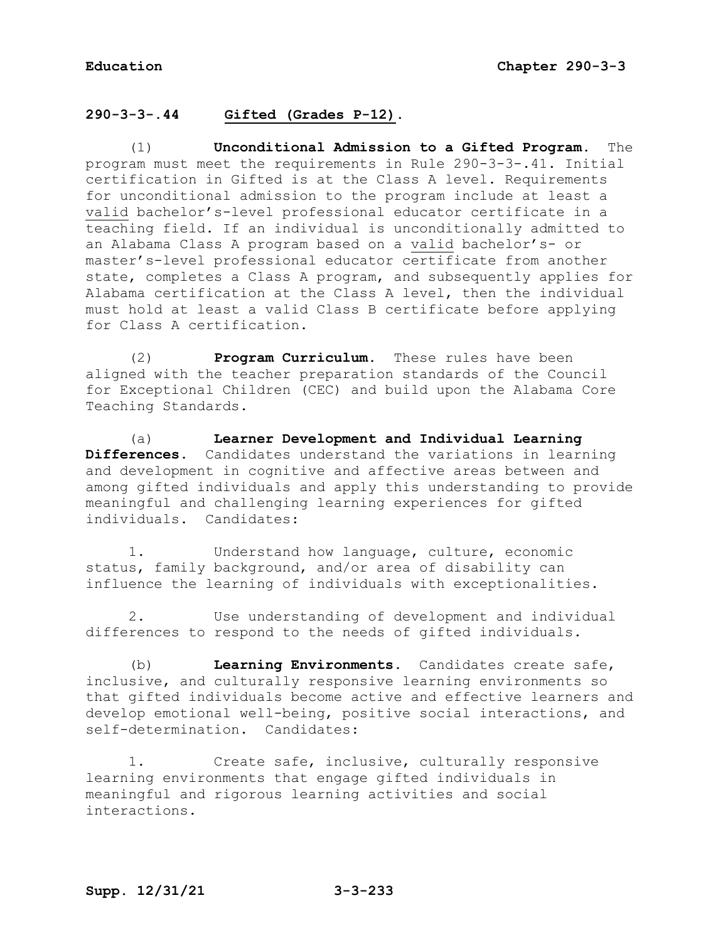# **290-3-3-.44 Gifted (Grades P-12).**

(1) **Unconditional Admission to a Gifted Program.** The program must meet the requirements in Rule 290-3-3-.41. Initial certification in Gifted is at the Class A level. Requirements for unconditional admission to the program include at least a valid bachelor's-level professional educator certificate in a teaching field. If an individual is unconditionally admitted to an Alabama Class A program based on a valid bachelor's- or master's-level professional educator certificate from another state, completes a Class A program, and subsequently applies for Alabama certification at the Class A level, then the individual must hold at least a valid Class B certificate before applying for Class A certification.

(2) **Program Curriculum.** These rules have been aligned with the teacher preparation standards of the Council for Exceptional Children (CEC) and build upon the Alabama Core Teaching Standards.

(a) **Learner Development and Individual Learning Differences.** Candidates understand the variations in learning and development in cognitive and affective areas between and among gifted individuals and apply this understanding to provide meaningful and challenging learning experiences for gifted individuals. Candidates:

1. Understand how language, culture, economic status, family background, and/or area of disability can influence the learning of individuals with exceptionalities.

2. Use understanding of development and individual differences to respond to the needs of gifted individuals.

(b) **Learning Environments.** Candidates create safe, inclusive, and culturally responsive learning environments so that gifted individuals become active and effective learners and develop emotional well-being, positive social interactions, and self-determination. Candidates:

1. Create safe, inclusive, culturally responsive learning environments that engage gifted individuals in meaningful and rigorous learning activities and social interactions.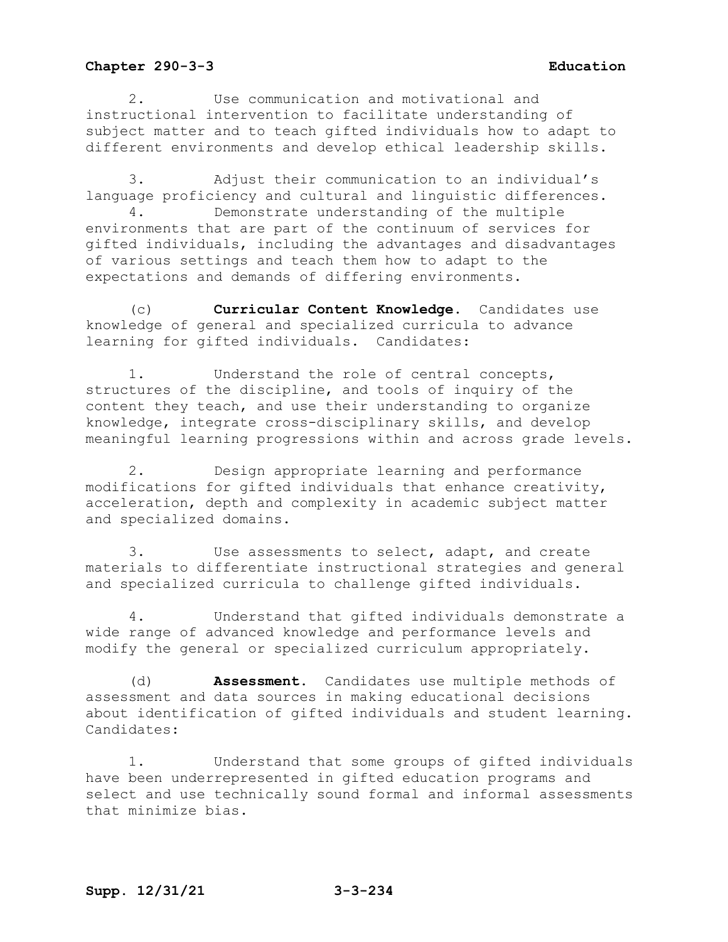2. Use communication and motivational and instructional intervention to facilitate understanding of subject matter and to teach gifted individuals how to adapt to different environments and develop ethical leadership skills.

3. Adjust their communication to an individual's language proficiency and cultural and linguistic differences. 4. Demonstrate understanding of the multiple environments that are part of the continuum of services for gifted individuals, including the advantages and disadvantages of various settings and teach them how to adapt to the expectations and demands of differing environments.

(c) **Curricular Content Knowledge.** Candidates use knowledge of general and specialized curricula to advance learning for gifted individuals. Candidates:

Understand the role of central concepts, structures of the discipline, and tools of inquiry of the content they teach, and use their understanding to organize knowledge, integrate cross-disciplinary skills, and develop meaningful learning progressions within and across grade levels.

2. Design appropriate learning and performance modifications for gifted individuals that enhance creativity, acceleration, depth and complexity in academic subject matter and specialized domains.

3. Use assessments to select, adapt, and create materials to differentiate instructional strategies and general and specialized curricula to challenge gifted individuals.

4. Understand that gifted individuals demonstrate a wide range of advanced knowledge and performance levels and modify the general or specialized curriculum appropriately.

(d) **Assessment.** Candidates use multiple methods of assessment and data sources in making educational decisions about identification of gifted individuals and student learning. Candidates:

1. Understand that some groups of gifted individuals have been underrepresented in gifted education programs and select and use technically sound formal and informal assessments that minimize bias.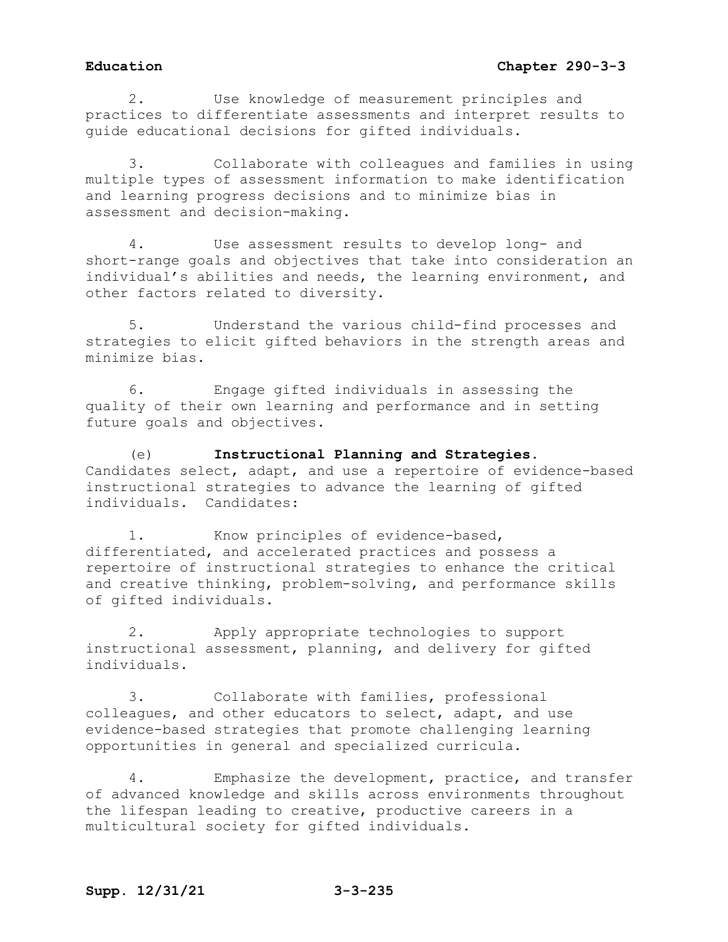## **Education Chapter 290-3-3**

2. Use knowledge of measurement principles and practices to differentiate assessments and interpret results to guide educational decisions for gifted individuals.

3. Collaborate with colleagues and families in using multiple types of assessment information to make identification and learning progress decisions and to minimize bias in assessment and decision-making.

4. Use assessment results to develop long- and short-range goals and objectives that take into consideration an individual's abilities and needs, the learning environment, and other factors related to diversity.

5. Understand the various child-find processes and strategies to elicit gifted behaviors in the strength areas and minimize bias.

6. Engage gifted individuals in assessing the quality of their own learning and performance and in setting future goals and objectives.

(e) **Instructional Planning and Strategies.** Candidates select, adapt, and use a repertoire of evidence-based instructional strategies to advance the learning of gifted individuals. Candidates:

1. Know principles of evidence-based, differentiated, and accelerated practices and possess a repertoire of instructional strategies to enhance the critical and creative thinking, problem-solving, and performance skills of gifted individuals.

2. Apply appropriate technologies to support instructional assessment, planning, and delivery for gifted individuals.

3. Collaborate with families, professional colleagues, and other educators to select, adapt, and use evidence-based strategies that promote challenging learning opportunities in general and specialized curricula.

4. Emphasize the development, practice, and transfer of advanced knowledge and skills across environments throughout the lifespan leading to creative, productive careers in a multicultural society for gifted individuals.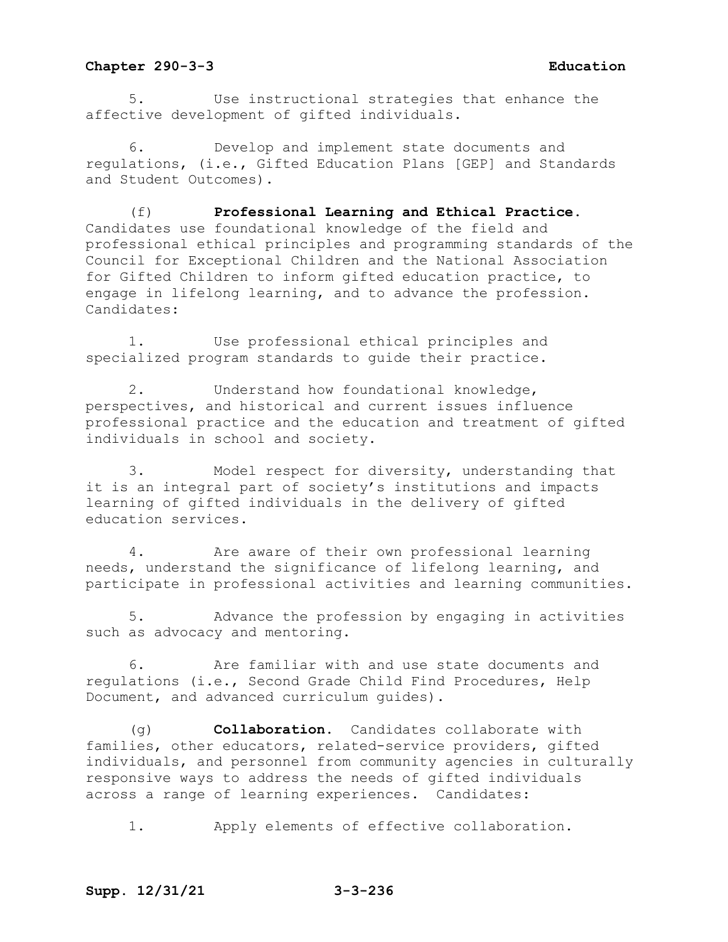5. Use instructional strategies that enhance the affective development of gifted individuals.

6. Develop and implement state documents and regulations, (i.e., Gifted Education Plans [GEP] and Standards and Student Outcomes).

(f) **Professional Learning and Ethical Practice.** Candidates use foundational knowledge of the field and professional ethical principles and programming standards of the Council for Exceptional Children and the National Association for Gifted Children to inform gifted education practice, to engage in lifelong learning, and to advance the profession. Candidates:

1. Use professional ethical principles and specialized program standards to guide their practice.

2. Understand how foundational knowledge, perspectives, and historical and current issues influence professional practice and the education and treatment of gifted individuals in school and society.

3. Model respect for diversity, understanding that it is an integral part of society's institutions and impacts learning of gifted individuals in the delivery of gifted education services.

4. Are aware of their own professional learning needs, understand the significance of lifelong learning, and participate in professional activities and learning communities.

5. Advance the profession by engaging in activities such as advocacy and mentoring.

6. Are familiar with and use state documents and regulations (i.e., Second Grade Child Find Procedures, Help Document, and advanced curriculum guides).

(g) **Collaboration.** Candidates collaborate with families, other educators, related-service providers, gifted individuals, and personnel from community agencies in culturally responsive ways to address the needs of gifted individuals across a range of learning experiences. Candidates:

1. Apply elements of effective collaboration.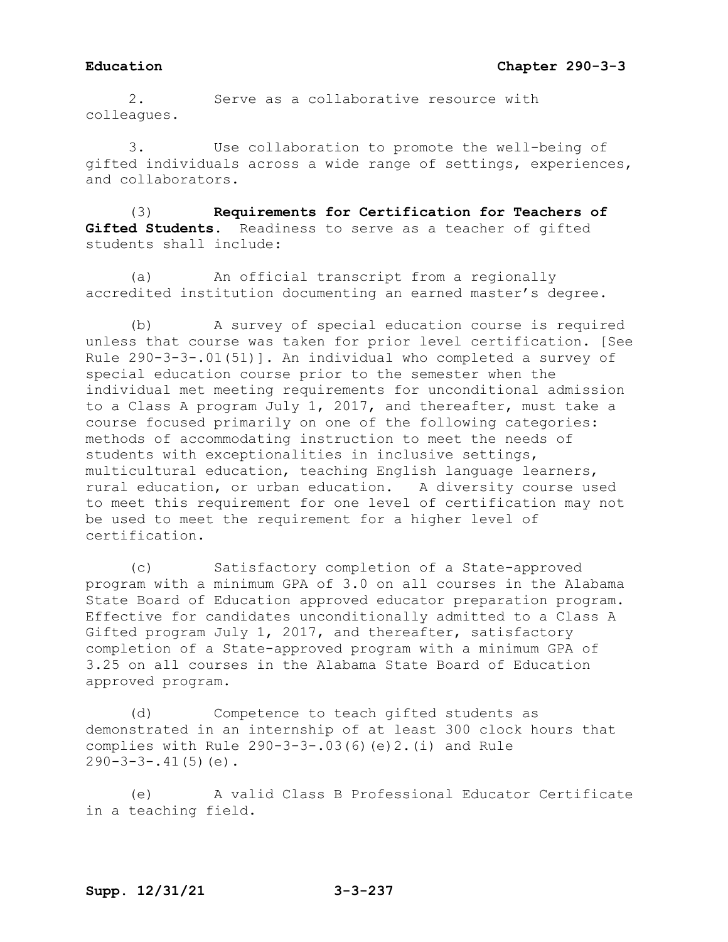2. Serve as a collaborative resource with colleagues.

3. Use collaboration to promote the well-being of gifted individuals across a wide range of settings, experiences, and collaborators.

(3) **Requirements for Certification for Teachers of Gifted Students.** Readiness to serve as a teacher of gifted students shall include:

(a) An official transcript from a regionally accredited institution documenting an earned master's degree.

(b) A survey of special education course is required unless that course was taken for prior level certification. [See Rule 290-3-3-.01(51)]. An individual who completed a survey of special education course prior to the semester when the individual met meeting requirements for unconditional admission to a Class A program July 1, 2017, and thereafter, must take a course focused primarily on one of the following categories: methods of accommodating instruction to meet the needs of students with exceptionalities in inclusive settings, multicultural education, teaching English language learners, rural education, or urban education. A diversity course used to meet this requirement for one level of certification may not be used to meet the requirement for a higher level of certification.

(c) Satisfactory completion of a State-approved program with a minimum GPA of 3.0 on all courses in the Alabama State Board of Education approved educator preparation program. Effective for candidates unconditionally admitted to a Class A Gifted program July 1, 2017, and thereafter, satisfactory completion of a State-approved program with a minimum GPA of 3.25 on all courses in the Alabama State Board of Education approved program.

(d) Competence to teach gifted students as demonstrated in an internship of at least 300 clock hours that complies with Rule 290-3-3-.03(6)(e)2.(i) and Rule  $290-3-3-.41(5)(e)$ .

(e) A valid Class B Professional Educator Certificate in a teaching field.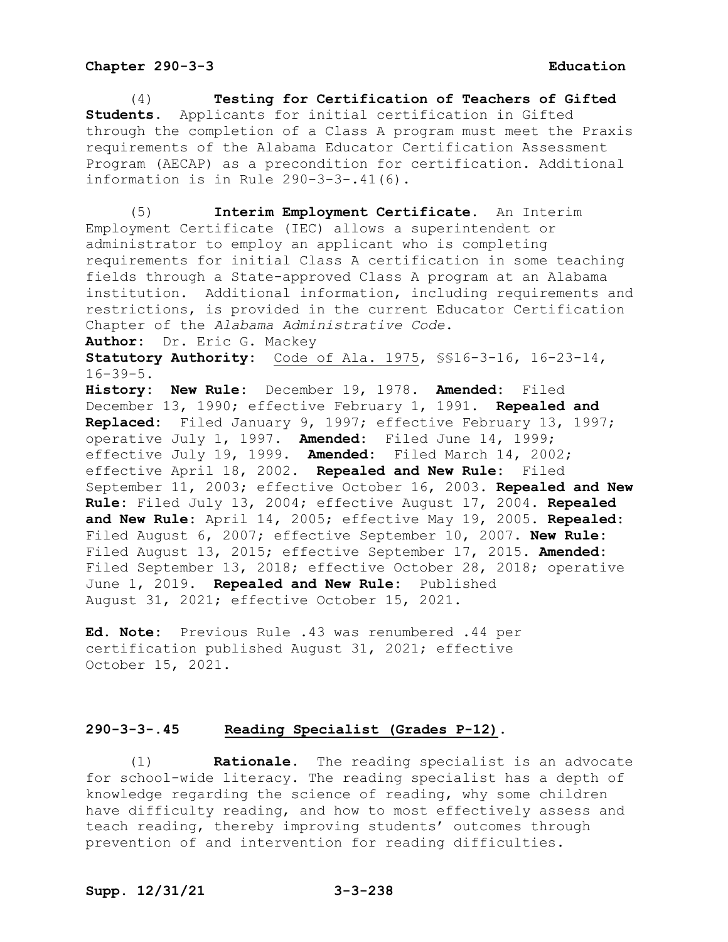(4) **Testing for Certification of Teachers of Gifted Students.** Applicants for initial certification in Gifted through the completion of a Class A program must meet the Praxis requirements of the Alabama Educator Certification Assessment Program (AECAP) as a precondition for certification. Additional information is in Rule 290-3-3-.41(6).

(5) **Interim Employment Certificate.** An Interim Employment Certificate (IEC) allows a superintendent or administrator to employ an applicant who is completing requirements for initial Class A certification in some teaching fields through a State-approved Class A program at an Alabama institution. Additional information, including requirements and restrictions, is provided in the current Educator Certification Chapter of the *Alabama Administrative Code*.

**Author:** Dr. Eric G. Mackey

**Statutory Authority:** Code of Ala. 1975, §§16-3-16, 16-23-14,  $16 - 39 - 5$ .

**History: New Rule:** December 19, 1978. **Amended:** Filed December 13, 1990; effective February 1, 1991. **Repealed and Replaced:** Filed January 9, 1997; effective February 13, 1997; operative July 1, 1997. **Amended:** Filed June 14, 1999; effective July 19, 1999. **Amended:** Filed March 14, 2002; effective April 18, 2002. **Repealed and New Rule:** Filed September 11, 2003; effective October 16, 2003. **Repealed and New Rule:** Filed July 13, 2004; effective August 17, 2004. **Repealed and New Rule:** April 14, 2005; effective May 19, 2005. **Repealed:** Filed August 6, 2007; effective September 10, 2007. **New Rule:** Filed August 13, 2015; effective September 17, 2015. **Amended:** Filed September 13, 2018; effective October 28, 2018; operative June 1, 2019. **Repealed and New Rule:** Published August 31, 2021; effective October 15, 2021.

**Ed. Note:** Previous Rule .43 was renumbered .44 per certification published August 31, 2021; effective October 15, 2021.

### **290-3-3-.45 Reading Specialist (Grades P-12).**

(1) **Rationale.** The reading specialist is an advocate for school-wide literacy. The reading specialist has a depth of knowledge regarding the science of reading, why some children have difficulty reading, and how to most effectively assess and teach reading, thereby improving students' outcomes through prevention of and intervention for reading difficulties.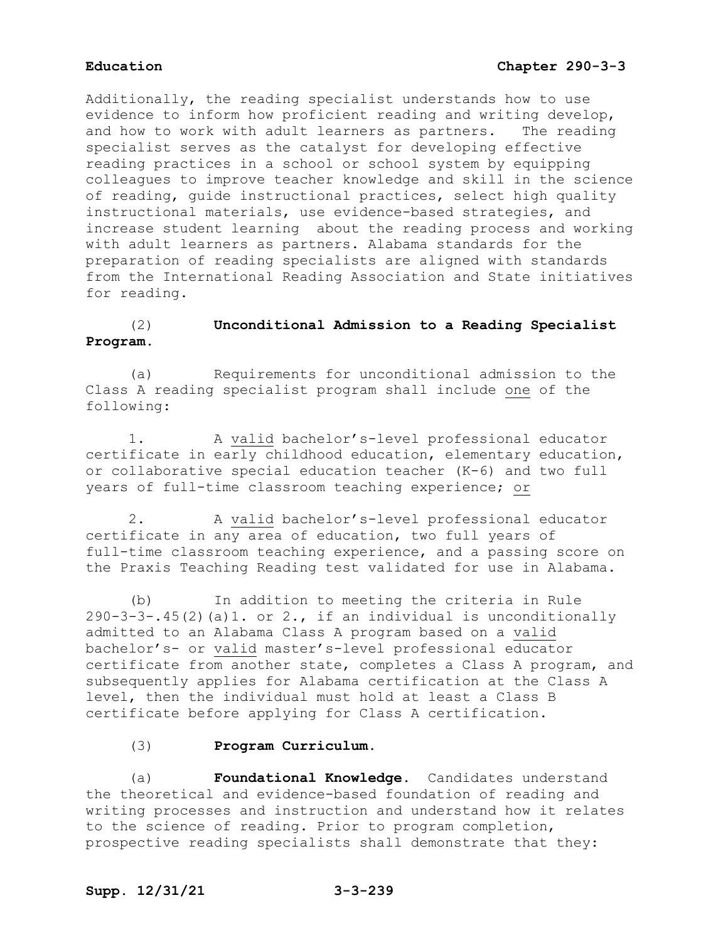Additionally, the reading specialist understands how to use evidence to inform how proficient reading and writing develop,<br>and how to work with adult learners as partners. The reading and how to work with adult learners as partners. specialist serves as the catalyst for developing effective reading practices in a school or school system by equipping colleagues to improve teacher knowledge and skill in the science of reading, guide instructional practices, select high quality instructional materials, use evidence-based strategies, and increase student learning about the reading process and working with adult learners as partners. Alabama standards for the preparation of reading specialists are aligned with standards from the International Reading Association and State initiatives for reading.

# (2) **Unconditional Admission to a Reading Specialist Program**.

(a) Requirements for unconditional admission to the Class A reading specialist program shall include one of the following:

1. A valid bachelor's-level professional educator certificate in early childhood education, elementary education, or collaborative special education teacher (K-6) and two full years of full-time classroom teaching experience; or

2. A valid bachelor's-level professional educator certificate in any area of education, two full years of full-time classroom teaching experience, and a passing score on the Praxis Teaching Reading test validated for use in Alabama.

(b) In addition to meeting the criteria in Rule  $290-3-3-45(2)$  (a)1. or 2., if an individual is unconditionally admitted to an Alabama Class A program based on a valid bachelor's- or valid master's-level professional educator certificate from another state, completes a Class A program, and subsequently applies for Alabama certification at the Class A level, then the individual must hold at least a Class B certificate before applying for Class A certification.

### (3) **Program Curriculum.**

(a) **Foundational Knowledge.** Candidates understand the theoretical and evidence-based foundation of reading and writing processes and instruction and understand how it relates to the science of reading. Prior to program completion, prospective reading specialists shall demonstrate that they:

# **Supp. 12/31/21 3-3-239**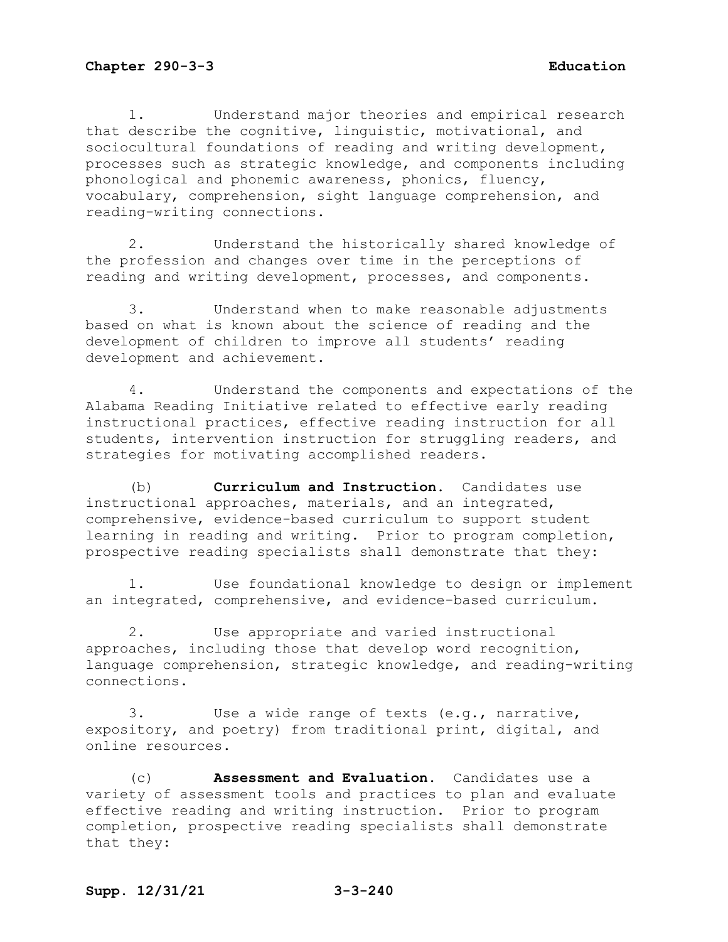1. Understand major theories and empirical research that describe the cognitive, linguistic, motivational, and sociocultural foundations of reading and writing development, processes such as strategic knowledge, and components including phonological and phonemic awareness, phonics, fluency, vocabulary, comprehension, sight language comprehension, and reading-writing connections.

2. Understand the historically shared knowledge of the profession and changes over time in the perceptions of reading and writing development, processes, and components.

3. Understand when to make reasonable adjustments based on what is known about the science of reading and the development of children to improve all students' reading development and achievement.

4. Understand the components and expectations of the Alabama Reading Initiative related to effective early reading instructional practices, effective reading instruction for all students, intervention instruction for struggling readers, and strategies for motivating accomplished readers.

(b) **Curriculum and Instruction.** Candidates use instructional approaches, materials, and an integrated, comprehensive, evidence-based curriculum to support student learning in reading and writing. Prior to program completion, prospective reading specialists shall demonstrate that they:

1. Use foundational knowledge to design or implement an integrated, comprehensive, and evidence-based curriculum.

2. Use appropriate and varied instructional approaches, including those that develop word recognition, language comprehension, strategic knowledge, and reading-writing connections.

3. Use a wide range of texts (e.g., narrative, expository, and poetry) from traditional print, digital, and online resources.

(c) **Assessment and Evaluation.** Candidates use a variety of assessment tools and practices to plan and evaluate effective reading and writing instruction. Prior to program completion, prospective reading specialists shall demonstrate that they: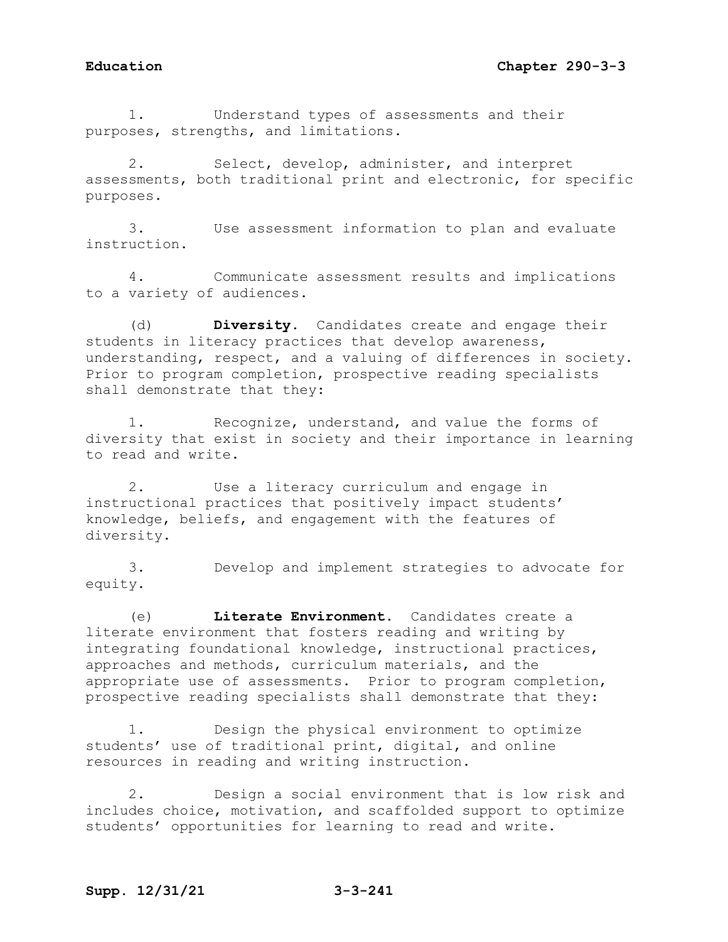1. Understand types of assessments and their purposes, strengths, and limitations.

2. Select, develop, administer, and interpret assessments, both traditional print and electronic, for specific purposes.

3. Use assessment information to plan and evaluate instruction.

4. Communicate assessment results and implications to a variety of audiences.

(d) **Diversity.** Candidates create and engage their students in literacy practices that develop awareness, understanding, respect, and a valuing of differences in society. Prior to program completion, prospective reading specialists shall demonstrate that they:

1. Recognize, understand, and value the forms of diversity that exist in society and their importance in learning to read and write.

2. Use a literacy curriculum and engage in instructional practices that positively impact students' knowledge, beliefs, and engagement with the features of diversity.

3. Develop and implement strategies to advocate for equity.

(e) **Literate Environment.** Candidates create a literate environment that fosters reading and writing by integrating foundational knowledge, instructional practices, approaches and methods, curriculum materials, and the appropriate use of assessments. Prior to program completion, prospective reading specialists shall demonstrate that they:

1. Design the physical environment to optimize students' use of traditional print, digital, and online resources in reading and writing instruction.

2. Design a social environment that is low risk and includes choice, motivation, and scaffolded support to optimize students' opportunities for learning to read and write.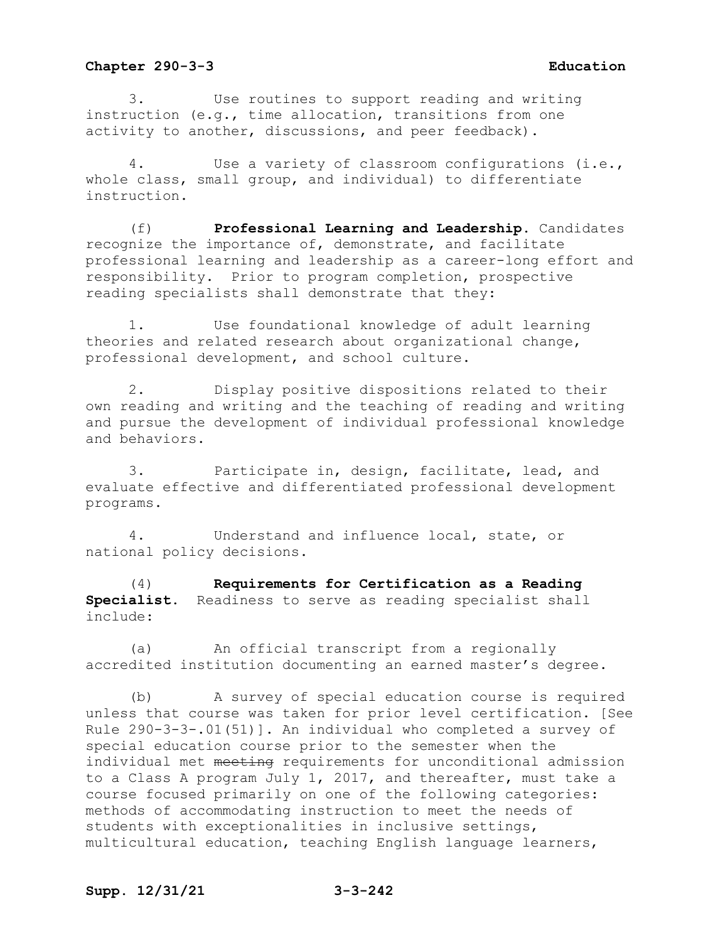3. Use routines to support reading and writing instruction (e.g., time allocation, transitions from one activity to another, discussions, and peer feedback).

4. Use a variety of classroom configurations (i.e., whole class, small group, and individual) to differentiate instruction.

(f) **Professional Learning and Leadership.** Candidates recognize the importance of, demonstrate, and facilitate professional learning and leadership as a career-long effort and responsibility. Prior to program completion, prospective reading specialists shall demonstrate that they:

1. Use foundational knowledge of adult learning theories and related research about organizational change, professional development, and school culture.

2. Display positive dispositions related to their own reading and writing and the teaching of reading and writing and pursue the development of individual professional knowledge and behaviors.

3. Participate in, design, facilitate, lead, and evaluate effective and differentiated professional development programs.

4. Understand and influence local, state, or national policy decisions.

(4) **Requirements for Certification as a Reading Specialist.** Readiness to serve as reading specialist shall include:

(a) An official transcript from a regionally accredited institution documenting an earned master's degree.

(b) A survey of special education course is required unless that course was taken for prior level certification. [See Rule 290-3-3-.01(51)]. An individual who completed a survey of special education course prior to the semester when the individual met meeting requirements for unconditional admission to a Class A program July 1, 2017, and thereafter, must take a course focused primarily on one of the following categories: methods of accommodating instruction to meet the needs of students with exceptionalities in inclusive settings, multicultural education, teaching English language learners,

## **Supp. 12/31/21 3-3-242**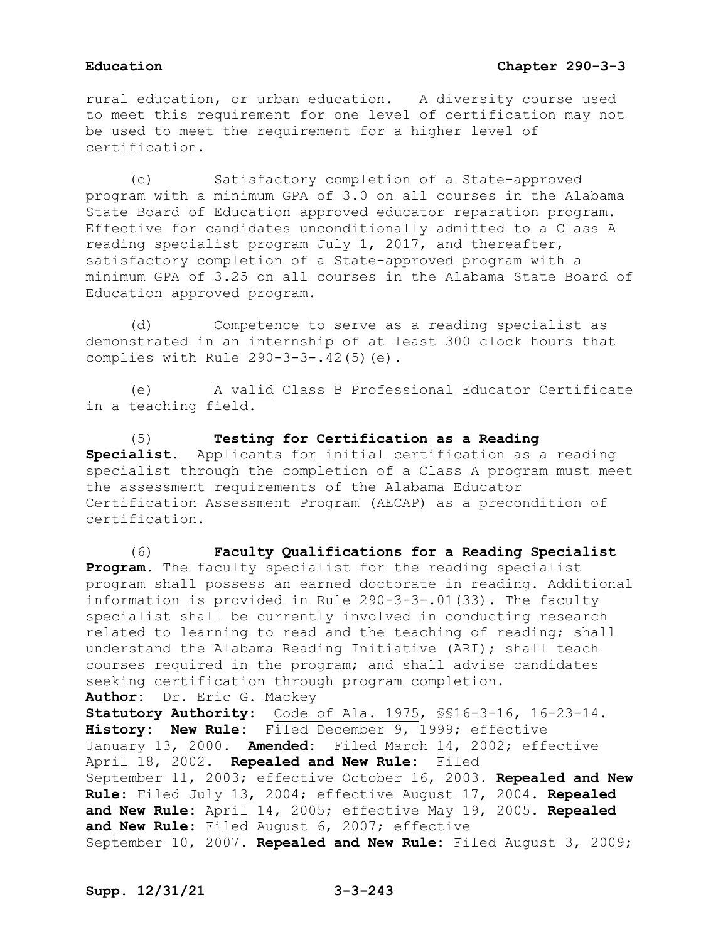rural education, or urban education. A diversity course used to meet this requirement for one level of certification may not be used to meet the requirement for a higher level of certification.

(c) Satisfactory completion of a State-approved program with a minimum GPA of 3.0 on all courses in the Alabama State Board of Education approved educator reparation program. Effective for candidates unconditionally admitted to a Class A reading specialist program July 1, 2017, and thereafter, satisfactory completion of a State-approved program with a minimum GPA of 3.25 on all courses in the Alabama State Board of Education approved program.

(d) Competence to serve as a reading specialist as demonstrated in an internship of at least 300 clock hours that complies with Rule 290-3-3-.42(5)(e).

(e) A valid Class B Professional Educator Certificate in a teaching field.

(5) **Testing for Certification as a Reading Specialist.** Applicants for initial certification as a reading specialist through the completion of a Class A program must meet the assessment requirements of the Alabama Educator Certification Assessment Program (AECAP) as a precondition of certification.

(6) **Faculty Qualifications for a Reading Specialist Program.** The faculty specialist for the reading specialist program shall possess an earned doctorate in reading. Additional information is provided in Rule 290-3-3-.01(33). The faculty specialist shall be currently involved in conducting research related to learning to read and the teaching of reading; shall understand the Alabama Reading Initiative (ARI); shall teach courses required in the program; and shall advise candidates seeking certification through program completion. **Author:** Dr. Eric G. Mackey **Statutory Authority:** Code of Ala. 1975, §§16-3-16, 16-23-14. **History: New Rule:** Filed December 9, 1999; effective January 13, 2000. **Amended:** Filed March 14, 2002; effective April 18, 2002. **Repealed and New Rule:** Filed September 11, 2003; effective October 16, 2003. **Repealed and New Rule:** Filed July 13, 2004; effective August 17, 2004. **Repealed and New Rule:** April 14, 2005; effective May 19, 2005. **Repealed and New Rule:** Filed August 6, 2007; effective September 10, 2007. **Repealed and New Rule:** Filed August 3, 2009;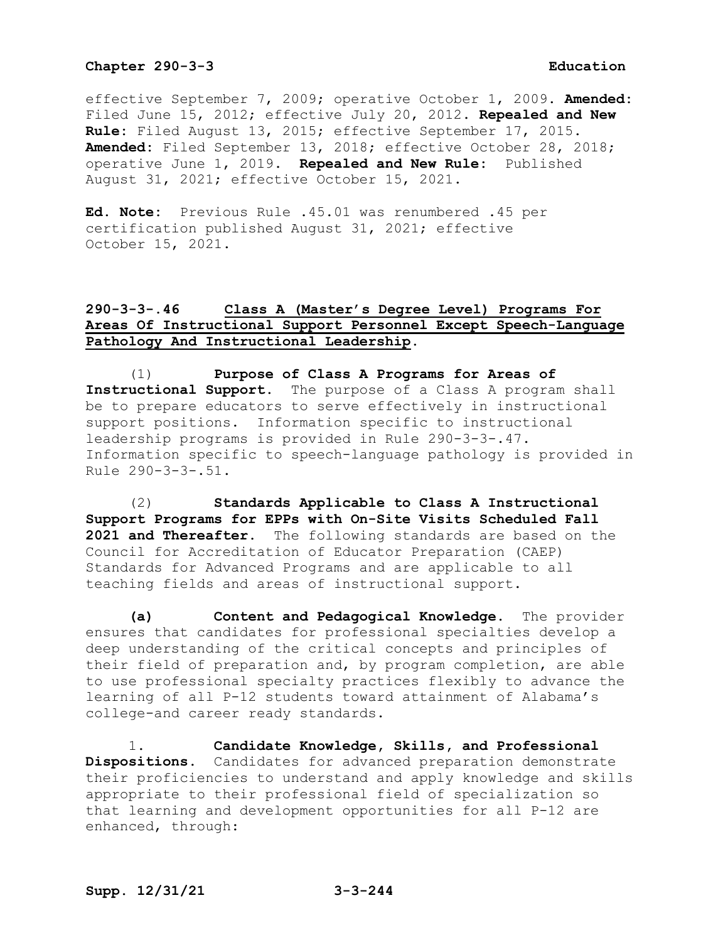effective September 7, 2009; operative October 1, 2009. **Amended:** Filed June 15, 2012; effective July 20, 2012. **Repealed and New Rule:** Filed August 13, 2015; effective September 17, 2015. **Amended:** Filed September 13, 2018; effective October 28, 2018; operative June 1, 2019. **Repealed and New Rule:** Published August 31, 2021; effective October 15, 2021.

**Ed. Note:** Previous Rule .45.01 was renumbered .45 per certification published August 31, 2021; effective October 15, 2021.

# **290-3-3-.46 Class A (Master's Degree Level) Programs For Areas Of Instructional Support Personnel Except Speech-Language Pathology And Instructional Leadership.**

(1) **Purpose of Class A Programs for Areas of Instructional Support.** The purpose of a Class A program shall be to prepare educators to serve effectively in instructional support positions. Information specific to instructional leadership programs is provided in Rule 290-3-3-.47. Information specific to speech-language pathology is provided in Rule 290-3-3-.51.

(2) **Standards Applicable to Class A Instructional Support Programs for EPPs with On-Site Visits Scheduled Fall 2021 and Thereafter.** The following standards are based on the Council for Accreditation of Educator Preparation (CAEP) Standards for Advanced Programs and are applicable to all teaching fields and areas of instructional support.

**(a) Content and Pedagogical Knowledge.** The provider ensures that candidates for professional specialties develop a deep understanding of the critical concepts and principles of their field of preparation and, by program completion, are able to use professional specialty practices flexibly to advance the learning of all P-12 students toward attainment of Alabama's college-and career ready standards.

1. **Candidate Knowledge, Skills, and Professional Dispositions.** Candidates for advanced preparation demonstrate their proficiencies to understand and apply knowledge and skills appropriate to their professional field of specialization so that learning and development opportunities for all P-12 are enhanced, through: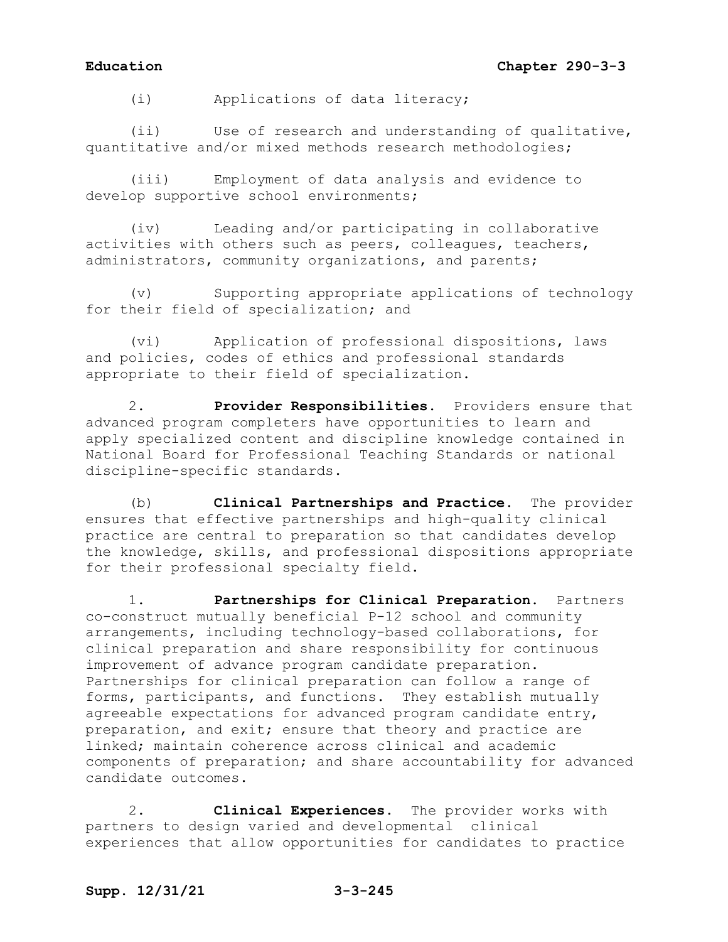(i) Applications of data literacy;

(ii) Use of research and understanding of qualitative, quantitative and/or mixed methods research methodologies;

(iii) Employment of data analysis and evidence to develop supportive school environments;

(iv) Leading and/or participating in collaborative activities with others such as peers, colleagues, teachers, administrators, community organizations, and parents;

(v) Supporting appropriate applications of technology for their field of specialization; and

(vi) Application of professional dispositions, laws and policies, codes of ethics and professional standards appropriate to their field of specialization.

2. **Provider Responsibilities.** Providers ensure that advanced program completers have opportunities to learn and apply specialized content and discipline knowledge contained in National Board for Professional Teaching Standards or national discipline-specific standards.

(b) **Clinical Partnerships and Practice.** The provider ensures that effective partnerships and high-quality clinical practice are central to preparation so that candidates develop the knowledge, skills, and professional dispositions appropriate for their professional specialty field.

1. **Partnerships for Clinical Preparation.** Partners co-construct mutually beneficial P-12 school and community arrangements, including technology-based collaborations, for clinical preparation and share responsibility for continuous improvement of advance program candidate preparation. Partnerships for clinical preparation can follow a range of forms, participants, and functions. They establish mutually agreeable expectations for advanced program candidate entry, preparation, and exit; ensure that theory and practice are linked; maintain coherence across clinical and academic components of preparation; and share accountability for advanced candidate outcomes.

2. **Clinical Experiences.** The provider works with partners to design varied and developmental clinical experiences that allow opportunities for candidates to practice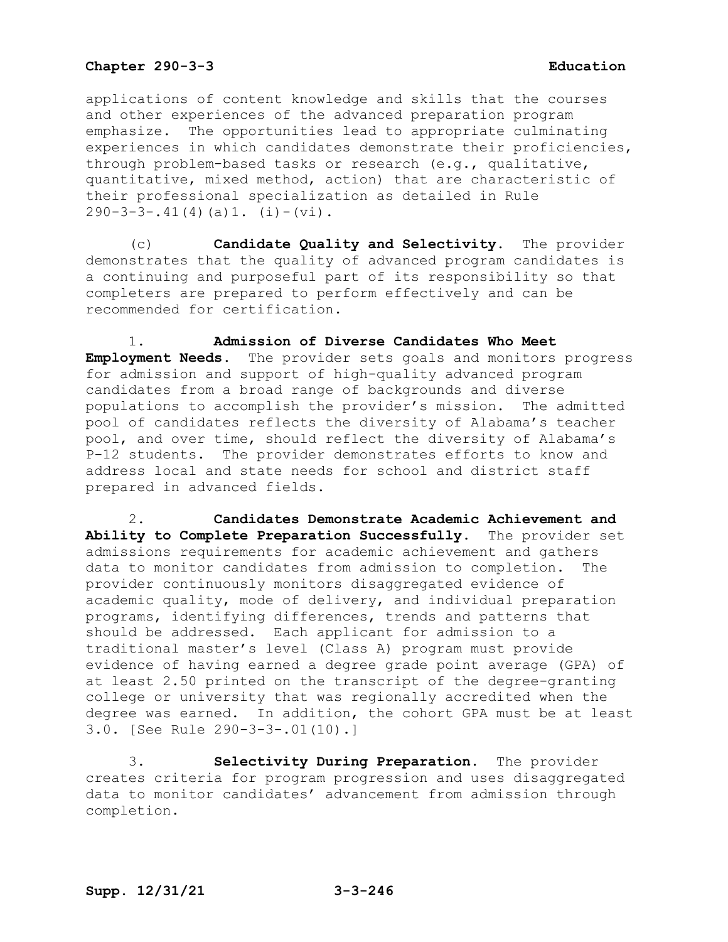applications of content knowledge and skills that the courses and other experiences of the advanced preparation program emphasize. The opportunities lead to appropriate culminating experiences in which candidates demonstrate their proficiencies, through problem-based tasks or research (e.g., qualitative, quantitative, mixed method, action) that are characteristic of their professional specialization as detailed in Rule  $290-3-3-.41(4)(a)1. (i)-(vi).$ 

(c) **Candidate Quality and Selectivity.** The provider demonstrates that the quality of advanced program candidates is a continuing and purposeful part of its responsibility so that completers are prepared to perform effectively and can be recommended for certification.

1. **Admission of Diverse Candidates Who Meet Employment Needs.** The provider sets goals and monitors progress for admission and support of high-quality advanced program candidates from a broad range of backgrounds and diverse populations to accomplish the provider's mission. The admitted pool of candidates reflects the diversity of Alabama's teacher pool, and over time, should reflect the diversity of Alabama's P-12 students. The provider demonstrates efforts to know and address local and state needs for school and district staff prepared in advanced fields.

2. **Candidates Demonstrate Academic Achievement and Ability to Complete Preparation Successfully.** The provider set admissions requirements for academic achievement and gathers<br>data to monitor candidates from admission to completion. The data to monitor candidates from admission to completion. provider continuously monitors disaggregated evidence of academic quality, mode of delivery, and individual preparation programs, identifying differences, trends and patterns that should be addressed. Each applicant for admission to a traditional master's level (Class A) program must provide evidence of having earned a degree grade point average (GPA) of at least 2.50 printed on the transcript of the degree-granting college or university that was regionally accredited when the degree was earned. In addition, the cohort GPA must be at least 3.0. [See Rule 290-3-3-.01(10).]

3. **Selectivity During Preparation.** The provider creates criteria for program progression and uses disaggregated data to monitor candidates' advancement from admission through completion.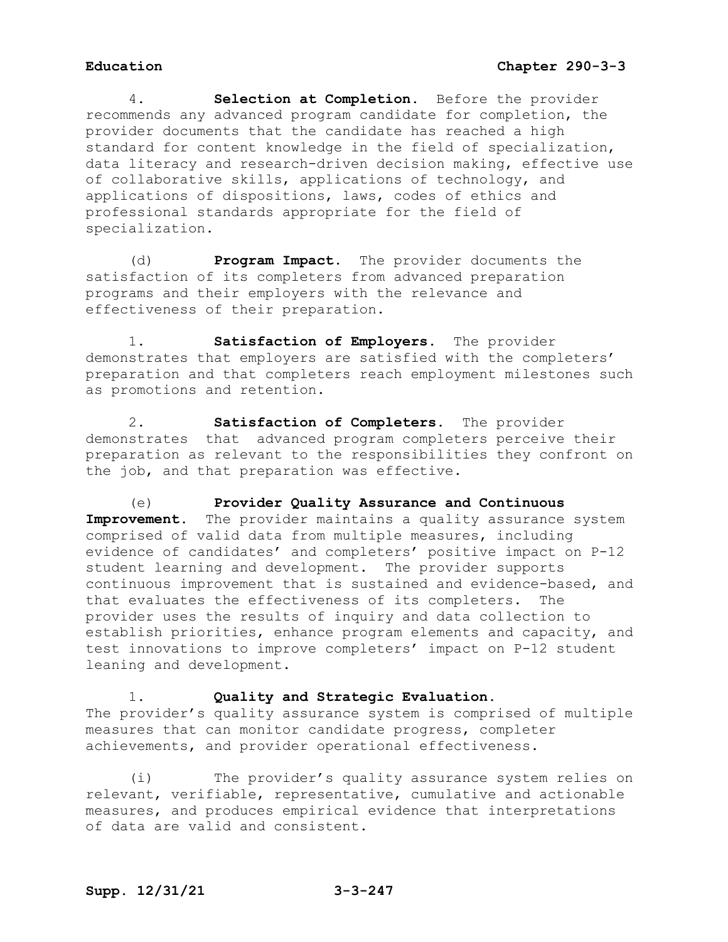4. **Selection at Completion.** Before the provider recommends any advanced program candidate for completion, the provider documents that the candidate has reached a high standard for content knowledge in the field of specialization, data literacy and research-driven decision making, effective use of collaborative skills, applications of technology, and applications of dispositions, laws, codes of ethics and professional standards appropriate for the field of specialization.

(d) **Program Impact.** The provider documents the satisfaction of its completers from advanced preparation programs and their employers with the relevance and effectiveness of their preparation.

1. **Satisfaction of Employers.** The provider demonstrates that employers are satisfied with the completers' preparation and that completers reach employment milestones such as promotions and retention.

2. **Satisfaction of Completers.** The provider demonstrates that advanced program completers perceive their preparation as relevant to the responsibilities they confront on the job, and that preparation was effective.

(e) **Provider Quality Assurance and Continuous**  Improvement. The provider maintains a quality assurance system comprised of valid data from multiple measures, including evidence of candidates' and completers' positive impact on P-12 student learning and development. The provider supports continuous improvement that is sustained and evidence-based, and that evaluates the effectiveness of its completers. The provider uses the results of inquiry and data collection to establish priorities, enhance program elements and capacity, and test innovations to improve completers' impact on P-12 student leaning and development.

### 1. **Quality and Strategic Evaluation.**

The provider's quality assurance system is comprised of multiple measures that can monitor candidate progress, completer achievements, and provider operational effectiveness.

(i) The provider's quality assurance system relies on relevant, verifiable, representative, cumulative and actionable measures, and produces empirical evidence that interpretations of data are valid and consistent.

## **Supp. 12/31/21 3-3-247**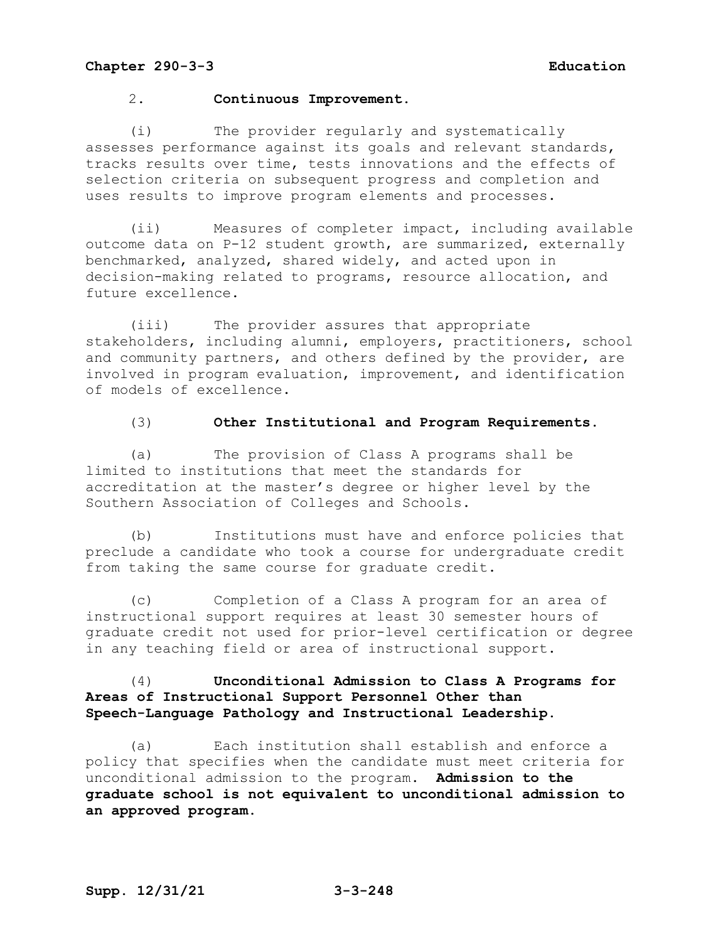### 2. **Continuous Improvement.**

(i) The provider regularly and systematically assesses performance against its goals and relevant standards, tracks results over time, tests innovations and the effects of selection criteria on subsequent progress and completion and uses results to improve program elements and processes.

(ii) Measures of completer impact, including available outcome data on P-12 student growth, are summarized, externally benchmarked, analyzed, shared widely, and acted upon in decision-making related to programs, resource allocation, and future excellence.

(iii) The provider assures that appropriate stakeholders, including alumni, employers, practitioners, school and community partners, and others defined by the provider, are involved in program evaluation, improvement, and identification of models of excellence.

### (3) **Other Institutional and Program Requirements.**

(a) The provision of Class A programs shall be limited to institutions that meet the standards for accreditation at the master's degree or higher level by the Southern Association of Colleges and Schools.

(b) Institutions must have and enforce policies that preclude a candidate who took a course for undergraduate credit from taking the same course for graduate credit.

(c) Completion of a Class A program for an area of instructional support requires at least 30 semester hours of graduate credit not used for prior-level certification or degree in any teaching field or area of instructional support.

## (4) **Unconditional Admission to Class A Programs for Areas of Instructional Support Personnel Other than Speech-Language Pathology and Instructional Leadership.**

(a) Each institution shall establish and enforce a policy that specifies when the candidate must meet criteria for unconditional admission to the program. **Admission to the graduate school is not equivalent to unconditional admission to an approved program.**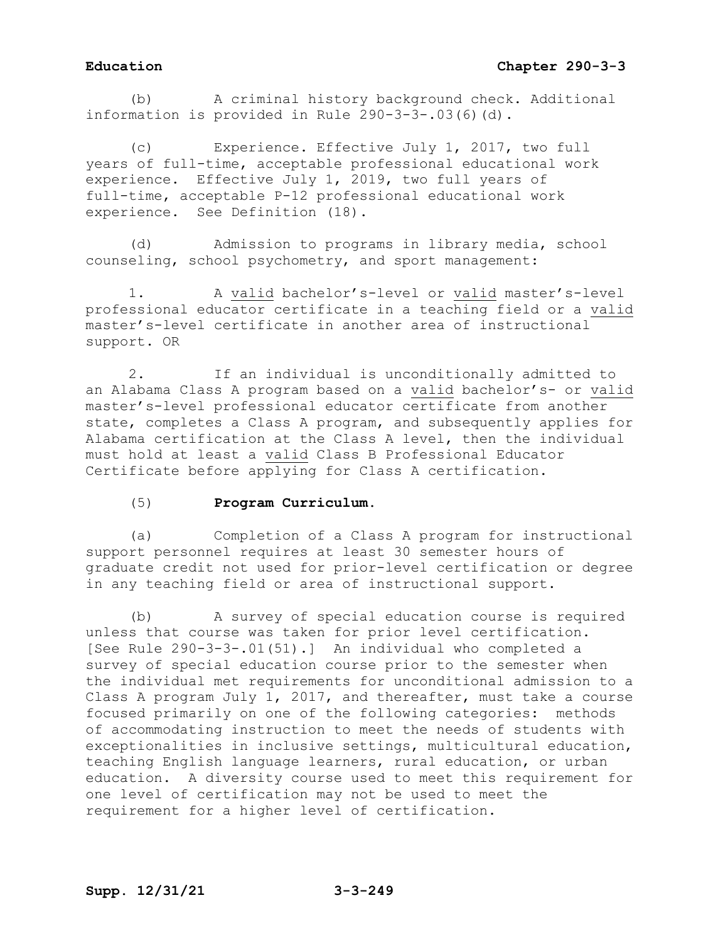(b) A criminal history background check. Additional information is provided in Rule 290-3-3-.03(6)(d).

(c) Experience. Effective July 1, 2017, two full years of full-time, acceptable professional educational work experience. Effective July 1, 2019, two full years of full-time, acceptable P-12 professional educational work experience. See Definition (18).

(d) Admission to programs in library media, school counseling, school psychometry, and sport management:

1. A valid bachelor's-level or valid master's-level professional educator certificate in a teaching field or a valid master's-level certificate in another area of instructional support. OR

2. If an individual is unconditionally admitted to an Alabama Class A program based on a valid bachelor's- or valid master's-level professional educator certificate from another state, completes a Class A program, and subsequently applies for Alabama certification at the Class A level, then the individual must hold at least a valid Class B Professional Educator Certificate before applying for Class A certification.

## (5) **Program Curriculum.**

(a) Completion of a Class A program for instructional support personnel requires at least 30 semester hours of graduate credit not used for prior-level certification or degree in any teaching field or area of instructional support.

(b) A survey of special education course is required unless that course was taken for prior level certification. [See Rule 290-3-3-.01(51).] An individual who completed a survey of special education course prior to the semester when the individual met requirements for unconditional admission to a Class A program July 1, 2017, and thereafter, must take a course focused primarily on one of the following categories: methods of accommodating instruction to meet the needs of students with exceptionalities in inclusive settings, multicultural education, teaching English language learners, rural education, or urban education. A diversity course used to meet this requirement for one level of certification may not be used to meet the requirement for a higher level of certification.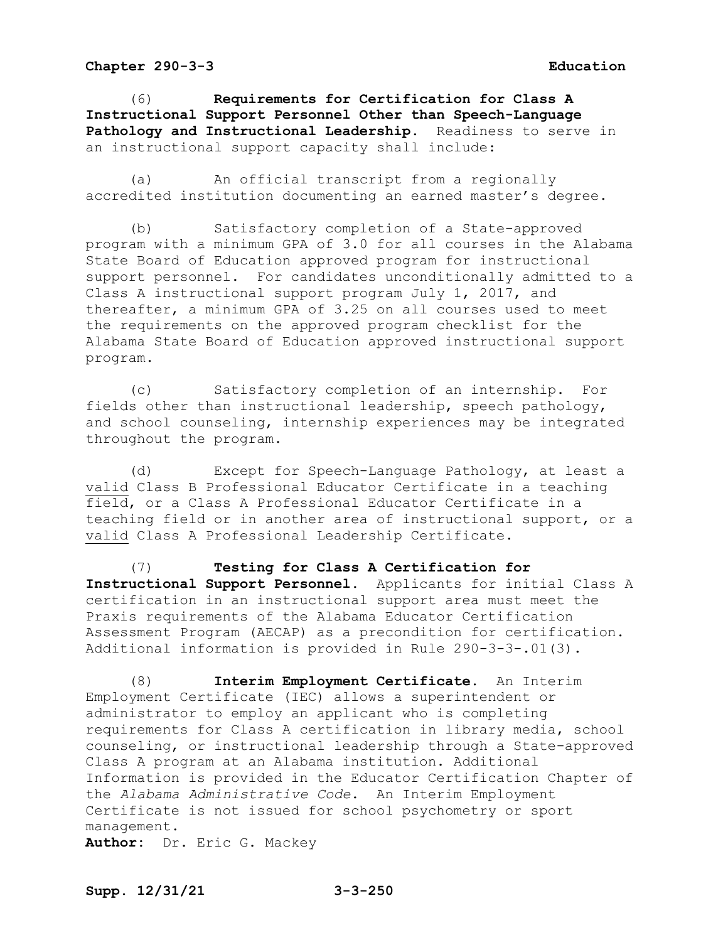(6) **Requirements for Certification for Class A Instructional Support Personnel Other than Speech-Language Pathology and Instructional Leadership**. Readiness to serve in an instructional support capacity shall include:

(a) An official transcript from a regionally accredited institution documenting an earned master's degree.

(b) Satisfactory completion of a State-approved program with a minimum GPA of 3.0 for all courses in the Alabama State Board of Education approved program for instructional support personnel. For candidates unconditionally admitted to a Class A instructional support program July 1, 2017, and thereafter, a minimum GPA of 3.25 on all courses used to meet the requirements on the approved program checklist for the Alabama State Board of Education approved instructional support program.

(c) Satisfactory completion of an internship. For fields other than instructional leadership, speech pathology, and school counseling, internship experiences may be integrated throughout the program.

(d) Except for Speech-Language Pathology, at least a valid Class B Professional Educator Certificate in a teaching field, or a Class A Professional Educator Certificate in a teaching field or in another area of instructional support, or a valid Class A Professional Leadership Certificate.

(7) **Testing for Class A Certification for Instructional Support Personnel**. Applicants for initial Class A certification in an instructional support area must meet the Praxis requirements of the Alabama Educator Certification Assessment Program (AECAP) as a precondition for certification. Additional information is provided in Rule 290-3-3-.01(3).

(8) **Interim Employment Certificate.** An Interim Employment Certificate (IEC) allows a superintendent or administrator to employ an applicant who is completing requirements for Class A certification in library media, school counseling, or instructional leadership through a State-approved Class A program at an Alabama institution. Additional Information is provided in the Educator Certification Chapter of the *Alabama Administrative Code*. An Interim Employment Certificate is not issued for school psychometry or sport management.

**Author:** Dr. Eric G. Mackey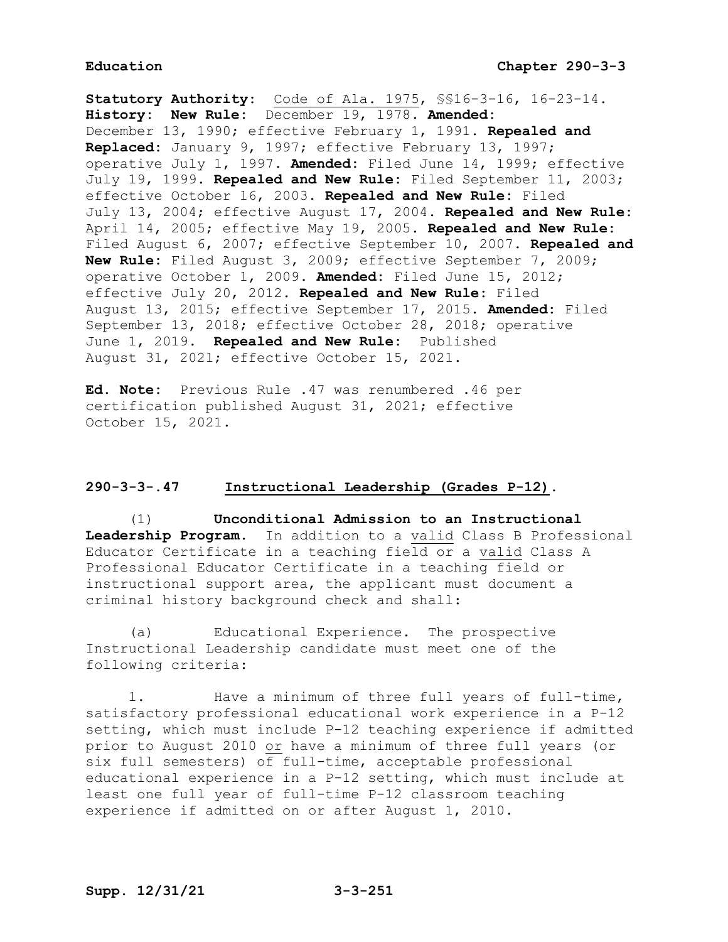**Statutory Authority:** Code of Ala. 1975, §§16-3-16, 16-23-14. **History: New Rule:** December 19, 1978. **Amended:** December 13, 1990; effective February 1, 1991. **Repealed and Replaced:** January 9, 1997; effective February 13, 1997; operative July 1, 1997. **Amended:** Filed June 14, 1999; effective July 19, 1999. **Repealed and New Rule:** Filed September 11, 2003; effective October 16, 2003. **Repealed and New Rule:** Filed July 13, 2004; effective August 17, 2004. **Repealed and New Rule:** April 14, 2005; effective May 19, 2005. **Repealed and New Rule:** Filed August 6, 2007; effective September 10, 2007. **Repealed and New Rule:** Filed August 3, 2009; effective September 7, 2009; operative October 1, 2009. **Amended:** Filed June 15, 2012; effective July 20, 2012. **Repealed and New Rule:** Filed August 13, 2015; effective September 17, 2015. **Amended:** Filed September 13, 2018; effective October 28, 2018; operative June 1, 2019. **Repealed and New Rule:** Published August 31, 2021; effective October 15, 2021.

**Ed. Note:** Previous Rule .47 was renumbered .46 per certification published August 31, 2021; effective October 15, 2021.

### **290-3-3-.47 Instructional Leadership (Grades P-12).**

(1) **Unconditional Admission to an Instructional Leadership Program.** In addition to a valid Class B Professional Educator Certificate in a teaching field or a valid Class A Professional Educator Certificate in a teaching field or instructional support area, the applicant must document a criminal history background check and shall:

(a) Educational Experience. The prospective Instructional Leadership candidate must meet one of the following criteria:

1. Have a minimum of three full years of full-time, satisfactory professional educational work experience in a P-12 setting, which must include P-12 teaching experience if admitted prior to August 2010 or have a minimum of three full years (or six full semesters) of full-time, acceptable professional educational experience in a P-12 setting, which must include at least one full year of full-time P-12 classroom teaching experience if admitted on or after August 1, 2010.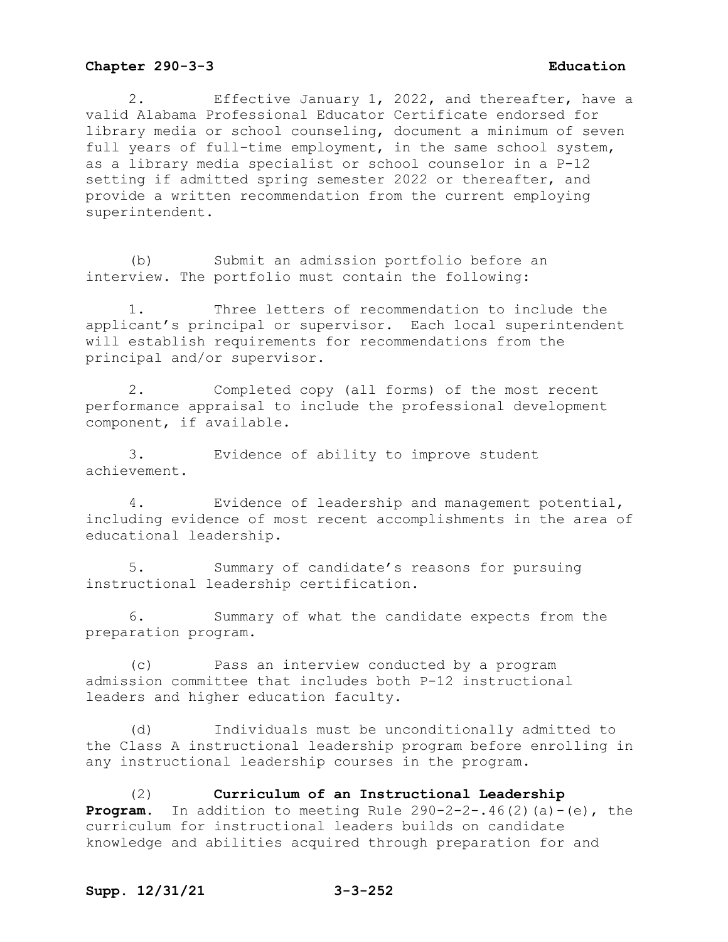2. Effective January 1, 2022, and thereafter, have a valid Alabama Professional Educator Certificate endorsed for library media or school counseling, document a minimum of seven full years of full-time employment, in the same school system, as a library media specialist or school counselor in a P-12 setting if admitted spring semester 2022 or thereafter, and provide a written recommendation from the current employing superintendent.

(b) Submit an admission portfolio before an interview. The portfolio must contain the following:

1. Three letters of recommendation to include the applicant's principal or supervisor. Each local superintendent will establish requirements for recommendations from the principal and/or supervisor.

2. Completed copy (all forms) of the most recent performance appraisal to include the professional development component, if available.

3. Evidence of ability to improve student achievement.

4. Evidence of leadership and management potential, including evidence of most recent accomplishments in the area of educational leadership.

5. Summary of candidate's reasons for pursuing instructional leadership certification.

6. Summary of what the candidate expects from the preparation program.

(c) Pass an interview conducted by a program admission committee that includes both P-12 instructional leaders and higher education faculty.

(d) Individuals must be unconditionally admitted to the Class A instructional leadership program before enrolling in any instructional leadership courses in the program.

(2) **Curriculum of an Instructional Leadership Program.** In addition to meeting Rule  $290-2-2-0.46(2)(a)-(e)$ , the curriculum for instructional leaders builds on candidate knowledge and abilities acquired through preparation for and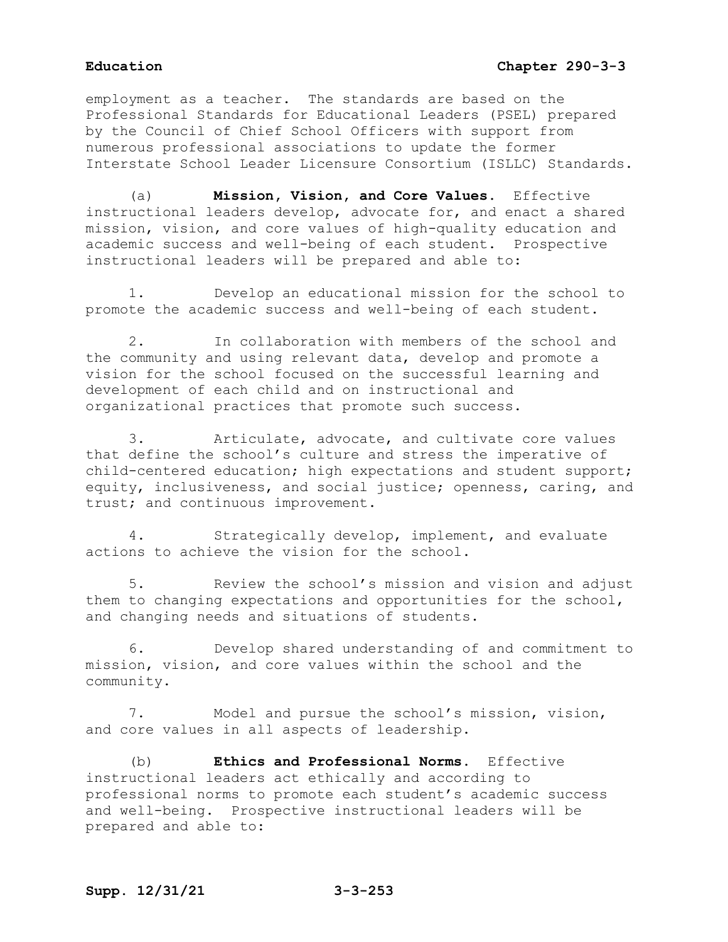employment as a teacher. The standards are based on the Professional Standards for Educational Leaders (PSEL) prepared by the Council of Chief School Officers with support from numerous professional associations to update the former Interstate School Leader Licensure Consortium (ISLLC) Standards.

(a) **Mission, Vision, and Core Values**. Effective instructional leaders develop, advocate for, and enact a shared mission, vision, and core values of high-quality education and academic success and well-being of each student. Prospective instructional leaders will be prepared and able to:

1. Develop an educational mission for the school to promote the academic success and well-being of each student.

2. In collaboration with members of the school and the community and using relevant data, develop and promote a vision for the school focused on the successful learning and development of each child and on instructional and organizational practices that promote such success.

3. Articulate, advocate, and cultivate core values that define the school's culture and stress the imperative of child-centered education; high expectations and student support; equity, inclusiveness, and social justice; openness, caring, and trust; and continuous improvement.

4. Strategically develop, implement, and evaluate actions to achieve the vision for the school.

5. Review the school's mission and vision and adjust them to changing expectations and opportunities for the school, and changing needs and situations of students.

6. Develop shared understanding of and commitment to mission, vision, and core values within the school and the community.

7. Model and pursue the school's mission, vision, and core values in all aspects of leadership.

(b) **Ethics and Professional Norms**. Effective instructional leaders act ethically and according to professional norms to promote each student's academic success and well-being. Prospective instructional leaders will be prepared and able to: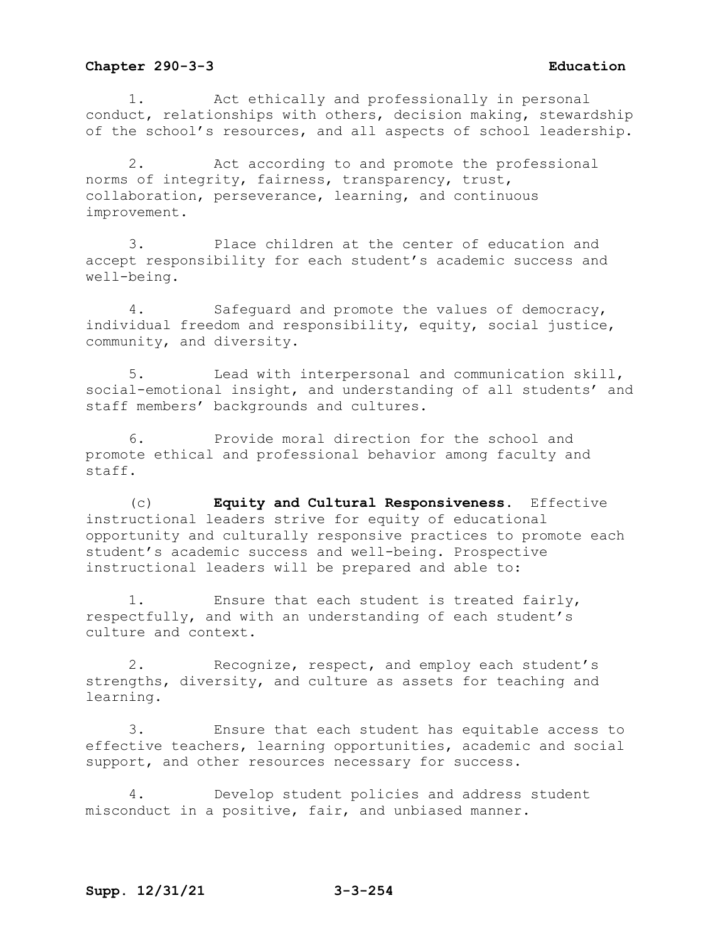1. Act ethically and professionally in personal conduct, relationships with others, decision making, stewardship of the school's resources, and all aspects of school leadership.

2. Act according to and promote the professional norms of integrity, fairness, transparency, trust, collaboration, perseverance, learning, and continuous improvement.

3. Place children at the center of education and accept responsibility for each student's academic success and well-being.

4. Safeguard and promote the values of democracy, individual freedom and responsibility, equity, social justice, community, and diversity.

5. Lead with interpersonal and communication skill, social-emotional insight, and understanding of all students' and staff members' backgrounds and cultures.

6. Provide moral direction for the school and promote ethical and professional behavior among faculty and staff.

(c) **Equity and Cultural Responsiveness**. Effective instructional leaders strive for equity of educational opportunity and culturally responsive practices to promote each student's academic success and well-being. Prospective instructional leaders will be prepared and able to:

1. Ensure that each student is treated fairly, respectfully, and with an understanding of each student's culture and context.

2. Recognize, respect, and employ each student's strengths, diversity, and culture as assets for teaching and learning.

3. Ensure that each student has equitable access to effective teachers, learning opportunities, academic and social support, and other resources necessary for success.

4. Develop student policies and address student misconduct in a positive, fair, and unbiased manner.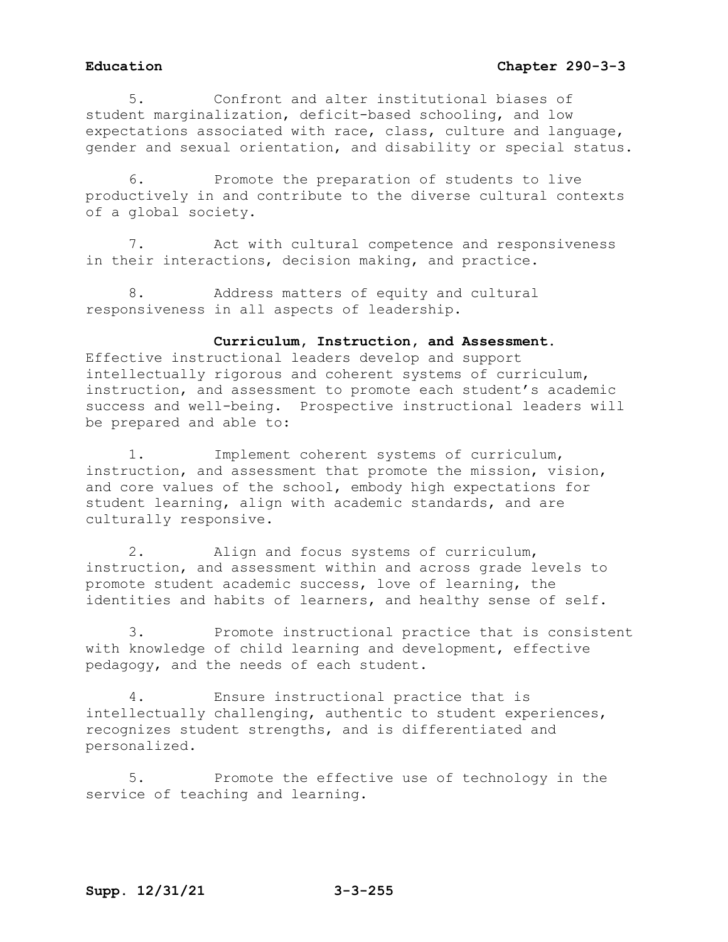5. Confront and alter institutional biases of student marginalization, deficit-based schooling, and low expectations associated with race, class, culture and language, gender and sexual orientation, and disability or special status.

6. Promote the preparation of students to live productively in and contribute to the diverse cultural contexts of a global society.

7. Act with cultural competence and responsiveness in their interactions, decision making, and practice.

8. Address matters of equity and cultural responsiveness in all aspects of leadership.

## **Curriculum, Instruction, and Assessment**.

Effective instructional leaders develop and support intellectually rigorous and coherent systems of curriculum, instruction, and assessment to promote each student's academic success and well-being. Prospective instructional leaders will be prepared and able to:

1. Implement coherent systems of curriculum, instruction, and assessment that promote the mission, vision, and core values of the school, embody high expectations for student learning, align with academic standards, and are culturally responsive.

2. Align and focus systems of curriculum, instruction, and assessment within and across grade levels to promote student academic success, love of learning, the identities and habits of learners, and healthy sense of self.

3. Promote instructional practice that is consistent with knowledge of child learning and development, effective pedagogy, and the needs of each student.

4. Ensure instructional practice that is intellectually challenging, authentic to student experiences, recognizes student strengths, and is differentiated and personalized.

5. Promote the effective use of technology in the service of teaching and learning.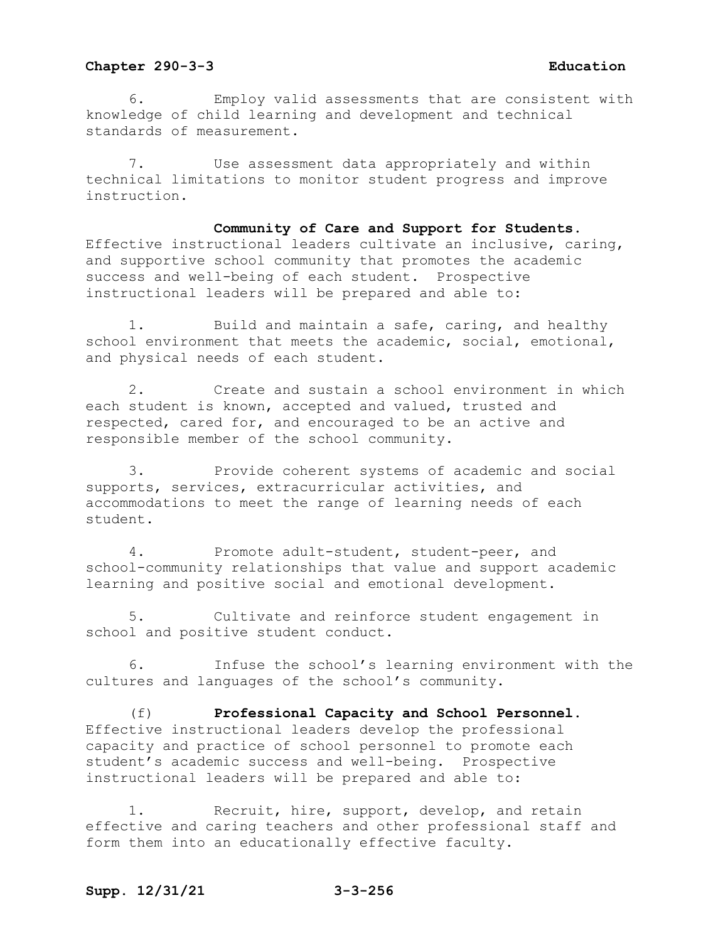6. Employ valid assessments that are consistent with knowledge of child learning and development and technical standards of measurement.

7. Use assessment data appropriately and within technical limitations to monitor student progress and improve instruction.

**Community of Care and Support for Students**. Effective instructional leaders cultivate an inclusive, caring, and supportive school community that promotes the academic success and well-being of each student. Prospective instructional leaders will be prepared and able to:

1. Build and maintain a safe, caring, and healthy school environment that meets the academic, social, emotional, and physical needs of each student.

2. Create and sustain a school environment in which each student is known, accepted and valued, trusted and respected, cared for, and encouraged to be an active and responsible member of the school community.

3. Provide coherent systems of academic and social supports, services, extracurricular activities, and accommodations to meet the range of learning needs of each student.

4. Promote adult-student, student-peer, and school-community relationships that value and support academic learning and positive social and emotional development.

5. Cultivate and reinforce student engagement in school and positive student conduct.

6. Infuse the school's learning environment with the cultures and languages of the school's community.

(f) **Professional Capacity and School Personnel**. Effective instructional leaders develop the professional capacity and practice of school personnel to promote each student's academic success and well-being. Prospective instructional leaders will be prepared and able to:

1. Recruit, hire, support, develop, and retain effective and caring teachers and other professional staff and form them into an educationally effective faculty.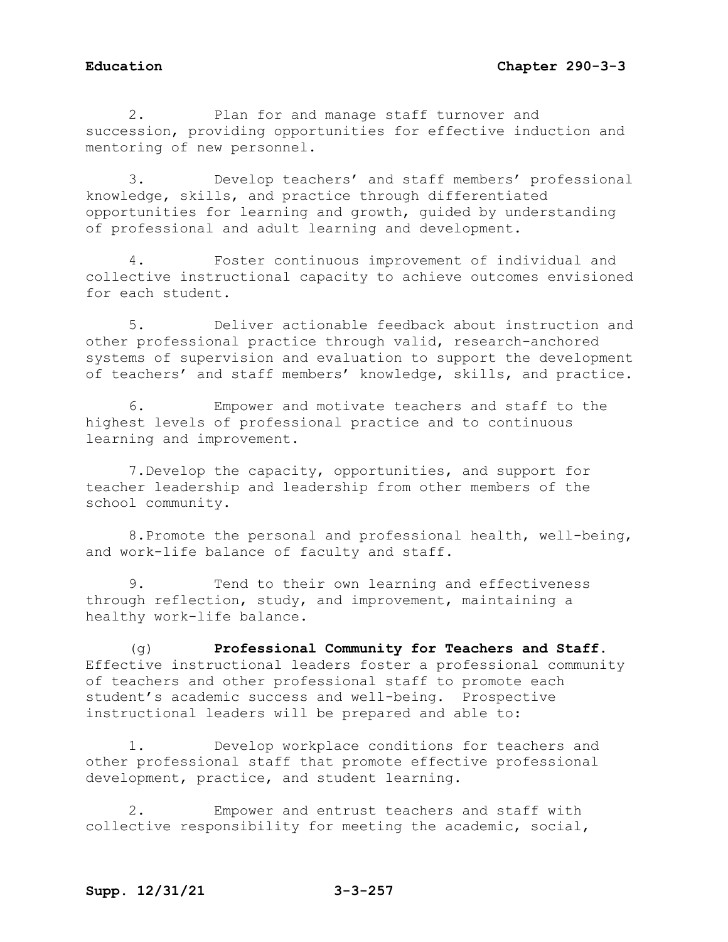2. Plan for and manage staff turnover and succession, providing opportunities for effective induction and mentoring of new personnel.

3. Develop teachers' and staff members' professional knowledge, skills, and practice through differentiated opportunities for learning and growth, guided by understanding of professional and adult learning and development.

4. Foster continuous improvement of individual and collective instructional capacity to achieve outcomes envisioned for each student.

5. Deliver actionable feedback about instruction and other professional practice through valid, research-anchored systems of supervision and evaluation to support the development of teachers' and staff members' knowledge, skills, and practice.

6. Empower and motivate teachers and staff to the highest levels of professional practice and to continuous learning and improvement.

7.Develop the capacity, opportunities, and support for teacher leadership and leadership from other members of the school community.

8.Promote the personal and professional health, well-being, and work-life balance of faculty and staff.

9. Tend to their own learning and effectiveness through reflection, study, and improvement, maintaining a healthy work-life balance.

(g) **Professional Community for Teachers and Staff**. Effective instructional leaders foster a professional community of teachers and other professional staff to promote each student's academic success and well-being. Prospective instructional leaders will be prepared and able to:

1. Develop workplace conditions for teachers and other professional staff that promote effective professional development, practice, and student learning.

2. Empower and entrust teachers and staff with collective responsibility for meeting the academic, social,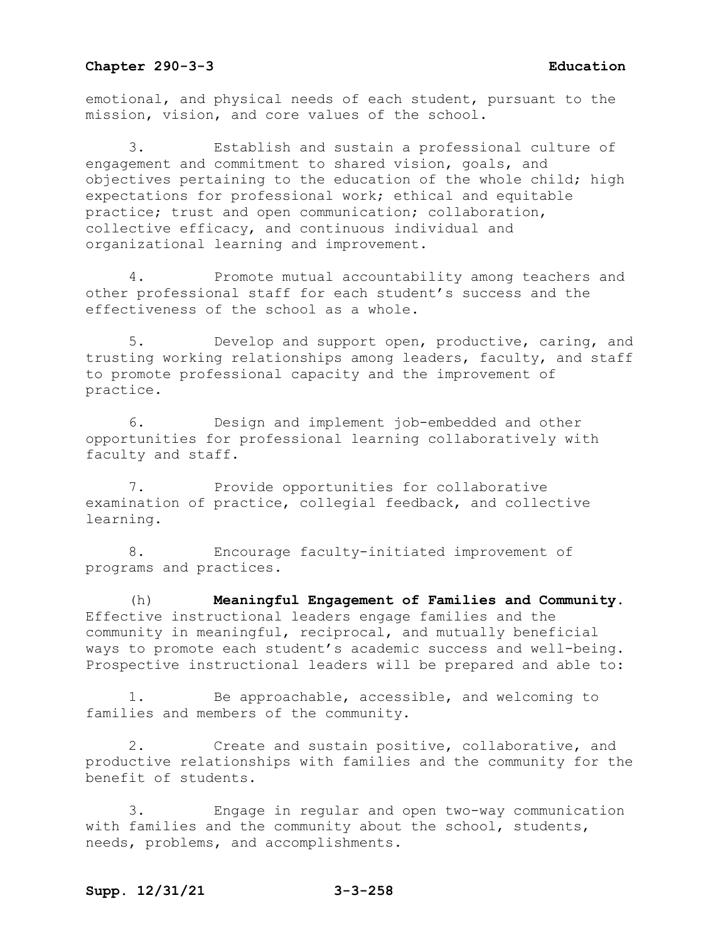emotional, and physical needs of each student, pursuant to the mission, vision, and core values of the school.

3. Establish and sustain a professional culture of engagement and commitment to shared vision, goals, and objectives pertaining to the education of the whole child; high expectations for professional work; ethical and equitable practice; trust and open communication; collaboration, collective efficacy, and continuous individual and organizational learning and improvement.

4. Promote mutual accountability among teachers and other professional staff for each student's success and the effectiveness of the school as a whole.

5. Develop and support open, productive, caring, and trusting working relationships among leaders, faculty, and staff to promote professional capacity and the improvement of practice.

6. Design and implement job-embedded and other opportunities for professional learning collaboratively with faculty and staff.

7. Provide opportunities for collaborative examination of practice, collegial feedback, and collective learning.

8. Encourage faculty-initiated improvement of programs and practices.

(h) **Meaningful Engagement of Families and Community**. Effective instructional leaders engage families and the community in meaningful, reciprocal, and mutually beneficial ways to promote each student's academic success and well-being. Prospective instructional leaders will be prepared and able to:

Be approachable, accessible, and welcoming to families and members of the community.

2. Create and sustain positive, collaborative, and productive relationships with families and the community for the benefit of students.

3. Engage in regular and open two-way communication with families and the community about the school, students, needs, problems, and accomplishments.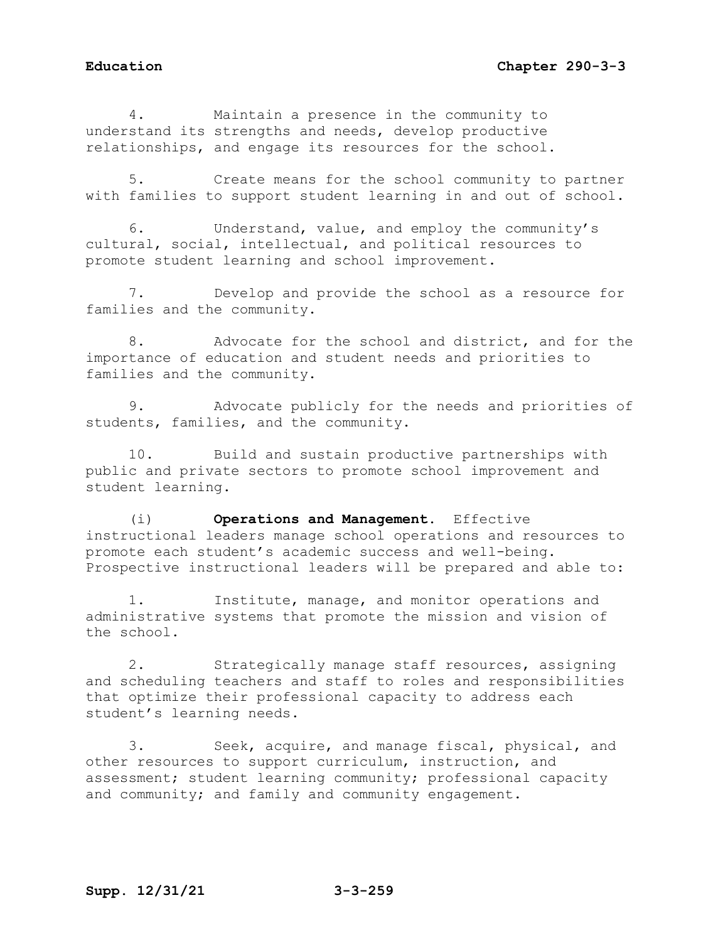4. Maintain a presence in the community to understand its strengths and needs, develop productive relationships, and engage its resources for the school.

5. Create means for the school community to partner with families to support student learning in and out of school.

6. Understand, value, and employ the community's cultural, social, intellectual, and political resources to promote student learning and school improvement.

7. Develop and provide the school as a resource for families and the community.

8. Advocate for the school and district, and for the importance of education and student needs and priorities to families and the community.

9. Advocate publicly for the needs and priorities of students, families, and the community.

10. Build and sustain productive partnerships with public and private sectors to promote school improvement and student learning.

(i) **Operations and Management**. Effective instructional leaders manage school operations and resources to promote each student's academic success and well-being. Prospective instructional leaders will be prepared and able to:

1. Institute, manage, and monitor operations and administrative systems that promote the mission and vision of the school.

2. Strategically manage staff resources, assigning and scheduling teachers and staff to roles and responsibilities that optimize their professional capacity to address each student's learning needs.

3. Seek, acquire, and manage fiscal, physical, and other resources to support curriculum, instruction, and assessment; student learning community; professional capacity and community; and family and community engagement.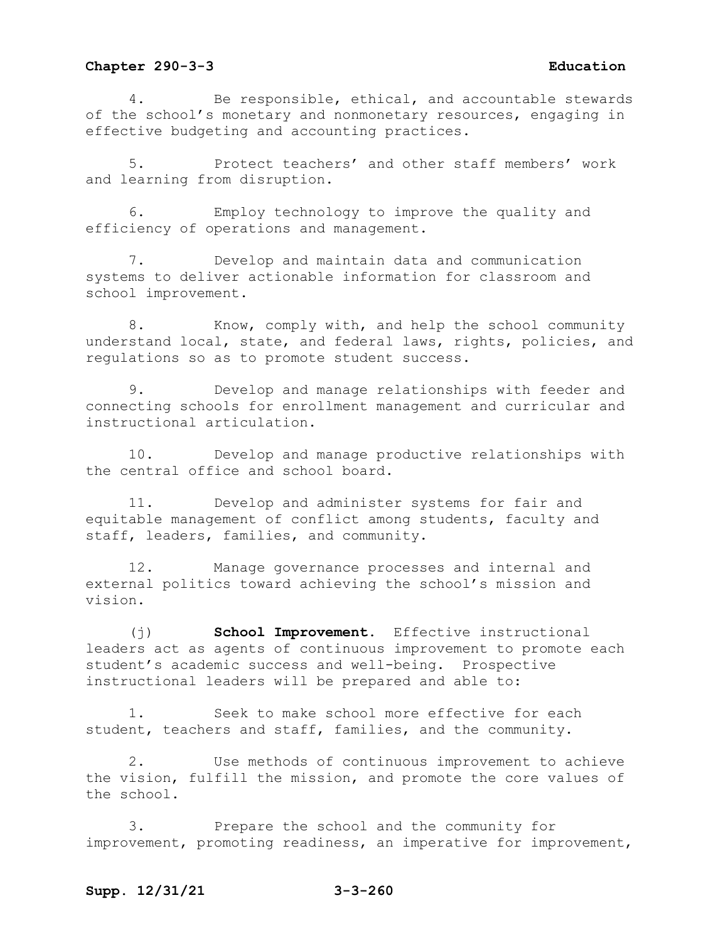4. Be responsible, ethical, and accountable stewards of the school's monetary and nonmonetary resources, engaging in effective budgeting and accounting practices.

5. Protect teachers' and other staff members' work and learning from disruption.

6. Employ technology to improve the quality and efficiency of operations and management.

7. Develop and maintain data and communication systems to deliver actionable information for classroom and school improvement.

8. Know, comply with, and help the school community understand local, state, and federal laws, rights, policies, and regulations so as to promote student success.

9. Develop and manage relationships with feeder and connecting schools for enrollment management and curricular and instructional articulation.

10. Develop and manage productive relationships with the central office and school board.

11. Develop and administer systems for fair and equitable management of conflict among students, faculty and staff, leaders, families, and community.

12. Manage governance processes and internal and external politics toward achieving the school's mission and vision.

(j) **School Improvement**. Effective instructional leaders act as agents of continuous improvement to promote each student's academic success and well-being. Prospective instructional leaders will be prepared and able to:

1. Seek to make school more effective for each student, teachers and staff, families, and the community.

2. Use methods of continuous improvement to achieve the vision, fulfill the mission, and promote the core values of the school.

3. Prepare the school and the community for improvement, promoting readiness, an imperative for improvement,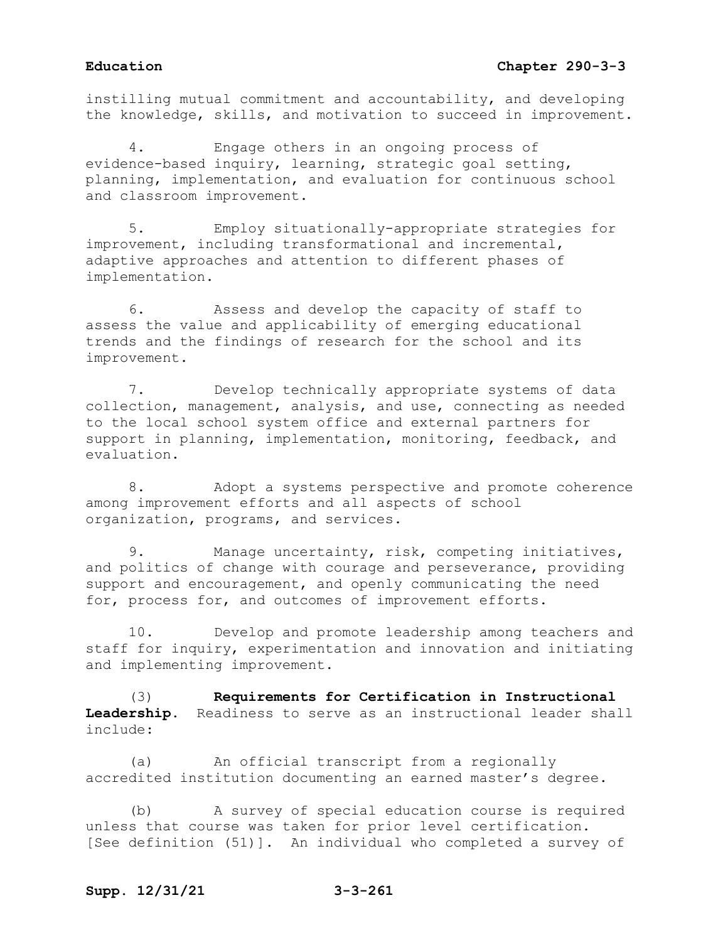instilling mutual commitment and accountability, and developing the knowledge, skills, and motivation to succeed in improvement.

Engage others in an ongoing process of evidence-based inquiry, learning, strategic goal setting, planning, implementation, and evaluation for continuous school and classroom improvement.

5. Employ situationally-appropriate strategies for improvement, including transformational and incremental, adaptive approaches and attention to different phases of implementation.

6. Assess and develop the capacity of staff to assess the value and applicability of emerging educational trends and the findings of research for the school and its improvement.

7. Develop technically appropriate systems of data collection, management, analysis, and use, connecting as needed to the local school system office and external partners for support in planning, implementation, monitoring, feedback, and evaluation.

8. Adopt a systems perspective and promote coherence among improvement efforts and all aspects of school organization, programs, and services.

9. Manage uncertainty, risk, competing initiatives, and politics of change with courage and perseverance, providing support and encouragement, and openly communicating the need for, process for, and outcomes of improvement efforts.

10. Develop and promote leadership among teachers and staff for inquiry, experimentation and innovation and initiating and implementing improvement.

(3) **Requirements for Certification in Instructional Leadership.** Readiness to serve as an instructional leader shall include:

(a) An official transcript from a regionally accredited institution documenting an earned master's degree.

(b) A survey of special education course is required unless that course was taken for prior level certification. [See definition (51)]. An individual who completed a survey of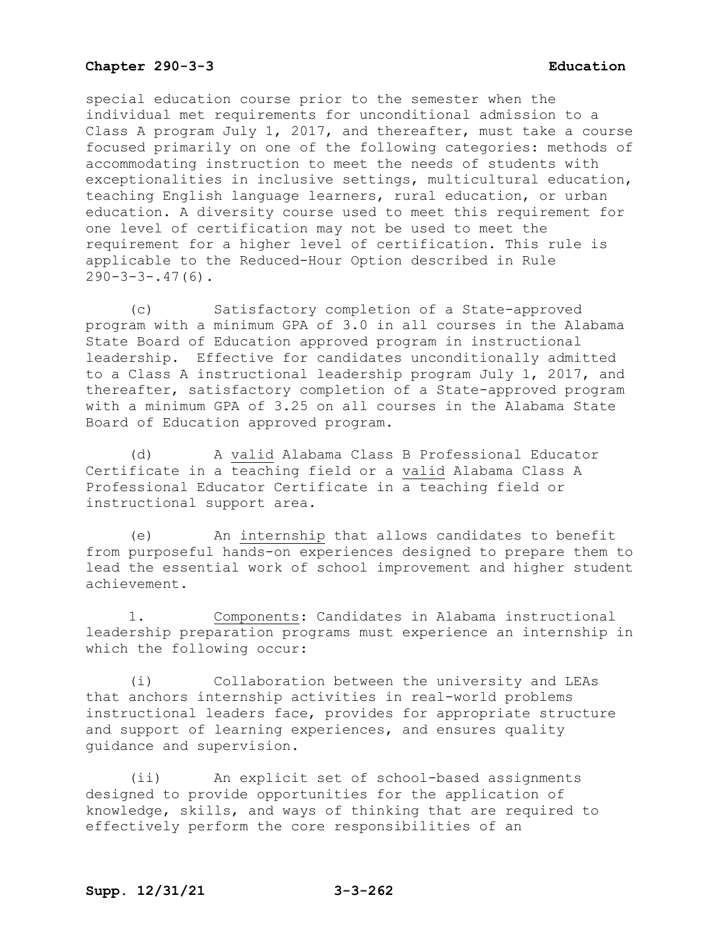special education course prior to the semester when the individual met requirements for unconditional admission to a Class A program July 1, 2017, and thereafter, must take a course focused primarily on one of the following categories: methods of accommodating instruction to meet the needs of students with exceptionalities in inclusive settings, multicultural education, teaching English language learners, rural education, or urban education. A diversity course used to meet this requirement for one level of certification may not be used to meet the requirement for a higher level of certification. This rule is applicable to the Reduced-Hour Option described in Rule  $290-3-3-.47(6)$ .

(c) Satisfactory completion of a State-approved program with a minimum GPA of 3.0 in all courses in the Alabama State Board of Education approved program in instructional leadership. Effective for candidates unconditionally admitted to a Class A instructional leadership program July 1, 2017, and thereafter, satisfactory completion of a State-approved program with a minimum GPA of 3.25 on all courses in the Alabama State Board of Education approved program.

(d) A valid Alabama Class B Professional Educator Certificate in a teaching field or a valid Alabama Class A Professional Educator Certificate in a teaching field or instructional support area.

(e) An internship that allows candidates to benefit from purposeful hands-on experiences designed to prepare them to lead the essential work of school improvement and higher student achievement.

1. Components: Candidates in Alabama instructional leadership preparation programs must experience an internship in which the following occur:

(i) Collaboration between the university and LEAs that anchors internship activities in real-world problems instructional leaders face, provides for appropriate structure and support of learning experiences, and ensures quality guidance and supervision.

(ii) An explicit set of school-based assignments designed to provide opportunities for the application of knowledge, skills, and ways of thinking that are required to effectively perform the core responsibilities of an

# **Supp. 12/31/21 3-3-262**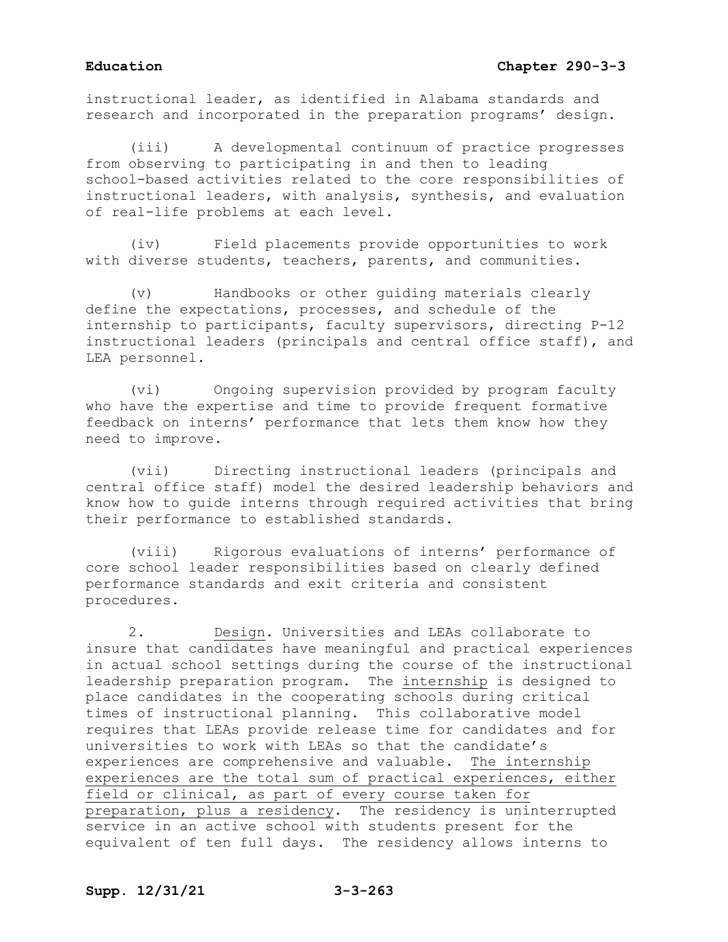instructional leader, as identified in Alabama standards and research and incorporated in the preparation programs' design.

(iii) A developmental continuum of practice progresses from observing to participating in and then to leading school-based activities related to the core responsibilities of instructional leaders, with analysis, synthesis, and evaluation of real-life problems at each level.

(iv) Field placements provide opportunities to work with diverse students, teachers, parents, and communities.

(v) Handbooks or other guiding materials clearly define the expectations, processes, and schedule of the internship to participants, faculty supervisors, directing P-12 instructional leaders (principals and central office staff), and LEA personnel.

(vi) Ongoing supervision provided by program faculty who have the expertise and time to provide frequent formative feedback on interns' performance that lets them know how they need to improve.

(vii) Directing instructional leaders (principals and central office staff) model the desired leadership behaviors and know how to guide interns through required activities that bring their performance to established standards.

(viii) Rigorous evaluations of interns' performance of core school leader responsibilities based on clearly defined performance standards and exit criteria and consistent procedures.

2. Design. Universities and LEAs collaborate to insure that candidates have meaningful and practical experiences in actual school settings during the course of the instructional leadership preparation program. The internship is designed to place candidates in the cooperating schools during critical times of instructional planning. This collaborative model requires that LEAs provide release time for candidates and for universities to work with LEAs so that the candidate's experiences are comprehensive and valuable. The internship experiences are the total sum of practical experiences, either field or clinical, as part of every course taken for preparation, plus a residency. The residency is uninterrupted service in an active school with students present for the equivalent of ten full days. The residency allows interns to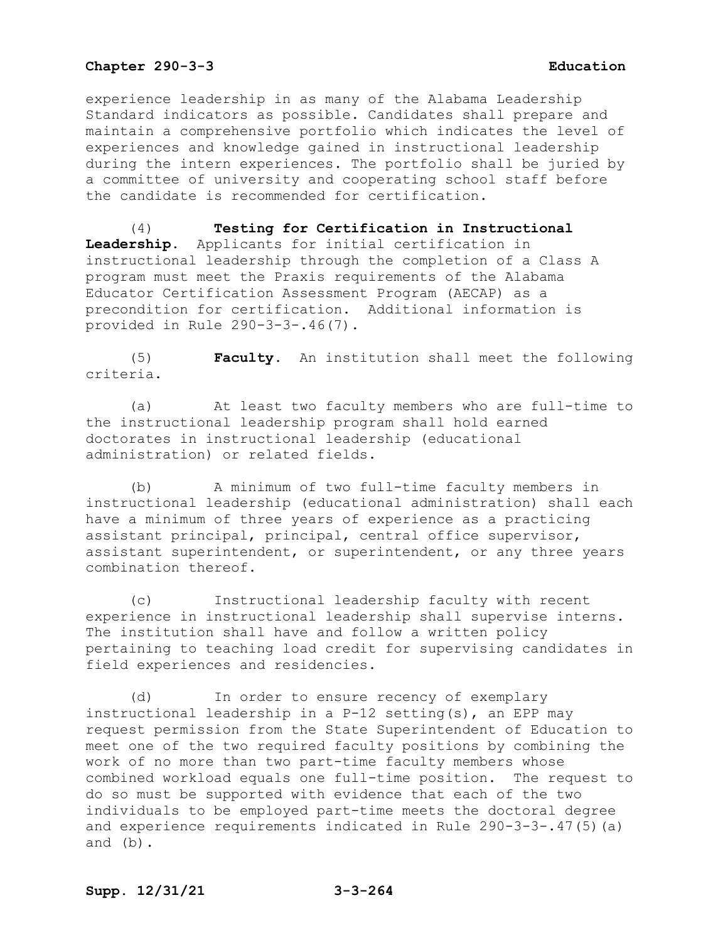experience leadership in as many of the Alabama Leadership Standard indicators as possible. Candidates shall prepare and maintain a comprehensive portfolio which indicates the level of experiences and knowledge gained in instructional leadership during the intern experiences. The portfolio shall be juried by a committee of university and cooperating school staff before the candidate is recommended for certification.

(4) **Testing for Certification in Instructional Leadership.** Applicants for initial certification in instructional leadership through the completion of a Class A program must meet the Praxis requirements of the Alabama Educator Certification Assessment Program (AECAP) as a precondition for certification. Additional information is provided in Rule 290-3-3-.46(7).

(5) **Faculty.** An institution shall meet the following criteria.

(a) At least two faculty members who are full-time to the instructional leadership program shall hold earned doctorates in instructional leadership (educational administration) or related fields.

(b) A minimum of two full-time faculty members in instructional leadership (educational administration) shall each have a minimum of three years of experience as a practicing assistant principal, principal, central office supervisor, assistant superintendent, or superintendent, or any three years combination thereof.

(c) Instructional leadership faculty with recent experience in instructional leadership shall supervise interns. The institution shall have and follow a written policy pertaining to teaching load credit for supervising candidates in field experiences and residencies.

(d) In order to ensure recency of exemplary instructional leadership in a P-12 setting(s), an EPP may request permission from the State Superintendent of Education to meet one of the two required faculty positions by combining the work of no more than two part-time faculty members whose combined workload equals one full-time position. The request to do so must be supported with evidence that each of the two individuals to be employed part-time meets the doctoral degree and experience requirements indicated in Rule 290-3-3-.47(5)(a) and (b).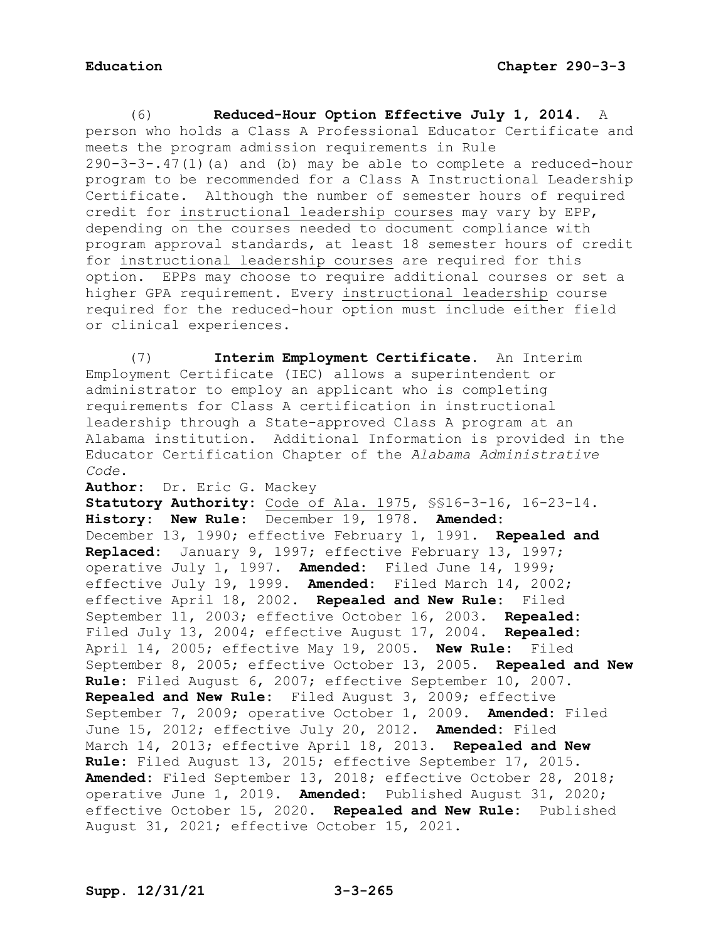(6) **Reduced-Hour Option Effective July 1, 2014.** A person who holds a Class A Professional Educator Certificate and meets the program admission requirements in Rule 290-3-3-.47(1)(a) and (b) may be able to complete a reduced-hour program to be recommended for a Class A Instructional Leadership Certificate. Although the number of semester hours of required credit for instructional leadership courses may vary by EPP, depending on the courses needed to document compliance with program approval standards, at least 18 semester hours of credit for instructional leadership courses are required for this option. EPPs may choose to require additional courses or set a higher GPA requirement. Every instructional leadership course required for the reduced-hour option must include either field or clinical experiences.

(7) **Interim Employment Certificate.** An Interim Employment Certificate (IEC) allows a superintendent or administrator to employ an applicant who is completing requirements for Class A certification in instructional leadership through a State-approved Class A program at an Alabama institution. Additional Information is provided in the Educator Certification Chapter of the *Alabama Administrative Code*.

**Author:** Dr. Eric G. Mackey

**Statutory Authority:** Code of Ala. 1975, §§16-3-16, 16-23-14. **History: New Rule:** December 19, 1978. **Amended:** December 13, 1990; effective February 1, 1991. **Repealed and Replaced:** January 9, 1997; effective February 13, 1997; operative July 1, 1997. **Amended:** Filed June 14, 1999; effective July 19, 1999. **Amended:** Filed March 14, 2002; effective April 18, 2002. **Repealed and New Rule:** Filed September 11, 2003; effective October 16, 2003. **Repealed:** Filed July 13, 2004; effective August 17, 2004. **Repealed:** April 14, 2005; effective May 19, 2005. **New Rule:** Filed September 8, 2005; effective October 13, 2005. **Repealed and New Rule:** Filed August 6, 2007; effective September 10, 2007. **Repealed and New Rule:** Filed August 3, 2009; effective September 7, 2009; operative October 1, 2009. **Amended:** Filed June 15, 2012; effective July 20, 2012. **Amended:** Filed March 14, 2013; effective April 18, 2013. **Repealed and New Rule:** Filed August 13, 2015; effective September 17, 2015. **Amended:** Filed September 13, 2018; effective October 28, 2018; operative June 1, 2019. **Amended:** Published August 31, 2020; effective October 15, 2020. **Repealed and New Rule:** Published August 31, 2021; effective October 15, 2021.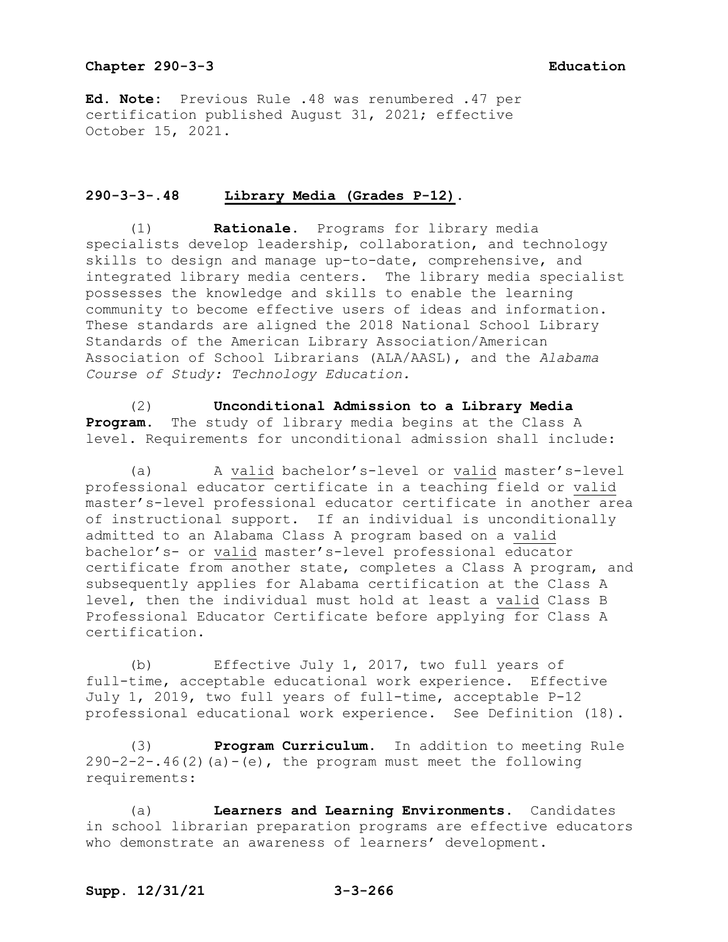**Ed. Note:** Previous Rule .48 was renumbered .47 per certification published August 31, 2021; effective October 15, 2021.

# **290-3-3-.48 Library Media (Grades P-12).**

(1) **Rationale.** Programs for library media specialists develop leadership, collaboration, and technology skills to design and manage up-to-date, comprehensive, and integrated library media centers. The library media specialist possesses the knowledge and skills to enable the learning community to become effective users of ideas and information. These standards are aligned the 2018 National School Library Standards of the American Library Association/American Association of School Librarians (ALA/AASL), and the *Alabama Course of Study: Technology Education.* 

(2) **Unconditional Admission to a Library Media Program.** The study of library media begins at the Class A level. Requirements for unconditional admission shall include:

(a) A valid bachelor's-level or valid master's-level professional educator certificate in a teaching field or valid master's-level professional educator certificate in another area of instructional support. If an individual is unconditionally admitted to an Alabama Class A program based on a valid bachelor's- or valid master's-level professional educator certificate from another state, completes a Class A program, and subsequently applies for Alabama certification at the Class A level, then the individual must hold at least a valid Class B Professional Educator Certificate before applying for Class A certification.

(b) Effective July 1, 2017, two full years of full-time, acceptable educational work experience. Effective July 1, 2019, two full years of full-time, acceptable P-12 professional educational work experience. See Definition (18).

(3) **Program Curriculum.** In addition to meeting Rule  $290-2-2-.46(2)$  (a) -(e), the program must meet the following requirements:

(a) **Learners and Learning Environments.** Candidates in school librarian preparation programs are effective educators who demonstrate an awareness of learners' development.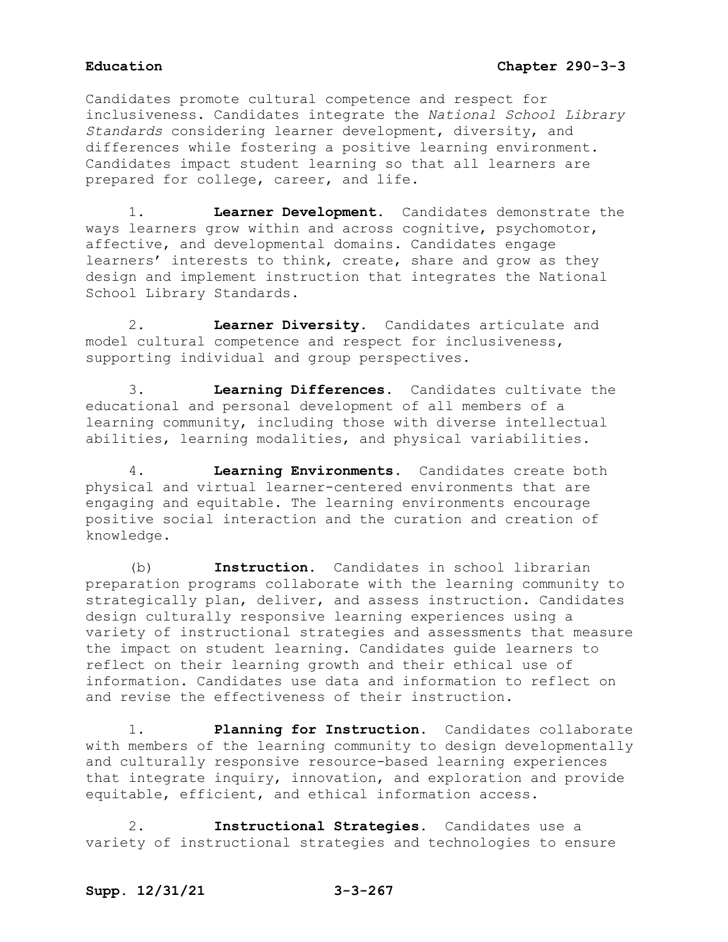Candidates promote cultural competence and respect for inclusiveness. Candidates integrate the *National School Library Standards* considering learner development, diversity, and differences while fostering a positive learning environment. Candidates impact student learning so that all learners are prepared for college, career, and life.

1. **Learner Development.** Candidates demonstrate the ways learners grow within and across cognitive, psychomotor, affective, and developmental domains. Candidates engage learners' interests to think, create, share and grow as they design and implement instruction that integrates the National School Library Standards.

2. **Learner Diversity.** Candidates articulate and model cultural competence and respect for inclusiveness, supporting individual and group perspectives.

3. **Learning Differences.** Candidates cultivate the educational and personal development of all members of a learning community, including those with diverse intellectual abilities, learning modalities, and physical variabilities.

4. **Learning Environments.** Candidates create both physical and virtual learner-centered environments that are engaging and equitable. The learning environments encourage positive social interaction and the curation and creation of knowledge.

(b) **Instruction.** Candidates in school librarian preparation programs collaborate with the learning community to strategically plan, deliver, and assess instruction. Candidates design culturally responsive learning experiences using a variety of instructional strategies and assessments that measure the impact on student learning. Candidates guide learners to reflect on their learning growth and their ethical use of information. Candidates use data and information to reflect on and revise the effectiveness of their instruction.

1. **Planning for Instruction.** Candidates collaborate with members of the learning community to design developmentally and culturally responsive resource-based learning experiences that integrate inquiry, innovation, and exploration and provide equitable, efficient, and ethical information access.

2. **Instructional Strategies.** Candidates use a variety of instructional strategies and technologies to ensure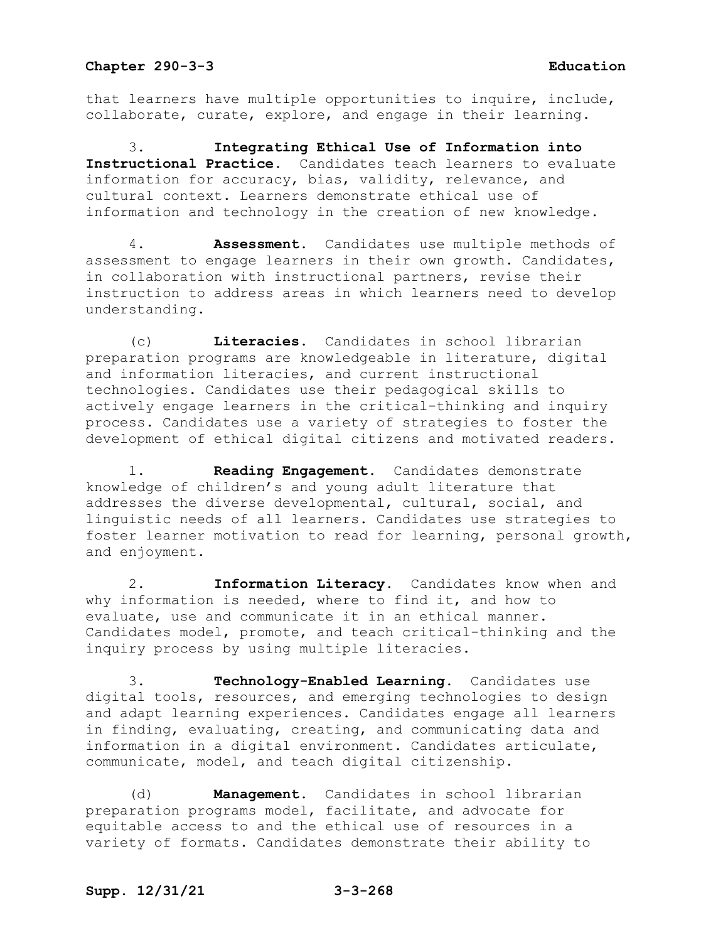that learners have multiple opportunities to inquire, include, collaborate, curate, explore, and engage in their learning.

3. **Integrating Ethical Use of Information into Instructional Practice.** Candidates teach learners to evaluate information for accuracy, bias, validity, relevance, and cultural context. Learners demonstrate ethical use of information and technology in the creation of new knowledge.

4. **Assessment**. Candidates use multiple methods of assessment to engage learners in their own growth. Candidates, in collaboration with instructional partners, revise their instruction to address areas in which learners need to develop understanding.

(c) **Literacies.** Candidates in school librarian preparation programs are knowledgeable in literature, digital and information literacies, and current instructional technologies. Candidates use their pedagogical skills to actively engage learners in the critical-thinking and inquiry process. Candidates use a variety of strategies to foster the development of ethical digital citizens and motivated readers.

1. **Reading Engagement**. Candidates demonstrate knowledge of children's and young adult literature that addresses the diverse developmental, cultural, social, and linguistic needs of all learners. Candidates use strategies to foster learner motivation to read for learning, personal growth, and enjoyment.

2. **Information Literacy.** Candidates know when and why information is needed, where to find it, and how to evaluate, use and communicate it in an ethical manner. Candidates model, promote, and teach critical-thinking and the inquiry process by using multiple literacies.

3. **Technology-Enabled Learning.** Candidates use digital tools, resources, and emerging technologies to design and adapt learning experiences. Candidates engage all learners in finding, evaluating, creating, and communicating data and information in a digital environment. Candidates articulate, communicate, model, and teach digital citizenship.

(d) **Management.** Candidates in school librarian preparation programs model, facilitate, and advocate for equitable access to and the ethical use of resources in a variety of formats. Candidates demonstrate their ability to

## **Supp. 12/31/21 3-3-268**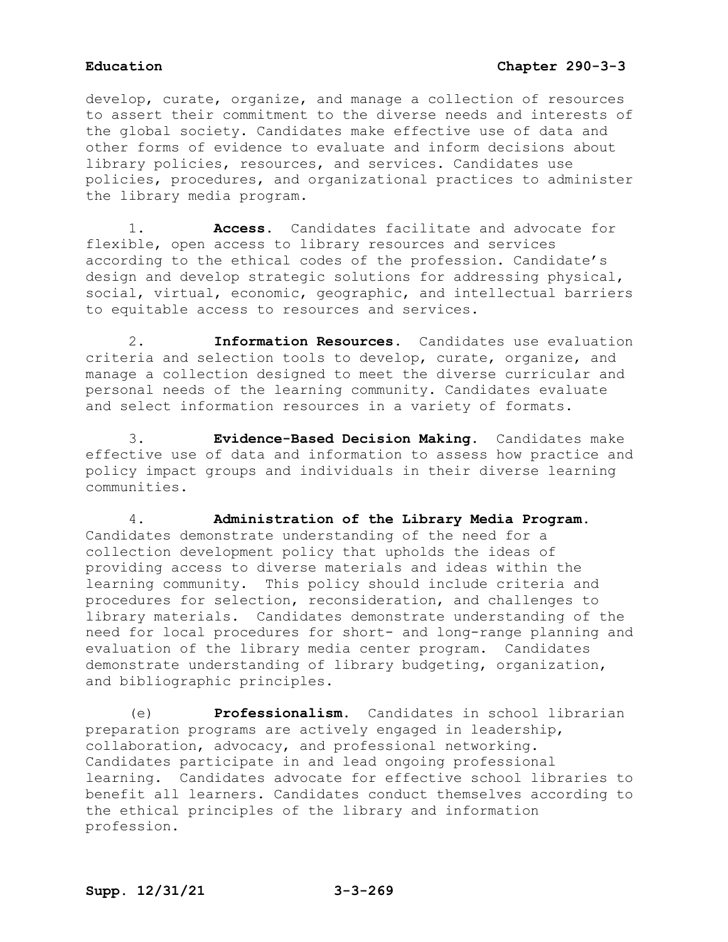develop, curate, organize, and manage a collection of resources to assert their commitment to the diverse needs and interests of the global society. Candidates make effective use of data and other forms of evidence to evaluate and inform decisions about library policies, resources, and services. Candidates use policies, procedures, and organizational practices to administer the library media program.

1. **Access**. Candidates facilitate and advocate for flexible, open access to library resources and services according to the ethical codes of the profession. Candidate's design and develop strategic solutions for addressing physical, social, virtual, economic, geographic, and intellectual barriers to equitable access to resources and services.

2. **Information Resources.** Candidates use evaluation criteria and selection tools to develop, curate, organize, and manage a collection designed to meet the diverse curricular and personal needs of the learning community. Candidates evaluate and select information resources in a variety of formats.

3. **Evidence-Based Decision Making**. Candidates make effective use of data and information to assess how practice and policy impact groups and individuals in their diverse learning communities.

4. **Administration of the Library Media Program.**  Candidates demonstrate understanding of the need for a collection development policy that upholds the ideas of providing access to diverse materials and ideas within the learning community. This policy should include criteria and procedures for selection, reconsideration, and challenges to library materials. Candidates demonstrate understanding of the need for local procedures for short- and long-range planning and evaluation of the library media center program. Candidates demonstrate understanding of library budgeting, organization, and bibliographic principles.

(e) **Professionalism.** Candidates in school librarian preparation programs are actively engaged in leadership, collaboration, advocacy, and professional networking. Candidates participate in and lead ongoing professional learning. Candidates advocate for effective school libraries to benefit all learners. Candidates conduct themselves according to the ethical principles of the library and information profession.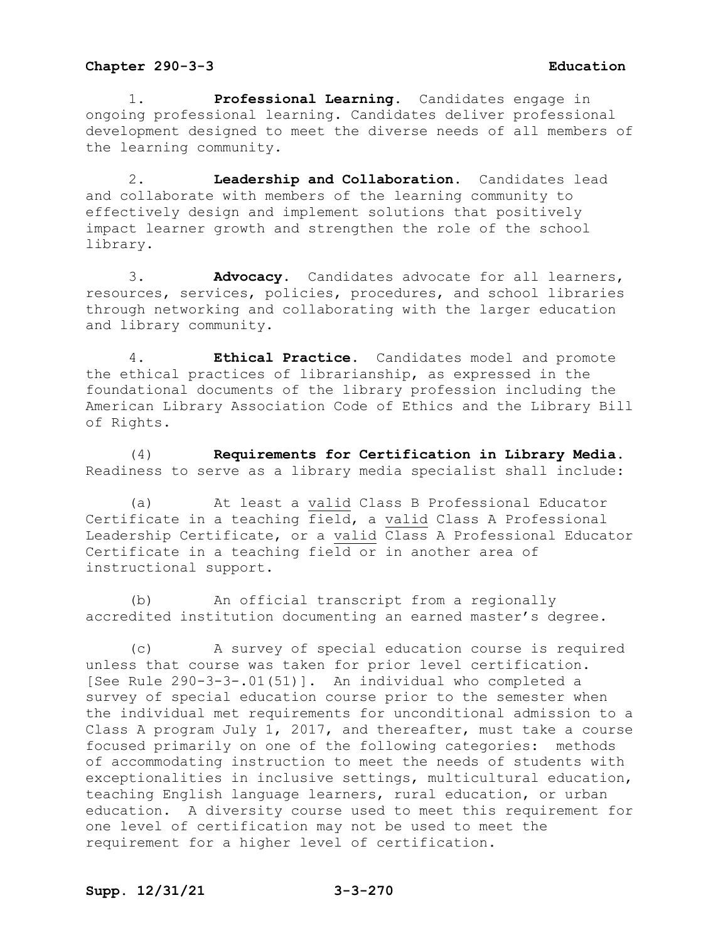1. **Professional Learning.** Candidates engage in ongoing professional learning. Candidates deliver professional development designed to meet the diverse needs of all members of the learning community.

2. **Leadership and Collaboration.** Candidates lead and collaborate with members of the learning community to effectively design and implement solutions that positively impact learner growth and strengthen the role of the school library.

3. **Advocacy.** Candidates advocate for all learners, resources, services, policies, procedures, and school libraries through networking and collaborating with the larger education and library community.

4. **Ethical Practice**. Candidates model and promote the ethical practices of librarianship, as expressed in the foundational documents of the library profession including the American Library Association Code of Ethics and the Library Bill of Rights.

(4) **Requirements for Certification in Library Media.** Readiness to serve as a library media specialist shall include:

(a) At least a valid Class B Professional Educator Certificate in a teaching field, a valid Class A Professional Leadership Certificate, or a valid Class A Professional Educator Certificate in a teaching field or in another area of instructional support.

(b) An official transcript from a regionally accredited institution documenting an earned master's degree.

(c) A survey of special education course is required unless that course was taken for prior level certification. [See Rule 290-3-3-.01(51)]. An individual who completed a survey of special education course prior to the semester when the individual met requirements for unconditional admission to a Class A program July 1, 2017, and thereafter, must take a course focused primarily on one of the following categories: methods of accommodating instruction to meet the needs of students with exceptionalities in inclusive settings, multicultural education, teaching English language learners, rural education, or urban education. A diversity course used to meet this requirement for one level of certification may not be used to meet the requirement for a higher level of certification.

## **Supp. 12/31/21 3-3-270**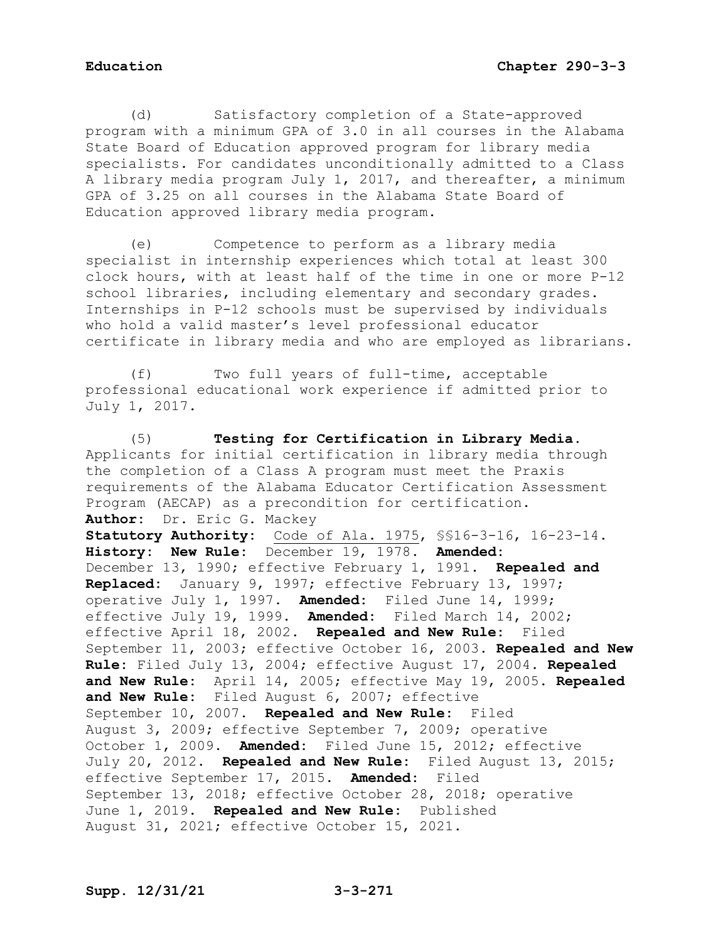(d) Satisfactory completion of a State-approved program with a minimum GPA of 3.0 in all courses in the Alabama State Board of Education approved program for library media specialists. For candidates unconditionally admitted to a Class A library media program July 1, 2017, and thereafter, a minimum GPA of 3.25 on all courses in the Alabama State Board of Education approved library media program.

(e) Competence to perform as a library media specialist in internship experiences which total at least 300 clock hours, with at least half of the time in one or more P-12 school libraries, including elementary and secondary grades. Internships in P-12 schools must be supervised by individuals who hold a valid master's level professional educator certificate in library media and who are employed as librarians.

(f) Two full years of full-time, acceptable professional educational work experience if admitted prior to July 1, 2017.

(5) **Testing for Certification in Library Media.**  Applicants for initial certification in library media through the completion of a Class A program must meet the Praxis requirements of the Alabama Educator Certification Assessment Program (AECAP) as a precondition for certification. **Author:** Dr. Eric G. Mackey **Statutory Authority:** Code of Ala. 1975, §§16-3-16, 16-23-14. **History: New Rule:** December 19, 1978. **Amended:** December 13, 1990; effective February 1, 1991. **Repealed and Replaced:** January 9, 1997; effective February 13, 1997; operative July 1, 1997. **Amended:** Filed June 14, 1999; effective July 19, 1999. **Amended:** Filed March 14, 2002; effective April 18, 2002. **Repealed and New Rule:** Filed September 11, 2003; effective October 16, 2003. **Repealed and New Rule:** Filed July 13, 2004; effective August 17, 2004. **Repealed and New Rule:** April 14, 2005; effective May 19, 2005. **Repealed and New Rule:** Filed August 6, 2007; effective September 10, 2007. **Repealed and New Rule:** Filed August 3, 2009; effective September 7, 2009; operative October 1, 2009. **Amended:** Filed June 15, 2012; effective July 20, 2012. **Repealed and New Rule:** Filed August 13, 2015; effective September 17, 2015. **Amended:** Filed September 13, 2018; effective October 28, 2018; operative June 1, 2019. **Repealed and New Rule:** Published August 31, 2021; effective October 15, 2021.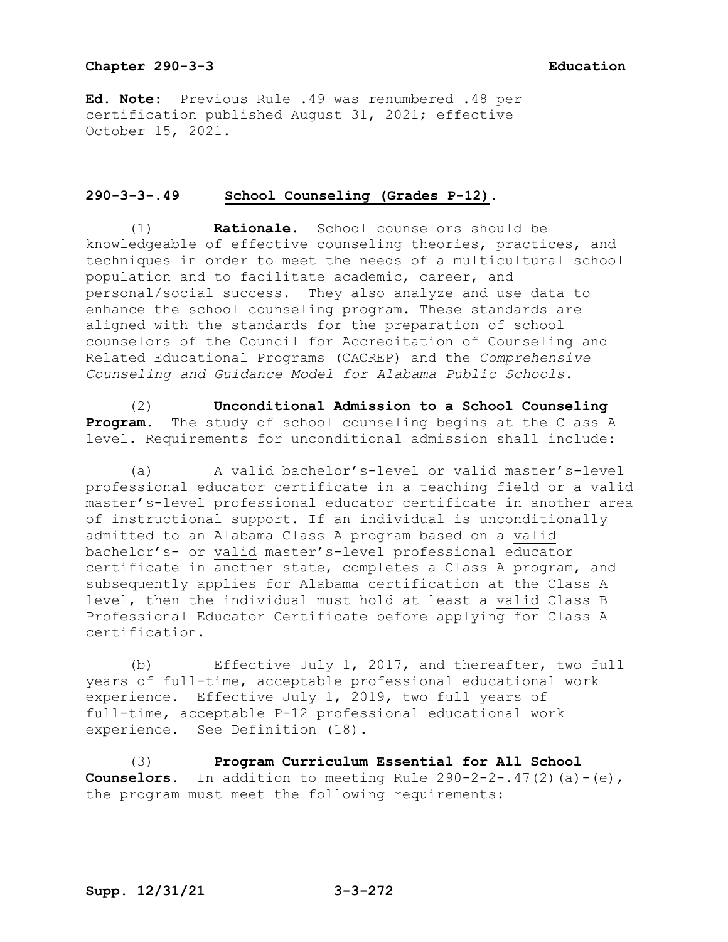**Ed. Note:** Previous Rule .49 was renumbered .48 per certification published August 31, 2021; effective October 15, 2021.

# **290-3-3-.49 School Counseling (Grades P-12).**

(1) **Rationale.** School counselors should be knowledgeable of effective counseling theories, practices, and techniques in order to meet the needs of a multicultural school population and to facilitate academic, career, and personal/social success. They also analyze and use data to enhance the school counseling program. These standards are aligned with the standards for the preparation of school counselors of the Council for Accreditation of Counseling and Related Educational Programs (CACREP) and the *Comprehensive Counseling and Guidance Model for Alabama Public Schools*.

(2) **Unconditional Admission to a School Counseling Program.** The study of school counseling begins at the Class A level. Requirements for unconditional admission shall include:

(a) A valid bachelor's-level or valid master's-level professional educator certificate in a teaching field or a valid master's-level professional educator certificate in another area of instructional support. If an individual is unconditionally admitted to an Alabama Class A program based on a valid bachelor's- or valid master's-level professional educator certificate in another state, completes a Class A program, and subsequently applies for Alabama certification at the Class A level, then the individual must hold at least a valid Class B Professional Educator Certificate before applying for Class A certification.

(b) Effective July 1, 2017, and thereafter, two full years of full-time, acceptable professional educational work experience. Effective July 1, 2019, two full years of full-time, acceptable P-12 professional educational work experience. See Definition (18).

(3) **Program Curriculum Essential for All School Counselors.** In addition to meeting Rule  $290-2-2-.47(2)(a)-(e)$ , the program must meet the following requirements: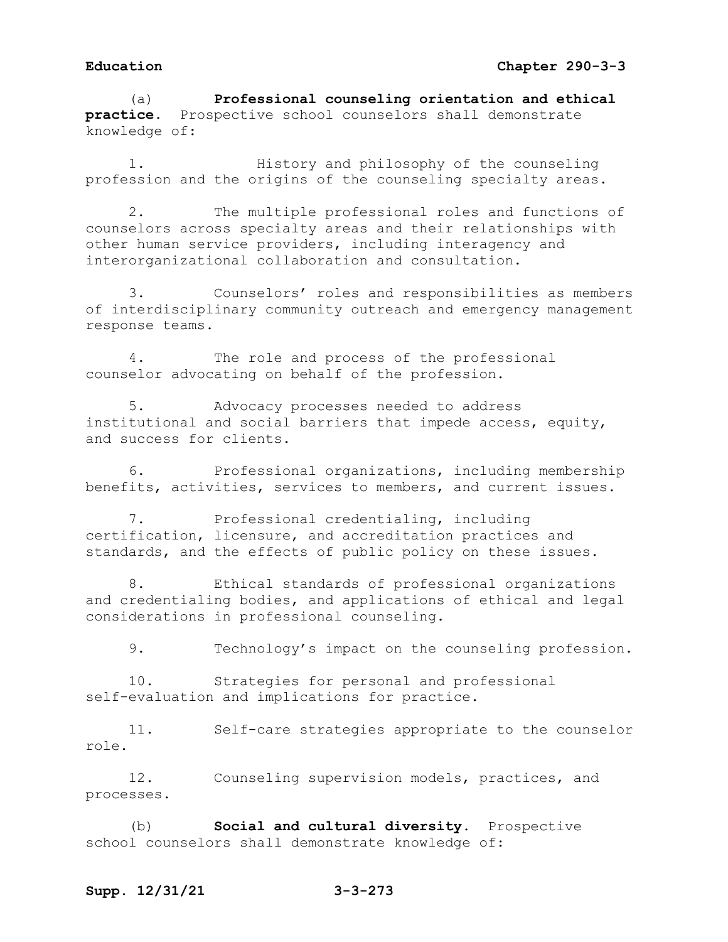(a) **Professional counseling orientation and ethical practice.** Prospective school counselors shall demonstrate knowledge of:

1. History and philosophy of the counseling profession and the origins of the counseling specialty areas.

2. The multiple professional roles and functions of counselors across specialty areas and their relationships with other human service providers, including interagency and interorganizational collaboration and consultation.

3. Counselors' roles and responsibilities as members of interdisciplinary community outreach and emergency management response teams.

4. The role and process of the professional counselor advocating on behalf of the profession.

5. Advocacy processes needed to address institutional and social barriers that impede access, equity, and success for clients.

6. Professional organizations, including membership benefits, activities, services to members, and current issues.

7. Professional credentialing, including certification, licensure, and accreditation practices and standards, and the effects of public policy on these issues.

8. Ethical standards of professional organizations and credentialing bodies, and applications of ethical and legal considerations in professional counseling.

9. Technology's impact on the counseling profession.

10. Strategies for personal and professional self-evaluation and implications for practice.

11. Self-care strategies appropriate to the counselor role.

12. Counseling supervision models, practices, and processes.

(b) **Social and cultural diversity.** Prospective school counselors shall demonstrate knowledge of:

## **Supp. 12/31/21 3-3-273**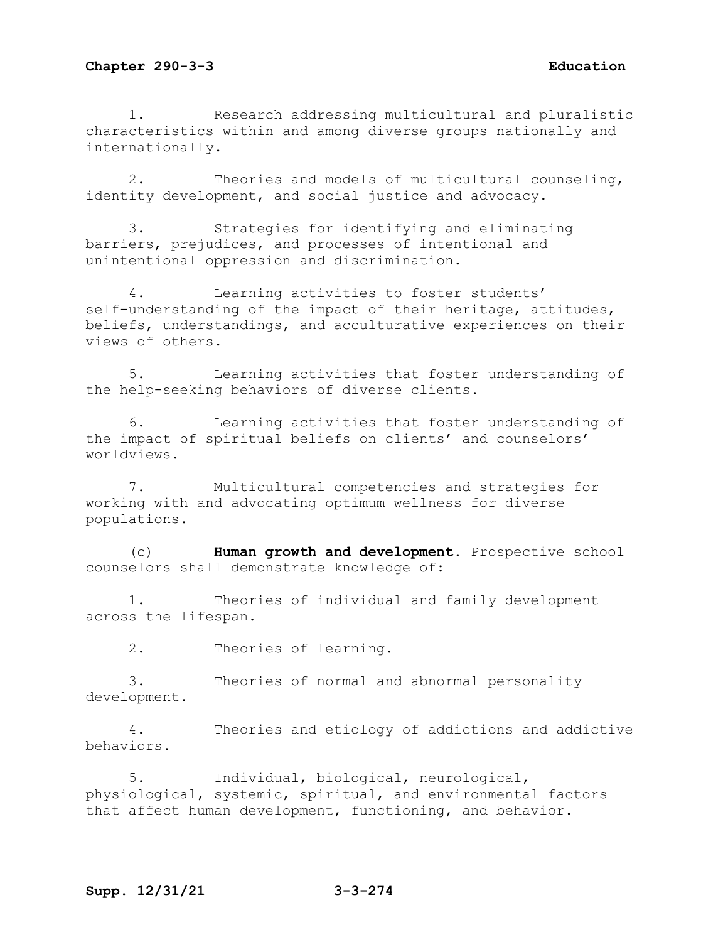1. Research addressing multicultural and pluralistic characteristics within and among diverse groups nationally and internationally.

2. Theories and models of multicultural counseling, identity development, and social justice and advocacy.

3. Strategies for identifying and eliminating barriers, prejudices, and processes of intentional and unintentional oppression and discrimination.

4. Learning activities to foster students' self-understanding of the impact of their heritage, attitudes, beliefs, understandings, and acculturative experiences on their views of others.

5. Learning activities that foster understanding of the help-seeking behaviors of diverse clients.

6. Learning activities that foster understanding of the impact of spiritual beliefs on clients' and counselors' worldviews.

7. Multicultural competencies and strategies for working with and advocating optimum wellness for diverse populations.

(c) **Human growth and development.** Prospective school counselors shall demonstrate knowledge of:

1. Theories of individual and family development across the lifespan.

2. Theories of learning.

3. Theories of normal and abnormal personality development.

4. Theories and etiology of addictions and addictive behaviors.

5. Individual, biological, neurological, physiological, systemic, spiritual, and environmental factors that affect human development, functioning, and behavior.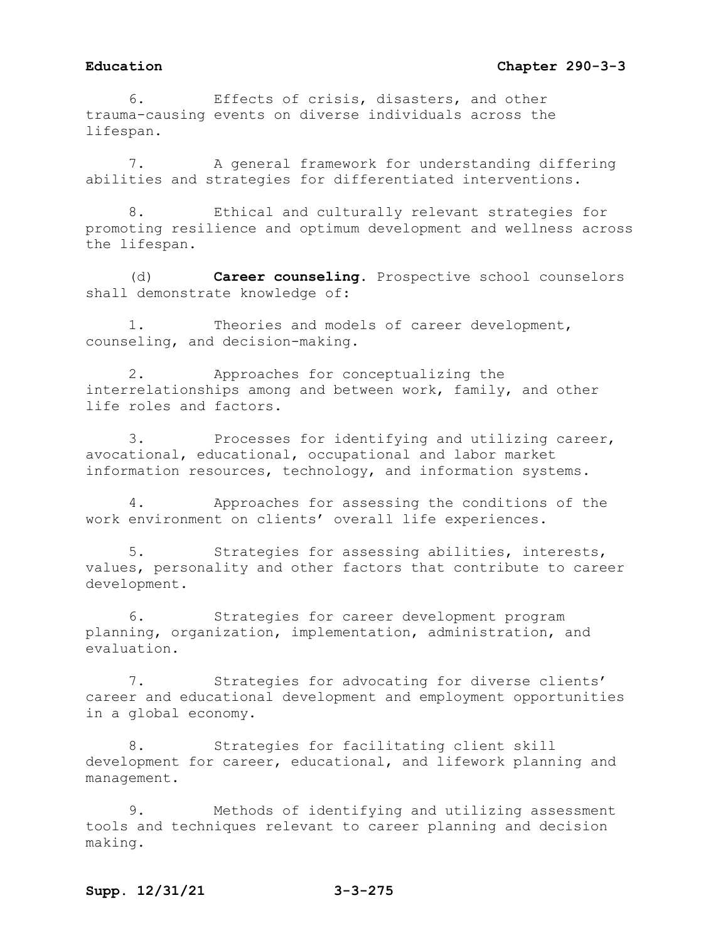6. Effects of crisis, disasters, and other trauma-causing events on diverse individuals across the lifespan.

7. A general framework for understanding differing abilities and strategies for differentiated interventions.

8. Ethical and culturally relevant strategies for promoting resilience and optimum development and wellness across the lifespan.

(d) **Career counseling.** Prospective school counselors shall demonstrate knowledge of:

1. Theories and models of career development, counseling, and decision-making.

2. Approaches for conceptualizing the interrelationships among and between work, family, and other life roles and factors.

3. Processes for identifying and utilizing career, avocational, educational, occupational and labor market information resources, technology, and information systems.

4. Approaches for assessing the conditions of the work environment on clients' overall life experiences.

5. Strategies for assessing abilities, interests, values, personality and other factors that contribute to career development.

6. Strategies for career development program planning, organization, implementation, administration, and evaluation.

7. Strategies for advocating for diverse clients' career and educational development and employment opportunities in a global economy.

8. Strategies for facilitating client skill development for career, educational, and lifework planning and management.

9. Methods of identifying and utilizing assessment tools and techniques relevant to career planning and decision making.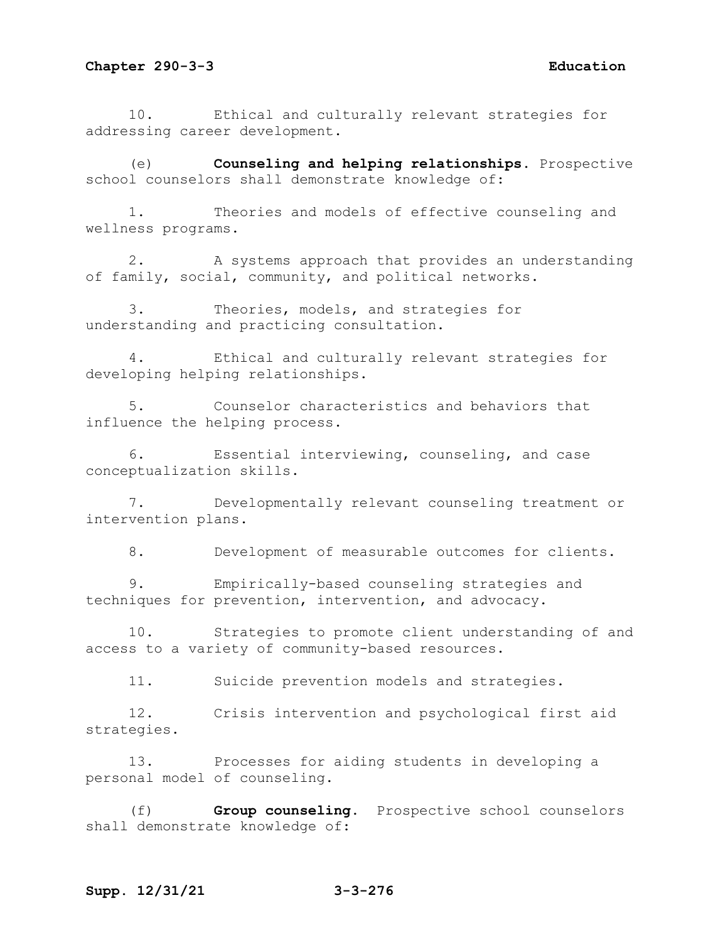10. Ethical and culturally relevant strategies for addressing career development.

(e) **Counseling and helping relationships.** Prospective school counselors shall demonstrate knowledge of:

1. Theories and models of effective counseling and wellness programs.

2. A systems approach that provides an understanding of family, social, community, and political networks.

3. Theories, models, and strategies for understanding and practicing consultation.

4. Ethical and culturally relevant strategies for developing helping relationships.

5. Counselor characteristics and behaviors that influence the helping process.

6. Essential interviewing, counseling, and case conceptualization skills.

7. Developmentally relevant counseling treatment or intervention plans.

8. Development of measurable outcomes for clients.

9. Empirically-based counseling strategies and techniques for prevention, intervention, and advocacy.

10. Strategies to promote client understanding of and access to a variety of community-based resources.

11. Suicide prevention models and strategies.

12. Crisis intervention and psychological first aid strategies.

13. Processes for aiding students in developing a personal model of counseling.

(f) **Group counseling.** Prospective school counselors shall demonstrate knowledge of:

# **Supp. 12/31/21 3-3-276**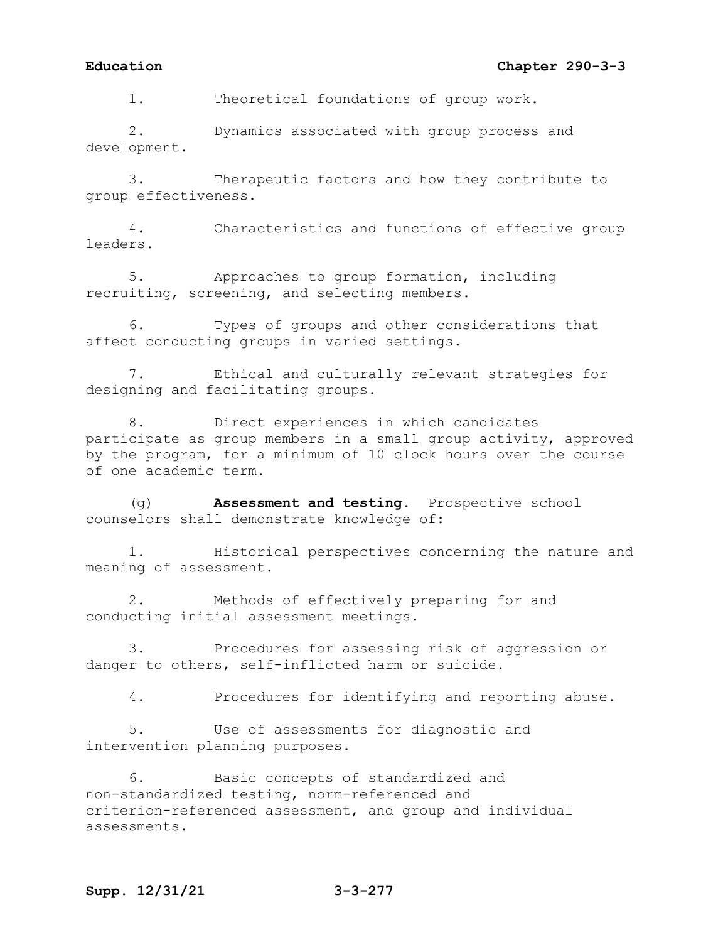# **Education Chapter 290-3-3**

1. Theoretical foundations of group work.

2. Dynamics associated with group process and development.

3. Therapeutic factors and how they contribute to group effectiveness.

4. Characteristics and functions of effective group leaders.

5. Approaches to group formation, including recruiting, screening, and selecting members.

6. Types of groups and other considerations that affect conducting groups in varied settings.

7. Ethical and culturally relevant strategies for designing and facilitating groups.

8. Direct experiences in which candidates participate as group members in a small group activity, approved by the program, for a minimum of 10 clock hours over the course of one academic term.

(g) **Assessment and testing.** Prospective school counselors shall demonstrate knowledge of:

1. Historical perspectives concerning the nature and meaning of assessment.

2. Methods of effectively preparing for and conducting initial assessment meetings.

3. Procedures for assessing risk of aggression or danger to others, self-inflicted harm or suicide.

4. Procedures for identifying and reporting abuse.

5. Use of assessments for diagnostic and intervention planning purposes.

6. Basic concepts of standardized and non-standardized testing, norm-referenced and criterion-referenced assessment, and group and individual assessments.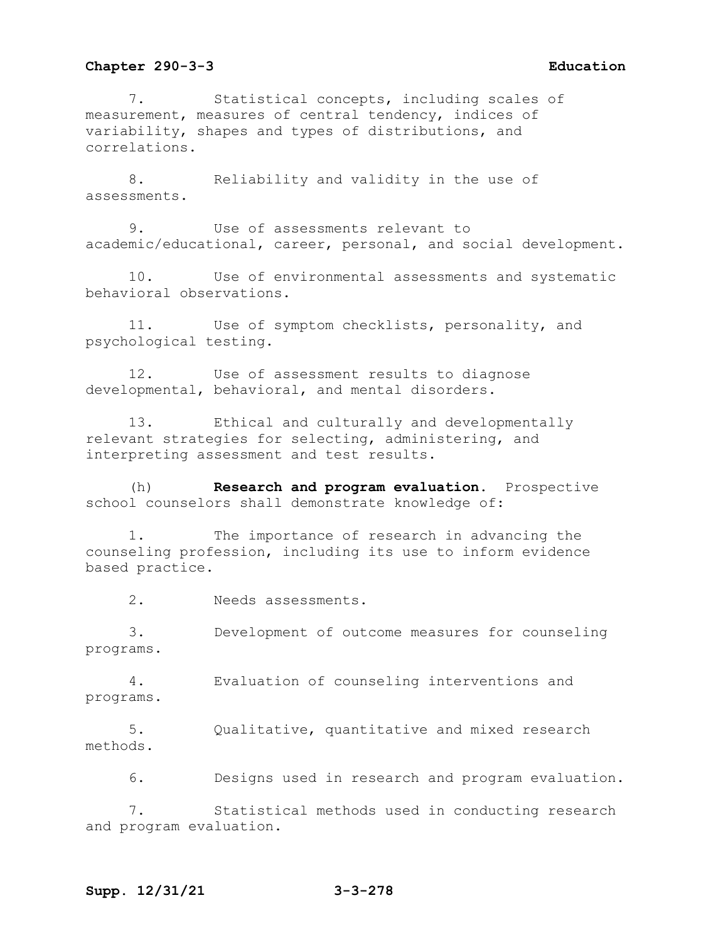7. Statistical concepts, including scales of measurement, measures of central tendency, indices of variability, shapes and types of distributions, and correlations.

8. Reliability and validity in the use of assessments.

9. Use of assessments relevant to academic/educational, career, personal, and social development.

10. Use of environmental assessments and systematic behavioral observations.

11. Use of symptom checklists, personality, and psychological testing.

12. Use of assessment results to diagnose developmental, behavioral, and mental disorders.

13. Ethical and culturally and developmentally relevant strategies for selecting, administering, and interpreting assessment and test results.

(h) **Research and program evaluation.** Prospective school counselors shall demonstrate knowledge of:

1. The importance of research in advancing the counseling profession, including its use to inform evidence based practice.

2. Needs assessments.

3. Development of outcome measures for counseling programs.

4. Evaluation of counseling interventions and programs.

5. Qualitative, quantitative and mixed research methods.

6. Designs used in research and program evaluation.

7. Statistical methods used in conducting research and program evaluation.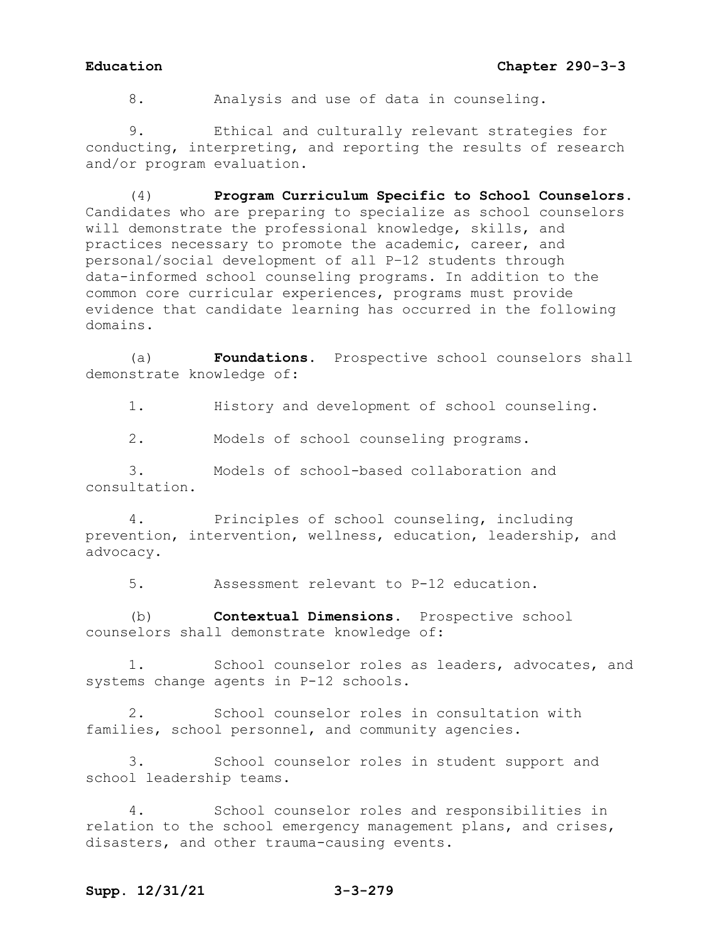8. Analysis and use of data in counseling.

9. Ethical and culturally relevant strategies for conducting, interpreting, and reporting the results of research and/or program evaluation.

(4) **Program Curriculum Specific to School Counselors.**  Candidates who are preparing to specialize as school counselors will demonstrate the professional knowledge, skills, and practices necessary to promote the academic, career, and personal/social development of all P–12 students through data-informed school counseling programs. In addition to the common core curricular experiences, programs must provide evidence that candidate learning has occurred in the following domains.

(a) **Foundations.** Prospective school counselors shall demonstrate knowledge of:

1. History and development of school counseling.

2. Models of school counseling programs.

3. Models of school-based collaboration and consultation.

4. Principles of school counseling, including prevention, intervention, wellness, education, leadership, and advocacy.

5. Assessment relevant to P-12 education.

(b) **Contextual Dimensions.** Prospective school counselors shall demonstrate knowledge of:

1. School counselor roles as leaders, advocates, and systems change agents in P-12 schools.

2. School counselor roles in consultation with families, school personnel, and community agencies.

3. School counselor roles in student support and school leadership teams.

4. School counselor roles and responsibilities in relation to the school emergency management plans, and crises, disasters, and other trauma-causing events.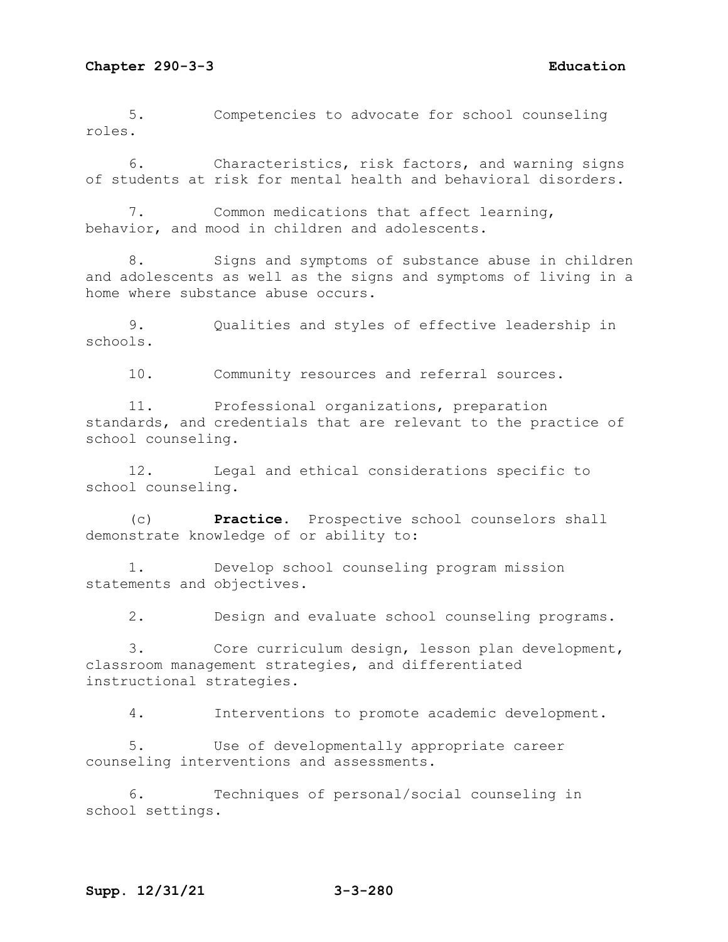5. Competencies to advocate for school counseling roles.

6. Characteristics, risk factors, and warning signs of students at risk for mental health and behavioral disorders.

7. Common medications that affect learning, behavior, and mood in children and adolescents.

8. Signs and symptoms of substance abuse in children and adolescents as well as the signs and symptoms of living in a home where substance abuse occurs.

9. Qualities and styles of effective leadership in schools.

10. Community resources and referral sources.

11. Professional organizations, preparation standards, and credentials that are relevant to the practice of school counseling.

12. Legal and ethical considerations specific to school counseling.

(c) **Practice.** Prospective school counselors shall demonstrate knowledge of or ability to:

1. Develop school counseling program mission statements and objectives.

2. Design and evaluate school counseling programs.

3. Core curriculum design, lesson plan development, classroom management strategies, and differentiated instructional strategies.

4. Interventions to promote academic development.

5. Use of developmentally appropriate career counseling interventions and assessments.

6. Techniques of personal/social counseling in school settings.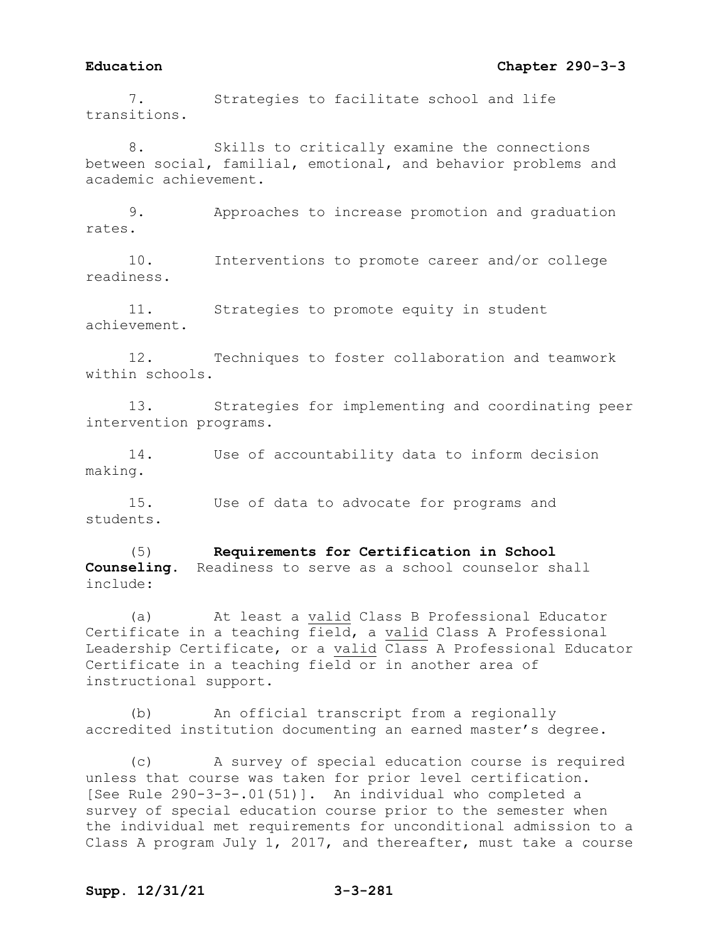## **Education Chapter 290-3-3**

7. Strategies to facilitate school and life transitions.

8. Skills to critically examine the connections between social, familial, emotional, and behavior problems and academic achievement.

9. Approaches to increase promotion and graduation rates.

10. Interventions to promote career and/or college readiness.

11. Strategies to promote equity in student achievement.

12. Techniques to foster collaboration and teamwork within schools.

13. Strategies for implementing and coordinating peer intervention programs.

14. Use of accountability data to inform decision making.

15. Use of data to advocate for programs and students.

(5) **Requirements for Certification in School Counseling.** Readiness to serve as a school counselor shall include:

(a) At least a valid Class B Professional Educator Certificate in a teaching field, a valid Class A Professional Leadership Certificate, or a valid Class A Professional Educator Certificate in a teaching field or in another area of instructional support.

(b) An official transcript from a regionally accredited institution documenting an earned master's degree.

(c) A survey of special education course is required unless that course was taken for prior level certification. [See Rule 290-3-3-.01(51)]. An individual who completed a survey of special education course prior to the semester when the individual met requirements for unconditional admission to a Class A program July 1, 2017, and thereafter, must take a course

# **Supp. 12/31/21 3-3-281**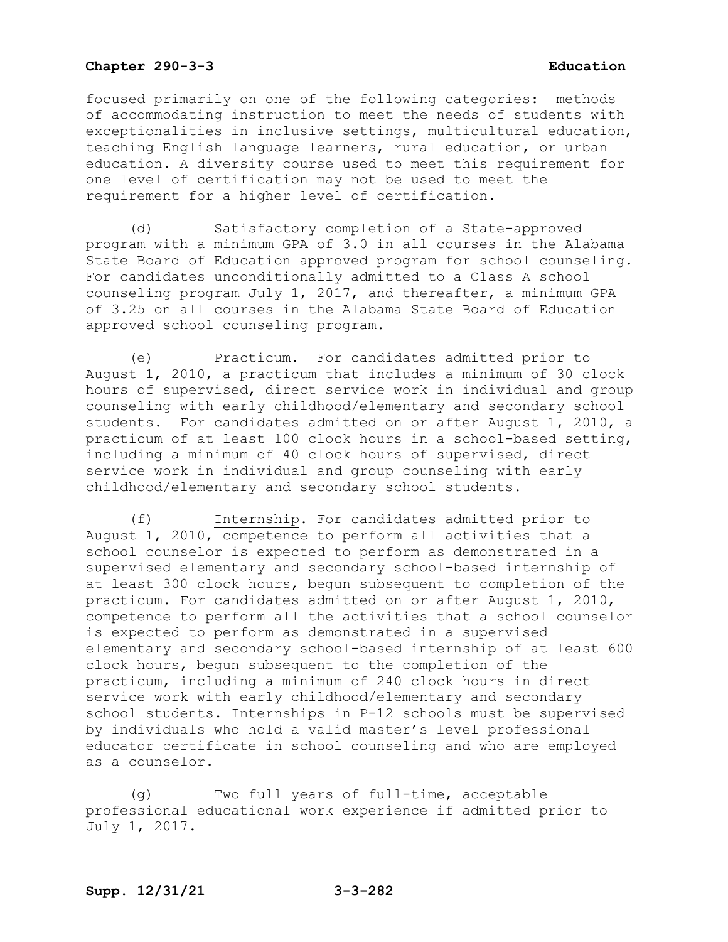focused primarily on one of the following categories: methods of accommodating instruction to meet the needs of students with exceptionalities in inclusive settings, multicultural education, teaching English language learners, rural education, or urban education. A diversity course used to meet this requirement for one level of certification may not be used to meet the requirement for a higher level of certification.

(d) Satisfactory completion of a State-approved program with a minimum GPA of 3.0 in all courses in the Alabama State Board of Education approved program for school counseling. For candidates unconditionally admitted to a Class A school counseling program July 1, 2017, and thereafter, a minimum GPA of 3.25 on all courses in the Alabama State Board of Education approved school counseling program.

(e) Practicum. For candidates admitted prior to August 1, 2010, a practicum that includes a minimum of 30 clock hours of supervised, direct service work in individual and group counseling with early childhood/elementary and secondary school students. For candidates admitted on or after August 1, 2010, a practicum of at least 100 clock hours in a school-based setting, including a minimum of 40 clock hours of supervised, direct service work in individual and group counseling with early childhood/elementary and secondary school students.

(f) Internship. For candidates admitted prior to August 1, 2010, competence to perform all activities that a school counselor is expected to perform as demonstrated in a supervised elementary and secondary school-based internship of at least 300 clock hours, begun subsequent to completion of the practicum. For candidates admitted on or after August 1, 2010, competence to perform all the activities that a school counselor is expected to perform as demonstrated in a supervised elementary and secondary school-based internship of at least 600 clock hours, begun subsequent to the completion of the practicum, including a minimum of 240 clock hours in direct service work with early childhood/elementary and secondary school students. Internships in P-12 schools must be supervised by individuals who hold a valid master's level professional educator certificate in school counseling and who are employed as a counselor.

(g) Two full years of full-time, acceptable professional educational work experience if admitted prior to July 1, 2017.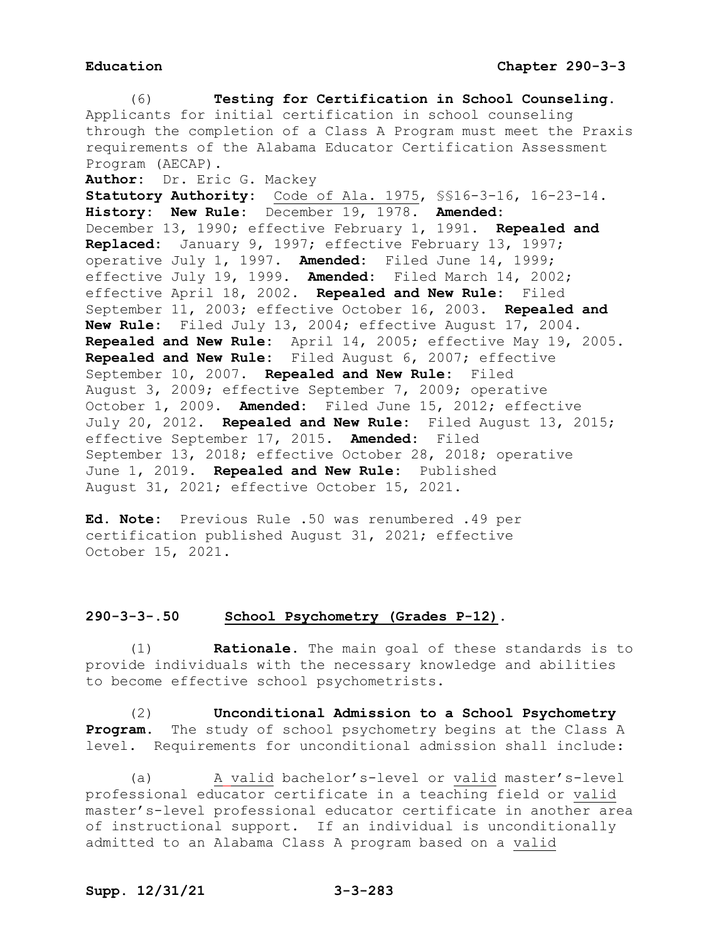(6) **Testing for Certification in School Counseling.** Applicants for initial certification in school counseling through the completion of a Class A Program must meet the Praxis requirements of the Alabama Educator Certification Assessment Program (AECAP). **Author:** Dr. Eric G. Mackey **Statutory Authority:** Code of Ala. 1975, §§16-3-16, 16-23-14. **History: New Rule:** December 19, 1978. **Amended:** December 13, 1990; effective February 1, 1991. **Repealed and Replaced:** January 9, 1997; effective February 13, 1997; operative July 1, 1997. **Amended:** Filed June 14, 1999; effective July 19, 1999. **Amended:** Filed March 14, 2002; effective April 18, 2002. **Repealed and New Rule:** Filed September 11, 2003; effective October 16, 2003. **Repealed and New Rule:** Filed July 13, 2004; effective August 17, 2004. **Repealed and New Rule:** April 14, 2005; effective May 19, 2005. **Repealed and New Rule:** Filed August 6, 2007; effective September 10, 2007. **Repealed and New Rule:** Filed August 3, 2009; effective September 7, 2009; operative October 1, 2009. **Amended:** Filed June 15, 2012; effective July 20, 2012. **Repealed and New Rule:** Filed August 13, 2015; effective September 17, 2015. **Amended:** Filed September 13, 2018; effective October 28, 2018; operative June 1, 2019. **Repealed and New Rule:** Published August 31, 2021; effective October 15, 2021.

**Ed. Note:** Previous Rule .50 was renumbered .49 per certification published August 31, 2021; effective October 15, 2021.

### **290-3-3-.50 School Psychometry (Grades P-12).**

(1) **Rationale.** The main goal of these standards is to provide individuals with the necessary knowledge and abilities to become effective school psychometrists.

(2) **Unconditional Admission to a School Psychometry Program.** The study of school psychometry begins at the Class A level. Requirements for unconditional admission shall include:

(a) A valid bachelor's-level or valid master's-level professional educator certificate in a teaching field or valid master's-level professional educator certificate in another area of instructional support.If an individual is unconditionally admitted to an Alabama Class A program based on a valid

# **Supp. 12/31/21 3-3-283**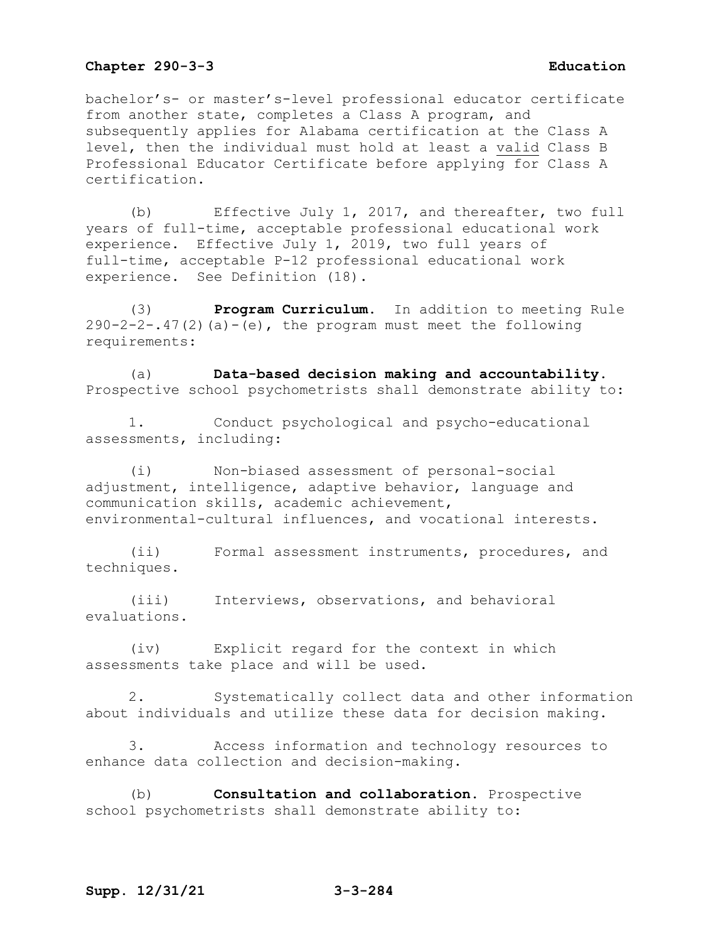bachelor's- or master's-level professional educator certificate from another state, completes a Class A program, and subsequently applies for Alabama certification at the Class A level, then the individual must hold at least a valid Class B Professional Educator Certificate before applying for Class A certification.

(b) Effective July 1, 2017, and thereafter, two full years of full-time, acceptable professional educational work experience. Effective July 1, 2019, two full years of full-time, acceptable P-12 professional educational work experience. See Definition (18).

(3) **Program Curriculum.** In addition to meeting Rule  $290-2-2-.47(2)(a)-(e)$ , the program must meet the following requirements:

(a) **Data-based decision making and accountability.**  Prospective school psychometrists shall demonstrate ability to:

1. Conduct psychological and psycho-educational assessments, including:

(i) Non-biased assessment of personal-social adjustment, intelligence, adaptive behavior, language and communication skills, academic achievement, environmental-cultural influences, and vocational interests.

(ii) Formal assessment instruments, procedures, and techniques.

(iii) Interviews, observations, and behavioral evaluations.

(iv) Explicit regard for the context in which assessments take place and will be used.

2. Systematically collect data and other information about individuals and utilize these data for decision making.

3. Access information and technology resources to enhance data collection and decision-making.

(b) **Consultation and collaboration.** Prospective school psychometrists shall demonstrate ability to: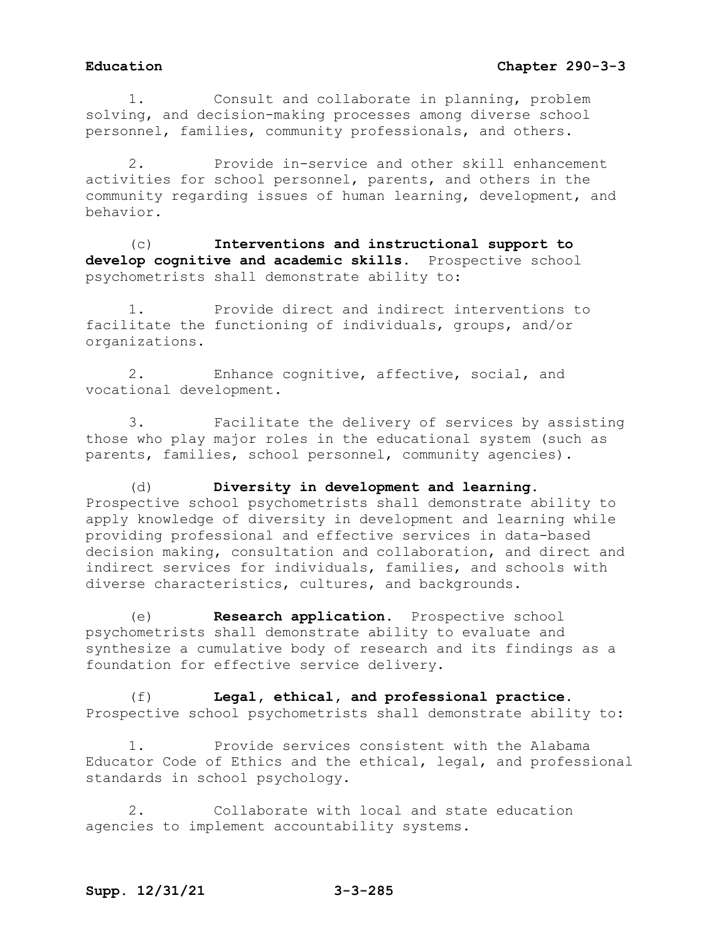# **Education Chapter 290-3-3**

1. Consult and collaborate in planning, problem solving, and decision-making processes among diverse school personnel, families, community professionals, and others.

2. Provide in-service and other skill enhancement activities for school personnel, parents, and others in the community regarding issues of human learning, development, and behavior.

(c) **Interventions and instructional support to develop cognitive and academic skills.** Prospective school psychometrists shall demonstrate ability to:

1. Provide direct and indirect interventions to facilitate the functioning of individuals, groups, and/or organizations.

2. Enhance cognitive, affective, social, and vocational development.

3. Facilitate the delivery of services by assisting those who play major roles in the educational system (such as parents, families, school personnel, community agencies).

(d) **Diversity in development and learning.** Prospective school psychometrists shall demonstrate ability to apply knowledge of diversity in development and learning while providing professional and effective services in data-based decision making, consultation and collaboration, and direct and indirect services for individuals, families, and schools with diverse characteristics, cultures, and backgrounds.

(e) **Research application.** Prospective school psychometrists shall demonstrate ability to evaluate and synthesize a cumulative body of research and its findings as a foundation for effective service delivery.

(f) **Legal, ethical, and professional practice.**  Prospective school psychometrists shall demonstrate ability to:

1. Provide services consistent with the Alabama Educator Code of Ethics and the ethical, legal, and professional standards in school psychology.

2. Collaborate with local and state education agencies to implement accountability systems.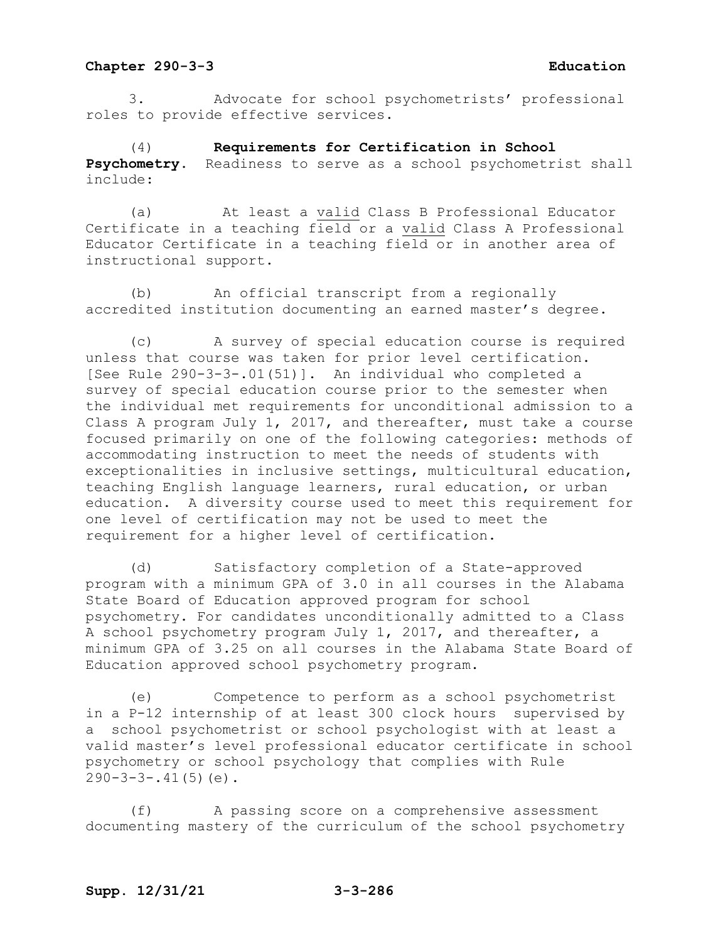3. Advocate for school psychometrists' professional roles to provide effective services.

(4) **Requirements for Certification in School Psychometry.** Readiness to serve as a school psychometrist shall include:

(a) At least a valid Class B Professional Educator Certificate in a teaching field or a valid Class A Professional Educator Certificate in a teaching field or in another area of instructional support.

(b) An official transcript from a regionally accredited institution documenting an earned master's degree.

(c) A survey of special education course is required unless that course was taken for prior level certification. [See Rule 290-3-3-.01(51)]. An individual who completed a survey of special education course prior to the semester when the individual met requirements for unconditional admission to a Class A program July 1, 2017, and thereafter, must take a course focused primarily on one of the following categories: methods of accommodating instruction to meet the needs of students with exceptionalities in inclusive settings, multicultural education, teaching English language learners, rural education, or urban education. A diversity course used to meet this requirement for one level of certification may not be used to meet the requirement for a higher level of certification.

(d) Satisfactory completion of a State-approved program with a minimum GPA of 3.0 in all courses in the Alabama State Board of Education approved program for school psychometry. For candidates unconditionally admitted to a Class A school psychometry program July 1, 2017, and thereafter, a minimum GPA of 3.25 on all courses in the Alabama State Board of Education approved school psychometry program.

(e) Competence to perform as a school psychometrist in a P-12 internship of at least 300 clock hours supervised by a school psychometrist or school psychologist with at least a valid master's level professional educator certificate in school psychometry or school psychology that complies with Rule  $290-3-3-.41(5)(e)$ .

(f) A passing score on a comprehensive assessment documenting mastery of the curriculum of the school psychometry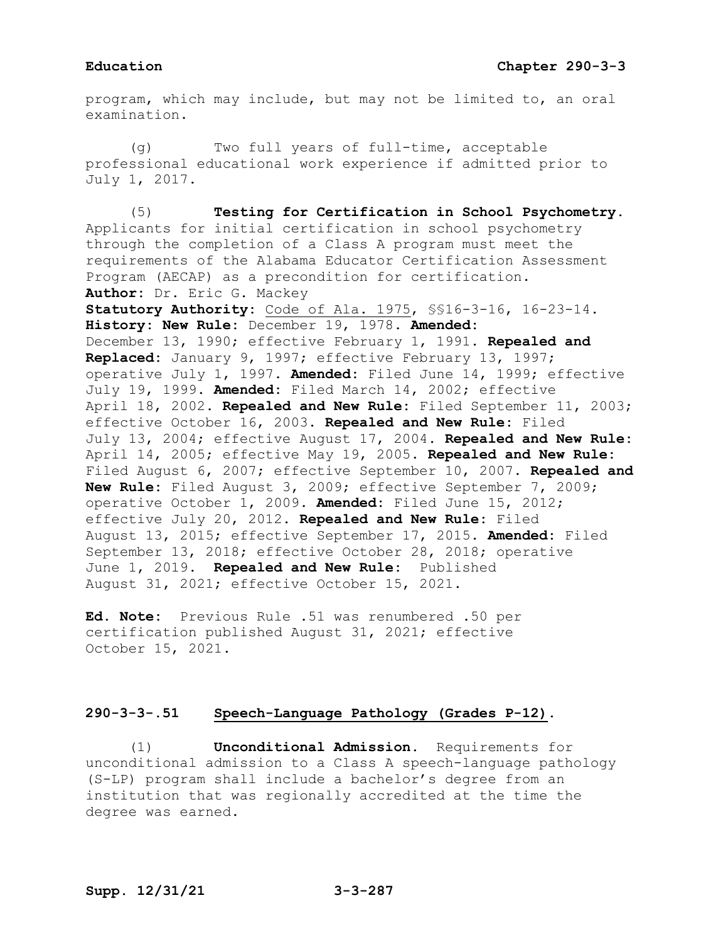program, which may include, but may not be limited to, an oral examination.

(g) Two full years of full-time, acceptable professional educational work experience if admitted prior to July 1, 2017.

(5) **Testing for Certification in School Psychometry.**  Applicants for initial certification in school psychometry through the completion of a Class A program must meet the requirements of the Alabama Educator Certification Assessment Program (AECAP) as a precondition for certification. **Author:** Dr. Eric G. Mackey **Statutory Authority:** Code of Ala. 1975, §§16-3-16, 16-23-14. **History: New Rule:** December 19, 1978. **Amended:** December 13, 1990; effective February 1, 1991. **Repealed and Replaced:** January 9, 1997; effective February 13, 1997; operative July 1, 1997. **Amended:** Filed June 14, 1999; effective July 19, 1999. **Amended:** Filed March 14, 2002; effective April 18, 2002. **Repealed and New Rule:** Filed September 11, 2003; effective October 16, 2003. **Repealed and New Rule:** Filed July 13, 2004; effective August 17, 2004. **Repealed and New Rule:** April 14, 2005; effective May 19, 2005. **Repealed and New Rule:** Filed August 6, 2007; effective September 10, 2007. **Repealed and New Rule:** Filed August 3, 2009; effective September 7, 2009; operative October 1, 2009. **Amended:** Filed June 15, 2012; effective July 20, 2012. **Repealed and New Rule:** Filed August 13, 2015; effective September 17, 2015. **Amended:** Filed September 13, 2018; effective October 28, 2018; operative June 1, 2019. **Repealed and New Rule:** Published August 31, 2021; effective October 15, 2021.

**Ed. Note:** Previous Rule .51 was renumbered .50 per certification published August 31, 2021; effective October 15, 2021.

# **290-3-3-.51 Speech-Language Pathology (Grades P-12).**

(1) **Unconditional Admission.** Requirements for unconditional admission to a Class A speech-language pathology (S-LP) program shall include a bachelor's degree from an institution that was regionally accredited at the time the degree was earned.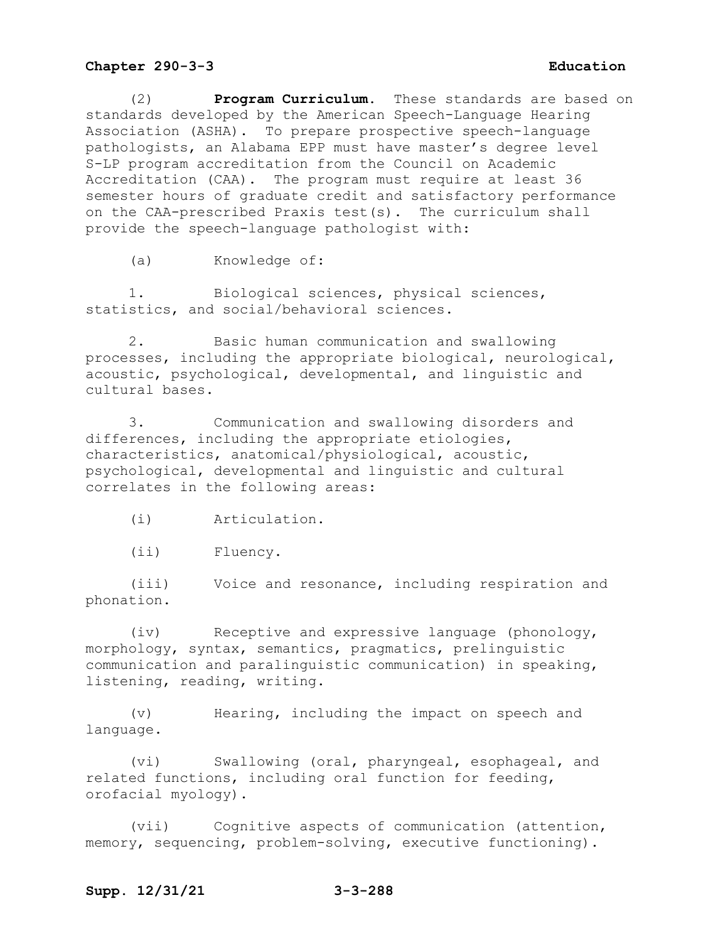(2) **Program Curriculum.** These standards are based on standards developed by the American Speech-Language Hearing Association (ASHA). To prepare prospective speech-language pathologists, an Alabama EPP must have master's degree level S-LP program accreditation from the Council on Academic Accreditation (CAA). The program must require at least 36 semester hours of graduate credit and satisfactory performance on the CAA-prescribed Praxis test(s). The curriculum shall provide the speech-language pathologist with:

(a) Knowledge of:

1. Biological sciences, physical sciences, statistics, and social/behavioral sciences.

2. Basic human communication and swallowing processes, including the appropriate biological, neurological, acoustic, psychological, developmental, and linguistic and cultural bases.

3. Communication and swallowing disorders and differences, including the appropriate etiologies, characteristics, anatomical/physiological, acoustic, psychological, developmental and linguistic and cultural correlates in the following areas:

(i) Articulation.

(ii) Fluency.

(iii) Voice and resonance, including respiration and phonation.

(iv) Receptive and expressive language (phonology, morphology, syntax, semantics, pragmatics, prelinguistic communication and paralinguistic communication) in speaking, listening, reading, writing.

(v) Hearing, including the impact on speech and language.

(vi) Swallowing (oral, pharyngeal, esophageal, and related functions, including oral function for feeding, orofacial myology).

(vii) Cognitive aspects of communication (attention, memory, sequencing, problem-solving, executive functioning).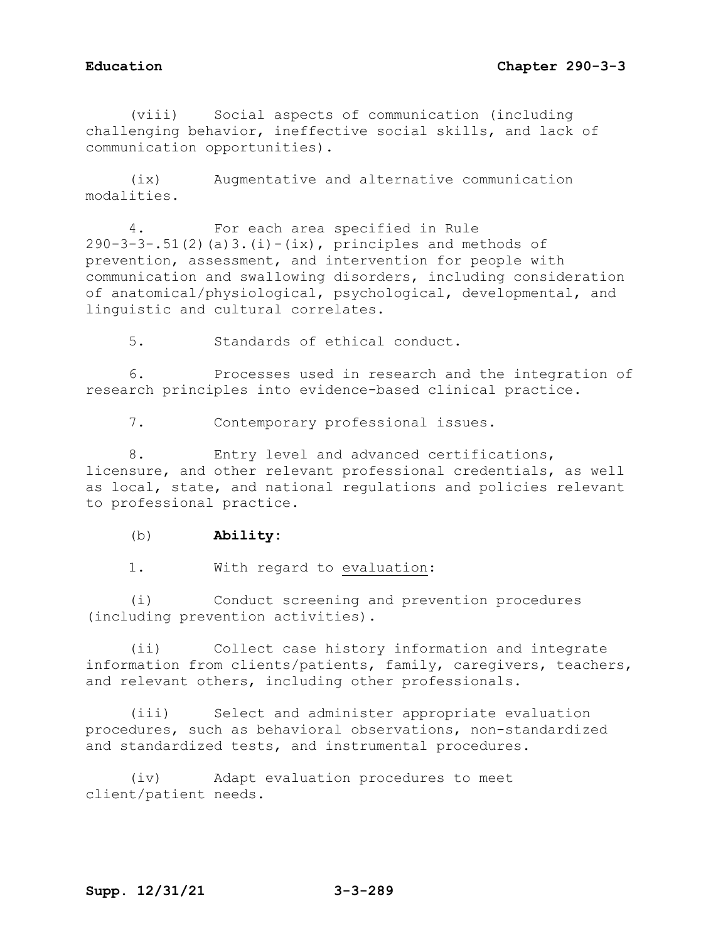(viii) Social aspects of communication (including challenging behavior, ineffective social skills, and lack of communication opportunities).

(ix) Augmentative and alternative communication modalities.

4. For each area specified in Rule  $290-3-3-.51(2)$  (a)  $3.(i)-(ix)$ , principles and methods of prevention, assessment, and intervention for people with communication and swallowing disorders, including consideration of anatomical/physiological, psychological, developmental, and linguistic and cultural correlates.

5. Standards of ethical conduct.

6. Processes used in research and the integration of research principles into evidence-based clinical practice.

7. Contemporary professional issues.

8. Entry level and advanced certifications, licensure, and other relevant professional credentials, as well as local, state, and national regulations and policies relevant to professional practice.

(b) **Ability:**

1. With regard to evaluation:

(i) Conduct screening and prevention procedures (including prevention activities).

(ii) Collect case history information and integrate information from clients/patients, family, caregivers, teachers, and relevant others, including other professionals.

(iii) Select and administer appropriate evaluation procedures, such as behavioral observations, non-standardized and standardized tests, and instrumental procedures.

(iv) Adapt evaluation procedures to meet client/patient needs.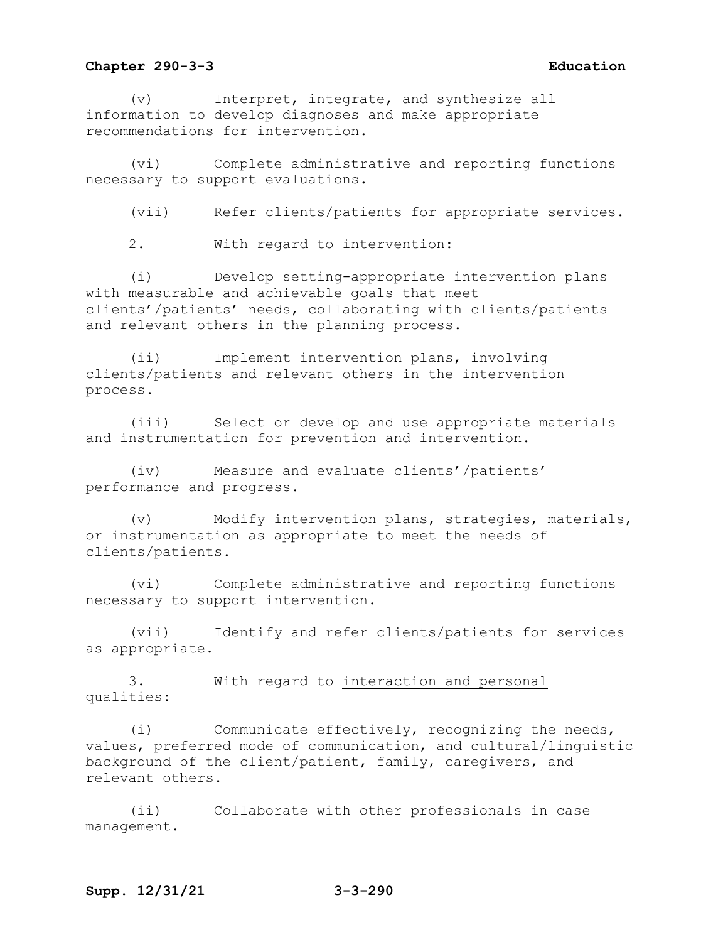(v) Interpret, integrate, and synthesize all information to develop diagnoses and make appropriate recommendations for intervention.

(vi) Complete administrative and reporting functions necessary to support evaluations.

(vii) Refer clients/patients for appropriate services.

2. With regard to intervention:

(i) Develop setting-appropriate intervention plans with measurable and achievable goals that meet clients'/patients' needs, collaborating with clients/patients and relevant others in the planning process.

(ii) Implement intervention plans, involving clients/patients and relevant others in the intervention process.

(iii) Select or develop and use appropriate materials and instrumentation for prevention and intervention.

(iv) Measure and evaluate clients'/patients' performance and progress.

(v) Modify intervention plans, strategies, materials, or instrumentation as appropriate to meet the needs of clients/patients.

(vi) Complete administrative and reporting functions necessary to support intervention.

(vii) Identify and refer clients/patients for services as appropriate.

3. With regard to interaction and personal qualities:

(i) Communicate effectively, recognizing the needs, values, preferred mode of communication, and cultural/linguistic background of the client/patient, family, caregivers, and relevant others.

(ii) Collaborate with other professionals in case management.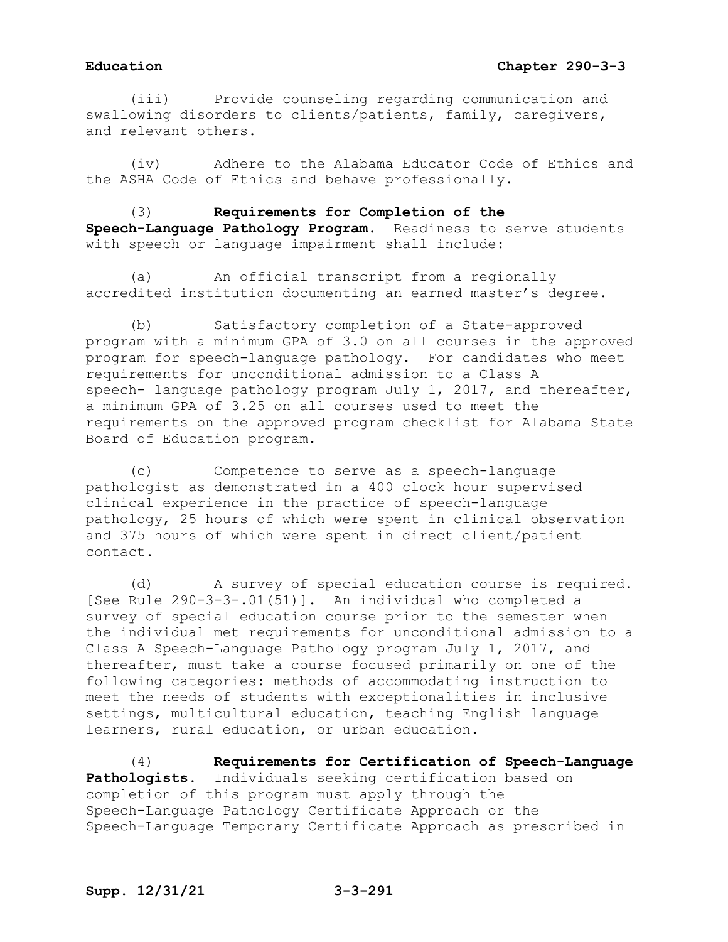(iii) Provide counseling regarding communication and swallowing disorders to clients/patients, family, caregivers, and relevant others.

(iv) Adhere to the Alabama Educator Code of Ethics and the ASHA Code of Ethics and behave professionally.

(3) **Requirements for Completion of the Speech-Language Pathology Program.** Readiness to serve students with speech or language impairment shall include:

(a) An official transcript from a regionally accredited institution documenting an earned master's degree.

(b) Satisfactory completion of a State-approved program with a minimum GPA of 3.0 on all courses in the approved program for speech-language pathology. For candidates who meet requirements for unconditional admission to a Class A speech- language pathology program July 1, 2017, and thereafter, a minimum GPA of 3.25 on all courses used to meet the requirements on the approved program checklist for Alabama State Board of Education program.

(c) Competence to serve as a speech-language pathologist as demonstrated in a 400 clock hour supervised clinical experience in the practice of speech-language pathology, 25 hours of which were spent in clinical observation and 375 hours of which were spent in direct client/patient contact.

(d) A survey of special education course is required. [See Rule 290-3-3-.01(51)]. An individual who completed a survey of special education course prior to the semester when the individual met requirements for unconditional admission to a Class A Speech-Language Pathology program July 1, 2017, and thereafter, must take a course focused primarily on one of the following categories: methods of accommodating instruction to meet the needs of students with exceptionalities in inclusive settings, multicultural education, teaching English language learners, rural education, or urban education.

(4) **Requirements for Certification of Speech-Language Pathologists.** Individuals seeking certification based on completion of this program must apply through the Speech-Language Pathology Certificate Approach or the Speech-Language Temporary Certificate Approach as prescribed in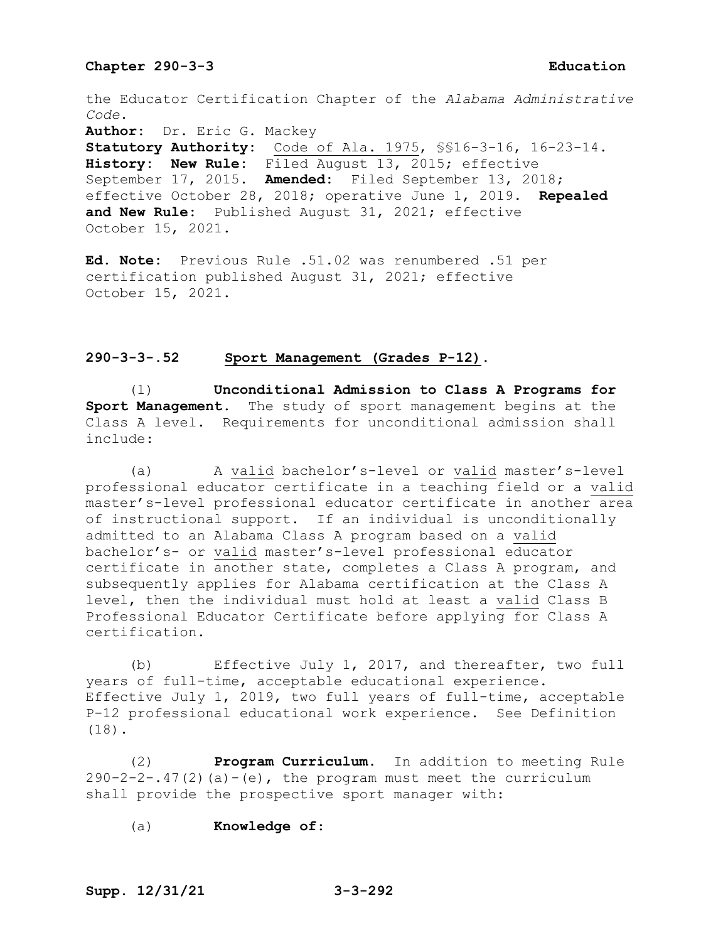the Educator Certification Chapter of the *Alabama Administrative Code*.

**Author:** Dr. Eric G. Mackey

**Statutory Authority:** Code of Ala. 1975, §§16-3-16, 16-23-14. **History: New Rule:** Filed August 13, 2015; effective September 17, 2015. **Amended:** Filed September 13, 2018; effective October 28, 2018; operative June 1, 2019. **Repealed and New Rule:** Published August 31, 2021; effective October 15, 2021.

**Ed. Note:** Previous Rule .51.02 was renumbered .51 per certification published August 31, 2021; effective October 15, 2021.

## **290-3-3-.52 Sport Management (Grades P-12).**

(1) **Unconditional Admission to Class A Programs for Sport Management.** The study of sport management begins at the Class A level. Requirements for unconditional admission shall include:

(a) A valid bachelor's-level or valid master's-level professional educator certificate in a teaching field or a valid master's-level professional educator certificate in another area of instructional support. If an individual is unconditionally admitted to an Alabama Class A program based on a valid bachelor's- or valid master's-level professional educator certificate in another state, completes a Class A program, and subsequently applies for Alabama certification at the Class A level, then the individual must hold at least a valid Class B Professional Educator Certificate before applying for Class A certification.

(b) Effective July 1, 2017, and thereafter, two full years of full-time, acceptable educational experience. Effective July 1, 2019, two full years of full-time, acceptable P-12 professional educational work experience. See Definition (18).

(2) **Program Curriculum.** In addition to meeting Rule  $290-2-2-.47(2)$  (a)  $-$  (e), the program must meet the curriculum shall provide the prospective sport manager with:

(a) **Knowledge of**: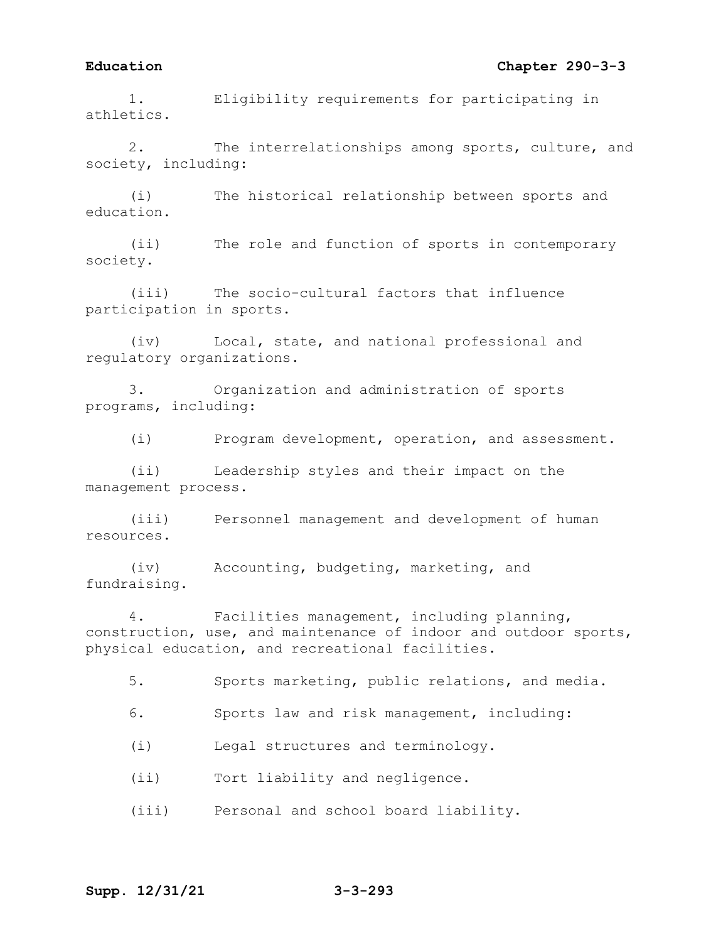## **Education Chapter 290-3-3**

1. Eligibility requirements for participating in athletics.

2. The interrelationships among sports, culture, and society, including:

(i) The historical relationship between sports and education.

(ii) The role and function of sports in contemporary society.

(iii) The socio-cultural factors that influence participation in sports.

(iv) Local, state, and national professional and regulatory organizations.

3. Organization and administration of sports programs, including:

(i) Program development, operation, and assessment.

(ii) Leadership styles and their impact on the management process.

(iii) Personnel management and development of human resources.

(iv) Accounting, budgeting, marketing, and fundraising.

4. Facilities management, including planning, construction, use, and maintenance of indoor and outdoor sports, physical education, and recreational facilities.

5. Sports marketing, public relations, and media.

6. Sports law and risk management, including:

(i) Legal structures and terminology.

(ii) Tort liability and negligence.

(iii) Personal and school board liability.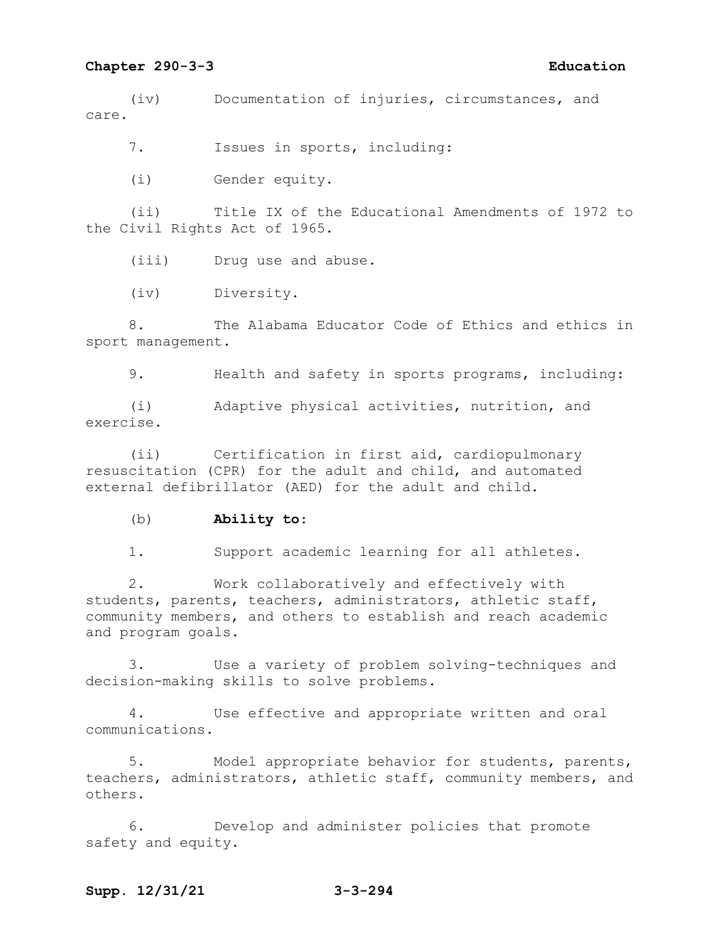(iv) Documentation of injuries, circumstances, and care.

7. Issues in sports, including:

(i) Gender equity.

(ii) Title IX of the Educational Amendments of 1972 to the Civil Rights Act of 1965.

(iii) Drug use and abuse.

(iv) Diversity.

8. The Alabama Educator Code of Ethics and ethics in sport management.

9. Health and safety in sports programs, including:

(i) Adaptive physical activities, nutrition, and exercise.

(ii) Certification in first aid, cardiopulmonary resuscitation (CPR) for the adult and child, and automated external defibrillator (AED) for the adult and child.

(b) **Ability to**:

1. Support academic learning for all athletes.

2. Work collaboratively and effectively with students, parents, teachers, administrators, athletic staff, community members, and others to establish and reach academic and program goals.

3. Use a variety of problem solving-techniques and decision-making skills to solve problems.

4. Use effective and appropriate written and oral communications.

5. Model appropriate behavior for students, parents, teachers, administrators, athletic staff, community members, and others.

6. Develop and administer policies that promote safety and equity.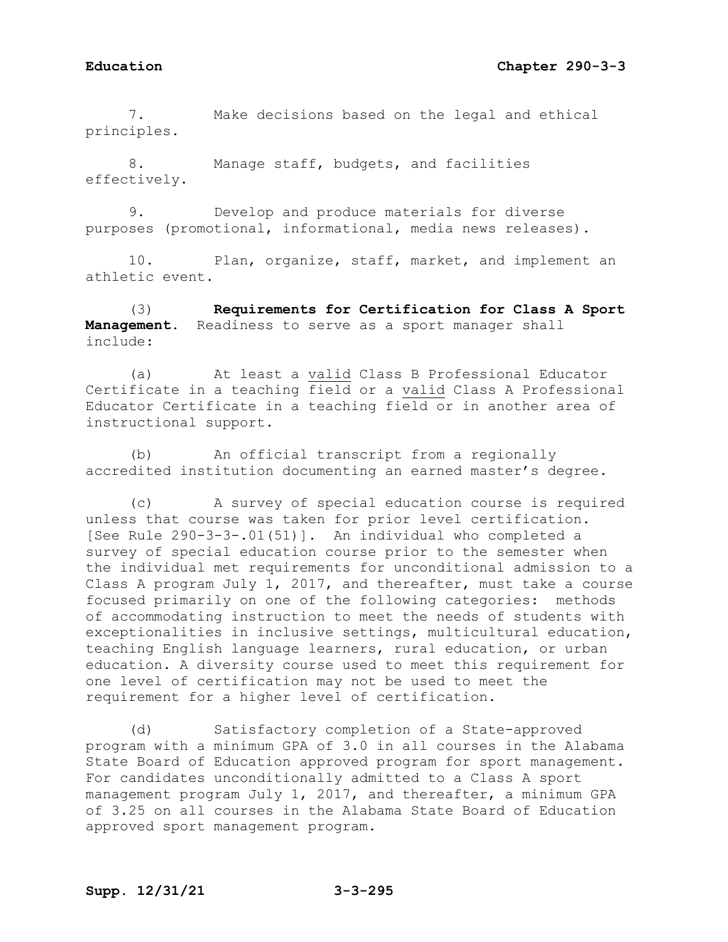## **Education Chapter 290-3-3**

7. Make decisions based on the legal and ethical principles.

8. Manage staff, budgets, and facilities effectively.

9. Develop and produce materials for diverse purposes (promotional, informational, media news releases).

10. Plan, organize, staff, market, and implement an athletic event.

(3) **Requirements for Certification for Class A Sport Management**. Readiness to serve as a sport manager shall include:

(a) At least a valid Class B Professional Educator Certificate in a teaching field or a valid Class A Professional Educator Certificate in a teaching field or in another area of instructional support.

(b) An official transcript from a regionally accredited institution documenting an earned master's degree.

(c) A survey of special education course is required unless that course was taken for prior level certification. [See Rule 290-3-3-.01(51)]. An individual who completed a survey of special education course prior to the semester when the individual met requirements for unconditional admission to a Class A program July 1, 2017, and thereafter, must take a course focused primarily on one of the following categories: methods of accommodating instruction to meet the needs of students with exceptionalities in inclusive settings, multicultural education, teaching English language learners, rural education, or urban education. A diversity course used to meet this requirement for one level of certification may not be used to meet the requirement for a higher level of certification.

(d) Satisfactory completion of a State-approved program with a minimum GPA of 3.0 in all courses in the Alabama State Board of Education approved program for sport management. For candidates unconditionally admitted to a Class A sport management program July 1, 2017, and thereafter, a minimum GPA of 3.25 on all courses in the Alabama State Board of Education approved sport management program.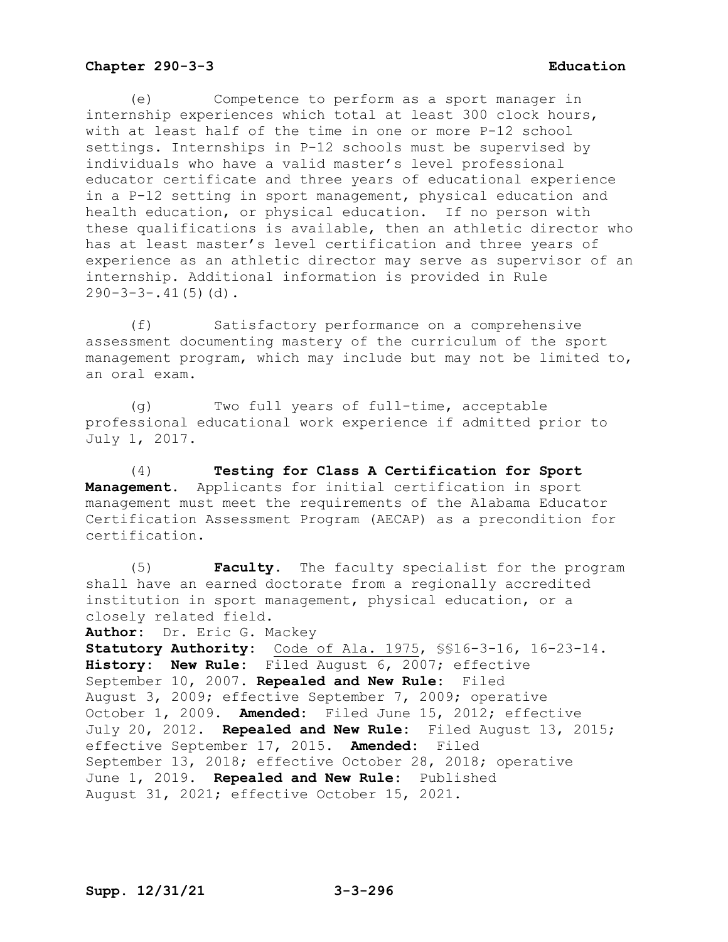(e) Competence to perform as a sport manager in internship experiences which total at least 300 clock hours, with at least half of the time in one or more P-12 school settings. Internships in P-12 schools must be supervised by individuals who have a valid master's level professional educator certificate and three years of educational experience in a P-12 setting in sport management, physical education and health education, or physical education. If no person with these qualifications is available, then an athletic director who has at least master's level certification and three years of experience as an athletic director may serve as supervisor of an internship. Additional information is provided in Rule  $290-3-3-.41(5)(d)$ .

(f) Satisfactory performance on a comprehensive assessment documenting mastery of the curriculum of the sport management program, which may include but may not be limited to, an oral exam.

(g) Two full years of full-time, acceptable professional educational work experience if admitted prior to July 1, 2017.

(4) **Testing for Class A Certification for Sport Management.** Applicants for initial certification in sport management must meet the requirements of the Alabama Educator Certification Assessment Program (AECAP) as a precondition for certification.

(5) **Faculty.** The faculty specialist for the program shall have an earned doctorate from a regionally accredited institution in sport management, physical education, or a closely related field. **Author:** Dr. Eric G. Mackey **Statutory Authority:** Code of Ala. 1975, §§16-3-16, 16-23-14. **History: New Rule:** Filed August 6, 2007; effective September 10, 2007. **Repealed and New Rule:** Filed August 3, 2009; effective September 7, 2009; operative October 1, 2009. **Amended:** Filed June 15, 2012; effective July 20, 2012. **Repealed and New Rule:** Filed August 13, 2015; effective September 17, 2015. **Amended:** Filed September 13, 2018; effective October 28, 2018; operative June 1, 2019. **Repealed and New Rule:** Published August 31, 2021; effective October 15, 2021.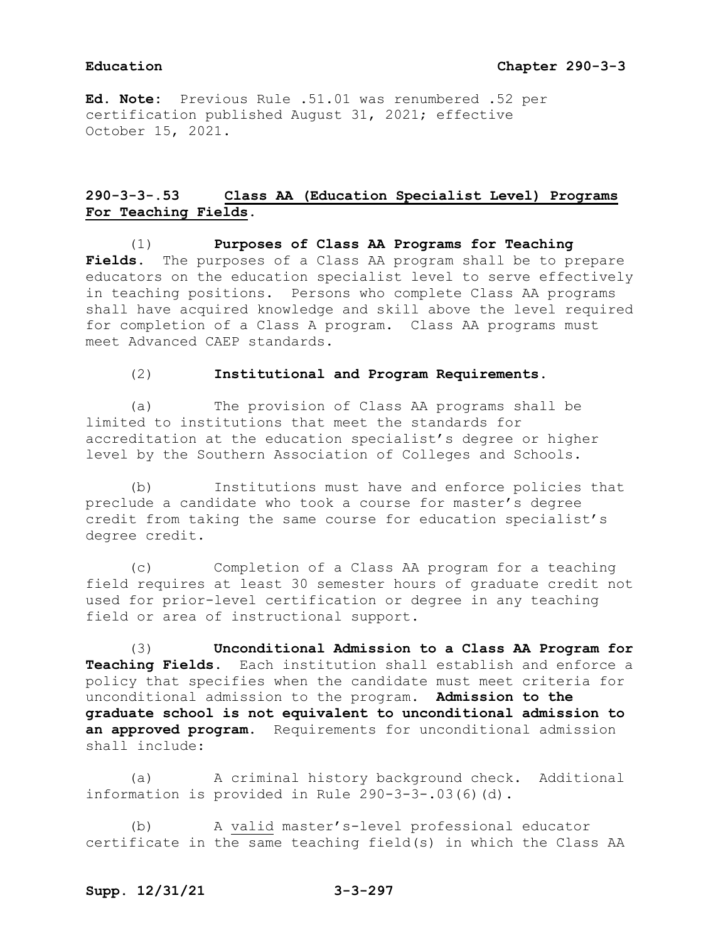**Ed. Note:** Previous Rule .51.01 was renumbered .52 per certification published August 31, 2021; effective October 15, 2021.

# **290-3-3-.53 Class AA (Education Specialist Level) Programs For Teaching Fields.**

(1) **Purposes of Class AA Programs for Teaching Fields.** The purposes of a Class AA program shall be to prepare educators on the education specialist level to serve effectively in teaching positions. Persons who complete Class AA programs shall have acquired knowledge and skill above the level required for completion of a Class A program. Class AA programs must meet Advanced CAEP standards.

### (2) **Institutional and Program Requirements.**

(a) The provision of Class AA programs shall be limited to institutions that meet the standards for accreditation at the education specialist's degree or higher level by the Southern Association of Colleges and Schools.

(b) Institutions must have and enforce policies that preclude a candidate who took a course for master's degree credit from taking the same course for education specialist's degree credit.

(c) Completion of a Class AA program for a teaching field requires at least 30 semester hours of graduate credit not used for prior-level certification or degree in any teaching field or area of instructional support**.**

(3) **Unconditional Admission to a Class AA Program for Teaching Fields.** Each institution shall establish and enforce a policy that specifies when the candidate must meet criteria for unconditional admission to the program. **Admission to the graduate school is not equivalent to unconditional admission to an approved program**. Requirements for unconditional admission shall include:

(a) A criminal history background check. Additional information is provided in Rule 290-3-3-.03(6)(d).

(b) A valid master's-level professional educator certificate in the same teaching field(s) in which the Class AA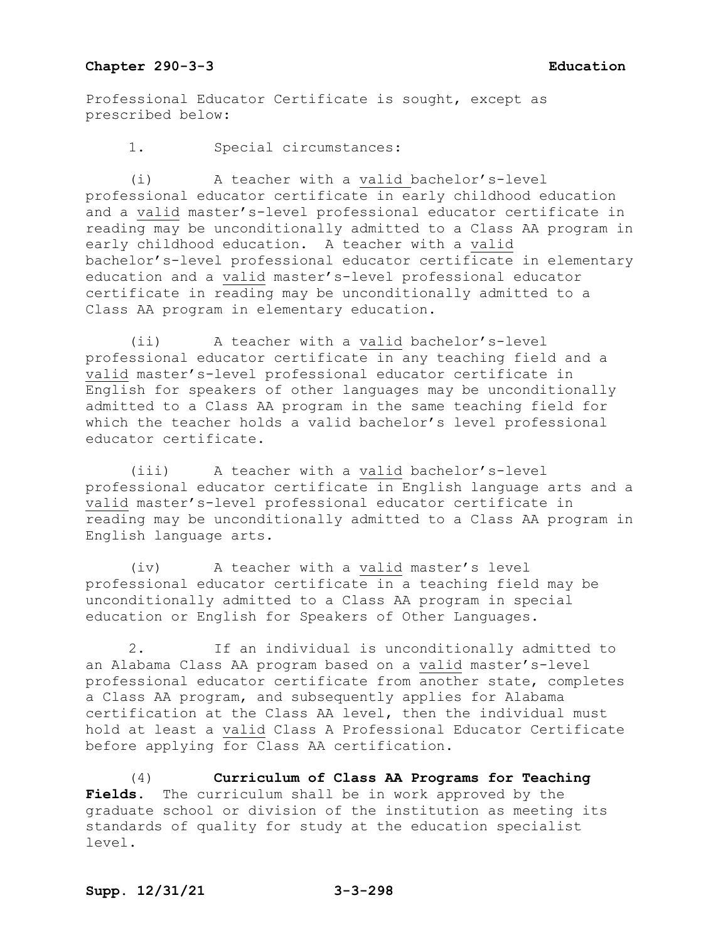Professional Educator Certificate is sought, except as prescribed below:

1. Special circumstances:

(i) A teacher with a valid bachelor's-level professional educator certificate in early childhood education and a valid master's-level professional educator certificate in reading may be unconditionally admitted to a Class AA program in early childhood education. A teacher with a valid bachelor's-level professional educator certificate in elementary education and a valid master's-level professional educator certificate in reading may be unconditionally admitted to a Class AA program in elementary education.

(ii) A teacher with a valid bachelor's-level professional educator certificate in any teaching field and a valid master's-level professional educator certificate in English for speakers of other languages may be unconditionally admitted to a Class AA program in the same teaching field for which the teacher holds a valid bachelor's level professional educator certificate.

(iii) A teacher with a valid bachelor's-level professional educator certificate in English language arts and a valid master's-level professional educator certificate in reading may be unconditionally admitted to a Class AA program in English language arts.

(iv) A teacher with a valid master's level professional educator certificate in a teaching field may be unconditionally admitted to a Class AA program in special education or English for Speakers of Other Languages.

2. If an individual is unconditionally admitted to an Alabama Class AA program based on a valid master's-level professional educator certificate from another state, completes a Class AA program, and subsequently applies for Alabama certification at the Class AA level, then the individual must hold at least a valid Class A Professional Educator Certificate before applying for Class AA certification.

(4) **Curriculum of Class AA Programs for Teaching Fields**. The curriculum shall be in work approved by the graduate school or division of the institution as meeting its standards of quality for study at the education specialist level.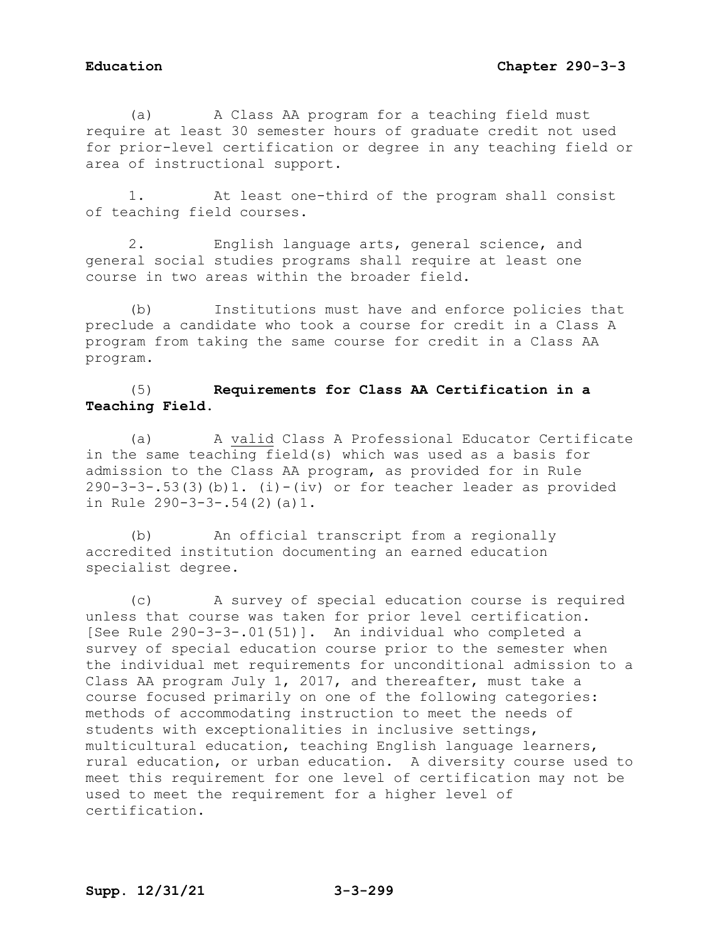(a) A Class AA program for a teaching field must require at least 30 semester hours of graduate credit not used for prior-level certification or degree in any teaching field or area of instructional support.

1. At least one-third of the program shall consist of teaching field courses.

2. English language arts, general science, and general social studies programs shall require at least one course in two areas within the broader field.

(b) Institutions must have and enforce policies that preclude a candidate who took a course for credit in a Class A program from taking the same course for credit in a Class AA program.

# (5) **Requirements for Class AA Certification in a Teaching Field.**

(a) A valid Class A Professional Educator Certificate in the same teaching field(s) which was used as a basis for admission to the Class AA program, as provided for in Rule 290-3-3-.53(3)(b)1. (i)-(iv) or for teacher leader as provided in Rule 290-3-3-.54(2)(a)1.

(b) An official transcript from a regionally accredited institution documenting an earned education specialist degree.

(c) A survey of special education course is required unless that course was taken for prior level certification. [See Rule 290-3-3-.01(51)]. An individual who completed a survey of special education course prior to the semester when the individual met requirements for unconditional admission to a Class AA program July 1, 2017, and thereafter, must take a course focused primarily on one of the following categories: methods of accommodating instruction to meet the needs of students with exceptionalities in inclusive settings, multicultural education, teaching English language learners, rural education, or urban education. A diversity course used to meet this requirement for one level of certification may not be used to meet the requirement for a higher level of certification.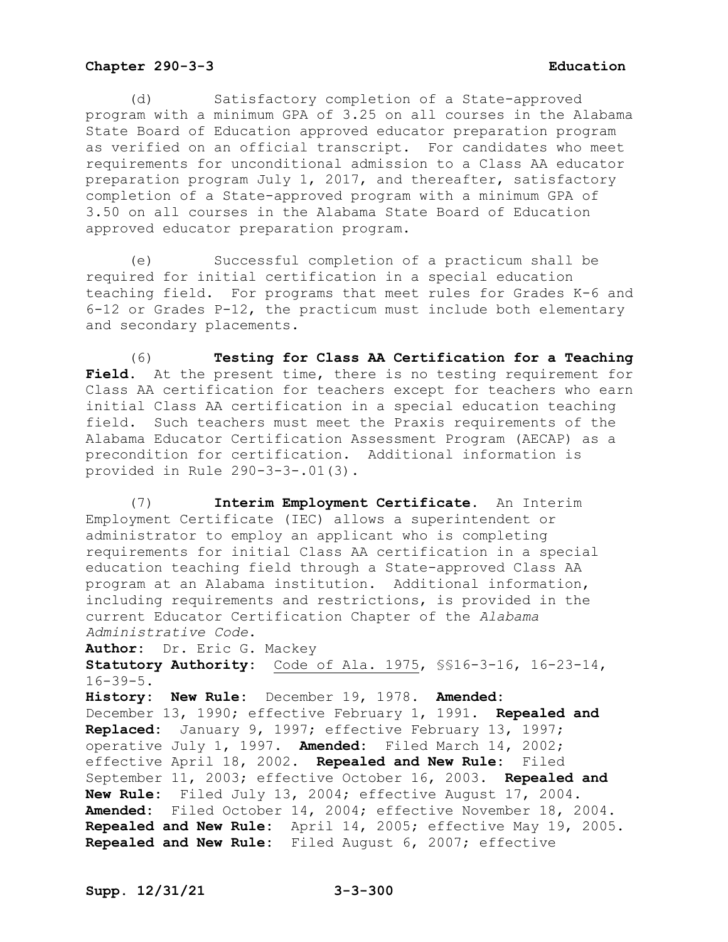(d) Satisfactory completion of a State-approved program with a minimum GPA of 3.25 on all courses in the Alabama State Board of Education approved educator preparation program as verified on an official transcript. For candidates who meet requirements for unconditional admission to a Class AA educator preparation program July 1, 2017, and thereafter, satisfactory completion of a State-approved program with a minimum GPA of 3.50 on all courses in the Alabama State Board of Education approved educator preparation program.

(e) Successful completion of a practicum shall be required for initial certification in a special education teaching field. For programs that meet rules for Grades K-6 and 6-12 or Grades P-12, the practicum must include both elementary and secondary placements.

(6) **Testing for Class AA Certification for a Teaching**  Field. At the present time, there is no testing requirement for Class AA certification for teachers except for teachers who earn initial Class AA certification in a special education teaching field. Such teachers must meet the Praxis requirements of the Alabama Educator Certification Assessment Program (AECAP) as a precondition for certification. Additional information is provided in Rule 290-3-3-.01(3).

(7) **Interim Employment Certificate.** An Interim Employment Certificate (IEC) allows a superintendent or administrator to employ an applicant who is completing requirements for initial Class AA certification in a special education teaching field through a State-approved Class AA program at an Alabama institution. Additional information, including requirements and restrictions, is provided in the current Educator Certification Chapter of the *Alabama Administrative Code*.

**Author:** Dr. Eric G. Mackey **Statutory Authority:** Code of Ala. 1975, §§16-3-16, 16-23-14, 16-39-5.

**History: New Rule:** December 19, 1978. **Amended:** December 13, 1990; effective February 1, 1991. **Repealed and Replaced:** January 9, 1997; effective February 13, 1997; operative July 1, 1997. **Amended:** Filed March 14, 2002; effective April 18, 2002. **Repealed and New Rule:** Filed September 11, 2003; effective October 16, 2003. **Repealed and New Rule:** Filed July 13, 2004; effective August 17, 2004. **Amended:** Filed October 14, 2004; effective November 18, 2004. **Repealed and New Rule:** April 14, 2005; effective May 19, 2005. **Repealed and New Rule:** Filed August 6, 2007; effective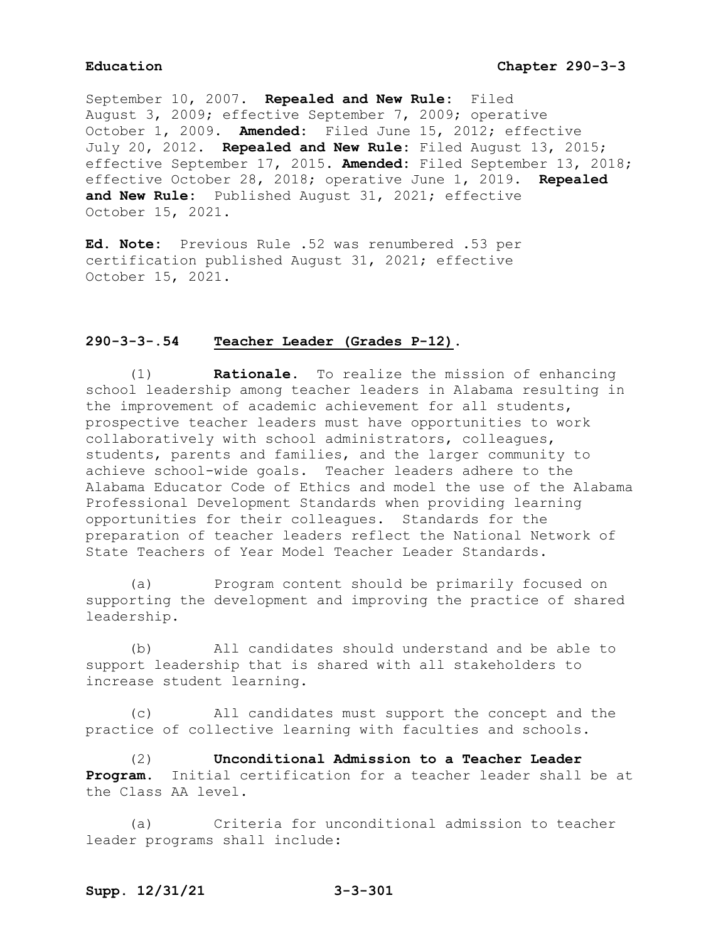September 10, 2007. **Repealed and New Rule:** Filed August 3, 2009; effective September 7, 2009; operative October 1, 2009. **Amended:** Filed June 15, 2012; effective July 20, 2012. **Repealed and New Rule:** Filed August 13, 2015; effective September 17, 2015. **Amended:** Filed September 13, 2018; effective October 28, 2018; operative June 1, 2019. **Repealed and New Rule:** Published August 31, 2021; effective October 15, 2021.

**Ed. Note:** Previous Rule .52 was renumbered .53 per certification published August 31, 2021; effective October 15, 2021.

## **290-3-3-.54 Teacher Leader (Grades P-12).**

(1) **Rationale.** To realize the mission of enhancing school leadership among teacher leaders in Alabama resulting in the improvement of academic achievement for all students, prospective teacher leaders must have opportunities to work collaboratively with school administrators, colleagues, students, parents and families, and the larger community to achieve school-wide goals. Teacher leaders adhere to the Alabama Educator Code of Ethics and model the use of the Alabama Professional Development Standards when providing learning opportunities for their colleagues. Standards for the preparation of teacher leaders reflect the National Network of State Teachers of Year Model Teacher Leader Standards.

(a) Program content should be primarily focused on supporting the development and improving the practice of shared leadership.

(b) All candidates should understand and be able to support leadership that is shared with all stakeholders to increase student learning.

(c) All candidates must support the concept and the practice of collective learning with faculties and schools.

(2) **Unconditional Admission to a Teacher Leader Program.** Initial certification for a teacher leader shall be at the Class AA level.

(a) Criteria for unconditional admission to teacher leader programs shall include: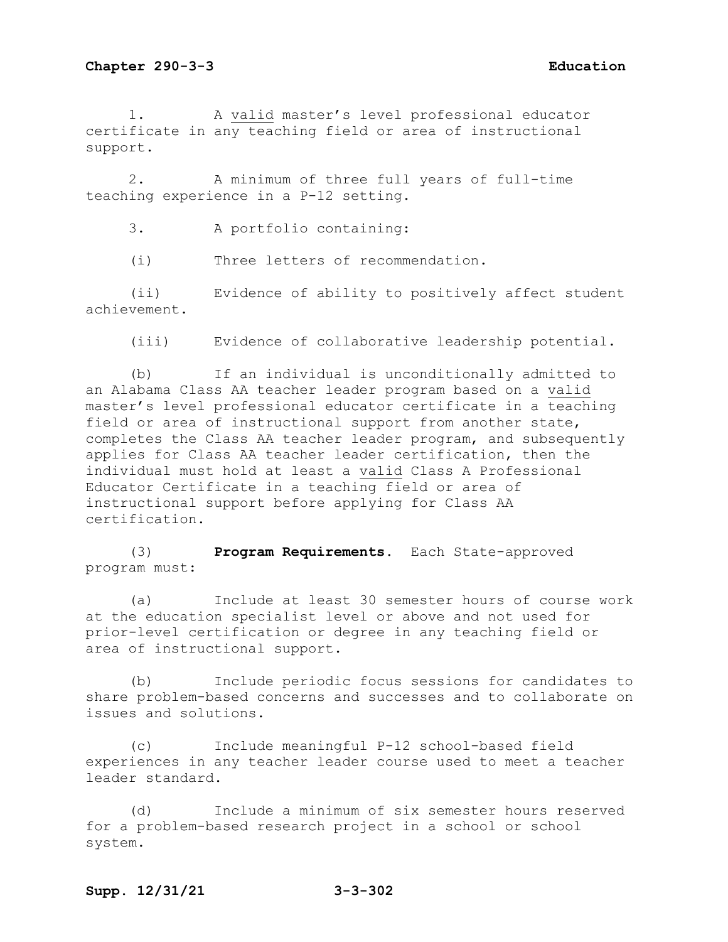1. A valid master's level professional educator certificate in any teaching field or area of instructional support.

2. A minimum of three full years of full-time teaching experience in a P-12 setting.

3. A portfolio containing:

(i) Three letters of recommendation.

(ii) Evidence of ability to positively affect student achievement.

(iii) Evidence of collaborative leadership potential.

(b) If an individual is unconditionally admitted to an Alabama Class AA teacher leader program based on a valid master's level professional educator certificate in a teaching field or area of instructional support from another state, completes the Class AA teacher leader program, and subsequently applies for Class AA teacher leader certification, then the individual must hold at least a valid Class A Professional Educator Certificate in a teaching field or area of instructional support before applying for Class AA certification.

(3) **Program Requirements.** Each State-approved program must:

(a) Include at least 30 semester hours of course work at the education specialist level or above and not used for prior-level certification or degree in any teaching field or area of instructional support.

(b) Include periodic focus sessions for candidates to share problem-based concerns and successes and to collaborate on issues and solutions.

(c) Include meaningful P-12 school-based field experiences in any teacher leader course used to meet a teacher leader standard.

(d) Include a minimum of six semester hours reserved for a problem-based research project in a school or school system.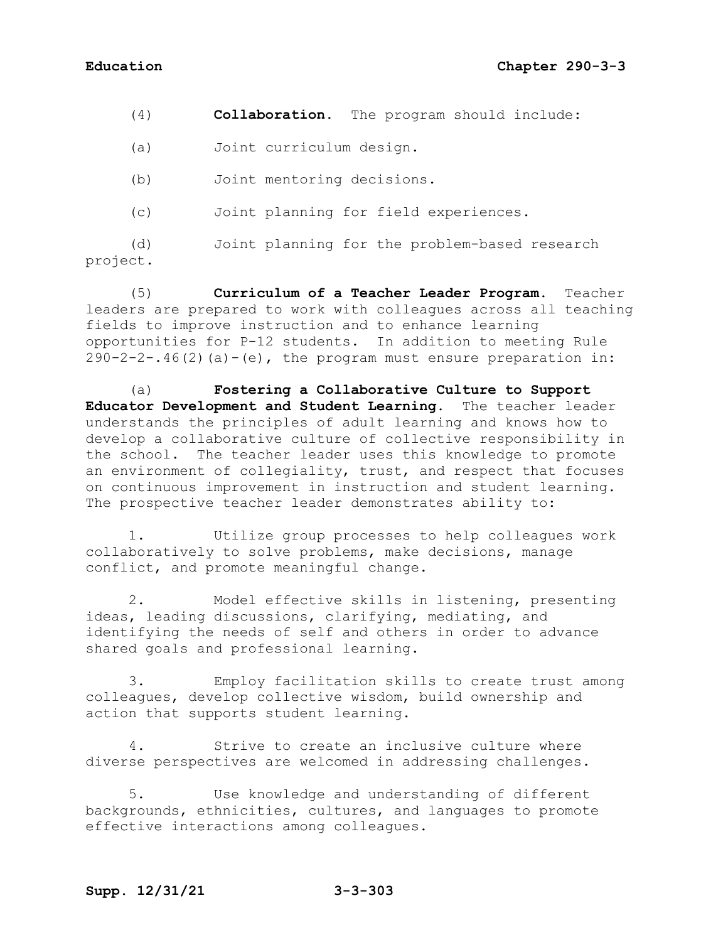(4) **Collaboration.** The program should include:

(a) Joint curriculum design.

(b) Joint mentoring decisions.

(c) Joint planning for field experiences.

(d) Joint planning for the problem-based research project.

(5) **Curriculum of a Teacher Leader Program.** Teacher leaders are prepared to work with colleagues across all teaching fields to improve instruction and to enhance learning opportunities for P-12 students. In addition to meeting Rule  $290-2-2-.46(2)$  (a)  $-(e)$ , the program must ensure preparation in:

(a) **Fostering a Collaborative Culture to Support Educator Development and Student Learning.** The teacher leader understands the principles of adult learning and knows how to develop a collaborative culture of collective responsibility in the school. The teacher leader uses this knowledge to promote an environment of collegiality, trust, and respect that focuses on continuous improvement in instruction and student learning. The prospective teacher leader demonstrates ability to:

1. Utilize group processes to help colleagues work collaboratively to solve problems, make decisions, manage conflict, and promote meaningful change.

2. Model effective skills in listening, presenting ideas, leading discussions, clarifying, mediating, and identifying the needs of self and others in order to advance shared goals and professional learning.

3. Employ facilitation skills to create trust among colleagues, develop collective wisdom, build ownership and action that supports student learning.

4. Strive to create an inclusive culture where diverse perspectives are welcomed in addressing challenges.

5. Use knowledge and understanding of different backgrounds, ethnicities, cultures, and languages to promote effective interactions among colleagues.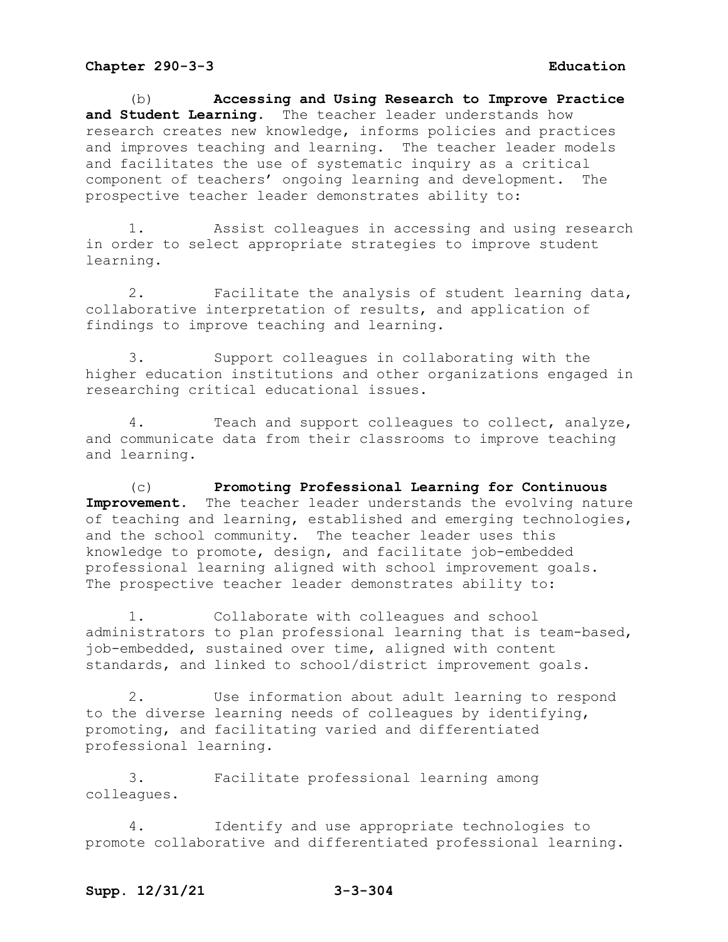(b) **Accessing and Using Research to Improve Practice and Student Learning.** The teacher leader understands how research creates new knowledge, informs policies and practices and improves teaching and learning. The teacher leader models and facilitates the use of systematic inquiry as a critical component of teachers' ongoing learning and development. The prospective teacher leader demonstrates ability to:

1. Assist colleagues in accessing and using research in order to select appropriate strategies to improve student learning.

2. Facilitate the analysis of student learning data, collaborative interpretation of results, and application of findings to improve teaching and learning.

3. Support colleagues in collaborating with the higher education institutions and other organizations engaged in researching critical educational issues.

4. Teach and support colleagues to collect, analyze, and communicate data from their classrooms to improve teaching and learning.

(c) **Promoting Professional Learning for Continuous Improvement.** The teacher leader understands the evolving nature of teaching and learning, established and emerging technologies, and the school community. The teacher leader uses this knowledge to promote, design, and facilitate job-embedded professional learning aligned with school improvement goals. The prospective teacher leader demonstrates ability to:

1. Collaborate with colleagues and school administrators to plan professional learning that is team-based, job-embedded, sustained over time, aligned with content standards, and linked to school/district improvement goals.

2. Use information about adult learning to respond to the diverse learning needs of colleagues by identifying, promoting, and facilitating varied and differentiated professional learning.

3. Facilitate professional learning among colleagues.

4. Identify and use appropriate technologies to promote collaborative and differentiated professional learning.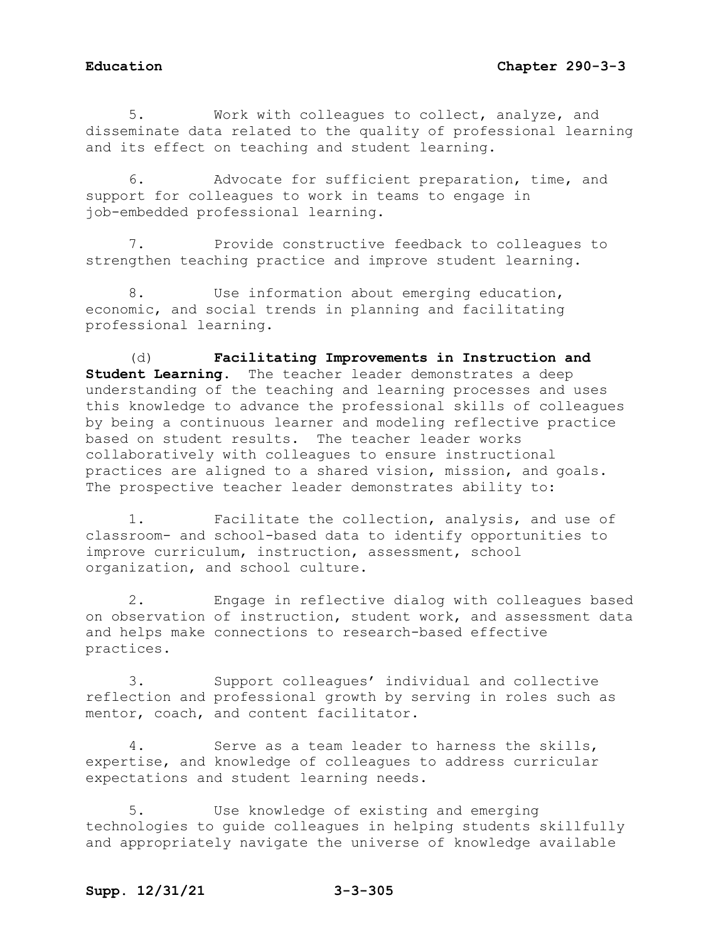5. Work with colleagues to collect, analyze, and disseminate data related to the quality of professional learning and its effect on teaching and student learning.

6. Advocate for sufficient preparation, time, and support for colleagues to work in teams to engage in job-embedded professional learning.

7. Provide constructive feedback to colleagues to strengthen teaching practice and improve student learning.

8. Use information about emerging education, economic, and social trends in planning and facilitating professional learning.

(d) **Facilitating Improvements in Instruction and Student Learning.** The teacher leader demonstrates a deep understanding of the teaching and learning processes and uses this knowledge to advance the professional skills of colleagues by being a continuous learner and modeling reflective practice based on student results. The teacher leader works collaboratively with colleagues to ensure instructional practices are aligned to a shared vision, mission, and goals. The prospective teacher leader demonstrates ability to:

1. Facilitate the collection, analysis, and use of classroom- and school-based data to identify opportunities to improve curriculum, instruction, assessment, school organization, and school culture.

2. Engage in reflective dialog with colleagues based on observation of instruction, student work, and assessment data and helps make connections to research-based effective practices.

3. Support colleagues' individual and collective reflection and professional growth by serving in roles such as mentor, coach, and content facilitator.

4. Serve as a team leader to harness the skills, expertise, and knowledge of colleagues to address curricular expectations and student learning needs.

5. Use knowledge of existing and emerging technologies to guide colleagues in helping students skillfully and appropriately navigate the universe of knowledge available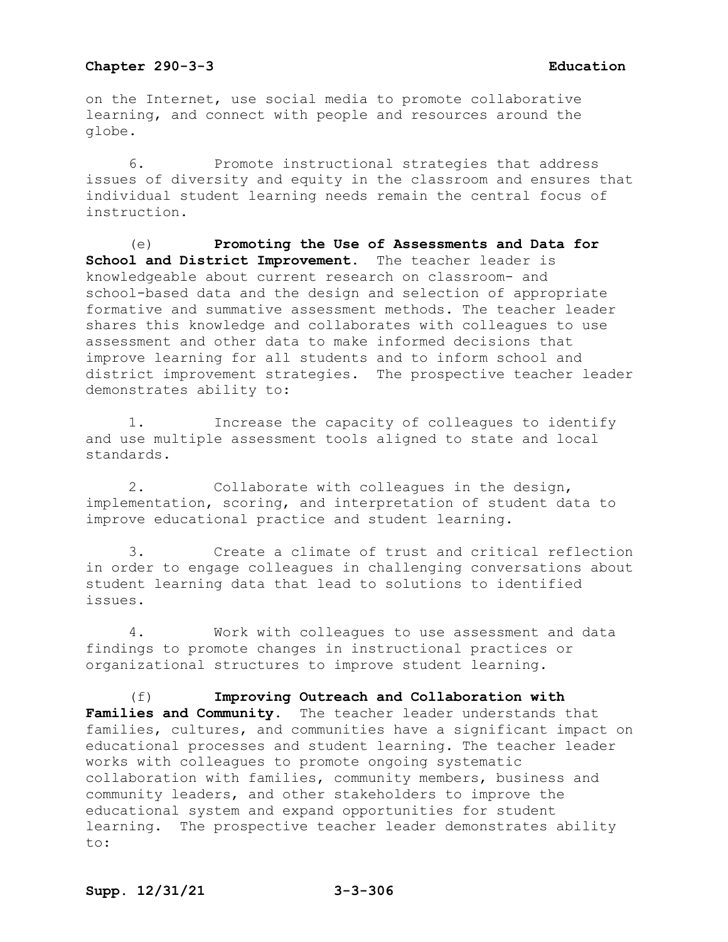on the Internet, use social media to promote collaborative learning, and connect with people and resources around the globe.

6. Promote instructional strategies that address issues of diversity and equity in the classroom and ensures that individual student learning needs remain the central focus of instruction.

(e) **Promoting the Use of Assessments and Data for School and District Improvement.** The teacher leader is knowledgeable about current research on classroom- and school-based data and the design and selection of appropriate formative and summative assessment methods. The teacher leader shares this knowledge and collaborates with colleagues to use assessment and other data to make informed decisions that improve learning for all students and to inform school and district improvement strategies. The prospective teacher leader demonstrates ability to:

1. Increase the capacity of colleagues to identify and use multiple assessment tools aligned to state and local standards.

2. Collaborate with colleagues in the design, implementation, scoring, and interpretation of student data to improve educational practice and student learning.

3. Create a climate of trust and critical reflection in order to engage colleagues in challenging conversations about student learning data that lead to solutions to identified issues.

4. Work with colleagues to use assessment and data findings to promote changes in instructional practices or organizational structures to improve student learning.

(f) **Improving Outreach and Collaboration with**  Families and Community. The teacher leader understands that families, cultures, and communities have a significant impact on educational processes and student learning. The teacher leader works with colleagues to promote ongoing systematic collaboration with families, community members, business and community leaders, and other stakeholders to improve the educational system and expand opportunities for student learning. The prospective teacher leader demonstrates ability to: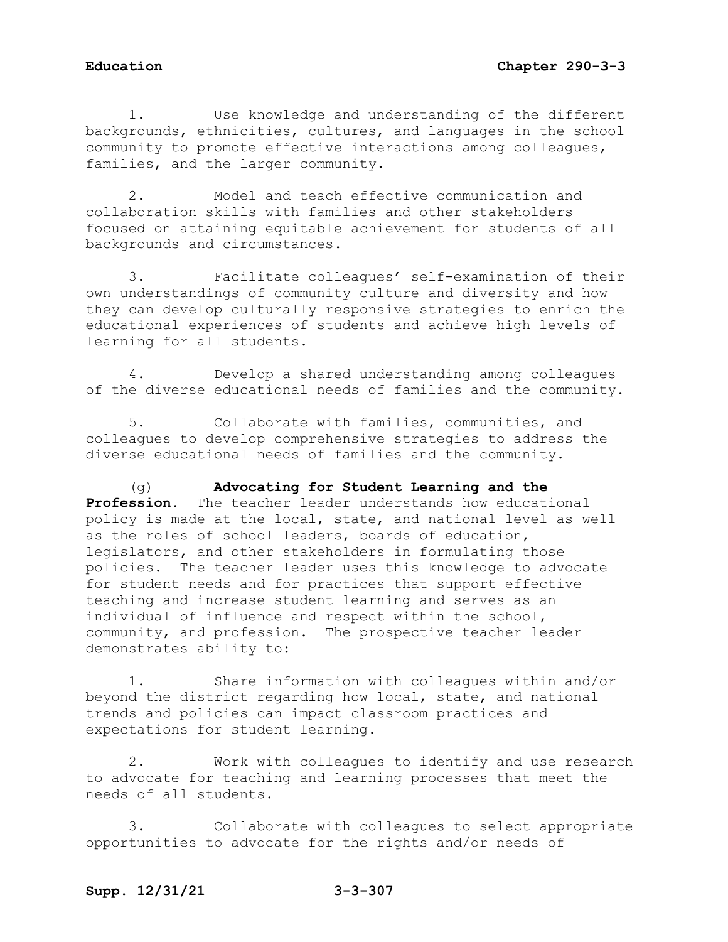1. Use knowledge and understanding of the different backgrounds, ethnicities, cultures, and languages in the school community to promote effective interactions among colleagues, families, and the larger community.

2. Model and teach effective communication and collaboration skills with families and other stakeholders focused on attaining equitable achievement for students of all backgrounds and circumstances.

3. Facilitate colleagues' self-examination of their own understandings of community culture and diversity and how they can develop culturally responsive strategies to enrich the educational experiences of students and achieve high levels of learning for all students.

4. Develop a shared understanding among colleagues of the diverse educational needs of families and the community.

5. Collaborate with families, communities, and colleagues to develop comprehensive strategies to address the diverse educational needs of families and the community.

(g) **Advocating for Student Learning and the Profession.** The teacher leader understands how educational policy is made at the local, state, and national level as well as the roles of school leaders, boards of education, legislators, and other stakeholders in formulating those policies. The teacher leader uses this knowledge to advocate for student needs and for practices that support effective teaching and increase student learning and serves as an individual of influence and respect within the school, community, and profession. The prospective teacher leader demonstrates ability to:

1. Share information with colleagues within and/or beyond the district regarding how local, state, and national trends and policies can impact classroom practices and expectations for student learning.

2. Work with colleagues to identify and use research to advocate for teaching and learning processes that meet the needs of all students.

3. Collaborate with colleagues to select appropriate opportunities to advocate for the rights and/or needs of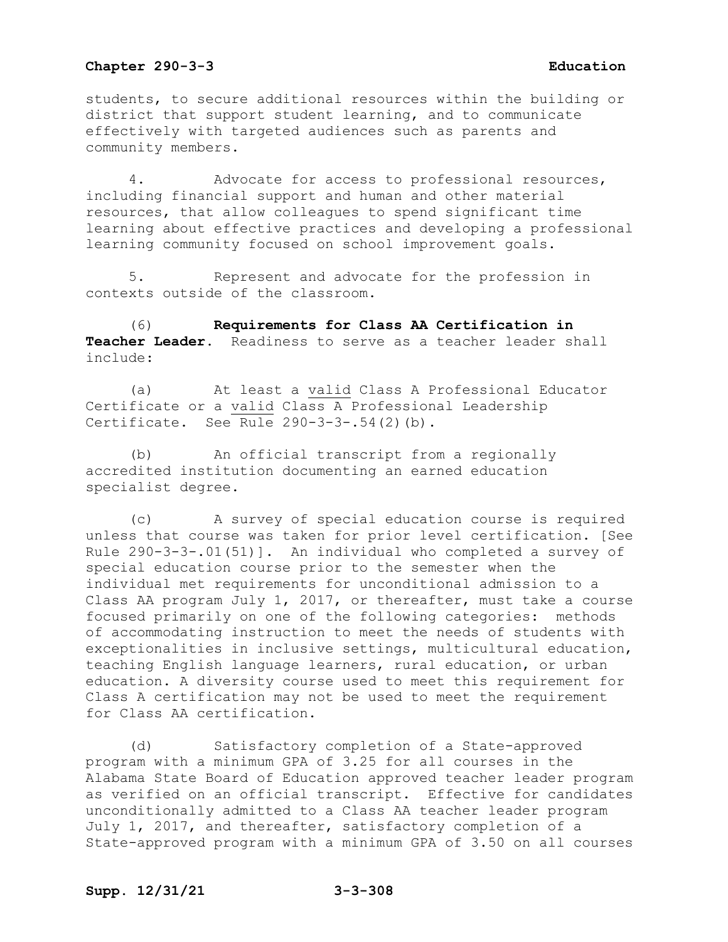students, to secure additional resources within the building or district that support student learning, and to communicate effectively with targeted audiences such as parents and community members.

4. Advocate for access to professional resources, including financial support and human and other material resources, that allow colleagues to spend significant time learning about effective practices and developing a professional learning community focused on school improvement goals.

5. Represent and advocate for the profession in contexts outside of the classroom.

(6) **Requirements for Class AA Certification in Teacher Leader.** Readiness to serve as a teacher leader shall include:

(a) At least a valid Class A Professional Educator Certificate or a valid Class A Professional Leadership Certificate. See Rule 290-3-3-.54(2)(b).

(b) An official transcript from a regionally accredited institution documenting an earned education specialist degree.

(c) A survey of special education course is required unless that course was taken for prior level certification. [See Rule 290-3-3-.01(51)]. An individual who completed a survey of special education course prior to the semester when the individual met requirements for unconditional admission to a Class AA program July 1, 2017, or thereafter, must take a course focused primarily on one of the following categories: methods of accommodating instruction to meet the needs of students with exceptionalities in inclusive settings, multicultural education, teaching English language learners, rural education, or urban education. A diversity course used to meet this requirement for Class A certification may not be used to meet the requirement for Class AA certification.

(d) Satisfactory completion of a State-approved program with a minimum GPA of 3.25 for all courses in the Alabama State Board of Education approved teacher leader program as verified on an official transcript. Effective for candidates unconditionally admitted to a Class AA teacher leader program July 1, 2017, and thereafter, satisfactory completion of a State-approved program with a minimum GPA of 3.50 on all courses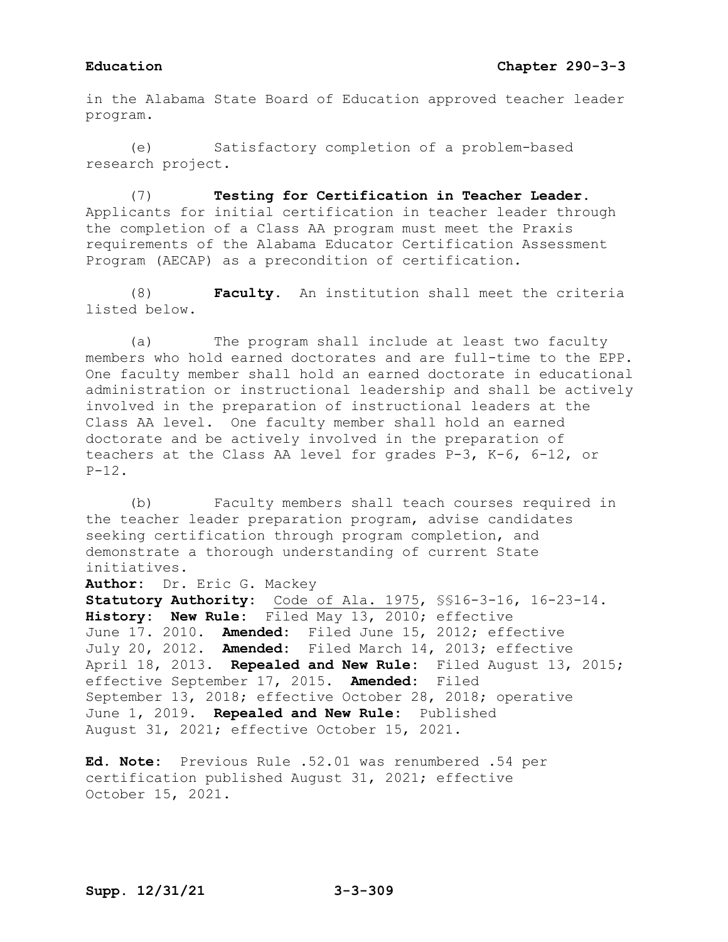in the Alabama State Board of Education approved teacher leader program.

(e) Satisfactory completion of a problem-based research project.

(7) **Testing for Certification in Teacher Leader.**  Applicants for initial certification in teacher leader through the completion of a Class AA program must meet the Praxis requirements of the Alabama Educator Certification Assessment Program (AECAP) as a precondition of certification.

(8) **Faculty.** An institution shall meet the criteria listed below.

(a) The program shall include at least two faculty members who hold earned doctorates and are full-time to the EPP. One faculty member shall hold an earned doctorate in educational administration or instructional leadership and shall be actively involved in the preparation of instructional leaders at the Class AA level. One faculty member shall hold an earned doctorate and be actively involved in the preparation of teachers at the Class AA level for grades P-3, K-6, 6-12, or P-12.

(b) Faculty members shall teach courses required in the teacher leader preparation program, advise candidates seeking certification through program completion, and demonstrate a thorough understanding of current State initiatives.

**Author:** Dr. Eric G. Mackey

**Statutory Authority:** Code of Ala. 1975, §§16-3-16, 16-23-14. **History: New Rule:** Filed May 13, 2010; effective June 17. 2010. **Amended:** Filed June 15, 2012; effective July 20, 2012. **Amended:** Filed March 14, 2013; effective April 18, 2013. **Repealed and New Rule:** Filed August 13, 2015; effective September 17, 2015. **Amended:** Filed September 13, 2018; effective October 28, 2018; operative June 1, 2019. **Repealed and New Rule:** Published August 31, 2021; effective October 15, 2021.

**Ed. Note:** Previous Rule .52.01 was renumbered .54 per certification published August 31, 2021; effective October 15, 2021.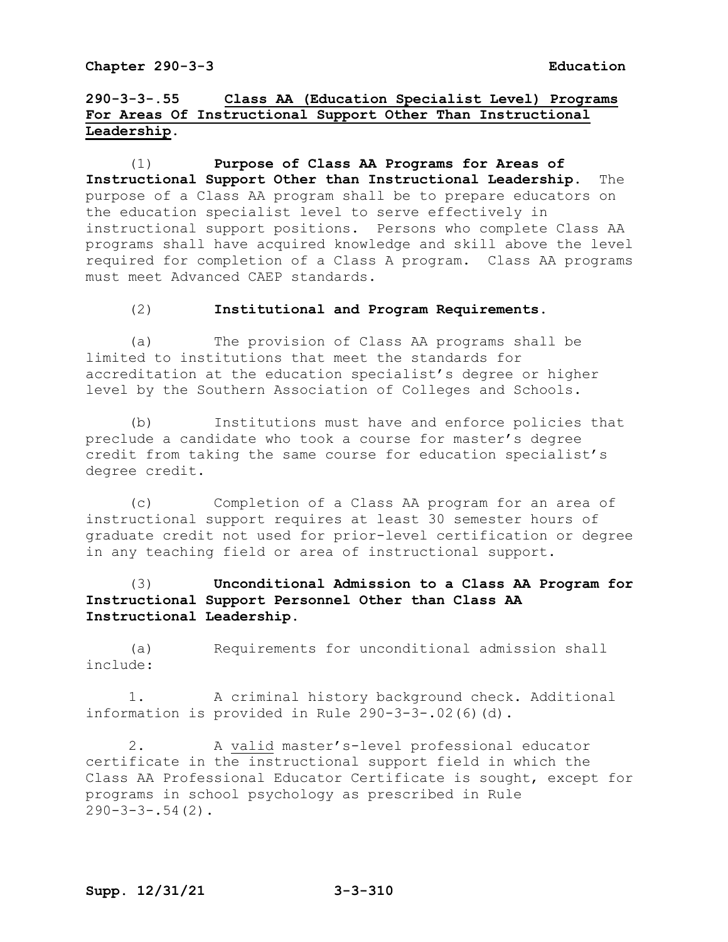# **290-3-3-.55 Class AA (Education Specialist Level) Programs For Areas Of Instructional Support Other Than Instructional Leadership.**

(1) **Purpose of Class AA Programs for Areas of Instructional Support Other than Instructional Leadership.** The purpose of a Class AA program shall be to prepare educators on the education specialist level to serve effectively in instructional support positions. Persons who complete Class AA programs shall have acquired knowledge and skill above the level required for completion of a Class A program. Class AA programs must meet Advanced CAEP standards.

## (2) **Institutional and Program Requirements.**

(a) The provision of Class AA programs shall be limited to institutions that meet the standards for accreditation at the education specialist's degree or higher level by the Southern Association of Colleges and Schools.

(b) Institutions must have and enforce policies that preclude a candidate who took a course for master's degree credit from taking the same course for education specialist's degree credit.

(c) Completion of a Class AA program for an area of instructional support requires at least 30 semester hours of graduate credit not used for prior-level certification or degree in any teaching field or area of instructional support.

# (3) **Unconditional Admission to a Class AA Program for Instructional Support Personnel Other than Class AA Instructional Leadership.**

(a) Requirements for unconditional admission shall include:

1. A criminal history background check. Additional information is provided in Rule 290-3-3-.02(6)(d).

2. A valid master's-level professional educator certificate in the instructional support field in which the Class AA Professional Educator Certificate is sought, except for programs in school psychology as prescribed in Rule  $290-3-3-.54(2)$ .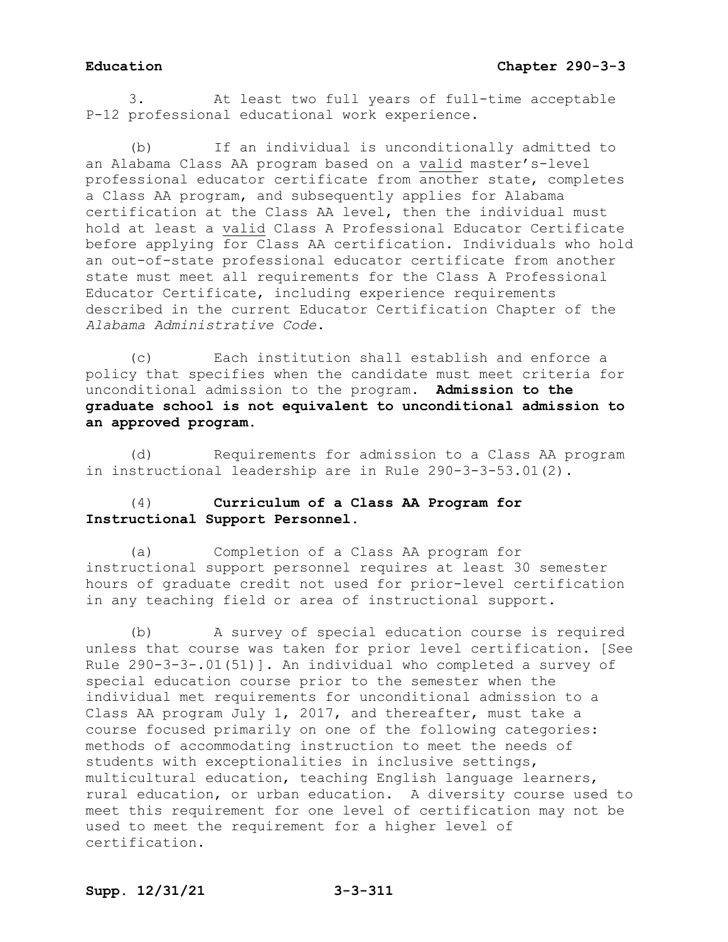3. At least two full years of full-time acceptable P-12 professional educational work experience.

If an individual is unconditionally admitted to an Alabama Class AA program based on a valid master's-level professional educator certificate from another state, completes a Class AA program, and subsequently applies for Alabama certification at the Class AA level, then the individual must hold at least a valid Class A Professional Educator Certificate before applying for Class AA certification. Individuals who hold an out-of-state professional educator certificate from another state must meet all requirements for the Class A Professional Educator Certificate, including experience requirements described in the current Educator Certification Chapter of the *Alabama Administrative Code*.

(c) Each institution shall establish and enforce a policy that specifies when the candidate must meet criteria for unconditional admission to the program. **Admission to the graduate school is not equivalent to unconditional admission to an approved program.**

(d) Requirements for admission to a Class AA program in instructional leadership are in Rule 290-3-3-53.01(2).

# (4) **Curriculum of a Class AA Program for Instructional Support Personnel.**

(a) Completion of a Class AA program for instructional support personnel requires at least 30 semester hours of graduate credit not used for prior-level certification in any teaching field or area of instructional support.

(b) A survey of special education course is required unless that course was taken for prior level certification. [See Rule 290-3-3-.01(51)]. An individual who completed a survey of special education course prior to the semester when the individual met requirements for unconditional admission to a Class AA program July 1, 2017, and thereafter, must take a course focused primarily on one of the following categories: methods of accommodating instruction to meet the needs of students with exceptionalities in inclusive settings, multicultural education, teaching English language learners, rural education, or urban education. A diversity course used to meet this requirement for one level of certification may not be used to meet the requirement for a higher level of certification.

# **Supp. 12/31/21 3-3-311**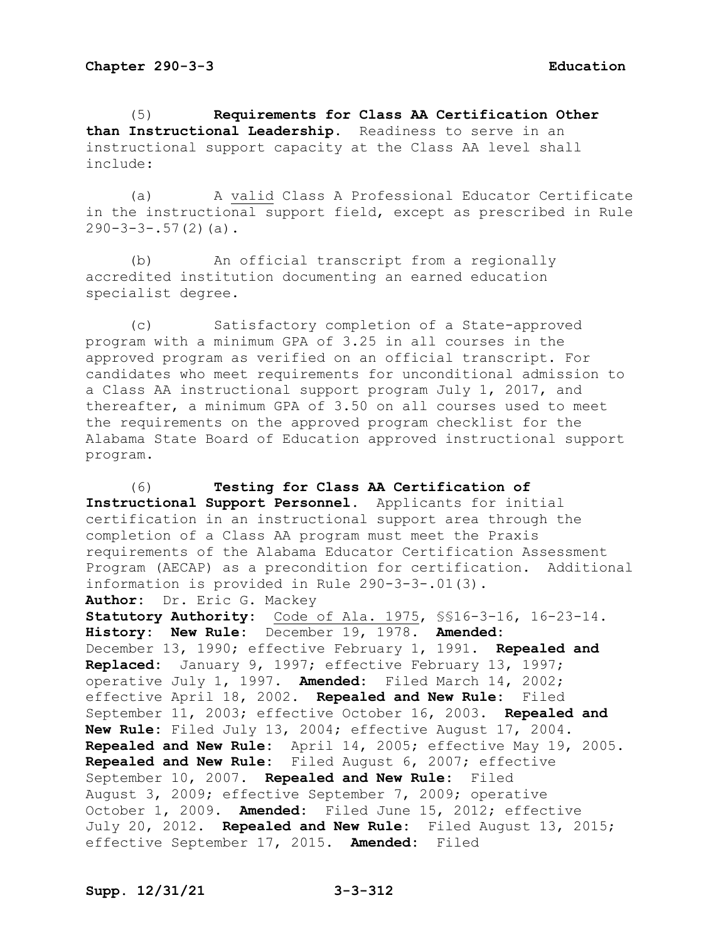(5) **Requirements for Class AA Certification Other than Instructional Leadership.** Readiness to serve in an instructional support capacity at the Class AA level shall include:

(a) A valid Class A Professional Educator Certificate in the instructional support field, except as prescribed in Rule  $290-3-3-.57(2)(a)$ .

(b) An official transcript from a regionally accredited institution documenting an earned education specialist degree.

(c) Satisfactory completion of a State-approved program with a minimum GPA of 3.25 in all courses in the approved program as verified on an official transcript. For candidates who meet requirements for unconditional admission to a Class AA instructional support program July 1, 2017, and thereafter, a minimum GPA of 3.50 on all courses used to meet the requirements on the approved program checklist for the Alabama State Board of Education approved instructional support program.

(6) **Testing for Class AA Certification of Instructional Support Personnel**. Applicants for initial certification in an instructional support area through the completion of a Class AA program must meet the Praxis requirements of the Alabama Educator Certification Assessment Program (AECAP) as a precondition for certification. Additional information is provided in Rule 290-3-3-.01(3). **Author:** Dr. Eric G. Mackey **Statutory Authority:** Code of Ala. 1975, §§16-3-16, 16-23-14. **History: New Rule:** December 19, 1978. **Amended:** December 13, 1990; effective February 1, 1991. **Repealed and Replaced:** January 9, 1997; effective February 13, 1997; operative July 1, 1997. **Amended:** Filed March 14, 2002; effective April 18, 2002. **Repealed and New Rule:** Filed September 11, 2003; effective October 16, 2003. **Repealed and New Rule:** Filed July 13, 2004; effective August 17, 2004. **Repealed and New Rule:** April 14, 2005; effective May 19, 2005. **Repealed and New Rule:** Filed August 6, 2007; effective September 10, 2007. **Repealed and New Rule:** Filed August 3, 2009; effective September 7, 2009; operative October 1, 2009. **Amended:** Filed June 15, 2012; effective July 20, 2012. **Repealed and New Rule:** Filed August 13, 2015; effective September 17, 2015. **Amended:** Filed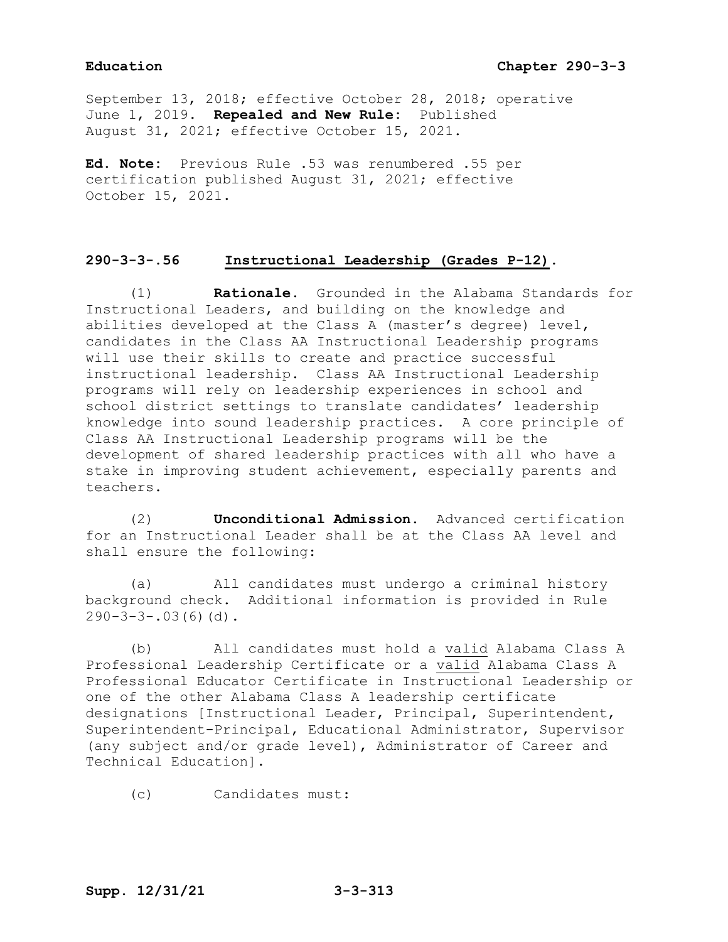# **Education Chapter 290-3-3**

September 13, 2018; effective October 28, 2018; operative June 1, 2019. **Repealed and New Rule:** Published August 31, 2021; effective October 15, 2021.

**Ed. Note:** Previous Rule .53 was renumbered .55 per certification published August 31, 2021; effective October 15, 2021.

## **290-3-3-.56 Instructional Leadership (Grades P-12).**

(1) **Rationale.** Grounded in the Alabama Standards for Instructional Leaders, and building on the knowledge and abilities developed at the Class A (master's degree) level, candidates in the Class AA Instructional Leadership programs will use their skills to create and practice successful instructional leadership. Class AA Instructional Leadership programs will rely on leadership experiences in school and school district settings to translate candidates' leadership knowledge into sound leadership practices. A core principle of Class AA Instructional Leadership programs will be the development of shared leadership practices with all who have a stake in improving student achievement, especially parents and teachers.

(2) **Unconditional Admission.** Advanced certification for an Instructional Leader shall be at the Class AA level and shall ensure the following:

(a) All candidates must undergo a criminal history background check. Additional information is provided in Rule  $290-3-3-.03(6)(d)$ .

(b) All candidates must hold a valid Alabama Class A Professional Leadership Certificate or a valid Alabama Class A Professional Educator Certificate in Instructional Leadership or one of the other Alabama Class A leadership certificate designations [Instructional Leader, Principal, Superintendent, Superintendent-Principal, Educational Administrator, Supervisor (any subject and/or grade level), Administrator of Career and Technical Education].

(c) Candidates must: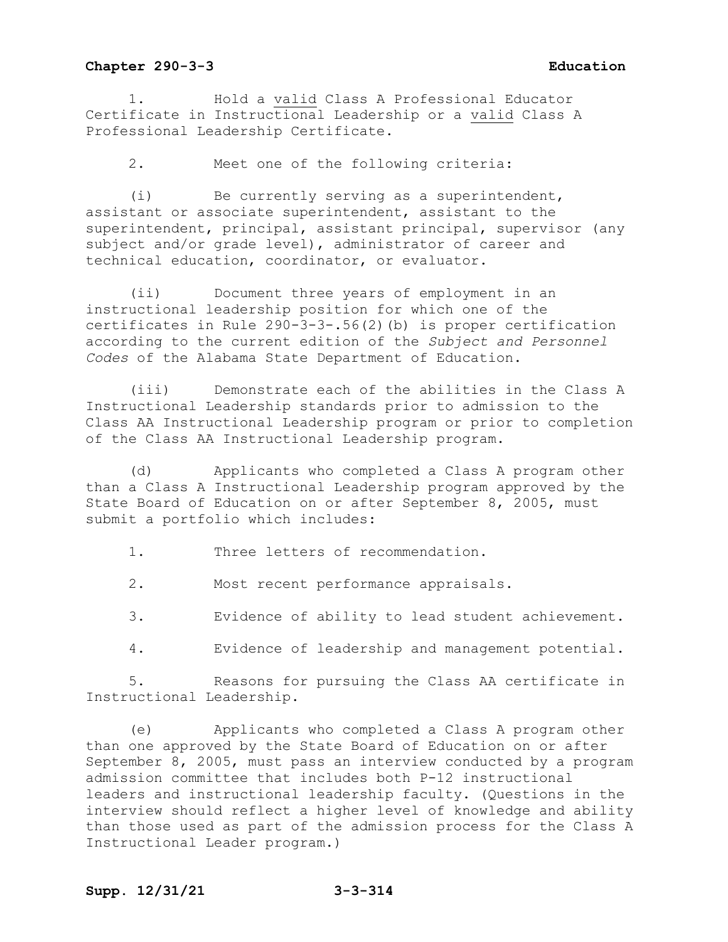1. Hold a valid Class A Professional Educator Certificate in Instructional Leadership or a valid Class A Professional Leadership Certificate.

2. Meet one of the following criteria:

(i) Be currently serving as a superintendent, assistant or associate superintendent, assistant to the superintendent, principal, assistant principal, supervisor (any subject and/or grade level), administrator of career and technical education, coordinator, or evaluator.

(ii) Document three years of employment in an instructional leadership position for which one of the certificates in Rule 290-3-3-.56(2)(b) is proper certification according to the current edition of the *Subject and Personnel Codes* of the Alabama State Department of Education.

(iii) Demonstrate each of the abilities in the Class A Instructional Leadership standards prior to admission to the Class AA Instructional Leadership program or prior to completion of the Class AA Instructional Leadership program.

(d) Applicants who completed a Class A program other than a Class A Instructional Leadership program approved by the State Board of Education on or after September 8, 2005, must submit a portfolio which includes:

1. Three letters of recommendation.

2. Most recent performance appraisals.

3. Evidence of ability to lead student achievement.

4. Evidence of leadership and management potential.

5. Reasons for pursuing the Class AA certificate in Instructional Leadership.

(e) Applicants who completed a Class A program other than one approved by the State Board of Education on or after September 8, 2005, must pass an interview conducted by a program admission committee that includes both P-12 instructional leaders and instructional leadership faculty. (Questions in the interview should reflect a higher level of knowledge and ability than those used as part of the admission process for the Class A Instructional Leader program.)

## **Supp. 12/31/21 3-3-314**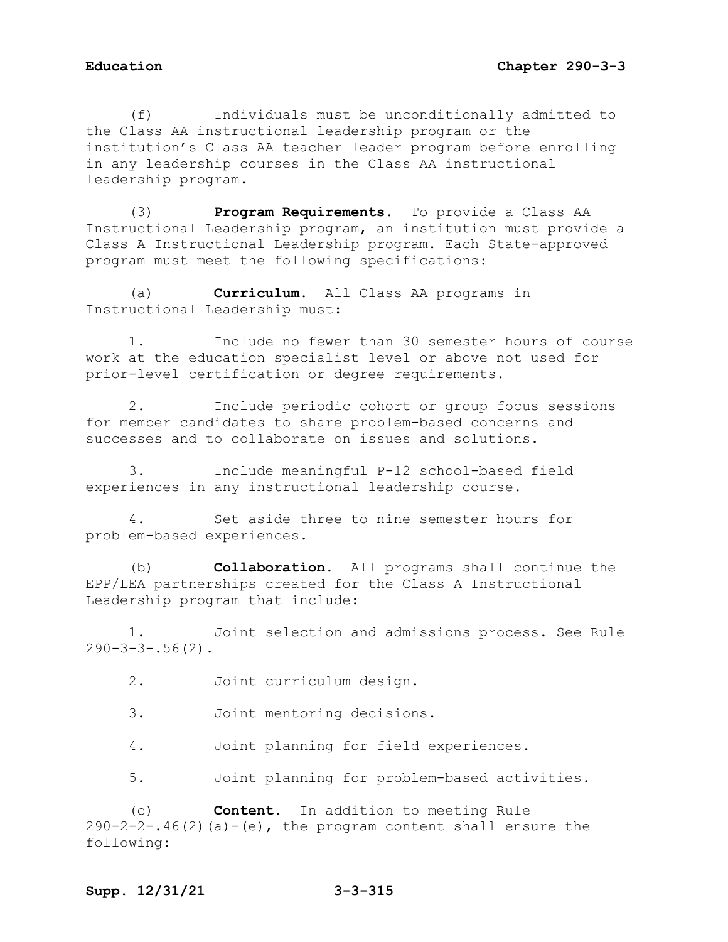(f) Individuals must be unconditionally admitted to the Class AA instructional leadership program or the institution's Class AA teacher leader program before enrolling in any leadership courses in the Class AA instructional leadership program.

(3) **Program Requirements.** To provide a Class AA Instructional Leadership program, an institution must provide a Class A Instructional Leadership program. Each State-approved program must meet the following specifications:

(a) **Curriculum.** All Class AA programs in Instructional Leadership must:

1. Include no fewer than 30 semester hours of course work at the education specialist level or above not used for prior-level certification or degree requirements.

2. Include periodic cohort or group focus sessions for member candidates to share problem-based concerns and successes and to collaborate on issues and solutions.

3. Include meaningful P-12 school-based field experiences in any instructional leadership course.

4. Set aside three to nine semester hours for problem-based experiences.

(b) **Collaboration.** All programs shall continue the EPP/LEA partnerships created for the Class A Instructional Leadership program that include:

1. Joint selection and admissions process. See Rule  $290-3-3-.56(2)$ .

2. Joint curriculum design.

3. Joint mentoring decisions.

4. Joint planning for field experiences.

5. Joint planning for problem-based activities.

(c) **Content.** In addition to meeting Rule  $290-2-2-.46(2)$  (a)  $-(e)$ , the program content shall ensure the following: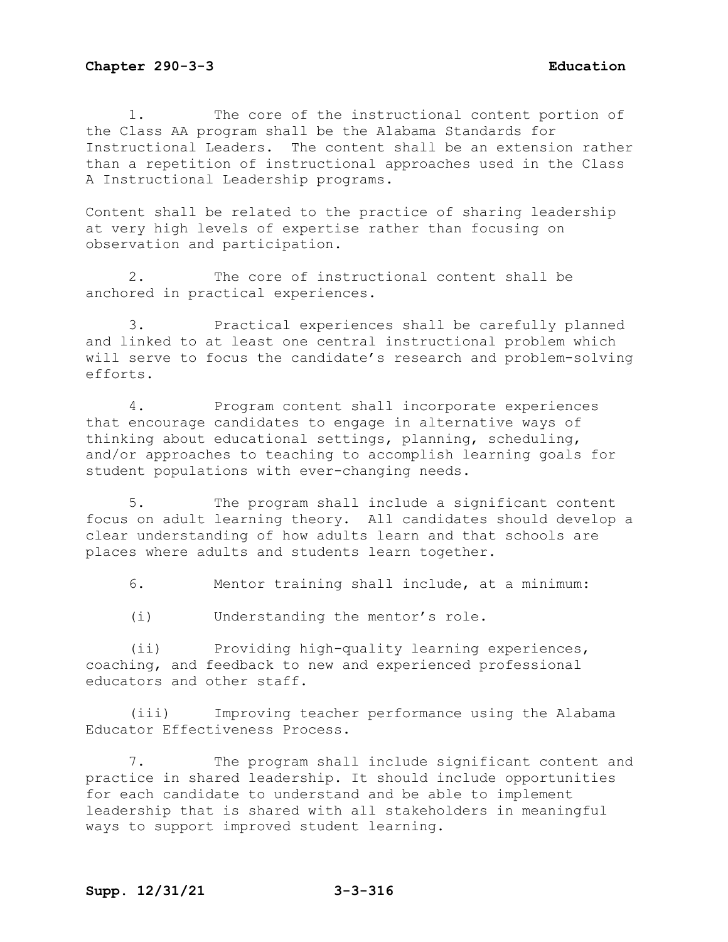1. The core of the instructional content portion of the Class AA program shall be the Alabama Standards for Instructional Leaders. The content shall be an extension rather than a repetition of instructional approaches used in the Class A Instructional Leadership programs.

Content shall be related to the practice of sharing leadership at very high levels of expertise rather than focusing on observation and participation.

2. The core of instructional content shall be anchored in practical experiences.

3. Practical experiences shall be carefully planned and linked to at least one central instructional problem which will serve to focus the candidate's research and problem-solving efforts.

4. Program content shall incorporate experiences that encourage candidates to engage in alternative ways of thinking about educational settings, planning, scheduling, and/or approaches to teaching to accomplish learning goals for student populations with ever-changing needs.

5. The program shall include a significant content focus on adult learning theory. All candidates should develop a clear understanding of how adults learn and that schools are places where adults and students learn together.

6. Mentor training shall include, at a minimum:

(i) Understanding the mentor's role.

(ii) Providing high-quality learning experiences, coaching, and feedback to new and experienced professional educators and other staff.

(iii) Improving teacher performance using the Alabama Educator Effectiveness Process.

7. The program shall include significant content and practice in shared leadership. It should include opportunities for each candidate to understand and be able to implement leadership that is shared with all stakeholders in meaningful ways to support improved student learning.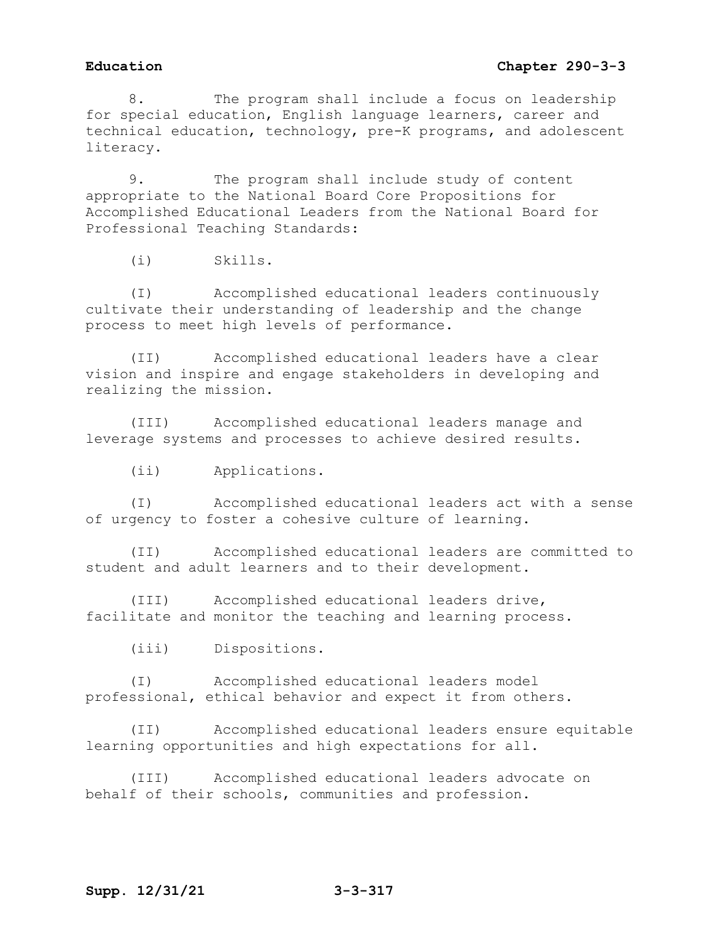8. The program shall include a focus on leadership for special education, English language learners, career and technical education, technology, pre-K programs, and adolescent literacy.

9. The program shall include study of content appropriate to the National Board Core Propositions for Accomplished Educational Leaders from the National Board for Professional Teaching Standards:

(i) Skills.

(I) Accomplished educational leaders continuously cultivate their understanding of leadership and the change process to meet high levels of performance.

(II) Accomplished educational leaders have a clear vision and inspire and engage stakeholders in developing and realizing the mission.

(III) Accomplished educational leaders manage and leverage systems and processes to achieve desired results.

(ii) Applications.

(I) Accomplished educational leaders act with a sense of urgency to foster a cohesive culture of learning.

(II) Accomplished educational leaders are committed to student and adult learners and to their development.

(III) Accomplished educational leaders drive, facilitate and monitor the teaching and learning process.

(iii) Dispositions.

(I) Accomplished educational leaders model professional, ethical behavior and expect it from others.

(II) Accomplished educational leaders ensure equitable learning opportunities and high expectations for all.

(III) Accomplished educational leaders advocate on behalf of their schools, communities and profession.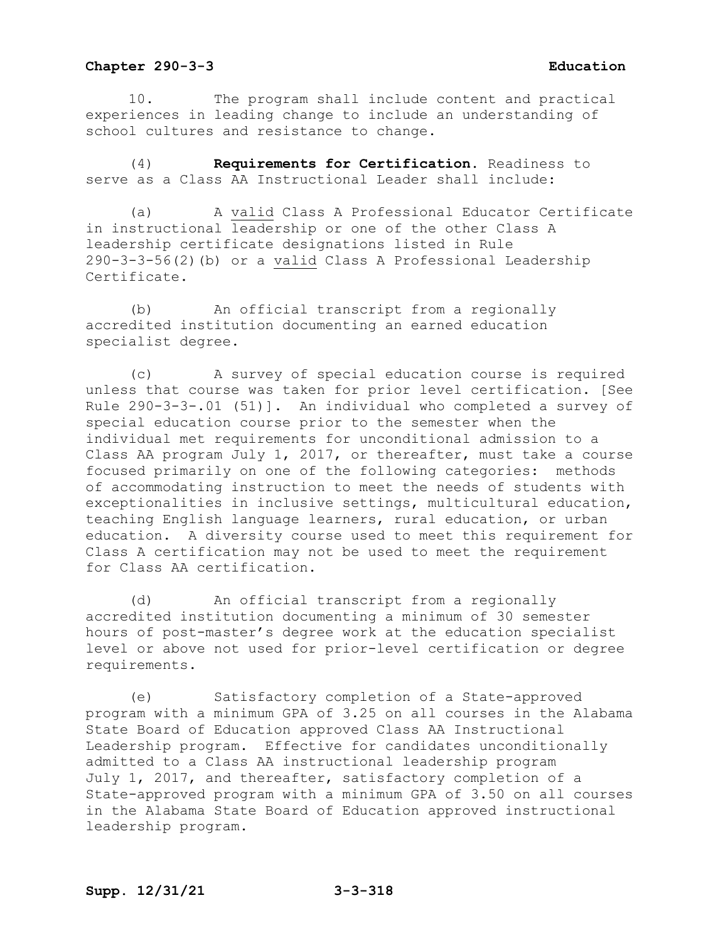10. The program shall include content and practical experiences in leading change to include an understanding of school cultures and resistance to change.

(4) **Requirements for Certification.** Readiness to serve as a Class AA Instructional Leader shall include:

(a) A valid Class A Professional Educator Certificate in instructional leadership or one of the other Class A leadership certificate designations listed in Rule 290-3-3-56(2)(b) or a valid Class A Professional Leadership Certificate.

(b) An official transcript from a regionally accredited institution documenting an earned education specialist degree.

(c) A survey of special education course is required unless that course was taken for prior level certification. [See Rule 290-3-3-.01 (51)]. An individual who completed a survey of special education course prior to the semester when the individual met requirements for unconditional admission to a Class AA program July 1, 2017, or thereafter, must take a course focused primarily on one of the following categories: methods of accommodating instruction to meet the needs of students with exceptionalities in inclusive settings, multicultural education, teaching English language learners, rural education, or urban education. A diversity course used to meet this requirement for Class A certification may not be used to meet the requirement for Class AA certification.

(d) An official transcript from a regionally accredited institution documenting a minimum of 30 semester hours of post-master's degree work at the education specialist level or above not used for prior-level certification or degree requirements.

(e) Satisfactory completion of a State-approved program with a minimum GPA of 3.25 on all courses in the Alabama State Board of Education approved Class AA Instructional Leadership program. Effective for candidates unconditionally admitted to a Class AA instructional leadership program July 1, 2017, and thereafter, satisfactory completion of a State-approved program with a minimum GPA of 3.50 on all courses in the Alabama State Board of Education approved instructional leadership program.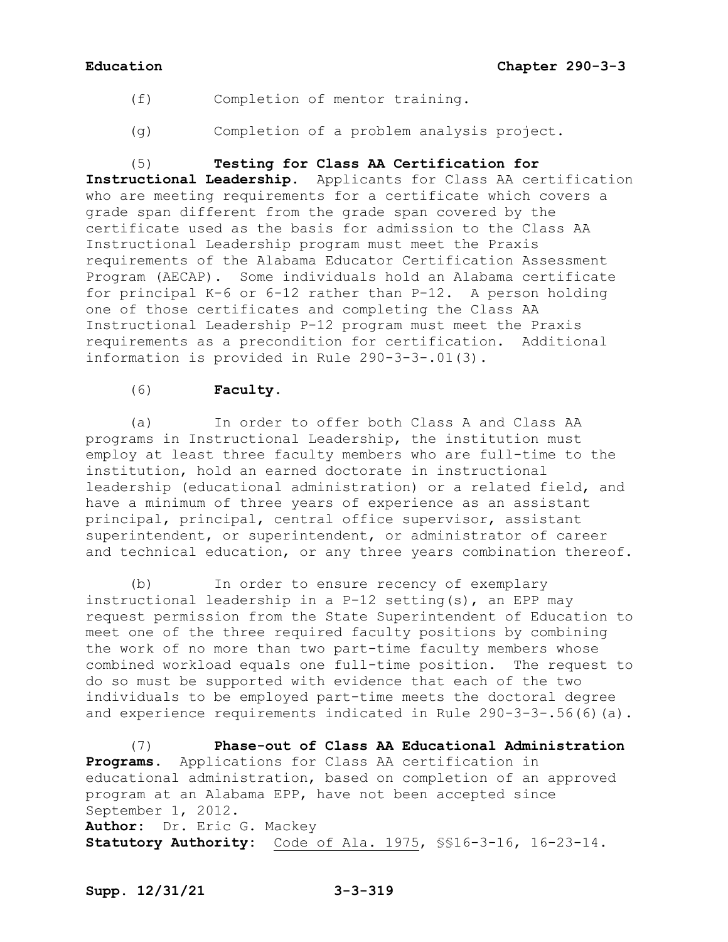- (f) Completion of mentor training.
- (g) Completion of a problem analysis project.

(5) **Testing for Class AA Certification for Instructional Leadership.** Applicants for Class AA certification who are meeting requirements for a certificate which covers a grade span different from the grade span covered by the certificate used as the basis for admission to the Class AA Instructional Leadership program must meet the Praxis requirements of the Alabama Educator Certification Assessment Program (AECAP). Some individuals hold an Alabama certificate for principal K-6 or 6-12 rather than P-12. A person holding one of those certificates and completing the Class AA Instructional Leadership P-12 program must meet the Praxis requirements as a precondition for certification. Additional information is provided in Rule 290-3-3-.01(3).

# (6) **Faculty**.

(a) In order to offer both Class A and Class AA programs in Instructional Leadership, the institution must employ at least three faculty members who are full-time to the institution, hold an earned doctorate in instructional leadership (educational administration) or a related field, and have a minimum of three years of experience as an assistant principal, principal, central office supervisor, assistant superintendent, or superintendent, or administrator of career and technical education, or any three years combination thereof.

(b) In order to ensure recency of exemplary instructional leadership in a P-12 setting(s), an EPP may request permission from the State Superintendent of Education to meet one of the three required faculty positions by combining the work of no more than two part-time faculty members whose combined workload equals one full-time position. The request to do so must be supported with evidence that each of the two individuals to be employed part-time meets the doctoral degree and experience requirements indicated in Rule 290-3-3-.56(6)(a).

(7) **Phase-out of Class AA Educational Administration Programs.** Applications for Class AA certification in educational administration, based on completion of an approved program at an Alabama EPP, have not been accepted since September 1, 2012. **Author:** Dr. Eric G. Mackey **Statutory Authority:** Code of Ala. 1975, §§16-3-16, 16-23-14.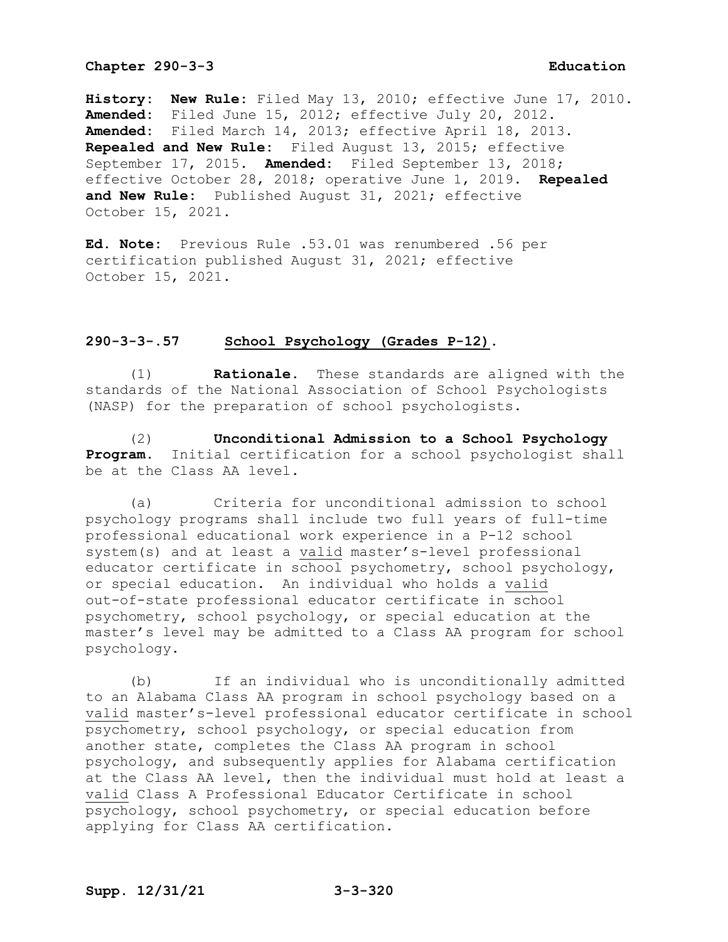**History: New Rule:** Filed May 13, 2010; effective June 17, 2010. **Amended:** Filed June 15, 2012; effective July 20, 2012. **Amended:** Filed March 14, 2013; effective April 18, 2013. **Repealed and New Rule:** Filed August 13, 2015; effective September 17, 2015. **Amended:** Filed September 13, 2018; effective October 28, 2018; operative June 1, 2019. **Repealed and New Rule:** Published August 31, 2021; effective October 15, 2021.

**Ed. Note:** Previous Rule .53.01 was renumbered .56 per certification published August 31, 2021; effective October 15, 2021.

## **290-3-3-.57 School Psychology (Grades P-12).**

(1) **Rationale.** These standards are aligned with the standards of the National Association of School Psychologists (NASP) for the preparation of school psychologists.

(2) **Unconditional Admission to a School Psychology Program.** Initial certification for a school psychologist shall be at the Class AA level.

(a) Criteria for unconditional admission to school psychology programs shall include two full years of full-time professional educational work experience in a P-12 school system(s) and at least a valid master's-level professional educator certificate in school psychometry, school psychology, or special education. An individual who holds a valid out-of-state professional educator certificate in school psychometry, school psychology, or special education at the master's level may be admitted to a Class AA program for school psychology.

(b) If an individual who is unconditionally admitted to an Alabama Class AA program in school psychology based on a valid master's-level professional educator certificate in school psychometry, school psychology, or special education from another state, completes the Class AA program in school psychology, and subsequently applies for Alabama certification at the Class AA level, then the individual must hold at least a valid Class A Professional Educator Certificate in school psychology, school psychometry, or special education before applying for Class AA certification.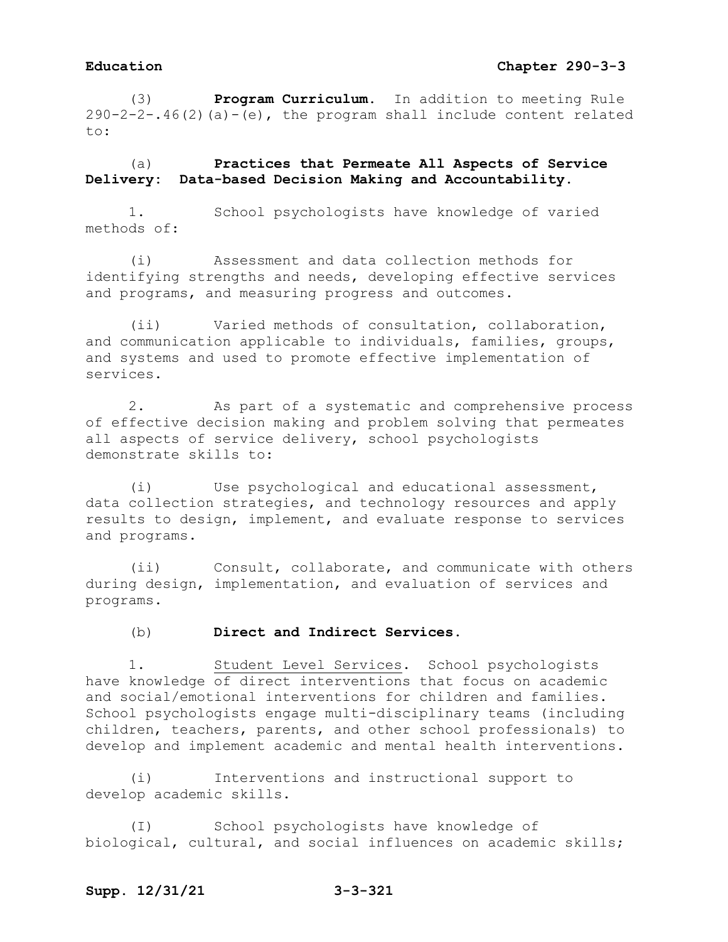(3) **Program Curriculum.** In addition to meeting Rule  $290-2-2-.46(2)$  (a)  $-(e)$ , the program shall include content related to:

(a) **Practices that Permeate All Aspects of Service Delivery: Data-based Decision Making and Accountability.**

1. School psychologists have knowledge of varied methods of:

(i) Assessment and data collection methods for identifying strengths and needs, developing effective services and programs, and measuring progress and outcomes.

(ii) Varied methods of consultation, collaboration, and communication applicable to individuals, families, groups, and systems and used to promote effective implementation of services.

2. As part of a systematic and comprehensive process of effective decision making and problem solving that permeates all aspects of service delivery, school psychologists demonstrate skills to:

(i) Use psychological and educational assessment, data collection strategies, and technology resources and apply results to design, implement, and evaluate response to services and programs.

(ii) Consult, collaborate, and communicate with others during design, implementation, and evaluation of services and programs.

### (b) **Direct and Indirect Services.**

1. Student Level Services. School psychologists have knowledge of direct interventions that focus on academic and social/emotional interventions for children and families. School psychologists engage multi-disciplinary teams (including children, teachers, parents, and other school professionals) to develop and implement academic and mental health interventions.

(i) Interventions and instructional support to develop academic skills.

(I) School psychologists have knowledge of biological, cultural, and social influences on academic skills;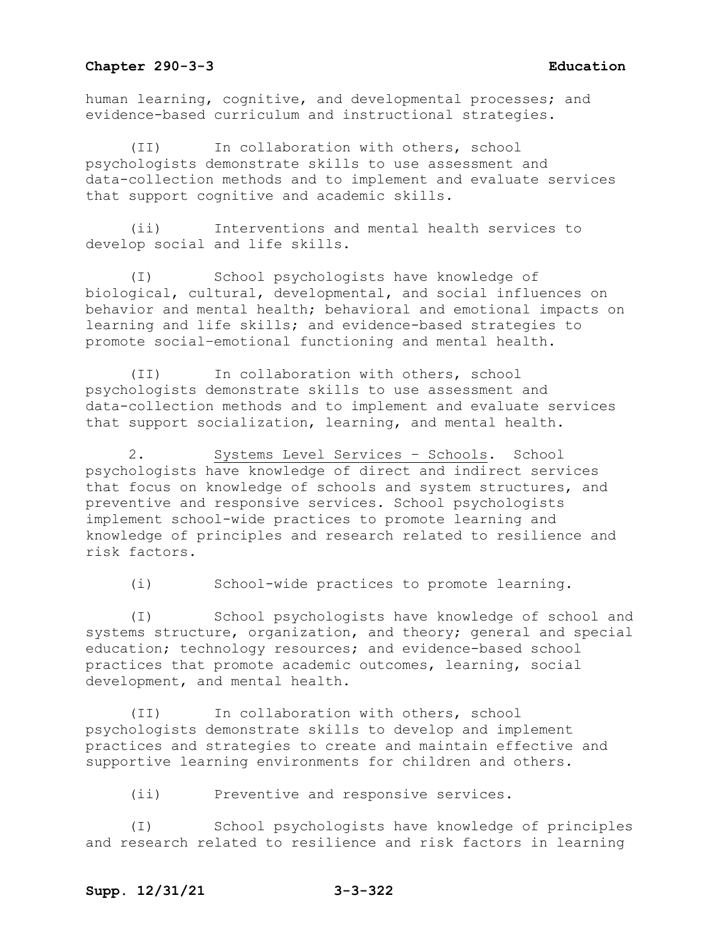human learning, cognitive, and developmental processes; and evidence-based curriculum and instructional strategies.

(II) In collaboration with others, school psychologists demonstrate skills to use assessment and data-collection methods and to implement and evaluate services that support cognitive and academic skills.

(ii) Interventions and mental health services to develop social and life skills.

(I) School psychologists have knowledge of biological, cultural, developmental, and social influences on behavior and mental health; behavioral and emotional impacts on learning and life skills; and evidence-based strategies to promote social–emotional functioning and mental health.

(II) In collaboration with others, school psychologists demonstrate skills to use assessment and data-collection methods and to implement and evaluate services that support socialization, learning, and mental health.

2. Systems Level Services – Schools. School psychologists have knowledge of direct and indirect services that focus on knowledge of schools and system structures, and preventive and responsive services. School psychologists implement school-wide practices to promote learning and knowledge of principles and research related to resilience and risk factors.

(i) School-wide practices to promote learning.

(I) School psychologists have knowledge of school and systems structure, organization, and theory; general and special education; technology resources; and evidence-based school practices that promote academic outcomes, learning, social development, and mental health.

(II) In collaboration with others, school psychologists demonstrate skills to develop and implement practices and strategies to create and maintain effective and supportive learning environments for children and others.

(ii) Preventive and responsive services.

(I) School psychologists have knowledge of principles and research related to resilience and risk factors in learning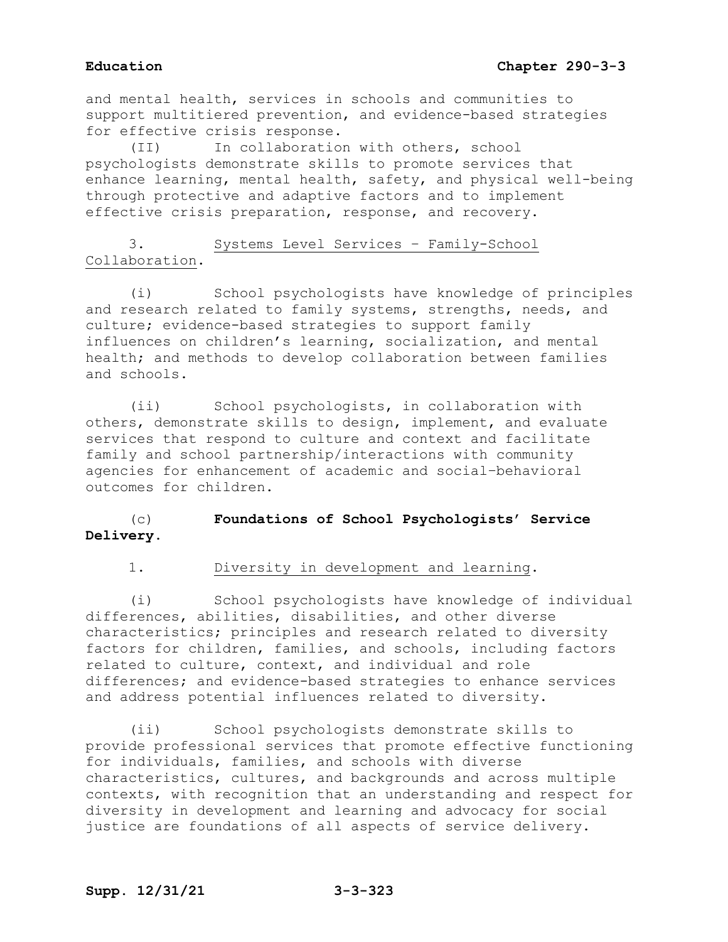# **Education Chapter 290-3-3**

and mental health, services in schools and communities to support multitiered prevention, and evidence-based strategies for effective crisis response.

(II) In collaboration with others, school psychologists demonstrate skills to promote services that enhance learning, mental health, safety, and physical well-being through protective and adaptive factors and to implement effective crisis preparation, response, and recovery.

# 3. Systems Level Services – Family-School Collaboration.

(i) School psychologists have knowledge of principles and research related to family systems, strengths, needs, and culture; evidence-based strategies to support family influences on children's learning, socialization, and mental health; and methods to develop collaboration between families and schools.

(ii) School psychologists, in collaboration with others, demonstrate skills to design, implement, and evaluate services that respond to culture and context and facilitate family and school partnership/interactions with community agencies for enhancement of academic and social–behavioral outcomes for children.

# (c) **Foundations of School Psychologists' Service Delivery.**

1. Diversity in development and learning.

(i) School psychologists have knowledge of individual differences, abilities, disabilities, and other diverse characteristics; principles and research related to diversity factors for children, families, and schools, including factors related to culture, context, and individual and role differences; and evidence-based strategies to enhance services and address potential influences related to diversity.

(ii) School psychologists demonstrate skills to provide professional services that promote effective functioning for individuals, families, and schools with diverse characteristics, cultures, and backgrounds and across multiple contexts, with recognition that an understanding and respect for diversity in development and learning and advocacy for social justice are foundations of all aspects of service delivery.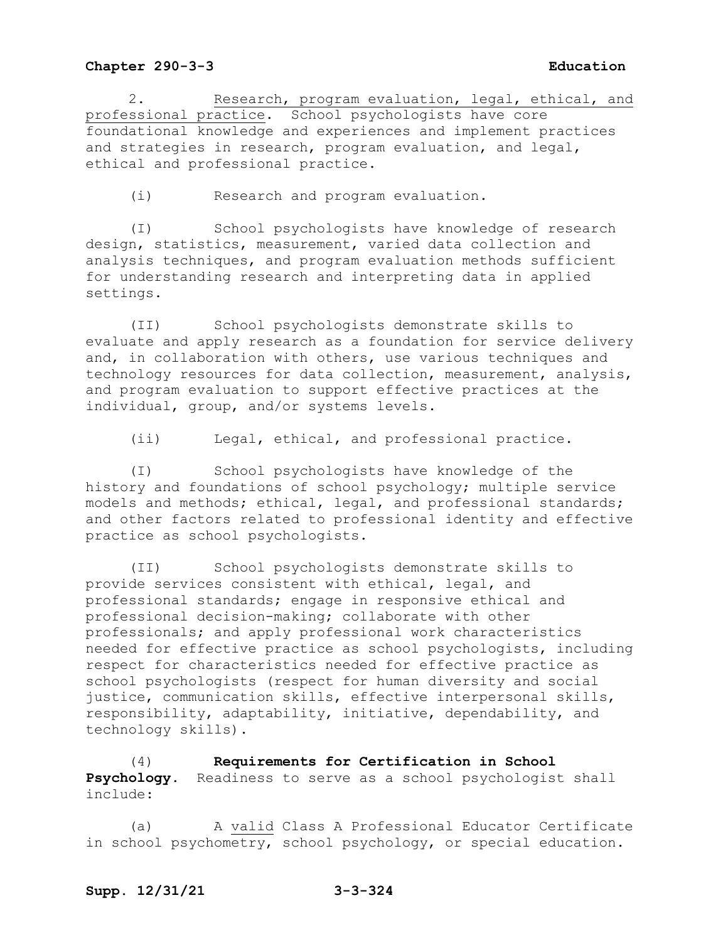2. Research, program evaluation, legal, ethical, and professional practice. School psychologists have core foundational knowledge and experiences and implement practices and strategies in research, program evaluation, and legal, ethical and professional practice.

(i) Research and program evaluation.

(I) School psychologists have knowledge of research design, statistics, measurement, varied data collection and analysis techniques, and program evaluation methods sufficient for understanding research and interpreting data in applied settings.

(II) School psychologists demonstrate skills to evaluate and apply research as a foundation for service delivery and, in collaboration with others, use various techniques and technology resources for data collection, measurement, analysis, and program evaluation to support effective practices at the individual, group, and/or systems levels.

(ii) Legal, ethical, and professional practice.

(I) School psychologists have knowledge of the history and foundations of school psychology; multiple service models and methods; ethical, legal, and professional standards; and other factors related to professional identity and effective practice as school psychologists.

(II) School psychologists demonstrate skills to provide services consistent with ethical, legal, and professional standards; engage in responsive ethical and professional decision-making; collaborate with other professionals; and apply professional work characteristics needed for effective practice as school psychologists, including respect for characteristics needed for effective practice as school psychologists (respect for human diversity and social justice, communication skills, effective interpersonal skills, responsibility, adaptability, initiative, dependability, and technology skills).

(4) **Requirements for Certification in School Psychology.** Readiness to serve as a school psychologist shall include:

(a) A valid Class A Professional Educator Certificate in school psychometry, school psychology, or special education.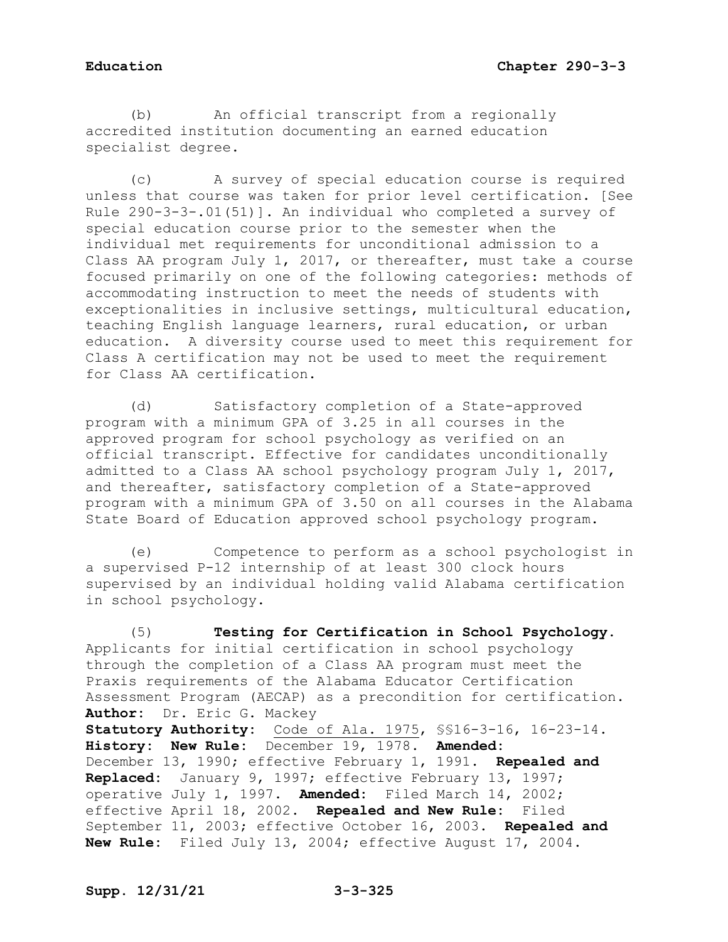(b) An official transcript from a regionally accredited institution documenting an earned education specialist degree.

(c) A survey of special education course is required unless that course was taken for prior level certification. [See Rule 290-3-3-.01(51)]. An individual who completed a survey of special education course prior to the semester when the individual met requirements for unconditional admission to a Class AA program July 1, 2017, or thereafter, must take a course focused primarily on one of the following categories: methods of accommodating instruction to meet the needs of students with exceptionalities in inclusive settings, multicultural education, teaching English language learners, rural education, or urban education. A diversity course used to meet this requirement for Class A certification may not be used to meet the requirement for Class AA certification.

(d) Satisfactory completion of a State-approved program with a minimum GPA of 3.25 in all courses in the approved program for school psychology as verified on an official transcript. Effective for candidates unconditionally admitted to a Class AA school psychology program July 1, 2017, and thereafter, satisfactory completion of a State-approved program with a minimum GPA of 3.50 on all courses in the Alabama State Board of Education approved school psychology program.

(e) Competence to perform as a school psychologist in a supervised P-12 internship of at least 300 clock hours supervised by an individual holding valid Alabama certification in school psychology.

(5) **Testing for Certification in School Psychology**. Applicants for initial certification in school psychology through the completion of a Class AA program must meet the Praxis requirements of the Alabama Educator Certification Assessment Program (AECAP) as a precondition for certification. **Author:** Dr. Eric G. Mackey **Statutory Authority:** Code of Ala. 1975, §§16-3-16, 16-23-14. **History: New Rule:** December 19, 1978. **Amended:** December 13, 1990; effective February 1, 1991. **Repealed and Replaced:** January 9, 1997; effective February 13, 1997; operative July 1, 1997. **Amended:** Filed March 14, 2002; effective April 18, 2002. **Repealed and New Rule:** Filed September 11, 2003; effective October 16, 2003. **Repealed and New Rule:** Filed July 13, 2004; effective August 17, 2004.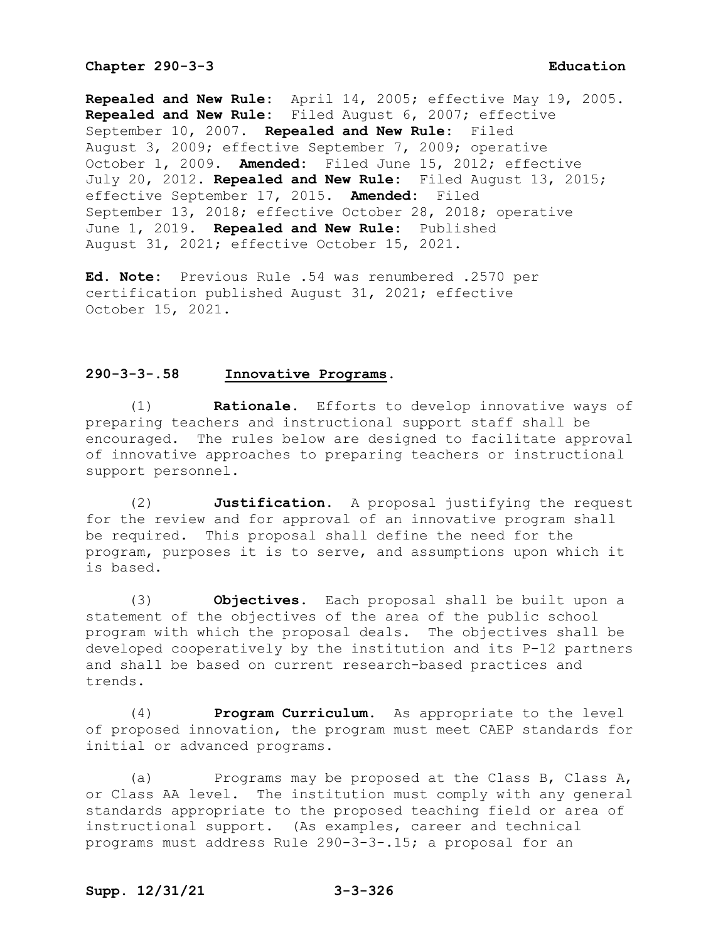**Repealed and New Rule:** April 14, 2005; effective May 19, 2005. **Repealed and New Rule:** Filed August 6, 2007; effective September 10, 2007. **Repealed and New Rule:** Filed August 3, 2009; effective September 7, 2009; operative October 1, 2009. **Amended:** Filed June 15, 2012; effective July 20, 2012. **Repealed and New Rule:** Filed August 13, 2015; effective September 17, 2015. **Amended:** Filed September 13, 2018; effective October 28, 2018; operative June 1, 2019. **Repealed and New Rule:** Published August 31, 2021; effective October 15, 2021.

**Ed. Note:** Previous Rule .54 was renumbered .2570 per certification published August 31, 2021; effective October 15, 2021.

#### **290-3-3-.58 Innovative Programs.**

(1) **Rationale.** Efforts to develop innovative ways of preparing teachers and instructional support staff shall be encouraged. The rules below are designed to facilitate approval of innovative approaches to preparing teachers or instructional support personnel.

(2) **Justification.** A proposal justifying the request for the review and for approval of an innovative program shall be required. This proposal shall define the need for the program, purposes it is to serve, and assumptions upon which it is based.

(3) **Objectives.** Each proposal shall be built upon a statement of the objectives of the area of the public school program with which the proposal deals. The objectives shall be developed cooperatively by the institution and its P-12 partners and shall be based on current research-based practices and trends.

(4) **Program Curriculum.** As appropriate to the level of proposed innovation, the program must meet CAEP standards for initial or advanced programs.

(a) Programs may be proposed at the Class B, Class A, or Class AA level. The institution must comply with any general standards appropriate to the proposed teaching field or area of instructional support. (As examples, career and technical programs must address Rule 290-3-3-.15; a proposal for an

#### **Supp. 12/31/21 3-3-326**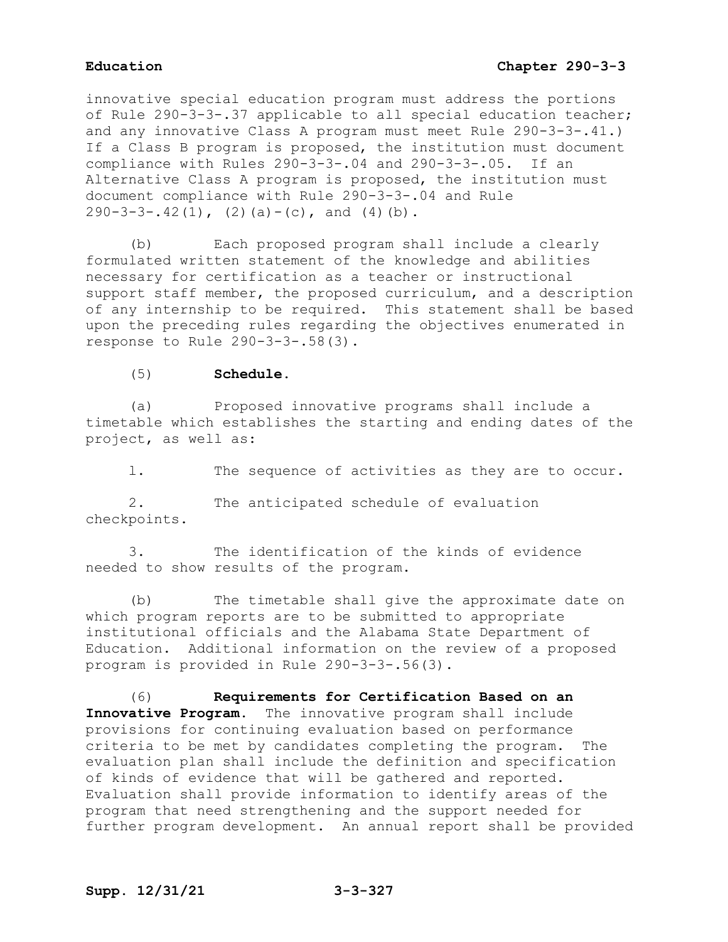innovative special education program must address the portions of Rule 290-3-3-.37 applicable to all special education teacher; and any innovative Class A program must meet Rule 290-3-3-.41.) If a Class B program is proposed, the institution must document compliance with Rules 290-3-3-.04 and 290-3-3-.05. If an Alternative Class A program is proposed, the institution must document compliance with Rule 290-3-3-.04 and Rule  $290-3-3-.42(1)$ ,  $(2)(a)-(c)$ , and  $(4)(b)$ .

(b) Each proposed program shall include a clearly formulated written statement of the knowledge and abilities necessary for certification as a teacher or instructional support staff member, the proposed curriculum, and a description of any internship to be required. This statement shall be based upon the preceding rules regarding the objectives enumerated in response to Rule 290-3-3-.58(3).

### (5) **Schedule.**

(a) Proposed innovative programs shall include a timetable which establishes the starting and ending dates of the project, as well as:

l. The sequence of activities as they are to occur.

2. The anticipated schedule of evaluation checkpoints.

3. The identification of the kinds of evidence needed to show results of the program.

(b) The timetable shall give the approximate date on which program reports are to be submitted to appropriate institutional officials and the Alabama State Department of Education. Additional information on the review of a proposed program is provided in Rule 290-3-3-.56(3).

(6) **Requirements for Certification Based on an Innovative Program.** The innovative program shall include provisions for continuing evaluation based on performance criteria to be met by candidates completing the program. The evaluation plan shall include the definition and specification of kinds of evidence that will be gathered and reported. Evaluation shall provide information to identify areas of the program that need strengthening and the support needed for further program development. An annual report shall be provided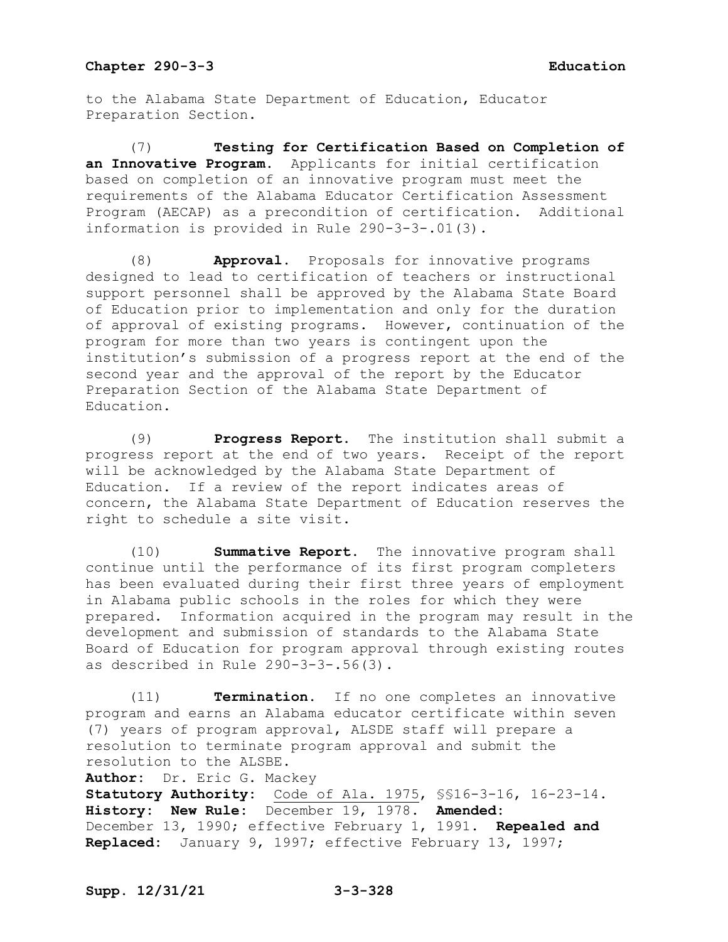to the Alabama State Department of Education, Educator Preparation Section.

(7) **Testing for Certification Based on Completion of an Innovative Program.** Applicants for initial certification based on completion of an innovative program must meet the requirements of the Alabama Educator Certification Assessment Program (AECAP) as a precondition of certification. Additional information is provided in Rule 290-3-3-.01(3).

(8) **Approval**. Proposals for innovative programs designed to lead to certification of teachers or instructional support personnel shall be approved by the Alabama State Board of Education prior to implementation and only for the duration of approval of existing programs. However, continuation of the program for more than two years is contingent upon the institution's submission of a progress report at the end of the second year and the approval of the report by the Educator Preparation Section of the Alabama State Department of Education.

(9) **Progress Report.** The institution shall submit a progress report at the end of two years. Receipt of the report will be acknowledged by the Alabama State Department of Education. If a review of the report indicates areas of concern, the Alabama State Department of Education reserves the right to schedule a site visit.

(10) **Summative Report.** The innovative program shall continue until the performance of its first program completers has been evaluated during their first three years of employment in Alabama public schools in the roles for which they were prepared. Information acquired in the program may result in the development and submission of standards to the Alabama State Board of Education for program approval through existing routes as described in Rule 290-3-3-.56(3).

(11) **Termination.** If no one completes an innovative program and earns an Alabama educator certificate within seven (7) years of program approval, ALSDE staff will prepare a resolution to terminate program approval and submit the resolution to the ALSBE.

**Author:** Dr. Eric G. Mackey **Statutory Authority:** Code of Ala. 1975, §§16-3-16, 16-23-14. **History: New Rule:** December 19, 1978. **Amended:** December 13, 1990; effective February 1, 1991. **Repealed and Replaced:** January 9, 1997; effective February 13, 1997;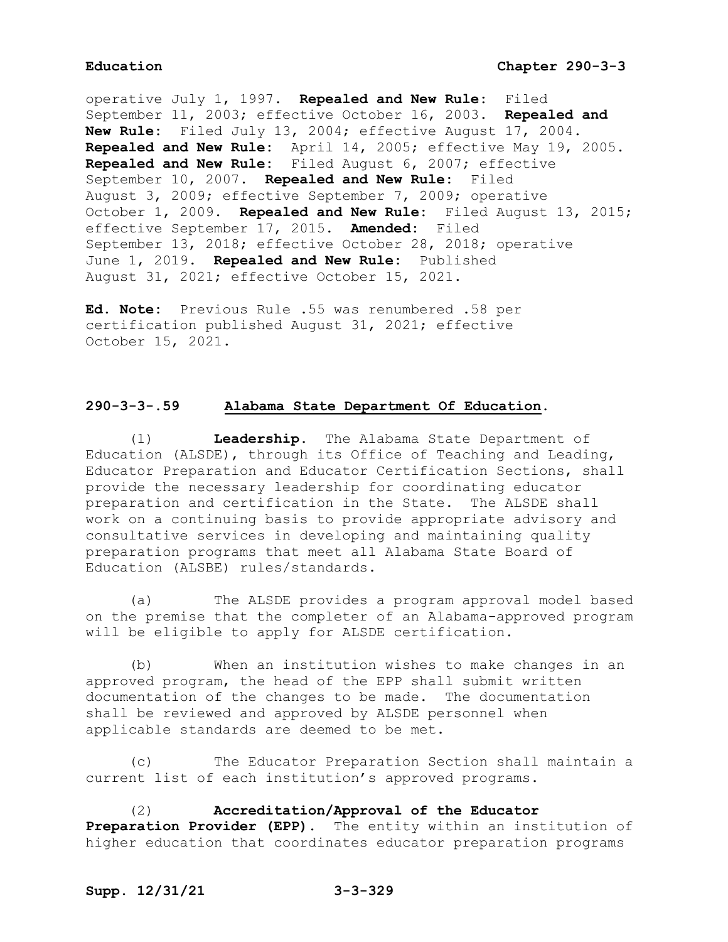operative July 1, 1997. **Repealed and New Rule:** Filed September 11, 2003; effective October 16, 2003. **Repealed and New Rule:** Filed July 13, 2004; effective August 17, 2004. **Repealed and New Rule:** April 14, 2005; effective May 19, 2005. **Repealed and New Rule:** Filed August 6, 2007; effective September 10, 2007. **Repealed and New Rule:** Filed August 3, 2009; effective September 7, 2009; operative October 1, 2009. **Repealed and New Rule:** Filed August 13, 2015; effective September 17, 2015. **Amended:** Filed September 13, 2018; effective October 28, 2018; operative June 1, 2019. **Repealed and New Rule:** Published August 31, 2021; effective October 15, 2021.

**Ed. Note:** Previous Rule .55 was renumbered .58 per certification published August 31, 2021; effective October 15, 2021.

# **290-3-3-.59 Alabama State Department Of Education.**

(1) **Leadership.** The Alabama State Department of Education (ALSDE), through its Office of Teaching and Leading, Educator Preparation and Educator Certification Sections, shall provide the necessary leadership for coordinating educator preparation and certification in the State. The ALSDE shall work on a continuing basis to provide appropriate advisory and consultative services in developing and maintaining quality preparation programs that meet all Alabama State Board of Education (ALSBE) rules/standards.

(a) The ALSDE provides a program approval model based on the premise that the completer of an Alabama-approved program will be eligible to apply for ALSDE certification.

(b) When an institution wishes to make changes in an approved program, the head of the EPP shall submit written documentation of the changes to be made. The documentation shall be reviewed and approved by ALSDE personnel when applicable standards are deemed to be met.

(c) The Educator Preparation Section shall maintain a current list of each institution's approved programs.

(2) **Accreditation/Approval of the Educator Preparation Provider (EPP).** The entity within an institution of higher education that coordinates educator preparation programs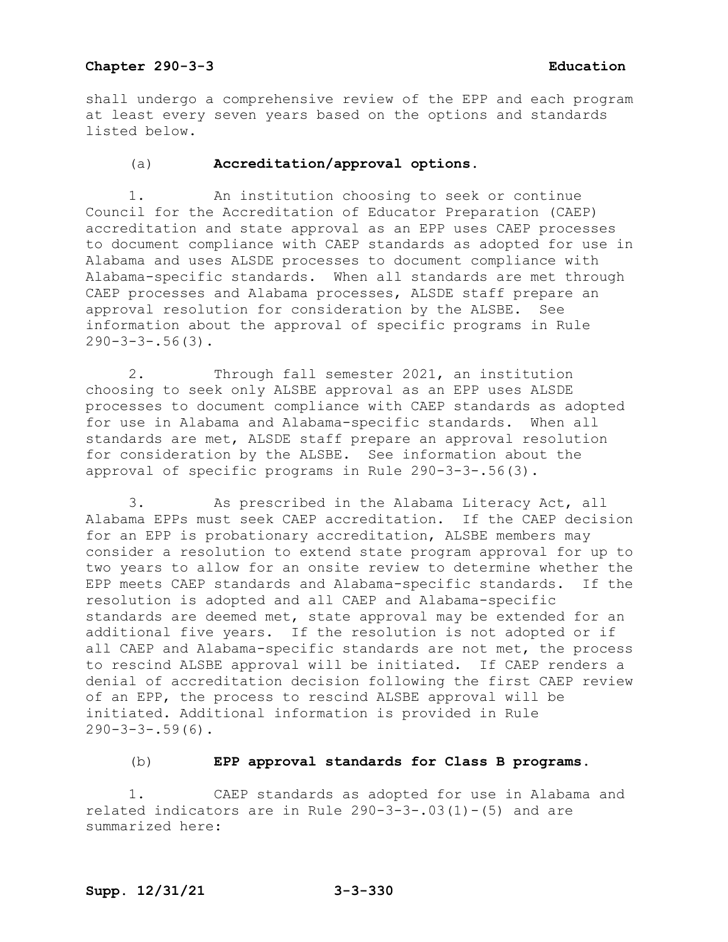shall undergo a comprehensive review of the EPP and each program at least every seven years based on the options and standards listed below.

### (a) **Accreditation/approval options.**

1. An institution choosing to seek or continue Council for the Accreditation of Educator Preparation (CAEP) accreditation and state approval as an EPP uses CAEP processes to document compliance with CAEP standards as adopted for use in Alabama and uses ALSDE processes to document compliance with Alabama-specific standards. When all standards are met through CAEP processes and Alabama processes, ALSDE staff prepare an approval resolution for consideration by the ALSBE. See information about the approval of specific programs in Rule  $290 - 3 - 3 - .56(3)$ .

2. Through fall semester 2021, an institution choosing to seek only ALSBE approval as an EPP uses ALSDE processes to document compliance with CAEP standards as adopted for use in Alabama and Alabama-specific standards. When all standards are met, ALSDE staff prepare an approval resolution for consideration by the ALSBE. See information about the approval of specific programs in Rule 290-3-3-.56(3).

3. As prescribed in the Alabama Literacy Act, all Alabama EPPs must seek CAEP accreditation. If the CAEP decision for an EPP is probationary accreditation, ALSBE members may consider a resolution to extend state program approval for up to two years to allow for an onsite review to determine whether the EPP meets CAEP standards and Alabama-specific standards. If the resolution is adopted and all CAEP and Alabama-specific standards are deemed met, state approval may be extended for an additional five years. If the resolution is not adopted or if all CAEP and Alabama-specific standards are not met, the process to rescind ALSBE approval will be initiated. If CAEP renders a denial of accreditation decision following the first CAEP review of an EPP, the process to rescind ALSBE approval will be initiated. Additional information is provided in Rule  $290-3-3-.59(6)$ .

### (b) **EPP approval standards for Class B programs**.

1. CAEP standards as adopted for use in Alabama and related indicators are in Rule  $290-3-3-0.03(1)-(5)$  and are summarized here: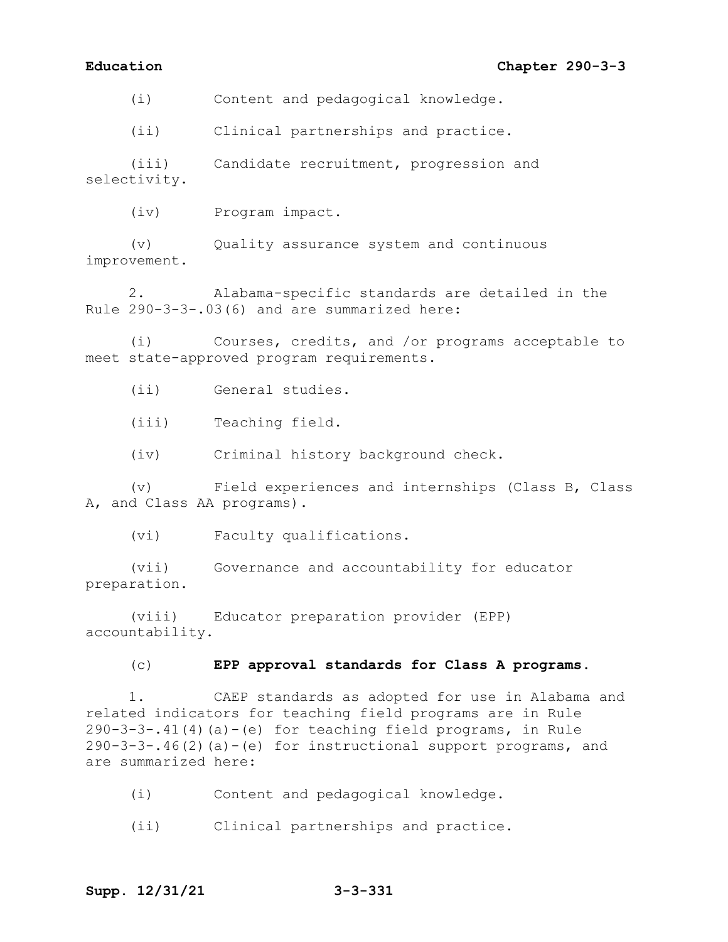## **Education Chapter 290-3-3**

(i) Content and pedagogical knowledge.

(ii) Clinical partnerships and practice.

(iii) Candidate recruitment, progression and selectivity.

(iv) Program impact.

(v) Quality assurance system and continuous improvement.

2. Alabama-specific standards are detailed in the Rule 290-3-3-.03(6) and are summarized here:

(i) Courses, credits, and /or programs acceptable to meet state-approved program requirements.

(ii) General studies.

(iii) Teaching field.

(iv) Criminal history background check.

(v) Field experiences and internships (Class B, Class A, and Class AA programs).

(vi) Faculty qualifications.

(vii) Governance and accountability for educator preparation.

(viii) Educator preparation provider (EPP) accountability.

#### (c) **EPP approval standards for Class A programs.**

1. CAEP standards as adopted for use in Alabama and related indicators for teaching field programs are in Rule 290-3-3-.41(4)(a)-(e) for teaching field programs, in Rule 290-3-3-.46(2)(a)-(e) for instructional support programs, and are summarized here:

- (i) Content and pedagogical knowledge.
- (ii) Clinical partnerships and practice.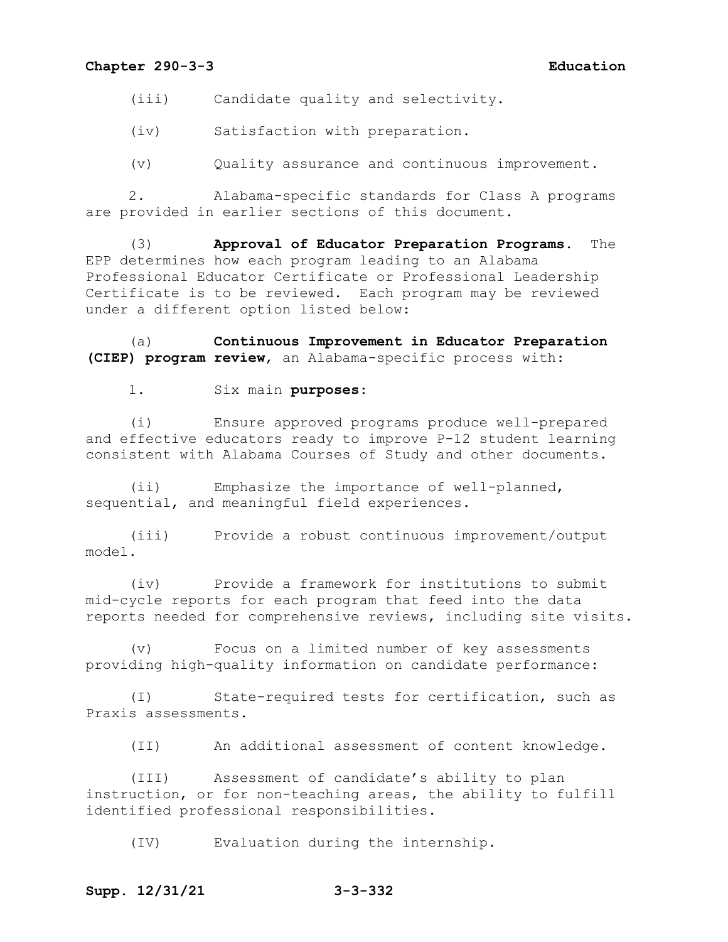(iii) Candidate quality and selectivity.

(iv) Satisfaction with preparation.

(v) Quality assurance and continuous improvement.

2. Alabama-specific standards for Class A programs are provided in earlier sections of this document.

(3) **Approval of Educator Preparation Programs.** The EPP determines how each program leading to an Alabama Professional Educator Certificate or Professional Leadership Certificate is to be reviewed. Each program may be reviewed under a different option listed below:

(a) **Continuous Improvement in Educator Preparation (CIEP) program review**, an Alabama-specific process with:

1. Six main **purposes**:

(i) Ensure approved programs produce well-prepared and effective educators ready to improve P-12 student learning consistent with Alabama Courses of Study and other documents.

(ii) Emphasize the importance of well-planned, sequential, and meaningful field experiences.

(iii) Provide a robust continuous improvement/output model.

(iv) Provide a framework for institutions to submit mid-cycle reports for each program that feed into the data reports needed for comprehensive reviews, including site visits.

(v) Focus on a limited number of key assessments providing high-quality information on candidate performance:

(I) State-required tests for certification, such as Praxis assessments.

(II) An additional assessment of content knowledge.

(III) Assessment of candidate's ability to plan instruction, or for non-teaching areas, the ability to fulfill identified professional responsibilities.

(IV) Evaluation during the internship.

#### **Supp. 12/31/21 3-3-332**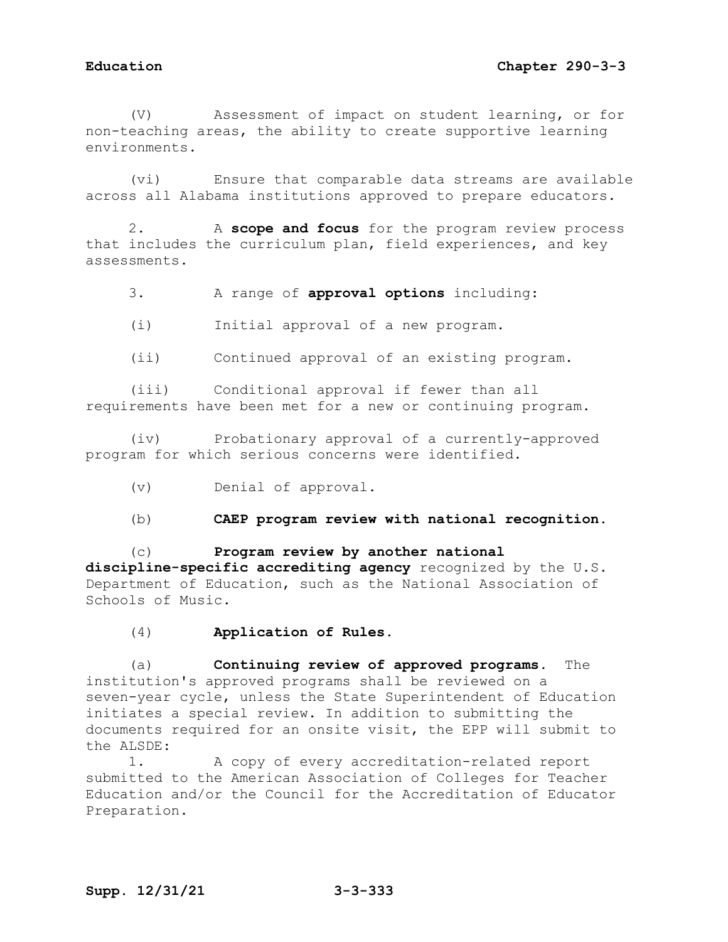(V) Assessment of impact on student learning, or for non-teaching areas, the ability to create supportive learning environments.

(vi) Ensure that comparable data streams are available across all Alabama institutions approved to prepare educators.

2. A **scope and focus** for the program review process that includes the curriculum plan, field experiences, and key assessments.

3. A range of **approval options** including:

(i) Initial approval of a new program.

(ii) Continued approval of an existing program.

(iii) Conditional approval if fewer than all requirements have been met for a new or continuing program.

(iv) Probationary approval of a currently-approved program for which serious concerns were identified.

(v) Denial of approval.

(b) **CAEP program review with national recognition**.

(c) **Program review by another national discipline-specific accrediting agency** recognized by the U.S. Department of Education, such as the National Association of Schools of Music.

(4) **Application of Rules.**

(a) **Continuing review of approved programs.** The institution's approved programs shall be reviewed on a seven-year cycle, unless the State Superintendent of Education initiates a special review. In addition to submitting the documents required for an onsite visit, the EPP will submit to the ALSDE:<br>1.

1. A copy of every accreditation-related report submitted to the American Association of Colleges for Teacher Education and/or the Council for the Accreditation of Educator Preparation.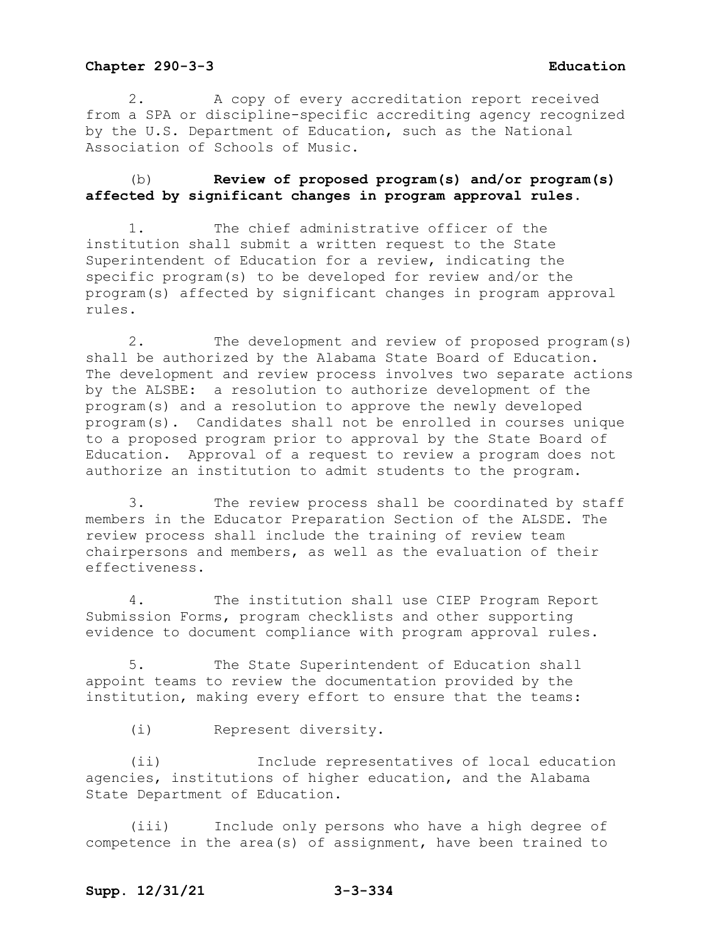2. A copy of every accreditation report received from a SPA or discipline-specific accrediting agency recognized by the U.S. Department of Education, such as the National Association of Schools of Music.

### (b) **Review of proposed program(s) and/or program(s) affected by significant changes in program approval rules.**

1. The chief administrative officer of the institution shall submit a written request to the State Superintendent of Education for a review, indicating the specific program(s) to be developed for review and/or the program(s) affected by significant changes in program approval rules.

2. The development and review of proposed program(s) shall be authorized by the Alabama State Board of Education. The development and review process involves two separate actions by the ALSBE: a resolution to authorize development of the program(s) and a resolution to approve the newly developed program(s). Candidates shall not be enrolled in courses unique to a proposed program prior to approval by the State Board of Education. Approval of a request to review a program does not authorize an institution to admit students to the program.

3. The review process shall be coordinated by staff members in the Educator Preparation Section of the ALSDE. The review process shall include the training of review team chairpersons and members, as well as the evaluation of their effectiveness.

4. The institution shall use CIEP Program Report Submission Forms, program checklists and other supporting evidence to document compliance with program approval rules.

5. The State Superintendent of Education shall appoint teams to review the documentation provided by the institution, making every effort to ensure that the teams:

(i) Represent diversity.

(ii) Include representatives of local education agencies, institutions of higher education, and the Alabama State Department of Education.

(iii) Include only persons who have a high degree of competence in the area(s) of assignment, have been trained to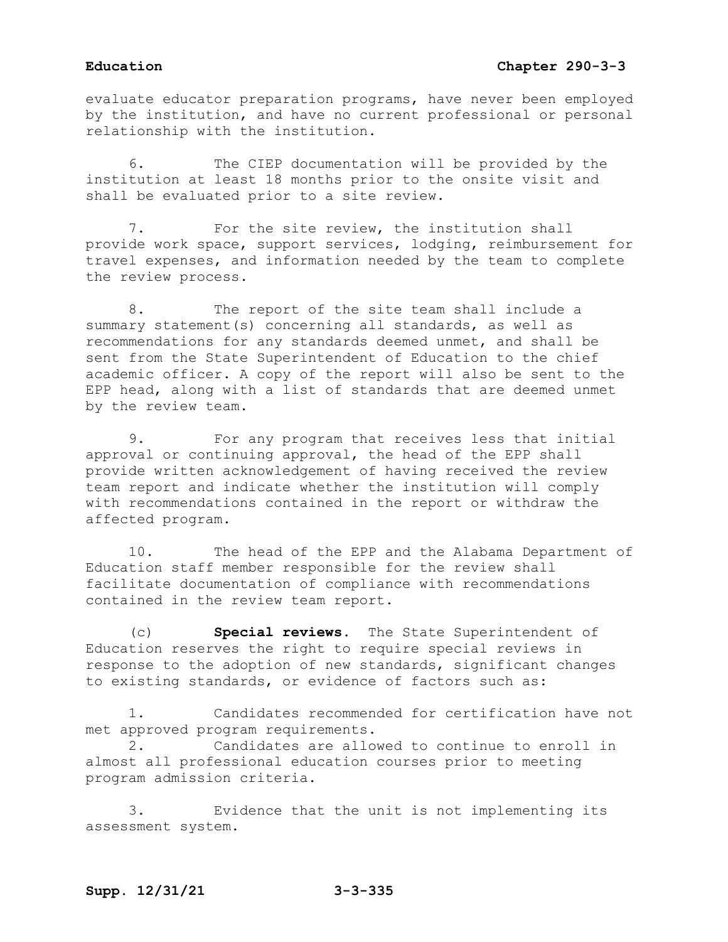evaluate educator preparation programs, have never been employed by the institution, and have no current professional or personal relationship with the institution.

6. The CIEP documentation will be provided by the institution at least 18 months prior to the onsite visit and shall be evaluated prior to a site review.

7. For the site review, the institution shall provide work space, support services, lodging, reimbursement for travel expenses, and information needed by the team to complete the review process.

8. The report of the site team shall include a summary statement(s) concerning all standards, as well as recommendations for any standards deemed unmet, and shall be sent from the State Superintendent of Education to the chief academic officer. A copy of the report will also be sent to the EPP head, along with a list of standards that are deemed unmet by the review team.

9. For any program that receives less that initial approval or continuing approval, the head of the EPP shall provide written acknowledgement of having received the review team report and indicate whether the institution will comply with recommendations contained in the report or withdraw the affected program.

10. The head of the EPP and the Alabama Department of Education staff member responsible for the review shall facilitate documentation of compliance with recommendations contained in the review team report.

(c) **Special reviews.** The State Superintendent of Education reserves the right to require special reviews in response to the adoption of new standards, significant changes to existing standards, or evidence of factors such as:

1. Candidates recommended for certification have not met approved program requirements.

2. Candidates are allowed to continue to enroll in almost all professional education courses prior to meeting program admission criteria.

3. Evidence that the unit is not implementing its assessment system.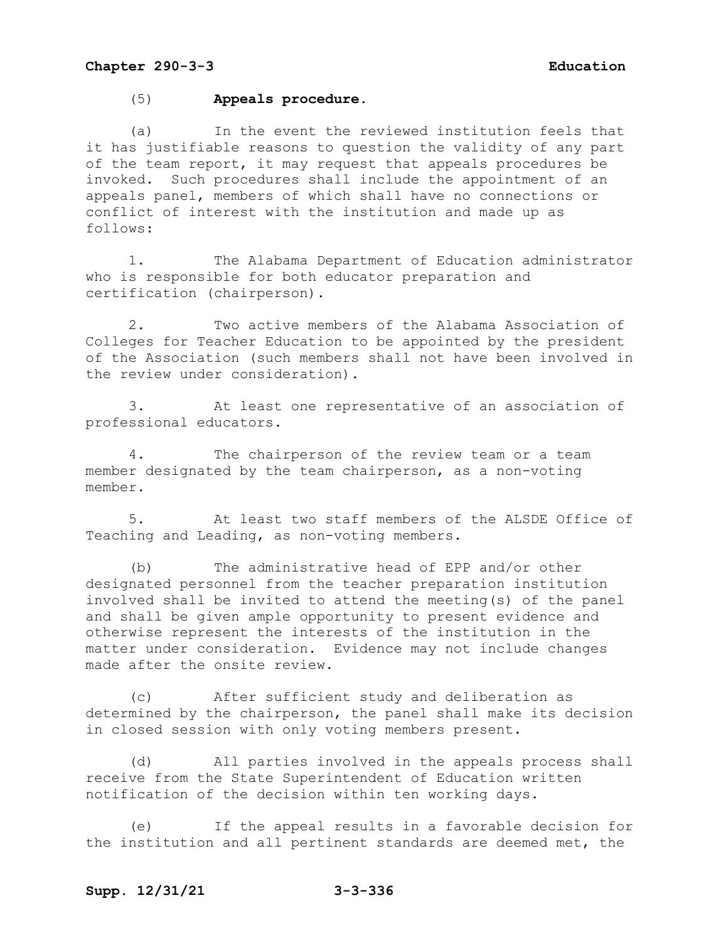### (5) **Appeals procedure.**

(a) In the event the reviewed institution feels that it has justifiable reasons to question the validity of any part of the team report, it may request that appeals procedures be invoked. Such procedures shall include the appointment of an appeals panel, members of which shall have no connections or conflict of interest with the institution and made up as follows:

1. The Alabama Department of Education administrator who is responsible for both educator preparation and certification (chairperson).

2. Two active members of the Alabama Association of Colleges for Teacher Education to be appointed by the president of the Association (such members shall not have been involved in the review under consideration).

3. At least one representative of an association of professional educators.

4. The chairperson of the review team or a team member designated by the team chairperson, as a non-voting member.

5. At least two staff members of the ALSDE Office of Teaching and Leading, as non-voting members.

(b) The administrative head of EPP and/or other designated personnel from the teacher preparation institution involved shall be invited to attend the meeting(s) of the panel and shall be given ample opportunity to present evidence and otherwise represent the interests of the institution in the matter under consideration. Evidence may not include changes made after the onsite review.

(c) After sufficient study and deliberation as determined by the chairperson, the panel shall make its decision in closed session with only voting members present.

(d) All parties involved in the appeals process shall receive from the State Superintendent of Education written notification of the decision within ten working days.

(e) If the appeal results in a favorable decision for the institution and all pertinent standards are deemed met, the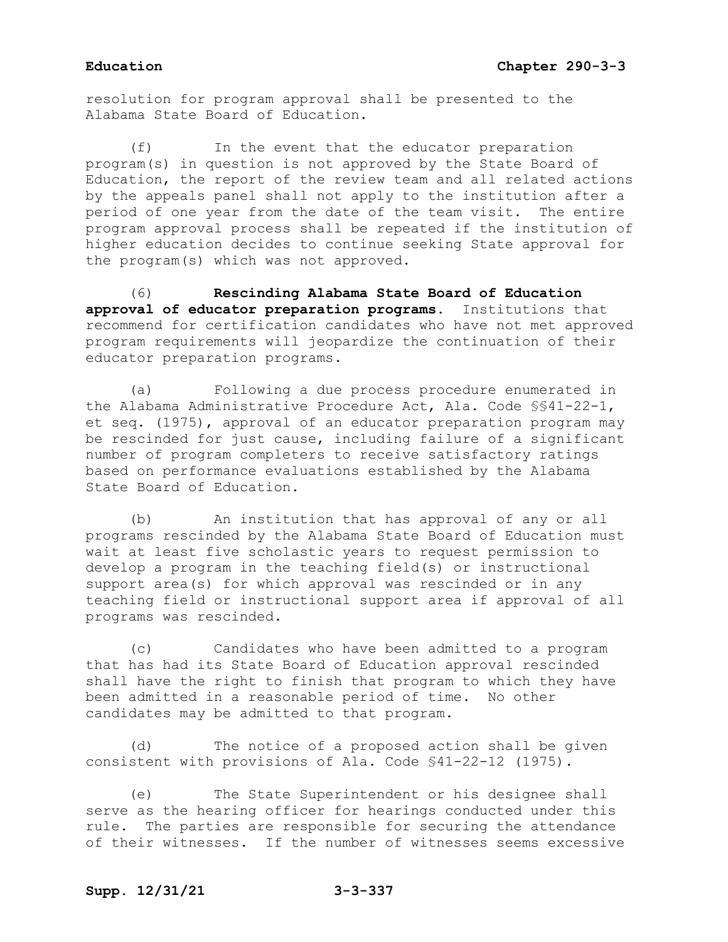resolution for program approval shall be presented to the Alabama State Board of Education.

(f) In the event that the educator preparation program(s) in question is not approved by the State Board of Education, the report of the review team and all related actions by the appeals panel shall not apply to the institution after a period of one year from the date of the team visit. The entire program approval process shall be repeated if the institution of higher education decides to continue seeking State approval for the program(s) which was not approved.

(6) **Rescinding Alabama State Board of Education approval of educator preparation programs.** Institutions that recommend for certification candidates who have not met approved program requirements will jeopardize the continuation of their educator preparation programs.

(a) Following a due process procedure enumerated in the Alabama Administrative Procedure Act, Ala. Code §§41-22-1, et seq. (1975), approval of an educator preparation program may be rescinded for just cause, including failure of a significant number of program completers to receive satisfactory ratings based on performance evaluations established by the Alabama State Board of Education.

(b) An institution that has approval of any or all programs rescinded by the Alabama State Board of Education must wait at least five scholastic years to request permission to develop a program in the teaching field(s) or instructional support area(s) for which approval was rescinded or in any teaching field or instructional support area if approval of all programs was rescinded.

(c) Candidates who have been admitted to a program that has had its State Board of Education approval rescinded shall have the right to finish that program to which they have been admitted in a reasonable period of time. No other candidates may be admitted to that program.

(d) The notice of a proposed action shall be given consistent with provisions of Ala. Code §41-22-12 (1975).

(e) The State Superintendent or his designee shall serve as the hearing officer for hearings conducted under this rule. The parties are responsible for securing the attendance of their witnesses. If the number of witnesses seems excessive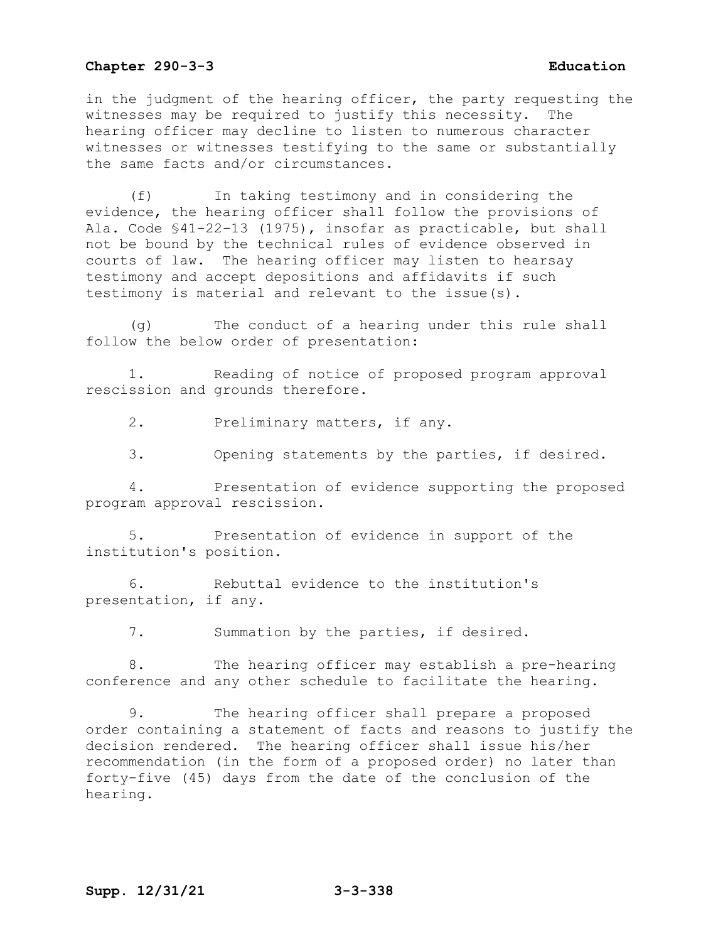in the judgment of the hearing officer, the party requesting the witnesses may be required to justify this necessity. The hearing officer may decline to listen to numerous character witnesses or witnesses testifying to the same or substantially the same facts and/or circumstances.

(f) In taking testimony and in considering the evidence, the hearing officer shall follow the provisions of Ala. Code §41-22-13 (1975), insofar as practicable, but shall not be bound by the technical rules of evidence observed in courts of law. The hearing officer may listen to hearsay testimony and accept depositions and affidavits if such testimony is material and relevant to the issue(s).

(g) The conduct of a hearing under this rule shall follow the below order of presentation:

Reading of notice of proposed program approval rescission and grounds therefore.

2. Preliminary matters, if any.

3. Opening statements by the parties, if desired.

4. Presentation of evidence supporting the proposed program approval rescission.

5. Presentation of evidence in support of the institution's position.

6. Rebuttal evidence to the institution's presentation, if any.

7. Summation by the parties, if desired.

8. The hearing officer may establish a pre-hearing conference and any other schedule to facilitate the hearing.

9. The hearing officer shall prepare a proposed order containing a statement of facts and reasons to justify the decision rendered. The hearing officer shall issue his/her recommendation (in the form of a proposed order) no later than forty-five (45) days from the date of the conclusion of the hearing.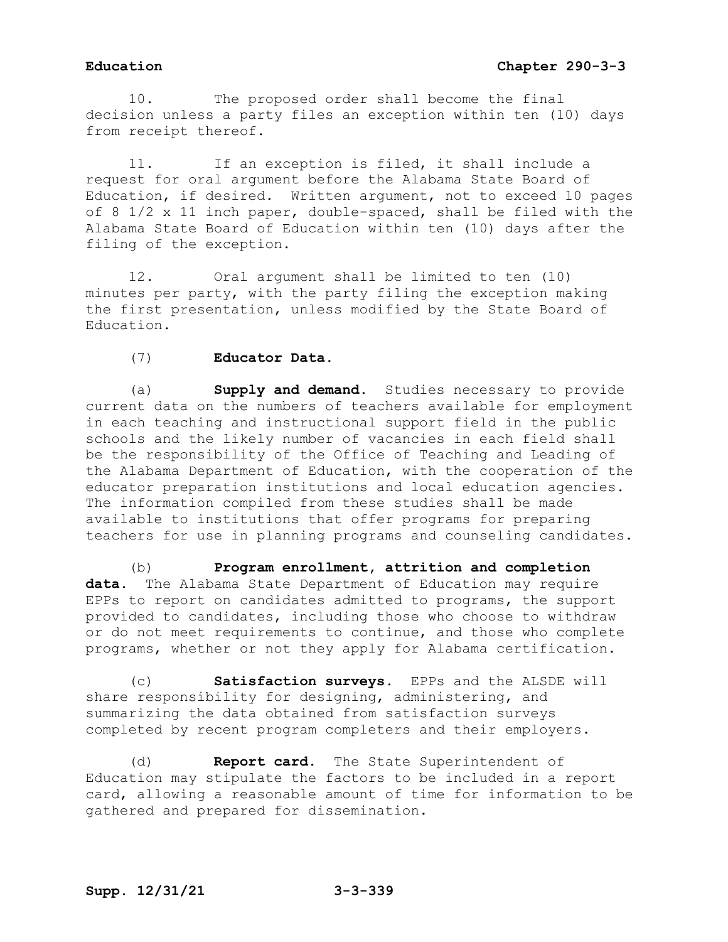10. The proposed order shall become the final decision unless a party files an exception within ten (10) days from receipt thereof.

11. If an exception is filed, it shall include a request for oral argument before the Alabama State Board of Education, if desired. Written argument, not to exceed 10 pages of 8 1/2 x 11 inch paper, double-spaced, shall be filed with the Alabama State Board of Education within ten (10) days after the filing of the exception.

12. Oral argument shall be limited to ten (10) minutes per party, with the party filing the exception making the first presentation, unless modified by the State Board of Education.

### (7) **Educator Data.**

(a) **Supply and demand.** Studies necessary to provide current data on the numbers of teachers available for employment in each teaching and instructional support field in the public schools and the likely number of vacancies in each field shall be the responsibility of the Office of Teaching and Leading of the Alabama Department of Education, with the cooperation of the educator preparation institutions and local education agencies. The information compiled from these studies shall be made available to institutions that offer programs for preparing teachers for use in planning programs and counseling candidates.

(b) **Program enrollment, attrition and completion data.** The Alabama State Department of Education may require EPPs to report on candidates admitted to programs, the support provided to candidates, including those who choose to withdraw or do not meet requirements to continue, and those who complete programs, whether or not they apply for Alabama certification.

(c) **Satisfaction surveys.** EPPs and the ALSDE will share responsibility for designing, administering, and summarizing the data obtained from satisfaction surveys completed by recent program completers and their employers.

(d) **Report card.** The State Superintendent of Education may stipulate the factors to be included in a report card, allowing a reasonable amount of time for information to be gathered and prepared for dissemination.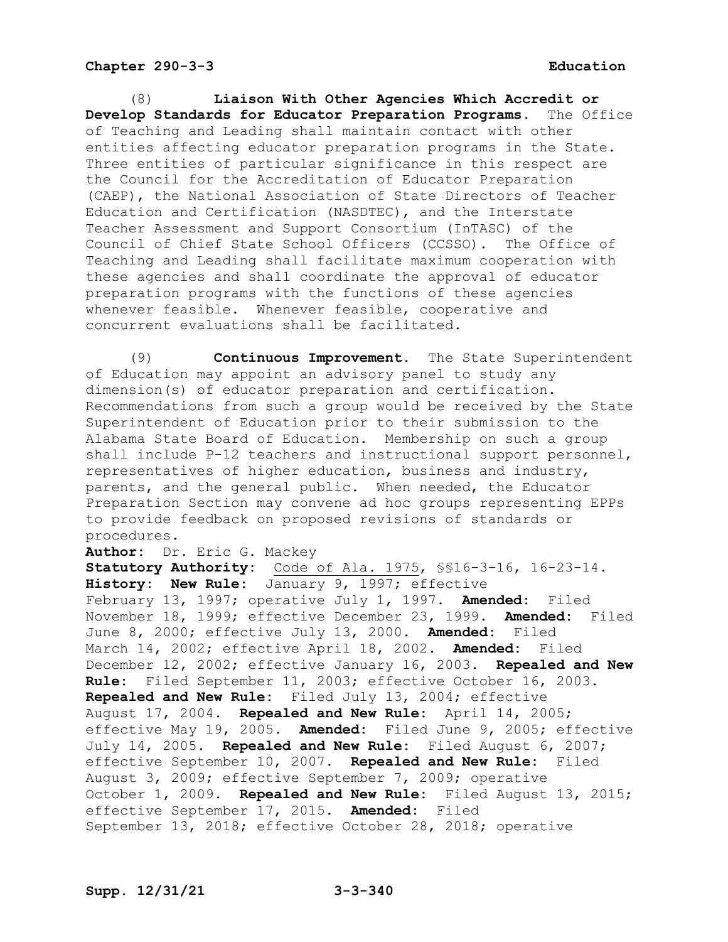(8) **Liaison With Other Agencies Which Accredit or Develop Standards for Educator Preparation Programs.** of Teaching and Leading shall maintain contact with other entities affecting educator preparation programs in the State. Three entities of particular significance in this respect are the Council for the Accreditation of Educator Preparation (CAEP), the National Association of State Directors of Teacher Education and Certification (NASDTEC), and the Interstate Teacher Assessment and Support Consortium (InTASC) of the Council of Chief State School Officers (CCSSO). The Office of Teaching and Leading shall facilitate maximum cooperation with these agencies and shall coordinate the approval of educator preparation programs with the functions of these agencies whenever feasible. Whenever feasible, cooperative and concurrent evaluations shall be facilitated.

(9) **Continuous Improvement.** The State Superintendent of Education may appoint an advisory panel to study any dimension(s) of educator preparation and certification. Recommendations from such a group would be received by the State Superintendent of Education prior to their submission to the Alabama State Board of Education. Membership on such a group shall include P-12 teachers and instructional support personnel, representatives of higher education, business and industry, parents, and the general public. When needed, the Educator Preparation Section may convene ad hoc groups representing EPPs to provide feedback on proposed revisions of standards or procedures.

**Author:** Dr. Eric G. Mackey

**Statutory Authority:** Code of Ala. 1975, §§16-3-16, 16-23-14. **History: New Rule:** January 9, 1997; effective February 13, 1997; operative July 1, 1997. **Amended:** Filed November 18, 1999; effective December 23, 1999. **Amended:** Filed June 8, 2000; effective July 13, 2000. **Amended:** Filed March 14, 2002; effective April 18, 2002. **Amended:** Filed December 12, 2002; effective January 16, 2003. **Repealed and New Rule:** Filed September 11, 2003; effective October 16, 2003. **Repealed and New Rule:** Filed July 13, 2004; effective August 17, 2004. **Repealed and New Rule:** April 14, 2005; effective May 19, 2005. **Amended:** Filed June 9, 2005; effective July 14, 2005. **Repealed and New Rule:** Filed August 6, 2007; effective September 10, 2007. **Repealed and New Rule:** Filed August 3, 2009; effective September 7, 2009; operative October 1, 2009. **Repealed and New Rule:** Filed August 13, 2015; effective September 17, 2015. **Amended:** Filed September 13, 2018; effective October 28, 2018; operative